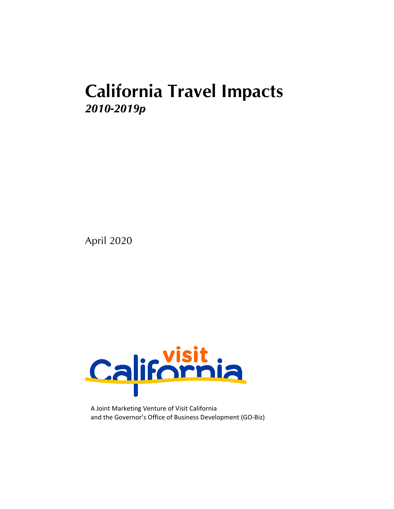# **California Travel Impacts** *2010-2019p*

April 2020



A Joint Marketing Venture of Visit California and the Governor's Office of Business Development (GO-Biz)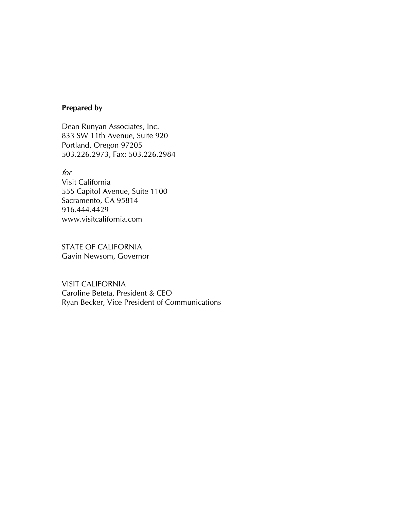#### **Prepared by**

Dean Runyan Associates, Inc. 833 SW 11th Avenue, Suite 920 Portland, Oregon 97205 503.226.2973, Fax: 503.226.2984

for

Visit California 555 Capitol Avenue, Suite 1100 Sacramento, CA 95814 916.444.4429 www.visitcalifornia.com

STATE OF CALIFORNIA Gavin Newsom, Governor

VISIT CALIFORNIA Caroline Beteta, President & CEO Ryan Becker, Vice President of Communications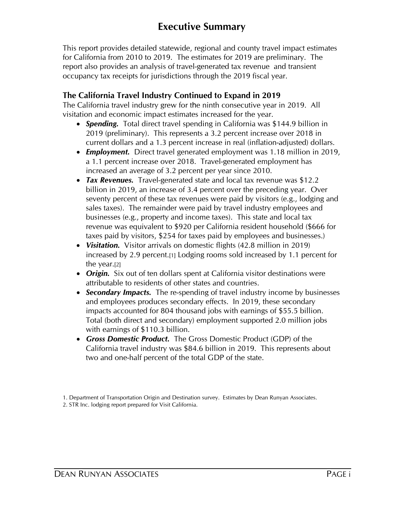## **Executive Summary**

This report provides detailed statewide, regional and county travel impact estimates for California from 2010 to 2019. The estimates for 2019 are preliminary. The report also provides an analysis of travel-generated tax revenue and transient occupancy tax receipts for jurisdictions through the 2019 fiscal year.

## **The California Travel Industry Continued to Expand in 2019**

The California travel industry grew for the ninth consecutive year in 2019. All visitation and economic impact estimates increased for the year.

- · *Spending.* Total direct travel spending in California was \$144.9 billion in 2019 (preliminary). This represents a 3.2 percent increase over 2018 in current dollars and a 1.3 percent increase in real (inflation-adjusted) dollars.
- · *Employment.* Direct travel generated employment was 1.18 million in 2019, a 1.1 percent increase over 2018. Travel-generated employment has increased an average of 3.2 percent per year since 2010.
- · *Tax Revenues.* Travel-generated state and local tax revenue was \$12.2 billion in 2019, an increase of 3.4 percent over the preceding year. Over seventy percent of these tax revenues were paid by visitors (e.g., lodging and sales taxes). The remainder were paid by travel industry employees and businesses (e.g., property and income taxes). This state and local tax revenue was equivalent to \$920 per California resident household (\$666 for taxes paid by visitors, \$254 for taxes paid by employees and businesses.)
- · *Visitation.* Visitor arrivals on domestic flights (42.8 million in 2019) increased by 2.9 percent.[1] Lodging rooms sold increased by 1.1 percent for the year.[2]
- · *Origin.* Six out of ten dollars spent at California visitor destinations were attributable to residents of other states and countries.
- · *Secondary Impacts.* The re-spending of travel industry income by businesses and employees produces secondary effects. In 2019, these secondary impacts accounted for 804 thousand jobs with earnings of \$55.5 billion. Total (both direct and secondary) employment supported 2.0 million jobs with earnings of \$110.3 billion.
- · *Gross Domestic Product.* The Gross Domestic Product (GDP) of the California travel industry was \$84.6 billion in 2019. This represents about two and one-half percent of the total GDP of the state.

1. Department of Transportation Origin and Destination survey. Estimates by Dean Runyan Associates. 2. STR Inc. lodging report prepared for Visit California.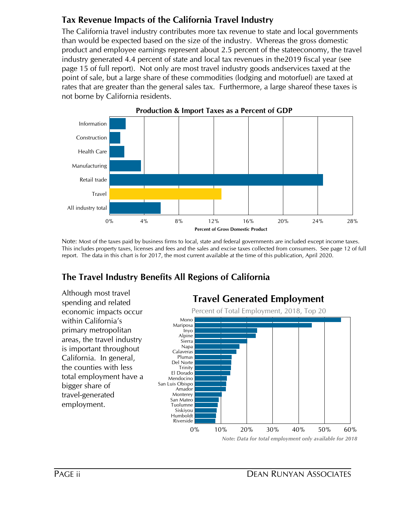## **Tax Revenue Impacts of the California Travel Industry**

The California travel industry contributes more tax revenue to state and local governments than would be expected based on the size of the industry. Whereas the gross domestic product and employee earnings represent about 2.5 percent of the stateeconomy, the travel industry generated 4.4 percent of state and local tax revenues in the2019 fiscal year (see page 15 of full report). Not only are most travel industry goods andservices taxed at the point of sale, but a large share of these commodities (lodging and motorfuel) are taxed at rates that are greater than the general sales tax. Furthermore, a large shareof these taxes is not borne by California residents.



Note: Most of the taxes paid by business firms to local, state and federal governments are included except income taxes. This includes property taxes, licenses and fees and the sales and excise taxes collected from consumers. See page 12 of full report. The data in this chart is for 2017, the most current available at the time of this publication, April 2020.

## **The Travel Industry Benefits All Regions of California**

0% 10% 20% 30% 40% 50% 60% Mono Mariposa Inyo Alpine Sierra Napa Calaveras Plumas Del Norte **Trinity** El Dorado Mendocino San Luis Obispo Amador Monterey San Mateo Tuolumne Siskiyou Humboldt Riverside **Travel Generated Employment** Percent of Total Employment, 2018, Top 20 Although most travel spending and related economic impacts occur within California's primary metropolitan areas, the travel industry is important throughout California. In general, the counties with less total employment have a bigger share of travel-generated employment.

*Note: Data for total employment only available for 2018*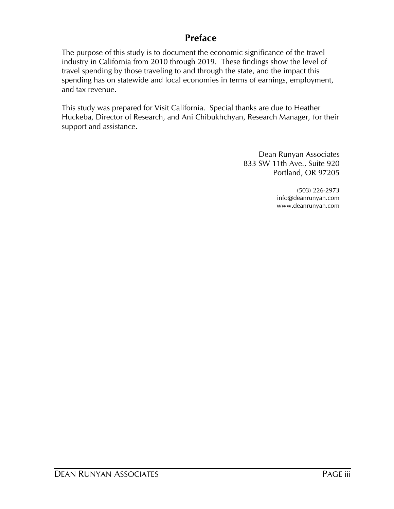## **Preface**

The purpose of this study is to document the economic significance of the travel industry in California from 2010 through 2019. These findings show the level of travel spending by those traveling to and through the state, and the impact this spending has on statewide and local economies in terms of earnings, employment, and tax revenue.

This study was prepared for Visit California. Special thanks are due to Heather Huckeba, Director of Research, and Ani Chibukhchyan, Research Manager, for their support and assistance.

> Dean Runyan Associates 833 SW 11th Ave., Suite 920 Portland, OR 97205

> > (503) 226-2973 info@deanrunyan.com www.deanrunyan.com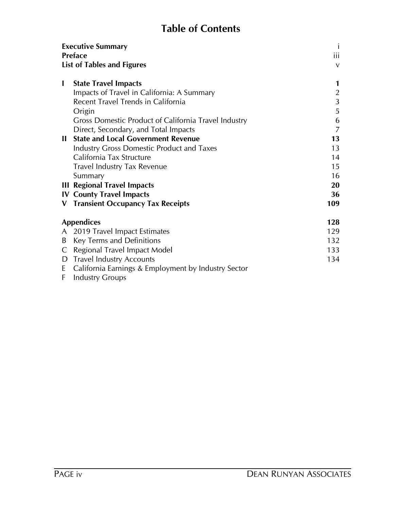# **Table of Contents**

|              | <b>Executive Summary</b><br><b>Preface</b>           | $\mathbf{i}$<br>iii |
|--------------|------------------------------------------------------|---------------------|
|              | <b>List of Tables and Figures</b>                    | $\mathsf{V}$        |
|              |                                                      |                     |
| $\mathbf{I}$ | <b>State Travel Impacts</b>                          | 1                   |
|              | Impacts of Travel in California: A Summary           | $\overline{2}$      |
|              | Recent Travel Trends in California                   | 3                   |
|              | Origin                                               | 5                   |
|              | Gross Domestic Product of California Travel Industry | 6                   |
|              | Direct, Secondary, and Total Impacts                 | 7                   |
| Ш            | <b>State and Local Government Revenue</b>            | 13                  |
|              | <b>Industry Gross Domestic Product and Taxes</b>     | 13                  |
|              | California Tax Structure                             | 14                  |
|              | <b>Travel Industry Tax Revenue</b>                   | 15                  |
|              | Summary                                              | 16                  |
|              | <b>III Regional Travel Impacts</b>                   | 20                  |
|              | <b>IV County Travel Impacts</b>                      | 36                  |
| V.           | <b>Transient Occupancy Tax Receipts</b>              | 109                 |
|              | <b>Appendices</b>                                    | 128                 |
| A            | 2019 Travel Impact Estimates                         | 129                 |
| B            | Key Terms and Definitions                            | 132                 |
| C            | Regional Travel Impact Model                         | 133                 |
| D            | <b>Travel Industry Accounts</b>                      | 134                 |
| E            | California Earnings & Employment by Industry Sector  |                     |
| F            | <b>Industry Groups</b>                               |                     |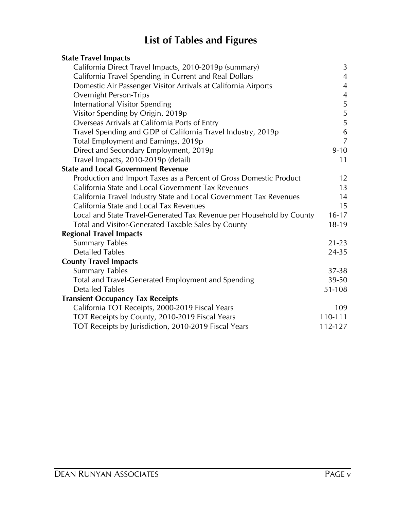# **List of Tables and Figures**

| <b>State Travel Impacts</b>                                          |                |
|----------------------------------------------------------------------|----------------|
| California Direct Travel Impacts, 2010-2019p (summary)               | 3              |
| California Travel Spending in Current and Real Dollars               | $\overline{4}$ |
| Domestic Air Passenger Visitor Arrivals at California Airports       | $\overline{4}$ |
| <b>Overnight Person-Trips</b>                                        | $\overline{4}$ |
| International Visitor Spending                                       | 5              |
| Visitor Spending by Origin, 2019p                                    | 5              |
| Overseas Arrivals at California Ports of Entry                       | 5              |
| Travel Spending and GDP of California Travel Industry, 2019p         | 6              |
| Total Employment and Earnings, 2019p                                 | $\overline{7}$ |
| Direct and Secondary Employment, 2019p                               | $9 - 10$       |
| Travel Impacts, 2010-2019p (detail)                                  | 11             |
| <b>State and Local Government Revenue</b>                            |                |
| Production and Import Taxes as a Percent of Gross Domestic Product   | 12             |
| California State and Local Government Tax Revenues                   | 13             |
| California Travel Industry State and Local Government Tax Revenues   | 14             |
| California State and Local Tax Revenues                              | 15             |
| Local and State Travel-Generated Tax Revenue per Household by County | $16 - 17$      |
| Total and Visitor-Generated Taxable Sales by County                  | 18-19          |
| <b>Regional Travel Impacts</b>                                       |                |
| <b>Summary Tables</b>                                                | $21 - 23$      |
| <b>Detailed Tables</b>                                               | 24-35          |
| <b>County Travel Impacts</b>                                         |                |
| <b>Summary Tables</b>                                                | 37-38          |
| Total and Travel-Generated Employment and Spending                   | 39-50          |
| <b>Detailed Tables</b>                                               | 51-108         |
| <b>Transient Occupancy Tax Receipts</b>                              |                |
| California TOT Receipts, 2000-2019 Fiscal Years                      | 109            |
| TOT Receipts by County, 2010-2019 Fiscal Years                       | 110-111        |
| TOT Receipts by Jurisdiction, 2010-2019 Fiscal Years                 | 112-127        |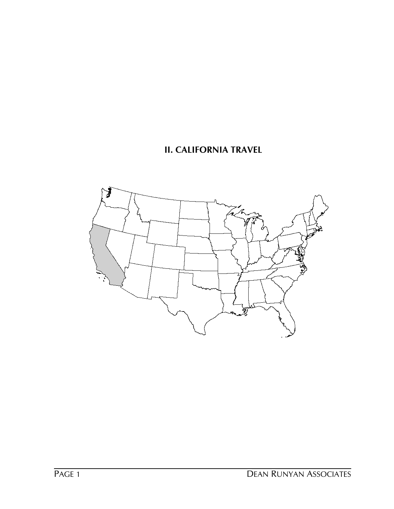## **II. CALIFORNIA TRAVEL**

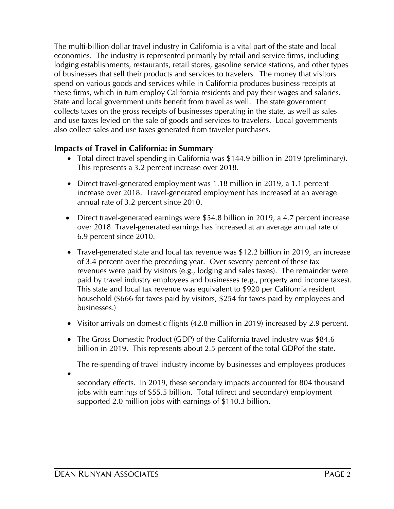The multi-billion dollar travel industry in California is a vital part of the state and local economies. The industry is represented primarily by retail and service firms, including lodging establishments, restaurants, retail stores, gasoline service stations, and other types of businesses that sell their products and services to travelers. The money that visitors spend on various goods and services while in California produces business receipts at these firms, which in turn employ California residents and pay their wages and salaries. State and local government units benefit from travel as well. The state government collects taxes on the gross receipts of businesses operating in the state, as well as sales and use taxes levied on the sale of goods and services to travelers. Local governments also collect sales and use taxes generated from traveler purchases.

## **Impacts of Travel in California: in Summary**

- This represents a 3.2 percent increase over 2018. · Total direct travel spending in California was \$144.9 billion in 2019 (preliminary).
- annual rate of 3.2 percent since 2010. increase over 2018. Travel-generated employment has increased at an average • Direct travel-generated employment was 1.18 million in 2019, a 1.1 percent
- 6.9 percent since 2010. over 2018. Travel-generated earnings has increased at an average annual rate of • Direct travel-generated earnings were \$54.8 billion in 2019, a 4.7 percent increase
- businesses.) revenues were paid by visitors (e.g., lodging and sales taxes). The remainder were of 3.4 percent over the preceding year. Over seventy percent of these tax • Travel-generated state and local tax revenue was \$12.2 billion in 2019, an increase paid by travel industry employees and businesses (e.g., property and income taxes). This state and local tax revenue was equivalent to \$920 per California resident household (\$666 for taxes paid by visitors, \$254 for taxes paid by employees and
- Visitor arrivals on domestic flights (42.8 million in 2019) increased by 2.9 percent.
- billion in 2019. This represents about 2.5 percent of the total GDPof the state. • The Gross Domestic Product (GDP) of the California travel industry was \$84.6

The re-spending of travel industry income by businesses and employees produces

·

supported 2.0 million jobs with earnings of \$110.3 billion. jobs with earnings of \$55.5 billion. Total (direct and secondary) employment secondary effects. In 2019, these secondary impacts accounted for 804 thousand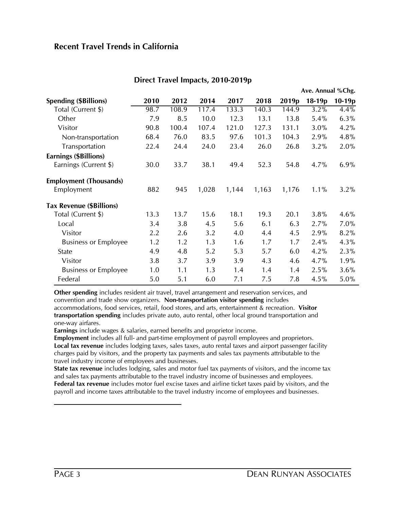## **Recent Travel Trends in California**

|                                 |      |       |       |       |       |                   | Ave. Annual %Chg. |          |
|---------------------------------|------|-------|-------|-------|-------|-------------------|-------------------|----------|
| <b>Spending (\$Billions)</b>    | 2010 | 2012  | 2014  | 2017  | 2018  | 2019 <sub>p</sub> | $18-19p$          | $10-19p$ |
| Total (Current \$)              | 98.7 | 108.9 | 117.4 | 133.3 | 140.3 | 144.9             | $3.2\%$           | $4.4\%$  |
| Other                           | 7.9  | 8.5   | 10.0  | 12.3  | 13.1  | 13.8              | 5.4%              | 6.3%     |
| Visitor                         | 90.8 | 100.4 | 107.4 | 121.0 | 127.3 | 131.1             | 3.0%              | 4.2%     |
| Non-transportation              | 68.4 | 76.0  | 83.5  | 97.6  | 101.3 | 104.3             | 2.9%              | 4.8%     |
| Transportation                  | 22.4 | 24.4  | 24.0  | 23.4  | 26.0  | 26.8              | 3.2%              | 2.0%     |
| Earnings (\$Billions)           |      |       |       |       |       |                   |                   |          |
| Earnings (Current \$)           | 30.0 | 33.7  | 38.1  | 49.4  | 52.3  | 54.8              | 4.7%              | 6.9%     |
| <b>Employment (Thousands)</b>   |      |       |       |       |       |                   |                   |          |
| Employment                      | 882  | 945   | 1,028 | 1,144 | 1,163 | 1,176             | 1.1%              | 3.2%     |
| <b>Tax Revenue (\$Billions)</b> |      |       |       |       |       |                   |                   |          |
| Total (Current \$)              | 13.3 | 13.7  | 15.6  | 18.1  | 19.3  | 20.1              | 3.8%              | 4.6%     |
| Local                           | 3.4  | 3.8   | 4.5   | 5.6   | 6.1   | 6.3               | 2.7%              | 7.0%     |
| Visitor                         | 2.2  | 2.6   | 3.2   | 4.0   | 4.4   | 4.5               | 2.9%              | 8.2%     |
| <b>Business or Employee</b>     | 1.2  | 1.2   | 1.3   | 1.6   | 1.7   | 1.7               | 2.4%              | 4.3%     |
| State                           | 4.9  | 4.8   | 5.2   | 5.3   | 5.7   | 6.0               | 4.2%              | 2.3%     |
| Visitor                         | 3.8  | 3.7   | 3.9   | 3.9   | 4.3   | 4.6               | 4.7%              | 1.9%     |
| <b>Business or Employee</b>     | 1.0  | 1.1   | 1.3   | 1.4   | 1.4   | 1.4               | 2.5%              | 3.6%     |
| Federal                         | 5.0  | 5.1   | 6.0   | 7.1   | 7.5   | 7.8               | 4.5%              | 5.0%     |

#### **Direct Travel Impacts, 2010-2019p**

**Other spending** includes resident air travel, travel arrangement and reservation services, and convention and trade show organizers. **Non-transportation visitor spending** includes accommodations, food services, retail, food stores, and arts, entertainment & recreation. **Visitor** 

**transportation spending** includes private auto, auto rental, other local ground transportation and one-way airfares.

**Earnings** include wages & salaries, earned benefits and proprietor income.

**Employment** includes all full- and part-time employment of payroll employees and proprietors. **Local tax revenue** includes lodging taxes, sales taxes, auto rental taxes and airport passenger facility charges paid by visitors, and the property tax payments and sales tax payments attributable to the travel industry income of employees and businesses.

**State tax revenue** includes lodging, sales and motor fuel tax payments of visitors, and the income tax and sales tax payments attributable to the travel industry income of businesses and employees. **Federal tax revenue** includes motor fuel excise taxes and airline ticket taxes paid by visitors, and the payroll and income taxes attributable to the travel industry income of employees and businesses.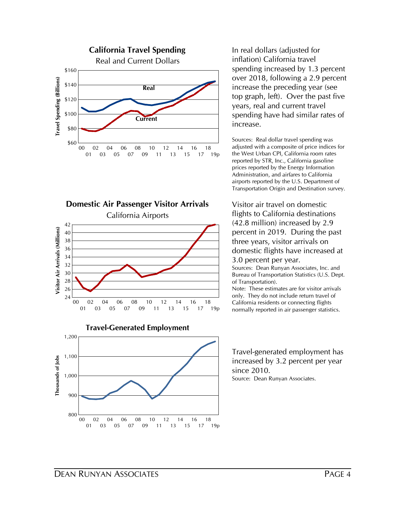







In real dollars (adjusted for inflation) California travel spending increased by 1.3 percent over 2018, following a 2.9 percent increase the preceding year (see top graph, left). Over the past five years, real and current travel spending have had similar rates of increase.

Sources: Real dollar travel spending was adjusted with a composite of price indices for the West Urban CPI, California room rates reported by STR, Inc., California gasoline prices reported by the Energy Information Administration, and airfares to California airports reported by the U.S. Department of Transportation Origin and Destination survey.

Visitor air travel on domestic flights to California destinations (42.8 million) increased by 2.9 percent in 2019. During the past three years, visitor arrivals on domestic flights have increased at 3.0 percent per year.

Sources: Dean Runyan Associates, Inc. and Bureau of Transportation Statistics (U.S. Dept. of Transportation).

Note: These estimates are for visitor arrivals only. They do not include return travel of California residents or connecting flights normally reported in air passenger statistics.

Travel-generated employment has increased by 3.2 percent per year since 2010. Source: Dean Runyan Associates.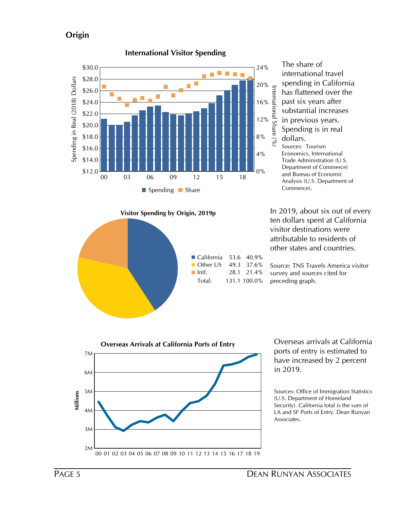## **Origin**



International Share (%) The share of international travel spending in California has flattened over the past six years after substantial increases in previous years. Spending is in real dollars. Sources: Tourism Economics, International

Trade Administration (U.S. Department of Commerce) and Bureau of Economic Analysis (U.S. Department of Commerce).

**Visitor Spending by Origin, 2019p** In 2019, about six out of every ten dollars spent at California visitor destinations were attributable to residents of other states and countries.

> Source: TNS Travels America visitor survey and sources cited for preceding graph.



ports of entry is estimated to have increased by 2 percent in 2019.

Sources: Office of Immigration Statistics (U.S. Department of Homeland Security). California total is the sum of LA and SF Ports of Entry. Dean Runyan Associates.

# **International Visitor Spending**

California 53.6 40.9% ■ Other US 49.3 37.6%  $\blacksquare$  Intl. 28.1 21.4% Total: 131.1 100.0%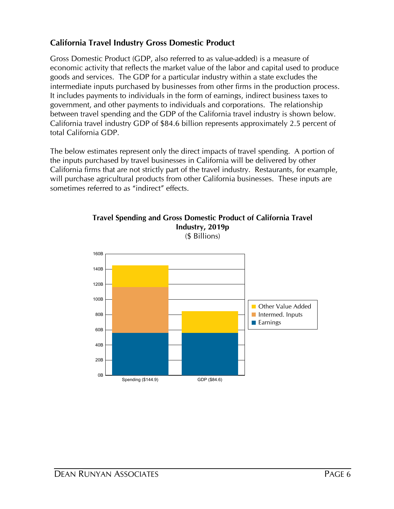## **California Travel Industry Gross Domestic Product**

Gross Domestic Product (GDP, also referred to as value-added) is a measure of economic activity that reflects the market value of the labor and capital used to produce goods and services. The GDP for a particular industry within a state excludes the intermediate inputs purchased by businesses from other firms in the production process. It includes payments to individuals in the form of earnings, indirect business taxes to government, and other payments to individuals and corporations. The relationship between travel spending and the GDP of the California travel industry is shown below. California travel industry GDP of \$84.6 billion represents approximately 2.5 percent of total California GDP.

The below estimates represent only the direct impacts of travel spending. A portion of the inputs purchased by travel businesses in California will be delivered by other California firms that are not strictly part of the travel industry. Restaurants, for example, will purchase agricultural products from other California businesses. These inputs are sometimes referred to as "indirect" effects.



**Travel Spending and Gross Domestic Product of California Travel Industry, 2019p** (\$ Billions)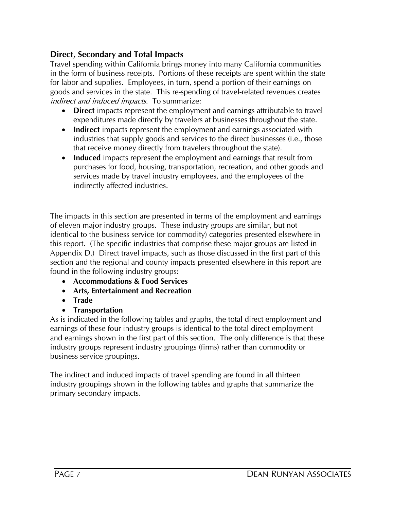## **Direct, Secondary and Total Impacts**

Travel spending within California brings money into many California communities in the form of business receipts. Portions of these receipts are spent within the state for labor and supplies. Employees, in turn, spend a portion of their earnings on goods and services in the state. This re-spending of travel-related revenues creates indirect and induced impacts. To summarize:

- · **Direct** impacts represent the employment and earnings attributable to travel expenditures made directly by travelers at businesses throughout the state.
- · **Indirect** impacts represent the employment and earnings associated with industries that supply goods and services to the direct businesses (i.e., those that receive money directly from travelers throughout the state).
- **Induced** impacts represent the employment and earnings that result from purchases for food, housing, transportation, recreation, and other goods and services made by travel industry employees, and the employees of the indirectly affected industries.

The impacts in this section are presented in terms of the employment and earnings of eleven major industry groups. These industry groups are similar, but not identical to the business service (or commodity) categories presented elsewhere in this report. (The specific industries that comprise these major groups are listed in Appendix D.) Direct travel impacts, such as those discussed in the first part of this section and the regional and county impacts presented elsewhere in this report are found in the following industry groups:

- · **Accommodations & Food Services**
- · **Arts, Entertainment and Recreation**
- · **Trade**
- · **Transportation**

As is indicated in the following tables and graphs, the total direct employment and earnings of these four industry groups is identical to the total direct employment and earnings shown in the first part of this section. The only difference is that these industry groups represent industry groupings (firms) rather than commodity or business service groupings.

The indirect and induced impacts of travel spending are found in all thirteen industry groupings shown in the following tables and graphs that summarize the primary secondary impacts.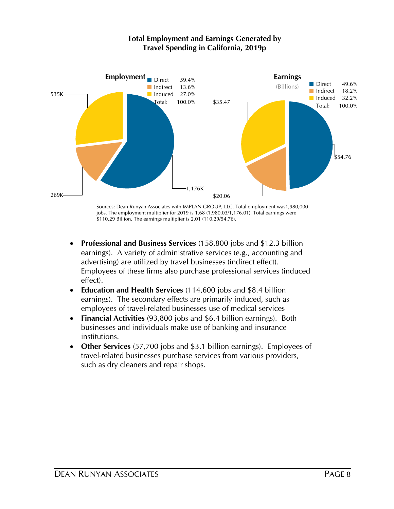

#### **Total Employment and Earnings Generated by Travel Spending in California, 2019p**

- \$110.29 Billion. The earnings multiplier is 2.01 (110.29/54.76).
- effect). Employees of these firms also purchase professional services (induced advertising) are utilized by travel businesses (indirect effect). earnings). A variety of administrative services (e.g., accounting and · **Professional and Business Services** (158,800 jobs and \$12.3 billion
- employees of travel-related businesses use of medical services earnings). The secondary effects are primarily induced, such as · **Education and Health Services** (114,600 jobs and \$8.4 billion
- institutions. businesses and individuals make use of banking and insurance · **Financial Activities** (93,800 jobs and \$6.4 billion earnings). Both
- such as dry cleaners and repair shops. travel-related businesses purchase services from various providers, · **Other Services** (57,700 jobs and \$3.1 billion earnings). Employees of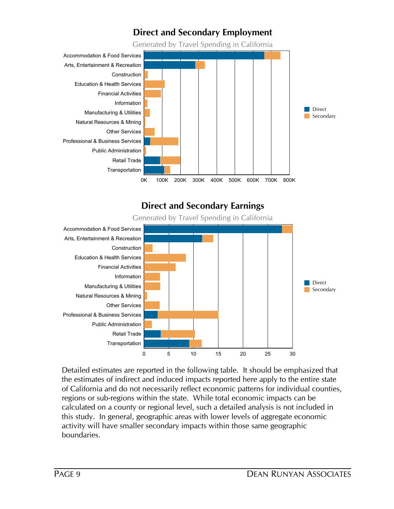## **Direct and Secondary Employment**

Generated by Travel Spending in California



## **Direct and Secondary Earnings**

Generated by Travel Spending in California



Detailed estimates are reported in the following table. It should be emphasized that the estimates of indirect and induced impacts reported here apply to the entire state of California and do not necessarily reflect economic patterns for individual counties, regions or sub-regions within the state. While total economic impacts can be calculated on a county or regional level, such a detailed analysis is not included in this study. In general, geographic areas with lower levels of aggregate economic activity will have smaller secondary impacts within those same geographic boundaries.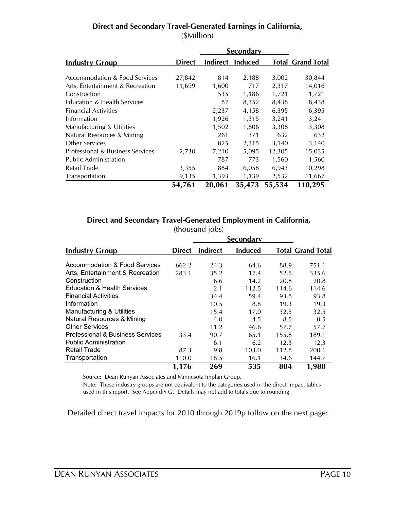|                                          |               |        | Secondary        |        |                          |
|------------------------------------------|---------------|--------|------------------|--------|--------------------------|
| <b>Industry Group</b>                    | <b>Direct</b> |        | Indirect Induced |        | <b>Total Grand Total</b> |
| <b>Accommodation &amp; Food Services</b> | 27,842        | 814    | 2,188            | 3,002  | 30,844                   |
| Arts, Entertainment & Recreation         | 11,699        | 1,600  | 717              | 2,317  | 14,016                   |
| Construction                             |               | 535    | 1,186            | 1,721  | 1,721                    |
| Education & Health Services              |               | 87     | 8,352            | 8,438  | 8,438                    |
| <b>Financial Activities</b>              |               | 2,237  | 4,158            | 6,395  | 6,395                    |
| Information                              |               | 1,926  | 1,315            | 3,241  | 3,241                    |
| Manufacturing & Utilities                |               | 1,502  | 1,806            | 3,308  | 3,308                    |
| Natural Resources & Mining               |               | 261    | 371              | 632    | 632                      |
| Other Services                           |               | 825    | 2,315            | 3,140  | 3,140                    |
| Professional & Business Services         | 2,730         | 7,210  | 5,095            | 12,305 | 15,035                   |
| <b>Public Administration</b>             |               | 787    | 773              | 1,560  | 1,560                    |
| Retail Trade                             | 3,355         | 884    | 6,058            | 6,943  | 10,298                   |
| Transportation                           | 9,135         | 1,393  | 1,139            | 2,532  | 11,667                   |
|                                          | 54,761        | 20,061 | 35,473           | 55,534 | 110,295                  |

#### **Direct and Secondary Travel-Generated Earnings in California,**  (\$Million)

#### **Direct and Secondary Travel-Generated Employment in California,**

|                                        |               | (thousand jobs) |                  |       |                          |
|----------------------------------------|---------------|-----------------|------------------|-------|--------------------------|
|                                        |               |                 | <b>Secondary</b> |       |                          |
| <b>Industry Group</b>                  | <b>Direct</b> | <b>Indirect</b> | <b>Induced</b>   |       | <b>Total Grand Total</b> |
|                                        |               |                 |                  |       |                          |
| Accommodation & Food Services          | 662.2         | 24.3            | 64.6             | 88.9  | 751.1                    |
| Arts, Entertainment & Recreation       | 283.1         | 35.2            | 17.4             | 52.5  | 335.6                    |
| Construction                           |               | 6.6             | 14.2             | 20.8  | 20.8                     |
| <b>Education &amp; Health Services</b> |               | 2.1             | 112.5            | 114.6 | 114.6                    |
| <b>Financial Activities</b>            |               | 34.4            | 59.4             | 93.8  | 93.8                     |
| Information                            |               | 10.5            | 8.8              | 19.3  | 19.3                     |
| Manufacturing & Utilities              |               | 15.4            | 17.0             | 32.5  | 32.5                     |
| <b>Natural Resources &amp; Mining</b>  |               | 4.0             | 4.5              | 8.5   | 8.5                      |
| <b>Other Services</b>                  |               | 11.2            | 46.6             | 57.7  | 57.7                     |
| Professional & Business Services       | 33.4          | 90.7            | 65.1             | 155.8 | 189.1                    |
| <b>Public Administration</b>           |               | 6.1             | 6.2              | 12.3  | 12.3                     |
| <b>Retail Trade</b>                    | 87.3          | 9.8             | 103.0            | 112.8 | 200.1                    |
| Transportation                         | 110.0         | 18.5            | 16.1             | 34.6  | 144.7                    |
|                                        | 1,176         | 269             | 535              | 804   | 1,980                    |

Source: Dean Runyan Associates and Minnesota Implan Group.

Note: These industry groups are not equivalent to the categories used in the direct impact tables used in this report. See Appendix G. Details may not add to totals due to rounding.

Detailed direct travel impacts for 2010 through 2019p follow on the next page: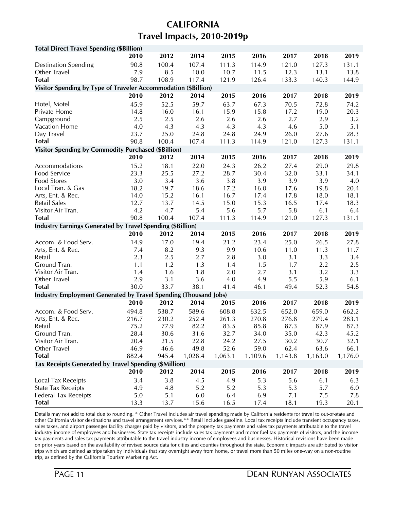## **CALIFORNIA Travel Impacts, 2010-2019p**

| <b>Total Direct Travel Spending (\$Billion)</b>                   |             |             |             |             |             |             |             |             |
|-------------------------------------------------------------------|-------------|-------------|-------------|-------------|-------------|-------------|-------------|-------------|
|                                                                   | 2010        | 2012        | 2014        | 2015        | 2016        | 2017        | 2018        | 2019        |
| <b>Destination Spending</b>                                       | 90.8        | 100.4       | 107.4       | 111.3       | 114.9       | 121.0       | 127.3       | 131.1       |
| Other Travel                                                      | 7.9         | 8.5         | 10.0        | 10.7        | 11.5        | 12.3        | 13.1        | 13.8        |
| <b>Total</b>                                                      | 98.7        | 108.9       | 117.4       | 121.9       | 126.4       | 133.3       | 140.3       | 144.9       |
| Visitor Spending by Type of Traveler Accommodation (\$Billion)    |             |             |             |             |             |             |             |             |
|                                                                   | 2010        | 2012        | 2014        | 2015        | 2016        | 2017        | 2018        | 2019        |
| Hotel, Motel                                                      | 45.9        | 52.5        | 59.7        | 63.7        | 67.3        | 70.5        | 72.8        | 74.2        |
| Private Home                                                      | 14.8        | 16.0        | 16.1        | 15.9        | 15.8        | 17.2        | 19.0        | 20.3        |
| Campground                                                        | 2.5         | 2.5         | 2.6         | 2.6         | 2.6         | 2.7         | 2.9         | 3.2         |
| Vacation Home                                                     | 4.0         | 4.3         | 4.3         | 4.3         | 4.3         | 4.6         | 5.0         | 5.1         |
| Day Travel                                                        | 23.7        | 25.0        | 24.8        | 24.8        | 24.9        | 26.0        | 27.6        | 28.3        |
| <b>Total</b>                                                      | 90.8        | 100.4       | 107.4       | 111.3       | 114.9       | 121.0       | 127.3       | 131.1       |
| <b>Visitor Spending by Commodity Purchased (\$Billion)</b>        |             |             |             |             |             |             |             |             |
|                                                                   | 2010        | 2012        | 2014        | 2015        | 2016        | 2017        | 2018        | 2019        |
| Accommodations                                                    | 15.2        | 18.1        | 22.0        | 24.3        | 26.2        | 27.4        | 29.0        | 29.8        |
| Food Service                                                      | 23.3        | 25.5        | 27.2        | 28.7        | 30.4        | 32.0        | 33.1        | 34.1        |
| <b>Food Stores</b>                                                | 3.0         | 3.4         | 3.6         | 3.8         | 3.9         | 3.9         | 3.9         | 4.0         |
| Local Tran. & Gas                                                 | 18.2        | 19.7        | 18.6        | 17.2        | 16.0        | 17.6        | 19.8        | 20.4        |
| Arts, Ent. & Rec.                                                 | 14.0        | 15.2        | 16.1        | 16.7        | 17.4        | 17.8        | 18.0        | 18.1        |
| <b>Retail Sales</b>                                               | 12.7        | 13.7        | 14.5        | 15.0        | 15.3        | 16.5        | 17.4        | 18.3        |
| Visitor Air Tran.                                                 | 4.2         | 4.7         | 5.4         | 5.6         | 5.7         | 5.8         | 6.1         | 6.4         |
| <b>Total</b>                                                      | 90.8        | 100.4       | 107.4       | 111.3       | 114.9       | 121.0       | 127.3       | 131.1       |
| <b>Industry Earnings Generated by Travel Spending (\$Billion)</b> |             |             |             |             |             |             |             |             |
|                                                                   | 2010        | 2012        | 2014        | 2015        | 2016        | 2017        | 2018        | 2019        |
| Accom. & Food Serv.                                               | 14.9        | 17.0        | 19.4        | 21.2        | 23.4        | 25.0        | 26.5        | 27.8        |
| Arts, Ent. & Rec.                                                 | 7.4         | 8.2         | 9.3         | 9.9         | 10.6        | 11.0        | 11.3        | 11.7        |
| Retail                                                            | 2.3         | 2.5         | 2.7         | 2.8         | 3.0         | 3.1         | 3.3         | 3.4         |
| Ground Tran.                                                      | 1.1         | 1.2         | 1.3         | 1.4         | 1.5         | 1.7         | 2.2         | 2.5         |
| Visitor Air Tran.                                                 | 1.4         | 1.6         | 1.8         | 2.0         | 2.7         | 3.1         | 3.2         | 3.3         |
| Other Travel                                                      | 2.9         | 3.1         | 3.6         | 4.0         | 4.9         | 5.5         | 5.9         | 6.1         |
| <b>Total</b>                                                      | 30.0        | 33.7        | 38.1        | 41.4        | 46.1        | 49.4        | 52.3        | 54.8        |
| Industry Employment Generated by Travel Spending (Thousand Jobs)  |             |             |             |             |             |             |             |             |
|                                                                   | 2010        | 2012        | 2014        | 2015        | 2016        | 2017        | 2018        | 2019        |
| Accom. & Food Serv.                                               | 494.8       | 538.7       | 589.6       | 608.8       | 632.5       | 652.0       | 659.0       | 662.2       |
| Arts, Ent. & Rec.                                                 | 216.7       | 230.2       | 252.4       | 261.3       | 270.8       | 276.8       | 279.4       | 283.1       |
| Retail                                                            | 75.2        | 77.9        | 82.2        | 83.5        | 85.8        | 87.3        | 87.9        | 87.3        |
| Ground Tran.                                                      | 28.4        | 30.6        | 31.6        | 32.7        | 34.0        | 35.0        | 42.3        | 45.2        |
| Visitor Air Tran.                                                 | 20.4        | 21.5        | 22.8        | 24.2        | 27.5        | 30.2        | 30.7        | 32.1        |
| Other Travel                                                      | 46.9        | 46.6        | 49.8        | 52.6        | 59.0        | 62.4        | 63.6        | 66.1        |
| <b>Total</b>                                                      | 882.4       | 945.4       | 1,028.4     | 1,063.1     | 1,109.6     | 1,143.8     | 1,163.0     | 1,176.0     |
| Tax Receipts Generated by Travel Spending (\$Million)             | 2010        |             | 2014        |             |             |             | 2018        |             |
|                                                                   |             | 2012        |             | 2015        | 2016        | 2017        |             | 2019        |
| Local Tax Receipts                                                | 3.4         | 3.8         | 4.5         | 4.9         | 5.3         | 5.6         | 6.1         | 6.3         |
| <b>State Tax Receipts</b>                                         | 4.9         | 4.8         | 5.2         | 5.2         | 5.3         | 5.3         | 5.7         | 6.0         |
| <b>Federal Tax Receipts</b><br><b>Total</b>                       | 5.0<br>13.3 | 5.1<br>13.7 | 6.0<br>15.6 | 6.4<br>16.5 | 6.9<br>17.4 | 7.1<br>18.1 | 7.5<br>19.3 | 7.8<br>20.1 |
|                                                                   |             |             |             |             |             |             |             |             |

Details may not add to total due to rounding. \* Other Travel includes air travel spending made by California residents for travel to out-of-state and other California visitor destinations and travel arrangement services.\*\* Retail includes gasoline. Local tax receipts include transient occupancy taxes, sales taxes, and airport passenger facility charges paid by visitors, and the property tax payments and sales tax payments attributable to the travel industry income of employees and businesses. State tax receipts include sales tax payments and motor fuel tax payments of visitors, and the income tax payments and sales tax payments attributable to the travel industry income of employees and businesses. Historical revisions have been made on prior years based on the availability of revised source data for cities and counties throughout the state. Economic impacts are attributed to visitor trips which are defined as trips taken by individuals that stay overnight away from home, or travel more than 50 miles one-way on a non-routine trip, as defined by the California Tourism Marketing Act.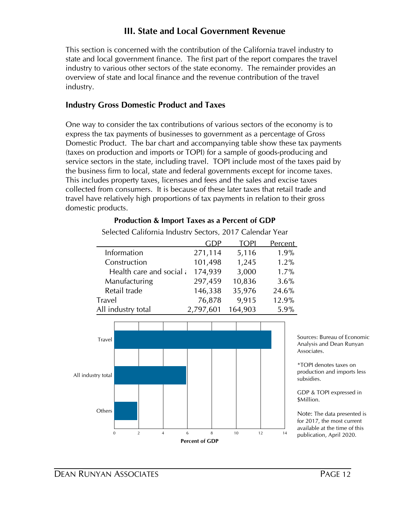## **III. State and Local Government Revenue**

This section is concerned with the contribution of the California travel industry to state and local government finance. The first part of the report compares the travel industry to various other sectors of the state economy. The remainder provides an overview of state and local finance and the revenue contribution of the travel industry.

#### **Industry Gross Domestic Product and Taxes**

One way to consider the tax contributions of various sectors of the economy is to express the tax payments of businesses to government as a percentage of Gross Domestic Product. The bar chart and accompanying table show these tax payments (taxes on production and imports or TOPI) for a sample of goods-producing and service sectors in the state, including travel. TOPI include most of the taxes paid by the business firm to local, state and federal governments except for income taxes. This includes property taxes, licenses and fees and the sales and excise taxes collected from consumers. It is because of these later taxes that retail trade and travel have relatively high proportions of tax payments in relation to their gross domestic products.

|                          | GDP       | <b>TOPI</b> | <b>Percent</b> |
|--------------------------|-----------|-------------|----------------|
| Information              | 271,114   | 5,116       | 1.9%           |
| Construction             | 101,498   | 1,245       | 1.2%           |
| Health care and social a | 174,939   | 3,000       | 1.7%           |
| Manufacturing            | 297,459   | 10,836      | 3.6%           |
| Retail trade             | 146,338   | 35,976      | 24.6%          |
| <b>Travel</b>            | 76,878    | 9,915       | 12.9%          |
| All industry total       | 2,797,601 | 164,903     | 5.9%           |

#### **Production & Import Taxes as a Percent of GDP** Selected California Industry Sectors, 2017 Calendar Year



Sources: Bureau of Economic Analysis and Dean Runyan Associates.

\*TOPI denotes taxes on production and imports less subsidies.

GDP & TOPI expressed in \$Million.

Note: The data presented is for 2017, the most current available at the time of this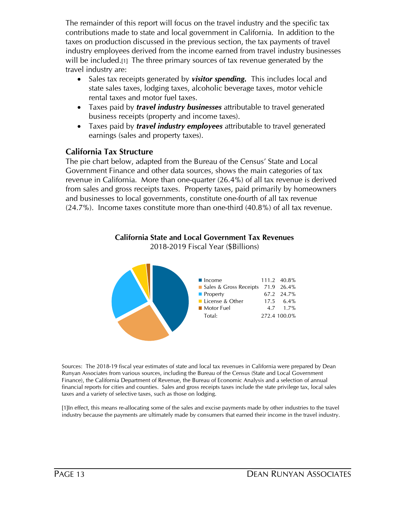The remainder of this report will focus on the travel industry and the specific tax contributions made to state and local government in California. In addition to the taxes on production discussed in the previous section, the tax payments of travel industry employees derived from the income earned from travel industry businesses will be included.[1] The three primary sources of tax revenue generated by the travel industry are:

- · Sales tax receipts generated by *visitor spending.* This includes local and state sales taxes, lodging taxes, alcoholic beverage taxes, motor vehicle rental taxes and motor fuel taxes.
- · Taxes paid by *travel industry businesses* attributable to travel generated business receipts (property and income taxes).
- · Taxes paid by *travel industry employees* attributable to travel generated earnings (sales and property taxes).

## **California Tax Structure**

The pie chart below, adapted from the Bureau of the Census' State and Local Government Finance and other data sources, shows the main categories of tax revenue in California. More than one-quarter (26.4%) of all tax revenue is derived from sales and gross receipts taxes. Property taxes, paid primarily by homeowners and businesses to local governments, constitute one-fourth of all tax revenue (24.7%). Income taxes constitute more than one-third (40.8%) of all tax revenue.







Sources: The 2018-19 fiscal year estimates of state and local tax revenues in California were prepared by Dean Runyan Associates from various sources, including the Bureau of the Census (State and Local Government Finance), the California Department of Revenue, the Bureau of Economic Analysis and a selection of annual financial reports for cities and counties. Sales and gross receipts taxes include the state privilege tax, local sales taxes and a variety of selective taxes, such as those on lodging.

[1]In effect, this means re-allocating some of the sales and excise payments made by other industries to the travel industry because the payments are ultimately made by consumers that earned their income in the travel industry.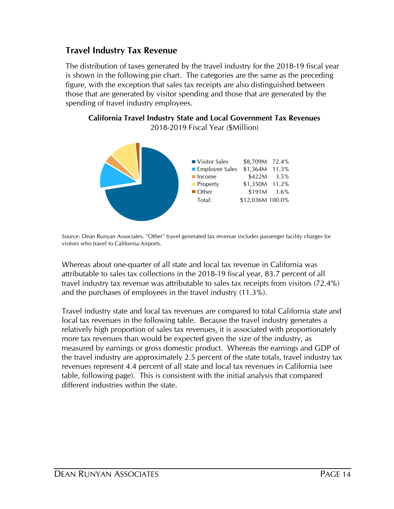## **Travel Industry Tax Revenue**

The distribution of taxes generated by the travel industry for the 2018-19 fiscal year is shown in the following pie chart. The categories are the same as the preceding figure, with the exception that sales tax receipts are also distinguished between those that are generated by visitor spending and those that are generated by the spending of travel industry employees.

**California Travel Industry State and Local Government Tax Revenues** 2018-2019 Fiscal Year (\$Million)



Source: Dean Runyan Associates. "Other" travel generated tax revenue includes passenger facility charges for visitors who travel to California Airports.

Whereas about one-quarter of all state and local tax revenue in California was attributable to sales tax collections in the 2018-19 fiscal year, 83.7 percent of all travel industry tax revenue was attributable to sales tax receipts from visitors (72.4%) and the purchases of employees in the travel industry (11.3%).

Travel industry state and local tax revenues are compared to total California state and local tax revenues in the following table. Because the travel industry generates a relatively high proportion of sales tax revenues, it is associated with proportionately more tax revenues than would be expected given the size of the industry, as measured by earnings or gross domestic product. Whereas the earnings and GDP of the travel industry are approximately 2.5 percent of the state totals, travel industry tax revenues represent 4.4 percent of all state and local tax revenues in California (see table, following page). This is consistent with the initial analysis that compared different industries within the state.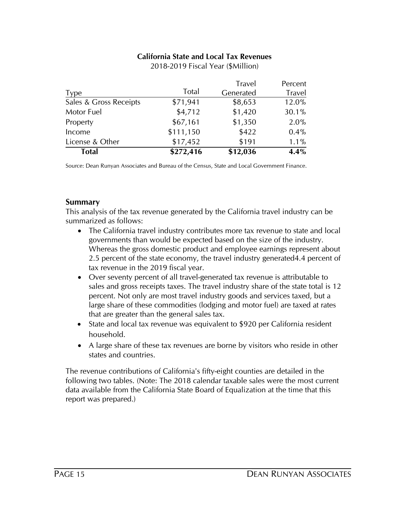#### **California State and Local Tax Revenues**

| Total                  | \$272,416 | \$12,036      | 4.4%          |
|------------------------|-----------|---------------|---------------|
| License & Other        | \$17,452  | \$191         | $1.1\%$       |
| Income                 | \$111,150 | \$422         | 0.4%          |
| Property               | \$67,161  | \$1,350       | 2.0%          |
| Motor Fuel             | \$4,712   | \$1,420       | 30.1%         |
| Sales & Gross Receipts | \$71,941  | \$8,653       | 12.0%         |
| <b>Type</b>            | Total     | Generated     | <b>Travel</b> |
|                        |           | <b>Travel</b> | Percent       |

2018-2019 Fiscal Year (\$Million)

Source: Dean Runyan Associates and Bureau of the Census, State and Local Government Finance.

#### **Summary**

This analysis of the tax revenue generated by the California travel industry can be summarized as follows:

- · The California travel industry contributes more tax revenue to state and local governments than would be expected based on the size of the industry. Whereas the gross domestic product and employee earnings represent about 2.5 percent of the state economy, the travel industry generated4.4 percent of tax revenue in the 2019 fiscal year.
- · Over seventy percent of all travel-generated tax revenue is attributable to sales and gross receipts taxes. The travel industry share of the state total is 12 percent. Not only are most travel industry goods and services taxed, but a large share of these commodities (lodging and motor fuel) are taxed at rates that are greater than the general sales tax.
- State and local tax revenue was equivalent to \$920 per California resident household.
- A large share of these tax revenues are borne by visitors who reside in other states and countries.

The revenue contributions of California's fifty-eight counties are detailed in the following two tables. (Note: The 2018 calendar taxable sales were the most current data available from the California State Board of Equalization at the time that this report was prepared.)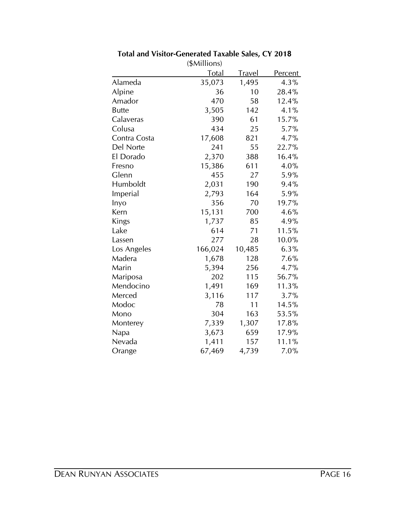|              | (\$Millions) |               |                |
|--------------|--------------|---------------|----------------|
|              | <b>Total</b> | <u>Travel</u> | <b>Percent</b> |
| Alameda      | 35,073       | 1,495         | 4.3%           |
| Alpine       | 36           | 10            | 28.4%          |
| Amador       | 470          | 58            | 12.4%          |
| <b>Butte</b> | 3,505        | 142           | 4.1%           |
| Calaveras    | 390          | 61            | 15.7%          |
| Colusa       | 434          | 25            | 5.7%           |
| Contra Costa | 17,608       | 821           | 4.7%           |
| Del Norte    | 241          | 55            | 22.7%          |
| El Dorado    | 2,370        | 388           | 16.4%          |
| Fresno       | 15,386       | 611           | 4.0%           |
| Glenn        | 455          | 27            | 5.9%           |
| Humboldt     | 2,031        | 190           | 9.4%           |
| Imperial     | 2,793        | 164           | 5.9%           |
| Inyo         | 356          | 70            | 19.7%          |
| Kern         | 15,131       | 700           | 4.6%           |
| Kings        | 1,737        | 85            | 4.9%           |
| Lake         | 614          | 71            | 11.5%          |
| Lassen       | 277          | 28            | 10.0%          |
| Los Angeles  | 166,024      | 10,485        | 6.3%           |
| Madera       | 1,678        | 128           | 7.6%           |
| Marin        | 5,394        | 256           | 4.7%           |
| Mariposa     | 202          | 115           | 56.7%          |
| Mendocino    | 1,491        | 169           | 11.3%          |
| Merced       | 3,116        | 117           | 3.7%           |
| Modoc        | 78           | 11            | 14.5%          |
| Mono         | 304          | 163           | 53.5%          |
| Monterey     | 7,339        | 1,307         | 17.8%          |
| Napa         | 3,673        | 659           | 17.9%          |
| Nevada       | 1,411        | 157           | 11.1%          |
| Orange       | 67,469       | 4,739         | 7.0%           |

**Total and Visitor-Generated Taxable Sales, CY 2018**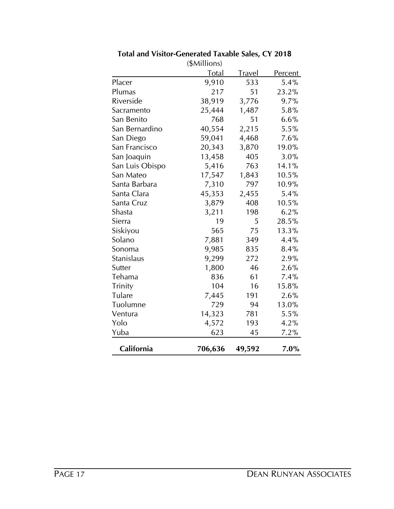|                 | (\$Millions) |               |                |
|-----------------|--------------|---------------|----------------|
|                 | <b>Total</b> | <u>Travel</u> | <u>Percent</u> |
| Placer          | 9,910        | 533           | 5.4%           |
| Plumas          | 217          | 51            | 23.2%          |
| Riverside       | 38,919       | 3,776         | 9.7%           |
| Sacramento      | 25,444       | 1,487         | 5.8%           |
| San Benito      | 768          | 51            | 6.6%           |
| San Bernardino  | 40,554       | 2,215         | 5.5%           |
| San Diego       | 59,041       | 4,468         | 7.6%           |
| San Francisco   | 20,343       | 3,870         | 19.0%          |
| San Joaquin     | 13,458       | 405           | 3.0%           |
| San Luis Obispo | 5,416        | 763           | 14.1%          |
| San Mateo       | 17,547       | 1,843         | 10.5%          |
| Santa Barbara   | 7,310        | 797           | 10.9%          |
| Santa Clara     | 45,353       | 2,455         | 5.4%           |
| Santa Cruz      | 3,879        | 408           | 10.5%          |
| Shasta          | 3,211        | 198           | 6.2%           |
| Sierra          | 19           | 5             | 28.5%          |
| Siskiyou        | 565          | 75            | 13.3%          |
| Solano          | 7,881        | 349           | 4.4%           |
| Sonoma          | 9,985        | 835           | 8.4%           |
| Stanislaus      | 9,299        | 272           | 2.9%           |
| Sutter          | 1,800        | 46            | 2.6%           |
| Tehama          | 836          | 61            | 7.4%           |
| Trinity         | 104          | 16            | 15.8%          |
| Tulare          | 7,445        | 191           | 2.6%           |
| Tuolumne        | 729          | 94            | 13.0%          |
| Ventura         | 14,323       | 781           | 5.5%           |
| Yolo            | 4,572        | 193           | 4.2%           |
| Yuba            | 623          | 45            | 7.2%           |
| California      | 706,636      | 49,592        | 7.0%           |

## **Total and Visitor-Generated Taxable Sales, CY 2018**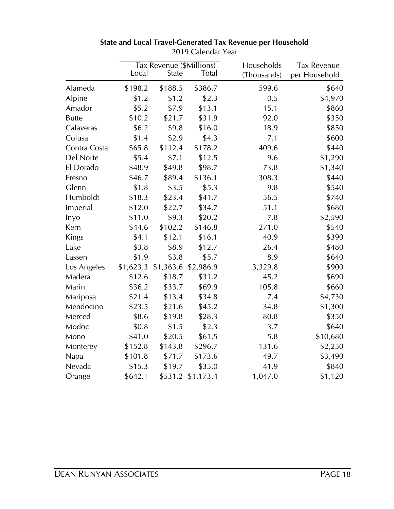|              |           | Tax Revenue (\$Millions) |              | Households  | <b>Tax Revenue</b> |
|--------------|-----------|--------------------------|--------------|-------------|--------------------|
|              | Local     | <b>State</b>             | <b>Total</b> | (Thousands) | per Household      |
| Alameda      | \$198.2   | \$188.5                  | \$386.7      | 599.6       | \$640              |
| Alpine       | \$1.2     | \$1.2                    | \$2.3        | 0.5         | \$4,970            |
| Amador       | \$5.2     | \$7.9                    | \$13.1       | 15.1        | \$860              |
| <b>Butte</b> | \$10.2    | \$21.7                   | \$31.9       | 92.0        | \$350              |
| Calaveras    | \$6.2     | \$9.8                    | \$16.0       | 18.9        | \$850              |
| Colusa       | \$1.4     | \$2.9                    | \$4.3        | 7.1         | \$600              |
| Contra Costa | \$65.8    | \$112.4                  | \$178.2      | 409.6       | \$440              |
| Del Norte    | \$5.4     | \$7.1                    | \$12.5       | 9.6         | \$1,290            |
| El Dorado    | \$48.9    | \$49.8                   | \$98.7       | 73.8        | \$1,340            |
| Fresno       | \$46.7    | \$89.4                   | \$136.1      | 308.3       | \$440              |
| Glenn        | \$1.8     | \$3.5                    | \$5.3        | 9.8         | \$540              |
| Humboldt     | \$18.3    | \$23.4                   | \$41.7       | 56.5        | \$740              |
| Imperial     | \$12.0    | \$22.7                   | \$34.7       | 51.1        | \$680              |
| Inyo         | \$11.0    | \$9.3                    | \$20.2       | 7.8         | \$2,590            |
| Kern         | \$44.6    | \$102.2                  | \$146.8      | 271.0       | \$540              |
| Kings        | \$4.1     | \$12.1                   | \$16.1       | 40.9        | \$390              |
| Lake         | \$3.8     | \$8.9                    | \$12.7       | 26.4        | \$480              |
| Lassen       | \$1.9     | \$3.8                    | \$5.7        | 8.9         | \$640              |
| Los Angeles  | \$1,623.3 | \$1,363.6                | \$2,986.9    | 3,329.8     | \$900              |
| Madera       | \$12.6    | \$18.7                   | \$31.2       | 45.2        | \$690              |
| Marin        | \$36.2    | \$33.7                   | \$69.9       | 105.8       | \$660              |
| Mariposa     | \$21.4    | \$13.4                   | \$34.8       | 7.4         | \$4,730            |
| Mendocino    | \$23.5    | \$21.6                   | \$45.2       | 34.8        | \$1,300            |
| Merced       | \$8.6     | \$19.8                   | \$28.3       | 80.8        | \$350              |
| Modoc        | \$0.8     | \$1.5                    | \$2.3        | 3.7         | \$640              |
| Mono         | \$41.0    | \$20.5                   | \$61.5       | 5.8         | \$10,680           |
| Monterey     | \$152.8   | \$143.8                  | \$296.7      | 131.6       | \$2,250            |
| <b>Napa</b>  | \$101.8   | \$71.7                   | \$173.6      | 49.7        | \$3,490            |
| Nevada       | \$15.3    | \$19.7                   | \$35.0       | 41.9        | \$840              |
| Orange       | \$642.1   | \$531.2                  | \$1,173.4    | 1,047.0     | \$1,120            |

#### **State and Local Travel-Generated Tax Revenue per Household** 2019 Calendar Year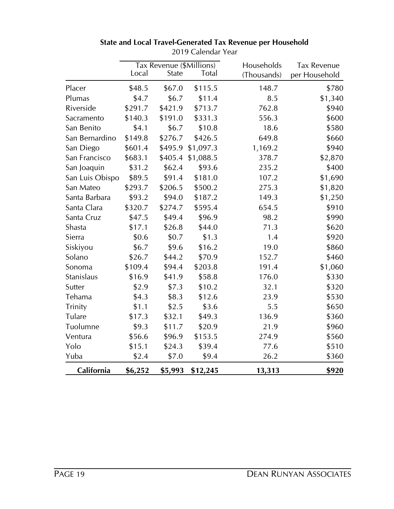|                 | Tax Revenue (\$Millions) |              | Households   | <b>Tax Revenue</b> |               |
|-----------------|--------------------------|--------------|--------------|--------------------|---------------|
|                 | Local                    | <b>State</b> | <b>Total</b> | (Thousands)        | per Household |
| Placer          | \$48.5                   | \$67.0       | \$115.5      | 148.7              | \$780         |
| Plumas          | \$4.7                    | \$6.7        | \$11.4       | 8.5                | \$1,340       |
| Riverside       | \$291.7                  | \$421.9      | \$713.7      | 762.8              | \$940         |
| Sacramento      | \$140.3                  | \$191.0      | \$331.3      | 556.3              | \$600         |
| San Benito      | \$4.1                    | \$6.7        | \$10.8       | 18.6               | \$580         |
| San Bernardino  | \$149.8                  | \$276.7      | \$426.5      | 649.8              | \$660         |
| San Diego       | \$601.4                  | \$495.9      | \$1,097.3    | 1,169.2            | \$940         |
| San Francisco   | \$683.1                  | \$405.4      | \$1,088.5    | 378.7              | \$2,870       |
| San Joaquin     | \$31.2                   | \$62.4       | \$93.6       | 235.2              | \$400         |
| San Luis Obispo | \$89.5                   | \$91.4       | \$181.0      | 107.2              | \$1,690       |
| San Mateo       | \$293.7                  | \$206.5      | \$500.2      | 275.3              | \$1,820       |
| Santa Barbara   | \$93.2                   | \$94.0       | \$187.2      | 149.3              | \$1,250       |
| Santa Clara     | \$320.7                  | \$274.7      | \$595.4      | 654.5              | \$910         |
| Santa Cruz      | \$47.5                   | \$49.4       | \$96.9       | 98.2               | \$990         |
| Shasta          | \$17.1                   | \$26.8       | \$44.0       | 71.3               | \$620         |
| Sierra          | \$0.6                    | \$0.7        | \$1.3        | 1.4                | \$920         |
| Siskiyou        | \$6.7                    | \$9.6        | \$16.2       | 19.0               | \$860         |
| Solano          | \$26.7                   | \$44.2       | \$70.9       | 152.7              | \$460         |
| Sonoma          | \$109.4                  | \$94.4       | \$203.8      | 191.4              | \$1,060       |
| Stanislaus      | \$16.9                   | \$41.9       | \$58.8       | 176.0              | \$330         |
| Sutter          | \$2.9                    | \$7.3        | \$10.2       | 32.1               | \$320         |
| Tehama          | \$4.3                    | \$8.3        | \$12.6       | 23.9               | \$530         |
| Trinity         | \$1.1                    | \$2.5        | \$3.6        | 5.5                | \$650         |
| Tulare          | \$17.3                   | \$32.1       | \$49.3       | 136.9              | \$360         |
| Tuolumne        | \$9.3                    | \$11.7       | \$20.9       | 21.9               | \$960         |
| Ventura         | \$56.6                   | \$96.9       | \$153.5      | 274.9              | \$560         |
| Yolo            | \$15.1                   | \$24.3       | \$39.4       | 77.6               | \$510         |
| Yuba            | \$2.4                    | \$7.0        | \$9.4        | 26.2               | \$360         |
| California      | \$6,252                  | \$5,993      | \$12,245     | 13,313             | \$920         |

#### **State and Local Travel-Generated Tax Revenue per Household** 2019 Calendar Year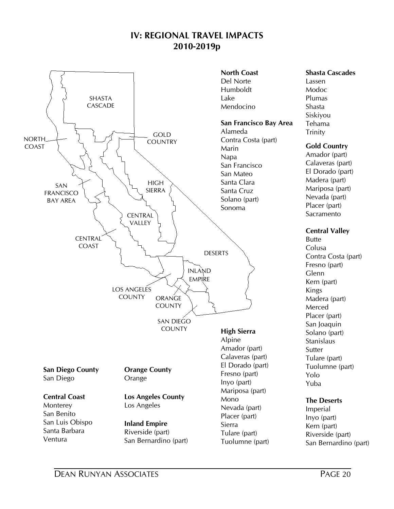## **IV: REGIONAL TRAVEL IMPACTS 2010-2019p**

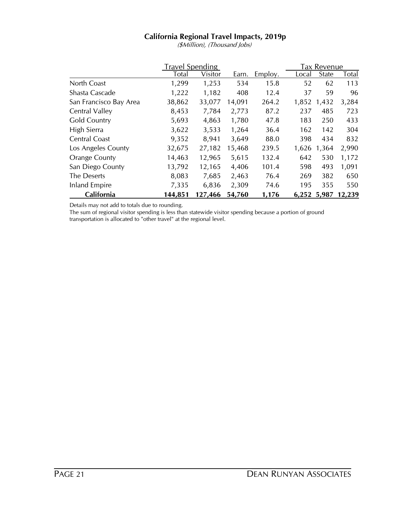## **California Regional Travel Impacts, 2019p**

(\$Million), (Thousand Jobs)

|                        | <b>Travel Spending</b> |         |        |         |       | Tax Revenue  |        |
|------------------------|------------------------|---------|--------|---------|-------|--------------|--------|
|                        | <b>Total</b>           | Visitor | Earn.  | Employ. | Local | <b>State</b> | Total  |
| North Coast            | 1,299                  | 1,253   | 534    | 15.8    | 52    | 62           | 113    |
| Shasta Cascade         | 1,222                  | 1,182   | 408    | 12.4    | 37    | 59           | 96     |
| San Francisco Bay Area | 38,862                 | 33,077  | 14,091 | 264.2   | 1,852 | 1,432        | 3,284  |
| Central Valley         | 8,453                  | 7,784   | 2,773  | 87.2    | 237   | 485          | 723    |
| <b>Gold Country</b>    | 5,693                  | 4,863   | 1,780  | 47.8    | 183   | 250          | 433    |
| High Sierra            | 3,622                  | 3,533   | 1,264  | 36.4    | 162   | 142          | 304    |
| Central Coast          | 9,352                  | 8,941   | 3,649  | 88.0    | 398   | 434          | 832    |
| Los Angeles County     | 32,675                 | 27,182  | 15,468 | 239.5   | 1,626 | 1,364        | 2,990  |
| <b>Orange County</b>   | 14,463                 | 12,965  | 5,615  | 132.4   | 642   | 530          | 1,172  |
| San Diego County       | 13,792                 | 12,165  | 4,406  | 101.4   | 598   | 493          | 1,091  |
| The Deserts            | 8,083                  | 7,685   | 2,463  | 76.4    | 269   | 382          | 650    |
| Inland Empire          | 7,335                  | 6,836   | 2,309  | 74.6    | 195   | 355          | 550    |
| California             | 144,851                | 127,466 | 54,760 | 1,176   |       | 6,252 5,987  | 12,239 |

Details may not add to totals due to rounding.

The sum of regional visitor spending is less than statewide visitor spending because a portion of ground transportation is allocated to "other travel" at the regional level.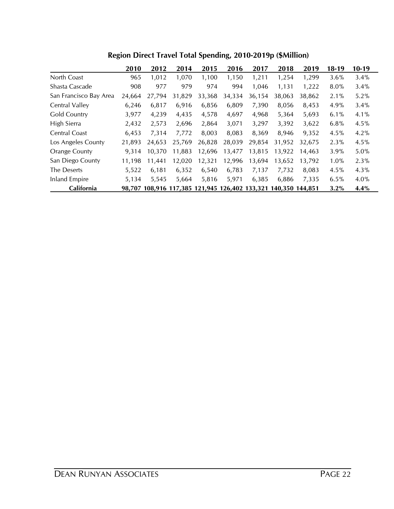|                        | 2010   | 2012                                           | 2014   | 2015   | 2016   | 2017   | 2018            | 2019   | 18-19   | $10-19$ |
|------------------------|--------|------------------------------------------------|--------|--------|--------|--------|-----------------|--------|---------|---------|
| North Coast            | 965    | 1,012                                          | 1,070  | 1,100  | 1,150  | 1,211  | 1,254           | 1,299  | 3.6%    | 3.4%    |
| Shasta Cascade         | 908    | 977                                            | 979    | 974    | 994    | 1,046  | 1,131           | 1,222  | $8.0\%$ | 3.4%    |
| San Francisco Bay Area | 24,664 | 27,794                                         | 31,829 | 33,368 | 34,334 | 36,154 | 38,063          | 38,862 | 2.1%    | 5.2%    |
| Central Valley         | 6,246  | 6,817                                          | 6,916  | 6,856  | 6,809  | 7,390  | 8,056           | 8,453  | 4.9%    | 3.4%    |
| Gold Country           | 3,977  | 4,239                                          | 4,435  | 4,578  | 4,697  | 4,968  | 5,364           | 5,693  | 6.1%    | 4.1%    |
| High Sierra            | 2,432  | 2,573                                          | 2,696  | 2,864  | 3,071  | 3,297  | 3,392           | 3,622  | 6.8%    | 4.5%    |
| Central Coast          | 6,453  | 7.314                                          | 7,772  | 8.003  | 8,083  | 8.369  | 8.946           | 9.352  | 4.5%    | 4.2%    |
| Los Angeles County     | 21,893 | 24,653                                         | 25,769 | 26,828 | 28,039 | 29,854 | 31,952          | 32.675 | 2.3%    | 4.5%    |
| Orange County          | 9.314  | 10.370                                         | 11,883 | 12,696 | 13,477 | 13,815 | 13,922          | 14,463 | 3.9%    | 5.0%    |
| San Diego County       | 11.198 | 11.441                                         | 12,020 | 12,321 | 12.996 | 13.694 | 13.652          | 13.792 | 1.0%    | 2.3%    |
| The Deserts            | 5,522  | 6,181                                          | 6,352  | 6,540  | 6,783  | 7,137  | 7,732           | 8,083  | 4.5%    | 4.3%    |
| <b>Inland Empire</b>   | 5.134  | 5.545                                          | 5,664  | 5,816  | 5,971  | 6.385  | 6.886           | 7.335  | 6.5%    | 4.0%    |
| California             |        | 98,707 108,916 117,385 121,945 126,402 133,321 |        |        |        |        | 140.350 144.851 |        | 3.2%    | 4.4%    |

**Region Direct Travel Total Spending, 2010-2019p (\$Million)**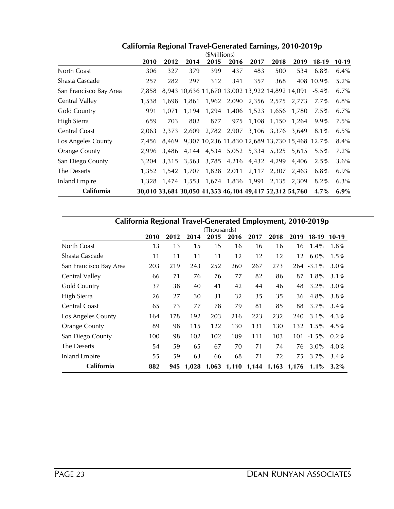| <b>California Regional Travel-Generated Earnings, 2010-2019p</b> |                |  |
|------------------------------------------------------------------|----------------|--|
|                                                                  | $(4$ Millione) |  |

|                        |       |       |       | (SMIIIIONS) |       |                   |                                     |                                                         |           |         |
|------------------------|-------|-------|-------|-------------|-------|-------------------|-------------------------------------|---------------------------------------------------------|-----------|---------|
|                        | 2010  | 2012  | 2014  | 2015        | 2016  | 2017              | 2018                                | 2019                                                    | $18-19$   | $10-19$ |
| North Coast            | 306   | 327   | 379   | 399         | 437   | 483               | 500                                 | 534                                                     | 6.8%      | $6.4\%$ |
| Shasta Cascade         | 257   | 282   | 297   | 312         | 341   | 357               | 368                                 |                                                         | 408 10.9% | 5.2%    |
| San Francisco Bay Area | 7,858 |       |       |             |       |                   |                                     | 8,943 10,636 11,670 13,002 13,922 14,892 14,091         | $-5.4\%$  | $6.7\%$ |
| Central Valley         | 1.538 | 1,698 | 1,861 |             |       |                   | 1,962 2,090 2,356 2,575             | 2,773                                                   | $7.7\%$   | 6.8%    |
| Gold Country           | 991   | 1,071 | 1,194 | 1,294       |       | 1,406 1,523       | 1,656                               | 1,780                                                   | $7.5\%$   | $6.7\%$ |
| High Sierra            | 659   | 703   | 802   | 877         | 975   | 1,108             | 1,150                               | 1,264                                                   | $9.9\%$   | 7.5%    |
| Central Coast          | 2.063 | 2,373 |       |             |       |                   | 2,609 2,782 2,907 3,106 3,376       | 3,649                                                   | $8.1\%$   | 6.5%    |
| Los Angeles County     | 7.456 |       |       |             |       |                   |                                     | 8,469 9,307 10,236 11,830 12,689 13,730 15,468 12.7%    |           | 8.4%    |
| <b>Orange County</b>   | 2,996 |       |       |             |       |                   | 3,486 4,144 4,534 5,052 5,334 5,325 | 5,615                                                   | $5.5\%$   | 7.2%    |
| San Diego County       | 3.204 | 3,315 | 3,563 |             |       |                   | 3,785 4,216 4,432 4,299             | 4,406                                                   | 2.5%      | 3.6%    |
| The Deserts            | 1,352 | 1,542 | 1,707 | 1,828       | 2,011 |                   | 2,117 2,307                         | 2,463                                                   | 6.8%      | 6.9%    |
| <b>Inland Empire</b>   | 1.328 | 1,474 | 1,553 |             |       | 1,674 1,836 1,991 | 2,135                               | 2.309                                                   | 8.2%      | $6.3\%$ |
| California             |       |       |       |             |       |                   |                                     | 30,010 33,684 38,050 41,353 46,104 49,417 52,312 54,760 | $4.7\%$   | 6.9%    |

| California Regional Travel-Generated Employment, 2010-2019p |      |      |       |             |      |             |       |       |               |         |  |
|-------------------------------------------------------------|------|------|-------|-------------|------|-------------|-------|-------|---------------|---------|--|
|                                                             |      |      |       | (Thousands) |      |             |       |       |               |         |  |
|                                                             | 2010 | 2012 | 2014  | 2015        | 2016 | 2017        | 2018  | 2019  | $18-19$       | $10-19$ |  |
| North Coast                                                 | 13   | 13   | 15    | 15          | 16   | 16          | 16    | 16    | $1.4\%$       | 1.8%    |  |
| Shasta Cascade                                              | 11   | 11   | 11    | 11          | 12   | 12          | 12    | 12    | $6.0\%$       | 1.5%    |  |
| San Francisco Bay Area                                      | 203  | 219  | 243   | 252         | 260  | 267         | 273   |       | $264 - 3.1\%$ | 3.0%    |  |
| Central Valley                                              | 66   | 71   | 76    | 76          | 77   | 82          | 86    | 87    | 1.8%          | 3.1%    |  |
| <b>Gold Country</b>                                         | 37   | 38   | 40    | 41          | 42   | 44          | 46    | 48    | 3.2%          | 3.0%    |  |
| High Sierra                                                 | 26   | 27   | 30    | 31          | 32   | 35          | 35    | 36    | 4.8%          | 3.8%    |  |
| Central Coast                                               | 65   | 73   | 77    | 78          | 79   | 81          | 85    | 88    | 3.7%          | 3.4%    |  |
| Los Angeles County                                          | 164  | 178  | 192   | 203         | 216  | 223         | 232   | 240   | 3.1%          | 4.3%    |  |
| Orange County                                               | 89   | 98   | 115   | 122         | 130  | 131         | 130   | 132   | 1.5%          | 4.5%    |  |
| San Diego County                                            | 100  | 98   | 102   | 102         | 109  | 111         | 103   | 101   | $-1.5\%$      | $0.2\%$ |  |
| The Deserts                                                 | 54   | 59   | 65    | 67          | 70   | 71          | 74    | 76    | 3.0%          | $4.0\%$ |  |
| Inland Empire                                               | 55   | 59   | 63    | 66          | 68   | 71          | 72    | 75    | 3.7%          | $3.4\%$ |  |
| California                                                  | 882  | 945  | 1.028 | 1,063       |      | 1,110 1,144 | 1,163 | 1,176 | 1.1%          | $3.2\%$ |  |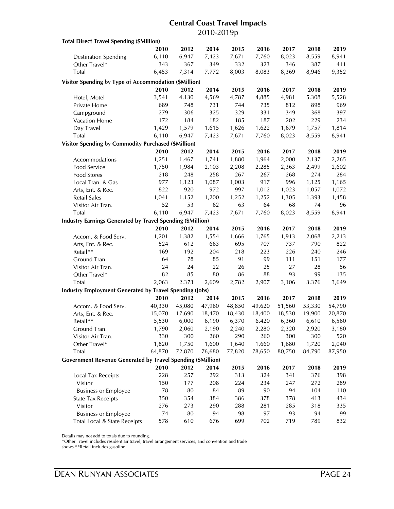## **Central Coast Travel Impacts** 2010-2019p

| <b>Total Direct Travel Spending (\$Million)</b>                    |        |            |        |        |            |        |            |        |
|--------------------------------------------------------------------|--------|------------|--------|--------|------------|--------|------------|--------|
|                                                                    | 2010   | 2012       | 2014   | 2015   | 2016       | 2017   | 2018       | 2019   |
| <b>Destination Spending</b>                                        | 6,110  | 6,947      | 7,423  | 7,671  | 7,760      | 8,023  | 8,559      | 8,941  |
| Other Travel*                                                      | 343    | 367        | 349    | 332    | 323        | 346    | 387        | 411    |
| Total                                                              | 6,453  | 7,314      | 7,772  | 8,003  | 8,083      | 8,369  | 8,946      | 9,352  |
| Visitor Spending by Type of Accommodation (\$Million)              |        |            |        |        |            |        |            |        |
|                                                                    | 2010   | 2012       | 2014   | 2015   | 2016       | 2017   | 2018       | 2019   |
|                                                                    | 3,541  | 4,130      | 4,569  | 4,787  | 4,885      | 4,981  | 5,308      | 5,528  |
| Hotel, Motel<br>Private Home                                       | 689    | 748        | 731    | 744    | 735        | 812    | 898        | 969    |
|                                                                    | 279    |            |        | 329    |            |        |            | 397    |
| Campground                                                         |        | 306<br>184 | 325    |        | 331<br>187 | 349    | 368<br>229 | 234    |
| Vacation Home                                                      | 172    |            | 182    | 185    |            | 202    |            |        |
| Day Travel                                                         | 1,429  | 1,579      | 1,615  | 1,626  | 1,622      | 1,679  | 1,757      | 1,814  |
| <b>Total</b>                                                       | 6,110  | 6,947      | 7,423  | 7,671  | 7,760      | 8,023  | 8,559      | 8,941  |
| <b>Visitor Spending by Commodity Purchased (\$Million)</b>         |        |            |        |        |            |        |            |        |
|                                                                    | 2010   | 2012       | 2014   | 2015   | 2016       | 2017   | 2018       | 2019   |
| Accommodations                                                     | 1,251  | 1,467      | 1,741  | 1,880  | 1,964      | 2,000  | 2,137      | 2,265  |
| <b>Food Service</b>                                                | 1,750  | 1,984      | 2,103  | 2,208  | 2,285      | 2,363  | 2,499      | 2,602  |
| Food Stores                                                        | 218    | 248        | 258    | 267    | 267        | 268    | 274        | 284    |
| Local Tran. & Gas                                                  | 977    | 1,123      | 1,087  | 1,003  | 917        | 996    | 1,125      | 1,165  |
| Arts, Ent. & Rec.                                                  | 822    | 920        | 972    | 997    | 1,012      | 1,023  | 1,057      | 1,072  |
| <b>Retail Sales</b>                                                | 1,041  | 1,152      | 1,200  | 1,252  | 1,252      | 1,305  | 1,393      | 1,458  |
| Visitor Air Tran.                                                  | 52     | 53         | 62     | 63     | 64         | 68     | 74         | 96     |
| Total                                                              | 6,110  | 6,947      | 7,423  | 7,671  | 7,760      | 8,023  | 8,559      | 8,941  |
| <b>Industry Earnings Generated by Travel Spending (\$Million)</b>  |        |            |        |        |            |        |            |        |
|                                                                    | 2010   | 2012       | 2014   | 2015   | 2016       | 2017   | 2018       | 2019   |
| Accom. & Food Serv.                                                | 1,201  | 1,382      | 1,554  | 1,666  | 1,765      | 1,913  | 2,068      | 2,213  |
| Arts, Ent. & Rec.                                                  | 524    | 612        | 663    | 695    | 707        | 737    | 790        | 822    |
| Retail**                                                           | 169    | 192        | 204    | 218    | 223        | 226    | 240        | 246    |
| Ground Tran.                                                       | 64     | 78         | 85     | 91     | 99         | 111    | 151        | 177    |
| Visitor Air Tran.                                                  | 24     | 24         | 22     | 26     | 25         | 27     | 28         | 56     |
| Other Travel*                                                      | 82     | 85         | 80     | 86     | 88         | 93     | 99         | 135    |
| Total                                                              | 2,063  | 2,373      | 2,609  | 2,782  | 2,907      | 3,106  | 3,376      | 3,649  |
| <b>Industry Employment Generated by Travel Spending (Jobs)</b>     |        |            |        |        |            |        |            |        |
|                                                                    | 2010   | 2012       | 2014   | 2015   | 2016       | 2017   | 2018       | 2019   |
| Accom. & Food Serv.                                                | 40,330 | 45,080     | 47,960 | 48,850 | 49,620     | 51,560 | 53,330     | 54,790 |
| Arts, Ent. & Rec.                                                  | 15,070 | 17,690     | 18,470 | 18,430 | 18,400     | 18,530 | 19,900     | 20,870 |
| Retail**                                                           | 5,530  | 6,000      | 6,190  | 6,370  | 6,420      | 6,360  | 6,610      | 6,560  |
| Ground Tran.                                                       | 1,790  | 2,060      | 2,190  | 2,240  | 2,280      | 2,320  | 2,920      | 3,180  |
| Visitor Air Tran.                                                  | 330    | 300        | 260    | 290    | 260        | 300    | 300        | 520    |
| Other Travel*                                                      | 1,820  | 1,750      | 1,600  | 1,640  | 1,660      | 1,680  | 1,720      | 2,040  |
| Total                                                              | 64,870 | 72,870     | 76,680 | 77,820 | 78,650     | 80,750 | 84,790     | 87,950 |
|                                                                    |        |            |        |        |            |        |            |        |
| <b>Government Revenue Generated by Travel Spending (\$Million)</b> |        |            |        |        |            |        |            |        |
|                                                                    | 2010   | 2012       | 2014   | 2015   | 2016       | 2017   | 2018       | 2019   |
| Local Tax Receipts                                                 | 228    | 257        | 292    | 313    | 324        | 341    | 376        | 398    |
| Visitor                                                            | 150    | 177        | 208    | 224    | 234        | 247    | 272        | 289    |
| <b>Business or Employee</b>                                        | 78     | 80         | 84     | 89     | 90         | 94     | 104        | 110    |
| <b>State Tax Receipts</b>                                          | 350    | 354        | 384    | 386    | 378        | 378    | 413        | 434    |
| Visitor                                                            | 276    | 273        | 290    | 288    | 281        | 285    | 318        | 335    |
| <b>Business or Employee</b>                                        | 74     | 80         | 94     | 98     | 97         | 93     | 94         | 99     |
| Total Local & State Receipts                                       | 578    | 610        | 676    | 699    | 702        | 719    | 789        | 832    |

Details may not add to totals due to rounding.

\*Other Travel includes resident air travel, travel arrangement services, and convention and trade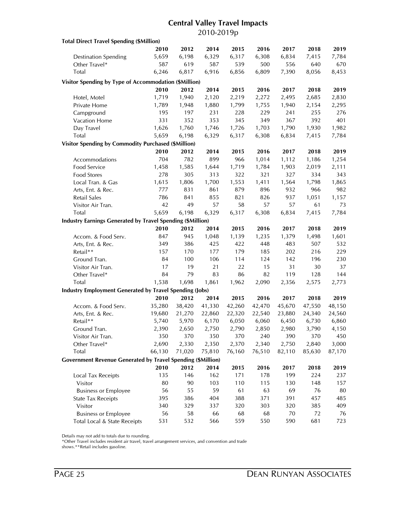## **Central Valley Travel Impacts** 2010-2019p

| 2010<br>2012<br>2014<br>2015<br>2016<br>2017<br>2018<br>5,659<br>6,198<br>6,329<br>6,317<br>6,308<br>6,834<br>7,415<br><b>Destination Spending</b><br>619<br>539<br>Other Travel*<br>587<br>587<br>500<br>556<br>640<br>Total<br>6,246<br>6,817<br>6,916<br>6,856<br>6,809<br>7,390<br>8,056<br>Visitor Spending by Type of Accommodation (\$Million)<br>2010<br>2012<br>2015<br>2016<br>2018<br>2019<br>2014<br>2017<br>2,219<br>1,719<br>1,940<br>2,120<br>2,272<br>2,495<br>2,685<br>2,830<br>Hotel, Motel<br>Private Home<br>1,880<br>1,799<br>1,940<br>1,789<br>1,948<br>1,755<br>2,154<br>2,295<br>195<br>197<br>231<br>228<br>229<br>241<br>255<br>276<br>Campground<br>352<br>331<br>353<br>345<br>349<br>367<br>392<br>401<br>Vacation Home<br>1,626<br>1,726<br>Day Travel<br>1,760<br>1,746<br>1,703<br>1,790<br>1,930<br>1,982<br>Total<br>5,659<br>6,317<br>6,198<br>6,329<br>6,308<br>6,834<br>7,415<br>7,784<br><b>Visitor Spending by Commodity Purchased (\$Million)</b><br>2010<br>2012<br>2015<br>2016<br>2018<br>2019<br>2014<br>2017<br>704<br>782<br>899<br>966<br>1,014<br>1,112<br>1,186<br>1,254<br>Accommodations<br>Food Service<br>1,458<br>1,585<br>1,644<br>1,719<br>1,903<br>2,019<br>1,784<br>2,111<br>278<br>305<br>313<br>322<br>321<br>327<br>334<br>Food Stores<br>1,806<br>1,700<br>1,553<br>1,411<br>1,564<br>1,798<br>Local Tran. & Gas<br>1,615<br>831<br>861<br>879<br>896<br>932<br>966<br>777<br>Arts, Ent. & Rec.<br>Retail Sales<br>786<br>841<br>855<br>821<br>826<br>937<br>1,051<br>42<br>57<br>57<br>Visitor Air Tran.<br>49<br>58<br>57<br>61<br>Total<br>5,659<br>6,198<br>6,317<br>6,308<br>6,834<br>7,415<br>6,329<br><b>Industry Earnings Generated by Travel Spending (\$Million)</b><br>2010<br>2012<br>2014<br>2015<br>2016<br>2017<br>2018<br>945<br>847<br>1,048<br>1,139<br>1,235<br>1,379<br>1,498<br>Accom. & Food Serv.<br>386<br>425<br>422<br>448<br>483<br>507<br>Arts, Ent. & Rec.<br>349<br>Retail**<br>157<br>170<br>177<br>179<br>185<br>202<br>216<br>84<br>100<br>106<br>114<br>124<br>142<br>196<br>Ground Tran.<br>31<br>17<br>19<br>21<br>22<br>15<br>30<br>Visitor Air Tran.<br>84<br>79<br>86<br>82<br>128<br>Other Travel*<br>83<br>119<br>Total<br>1,538<br>1,698<br>1,861<br>1,962<br>2,090<br>2,356<br>2,575<br><b>Industry Employment Generated by Travel Spending (Jobs)</b><br>2010<br>2012<br>2014<br>2015<br>2016<br>2017<br>2018<br>35,280<br>38,420<br>41,330<br>42,260<br>42,470<br>45,670<br>47,550<br>Accom. & Food Serv.<br>21,270<br>22,320<br>22,540<br>24,340<br>Arts, Ent. & Rec.<br>19,680<br>22,860<br>23,880<br>Retail**<br>5,970<br>6,050<br>6,060<br>6,450<br>6,730<br>5,740<br>6,170 | <b>Total Direct Travel Spending (\$Million)</b> |  |  |  |        |
|--------------------------------------------------------------------------------------------------------------------------------------------------------------------------------------------------------------------------------------------------------------------------------------------------------------------------------------------------------------------------------------------------------------------------------------------------------------------------------------------------------------------------------------------------------------------------------------------------------------------------------------------------------------------------------------------------------------------------------------------------------------------------------------------------------------------------------------------------------------------------------------------------------------------------------------------------------------------------------------------------------------------------------------------------------------------------------------------------------------------------------------------------------------------------------------------------------------------------------------------------------------------------------------------------------------------------------------------------------------------------------------------------------------------------------------------------------------------------------------------------------------------------------------------------------------------------------------------------------------------------------------------------------------------------------------------------------------------------------------------------------------------------------------------------------------------------------------------------------------------------------------------------------------------------------------------------------------------------------------------------------------------------------------------------------------------------------------------------------------------------------------------------------------------------------------------------------------------------------------------------------------------------------------------------------------------------------------------------------------------------------------------------------------------------------------------------------------------------------------------------------------------------------------------------------------------------------------------------------------------------------------------------------------------------------------------|-------------------------------------------------|--|--|--|--------|
|                                                                                                                                                                                                                                                                                                                                                                                                                                                                                                                                                                                                                                                                                                                                                                                                                                                                                                                                                                                                                                                                                                                                                                                                                                                                                                                                                                                                                                                                                                                                                                                                                                                                                                                                                                                                                                                                                                                                                                                                                                                                                                                                                                                                                                                                                                                                                                                                                                                                                                                                                                                                                                                                                            |                                                 |  |  |  | 2019   |
|                                                                                                                                                                                                                                                                                                                                                                                                                                                                                                                                                                                                                                                                                                                                                                                                                                                                                                                                                                                                                                                                                                                                                                                                                                                                                                                                                                                                                                                                                                                                                                                                                                                                                                                                                                                                                                                                                                                                                                                                                                                                                                                                                                                                                                                                                                                                                                                                                                                                                                                                                                                                                                                                                            |                                                 |  |  |  | 7,784  |
|                                                                                                                                                                                                                                                                                                                                                                                                                                                                                                                                                                                                                                                                                                                                                                                                                                                                                                                                                                                                                                                                                                                                                                                                                                                                                                                                                                                                                                                                                                                                                                                                                                                                                                                                                                                                                                                                                                                                                                                                                                                                                                                                                                                                                                                                                                                                                                                                                                                                                                                                                                                                                                                                                            |                                                 |  |  |  | 670    |
|                                                                                                                                                                                                                                                                                                                                                                                                                                                                                                                                                                                                                                                                                                                                                                                                                                                                                                                                                                                                                                                                                                                                                                                                                                                                                                                                                                                                                                                                                                                                                                                                                                                                                                                                                                                                                                                                                                                                                                                                                                                                                                                                                                                                                                                                                                                                                                                                                                                                                                                                                                                                                                                                                            |                                                 |  |  |  | 8,453  |
|                                                                                                                                                                                                                                                                                                                                                                                                                                                                                                                                                                                                                                                                                                                                                                                                                                                                                                                                                                                                                                                                                                                                                                                                                                                                                                                                                                                                                                                                                                                                                                                                                                                                                                                                                                                                                                                                                                                                                                                                                                                                                                                                                                                                                                                                                                                                                                                                                                                                                                                                                                                                                                                                                            |                                                 |  |  |  |        |
|                                                                                                                                                                                                                                                                                                                                                                                                                                                                                                                                                                                                                                                                                                                                                                                                                                                                                                                                                                                                                                                                                                                                                                                                                                                                                                                                                                                                                                                                                                                                                                                                                                                                                                                                                                                                                                                                                                                                                                                                                                                                                                                                                                                                                                                                                                                                                                                                                                                                                                                                                                                                                                                                                            |                                                 |  |  |  |        |
|                                                                                                                                                                                                                                                                                                                                                                                                                                                                                                                                                                                                                                                                                                                                                                                                                                                                                                                                                                                                                                                                                                                                                                                                                                                                                                                                                                                                                                                                                                                                                                                                                                                                                                                                                                                                                                                                                                                                                                                                                                                                                                                                                                                                                                                                                                                                                                                                                                                                                                                                                                                                                                                                                            |                                                 |  |  |  |        |
|                                                                                                                                                                                                                                                                                                                                                                                                                                                                                                                                                                                                                                                                                                                                                                                                                                                                                                                                                                                                                                                                                                                                                                                                                                                                                                                                                                                                                                                                                                                                                                                                                                                                                                                                                                                                                                                                                                                                                                                                                                                                                                                                                                                                                                                                                                                                                                                                                                                                                                                                                                                                                                                                                            |                                                 |  |  |  |        |
|                                                                                                                                                                                                                                                                                                                                                                                                                                                                                                                                                                                                                                                                                                                                                                                                                                                                                                                                                                                                                                                                                                                                                                                                                                                                                                                                                                                                                                                                                                                                                                                                                                                                                                                                                                                                                                                                                                                                                                                                                                                                                                                                                                                                                                                                                                                                                                                                                                                                                                                                                                                                                                                                                            |                                                 |  |  |  |        |
|                                                                                                                                                                                                                                                                                                                                                                                                                                                                                                                                                                                                                                                                                                                                                                                                                                                                                                                                                                                                                                                                                                                                                                                                                                                                                                                                                                                                                                                                                                                                                                                                                                                                                                                                                                                                                                                                                                                                                                                                                                                                                                                                                                                                                                                                                                                                                                                                                                                                                                                                                                                                                                                                                            |                                                 |  |  |  |        |
|                                                                                                                                                                                                                                                                                                                                                                                                                                                                                                                                                                                                                                                                                                                                                                                                                                                                                                                                                                                                                                                                                                                                                                                                                                                                                                                                                                                                                                                                                                                                                                                                                                                                                                                                                                                                                                                                                                                                                                                                                                                                                                                                                                                                                                                                                                                                                                                                                                                                                                                                                                                                                                                                                            |                                                 |  |  |  |        |
|                                                                                                                                                                                                                                                                                                                                                                                                                                                                                                                                                                                                                                                                                                                                                                                                                                                                                                                                                                                                                                                                                                                                                                                                                                                                                                                                                                                                                                                                                                                                                                                                                                                                                                                                                                                                                                                                                                                                                                                                                                                                                                                                                                                                                                                                                                                                                                                                                                                                                                                                                                                                                                                                                            |                                                 |  |  |  |        |
|                                                                                                                                                                                                                                                                                                                                                                                                                                                                                                                                                                                                                                                                                                                                                                                                                                                                                                                                                                                                                                                                                                                                                                                                                                                                                                                                                                                                                                                                                                                                                                                                                                                                                                                                                                                                                                                                                                                                                                                                                                                                                                                                                                                                                                                                                                                                                                                                                                                                                                                                                                                                                                                                                            |                                                 |  |  |  |        |
|                                                                                                                                                                                                                                                                                                                                                                                                                                                                                                                                                                                                                                                                                                                                                                                                                                                                                                                                                                                                                                                                                                                                                                                                                                                                                                                                                                                                                                                                                                                                                                                                                                                                                                                                                                                                                                                                                                                                                                                                                                                                                                                                                                                                                                                                                                                                                                                                                                                                                                                                                                                                                                                                                            |                                                 |  |  |  |        |
|                                                                                                                                                                                                                                                                                                                                                                                                                                                                                                                                                                                                                                                                                                                                                                                                                                                                                                                                                                                                                                                                                                                                                                                                                                                                                                                                                                                                                                                                                                                                                                                                                                                                                                                                                                                                                                                                                                                                                                                                                                                                                                                                                                                                                                                                                                                                                                                                                                                                                                                                                                                                                                                                                            |                                                 |  |  |  |        |
|                                                                                                                                                                                                                                                                                                                                                                                                                                                                                                                                                                                                                                                                                                                                                                                                                                                                                                                                                                                                                                                                                                                                                                                                                                                                                                                                                                                                                                                                                                                                                                                                                                                                                                                                                                                                                                                                                                                                                                                                                                                                                                                                                                                                                                                                                                                                                                                                                                                                                                                                                                                                                                                                                            |                                                 |  |  |  |        |
|                                                                                                                                                                                                                                                                                                                                                                                                                                                                                                                                                                                                                                                                                                                                                                                                                                                                                                                                                                                                                                                                                                                                                                                                                                                                                                                                                                                                                                                                                                                                                                                                                                                                                                                                                                                                                                                                                                                                                                                                                                                                                                                                                                                                                                                                                                                                                                                                                                                                                                                                                                                                                                                                                            |                                                 |  |  |  |        |
|                                                                                                                                                                                                                                                                                                                                                                                                                                                                                                                                                                                                                                                                                                                                                                                                                                                                                                                                                                                                                                                                                                                                                                                                                                                                                                                                                                                                                                                                                                                                                                                                                                                                                                                                                                                                                                                                                                                                                                                                                                                                                                                                                                                                                                                                                                                                                                                                                                                                                                                                                                                                                                                                                            |                                                 |  |  |  | 343    |
|                                                                                                                                                                                                                                                                                                                                                                                                                                                                                                                                                                                                                                                                                                                                                                                                                                                                                                                                                                                                                                                                                                                                                                                                                                                                                                                                                                                                                                                                                                                                                                                                                                                                                                                                                                                                                                                                                                                                                                                                                                                                                                                                                                                                                                                                                                                                                                                                                                                                                                                                                                                                                                                                                            |                                                 |  |  |  | 1,865  |
|                                                                                                                                                                                                                                                                                                                                                                                                                                                                                                                                                                                                                                                                                                                                                                                                                                                                                                                                                                                                                                                                                                                                                                                                                                                                                                                                                                                                                                                                                                                                                                                                                                                                                                                                                                                                                                                                                                                                                                                                                                                                                                                                                                                                                                                                                                                                                                                                                                                                                                                                                                                                                                                                                            |                                                 |  |  |  | 982    |
|                                                                                                                                                                                                                                                                                                                                                                                                                                                                                                                                                                                                                                                                                                                                                                                                                                                                                                                                                                                                                                                                                                                                                                                                                                                                                                                                                                                                                                                                                                                                                                                                                                                                                                                                                                                                                                                                                                                                                                                                                                                                                                                                                                                                                                                                                                                                                                                                                                                                                                                                                                                                                                                                                            |                                                 |  |  |  | 1,157  |
|                                                                                                                                                                                                                                                                                                                                                                                                                                                                                                                                                                                                                                                                                                                                                                                                                                                                                                                                                                                                                                                                                                                                                                                                                                                                                                                                                                                                                                                                                                                                                                                                                                                                                                                                                                                                                                                                                                                                                                                                                                                                                                                                                                                                                                                                                                                                                                                                                                                                                                                                                                                                                                                                                            |                                                 |  |  |  | 73     |
|                                                                                                                                                                                                                                                                                                                                                                                                                                                                                                                                                                                                                                                                                                                                                                                                                                                                                                                                                                                                                                                                                                                                                                                                                                                                                                                                                                                                                                                                                                                                                                                                                                                                                                                                                                                                                                                                                                                                                                                                                                                                                                                                                                                                                                                                                                                                                                                                                                                                                                                                                                                                                                                                                            |                                                 |  |  |  | 7,784  |
|                                                                                                                                                                                                                                                                                                                                                                                                                                                                                                                                                                                                                                                                                                                                                                                                                                                                                                                                                                                                                                                                                                                                                                                                                                                                                                                                                                                                                                                                                                                                                                                                                                                                                                                                                                                                                                                                                                                                                                                                                                                                                                                                                                                                                                                                                                                                                                                                                                                                                                                                                                                                                                                                                            |                                                 |  |  |  |        |
|                                                                                                                                                                                                                                                                                                                                                                                                                                                                                                                                                                                                                                                                                                                                                                                                                                                                                                                                                                                                                                                                                                                                                                                                                                                                                                                                                                                                                                                                                                                                                                                                                                                                                                                                                                                                                                                                                                                                                                                                                                                                                                                                                                                                                                                                                                                                                                                                                                                                                                                                                                                                                                                                                            |                                                 |  |  |  | 2019   |
|                                                                                                                                                                                                                                                                                                                                                                                                                                                                                                                                                                                                                                                                                                                                                                                                                                                                                                                                                                                                                                                                                                                                                                                                                                                                                                                                                                                                                                                                                                                                                                                                                                                                                                                                                                                                                                                                                                                                                                                                                                                                                                                                                                                                                                                                                                                                                                                                                                                                                                                                                                                                                                                                                            |                                                 |  |  |  | 1,601  |
|                                                                                                                                                                                                                                                                                                                                                                                                                                                                                                                                                                                                                                                                                                                                                                                                                                                                                                                                                                                                                                                                                                                                                                                                                                                                                                                                                                                                                                                                                                                                                                                                                                                                                                                                                                                                                                                                                                                                                                                                                                                                                                                                                                                                                                                                                                                                                                                                                                                                                                                                                                                                                                                                                            |                                                 |  |  |  | 532    |
|                                                                                                                                                                                                                                                                                                                                                                                                                                                                                                                                                                                                                                                                                                                                                                                                                                                                                                                                                                                                                                                                                                                                                                                                                                                                                                                                                                                                                                                                                                                                                                                                                                                                                                                                                                                                                                                                                                                                                                                                                                                                                                                                                                                                                                                                                                                                                                                                                                                                                                                                                                                                                                                                                            |                                                 |  |  |  | 229    |
|                                                                                                                                                                                                                                                                                                                                                                                                                                                                                                                                                                                                                                                                                                                                                                                                                                                                                                                                                                                                                                                                                                                                                                                                                                                                                                                                                                                                                                                                                                                                                                                                                                                                                                                                                                                                                                                                                                                                                                                                                                                                                                                                                                                                                                                                                                                                                                                                                                                                                                                                                                                                                                                                                            |                                                 |  |  |  | 230    |
|                                                                                                                                                                                                                                                                                                                                                                                                                                                                                                                                                                                                                                                                                                                                                                                                                                                                                                                                                                                                                                                                                                                                                                                                                                                                                                                                                                                                                                                                                                                                                                                                                                                                                                                                                                                                                                                                                                                                                                                                                                                                                                                                                                                                                                                                                                                                                                                                                                                                                                                                                                                                                                                                                            |                                                 |  |  |  | 37     |
|                                                                                                                                                                                                                                                                                                                                                                                                                                                                                                                                                                                                                                                                                                                                                                                                                                                                                                                                                                                                                                                                                                                                                                                                                                                                                                                                                                                                                                                                                                                                                                                                                                                                                                                                                                                                                                                                                                                                                                                                                                                                                                                                                                                                                                                                                                                                                                                                                                                                                                                                                                                                                                                                                            |                                                 |  |  |  | 144    |
|                                                                                                                                                                                                                                                                                                                                                                                                                                                                                                                                                                                                                                                                                                                                                                                                                                                                                                                                                                                                                                                                                                                                                                                                                                                                                                                                                                                                                                                                                                                                                                                                                                                                                                                                                                                                                                                                                                                                                                                                                                                                                                                                                                                                                                                                                                                                                                                                                                                                                                                                                                                                                                                                                            |                                                 |  |  |  | 2,773  |
|                                                                                                                                                                                                                                                                                                                                                                                                                                                                                                                                                                                                                                                                                                                                                                                                                                                                                                                                                                                                                                                                                                                                                                                                                                                                                                                                                                                                                                                                                                                                                                                                                                                                                                                                                                                                                                                                                                                                                                                                                                                                                                                                                                                                                                                                                                                                                                                                                                                                                                                                                                                                                                                                                            |                                                 |  |  |  |        |
|                                                                                                                                                                                                                                                                                                                                                                                                                                                                                                                                                                                                                                                                                                                                                                                                                                                                                                                                                                                                                                                                                                                                                                                                                                                                                                                                                                                                                                                                                                                                                                                                                                                                                                                                                                                                                                                                                                                                                                                                                                                                                                                                                                                                                                                                                                                                                                                                                                                                                                                                                                                                                                                                                            |                                                 |  |  |  | 2019   |
|                                                                                                                                                                                                                                                                                                                                                                                                                                                                                                                                                                                                                                                                                                                                                                                                                                                                                                                                                                                                                                                                                                                                                                                                                                                                                                                                                                                                                                                                                                                                                                                                                                                                                                                                                                                                                                                                                                                                                                                                                                                                                                                                                                                                                                                                                                                                                                                                                                                                                                                                                                                                                                                                                            |                                                 |  |  |  | 48,150 |
|                                                                                                                                                                                                                                                                                                                                                                                                                                                                                                                                                                                                                                                                                                                                                                                                                                                                                                                                                                                                                                                                                                                                                                                                                                                                                                                                                                                                                                                                                                                                                                                                                                                                                                                                                                                                                                                                                                                                                                                                                                                                                                                                                                                                                                                                                                                                                                                                                                                                                                                                                                                                                                                                                            |                                                 |  |  |  | 24,560 |
|                                                                                                                                                                                                                                                                                                                                                                                                                                                                                                                                                                                                                                                                                                                                                                                                                                                                                                                                                                                                                                                                                                                                                                                                                                                                                                                                                                                                                                                                                                                                                                                                                                                                                                                                                                                                                                                                                                                                                                                                                                                                                                                                                                                                                                                                                                                                                                                                                                                                                                                                                                                                                                                                                            |                                                 |  |  |  | 6,860  |
| Ground Tran.<br>2,390<br>2,750<br>2,850<br>2,790<br>3,790<br>2,650<br>2,980                                                                                                                                                                                                                                                                                                                                                                                                                                                                                                                                                                                                                                                                                                                                                                                                                                                                                                                                                                                                                                                                                                                                                                                                                                                                                                                                                                                                                                                                                                                                                                                                                                                                                                                                                                                                                                                                                                                                                                                                                                                                                                                                                                                                                                                                                                                                                                                                                                                                                                                                                                                                                |                                                 |  |  |  | 4,150  |
| 370<br>Visitor Air Tran.<br>350<br>350<br>370<br>240<br>390<br>370                                                                                                                                                                                                                                                                                                                                                                                                                                                                                                                                                                                                                                                                                                                                                                                                                                                                                                                                                                                                                                                                                                                                                                                                                                                                                                                                                                                                                                                                                                                                                                                                                                                                                                                                                                                                                                                                                                                                                                                                                                                                                                                                                                                                                                                                                                                                                                                                                                                                                                                                                                                                                         |                                                 |  |  |  | 450    |
| 2,690<br>2,330<br>2,370<br>2,840<br>2,350<br>2,340<br>2,750<br>Other Travel*                                                                                                                                                                                                                                                                                                                                                                                                                                                                                                                                                                                                                                                                                                                                                                                                                                                                                                                                                                                                                                                                                                                                                                                                                                                                                                                                                                                                                                                                                                                                                                                                                                                                                                                                                                                                                                                                                                                                                                                                                                                                                                                                                                                                                                                                                                                                                                                                                                                                                                                                                                                                               |                                                 |  |  |  | 3,000  |
| Total<br>66,130<br>71,020<br>75,810<br>76,160<br>76,510<br>82,110<br>85,630                                                                                                                                                                                                                                                                                                                                                                                                                                                                                                                                                                                                                                                                                                                                                                                                                                                                                                                                                                                                                                                                                                                                                                                                                                                                                                                                                                                                                                                                                                                                                                                                                                                                                                                                                                                                                                                                                                                                                                                                                                                                                                                                                                                                                                                                                                                                                                                                                                                                                                                                                                                                                |                                                 |  |  |  | 87,170 |
| <b>Government Revenue Generated by Travel Spending (\$Million)</b>                                                                                                                                                                                                                                                                                                                                                                                                                                                                                                                                                                                                                                                                                                                                                                                                                                                                                                                                                                                                                                                                                                                                                                                                                                                                                                                                                                                                                                                                                                                                                                                                                                                                                                                                                                                                                                                                                                                                                                                                                                                                                                                                                                                                                                                                                                                                                                                                                                                                                                                                                                                                                         |                                                 |  |  |  |        |
| 2010<br>2012<br>2014<br>2015<br>2016<br>2017<br>2018                                                                                                                                                                                                                                                                                                                                                                                                                                                                                                                                                                                                                                                                                                                                                                                                                                                                                                                                                                                                                                                                                                                                                                                                                                                                                                                                                                                                                                                                                                                                                                                                                                                                                                                                                                                                                                                                                                                                                                                                                                                                                                                                                                                                                                                                                                                                                                                                                                                                                                                                                                                                                                       |                                                 |  |  |  | 2019   |
| 146<br>162<br>135<br>171<br>178<br>199<br>224<br>Local Tax Receipts                                                                                                                                                                                                                                                                                                                                                                                                                                                                                                                                                                                                                                                                                                                                                                                                                                                                                                                                                                                                                                                                                                                                                                                                                                                                                                                                                                                                                                                                                                                                                                                                                                                                                                                                                                                                                                                                                                                                                                                                                                                                                                                                                                                                                                                                                                                                                                                                                                                                                                                                                                                                                        |                                                 |  |  |  | 237    |
| 80<br>90<br>103<br>110<br>115<br>130<br>148<br>Visitor                                                                                                                                                                                                                                                                                                                                                                                                                                                                                                                                                                                                                                                                                                                                                                                                                                                                                                                                                                                                                                                                                                                                                                                                                                                                                                                                                                                                                                                                                                                                                                                                                                                                                                                                                                                                                                                                                                                                                                                                                                                                                                                                                                                                                                                                                                                                                                                                                                                                                                                                                                                                                                     |                                                 |  |  |  | 157    |
| 56<br>59<br><b>Business or Employee</b><br>55<br>61<br>63<br>69<br>76                                                                                                                                                                                                                                                                                                                                                                                                                                                                                                                                                                                                                                                                                                                                                                                                                                                                                                                                                                                                                                                                                                                                                                                                                                                                                                                                                                                                                                                                                                                                                                                                                                                                                                                                                                                                                                                                                                                                                                                                                                                                                                                                                                                                                                                                                                                                                                                                                                                                                                                                                                                                                      |                                                 |  |  |  | 80     |
| 395<br>386<br>404<br>388<br>371<br>391<br>457<br><b>State Tax Receipts</b>                                                                                                                                                                                                                                                                                                                                                                                                                                                                                                                                                                                                                                                                                                                                                                                                                                                                                                                                                                                                                                                                                                                                                                                                                                                                                                                                                                                                                                                                                                                                                                                                                                                                                                                                                                                                                                                                                                                                                                                                                                                                                                                                                                                                                                                                                                                                                                                                                                                                                                                                                                                                                 |                                                 |  |  |  | 485    |
| 320<br>340<br>329<br>337<br>303<br>320<br>385<br>Visitor                                                                                                                                                                                                                                                                                                                                                                                                                                                                                                                                                                                                                                                                                                                                                                                                                                                                                                                                                                                                                                                                                                                                                                                                                                                                                                                                                                                                                                                                                                                                                                                                                                                                                                                                                                                                                                                                                                                                                                                                                                                                                                                                                                                                                                                                                                                                                                                                                                                                                                                                                                                                                                   |                                                 |  |  |  | 409    |
| 56<br>66<br><b>Business or Employee</b><br>58<br>68<br>68<br>70<br>72                                                                                                                                                                                                                                                                                                                                                                                                                                                                                                                                                                                                                                                                                                                                                                                                                                                                                                                                                                                                                                                                                                                                                                                                                                                                                                                                                                                                                                                                                                                                                                                                                                                                                                                                                                                                                                                                                                                                                                                                                                                                                                                                                                                                                                                                                                                                                                                                                                                                                                                                                                                                                      |                                                 |  |  |  | 76     |
| 531<br>566<br>Total Local & State Receipts<br>532<br>559<br>550<br>590<br>681                                                                                                                                                                                                                                                                                                                                                                                                                                                                                                                                                                                                                                                                                                                                                                                                                                                                                                                                                                                                                                                                                                                                                                                                                                                                                                                                                                                                                                                                                                                                                                                                                                                                                                                                                                                                                                                                                                                                                                                                                                                                                                                                                                                                                                                                                                                                                                                                                                                                                                                                                                                                              |                                                 |  |  |  | 723    |

Details may not add to totals due to rounding.

\*Other Travel includes resident air travel, travel arrangement services, and convention and trade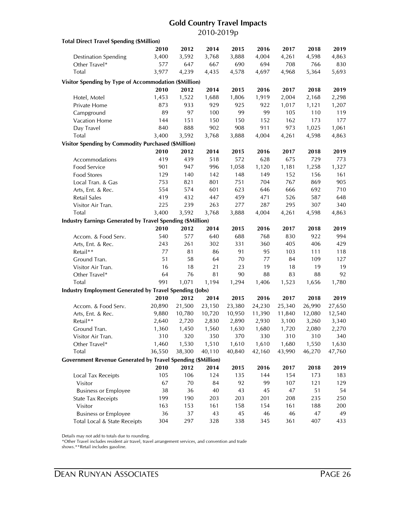## **Gold Country Travel Impacts** 2010-2019p

| <b>Total Direct Travel Spending (\$Million)</b>                    |           |           |           |           |           |        |           |            |
|--------------------------------------------------------------------|-----------|-----------|-----------|-----------|-----------|--------|-----------|------------|
|                                                                    | 2010      | 2012      | 2014      | 2015      | 2016      | 2017   | 2018      | 2019       |
| <b>Destination Spending</b>                                        | 3,400     | 3,592     | 3,768     | 3,888     | 4,004     | 4,261  | 4,598     | 4,863      |
| Other Travel*                                                      | 577       | 647       | 667       | 690       | 694       | 708    | 766       | 830        |
| Total                                                              | 3,977     | 4,239     | 4,435     | 4,578     | 4,697     | 4,968  | 5,364     | 5,693      |
| Visitor Spending by Type of Accommodation (\$Million)              |           |           |           |           |           |        |           |            |
|                                                                    | 2010      | 2012      | 2014      | 2015      | 2016      | 2017   | 2018      | 2019       |
|                                                                    | 1,453     | 1,522     | 1,688     | 1,806     | 1,919     | 2,004  | 2,168     | 2,298      |
| Hotel, Motel<br>Private Home                                       | 873       | 933       | 929       | 925       | 922       | 1,017  | 1,121     |            |
|                                                                    | 89        | 97        |           | 99        | 99        | 105    | 110       | 1,207      |
| Campground                                                         |           |           | 100       |           |           |        |           | 119<br>177 |
| Vacation Home                                                      | 144       | 151       | 150       | 150       | 152       | 162    | 173       |            |
| Day Travel                                                         | 840       | 888       | 902       | 908       | 911       | 973    | 1,025     | 1,061      |
| <b>Total</b>                                                       | 3,400     | 3,592     | 3,768     | 3,888     | 4,004     | 4,261  | 4,598     | 4,863      |
| <b>Visitor Spending by Commodity Purchased (\$Million)</b>         |           |           |           |           |           |        |           |            |
|                                                                    | 2010      | 2012      | 2014      | 2015      | 2016      | 2017   | 2018      | 2019       |
| Accommodations                                                     | 419       | 439       | 518       | 572       | 628       | 675    | 729       | 773        |
| Food Service                                                       | 901       | 947       | 996       | 1,058     | 1,120     | 1,181  | 1,258     | 1,327      |
| <b>Food Stores</b>                                                 | 129       | 140       | 142       | 148       | 149       | 152    | 156       | 161        |
| Local Tran. & Gas                                                  | 753       | 821       | 801       | 751       | 704       | 767    | 869       | 905        |
| Arts, Ent. & Rec.                                                  | 554       | 574       | 601       | 623       | 646       | 666    | 692       | 710        |
| <b>Retail Sales</b>                                                | 419       | 432       | 447       | 459       | 471       | 526    | 587       | 648        |
| Visitor Air Tran.                                                  | 225       | 239       | 263       | 277       | 287       | 295    | 307       | 340        |
| Total                                                              | 3,400     | 3,592     | 3,768     | 3,888     | 4,004     | 4,261  | 4,598     | 4,863      |
| <b>Industry Earnings Generated by Travel Spending (\$Million)</b>  |           |           |           |           |           |        |           |            |
|                                                                    | 2010      | 2012      | 2014      | 2015      | 2016      | 2017   | 2018      | 2019       |
| Accom. & Food Serv.                                                | 540       | 577       | 640       | 688       | 768       | 830    | 922       | 994        |
| Arts, Ent. & Rec.                                                  | 243       | 261       | 302       | 331       | 360       | 405    | 406       | 429        |
| Retail**                                                           | 77        | 81        | 86        | 91        | 95        | 103    | 111       | 118        |
| Ground Tran.                                                       | 51        | 58        | 64        | 70        | 77        | 84     | 109       | 127        |
| Visitor Air Tran.                                                  | 16        | 18        | 21        | 23        | 19        | 18     | 19        | 19         |
| Other Travel*                                                      | 64        | 76        | 81        | 90        | 88        | 83     | 88        | 92         |
| Total                                                              | 991       | 1,071     | 1,194     | 1,294     | 1,406     | 1,523  | 1,656     | 1,780      |
| <b>Industry Employment Generated by Travel Spending (Jobs)</b>     |           |           |           |           |           |        |           |            |
|                                                                    | 2010      | 2012      | 2014      | 2015      | 2016      | 2017   | 2018      | 2019       |
| Accom. & Food Serv.                                                | 20,890    | 21,500    | 23,150    | 23,380    | 24,230    | 25,340 | 26,990    | 27,650     |
| Arts, Ent. & Rec.                                                  | 9,880     | 10,780    | 10,720    | 10,950    | 11,390    | 11,840 | 12,080    | 12,540     |
| Retail**                                                           | 2,640     | 2,720     | 2,830     | 2,890     | 2,930     | 3,100  | 3,260     | 3,340      |
| Ground Tran.                                                       | 1,360     | 1,450     | 1,560     | 1,630     | 1,680     | 1,720  | 2,080     | 2,270      |
| Visitor Air Tran.                                                  | 310       | 320       | 350       | 370       | 330       | 310    | 310       | 340        |
| Other Travel*                                                      | 1,460     | 1,530     | 1,510     | 1,610     | 1,610     | 1,680  | 1,550     | 1,630      |
| Total                                                              | 36,550    | 38,300    | 40,110    | 40,840    | 42,160    | 43,990 | 46,270    | 47,760     |
| <b>Government Revenue Generated by Travel Spending (\$Million)</b> |           |           |           |           |           |        |           |            |
|                                                                    | 2010      | 2012      | 2014      | 2015      | 2016      | 2017   | 2018      | 2019       |
| Local Tax Receipts                                                 | 105       | 106       | 124       | 135       | 144       | 154    | 173       | 183        |
| Visitor                                                            | 67        | $70\,$    | 84        | 92        | 99        | 107    | 121       | 129        |
|                                                                    |           |           |           |           |           | 47     |           |            |
| <b>Business or Employee</b>                                        | 38<br>199 | 36<br>190 | 40<br>203 | 43<br>203 | 45<br>201 | 208    | 51<br>235 | 54<br>250  |
| <b>State Tax Receipts</b>                                          | 163       | 153       | 161       | 158       | 154       | 161    | 188       |            |
| Visitor                                                            | 36        | 37        | 43        | 45        | 46        | 46     | 47        | 200<br>49  |
| <b>Business or Employee</b><br>Total Local & State Receipts        | 304       | 297       | 328       | 338       | 345       | 361    | 407       | 433        |
|                                                                    |           |           |           |           |           |        |           |            |

Details may not add to totals due to rounding.

\*Other Travel includes resident air travel, travel arrangement services, and convention and trade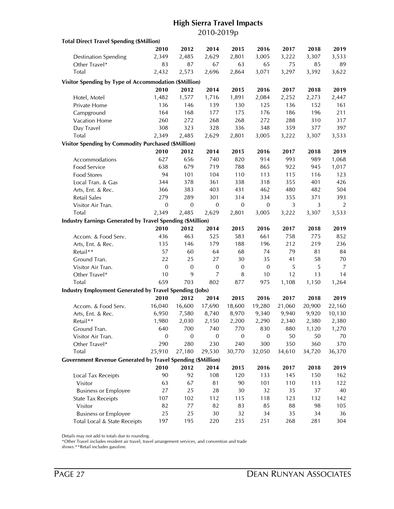## **High Sierra Travel Impacts** 2010-2019p

| <b>Total Direct Travel Spending (\$Million)</b>                    |                  |              |                |                  |              |        |        |        |
|--------------------------------------------------------------------|------------------|--------------|----------------|------------------|--------------|--------|--------|--------|
|                                                                    | 2010             | 2012         | 2014           | 2015             | 2016         | 2017   | 2018   | 2019   |
| <b>Destination Spending</b>                                        | 2,349            | 2,485        | 2,629          | 2,801            | 3,005        | 3,222  | 3,307  | 3,533  |
| Other Travel*                                                      | 83               | 87           | 67             | 63               | 65           | 75     | 85     | 89     |
| Total                                                              | 2,432            | 2,573        | 2,696          | 2,864            | 3,071        | 3,297  | 3,392  | 3,622  |
| Visitor Spending by Type of Accommodation (\$Million)              |                  |              |                |                  |              |        |        |        |
|                                                                    | 2010             | 2012         | 2014           | 2015             | 2016         | 2017   | 2018   | 2019   |
| Hotel, Motel                                                       | 1,482            | 1,577        | 1,716          | 1,891            | 2,084        | 2,252  | 2,273  | 2,447  |
| Private Home                                                       | 136              | 146          | 139            | 130              | 125          | 136    | 152    | 161    |
| Campground                                                         | 164              | 168          | 177            | 175              | 176          | 186    | 196    | 211    |
| Vacation Home                                                      | 260              | 272          | 268            | 268              | 272          | 288    | 310    | 317    |
| Day Travel                                                         | 308              | 323          | 328            | 336              | 348          | 359    | 377    | 397    |
| <b>Total</b>                                                       | 2,349            | 2,485        | 2,629          | 2,801            | 3,005        | 3,222  | 3,307  | 3,533  |
| Visitor Spending by Commodity Purchased (\$Million)                |                  |              |                |                  |              |        |        |        |
|                                                                    | 2010             | 2012         | 2014           | 2015             | 2016         | 2017   | 2018   | 2019   |
|                                                                    | 627              | 656          | 740            | 820              | 914          | 993    | 989    | 1,068  |
| Accommodations<br>Food Service                                     | 638              | 679          | 719            | 788              | 865          | 922    | 945    | 1,017  |
|                                                                    | 94               | 101          | 104            | 110              | 113          | 115    | 116    | 123    |
| Food Stores                                                        |                  | 378          | 361            |                  |              | 355    |        |        |
| Local Tran. & Gas                                                  | 344              |              |                | 338              | 318<br>462   |        | 401    | 426    |
| Arts, Ent. & Rec.                                                  | 366              | 383          | 403            | 431              |              | 480    | 482    | 504    |
| <b>Retail Sales</b>                                                | 279              | 289          | 301            | 314              | 334          | 355    | 371    | 393    |
| Visitor Air Tran.                                                  | $\mathbf{0}$     | $\mathbf{0}$ | $\mathbf{0}$   | $\mathbf{0}$     | $\mathbf{0}$ | 3      | 3      | 2      |
| Total                                                              | 2,349            | 2,485        | 2,629          | 2,801            | 3,005        | 3,222  | 3,307  | 3,533  |
| <b>Industry Earnings Generated by Travel Spending (\$Million)</b>  |                  |              |                |                  |              |        |        |        |
|                                                                    | 2010             | 2012         | 2014           | 2015             | 2016         | 2017   | 2018   | 2019   |
| Accom. & Food Serv.                                                | 436              | 463          | 525            | 583              | 661          | 758    | 775    | 852    |
| Arts, Ent. & Rec.                                                  | 135              | 146          | 179            | 188              | 196          | 212    | 219    | 236    |
| Retail**                                                           | 57               | 60           | 64             | 68               | 74           | 79     | 81     | 84     |
| Ground Tran.                                                       | 22               | 25           | 27             | 30               | 35           | 41     | 58     | 70     |
| Visitor Air Tran.                                                  | $\mathbf{0}$     | $\mathbf{0}$ | $\mathbf{0}$   | $\mathbf 0$      | $\mathbf 0$  | 5      | 5      | 7      |
| Other Travel*                                                      | 10               | 9            | $\overline{7}$ | 8                | 10           | 12     | 13     | 14     |
| Total                                                              | 659              | 703          | 802            | 877              | 975          | 1,108  | 1,150  | 1,264  |
| <b>Industry Employment Generated by Travel Spending (Jobs)</b>     |                  |              |                |                  |              |        |        |        |
|                                                                    | 2010             | 2012         | 2014           | 2015             | 2016         | 2017   | 2018   | 2019   |
| Accom. & Food Serv.                                                | 16,040           | 16,600       | 17,690         | 18,600           | 19,280       | 21,060 | 20,900 | 22,160 |
| Arts, Ent. & Rec.                                                  | 6,950            | 7,580        | 8,740          | 8,970            | 9,340        | 9,940  | 9,920  | 10,130 |
| Retail**                                                           | 1,980            | 2,030        | 2,150          | 2,200            | 2,290        | 2,340  | 2,380  | 2,380  |
| Ground Tran.                                                       | 640              | 700          | 740            | 770              | 830          | 880    | 1,120  | 1,270  |
| Visitor Air Tran.                                                  | $\boldsymbol{0}$ | 0            | 0              | $\boldsymbol{0}$ | 0            | 50     | 50     | 70     |
| Other Travel*                                                      | 290              | 280          | 230            | 240              | 300          | 350    | 360    | 370    |
| Total                                                              | 25,910           | 27,180       | 29,530         | 30,770           | 32,050       | 34,610 | 34,720 | 36,370 |
| <b>Government Revenue Generated by Travel Spending (\$Million)</b> |                  |              |                |                  |              |        |        |        |
|                                                                    | 2010             | 2012         | 2014           | 2015             | 2016         | 2017   | 2018   | 2019   |
| Local Tax Receipts                                                 | 90               | 92           | 108            | 120              | 133          | 145    | 150    | 162    |
| Visitor                                                            | 63               | 67           | 81             | 90               | 101          | 110    | 113    | 122    |
| <b>Business or Employee</b>                                        | 27               | 25           | 28             | 30               | 32           | 35     | 37     | 40     |
| <b>State Tax Receipts</b>                                          | 107              | 102          | 112            | 115              | 118          | 123    | 132    | 142    |
| Visitor                                                            | 82               | 77           | 82             | 83               | 85           | 88     | 98     | 105    |
| <b>Business or Employee</b>                                        | 25               | 25           | 30             | 32               | 34           | 35     | 34     | 36     |
| Total Local & State Receipts                                       | 197              | 195          | 220            | 235              | 251          | 268    | 281    | 304    |

Details may not add to totals due to rounding.

\*Other Travel includes resident air travel, travel arrangement services, and convention and trade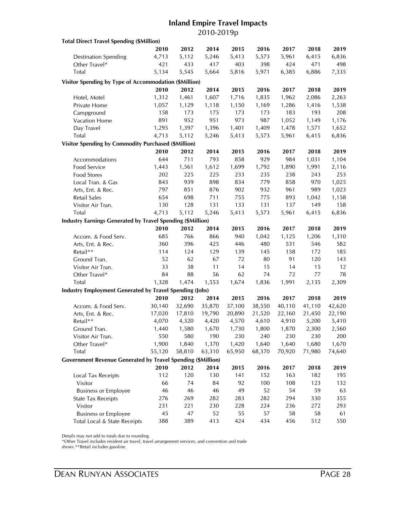## **Inland Empire Travel Impacts** 2010-2019p

| <b>Total Direct Travel Spending (\$Million)</b>                    |        |        |        |        |        |        |        |        |
|--------------------------------------------------------------------|--------|--------|--------|--------|--------|--------|--------|--------|
|                                                                    | 2010   | 2012   | 2014   | 2015   | 2016   | 2017   | 2018   | 2019   |
| <b>Destination Spending</b>                                        | 4,713  | 5,112  | 5,246  | 5,413  | 5,573  | 5,961  | 6,415  | 6,836  |
| Other Travel*                                                      | 421    | 433    | 417    | 403    | 398    | 424    | 471    | 498    |
| Total                                                              | 5,134  | 5,545  | 5,664  | 5,816  | 5,971  | 6,385  | 6,886  | 7,335  |
| Visitor Spending by Type of Accommodation (\$Million)              |        |        |        |        |        |        |        |        |
|                                                                    | 2010   | 2012   | 2014   | 2015   | 2016   | 2017   | 2018   | 2019   |
| Hotel, Motel                                                       | 1,312  | 1,461  | 1,607  | 1,716  | 1,835  | 1,962  | 2,086  | 2,263  |
| Private Home                                                       | 1,057  | 1,129  | 1,118  | 1,150  | 1,169  | 1,286  | 1,416  | 1,538  |
| Campground                                                         | 158    | 173    | 175    | 173    | 173    | 183    | 193    | 208    |
| Vacation Home                                                      | 891    | 952    | 951    | 973    | 987    | 1,052  | 1,149  | 1,176  |
| Day Travel                                                         | 1,295  | 1,397  | 1,396  | 1,401  | 1,409  | 1,478  | 1,571  | 1,652  |
| Total                                                              | 4,713  | 5,112  | 5,246  | 5,413  | 5,573  | 5,961  | 6,415  | 6,836  |
|                                                                    |        |        |        |        |        |        |        |        |
| <b>Visitor Spending by Commodity Purchased (\$Million)</b>         |        |        |        |        |        |        |        |        |
|                                                                    | 2010   | 2012   | 2014   | 2015   | 2016   | 2017   | 2018   | 2019   |
| Accommodations                                                     | 644    | 711    | 793    | 858    | 929    | 984    | 1,031  | 1,104  |
| Food Service                                                       | 1,443  | 1,561  | 1,612  | 1,699  | 1,792  | 1,890  | 1,991  | 2,116  |
| <b>Food Stores</b>                                                 | 202    | 225    | 225    | 233    | 235    | 238    | 243    | 253    |
| Local Tran. & Gas                                                  | 843    | 939    | 898    | 834    | 779    | 858    | 970    | 1,025  |
| Arts, Ent. & Rec.                                                  | 797    | 851    | 876    | 902    | 932    | 961    | 989    | 1,023  |
| Retail Sales                                                       | 654    | 698    | 711    | 755    | 775    | 893    | 1,042  | 1,158  |
| Visitor Air Tran.                                                  | 130    | 128    | 131    | 133    | 131    | 137    | 149    | 158    |
| Total                                                              | 4,713  | 5,112  | 5,246  | 5,413  | 5,573  | 5,961  | 6,415  | 6,836  |
| <b>Industry Earnings Generated by Travel Spending (\$Million)</b>  |        |        |        |        |        |        |        |        |
|                                                                    | 2010   | 2012   | 2014   | 2015   | 2016   | 2017   | 2018   | 2019   |
| Accom. & Food Serv.                                                | 685    | 766    | 866    | 940    | 1,042  | 1,125  | 1,206  | 1,310  |
| Arts, Ent. & Rec.                                                  | 360    | 396    | 425    | 446    | 480    | 531    | 546    | 582    |
| Retail**                                                           | 114    | 124    | 129    | 139    | 145    | 158    | 172    | 185    |
| Ground Tran.                                                       | 52     | 62     | 67     | 72     | 80     | 91     | 120    | 143    |
| Visitor Air Tran.                                                  | 33     | 38     | 11     | 14     | 15     | 14     | 15     | 12     |
| Other Travel*                                                      | 84     | 88     | 56     | 62     | 74     | 72     | 77     | 78     |
| Total                                                              | 1,328  | 1,474  | 1,553  | 1,674  | 1,836  | 1,991  | 2,135  | 2,309  |
| <b>Industry Employment Generated by Travel Spending (Jobs)</b>     |        |        |        |        |        |        |        |        |
|                                                                    | 2010   | 2012   | 2014   | 2015   | 2016   | 2017   | 2018   | 2019   |
| Accom. & Food Serv.                                                | 30,140 | 32,690 | 35,870 | 37,100 | 38,550 | 40,110 | 41,110 | 42,620 |
| Arts, Ent. & Rec.                                                  | 17,020 | 17,810 | 19,790 | 20,890 | 21,520 | 22,160 | 21,450 | 22,190 |
| Retail**                                                           | 4,070  | 4,320  | 4,420  | 4,570  | 4,610  | 4,910  | 5,200  | 5,410  |
| Ground Tran.                                                       | 1,440  | 1,580  | 1,670  | 1,730  | 1,800  | 1,870  | 2,300  | 2,560  |
| Visitor Air Tran.                                                  | 550    | 580    | 190    | 230    | 240    | 230    | 230    | 200    |
| Other Travel*                                                      | 1,900  | 1,840  | 1,370  | 1,420  | 1,640  | 1,640  | 1,680  | 1,670  |
| Total                                                              | 55,120 | 58,810 | 63,310 | 65,950 | 68,370 | 70,920 | 71,980 | 74,640 |
| <b>Government Revenue Generated by Travel Spending (\$Million)</b> |        |        |        |        |        |        |        |        |
|                                                                    | 2010   | 2012   | 2014   | 2015   | 2016   | 2017   | 2018   | 2019   |
| Local Tax Receipts                                                 | 112    | 120    | 130    | 141    | 152    | 163    | 182    | 195    |
| Visitor                                                            | 66     | 74     | 84     | 92     | 100    | 108    | 123    | 132    |
| <b>Business or Employee</b>                                        | 46     | 46     | 46     | 49     | 52     | 54     | 59     | 63     |
| <b>State Tax Receipts</b>                                          | 276    | 269    | 282    | 283    | 282    | 294    | 330    | 355    |
| Visitor                                                            | 231    | 221    | 230    | 228    | 224    | 236    | 272    | 293    |
| <b>Business or Employee</b>                                        | 45     | 47     | 52     | 55     | 57     | 58     | 58     | 61     |
| Total Local & State Receipts                                       | 388    | 389    | 413    | 424    | 434    | 456    | 512    | 550    |
|                                                                    |        |        |        |        |        |        |        |        |

Details may not add to totals due to rounding.

\*Other Travel includes resident air travel, travel arrangement services, and convention and trade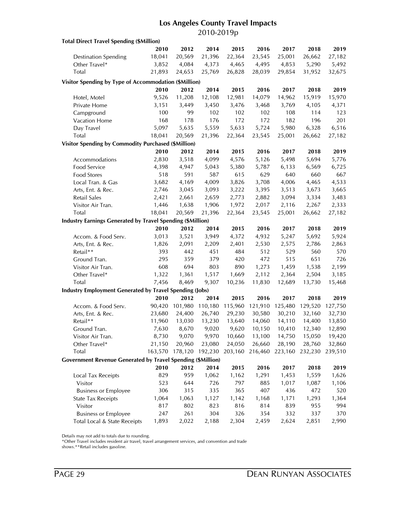## **Los Angeles County Travel Impacts** 2010-2019p

| <b>Total Direct Travel Spending (\$Million)</b>                    |         |         |         |         |         |         |         |              |
|--------------------------------------------------------------------|---------|---------|---------|---------|---------|---------|---------|--------------|
|                                                                    | 2010    | 2012    | 2014    | 2015    | 2016    | 2017    | 2018    | 2019         |
| <b>Destination Spending</b>                                        | 18,041  | 20,569  | 21,396  | 22,364  | 23,545  | 25,001  | 26,662  | 27,182       |
| Other Travel*                                                      | 3,852   | 4,084   | 4,373   | 4,465   | 4,495   | 4,853   | 5,290   | 5,492        |
| <b>Total</b>                                                       | 21,893  | 24,653  | 25,769  | 26,828  | 28,039  | 29,854  | 31,952  | 32,675       |
| Visitor Spending by Type of Accommodation (\$Million)              |         |         |         |         |         |         |         |              |
|                                                                    | 2010    | 2012    | 2014    | 2015    | 2016    | 2017    | 2018    | 2019         |
|                                                                    |         |         |         |         | 14,079  |         |         |              |
| Hotel, Motel                                                       | 9,526   | 11,208  | 12,108  | 12,981  |         | 14,962  | 15,919  | 15,970       |
| Private Home                                                       | 3,151   | 3,449   | 3,450   | 3,476   | 3,468   | 3,769   | 4,105   | 4,371        |
| Campground                                                         | 100     | 99      | 102     | 102     | 102     | 108     | 114     | 123          |
| Vacation Home                                                      | 168     | 178     | 176     | 172     | 172     | 182     | 196     | 201          |
| Day Travel                                                         | 5,097   | 5,635   | 5,559   | 5,633   | 5,724   | 5,980   | 6,328   | 6,516        |
| <b>Total</b>                                                       | 18,041  | 20,569  | 21,396  | 22,364  | 23,545  | 25,001  | 26,662  | 27,182       |
| Visitor Spending by Commodity Purchased (\$Million)                |         |         |         |         |         |         |         |              |
|                                                                    | 2010    | 2012    | 2014    | 2015    | 2016    | 2017    | 2018    | 2019         |
| Accommodations                                                     | 2,830   | 3,518   | 4,099   | 4,576   | 5,126   | 5,498   | 5,694   | 5,776        |
| Food Service                                                       | 4,398   | 4,947   | 5,043   | 5,380   | 5,787   | 6,133   | 6,569   | 6,725        |
| <b>Food Stores</b>                                                 | 518     | 591     | 587     | 615     | 629     | 640     | 660     | 667          |
| Local Tran. & Gas                                                  | 3,682   | 4,169   | 4,009   | 3,826   | 3,708   | 4,006   | 4,465   | 4,533        |
| Arts, Ent. & Rec.                                                  | 2,746   | 3,045   | 3,093   | 3,222   | 3,395   | 3,513   | 3,673   | 3,665        |
| Retail Sales                                                       | 2,421   | 2,661   | 2,659   | 2,773   | 2,882   | 3,094   | 3,334   | 3,483        |
| Visitor Air Tran.                                                  | 1,446   | 1,638   | 1,906   | 1,972   | 2,017   | 2,116   | 2,267   | 2,333        |
| <b>Total</b>                                                       | 18,041  | 20,569  | 21,396  | 22,364  | 23,545  | 25,001  | 26,662  | 27,182       |
| <b>Industry Earnings Generated by Travel Spending (\$Million)</b>  |         |         |         |         |         |         |         |              |
|                                                                    | 2010    | 2012    | 2014    | 2015    | 2016    | 2017    | 2018    | 2019         |
| Accom. & Food Serv.                                                | 3,013   | 3,521   | 3,949   | 4,372   | 4,932   | 5,247   | 5,692   | 5,924        |
| Arts, Ent. & Rec.                                                  | 1,826   | 2,091   | 2,209   | 2,401   | 2,530   | 2,575   | 2,786   | 2,863        |
| Retail**                                                           | 393     | 442     | 451     | 484     | 512     | 529     | 560     | 570          |
| Ground Tran.                                                       | 295     | 359     | 379     | 420     | 472     | 515     | 651     | 726          |
| Visitor Air Tran.                                                  | 608     | 694     | 803     | 890     | 1,273   | 1,459   | 1,538   | 2,199        |
| Other Travel*                                                      | 1,322   | 1,361   | 1,517   | 1,669   | 2,112   | 2,364   | 2,504   | 3,185        |
| Total                                                              | 7,456   | 8,469   | 9,307   | 10,236  | 11,830  | 12,689  | 13,730  | 15,468       |
| <b>Industry Employment Generated by Travel Spending (Jobs)</b>     |         |         |         |         |         |         |         |              |
|                                                                    | 2010    | 2012    | 2014    | 2015    | 2016    | 2017    | 2018    | 2019         |
| Accom. & Food Serv.                                                | 90,420  | 101,980 | 110,180 | 115,960 | 121,910 | 125,480 | 129,520 | 127,750      |
| Arts, Ent. & Rec.                                                  | 23,680  | 24,400  | 26,740  | 29,230  | 30,580  | 30,210  | 32,160  | 32,730       |
| Retail**                                                           | 11,960  | 13,030  | 13,230  | 13,640  | 14,060  | 14,110  | 14,400  | 13,850       |
| Ground Tran.                                                       | 7,630   | 8,670   | 9,020   | 9,620   | 10,150  | 10,410  | 12,340  | 12,890       |
| Visitor Air Tran.                                                  | 8,730   | 9,070   | 9,970   | 10,660  | 13,100  | 14,750  | 15,050  | 19,420       |
| Other Travel*                                                      | 21,150  | 20,960  | 23,080  | 24,050  | 26,660  | 28,190  | 28,760  | 32,860       |
| Total                                                              | 163,570 | 178,120 | 192,230 | 203,160 | 216,460 | 223,160 | 232,230 | 239,510      |
| <b>Government Revenue Generated by Travel Spending (\$Million)</b> |         |         |         |         |         |         |         |              |
|                                                                    | 2010    | 2012    | 2014    | 2015    | 2016    | 2017    | 2018    | 2019         |
| Local Tax Receipts                                                 | 829     | 959     | 1,062   | 1,162   | 1,291   | 1,453   | 1,559   | 1,626        |
| Visitor                                                            | 523     | 644     | 726     | 797     | 885     | 1,017   | 1,087   | 1,106        |
| <b>Business or Employee</b>                                        | 306     | 315     | 335     | 365     | 407     | 436     | 472     | 520          |
| <b>State Tax Receipts</b>                                          | 1,064   | 1,063   | 1,127   | 1,142   | 1,168   | 1,171   | 1,293   | 1,364        |
|                                                                    | 817     | 802     | 823     | 816     | 814     | 839     | 955     | 994          |
| Visitor                                                            | 247     | 261     | 304     | 326     | 354     | 332     | 337     |              |
| <b>Business or Employee</b><br>Total Local & State Receipts        | 1,893   | 2,022   | 2,188   | 2,304   | 2,459   | 2,624   | 2,851   | 370<br>2,990 |
|                                                                    |         |         |         |         |         |         |         |              |

Details may not add to totals due to rounding.

\*Other Travel includes resident air travel, travel arrangement services, and convention and trade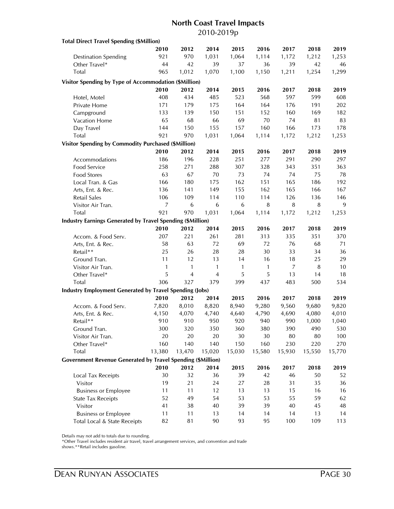### **North Coast Travel Impacts** 2010-2019p

| <b>Total Direct Travel Spending (\$Million)</b>                    |                |                |                |        |              |        |        |        |
|--------------------------------------------------------------------|----------------|----------------|----------------|--------|--------------|--------|--------|--------|
|                                                                    | 2010           | 2012           | 2014           | 2015   | 2016         | 2017   | 2018   | 2019   |
| <b>Destination Spending</b>                                        | 921            | 970            | 1,031          | 1,064  | 1,114        | 1,172  | 1,212  | 1,253  |
| Other Travel*                                                      | 44             | 42             | 39             | 37     | 36           | 39     | 42     | 46     |
| Total                                                              | 965            | 1,012          | 1,070          | 1,100  | 1,150        | 1,211  | 1,254  | 1,299  |
| Visitor Spending by Type of Accommodation (\$Million)              |                |                |                |        |              |        |        |        |
|                                                                    | 2010           | 2012           | 2014           | 2015   | 2016         | 2017   | 2018   | 2019   |
| Hotel, Motel                                                       | 408            | 434            | 485            | 523    | 568          | 597    | 599    | 608    |
| Private Home                                                       | 171            | 179            | 175            | 164    | 164          | 176    | 191    | 202    |
| Campground                                                         | 133            | 139            | 150            | 151    | 152          | 160    | 169    | 182    |
| Vacation Home                                                      | 65             | 68             | 66             | 69     | 70           | 74     | 81     | 83     |
| Day Travel                                                         | 144            | 150            | 155            | 157    | 160          | 166    | 173    | 178    |
| <b>Total</b>                                                       | 921            | 970            | 1,031          | 1,064  | 1,114        | 1,172  | 1,212  | 1,253  |
|                                                                    |                |                |                |        |              |        |        |        |
| <b>Visitor Spending by Commodity Purchased (\$Million)</b>         | 2010           | 2012           | 2014           | 2015   | 2016         | 2017   | 2018   | 2019   |
|                                                                    |                |                |                |        |              |        |        |        |
| Accommodations                                                     | 186            | 196            | 228            | 251    | 277          | 291    | 290    | 297    |
| Food Service                                                       | 258            | 271            | 288            | 307    | 328          | 343    | 351    | 363    |
| Food Stores                                                        | 63             | 67             | 70             | 73     | 74           | 74     | 75     | 78     |
| Local Tran. & Gas                                                  | 166            | 180            | 175            | 162    | 151          | 165    | 186    | 192    |
| Arts, Ent. & Rec.                                                  | 136            | 141            | 149            | 155    | 162          | 165    | 166    | 167    |
| <b>Retail Sales</b>                                                | 106            | 109            | 114            | 110    | 114          | 126    | 136    | 146    |
| Visitor Air Tran.                                                  | $\overline{7}$ | 6              | 6              | 6      | 8            | 8      | 8      | 9      |
| Total                                                              | 921            | 970            | 1,031          | 1,064  | 1,114        | 1,172  | 1,212  | 1,253  |
| <b>Industry Earnings Generated by Travel Spending (\$Million)</b>  |                |                |                |        |              |        |        |        |
|                                                                    | 2010           | 2012           | 2014           | 2015   | 2016         | 2017   | 2018   | 2019   |
| Accom. & Food Serv.                                                | 207            | 221            | 261            | 281    | 313          | 335    | 351    | 370    |
| Arts, Ent. & Rec.                                                  | 58             | 63             | 72             | 69     | 72           | 76     | 68     | 71     |
| Retail**                                                           | 25             | 26             | 28             | 28     | 30           | 33     | 34     | 36     |
| Ground Tran.                                                       | 11             | 12             | 13             | 14     | 16           | 18     | 25     | 29     |
| Visitor Air Tran.                                                  | $\mathbf{1}$   | 1              | $\mathbf{1}$   | 1      | $\mathbf{1}$ | 7      | 8      | 10     |
| Other Travel*                                                      | 5              | $\overline{4}$ | $\overline{4}$ | 5      | 5            | 13     | 14     | 18     |
| Total                                                              | 306            | 327            | 379            | 399    | 437          | 483    | 500    | 534    |
| <b>Industry Employment Generated by Travel Spending (Jobs)</b>     |                |                |                |        |              |        |        |        |
|                                                                    | 2010           | 2012           | 2014           | 2015   | 2016         | 2017   | 2018   | 2019   |
| Accom. & Food Serv.                                                | 7,820          | 8,010          | 8,820          | 8,940  | 9,280        | 9,560  | 9,680  | 9,820  |
| Arts, Ent. & Rec.                                                  | 4,150          | 4,070          | 4,740          | 4,640  | 4,790        | 4,690  | 4,080  | 4,010  |
| Retail**                                                           | 910            | 910            | 950            | 920    | 940          | 990    | 1,000  | 1,040  |
| Ground Tran.                                                       | 300            | 320            | 350            | 360    | 380          | 390    | 490    | 530    |
| Visitor Air Tran.                                                  | 20             | 20             | 20             | 30     | 30           | 80     | 80     | 100    |
| Other Travel*                                                      | 160            | 140            | 140            | 150    | 160          | 230    | 220    | 270    |
| Total                                                              | 13,380         | 13,470         | 15,020         | 15,030 | 15,580       | 15,930 | 15,550 | 15,770 |
| <b>Government Revenue Generated by Travel Spending (\$Million)</b> |                |                |                |        |              |        |        |        |
|                                                                    | 2010           | 2012           | 2014           | 2015   | 2016         | 2017   | 2018   | 2019   |
| Local Tax Receipts                                                 | 30             | 32             | 36             | 39     | 42           | 46     | 50     | 52     |
| Visitor                                                            | 19             | 21             | 24             | 27     | 28           | 31     | 35     | 36     |
| <b>Business or Employee</b>                                        | 11             | 11             | 12             | 13     | 13           | 15     | 16     | 16     |
| <b>State Tax Receipts</b>                                          | 52             | 49             | 54             | 53     | 53           | 55     | 59     | 62     |
| Visitor                                                            | 41             | 38             | 40             | 39     | 39           | 40     | 45     | 48     |
| <b>Business or Employee</b>                                        | 11             | 11             | 13             | 14     | 14           | 14     | 13     | 14     |
| Total Local & State Receipts                                       | 82             | 81             | 90             | 93     | 95           | 100    | 109    | 113    |

Details may not add to totals due to rounding.

\*Other Travel includes resident air travel, travel arrangement services, and convention and trade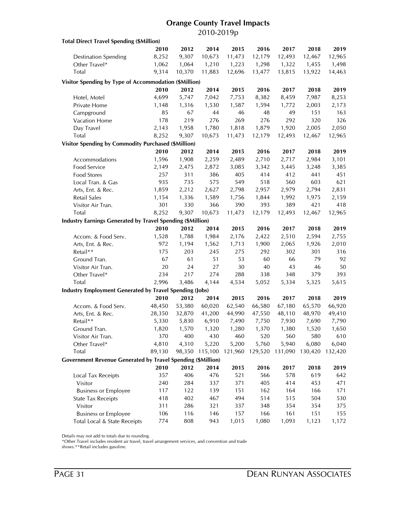### **Orange County Travel Impacts** 2010-2019p

| <b>Total Direct Travel Spending (\$Million)</b>                    |        |        |         |         |         |                 |        |         |
|--------------------------------------------------------------------|--------|--------|---------|---------|---------|-----------------|--------|---------|
|                                                                    | 2010   | 2012   | 2014    | 2015    | 2016    | 2017            | 2018   | 2019    |
| <b>Destination Spending</b>                                        | 8,252  | 9,307  | 10,673  | 11,473  | 12,179  | 12,493          | 12,467 | 12,965  |
| Other Travel*                                                      | 1,062  | 1,064  | 1,210   | 1,223   | 1,298   | 1,322           | 1,455  | 1,498   |
| <b>Total</b>                                                       | 9,314  | 10,370 | 11,883  | 12,696  | 13,477  | 13,815          | 13,922 | 14,463  |
| Visitor Spending by Type of Accommodation (\$Million)              |        |        |         |         |         |                 |        |         |
|                                                                    | 2010   | 2012   | 2014    | 2015    | 2016    | 2017            | 2018   | 2019    |
| Hotel, Motel                                                       | 4,699  | 5,747  | 7,042   | 7,753   | 8,382   | 8,459           | 7,987  | 8,253   |
| Private Home                                                       | 1,148  | 1,316  | 1,530   | 1,587   | 1,594   | 1,772           | 2,003  | 2,173   |
|                                                                    | 85     | 67     | 44      | 46      | 48      | 49              | 151    | 163     |
| Campground                                                         | 178    | 219    | 276     | 269     | 276     | 292             | 320    | 326     |
| Vacation Home                                                      |        |        |         |         |         |                 |        |         |
| Day Travel<br>Total                                                | 2,143  | 1,958  | 1,780   | 1,818   | 1,879   | 1,920           | 2,005  | 2,050   |
|                                                                    | 8,252  | 9,307  | 10,673  | 11,473  | 12,179  | 12,493          | 12,467 | 12,965  |
| <b>Visitor Spending by Commodity Purchased (\$Million)</b>         |        |        |         |         |         |                 |        |         |
|                                                                    | 2010   | 2012   | 2014    | 2015    | 2016    | 2017            | 2018   | 2019    |
| Accommodations                                                     | 1,596  | 1,908  | 2,259   | 2,489   | 2,710   | 2,717           | 2,984  | 3,101   |
| Food Service                                                       | 2,149  | 2,475  | 2,872   | 3,085   | 3,342   | 3,445           | 3,248  | 3,385   |
| <b>Food Stores</b>                                                 | 257    | 311    | 386     | 405     | 414     | 412             | 441    | 451     |
| Local Tran. & Gas                                                  | 935    | 735    | 575     | 549     | 518     | 560             | 603    | 621     |
| Arts, Ent. & Rec.                                                  | 1,859  | 2,212  | 2,627   | 2,798   | 2,957   | 2,979           | 2,794  | 2,831   |
| Retail Sales                                                       | 1,154  | 1,336  | 1,589   | 1,756   | 1,844   | 1,992           | 1,975  | 2,159   |
| Visitor Air Tran.                                                  | 301    | 330    | 366     | 390     | 393     | 389             | 421    | 418     |
| Total                                                              | 8,252  | 9,307  | 10,673  | 11,473  | 12,179  | 12,493          | 12,467 | 12,965  |
| <b>Industry Earnings Generated by Travel Spending (\$Million)</b>  |        |        |         |         |         |                 |        |         |
|                                                                    | 2010   | 2012   | 2014    | 2015    | 2016    | 2017            | 2018   | 2019    |
| Accom. & Food Serv.                                                | 1,528  | 1,788  | 1,984   | 2,176   | 2,422   | 2,510           | 2,594  | 2,755   |
| Arts, Ent. & Rec.                                                  | 972    | 1,194  | 1,562   | 1,713   | 1,900   | 2,065           | 1,926  | 2,010   |
| Retail**                                                           | 175    | 203    | 245     | 275     | 292     | 302             | 301    | 316     |
| Ground Tran.                                                       | 67     | 61     | 51      | 53      | 60      | 66              | 79     | 92      |
| Visitor Air Tran.                                                  | 20     | 24     | 27      | $30\,$  | 40      | 43              | 46     | 50      |
| Other Travel*                                                      | 234    | 217    | 274     | 288     | 338     | 348             | 379    | 393     |
| Total                                                              | 2,996  | 3,486  | 4,144   | 4,534   | 5,052   | 5,334           | 5,325  | 5,615   |
| <b>Industry Employment Generated by Travel Spending (Jobs)</b>     |        |        |         |         |         |                 |        |         |
|                                                                    | 2010   | 2012   | 2014    | 2015    | 2016    | 2017            | 2018   | 2019    |
| Accom. & Food Serv.                                                | 48,450 | 53,380 | 60,020  | 62,540  | 66,580  | 67,180          | 65,570 | 66,920  |
| Arts, Ent. & Rec.                                                  | 28,350 | 32,870 | 41,200  | 44,990  | 47,550  | 48,110          | 48,970 | 49,410  |
| Retail**                                                           | 5,330  | 5,830  | 6,910   | 7,490   | 7,750   | 7,930           | 7,690  | 7,790   |
| Ground Tran.                                                       | 1,820  | 1,570  | 1,320   | 1,280   | 1,370   | 1,380           | 1,520  | 1,650   |
| Visitor Air Tran.                                                  | 370    | 400    | 430     | 460     | 520     | 560             | 580    | 610     |
| Other Travel*                                                      | 4,810  | 4,310  | 5,220   | 5,200   | 5,760   | 5,940           | 6,080  | 6,040   |
| Total                                                              | 89,130 | 98,350 | 115,100 | 121,960 | 129,520 | 131,090 130,420 |        | 132,420 |
| <b>Government Revenue Generated by Travel Spending (\$Million)</b> |        |        |         |         |         |                 |        |         |
|                                                                    | 2010   | 2012   | 2014    | 2015    | 2016    | 2017            | 2018   | 2019    |
| Local Tax Receipts                                                 | 357    | 406    | 476     | 521     | 566     | 578             | 619    | 642     |
| Visitor                                                            | 240    | 284    | 337     | 371     | 405     | 414             | 453    | 471     |
| <b>Business or Employee</b>                                        | 117    | 122    | 139     | 151     | 162     | 164             | 166    | 171     |
| <b>State Tax Receipts</b>                                          | 418    | 402    | 467     | 494     | 514     | 515             | 504    | 530     |
| Visitor                                                            | 311    | 286    | 321     | 337     | 348     | 354             | 354    | 375     |
| <b>Business or Employee</b>                                        | 106    | 116    | 146     | 157     | 166     | 161             | 151    | 155     |
| Total Local & State Receipts                                       | 774    | 808    | 943     | 1,015   | 1,080   | 1,093           | 1,123  | 1,172   |
|                                                                    |        |        |         |         |         |                 |        |         |

Details may not add to totals due to rounding.

\*Other Travel includes resident air travel, travel arrangement services, and convention and trade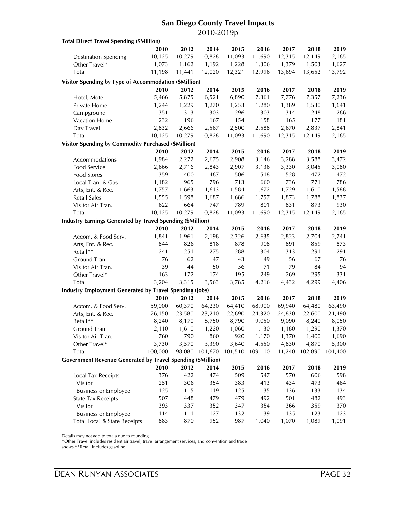### **San Diego County Travel Impacts** 2010-2019p

| <b>Total Direct Travel Spending (\$Million)</b>                    |         |        |         |         |         |         |         |         |
|--------------------------------------------------------------------|---------|--------|---------|---------|---------|---------|---------|---------|
|                                                                    | 2010    | 2012   | 2014    | 2015    | 2016    | 2017    | 2018    | 2019    |
| <b>Destination Spending</b>                                        | 10,125  | 10,279 | 10,828  | 11,093  | 11,690  | 12,315  | 12,149  | 12,165  |
| Other Travel*                                                      | 1,073   | 1,162  | 1,192   | 1,228   | 1,306   | 1,379   | 1,503   | 1,627   |
| <b>Total</b>                                                       | 11,198  | 11,441 | 12,020  | 12,321  | 12,996  | 13,694  | 13,652  | 13,792  |
| Visitor Spending by Type of Accommodation (\$Million)              |         |        |         |         |         |         |         |         |
|                                                                    | 2010    | 2012   | 2014    | 2015    | 2016    | 2017    | 2018    | 2019    |
|                                                                    |         |        |         |         |         |         |         |         |
| Hotel, Motel                                                       | 5,466   | 5,875  | 6,521   | 6,890   | 7,361   | 7,776   | 7,357   | 7,236   |
| Private Home                                                       | 1,244   | 1,229  | 1,270   | 1,253   | 1,280   | 1,389   | 1,530   | 1,641   |
| Campground                                                         | 351     | 313    | 303     | 296     | 303     | 314     | 248     | 266     |
| Vacation Home                                                      | 232     | 196    | 167     | 154     | 158     | 165     | 177     | 181     |
| Day Travel                                                         | 2,832   | 2,666  | 2,567   | 2,500   | 2,588   | 2,670   | 2,837   | 2,841   |
| Total                                                              | 10,125  | 10,279 | 10,828  | 11,093  | 11,690  | 12,315  | 12,149  | 12,165  |
| Visitor Spending by Commodity Purchased (\$Million)                |         |        |         |         |         |         |         |         |
|                                                                    | 2010    | 2012   | 2014    | 2015    | 2016    | 2017    | 2018    | 2019    |
| Accommodations                                                     | 1,984   | 2,272  | 2,675   | 2,908   | 3,146   | 3,288   | 3,588   | 3,472   |
| Food Service                                                       | 2,666   | 2,716  | 2,843   | 2,907   | 3,136   | 3,330   | 3,045   | 3,080   |
| <b>Food Stores</b>                                                 | 359     | 400    | 467     | 506     | 518     | 528     | 472     | 472     |
| Local Tran. & Gas                                                  | 1,182   | 965    | 796     | 713     | 660     | 736     | 771     | 786     |
| Arts, Ent. & Rec.                                                  | 1,757   | 1,663  | 1,613   | 1,584   | 1,672   | 1,729   | 1,610   | 1,588   |
| Retail Sales                                                       | 1,555   | 1,598  | 1,687   | 1,686   | 1,757   | 1,873   | 1,788   | 1,837   |
| Visitor Air Tran.                                                  | 622     | 664    | 747     | 789     | 801     | 831     | 873     | 930     |
| Total                                                              | 10,125  | 10,279 | 10,828  | 11,093  | 11,690  | 12,315  | 12,149  | 12,165  |
| <b>Industry Earnings Generated by Travel Spending (\$Million)</b>  |         |        |         |         |         |         |         |         |
|                                                                    | 2010    | 2012   | 2014    | 2015    | 2016    | 2017    | 2018    | 2019    |
| Accom. & Food Serv.                                                | 1,841   | 1,961  | 2,198   | 2,326   | 2,635   | 2,823   | 2,704   | 2,741   |
| Arts, Ent. & Rec.                                                  | 844     | 826    | 818     | 878     | 908     | 891     | 859     | 873     |
| Retail**                                                           | 241     | 251    | 275     | 288     | 304     | 313     | 291     | 291     |
| Ground Tran.                                                       | 76      | 62     | 47      | 43      | 49      | 56      | 67      | 76      |
| Visitor Air Tran.                                                  | 39      | $44\,$ | 50      | 56      | 71      | 79      | 84      | 94      |
| Other Travel*                                                      | 163     | 172    | 174     | 195     | 249     | 269     | 295     | 331     |
| Total                                                              | 3,204   | 3,315  | 3,563   | 3,785   | 4,216   | 4,432   | 4,299   | 4,406   |
|                                                                    |         |        |         |         |         |         |         |         |
| <b>Industry Employment Generated by Travel Spending (Jobs)</b>     |         |        |         |         |         |         |         |         |
|                                                                    | 2010    | 2012   | 2014    | 2015    | 2016    | 2017    | 2018    | 2019    |
| Accom. & Food Serv.                                                | 59,000  | 60,370 | 64,230  | 64,410  | 68,900  | 69,940  | 64,480  | 63,490  |
| Arts, Ent. & Rec.                                                  | 26,150  | 23,580 | 23,210  | 22,690  | 24,320  | 24,830  | 22,600  | 21,490  |
| Retail**                                                           | 8,240   | 8,170  | 8,750   | 8,790   | 9,050   | 9,090   | 8,240   | 8,050   |
| Ground Tran.                                                       | 2,110   | 1,610  | 1,220   | 1,060   | 1,130   | 1,180   | 1,290   | 1,370   |
| Visitor Air Tran.                                                  | 760     | 790    | 860     | 920     | 1,170   | 1,370   | 1,400   | 1,690   |
| Other Travel*                                                      | 3,730   | 3,570  | 3,390   | 3,640   | 4,550   | 4,830   | 4,870   | 5,300   |
| Total                                                              | 100,000 | 98,080 | 101,670 | 101,510 | 109,110 | 111,240 | 102,890 | 101,400 |
| <b>Government Revenue Generated by Travel Spending (\$Million)</b> |         |        |         |         |         |         |         |         |
|                                                                    | 2010    | 2012   | 2014    | 2015    | 2016    | 2017    | 2018    | 2019    |
| Local Tax Receipts                                                 | 376     | 422    | 474     | 509     | 547     | 570     | 606     | 598     |
| Visitor                                                            | 251     | 306    | 354     | 383     | 413     | 434     | 473     | 464     |
| <b>Business or Employee</b>                                        | 125     | 115    | 119     | 125     | 135     | 136     | 133     | 134     |
| <b>State Tax Receipts</b>                                          | 507     | 448    | 479     | 479     | 492     | 501     | 482     | 493     |
| Visitor                                                            | 393     | 337    | 352     | 347     | 354     | 366     | 359     | 370     |
| <b>Business or Employee</b>                                        | 114     | 111    | 127     | 132     | 139     | 135     | 123     | 123     |
| Total Local & State Receipts                                       | 883     | 870    | 952     | 987     | 1,040   | 1,070   | 1,089   | 1,091   |

Details may not add to totals due to rounding.

\*Other Travel includes resident air travel, travel arrangement services, and convention and trade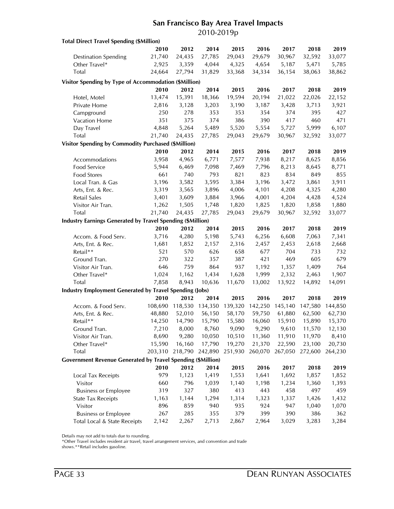### **San Francisco Bay Area Travel Impacts** 2010-2019p

| <b>Total Direct Travel Spending (\$Million)</b>                    |         |                 |         |         |         |         |         |         |
|--------------------------------------------------------------------|---------|-----------------|---------|---------|---------|---------|---------|---------|
|                                                                    | 2010    | 2012            | 2014    | 2015    | 2016    | 2017    | 2018    | 2019    |
| <b>Destination Spending</b>                                        | 21,740  | 24,435          | 27,785  | 29,043  | 29,679  | 30,967  | 32,592  | 33,077  |
| Other Travel*                                                      | 2,925   | 3,359           | 4,044   | 4,325   | 4,654   | 5,187   | 5,471   | 5,785   |
| <b>Total</b>                                                       | 24,664  | 27,794          | 31,829  | 33,368  | 34,334  | 36,154  | 38,063  | 38,862  |
| Visitor Spending by Type of Accommodation (\$Million)              |         |                 |         |         |         |         |         |         |
|                                                                    | 2010    | 2012            | 2014    | 2015    | 2016    | 2017    | 2018    | 2019    |
| Hotel, Motel                                                       | 13,474  | 15,391          | 18,366  | 19,594  | 20,194  | 21,022  | 22,026  | 22,152  |
| Private Home                                                       | 2,816   | 3,128           | 3,203   | 3,190   | 3,187   | 3,428   | 3,713   | 3,921   |
| Campground                                                         | 250     | 278             | 353     | 353     | 354     | 374     | 395     | 427     |
|                                                                    | 351     | 375             | 374     | 386     | 390     | 417     | 460     | 471     |
| Vacation Home                                                      | 4,848   | 5,264           | 5,489   | 5,520   | 5,554   |         | 5,999   | 6,107   |
| Day Travel<br>Total                                                | 21,740  |                 |         | 29,043  | 29,679  | 5,727   |         |         |
|                                                                    |         | 24,435          | 27,785  |         |         | 30,967  | 32,592  | 33,077  |
| Visitor Spending by Commodity Purchased (\$Million)                |         |                 |         |         |         |         |         |         |
|                                                                    | 2010    | 2012            | 2014    | 2015    | 2016    | 2017    | 2018    | 2019    |
| Accommodations                                                     | 3,958   | 4,965           | 6,771   | 7,577   | 7,938   | 8,217   | 8,625   | 8,856   |
| Food Service                                                       | 5,944   | 6,469           | 7,098   | 7,469   | 7,796   | 8,213   | 8,645   | 8,771   |
| Food Stores                                                        | 661     | 740             | 793     | 821     | 823     | 834     | 849     | 855     |
| Local Tran. & Gas                                                  | 3,196   | 3,582           | 3,595   | 3,384   | 3,196   | 3,472   | 3,861   | 3,911   |
| Arts, Ent. & Rec.                                                  | 3,319   | 3,565           | 3,896   | 4,006   | 4,101   | 4,208   | 4,325   | 4,280   |
| Retail Sales                                                       | 3,401   | 3,609           | 3,884   | 3,966   | 4,001   | 4,204   | 4,428   | 4,524   |
| Visitor Air Tran.                                                  | 1,262   | 1,505           | 1,748   | 1,820   | 1,825   | 1,820   | 1,858   | 1,880   |
| Total                                                              | 21,740  | 24,435          | 27,785  | 29,043  | 29,679  | 30,967  | 32,592  | 33,077  |
| <b>Industry Earnings Generated by Travel Spending (\$Million)</b>  |         |                 |         |         |         |         |         |         |
|                                                                    | 2010    | 2012            | 2014    | 2015    | 2016    | 2017    | 2018    | 2019    |
| Accom. & Food Serv.                                                | 3,716   | 4,280           | 5,198   | 5,743   | 6,256   | 6,608   | 7,063   | 7,341   |
| Arts, Ent. & Rec.                                                  | 1,681   | 1,852           | 2,157   | 2,316   | 2,457   | 2,453   | 2,618   | 2,668   |
| Retail**                                                           | 521     | 570             | 626     | 658     | 677     | 704     | 733     | 732     |
| Ground Tran.                                                       | 270     | 322             | 357     | 387     | 421     | 469     | 605     | 679     |
| Visitor Air Tran.                                                  | 646     | 759             | 864     | 937     | 1,192   | 1,357   | 1,409   | 764     |
| Other Travel*                                                      | 1,024   | 1,162           | 1,434   | 1,628   | 1,999   | 2,332   | 2,463   | 1,907   |
| Total                                                              | 7,858   | 8,943           | 10,636  | 11,670  | 13,002  | 13,922  | 14,892  | 14,091  |
| <b>Industry Employment Generated by Travel Spending (Jobs)</b>     |         |                 |         |         |         |         |         |         |
|                                                                    | 2010    | 2012            | 2014    | 2015    | 2016    | 2017    | 2018    | 2019    |
| Accom. & Food Serv.                                                | 108,690 | 118,530         | 134,350 | 139,320 | 142,250 | 145,140 | 147,580 | 144,850 |
| Arts, Ent. & Rec.                                                  | 48,880  | 52,010          | 56,150  | 58,170  | 59,750  | 61,880  | 62,500  | 62,730  |
| Retail**                                                           | 14,250  | 14,790          | 15,790  | 15,580  | 16,060  | 15,910  | 15,890  | 15,370  |
| Ground Tran.                                                       | 7,210   | 8,000           | 8,760   | 9,090   | 9,290   | 9,610   | 11,570  | 12,130  |
| Visitor Air Tran.                                                  | 8,690   | 9,280           | 10,050  | 10,510  | 11,360  | 11,910  | 11,970  | 8,410   |
| Other Travel*                                                      | 15,590  | 16,160          | 17,790  | 19,270  | 21,370  | 22,590  | 23,100  | 20,730  |
| Total                                                              |         | 203,310 218,790 | 242,890 | 251,930 | 260,070 | 267,050 | 272,600 | 264,230 |
| <b>Government Revenue Generated by Travel Spending (\$Million)</b> |         |                 |         |         |         |         |         |         |
|                                                                    | 2010    | 2012            | 2014    | 2015    | 2016    | 2017    | 2018    | 2019    |
| Local Tax Receipts                                                 | 979     | 1,123           | 1,419   | 1,553   | 1,641   | 1,692   | 1,857   | 1,852   |
| Visitor                                                            | 660     | 796             | 1,039   | 1,140   | 1,198   | 1,234   | 1,360   | 1,393   |
| <b>Business or Employee</b>                                        | 319     | 327             | 380     | 413     | 443     | 458     | 497     | 459     |
| <b>State Tax Receipts</b>                                          | 1,163   | 1,144           | 1,294   | 1,314   | 1,323   | 1,337   | 1,426   | 1,432   |
| Visitor                                                            | 896     | 859             | 940     | 935     | 924     | 947     | 1,040   | 1,070   |
| <b>Business or Employee</b>                                        | 267     | 285             | 355     | 379     | 399     | 390     | 386     | 362     |
| Total Local & State Receipts                                       | 2,142   | 2,267           | 2,713   | 2,867   | 2,964   | 3,029   | 3,283   | 3,284   |

Details may not add to totals due to rounding.

\*Other Travel includes resident air travel, travel arrangement services, and convention and trade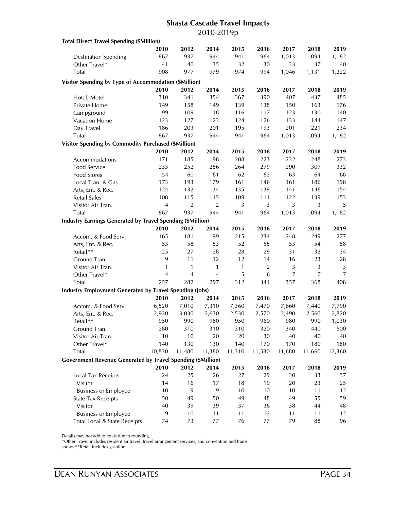### **Shasta Cascade Travel Impacts** 2010-2019p

| <b>Total Direct Travel Spending (\$Million)</b>                    |                |                |                |          |                |                |                |                |
|--------------------------------------------------------------------|----------------|----------------|----------------|----------|----------------|----------------|----------------|----------------|
|                                                                    | 2010           | 2012           | 2014           | 2015     | 2016           | 2017           | 2018           | 2019           |
| <b>Destination Spending</b>                                        | 867            | 937            | 944            | 941      | 964            | 1,013          | 1,094          | 1,182          |
| Other Travel*                                                      | 41             | 40             | 35             | 32       | 30             | 33             | 37             | 40             |
| Total                                                              | 908            | 977            | 979            | 974      | 994            | 1,046          | 1,131          | 1,222          |
| Visitor Spending by Type of Accommodation (\$Million)              |                |                |                |          |                |                |                |                |
|                                                                    | 2010           | 2012           | 2014           | 2015     | 2016           | 2017           | 2018           | 2019           |
| Hotel, Motel                                                       | 310            | 341            | 354            | 367      | 390            | 407            | 437            | 485            |
| Private Home                                                       | 149            | 158            | 149            | 139      | 138            | 150            | 163            | 176            |
|                                                                    | 99             | 109            | 118            | 116      | 117            | 123            | 130            | 140            |
| Campground                                                         | 123            | 127            | 123            | 124      | 126            | 133            | 144            | 147            |
| Vacation Home                                                      |                | 203            |                |          | 193            |                |                |                |
| Day Travel<br>Total                                                | 186<br>867     | 937            | 201            | 195      |                | 201            | 221            | 234            |
|                                                                    |                |                | 944            | 941      | 964            | 1,013          | 1,094          | 1,182          |
| <b>Visitor Spending by Commodity Purchased (\$Million)</b>         |                |                |                |          |                |                |                |                |
|                                                                    | 2010           | 2012           | 2014           | 2015     | 2016           | 2017           | 2018           | 2019           |
| Accommodations                                                     | 171            | 185            | 198            | 208      | 223            | 232            | 248            | 273            |
| <b>Food Service</b>                                                | 233            | 252            | 256            | 264      | 279            | 290            | 307            | 332            |
| <b>Food Stores</b>                                                 | 54             | 60             | 61             | 62       | 62             | 63             | 64             | 68             |
| Local Tran. & Gas                                                  | 173            | 193            | 179            | 161      | 146            | 161            | 186            | 198            |
| Arts, Ent. & Rec.                                                  | 124            | 132            | 134            | 135      | 139            | 141            | 146            | 154            |
| <b>Retail Sales</b>                                                | 108            | 115            | 115            | 109      | 111            | 122            | 139            | 153            |
| Visitor Air Tran.                                                  | $\overline{4}$ | $\sqrt{2}$     | $\overline{2}$ | 3        | $\mathfrak{Z}$ | 3              | 3              | 5              |
| <b>Total</b>                                                       | 867            | 937            | 944            | 941      | 964            | 1,013          | 1,094          | 1,182          |
| <b>Industry Earnings Generated by Travel Spending (\$Million)</b>  |                |                |                |          |                |                |                |                |
|                                                                    | 2010           | 2012           | 2014           | 2015     | 2016           | 2017           | 2018           | 2019           |
| Accom. & Food Serv.                                                | 165            | 181            | 199            | 215      | 234            | 248            | 249            | 277            |
| Arts, Ent. & Rec.                                                  | 53             | 58             | 53             | 52       | 55             | 53             | 54             | 58             |
| Retail**                                                           | 25             | 27             | 28             | 28       | 29             | 31             | 32             | 34             |
| Ground Tran.                                                       | 9              | 11             | 12             | 12       | 14             | 16             | 23             | 28             |
| Visitor Air Tran.                                                  | 1              | $\mathbf{1}$   | 1              | 1        | $\overline{2}$ | $\mathfrak{Z}$ | $\mathfrak{Z}$ | 3              |
| Other Travel*                                                      | 4              | $\overline{4}$ | $\overline{4}$ | 5        | 6              | 7              | $\overline{7}$ | $\overline{7}$ |
| Total                                                              | 257            | 282            | 297            | 312      | 341            | 357            | 368            | 408            |
| <b>Industry Employment Generated by Travel Spending (Jobs)</b>     |                |                |                |          |                |                |                |                |
|                                                                    | 2010           | 2012           | 2014           | 2015     | 2016           | 2017           | 2018           | 2019           |
| Accom. & Food Serv.                                                | 6,520          | 7,010          | 7,310          | 7,360    | 7,470          | 7,660          | 7,440          | 7,790          |
| Arts, Ent. & Rec.                                                  | 2,920          | 3,030          | 2,630          | 2,530    | 2,570          | 2,490          | 2,560          | 2,820          |
| Retail**                                                           | 950            | 990            | 980            | 950      | 960            | 980            | 990            | 1,030          |
| Ground Tran.                                                       | 280            | 310            | 310            | 310      | 320            | 340            | 440            | 500            |
| Visitor Air Tran.                                                  | 10             | 10             | 20             | 20       | 30             | 40             | 40             | 40             |
| Other Travel*                                                      | 140            | 130            | 130            | 140      | 170            | 170            | 180            | 180            |
| Total                                                              | 10,830         | 11,480         | 11,380         | 11,310   | 11,530         | 11,680         | 11,660         | 12,360         |
| <b>Government Revenue Generated by Travel Spending (\$Million)</b> |                |                |                |          |                |                |                |                |
|                                                                    | 2010           | 2012           | 2014           | 2015     | 2016           | 2017           | 2018           | 2019           |
| Local Tax Receipts                                                 | 24             | 25             | 26             | 27       | 29             | 30             | 33             | 37             |
| Visitor                                                            | 14             | 16             | 17             | 18       | 19             | 20             | 23             | 25             |
| <b>Business or Employee</b>                                        |                |                |                |          |                |                |                |                |
| <b>State Tax Receipts</b>                                          | 10<br>50       | 9<br>49        | 9<br>50        | 10<br>49 | 10<br>48       | 10<br>49       | 11<br>55       | 12<br>59       |
| Visitor                                                            | 40             | 39             | 39             | 37       | 36             | 38             | 44             | 48             |
|                                                                    | 9              | $10$           | 11             | 11       | 12             | 11             | 11             | 12             |
| <b>Business or Employee</b>                                        |                |                |                |          |                |                |                |                |
| Total Local & State Receipts                                       | 74             | 73             | 77             | 76       | 77             | 79             | 88             | 96             |

Details may not add to totals due to rounding.

\*Other Travel includes resident air travel, travel arrangement services, and convention and trade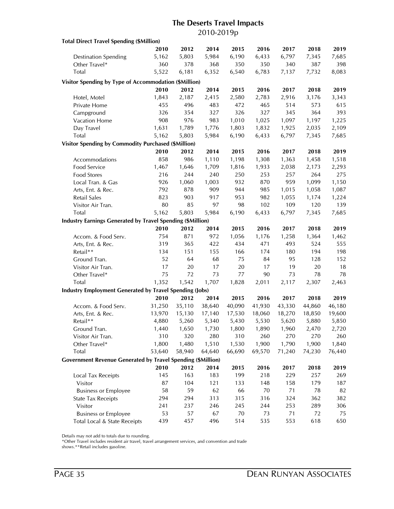### **The Deserts Travel Impacts** 2010-2019p

| <b>Total Direct Travel Spending (\$Million)</b>                    |        |        |        |        |        |        |        |        |
|--------------------------------------------------------------------|--------|--------|--------|--------|--------|--------|--------|--------|
|                                                                    | 2010   | 2012   | 2014   | 2015   | 2016   | 2017   | 2018   | 2019   |
| <b>Destination Spending</b>                                        | 5,162  | 5,803  | 5,984  | 6,190  | 6,433  | 6,797  | 7,345  | 7,685  |
| Other Travel*                                                      | 360    | 378    | 368    | 350    | 350    | 340    | 387    | 398    |
| Total                                                              | 5,522  | 6,181  | 6,352  | 6,540  | 6,783  | 7,137  | 7,732  | 8,083  |
| Visitor Spending by Type of Accommodation (\$Million)              |        |        |        |        |        |        |        |        |
|                                                                    | 2010   | 2012   | 2014   | 2015   | 2016   | 2017   | 2018   | 2019   |
| Hotel, Motel                                                       | 1,843  | 2,187  | 2,415  | 2,580  | 2,783  | 2,916  | 3,176  | 3,343  |
| Private Home                                                       | 455    | 496    | 483    | 472    | 465    | 514    | 573    | 615    |
| Campground                                                         | 326    | 354    | 327    | 326    | 327    | 345    | 364    | 393    |
| Vacation Home                                                      | 908    | 976    | 983    | 1,010  | 1,025  | 1,097  | 1,197  | 1,225  |
| Day Travel                                                         | 1,631  | 1,789  |        | 1,803  | 1,832  |        |        | 2,109  |
| Total                                                              |        |        | 1,776  |        |        | 1,925  | 2,035  |        |
|                                                                    | 5,162  | 5,803  | 5,984  | 6,190  | 6,433  | 6,797  | 7,345  | 7,685  |
| Visitor Spending by Commodity Purchased (\$Million)                |        |        |        |        |        |        |        |        |
|                                                                    | 2010   | 2012   | 2014   | 2015   | 2016   | 2017   | 2018   | 2019   |
| Accommodations                                                     | 858    | 986    | 1,110  | 1,198  | 1,308  | 1,363  | 1,458  | 1,518  |
| Food Service                                                       | 1,467  | 1,646  | 1,709  | 1,816  | 1,933  | 2,038  | 2,173  | 2,293  |
| Food Stores                                                        | 216    | 244    | 240    | 250    | 253    | 257    | 264    | 275    |
| Local Tran. & Gas                                                  | 926    | 1,060  | 1,003  | 932    | 870    | 959    | 1,099  | 1,150  |
| Arts, Ent. & Rec.                                                  | 792    | 878    | 909    | 944    | 985    | 1,015  | 1,058  | 1,087  |
| <b>Retail Sales</b>                                                | 823    | 903    | 917    | 953    | 982    | 1,055  | 1,174  | 1,224  |
| Visitor Air Tran.                                                  | 80     | 85     | 97     | 98     | 102    | 109    | 120    | 139    |
| Total                                                              | 5,162  | 5,803  | 5,984  | 6,190  | 6,433  | 6,797  | 7,345  | 7,685  |
| <b>Industry Earnings Generated by Travel Spending (\$Million)</b>  |        |        |        |        |        |        |        |        |
|                                                                    | 2010   | 2012   | 2014   | 2015   | 2016   | 2017   | 2018   | 2019   |
| Accom. & Food Serv.                                                | 754    | 871    | 972    | 1,056  | 1,176  | 1,258  | 1,364  | 1,462  |
| Arts, Ent. & Rec.                                                  | 319    | 365    | 422    | 434    | 471    | 493    | 524    | 555    |
| Retail**                                                           | 134    | 151    | 155    | 166    | 174    | 180    | 194    | 198    |
| Ground Tran.                                                       | 52     | 64     | 68     | 75     | 84     | 95     | 128    | 152    |
| Visitor Air Tran.                                                  | 17     | 20     | 17     | 20     | 17     | 19     | 20     | 18     |
| Other Travel*                                                      | 75     | 72     | 73     | 77     | 90     | 73     | 78     | 78     |
| Total                                                              | 1,352  | 1,542  | 1,707  | 1,828  | 2,011  | 2,117  | 2,307  | 2,463  |
| <b>Industry Employment Generated by Travel Spending (Jobs)</b>     |        |        |        |        |        |        |        |        |
|                                                                    | 2010   | 2012   | 2014   | 2015   | 2016   | 2017   | 2018   | 2019   |
| Accom. & Food Serv.                                                | 31,250 | 35,110 | 38,640 | 40,090 | 41,930 | 43,330 | 44,860 | 46,180 |
| Arts, Ent. & Rec.                                                  | 13,970 | 15,130 | 17,140 | 17,530 | 18,060 | 18,270 | 18,850 | 19,600 |
| Retail**                                                           | 4,880  | 5,260  | 5,340  | 5,430  | 5,530  | 5,620  | 5,880  | 5,850  |
| Ground Tran.                                                       | 1,440  | 1,650  | 1,730  | 1,800  | 1,890  | 1,960  | 2,470  | 2,720  |
| Visitor Air Tran.                                                  | 310    | 320    | 280    | 310    | 260    | 270    | 270    | 260    |
| Other Travel*                                                      | 1,800  | 1,480  | 1,510  | 1,530  | 1,900  | 1,790  | 1,900  | 1,840  |
| Total                                                              | 53,640 | 58,940 | 64,640 | 66,690 | 69,570 | 71,240 | 74,230 | 76,440 |
| <b>Government Revenue Generated by Travel Spending (\$Million)</b> |        |        |        |        |        |        |        |        |
|                                                                    | 2010   | 2012   | 2014   | 2015   | 2016   | 2017   | 2018   | 2019   |
| Local Tax Receipts                                                 | 145    | 163    | 183    | 199    | 218    | 229    | 257    | 269    |
| Visitor                                                            | 87     | 104    | 121    | 133    | 148    | 158    | 179    | 187    |
| <b>Business or Employee</b>                                        | 58     | 59     | 62     | 66     | 70     | 71     | 78     | 82     |
| <b>State Tax Receipts</b>                                          | 294    | 294    | 313    | 315    | 316    | 324    | 362    | 382    |
| Visitor                                                            | 241    | 237    | 246    | 245    | 244    | 253    | 289    | 306    |
| <b>Business or Employee</b>                                        | 53     | 57     | 67     | 70     | 73     | 71     | 72     | 75     |
| Total Local & State Receipts                                       | 439    | 457    | 496    | 514    | 535    | 553    | 618    | 650    |
|                                                                    |        |        |        |        |        |        |        |        |

Details may not add to totals due to rounding.

\*Other Travel includes resident air travel, travel arrangement services, and convention and trade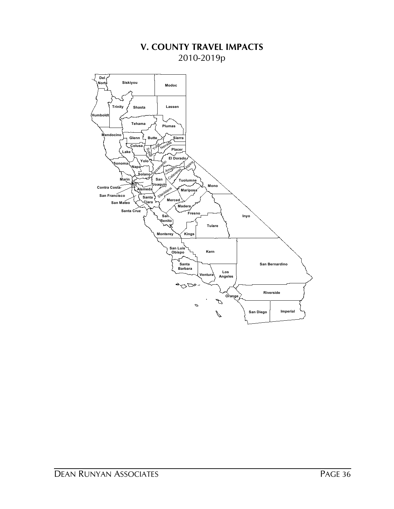# **V. COUNTY TRAVEL IMPACTS** 2010-2019p

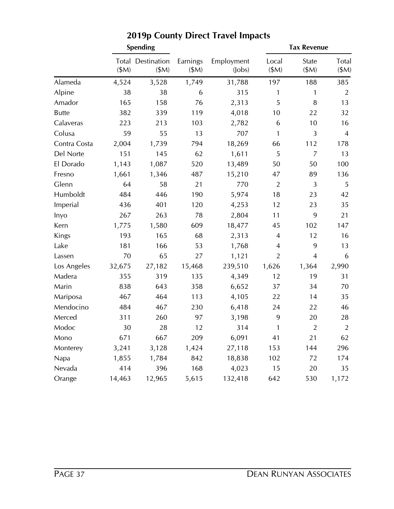|              |        | <b>Spending</b>                   |                  |                            |                | <b>Tax Revenue</b> |                      |
|--------------|--------|-----------------------------------|------------------|----------------------------|----------------|--------------------|----------------------|
|              | \$M\$  | <b>Total Destination</b><br>\$M\$ | Earnings<br>\$M) | Employment<br>$($ lobs $)$ | Local<br>\$M\$ | State<br>\$M\$     | <b>Total</b><br>\$M) |
| Alameda      | 4,524  | 3,528                             | 1,749            | 31,788                     | 197            | 188                | 385                  |
| Alpine       | 38     | 38                                | 6                | 315                        | 1              | 1                  | $\overline{2}$       |
| Amador       | 165    | 158                               | 76               | 2,313                      | 5              | 8                  | 13                   |
| <b>Butte</b> | 382    | 339                               | 119              | 4,018                      | 10             | 22                 | 32                   |
| Calaveras    | 223    | 213                               | 103              | 2,782                      | 6              | 10                 | 16                   |
| Colusa       | 59     | 55                                | 13               | 707                        | $\mathbf{1}$   | 3                  | $\overline{4}$       |
| Contra Costa | 2,004  | 1,739                             | 794              | 18,269                     | 66             | 112                | 178                  |
| Del Norte    | 151    | 145                               | 62               | 1,611                      | 5              | 7                  | 13                   |
| El Dorado    | 1,143  | 1,087                             | 520              | 13,489                     | 50             | 50                 | 100                  |
| Fresno       | 1,661  | 1,346                             | 487              | 15,210                     | 47             | 89                 | 136                  |
| Glenn        | 64     | 58                                | 21               | 770                        | $\overline{2}$ | 3                  | 5                    |
| Humboldt     | 484    | 446                               | 190              | 5,974                      | 18             | 23                 | 42                   |
| Imperial     | 436    | 401                               | 120              | 4,253                      | 12             | 23                 | 35                   |
| Inyo         | 267    | 263                               | 78               | 2,804                      | 11             | 9                  | 21                   |
| Kern         | 1,775  | 1,580                             | 609              | 18,477                     | 45             | 102                | 147                  |
| Kings        | 193    | 165                               | 68               | 2,313                      | 4              | 12                 | 16                   |
| Lake         | 181    | 166                               | 53               | 1,768                      | 4              | 9                  | 13                   |
| Lassen       | 70     | 65                                | 27               | 1,121                      | $\overline{2}$ | $\overline{4}$     | 6                    |
| Los Angeles  | 32,675 | 27,182                            | 15,468           | 239,510                    | 1,626          | 1,364              | 2,990                |
| Madera       | 355    | 319                               | 135              | 4,349                      | 12             | 19                 | 31                   |
| Marin        | 838    | 643                               | 358              | 6,652                      | 37             | 34                 | 70                   |
| Mariposa     | 467    | 464                               | 113              | 4,105                      | 22             | 14                 | 35                   |
| Mendocino    | 484    | 467                               | 230              | 6,418                      | 24             | 22                 | 46                   |
| Merced       | 311    | 260                               | 97               | 3,198                      | 9              | 20                 | 28                   |
| Modoc        | 30     | 28                                | 12               | 314                        | 1              | $\overline{2}$     | $\overline{2}$       |
| Mono         | 671    | 667                               | 209              | 6,091                      | 41             | 21                 | 62                   |
| Monterey     | 3,241  | 3,128                             | 1,424            | 27,118                     | 153            | 144                | 296                  |
| Napa         | 1,855  | 1,784                             | 842              | 18,838                     | 102            | 72                 | 174                  |
| Nevada       | 414    | 396                               | 168              | 4,023                      | 15             | 20                 | 35                   |
| Orange       | 14,463 | 12,965                            | 5,615            | 132,418                    | 642            | 530                | 1,172                |

# **2019p County Direct Travel Impacts**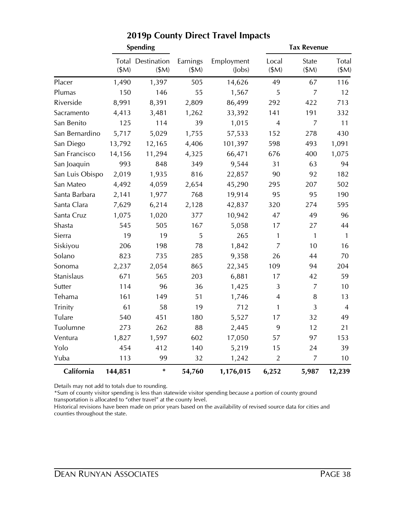|                 |         | <b>Spending</b>                  |                   |                            | <b>Tax Revenue</b> |                |               |  |
|-----------------|---------|----------------------------------|-------------------|----------------------------|--------------------|----------------|---------------|--|
|                 | \$M)    | <b>Total Destination</b><br>\$M) | Earnings<br>\$M\$ | Employment<br>$($ lobs $)$ | Local<br>\$M\$     | State<br>\$M)  | Total<br>\$M) |  |
| Placer          | 1,490   | 1,397                            | 505               | 14,626                     | 49                 | 67             | 116           |  |
| Plumas          | 150     | 146                              | 55                | 1,567                      | 5                  | $\overline{7}$ | 12            |  |
| Riverside       | 8,991   | 8,391                            | 2,809             | 86,499                     | 292                | 422            | 713           |  |
| Sacramento      | 4,413   | 3,481                            | 1,262             | 33,392                     | 141                | 191            | 332           |  |
| San Benito      | 125     | 114                              | 39                | 1,015                      | $\overline{4}$     | $\overline{7}$ | 11            |  |
| San Bernardino  | 5,717   | 5,029                            | 1,755             | 57,533                     | 152                | 278            | 430           |  |
| San Diego       | 13,792  | 12,165                           | 4,406             | 101,397                    | 598                | 493            | 1,091         |  |
| San Francisco   | 14,156  | 11,294                           | 4,325             | 66,471                     | 676                | 400            | 1,075         |  |
| San Joaquin     | 993     | 848                              | 349               | 9,544                      | 31                 | 63             | 94            |  |
| San Luis Obispo | 2,019   | 1,935                            | 816               | 22,857                     | 90                 | 92             | 182           |  |
| San Mateo       | 4,492   | 4,059                            | 2,654             | 45,290                     | 295                | 207            | 502           |  |
| Santa Barbara   | 2,141   | 1,977                            | 768               | 19,914                     | 95                 | 95             | 190           |  |
| Santa Clara     | 7,629   | 6,214                            | 2,128             | 42,837                     | 320                | 274            | 595           |  |
| Santa Cruz      | 1,075   | 1,020                            | 377               | 10,942                     | 47                 | 49             | 96            |  |
| Shasta          | 545     | 505                              | 167               | 5,058                      | 17                 | 27             | 44            |  |
| Sierra          | 19      | 19                               | 5                 | 265                        | 1                  | $\mathbf{1}$   | $\mathbf{1}$  |  |
| Siskiyou        | 206     | 198                              | 78                | 1,842                      | $\overline{7}$     | 10             | 16            |  |
| Solano          | 823     | 735                              | 285               | 9,358                      | 26                 | 44             | 70            |  |
| Sonoma          | 2,237   | 2,054                            | 865               | 22,345                     | 109                | 94             | 204           |  |
| Stanislaus      | 671     | 565                              | 203               | 6,881                      | 17                 | 42             | 59            |  |
| Sutter          | 114     | 96                               | 36                | 1,425                      | 3                  | $\overline{7}$ | 10            |  |
| Tehama          | 161     | 149                              | 51                | 1,746                      | $\overline{4}$     | 8              | 13            |  |
| Trinity         | 61      | 58                               | 19                | 712                        | 1                  | 3              | 4             |  |
| Tulare          | 540     | 451                              | 180               | 5,527                      | 17                 | 32             | 49            |  |
| Tuolumne        | 273     | 262                              | 88                | 2,445                      | 9                  | 12             | 21            |  |
| Ventura         | 1,827   | 1,597                            | 602               | 17,050                     | 57                 | 97             | 153           |  |
| Yolo            | 454     | 412                              | 140               | 5,219                      | 15                 | 24             | 39            |  |
| Yuba            | 113     | 99                               | 32                | 1,242                      | $\overline{2}$     | $\overline{7}$ | 10            |  |
| California      | 144,851 | $\ast$                           | 54,760            | 1,176,015                  | 6,252              | 5,987          | 12,239        |  |

# **2019p County Direct Travel Impacts**

Details may not add to totals due to rounding.

\*Sum of county visitor spending is less than statewide visitor spending because a portion of county ground transportation is allocated to "other travel" at the county level.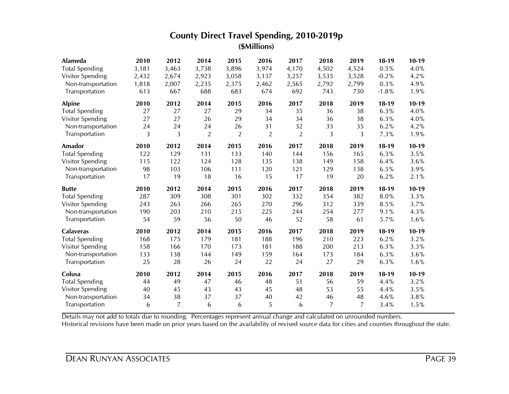| Alameda               | 2010  | 2012                 | 2014           | 2015           | 2016           | 2017           | 2018  | 2019  | $18-19$ | $10-19$ |
|-----------------------|-------|----------------------|----------------|----------------|----------------|----------------|-------|-------|---------|---------|
| <b>Total Spending</b> | 3,181 | 3,463                | 3,738          | 3,896          | 3,974          | 4,170          | 4,502 | 4,524 | 0.5%    | 4.0%    |
| Visitor Spending      | 2,432 | 2,674                | 2,923          | 3,058          | 3,137          | 3,257          | 3,535 | 3,528 | $-0.2%$ | 4.2%    |
| Non-transportation    | 1,818 | 2,007                | 2,235          | 2,375          | 2,462          | 2,565          | 2,792 | 2,799 | 0.3%    | 4.9%    |
| Transportation        | 613   | 667                  | 688            | 683            | 674            | 692            | 743   | 730   | $-1.8%$ | 1.9%    |
| <b>Alpine</b>         | 2010  | 2012                 | 2014           | 2015           | 2016           | 2017           | 2018  | 2019  | $18-19$ | $10-19$ |
| <b>Total Spending</b> | 27    | 27                   | 27             | 29             | 34             | 35             | 36    | 38    | 6.3%    | 4.0%    |
| Visitor Spending      | 27    | 27                   | 26             | 29             | 34             | 34             | 36    | 38    | 6.3%    | 4.0%    |
| Non-transportation    | 24    | 24                   | 24             | 26             | 31             | 32             | 33    | 35    | 6.2%    | 4.2%    |
| Transportation        | 3     | 3                    | $\overline{2}$ | $\overline{2}$ | $\overline{2}$ | $\overline{2}$ | 3     | 3     | 7.3%    | 1.9%    |
| <b>Amador</b>         | 2010  | 2012                 | 2014           | 2015           | 2016           | 2017           | 2018  | 2019  | $18-19$ | $10-19$ |
| <b>Total Spending</b> | 122   | 129                  | 131            | 133            | 140            | 144            | 156   | 165   | 6.3%    | 3.5%    |
| Visitor Spending      | 115   | 122                  | 124            | 128            | 135            | 138            | 149   | 158   | 6.4%    | 3.6%    |
| Non-transportation    | 98    | 103                  | 106            | 111            | 120            | 121            | 129   | 138   | 6.5%    | 3.9%    |
| Transportation        | 17    | 19                   | 18             | 16             | 15             | 17             | 19    | 20    | 6.2%    | 2.1%    |
| <b>Butte</b>          | 2010  | 2012                 | 2014           | 2015           | 2016           | 2017           | 2018  | 2019  | $18-19$ | $10-19$ |
| <b>Total Spending</b> | 287   | 309                  | 308            | 301            | 302            | 332            | 354   | 382   | 8.0%    | 3.3%    |
|                       |       |                      |                |                |                |                | 312   |       |         |         |
| Visitor Spending      | 243   | 263                  | 266            | 265            | 270            | 296            |       | 339   | 8.5%    | 3.7%    |
| Non-transportation    | 190   | 203                  | 210            | 215            | 225            | 244            | 254   | 277   | 9.1%    | 4.3%    |
| Transportation        | 54    | 59                   | 56             | 50             | 46             | 52             | 58    | 61    | 5.7%    | 1.6%    |
| <b>Calaveras</b>      | 2010  | 2012                 | 2014           | 2015           | 2016           | 2017           | 2018  | 2019  | $18-19$ | $10-19$ |
| <b>Total Spending</b> | 168   | 175                  | 179            | 181            | 188            | 196            | 210   | 223   | 6.2%    | 3.2%    |
| Visitor Spending      | 158   | 166                  | 170            | 173            | 181            | 188            | 200   | 213   | 6.3%    | 3.3%    |
| Non-transportation    | 133   | 138                  | 144            | 149            | 159            | 164            | 173   | 184   | 6.3%    | 3.6%    |
| Transportation        | 25    | 28                   | 26             | 24             | 22             | 24             | 27    | 29    | 6.3%    | 1.6%    |
| Colusa                | 2010  | 2012                 | 2014           | 2015           | 2016           | 2017           | 2018  | 2019  | $18-19$ | $10-19$ |
| <b>Total Spending</b> | 44    | 49                   | 47             | 46             | 48             | 51             | 56    | 59    | 4.4%    | 3.2%    |
| Visitor Spending      | 40    | 45                   | 43             | 43             | 45             | 48             | 53    | 55    | 4.4%    | 3.5%    |
| Non-transportation    | 34    | 38<br>$\overline{7}$ | 37             | 37             | 40             | 42             | 46    | 48    | 4.6%    | 3.8%    |

Details may not add to totals due to rounding. Percentages represent annual change and calculated on unrounded numbers.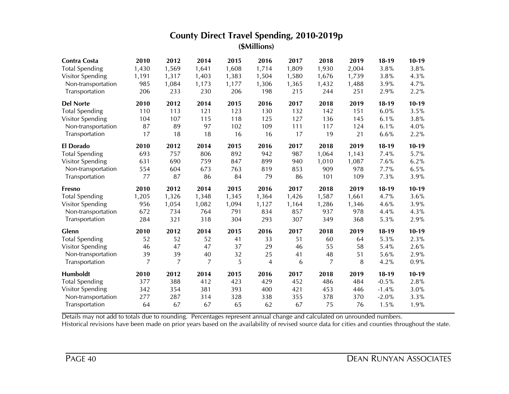| <b>Contra Costa</b>   | 2010           | 2012           | 2014           | 2015      | 2016           | 2017      | 2018           | 2019  | $18-19$         | $10-19$      |
|-----------------------|----------------|----------------|----------------|-----------|----------------|-----------|----------------|-------|-----------------|--------------|
| <b>Total Spending</b> | 1,430          | 1,569          | 1,641          | 1,608     | 1,714          | 1,809     | 1,930          | 2,004 | 3.8%            | 3.8%         |
| Visitor Spending      | 1,191          | 1,317          | 1,403          | 1,383     | 1,504          | 1,580     | 1,676          | 1,739 | 3.8%            | 4.3%         |
| Non-transportation    | 985            | 1,084          | 1,173          | 1,177     | 1,306          | 1,365     | 1,432          | 1,488 | 3.9%            | 4.7%         |
| Transportation        | 206            | 233            | 230            | 206       | 198            | 215       | 244            | 251   | 2.9%            | 2.2%         |
| <b>Del Norte</b>      | 2010           | 2012           | 2014           | 2015      | 2016           | 2017      | 2018           | 2019  | $18-19$         | $10-19$      |
| <b>Total Spending</b> | 110            | 113            | 121            | 123       | 130            | 132       | 142            | 151   | 6.0%            | 3.5%         |
| Visitor Spending      | 104            | 107            | 115            | 118       | 125            | 127       | 136            | 145   | 6.1%            | 3.8%         |
| Non-transportation    | 87             | 89             | 97             | 102       | 109            | 111       | 117            | 124   | 6.1%            | 4.0%         |
| Transportation        | 17             | 18             | 18             | 16        | 16             | 17        | 19             | 21    | 6.6%            | 2.2%         |
| <b>El Dorado</b>      | 2010           | 2012           | 2014           | 2015      | 2016           | 2017      | 2018           | 2019  | $18-19$         | $10-19$      |
| <b>Total Spending</b> | 693            | 757            | 806            | 892       | 942            | 987       | 1,064          | 1,143 | 7.4%            | 5.7%         |
| Visitor Spending      | 631            | 690            | 759            | 847       | 899            | 940       | 1,010          | 1,087 | 7.6%            | 6.2%         |
| Non-transportation    | 554            | 604            | 673            | 763       | 819            | 853       | 909            | 978   | 7.7%            | 6.5%         |
| Transportation        | 77             | 87             | 86             | 84        | 79             | 86        | 101            | 109   | 7.3%            | 3.9%         |
| <b>Fresno</b>         | 2010           | 2012           | 2014           | 2015      | 2016           | 2017      | 2018           | 2019  | $18-19$         | $10-19$      |
|                       |                |                |                |           |                |           |                |       |                 |              |
| <b>Total Spending</b> | 1,205          | 1,326          | 1,348          | 1,345     | 1,364          | 1,426     | 1,587          | 1,661 | 4.7%            | 3.6%         |
| Visitor Spending      | 956            | 1,054          | 1,082          | 1,094     | 1,127          | 1,164     | 1,286          | 1,346 | 4.6%            | 3.9%         |
| Non-transportation    | 672            | 734            | 764            | 791       | 834            | 857       | 937            | 978   | 4.4%            | 4.3%         |
| Transportation        | 284            | 321            | 318            | 304       | 293            | 307       | 349            | 368   | 5.3%            | 2.9%         |
| Glenn                 | 2010           | 2012           | 2014           | 2015      | 2016           | 2017      | 2018           | 2019  | $18-19$         | $10-19$      |
| <b>Total Spending</b> | 52             | 52             | 52             | 41        | 33             | 51        | 60             | 64    | 5.3%            | 2.3%         |
| Visitor Spending      | 46             | 47             | 47             | 37        | 29             | 46        | 55             | 58    | 5.4%            | 2.6%         |
| Non-transportation    | 39             | 39             | 40             | 32        | 25             | 41        | 48             | 51    | 5.6%            | 2.9%         |
| Transportation        | $\overline{z}$ | $\overline{7}$ | $\overline{7}$ | 5         | $\overline{4}$ | 6         | $\overline{7}$ | 8     | 4.2%            | 0.9%         |
| Humboldt              | 2010           | 2012           | 2014           | 2015      | 2016           | 2017      | 2018           | 2019  | $18-19$         | $10-19$      |
| <b>Total Spending</b> | 377            | 388            | 412            | 423       | 429            | 452       | 486            | 484   | $-0.5%$         | 2.8%         |
| Visitor Spending      | 342            | 354            | 381            | 393       | 400            | 421       | 453            | 446   | $-1.4%$         | 3.0%         |
| Non-transportation    | 277<br>64      | 287<br>67      | 314<br>67      | 328<br>65 | 338<br>62      | 355<br>67 | 378<br>75      | 370   | $-2.0%$<br>1.5% | 3.3%<br>1.9% |

Details may not add to totals due to rounding. Percentages represent annual change and calculated on unrounded numbers.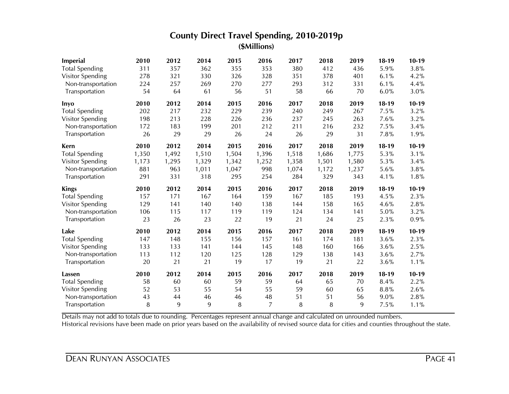| <b>Imperial</b>         | 2010  | 2012  | 2014  | 2015  | 2016  | 2017  | 2018  | 2019  | $18-19$ | $10-19$ |
|-------------------------|-------|-------|-------|-------|-------|-------|-------|-------|---------|---------|
| <b>Total Spending</b>   | 311   | 357   | 362   | 355   | 353   | 380   | 412   | 436   | 5.9%    | 3.8%    |
| Visitor Spending        | 278   | 321   | 330   | 326   | 328   | 351   | 378   | 401   | 6.1%    | 4.2%    |
| Non-transportation      | 224   | 257   | 269   | 270   | 277   | 293   | 312   | 331   | 6.1%    | 4.4%    |
| Transportation          | 54    | 64    | 61    | 56    | 51    | 58    | 66    | 70    | 6.0%    | 3.0%    |
| Inyo                    | 2010  | 2012  | 2014  | 2015  | 2016  | 2017  | 2018  | 2019  | $18-19$ | $10-19$ |
| <b>Total Spending</b>   | 202   | 217   | 232   | 229   | 239   | 240   | 249   | 267   | 7.5%    | 3.2%    |
| Visitor Spending        | 198   | 213   | 228   | 226   | 236   | 237   | 245   | 263   | 7.6%    | 3.2%    |
| Non-transportation      | 172   | 183   | 199   | 201   | 212   | 211   | 216   | 232   | 7.5%    | 3.4%    |
| Transportation          | 26    | 29    | 29    | 26    | 24    | 26    | 29    | 31    | 7.8%    | 1.9%    |
| Kern                    | 2010  | 2012  | 2014  | 2015  | 2016  | 2017  | 2018  | 2019  | $18-19$ | $10-19$ |
| <b>Total Spending</b>   | 1,350 | 1,492 | 1,510 | 1,504 | 1,396 | 1,518 | 1,686 | 1,775 | 5.3%    | 3.1%    |
| Visitor Spending        | 1,173 | 1,295 | 1,329 | 1,342 | 1,252 | 1,358 | 1,501 | 1,580 | 5.3%    | 3.4%    |
| Non-transportation      | 881   | 963   | 1,011 | 1,047 | 998   | 1,074 | 1,172 | 1,237 | 5.6%    | 3.8%    |
| Transportation          | 291   | 331   | 318   | 295   | 254   | 284   | 329   | 343   | 4.1%    | 1.8%    |
|                         |       |       |       |       |       |       |       |       |         |         |
| <b>Kings</b>            | 2010  | 2012  | 2014  | 2015  | 2016  | 2017  | 2018  | 2019  | $18-19$ | $10-19$ |
| <b>Total Spending</b>   | 157   | 171   | 167   | 164   | 159   | 167   | 185   | 193   | 4.5%    | 2.3%    |
| Visitor Spending        | 129   | 141   | 140   | 140   | 138   | 144   | 158   | 165   | 4.6%    | 2.8%    |
| Non-transportation      | 106   | 115   | 117   | 119   | 119   | 124   | 134   | 141   | 5.0%    | 3.2%    |
| Transportation          | 23    | 26    | 23    | 22    | 19    | 21    | 24    | 25    | 2.3%    | 0.9%    |
| Lake                    | 2010  | 2012  | 2014  | 2015  | 2016  | 2017  | 2018  | 2019  | $18-19$ | $10-19$ |
| <b>Total Spending</b>   | 147   | 148   | 155   | 156   | 157   | 161   | 174   | 181   | 3.6%    | 2.3%    |
| <b>Visitor Spending</b> | 133   | 133   | 141   | 144   | 145   | 148   | 160   | 166   | 3.6%    | 2.5%    |
| Non-transportation      | 113   | 112   | 120   | 125   | 128   | 129   | 138   | 143   | 3.6%    | 2.7%    |
| Transportation          | 20    | 21    | 21    | 19    | 17    | 19    | 21    | 22    | 3.6%    | 1.1%    |
| Lassen                  | 2010  | 2012  | 2014  | 2015  | 2016  | 2017  | 2018  | 2019  | $18-19$ | $10-19$ |
| <b>Total Spending</b>   | 58    | 60    | 60    | 59    | 59    | 64    | 65    | 70    | 8.4%    | 2.2%    |
| Visitor Spending        | 52    | 53    | 55    | 54    | 55    | 59    | 60    | 65    | 8.8%    | 2.6%    |
| Non-transportation      | 43    | 44    | 46    | 46    | 48    | 51    | 51    | 56    | 9.0%    | 2.8%    |

Details may not add to totals due to rounding. Percentages represent annual change and calculated on unrounded numbers.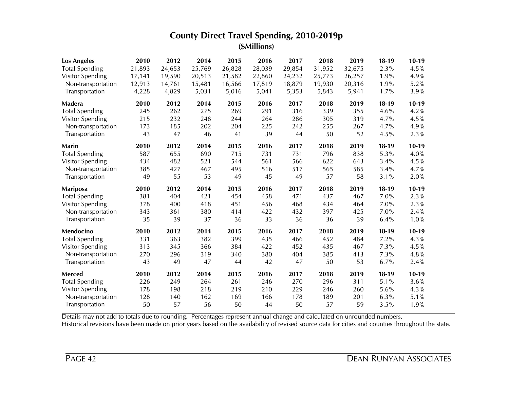| <b>Los Angeles</b>      | 2010      | 2012      | 2014   | 2015      | 2016   | 2017      | 2018      | 2019   | $18-19$ | $10-19$ |
|-------------------------|-----------|-----------|--------|-----------|--------|-----------|-----------|--------|---------|---------|
| <b>Total Spending</b>   | 21,893    | 24,653    | 25,769 | 26,828    | 28,039 | 29,854    | 31,952    | 32,675 | 2.3%    | 4.5%    |
| Visitor Spending        | 17,141    | 19,590    | 20,513 | 21,582    | 22,860 | 24,232    | 25,773    | 26,257 | 1.9%    | 4.9%    |
| Non-transportation      | 12,913    | 14,761    | 15,481 | 16,566    | 17,819 | 18,879    | 19,930    | 20,316 | 1.9%    | 5.2%    |
| Transportation          | 4,228     | 4,829     | 5,031  | 5,016     | 5,041  | 5,353     | 5,843     | 5,941  | 1.7%    | 3.9%    |
| Madera                  | 2010      | 2012      | 2014   | 2015      | 2016   | 2017      | 2018      | 2019   | $18-19$ | $10-19$ |
| <b>Total Spending</b>   | 245       | 262       | 275    | 269       | 291    | 316       | 339       | 355    | 4.6%    | 4.2%    |
| Visitor Spending        | 215       | 232       | 248    | 244       | 264    | 286       | 305       | 319    | 4.7%    | 4.5%    |
| Non-transportation      | 173       | 185       | 202    | 204       | 225    | 242       | 255       | 267    | 4.7%    | 4.9%    |
| Transportation          | 43        | 47        | 46     | 41        | 39     | 44        | 50        | 52     | 4.5%    | 2.3%    |
| Marin                   | 2010      | 2012      | 2014   | 2015      | 2016   | 2017      | 2018      | 2019   | $18-19$ | $10-19$ |
| <b>Total Spending</b>   | 587       | 655       | 690    | 715       | 731    | 731       | 796       | 838    | 5.3%    | 4.0%    |
| Visitor Spending        | 434       | 482       | 521    | 544       | 561    | 566       | 622       | 643    | 3.4%    | 4.5%    |
| Non-transportation      | 385       | 427       | 467    | 495       | 516    | 517       | 565       | 585    | 3.4%    | 4.7%    |
| Transportation          | 49        | 55        | 53     | 49        | 45     | 49        | 57        | 58     | 3.1%    | 2.0%    |
|                         |           |           |        |           |        |           |           |        |         |         |
| <b>Mariposa</b>         | 2010      | 2012      | 2014   | 2015      | 2016   | 2017      | 2018      | 2019   | $18-19$ | $10-19$ |
| <b>Total Spending</b>   | 381       | 404       | 421    | 454       | 458    | 471       | 437       | 467    | 7.0%    | 2.3%    |
| <b>Visitor Spending</b> | 378       | 400       | 418    | 451       | 456    | 468       | 434       | 464    | 7.0%    | 2.3%    |
| Non-transportation      | 343       | 361       | 380    | 414       | 422    | 432       | 397       | 425    | 7.0%    | 2.4%    |
| Transportation          | 35        | 39        | 37     | 36        | 33     | 36        | 36        | 39     | 6.4%    | 1.0%    |
| Mendocino               | 2010      | 2012      | 2014   | 2015      | 2016   | 2017      | 2018      | 2019   | $18-19$ | $10-19$ |
| <b>Total Spending</b>   | 331       | 363       | 382    | 399       | 435    | 466       | 452       | 484    | 7.2%    | 4.3%    |
| Visitor Spending        | 313       | 345       | 366    | 384       | 422    | 452       | 435       | 467    | 7.3%    | 4.5%    |
| Non-transportation      | 270       | 296       | 319    | 340       | 380    | 404       | 385       | 413    | 7.3%    | 4.8%    |
| Transportation          | 43        | 49        | 47     | 44        | 42     | 47        | 50        | 53     | 6.7%    | 2.4%    |
| Merced                  | 2010      | 2012      | 2014   | 2015      | 2016   | 2017      | 2018      | 2019   | $18-19$ | $10-19$ |
| <b>Total Spending</b>   | 226       | 249       | 264    | 261       | 246    | 270       | 296       | 311    | 5.1%    | 3.6%    |
| <b>Visitor Spending</b> | 178       | 198       | 218    | 219       | 210    | 229       | 246       | 260    | 5.6%    | 4.3%    |
| Non-transportation      | 128<br>50 | 140<br>57 | 162    | 169<br>50 | 166    | 178<br>50 | 189<br>57 | 201    | 6.3%    | 5.1%    |

Details may not add to totals due to rounding. Percentages represent annual change and calculated on unrounded numbers.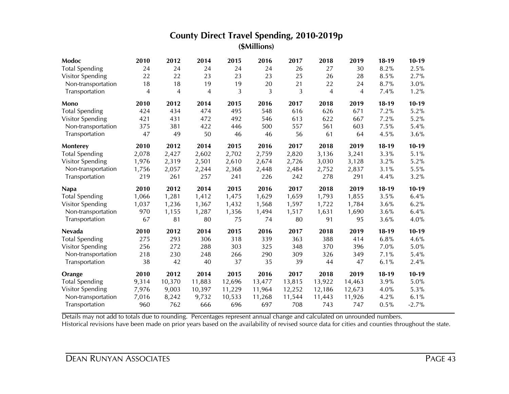| Modoc                   | 2010           | 2012         | 2014   | 2015   | 2016          | 2017   | 2018           | 2019           | $18-19$ | $10-19$         |
|-------------------------|----------------|--------------|--------|--------|---------------|--------|----------------|----------------|---------|-----------------|
| <b>Total Spending</b>   | 24             | 24           | 24     | 24     | 24            | 26     | 27             | 30             | 8.2%    | 2.5%            |
| <b>Visitor Spending</b> | 22             | 22           | 23     | 23     | 23            | 25     | 26             | 28             | 8.5%    | 2.7%            |
| Non-transportation      | 18             | 18           | 19     | 19     | 20            | 21     | 22             | 24             | 8.7%    | 3.0%            |
| Transportation          | $\overline{4}$ | 4            | 4      | 3      | 3             | 3      | $\overline{4}$ | $\overline{4}$ | 7.4%    | 1.2%            |
| Mono                    | 2010           | 2012         | 2014   | 2015   | 2016          | 2017   | 2018           | 2019           | $18-19$ | $10-19$         |
| <b>Total Spending</b>   | 424            | 434          | 474    | 495    | 548           | 616    | 626            | 671            | 7.2%    | 5.2%            |
| Visitor Spending        | 421            | 431          | 472    | 492    | 546           | 613    | 622            | 667            | 7.2%    | 5.2%            |
| Non-transportation      | 375            | 381          | 422    | 446    | 500           | 557    | 561            | 603            | 7.5%    | 5.4%            |
| Transportation          | 47             | 49           | 50     | 46     | 46            | 56     | 61             | 64             | 4.5%    | 3.6%            |
| Monterey                | 2010           | 2012         | 2014   | 2015   | 2016          | 2017   | 2018           | 2019           | $18-19$ | $10-19$         |
| <b>Total Spending</b>   | 2,078          | 2,427        | 2,602  | 2,702  | 2,759         | 2,820  | 3,136          | 3,241          | 3.3%    | 5.1%            |
| <b>Visitor Spending</b> | 1,976          | 2,319        | 2,501  | 2,610  | 2,674         | 2,726  | 3,030          | 3,128          | 3.2%    | 5.2%            |
| Non-transportation      | 1,756          | 2,057        | 2,244  | 2,368  | 2,448         | 2,484  | 2,752          | 2,837          | 3.1%    | 5.5%            |
| Transportation          | 219            | 261          | 257    | 241    | 226           | 242    | 278            | 291            | 4.4%    | 3.2%            |
|                         |                |              |        |        |               |        |                |                |         |                 |
| <b>Napa</b>             | 2010           | 2012         | 2014   | 2015   | 2016          | 2017   | 2018           | 2019           | $18-19$ | $10-19$         |
| <b>Total Spending</b>   | 1,066          | 1,281        | 1,412  | 1,475  | 1,629         | 1,659  | 1,793          | 1,855          | 3.5%    | 6.4%            |
| Visitor Spending        | 1,037          | 1,236        | 1,367  | 1,432  | 1,568         | 1,597  | 1,722          | 1,784          | 3.6%    | 6.2%            |
| Non-transportation      | 970            | 1,155        | 1,287  | 1,356  | 1,494         | 1,517  | 1,631          | 1,690          | 3.6%    | 6.4%            |
| Transportation          | 67             | 81           | 80     | 75     | 74            | 80     | 91             | 95             | 3.6%    | 4.0%            |
| <b>Nevada</b>           | 2010           | 2012         | 2014   | 2015   | 2016          | 2017   | 2018           | 2019           | $18-19$ | $10-19$         |
| <b>Total Spending</b>   | 275            | 293          | 306    | 318    | 339           | 363    | 388            | 414            | 6.8%    | 4.6%            |
| Visitor Spending        | 256            | 272          | 288    | 303    | 325           | 348    | 370            | 396            | 7.0%    | 5.0%            |
| Non-transportation      | 218            | 230          | 248    | 266    | 290           | 309    | 326            | 349            | 7.1%    | 5.4%            |
| Transportation          | 38             | 42           | 40     | 37     | 35            | 39     | 44             | 47             | 6.1%    | 2.4%            |
| Orange                  | 2010           | 2012         | 2014   | 2015   | 2016          | 2017   | 2018           | 2019           | $18-19$ | $10-19$         |
| <b>Total Spending</b>   | 9,314          | 10,370       | 11,883 | 12,696 | 13,477        | 13,815 | 13,922         | 14,463         | 3.9%    | 5.0%            |
| Visitor Spending        | 7,976          | 9,003        | 10,397 | 11,229 | 11,964        | 12,252 | 12,186         | 12,673         | 4.0%    | 5.3%            |
| Non-transportation      | 7,016<br>960   | 8,242<br>762 | 9,732  | 10,533 | 11,268<br>697 | 11,544 | 11,443         | 11,926         | 4.2%    | 6.1%<br>$-2.7%$ |

Details may not add to totals due to rounding. Percentages represent annual change and calculated on unrounded numbers.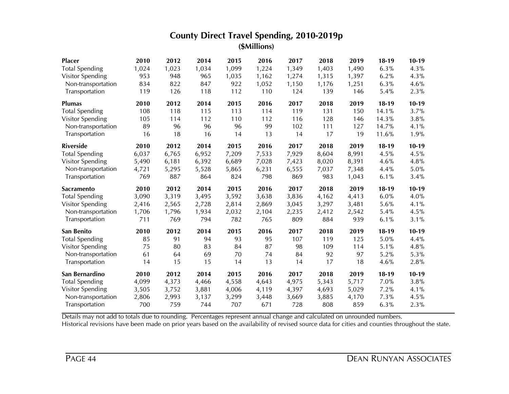| <b>Placer</b>           | 2010  | 2012  | 2014  | 2015  | 2016  | 2017  | 2018  | 2019  | $18-19$ | $10-19$ |
|-------------------------|-------|-------|-------|-------|-------|-------|-------|-------|---------|---------|
| <b>Total Spending</b>   | 1,024 | 1,023 | 1,034 | 1,099 | 1,224 | 1,349 | 1,403 | 1,490 | 6.3%    | 4.3%    |
| <b>Visitor Spending</b> | 953   | 948   | 965   | 1,035 | 1,162 | 1,274 | 1,315 | 1,397 | 6.2%    | 4.3%    |
| Non-transportation      | 834   | 822   | 847   | 922   | 1,052 | 1,150 | 1,176 | 1,251 | 6.3%    | 4.6%    |
| Transportation          | 119   | 126   | 118   | 112   | 110   | 124   | 139   | 146   | 5.4%    | 2.3%    |
| <b>Plumas</b>           | 2010  | 2012  | 2014  | 2015  | 2016  | 2017  | 2018  | 2019  | $18-19$ | $10-19$ |
| <b>Total Spending</b>   | 108   | 118   | 115   | 113   | 114   | 119   | 131   | 150   | 14.1%   | 3.7%    |
| Visitor Spending        | 105   | 114   | 112   | 110   | 112   | 116   | 128   | 146   | 14.3%   | 3.8%    |
| Non-transportation      | 89    | 96    | 96    | 96    | 99    | 102   | 111   | 127   | 14.7%   | 4.1%    |
| Transportation          | 16    | 18    | 16    | 14    | 13    | 14    | 17    | 19    | 11.6%   | 1.9%    |
| <b>Riverside</b>        | 2010  | 2012  | 2014  | 2015  | 2016  | 2017  | 2018  | 2019  | $18-19$ | $10-19$ |
| <b>Total Spending</b>   | 6,037 | 6,765 | 6,952 | 7,209 | 7,533 | 7,929 | 8,604 | 8,991 | 4.5%    | 4.5%    |
| Visitor Spending        | 5,490 | 6,181 | 6,392 | 6,689 | 7,028 | 7,423 | 8,020 | 8,391 | 4.6%    | 4.8%    |
| Non-transportation      | 4,721 | 5,295 | 5,528 | 5,865 | 6,231 | 6,555 | 7,037 | 7,348 | 4.4%    | 5.0%    |
| Transportation          | 769   | 887   | 864   | 824   | 798   | 869   | 983   | 1,043 | 6.1%    | 3.4%    |
| <b>Sacramento</b>       | 2010  | 2012  | 2014  | 2015  | 2016  | 2017  | 2018  | 2019  | $18-19$ | $10-19$ |
| <b>Total Spending</b>   | 3,090 | 3,319 | 3,495 | 3,592 | 3,638 | 3,836 | 4,162 | 4,413 | 6.0%    | 4.0%    |
| Visitor Spending        | 2,416 | 2,565 | 2,728 | 2,814 | 2,869 | 3,045 | 3,297 | 3,481 | 5.6%    | 4.1%    |
| Non-transportation      | 1,706 | 1,796 | 1,934 | 2,032 | 2,104 | 2,235 | 2,412 | 2,542 | 5.4%    | 4.5%    |
| Transportation          | 711   | 769   | 794   | 782   | 765   | 809   | 884   | 939   | 6.1%    | 3.1%    |
| San Benito              |       |       |       |       |       |       |       |       |         |         |
|                         | 2010  | 2012  | 2014  | 2015  | 2016  | 2017  | 2018  | 2019  | $18-19$ | $10-19$ |
| <b>Total Spending</b>   | 85    | 91    | 94    | 93    | 95    | 107   | 119   | 125   | 5.0%    | 4.4%    |
| Visitor Spending        | 75    | 80    | 83    | 84    | 87    | 98    | 109   | 114   | 5.1%    | 4.8%    |
| Non-transportation      | 61    | 64    | 69    | 70    | 74    | 84    | 92    | 97    | 5.2%    | 5.3%    |
| Transportation          | 14    | 15    | 15    | 14    | 13    | 14    | 17    | 18    | 4.6%    | 2.8%    |
| San Bernardino          | 2010  | 2012  | 2014  | 2015  | 2016  | 2017  | 2018  | 2019  | $18-19$ | $10-19$ |
| <b>Total Spending</b>   | 4,099 | 4,373 | 4,466 | 4,558 | 4,643 | 4,975 | 5,343 | 5,717 | 7.0%    | 3.8%    |
| Visitor Spending        | 3,505 | 3,752 | 3,881 | 4,006 | 4,119 | 4,397 | 4,693 | 5,029 | 7.2%    | 4.1%    |
| Non-transportation      | 2,806 | 2,993 | 3,137 | 3,299 | 3,448 | 3,669 | 3,885 | 4,170 | 7.3%    | 4.5%    |

Details may not add to totals due to rounding. Percentages represent annual change and calculated on unrounded numbers.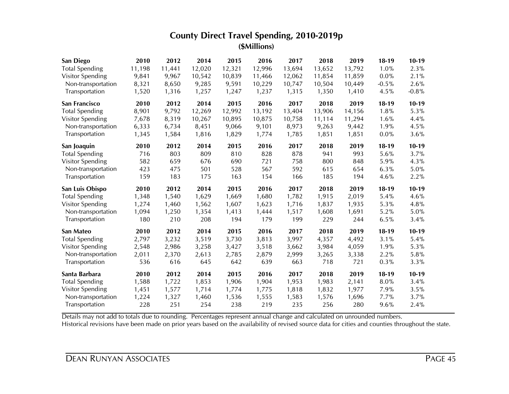| San Diego             | 2010         | 2012         | 2014   | 2015   | 2016   | 2017         | 2018   | 2019   | $18-19$ | $10-19$      |
|-----------------------|--------------|--------------|--------|--------|--------|--------------|--------|--------|---------|--------------|
| <b>Total Spending</b> | 11,198       | 11,441       | 12,020 | 12,321 | 12,996 | 13,694       | 13,652 | 13,792 | 1.0%    | 2.3%         |
| Visitor Spending      | 9,841        | 9,967        | 10,542 | 10,839 | 11,466 | 12,062       | 11,854 | 11,859 | 0.0%    | 2.1%         |
| Non-transportation    | 8,321        | 8,650        | 9,285  | 9,591  | 10,229 | 10,747       | 10,504 | 10,449 | $-0.5%$ | 2.6%         |
| Transportation        | 1,520        | 1,316        | 1,257  | 1,247  | 1,237  | 1,315        | 1,350  | 1,410  | 4.5%    | $-0.8%$      |
| San Francisco         | 2010         | 2012         | 2014   | 2015   | 2016   | 2017         | 2018   | 2019   | $18-19$ | $10-19$      |
| <b>Total Spending</b> | 8,901        | 9,792        | 12,269 | 12,992 | 13,192 | 13,404       | 13,906 | 14,156 | 1.8%    | 5.3%         |
| Visitor Spending      | 7,678        | 8,319        | 10,267 | 10,895 | 10,875 | 10,758       | 11,114 | 11,294 | 1.6%    | 4.4%         |
| Non-transportation    | 6,333        | 6,734        | 8,451  | 9,066  | 9,101  | 8,973        | 9,263  | 9,442  | 1.9%    | 4.5%         |
| Transportation        | 1,345        | 1,584        | 1,816  | 1,829  | 1,774  | 1,785        | 1,851  | 1,851  | 0.0%    | 3.6%         |
| San Joaquin           | 2010         | 2012         | 2014   | 2015   | 2016   | 2017         | 2018   | 2019   | $18-19$ | $10-19$      |
| <b>Total Spending</b> | 716          | 803          | 809    | 810    | 828    | 878          | 941    | 993    | 5.6%    | 3.7%         |
| Visitor Spending      | 582          | 659          | 676    | 690    | 721    | 758          | 800    | 848    | 5.9%    | 4.3%         |
| Non-transportation    | 423          | 475          | 501    | 528    | 567    | 592          | 615    | 654    | 6.3%    | 5.0%         |
| Transportation        | 159          | 183          | 175    | 163    | 154    | 166          | 185    | 194    | 4.6%    | 2.2%         |
| San Luis Obispo       | 2010         | 2012         | 2014   | 2015   | 2016   | 2017         | 2018   | 2019   | $18-19$ | $10-19$      |
| <b>Total Spending</b> | 1,348        | 1,540        | 1,629  | 1,669  | 1,680  | 1,782        | 1,915  | 2,019  | 5.4%    | 4.6%         |
| Visitor Spending      |              | 1,460        | 1,562  | 1,607  | 1,623  | 1,716        | 1,837  | 1,935  | 5.3%    | 4.8%         |
|                       | 1,274        |              |        |        |        |              |        |        |         |              |
| Non-transportation    | 1,094        | 1,250        | 1,354  | 1,413  | 1,444  | 1,517        | 1,608  | 1,691  | 5.2%    | 5.0%         |
| Transportation        | 180          | 210          | 208    | 194    | 179    | 199          | 229    | 244    | 6.5%    | 3.4%         |
| San Mateo             | 2010         | 2012         | 2014   | 2015   | 2016   | 2017         | 2018   | 2019   | $18-19$ | $10-19$      |
| <b>Total Spending</b> | 2,797        | 3,232        | 3,519  | 3,730  | 3,813  | 3,997        | 4,357  | 4,492  | 3.1%    | 5.4%         |
| Visitor Spending      | 2,548        | 2,986        | 3,258  | 3,427  | 3,518  | 3,662        | 3,984  | 4,059  | 1.9%    | 5.3%         |
| Non-transportation    | 2,011        | 2,370        | 2,613  | 2,785  | 2,879  | 2,999        | 3,265  | 3,338  | 2.2%    | 5.8%         |
| Transportation        | 536          | 616          | 645    | 642    | 639    | 663          | 718    | 721    | 0.3%    | 3.3%         |
| Santa Barbara         | 2010         | 2012         | 2014   | 2015   | 2016   | 2017         | 2018   | 2019   | $18-19$ | $10-19$      |
| <b>Total Spending</b> | 1,588        | 1,722        | 1,853  | 1,906  | 1,904  | 1,953        | 1,983  | 2,141  | 8.0%    | 3.4%         |
| Visitor Spending      | 1,451        | 1,577        | 1,714  | 1,774  | 1,775  | 1,818        | 1,832  | 1,977  | 7.9%    | 3.5%         |
| Non-transportation    | 1,224<br>228 | 1,327<br>251 | 1,460  | 1,536  | 1,555  | 1,583<br>235 | 1,576  | 1,696  | 7.7%    | 3.7%<br>2.4% |

Details may not add to totals due to rounding. Percentages represent annual change and calculated on unrounded numbers.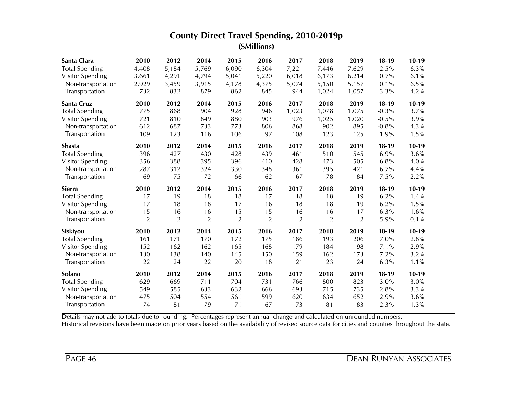| Santa Clara           | 2010           | 2012           | 2014           | 2015           | 2016           | 2017           | 2018           | 2019           | $18-19$  | $10-19$ |
|-----------------------|----------------|----------------|----------------|----------------|----------------|----------------|----------------|----------------|----------|---------|
| <b>Total Spending</b> | 4,408          | 5,184          | 5,769          | 6,090          | 6,304          | 7,221          | 7,446          | 7,629          | 2.5%     | 6.3%    |
| Visitor Spending      | 3,661          | 4,291          | 4,794          | 5,041          | 5,220          | 6,018          | 6,173          | 6,214          | 0.7%     | 6.1%    |
| Non-transportation    | 2,929          | 3,459          | 3,915          | 4,178          | 4,375          | 5,074          | 5,150          | 5,157          | 0.1%     | 6.5%    |
| Transportation        | 732            | 832            | 879            | 862            | 845            | 944            | 1,024          | 1,057          | 3.3%     | 4.2%    |
| Santa Cruz            | 2010           | 2012           | 2014           | 2015           | 2016           | 2017           | 2018           | 2019           | $18-19$  | $10-19$ |
| <b>Total Spending</b> | 775            | 868            | 904            | 928            | 946            | 1,023          | 1,078          | 1,075          | $-0.3\%$ | 3.7%    |
| Visitor Spending      | 721            | 810            | 849            | 880            | 903            | 976            | 1,025          | 1,020          | $-0.5%$  | 3.9%    |
| Non-transportation    | 612            | 687            | 733            | 773            | 806            | 868            | 902            | 895            | $-0.8%$  | 4.3%    |
| Transportation        | 109            | 123            | 116            | 106            | 97             | 108            | 123            | 125            | 1.9%     | 1.5%    |
| <b>Shasta</b>         | 2010           | 2012           | 2014           | 2015           | 2016           | 2017           | 2018           | 2019           | $18-19$  | $10-19$ |
| <b>Total Spending</b> | 396            | 427            | 430            | 428            | 439            | 461            | 510            | 545            | 6.9%     | 3.6%    |
| Visitor Spending      | 356            | 388            | 395            | 396            | 410            | 428            | 473            | 505            | 6.8%     | 4.0%    |
| Non-transportation    | 287            | 312            | 324            | 330            | 348            | 361            | 395            | 421            | 6.7%     | 4.4%    |
| Transportation        | 69             | 75             | 72             | 66             | 62             | 67             | 78             | 84             | 7.5%     | 2.2%    |
|                       |                |                |                |                |                |                |                |                |          |         |
| <b>Sierra</b>         | 2010           | 2012           | 2014           | 2015           | 2016           | 2017           | 2018           | 2019           | $18-19$  | $10-19$ |
| <b>Total Spending</b> | 17             | 19             | 18             | 18             | 17             | 18             | 18             | 19             | 6.2%     | 1.4%    |
| Visitor Spending      | 17             | 18             | 18             | 17             | 16             | 18             | 18             | 19             | 6.2%     | 1.5%    |
| Non-transportation    | 15             | 16             | 16             | 15             | 15             | 16             | 16             | 17             | 6.3%     | 1.6%    |
| Transportation        | $\overline{2}$ | $\overline{2}$ | $\overline{2}$ | $\overline{2}$ | $\overline{2}$ | $\overline{2}$ | $\overline{2}$ | $\overline{2}$ | 5.9%     | 0.1%    |
| Siskiyou              | 2010           | 2012           | 2014           | 2015           | 2016           | 2017           | 2018           | 2019           | $18-19$  | $10-19$ |
| <b>Total Spending</b> | 161            | 171            | 170            | 172            | 175            | 186            | 193            | 206            | 7.0%     | 2.8%    |
| Visitor Spending      | 152            | 162            | 162            | 165            | 168            | 179            | 184            | 198            | 7.1%     | 2.9%    |
| Non-transportation    | 130            | 138            | 140            | 145            | 150            | 159            | 162            | 173            | 7.2%     | 3.2%    |
| Transportation        | 22             | 24             | 22             | 20             | 18             | 21             | 23             | 24             | 6.3%     | 1.1%    |
| Solano                | 2010           | 2012           | 2014           | 2015           | 2016           | 2017           | 2018           | 2019           | $18-19$  | $10-19$ |
| <b>Total Spending</b> | 629            | 669            | 711            | 704            | 731            | 766            | 800            | 823            | 3.0%     | 3.0%    |
| Visitor Spending      | 549            | 585            | 633            | 632            | 666            | 693            | 715            | 735            | 2.8%     | 3.3%    |
| Non-transportation    | 475            | 504            | 554            | 561            | 599            | 620            | 634            | 652            | 2.9%     | 3.6%    |

Details may not add to totals due to rounding. Percentages represent annual change and calculated on unrounded numbers.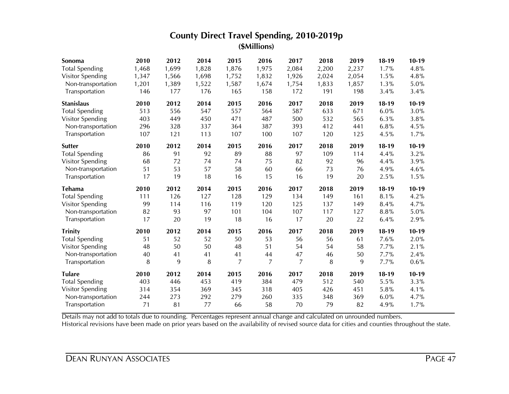| Sonoma                | 2010      | 2012      | 2014      | 2015           | 2016      | 2017      | 2018      | 2019      | $18-19$ | $10-19$ |
|-----------------------|-----------|-----------|-----------|----------------|-----------|-----------|-----------|-----------|---------|---------|
| <b>Total Spending</b> | 1,468     | 1,699     | 1,828     | 1,876          | 1,975     | 2,084     | 2,200     | 2,237     | 1.7%    | 4.8%    |
| Visitor Spending      | 1,347     | 1,566     | 1,698     | 1,752          | 1,832     | 1,926     | 2,024     | 2,054     | 1.5%    | 4.8%    |
| Non-transportation    | 1,201     | 1,389     | 1,522     | 1,587          | 1,674     | 1,754     | 1,833     | 1,857     | 1.3%    | 5.0%    |
| Transportation        | 146       | 177       | 176       | 165            | 158       | 172       | 191       | 198       | 3.4%    | 3.4%    |
| <b>Stanislaus</b>     | 2010      | 2012      | 2014      | 2015           | 2016      | 2017      | 2018      | 2019      | $18-19$ | $10-19$ |
| <b>Total Spending</b> | 513       | 556       | 547       | 557            | 564       | 587       | 633       | 671       | 6.0%    | 3.0%    |
| Visitor Spending      | 403       | 449       | 450       | 471            | 487       | 500       | 532       | 565       | 6.3%    | 3.8%    |
| Non-transportation    | 296       | 328       | 337       | 364            | 387       | 393       | 412       | 441       | 6.8%    | 4.5%    |
| Transportation        | 107       | 121       | 113       | 107            | 100       | 107       | 120       | 125       | 4.5%    | 1.7%    |
| <b>Sutter</b>         | 2010      | 2012      | 2014      | 2015           | 2016      | 2017      | 2018      | 2019      | $18-19$ | $10-19$ |
| <b>Total Spending</b> | 86        | 91        | 92        | 89             | 88        | 97        | 109       | 114       | 4.4%    | 3.2%    |
| Visitor Spending      | 68        | 72        | 74        | 74             | 75        | 82        | 92        | 96        | 4.4%    | 3.9%    |
| Non-transportation    | 51        | 53        | 57        | 58             | 60        | 66        | 73        | 76        | 4.9%    | 4.6%    |
| Transportation        | 17        | 19        | 18        | 16             | 15        | 16        | 19        | 20        | 2.5%    | 1.5%    |
| <b>Tehama</b>         | 2010      | 2012      | 2014      | 2015           | 2016      | 2017      | 2018      | 2019      | $18-19$ | $10-19$ |
| <b>Total Spending</b> | 111       | 126       | 127       | 128            | 129       | 134       | 149       | 161       | 8.1%    | 4.2%    |
| Visitor Spending      | 99        | 114       | 116       | 119            | 120       | 125       | 137       | 149       | 8.4%    | 4.7%    |
| Non-transportation    | 82        | 93        | 97        | 101            | 104       | 107       | 117       | 127       | 8.8%    | 5.0%    |
| Transportation        | 17        | 20        | 19        | 18             | 16        | 17        | 20        | 22        | 6.4%    | 2.9%    |
| <b>Trinity</b>        | 2010      | 2012      | 2014      | 2015           | 2016      | 2017      | 2018      | 2019      | $18-19$ | $10-19$ |
| <b>Total Spending</b> | 51        | 52        | 52        | 50             | 53        | 56        | 56        | 61        | 7.6%    | 2.0%    |
| Visitor Spending      | 48        | 50        | 50        | 48             | 51        | 54        | 54        | 58        | 7.7%    | 2.1%    |
| Non-transportation    | 40        | 41        | 41        | 41             | 44        | 47        | 46        | 50        | 7.7%    | 2.4%    |
| Transportation        | 8         | 9         | 8         | $\overline{7}$ | 7         | 7         | 8         | 9         | 7.7%    | 0.6%    |
| <b>Tulare</b>         | 2010      | 2012      | 2014      | 2015           | 2016      | 2017      | 2018      | 2019      | $18-19$ | $10-19$ |
|                       |           |           |           |                |           |           |           |           |         |         |
| <b>Total Spending</b> | 403       | 446       | 453       | 419            | 384       | 479       | 512       | 540       | 5.5%    | 3.3%    |
| Visitor Spending      | 314       | 354       | 369       | 345            | 318       | 405       | 426       | 451       | 5.8%    | 4.1%    |
| Non-transportation    | 244<br>71 | 273<br>81 | 292<br>77 | 279<br>66      | 260<br>58 | 335<br>70 | 348<br>79 | 369<br>82 | 6.0%    | 4.7%    |

Details may not add to totals due to rounding. Percentages represent annual change and calculated on unrounded numbers.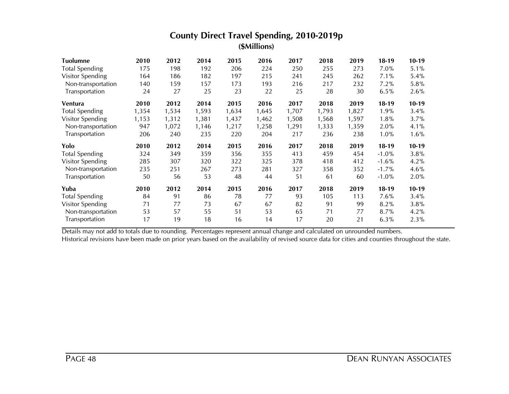| Tuolumne              | 2010  | 2012  | 2014  | 2015  | 2016  | 2017  | 2018  | 2019  | $18-19$  | $10-19$ |
|-----------------------|-------|-------|-------|-------|-------|-------|-------|-------|----------|---------|
| <b>Total Spending</b> | 175   | 198   | 192   | 206   | 224   | 250   | 255   | 273   | 7.0%     | 5.1%    |
| Visitor Spending      | 164   | 186   | 182   | 197   | 215   | 241   | 245   | 262   | 7.1%     | 5.4%    |
| Non-transportation    | 140   | 159   | 157   | 173   | 193   | 216   | 217   | 232   | 7.2%     | 5.8%    |
| Transportation        | 24    | 27    | 25    | 23    | 22    | 25    | 28    | 30    | 6.5%     | 2.6%    |
| Ventura               | 2010  | 2012  | 2014  | 2015  | 2016  | 2017  | 2018  | 2019  | $18-19$  | $10-19$ |
| <b>Total Spending</b> | 1,354 | 1,534 | 1,593 | 1,634 | 1,645 | 1,707 | 1,793 | 1,827 | 1.9%     | 3.4%    |
| Visitor Spending      | 1,153 | 1,312 | 1,381 | 1,437 | 1,462 | 1,508 | 1,568 | 1,597 | 1.8%     | 3.7%    |
| Non-transportation    | 947   | 1,072 | 1,146 | 1,217 | 1,258 | 1,291 | 1,333 | 1,359 | 2.0%     | 4.1%    |
| Transportation        | 206   | 240   | 235   | 220   | 204   | 217   | 236   | 238   | 1.0%     | 1.6%    |
| Yolo                  | 2010  | 2012  | 2014  | 2015  | 2016  | 2017  | 2018  | 2019  | $18-19$  | $10-19$ |
| <b>Total Spending</b> | 324   | 349   | 359   | 356   | 355   | 413   | 459   | 454   | $-1.0%$  | 3.8%    |
| Visitor Spending      | 285   | 307   | 320   | 322   | 325   | 378   | 418   | 412   | $-1.6%$  | 4.2%    |
| Non-transportation    | 235   | 251   | 267   | 273   | 281   | 327   | 358   | 352   | $-1.7\%$ | 4.6%    |
| Transportation        | 50    | 56    | 53    | 48    | 44    | 51    | 61    | 60    | $-1.0%$  | 2.0%    |
| Yuba                  | 2010  | 2012  | 2014  | 2015  | 2016  | 2017  | 2018  | 2019  | $18-19$  | $10-19$ |
| <b>Total Spending</b> | 84    | 91    | 86    | 78    | 77    | 93    | 105   | 113   | 7.6%     | 3.4%    |
| Visitor Spending      | 71    | 77    | 73    | 67    | 67    | 82    | 91    | 99    | 8.2%     | 3.8%    |
| Non-transportation    |       | 57    | 55    | 51    | 53    | 65    | 71    | 77    |          | 4.2%    |
|                       | 53    |       |       |       |       |       |       |       | 8.7%     |         |

Details may not add to totals due to rounding. Percentages represent annual change and calculated on unrounded numbers.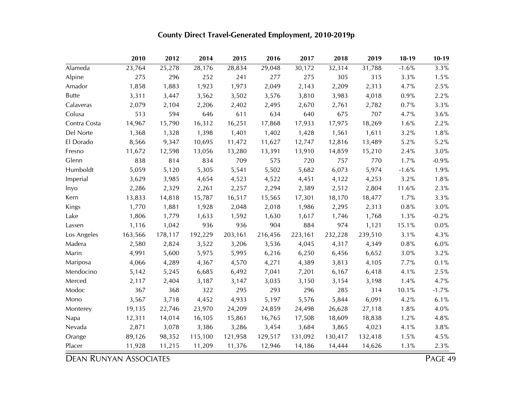|              | 2010    | 2012    | 2014    | 2015    | 2016    | 2017    | 2018    | 2019    | $18-19$ | $10-19$ |
|--------------|---------|---------|---------|---------|---------|---------|---------|---------|---------|---------|
| Alameda      | 23,764  | 25,278  | 28,176  | 28,834  | 29,048  | 30,172  | 32,314  | 31,788  | $-1.6%$ | 3.3%    |
| Alpine       | 275     | 296     | 252     | 241     | 277     | 275     | 305     | 315     | 3.3%    | 1.5%    |
| Amador       | 1,858   | 1,883   | 1,923   | 1,973   | 2,049   | 2,143   | 2,209   | 2,313   | 4.7%    | 2.5%    |
| <b>Butte</b> | 3,311   | 3,447   | 3,562   | 3,502   | 3,576   | 3,810   | 3,983   | 4,018   | 0.9%    | 2.2%    |
| Calaveras    | 2,079   | 2,104   | 2,206   | 2,402   | 2,495   | 2,670   | 2,761   | 2,782   | 0.7%    | 3.3%    |
| Colusa       | 513     | 594     | 646     | 611     | 634     | 640     | 675     | 707     | 4.7%    | 3.6%    |
| Contra Costa | 14,967  | 15,790  | 16,312  | 16,251  | 17,868  | 17,933  | 17,975  | 18,269  | 1.6%    | 2.2%    |
| Del Norte    | 1,368   | 1,328   | 1,398   | 1,401   | 1,402   | 1,428   | 1,561   | 1,611   | 3.2%    | 1.8%    |
| El Dorado    | 8,566   | 9,347   | 10,695  | 11,472  | 11,627  | 12,747  | 12,816  | 13,489  | 5.2%    | 5.2%    |
| Fresno       | 11,672  | 12,598  | 13,056  | 13,280  | 13,391  | 13,910  | 14,859  | 15,210  | 2.4%    | 3.0%    |
| Glenn        | 838     | 814     | 834     | 709     | 575     | 720     | 757     | 770     | 1.7%    | $-0.9%$ |
| Humboldt     | 5,059   | 5,120   | 5,305   | 5,541   | 5,502   | 5,682   | 6,073   | 5,974   | $-1.6%$ | 1.9%    |
| Imperial     | 3,629   | 3,985   | 4,654   | 4,523   | 4,522   | 4,451   | 4,122   | 4,253   | 3.2%    | 1.8%    |
| Inyo         | 2,286   | 2,329   | 2,261   | 2,257   | 2,294   | 2,389   | 2,512   | 2,804   | 11.6%   | 2.3%    |
| Kern         | 13,833  | 14,818  | 15,787  | 16,517  | 15,565  | 17,301  | 18,170  | 18,477  | 1.7%    | 3.3%    |
| Kings        | 1,770   | 1,881   | 1,928   | 2,048   | 2,018   | 1,986   | 2,295   | 2,313   | 0.8%    | 3.0%    |
| Lake         | 1,806   | 1,779   | 1,633   | 1,592   | 1,630   | 1,617   | 1,746   | 1,768   | 1.3%    | $-0.2%$ |
| Lassen       | 1,116   | 1,042   | 936     | 936     | 904     | 884     | 974     | 1,121   | 15.1%   | 0.0%    |
| Los Angeles  | 163,566 | 178,117 | 192,229 | 203,161 | 216,456 | 223,161 | 232,228 | 239,510 | 3.1%    | 4.3%    |
| Madera       | 2,580   | 2,824   | 3,522   | 3,206   | 3,536   | 4,045   | 4,317   | 4,349   | $0.8\%$ | $6.0\%$ |
| Marin        | 4,991   | 5,600   | 5,975   | 5,995   | 6,216   | 6,250   | 6,456   | 6,652   | 3.0%    | 3.2%    |
| Mariposa     | 4,066   | 4,289   | 4,367   | 4,570   | 4,271   | 4,389   | 3,813   | 4,105   | 7.7%    | 0.1%    |
| Mendocino    | 5,142   | 5,245   | 6,685   | 6,492   | 7,041   | 7,201   | 6,167   | 6,418   | 4.1%    | 2.5%    |
| Merced       | 2,117   | 2,404   | 3,187   | 3,147   | 3,035   | 3,150   | 3,154   | 3,198   | 1.4%    | 4.7%    |
| Modoc        | 367     | 368     | 322     | 295     | 293     | 296     | 285     | 314     | 10.1%   | $-1.7%$ |
| Mono         | 3,567   | 3,718   | 4,452   | 4,933   | 5,197   | 5,576   | 5,844   | 6,091   | 4.2%    | 6.1%    |
| Monterey     | 19,135  | 22,746  | 23,970  | 24,209  | 24,859  | 24,498  | 26,628  | 27,118  | 1.8%    | 4.0%    |
| Napa         | 12,311  | 14,014  | 16,105  | 15,861  | 16,765  | 17,508  | 18,609  | 18,838  | 1.2%    | 4.8%    |
| Nevada       | 2,871   | 3,078   | 3,386   | 3,286   | 3,454   | 3,684   | 3,865   | 4,023   | 4.1%    | 3.8%    |
| Orange       | 89,126  | 98,352  | 115,100 | 121,958 | 129,517 | 131,092 | 130,417 | 132,418 | 1.5%    | 4.5%    |
| Placer       | 11,928  | 11,215  | 11,209  | 11,376  | 12,946  | 14,186  | 14,444  | 14,626  | 1.3%    | 2.3%    |

# **County Direct Travel-Generated Employment, 2010-2019p**

**DEAN RUNYAN ASSOCIATES** PAGE 49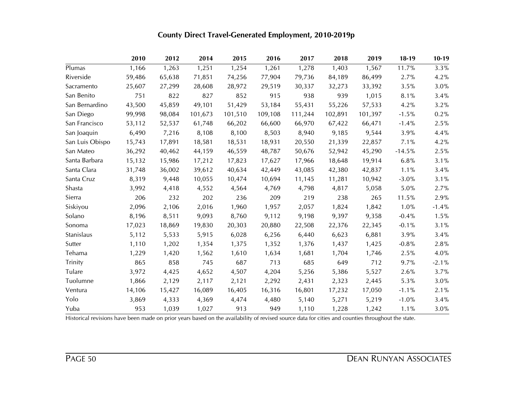|                 | 2010   | 2012   | 2014    | 2015    | 2016    | 2017    | 2018    | 2019    | $18-19$  | $10-19$  |
|-----------------|--------|--------|---------|---------|---------|---------|---------|---------|----------|----------|
| Plumas          | 1,166  | 1,263  | 1,251   | 1,254   | 1,261   | 1,278   | 1,403   | 1,567   | 11.7%    | 3.3%     |
| Riverside       | 59,486 | 65,638 | 71,851  | 74,256  | 77,904  | 79,736  | 84,189  | 86,499  | 2.7%     | 4.2%     |
| Sacramento      | 25,607 | 27,299 | 28,608  | 28,972  | 29,519  | 30,337  | 32,273  | 33,392  | 3.5%     | 3.0%     |
| San Benito      | 751    | 822    | 827     | 852     | 915     | 938     | 939     | 1,015   | 8.1%     | 3.4%     |
| San Bernardino  | 43,500 | 45,859 | 49,101  | 51,429  | 53,184  | 55,431  | 55,226  | 57,533  | 4.2%     | 3.2%     |
| San Diego       | 99,998 | 98,084 | 101,673 | 101,510 | 109,108 | 111,244 | 102,891 | 101,397 | $-1.5\%$ | 0.2%     |
| San Francisco   | 53,112 | 52,537 | 61,748  | 66,202  | 66,600  | 66,970  | 67,422  | 66,471  | $-1.4%$  | 2.5%     |
| San Joaquin     | 6,490  | 7,216  | 8,108   | 8,100   | 8,503   | 8,940   | 9,185   | 9,544   | 3.9%     | 4.4%     |
| San Luis Obispo | 15,743 | 17,891 | 18,581  | 18,531  | 18,931  | 20,550  | 21,339  | 22,857  | 7.1%     | 4.2%     |
| San Mateo       | 36,292 | 40,462 | 44,159  | 46,559  | 48,787  | 50,676  | 52,942  | 45,290  | $-14.5%$ | 2.5%     |
| Santa Barbara   | 15,132 | 15,986 | 17,212  | 17,823  | 17,627  | 17,966  | 18,648  | 19,914  | 6.8%     | 3.1%     |
| Santa Clara     | 31,748 | 36,002 | 39,612  | 40,634  | 42,449  | 43,085  | 42,380  | 42,837  | 1.1%     | 3.4%     |
| Santa Cruz      | 8,319  | 9,448  | 10,055  | 10,474  | 10,694  | 11,145  | 11,281  | 10,942  | $-3.0%$  | 3.1%     |
| Shasta          | 3,992  | 4,418  | 4,552   | 4,564   | 4,769   | 4,798   | 4,817   | 5,058   | 5.0%     | 2.7%     |
| Sierra          | 206    | 232    | 202     | 236     | 209     | 219     | 238     | 265     | 11.5%    | 2.9%     |
| Siskiyou        | 2,096  | 2,106  | 2,016   | 1,960   | 1,957   | 2,057   | 1,824   | 1,842   | 1.0%     | $-1.4%$  |
| Solano          | 8,196  | 8,511  | 9,093   | 8,760   | 9,112   | 9,198   | 9,397   | 9,358   | $-0.4%$  | 1.5%     |
| Sonoma          | 17,023 | 18,869 | 19,830  | 20,303  | 20,880  | 22,508  | 22,376  | 22,345  | $-0.1%$  | 3.1%     |
| Stanislaus      | 5,112  | 5,533  | 5,915   | 6,028   | 6,256   | 6,440   | 6,623   | 6,881   | 3.9%     | 3.4%     |
| Sutter          | 1,110  | 1,202  | 1,354   | 1,375   | 1,352   | 1,376   | 1,437   | 1,425   | $-0.8%$  | 2.8%     |
| Tehama          | 1,229  | 1,420  | 1,562   | 1,610   | 1,634   | 1,681   | 1,704   | 1,746   | 2.5%     | 4.0%     |
| Trinity         | 865    | 858    | 745     | 687     | 713     | 685     | 649     | 712     | 9.7%     | $-2.1\%$ |
| Tulare          | 3,972  | 4,425  | 4,652   | 4,507   | 4,204   | 5,256   | 5,386   | 5,527   | 2.6%     | 3.7%     |
| Tuolumne        | 1,866  | 2,129  | 2,117   | 2,121   | 2,292   | 2,431   | 2,323   | 2,445   | 5.3%     | 3.0%     |
| Ventura         | 14,106 | 15,427 | 16,089  | 16,405  | 16,316  | 16,801  | 17,232  | 17,050  | $-1.1%$  | 2.1%     |
| Yolo            | 3,869  | 4,333  | 4,369   | 4,474   | 4,480   | 5,140   | 5,271   | 5,219   | $-1.0%$  | 3.4%     |
| Yuba            | 953    | 1,039  | 1,027   | 913     | 949     | 1,110   | 1,228   | 1,242   | 1.1%     | 3.0%     |

# **County Direct Travel-Generated Employment, 2010-2019p**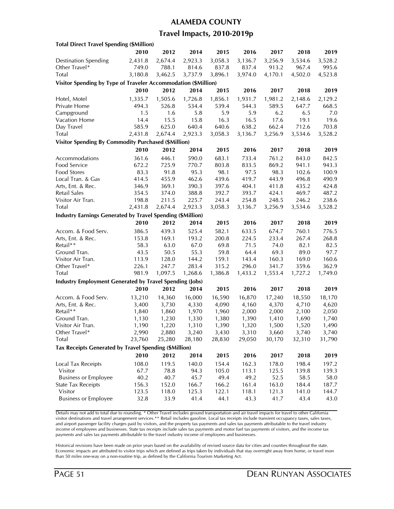#### **ALAMEDA COUNTY**

### **Travel Impacts, 2010-2019p**

| <b>Total Direct Travel Spending (\$Million)</b>                |                |         |                  |                  |                  |                  |                  |                |
|----------------------------------------------------------------|----------------|---------|------------------|------------------|------------------|------------------|------------------|----------------|
|                                                                | 2010           | 2012    | 2014             | 2015             | 2016             | 2017             | 2018             | 2019           |
| <b>Destination Spending</b>                                    | 2,431.8        | 2,674.4 | 2,923.3          | 3,058.3          | 3,136.7          | 3,256.9          | 3,534.6          | 3,528.2        |
| Other Travel*                                                  | 749.0          | 788.1   | 814.6            | 837.8            | 837.4            | 913.2            | 967.4            | 995.6          |
| Total                                                          | 3,180.8        | 3,462.5 | 3,737.9          | 3,896.1          | 3,974.0          | 4,170.1          | 4,502.0          | 4,523.8        |
| Visitor Spending by Type of Traveler Accommodation (\$Million) |                |         |                  |                  |                  |                  |                  |                |
|                                                                | 2010           | 2012    | 2014             | 2015             | 2016             | 2017             | 2018             | 2019           |
| Hotel, Motel                                                   | 1,335.7        | 1,505.6 | 1,726.8          | 1,856.1          | 1,931.7          | 1,981.2          | 2,148.6          | 2,129.2        |
| Private Home                                                   | 494.3          | 526.8   | 534.4            | 539.4            | 544.3            | 589.5            | 647.7            | 668.5          |
| Campground                                                     | 1.5            | 1.6     | 5.8              | 5.9              | 5.9              | 6.2              | 6.5              | 7.0            |
| Vacation Home                                                  | 14.4           | 15.5    | 15.8             | 16.3             | 16.5             | 17.6             | 19.1             | 19.6           |
| Day Travel                                                     | 585.9          | 625.0   | 640.4            | 640.6            | 638.2            | 662.4            | 712.6            | 703.8          |
| <b>Total</b>                                                   | 2,431.8        | 2,674.4 | 2,923.3          | 3,058.3          | 3,136.7          | 3,256.9          | 3,534.6          | 3,528.2        |
| <b>Visitor Spending By Commodity Purchased (\$Million)</b>     |                |         |                  |                  |                  |                  |                  |                |
|                                                                | 2010           | 2012    | 2014             | 2015             | 2016             | 2017             | 2018             | 2019           |
|                                                                |                |         |                  |                  |                  | 761.2            |                  |                |
| Accommodations<br>Food Service                                 | 361.6          | 446.1   | 590.0<br>770.7   | 683.1<br>803.8   | 733.4            | 869.2            | 843.0            | 842.5          |
|                                                                | 672.2<br>83.3  | 725.9   |                  |                  | 833.5            |                  | 941.1            | 943.3          |
| <b>Food Stores</b>                                             |                | 91.8    | 95.3             | 98.1             | 97.5             | 98.3<br>443.9    | 102.6            | 100.9          |
| Local Tran. & Gas                                              | 414.5          | 455.9   | 462.6<br>390.3   | 439.6            | 419.7            |                  | 496.8            | 490.9          |
| Arts, Ent. & Rec.                                              | 346.9          | 369.1   |                  | 397.6            | 404.1            | 411.8            | 435.2            | 424.8          |
| Retail Sales                                                   | 354.5<br>198.8 | 374.0   | 388.8            | 392.7            | 393.7            | 424.1            | 469.7            | 487.2<br>238.6 |
| Visitor Air Tran.<br>Total                                     |                | 211.5   | 225.7<br>2,923.3 | 243.4<br>3,058.3 | 254.8<br>3,136.7 | 248.5<br>3,256.9 | 246.2<br>3,534.6 | 3,528.2        |
|                                                                | 2,431.8        | 2,674.4 |                  |                  |                  |                  |                  |                |
| Industry Earnings Generated by Travel Spending (\$Million)     |                |         |                  |                  |                  |                  |                  |                |
|                                                                | 2010           | 2012    | 2014             | 2015             | 2016             | 2017             | 2018             | 2019           |
| Accom. & Food Serv.                                            | 386.5          | 439.3   | 525.4            | 582.1            | 633.5            | 674.7            | 760.1            | 776.5          |
| Arts, Ent. & Rec.                                              | 153.8          | 169.1   | 193.2            | 200.8            | 224.5            | 233.4            | 267.4            | 268.8          |
| Retail**                                                       | 58.3           | 63.0    | 67.0             | 69.8             | 71.5             | 74.0             | 82.1             | 82.5           |
| Ground Tran.                                                   | 43.5           | 50.5    | 55.3             | 59.8             | 64.4             | 69.3             | 89.0             | 97.7           |
| Visitor Air Tran.                                              | 113.9          | 128.0   | 144.2            | 159.1            | 143.4            | 160.3            | 169.0            | 160.6          |
| Other Travel*                                                  | 226.1          | 247.7   | 283.4            | 315.2            | 296.0            | 341.7            | 359.6            | 362.9          |
| Total                                                          | 981.9          | 1,097.5 | 1,268.6          | 1,386.8          | 1,433.2          | 1,553.4          | 1,727.2          | 1,749.0        |
| <b>Industry Employment Generated by Travel Spending (Jobs)</b> |                |         |                  |                  |                  |                  |                  |                |
|                                                                | 2010           | 2012    | 2014             | 2015             | 2016             | 2017             | 2018             | 2019           |
| Accom. & Food Serv.                                            | 13,210         | 14,360  | 16,000           | 16,590           | 16,870           | 17,240           | 18,550           | 18,170         |
| Arts, Ent. & Rec.                                              | 3,400          | 3,730   | 4,330            | 4,090            | 4,160            | 4,370            | 4,710            | 4,620          |
| Retail**                                                       | 1,840          | 1,860   | 1,970            | 1,960            | 2,000            | 2,000            | 2,100            | 2,050          |
| Ground Tran.                                                   | 1,130          | 1,230   | 1,330            | 1,380            | 1,390            | 1,410            | 1,690            | 1,740          |
| Visitor Air Tran.                                              | 1,190          | 1,220   | 1,310            | 1,390            | 1,320            | 1,500            | 1,520            | 1,490          |
| Other Iravel*                                                  | 2,990          | 2,880   | 3,240            | 3,430            | 3,310            | 3,660            | 3,740            | 3,740          |
| Total                                                          | 23,760         | 25,280  | 28,180           | 28,830           | 29,050           | 30,170           | 32,310           | 31,790         |
| Tax Receipts Generated by Travel Spending (\$Million)          |                |         |                  |                  |                  |                  |                  |                |
|                                                                | 2010           | 2012    | 2014             | 2015             | 2016             | 2017             | 2018             | 2019           |
| Local Tax Receipts                                             | 108.0          | 119.5   | 140.0            | 154.4            | 162.3            | 178.0            | 198.4            | 197.2          |
| Visitor                                                        | 67.7           | 78.8    | 94.3             | 105.0            | 113.1            | 125.5            | 139.8            | 139.3          |
| <b>Business or Employee</b>                                    | 40.2           | 40.7    | 45.7             | 49.4             | 49.2             | 52.5             | 58.5             | 58.0           |
| <b>State Tax Receipts</b>                                      | 156.3          | 152.0   | 166.7            | 166.2            | 161.4            | 163.0            | 184.4            | 187.7          |
| Visitor                                                        | 123.5          | 118.0   | 125.3            | 122.1            | 118.1            | 121.3            | 141.0            | 144.7          |
| <b>Business or Employee</b>                                    | 32.8           | 33.9    | 41.4             | 44.1             | 43.3             | 41.7             | 43.4             | 43.0           |
|                                                                |                |         |                  |                  |                  |                  |                  |                |

Details may not add to total due to rounding. \* Other Travel includes ground transportation and air travel impacts for travel to other California visitor destinations and travel arrangement services.\*\* Retail includes gasoline. Local tax receipts include transient occupancy taxes, sales taxes, and airport passenger facility charges paid by visitors, and the property tax payments and sales tax payments attributable to the travel industry income of employees and businesses. State tax receipts include sales tax payments and motor fuel tax payments of visitors, and the income tax payments and sales tax payments attributable to the travel industry income of employees and businesses.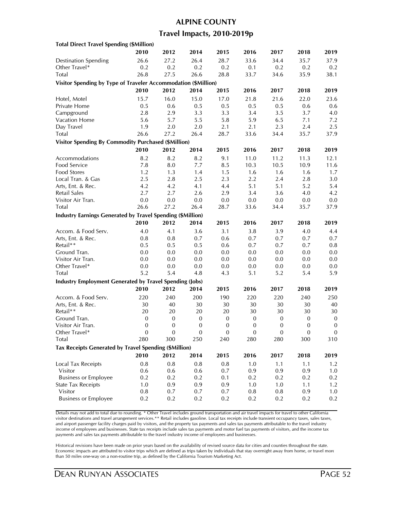### **ALPINE COUNTY**

### **Travel Impacts, 2010-2019p**

| <b>Total Direct Travel Spending (\$Million)</b>                   |                  |                  |                  |                  |                  |                  |                  |                  |
|-------------------------------------------------------------------|------------------|------------------|------------------|------------------|------------------|------------------|------------------|------------------|
|                                                                   | 2010             | 2012             | 2014             | 2015             | 2016             | 2017             | 2018             | 2019             |
| <b>Destination Spending</b>                                       | 26.6             | 27.2             | 26.4             | 28.7             | 33.6             | 34.4             | 35.7             | 37.9             |
| Other Travel*                                                     | 0.2              | 0.2              | 0.2              | 0.2              | 0.1              | 0.2              | 0.2              | 0.2              |
| Total                                                             | 26.8             | 27.5             | 26.6             | 28.8             | 33.7             | 34.6             | 35.9             | 38.1             |
| Visitor Spending by Type of Traveler Accommodation (\$Million)    |                  |                  |                  |                  |                  |                  |                  |                  |
|                                                                   | 2010             | 2012             | 2014             | 2015             | 2016             | 2017             | 2018             | 2019             |
| Hotel, Motel                                                      | 15.7             | 16.0             | 15.0             | 17.0             | 21.8             | 21.6             | 22.0             | 23.6             |
| Private Home                                                      | 0.5              | 0.6              | 0.5              | 0.5              | 0.5              | 0.5              | 0.6              | 0.6              |
| Campground                                                        | 2.8              | 2.9              | 3.3              | 3.3              | 3.4              | 3.5              | 3.7              | 4.0              |
| <b>Vacation Home</b>                                              | 5.6              | 5.7              | 5.5              | 5.8              | 5.9              | 6.5              | 7.1              | 7.2              |
| Day Travel                                                        | 1.9              | $2.0\,$          | 2.0              | 2.1              | 2.1              | 2.3              | 2.4              | 2.5              |
| Total                                                             | 26.6             | 27.2             | 26.4             | 28.7             | 33.6             | 34.4             | 35.7             | 37.9             |
| <b>Visitor Spending By Commodity Purchased (\$Million)</b>        |                  |                  |                  |                  |                  |                  |                  |                  |
|                                                                   | 2010             | 2012             | 2014             | 2015             | 2016             | 2017             | 2018             | 2019             |
|                                                                   |                  |                  |                  |                  |                  |                  |                  |                  |
| Accommodations                                                    | 8.2              | 8.2              | 8.2              | 9.1              | 11.0             | 11.2             | 11.3             | 12.1             |
| Food Service                                                      | 7.8              | 8.0              | 7.7              | 8.5              | 10.3             | 10.5             | 10.9             | 11.6             |
| Food Stores                                                       | 1.2              | 1.3              | 1.4              | 1.5              | 1.6              | 1.6              | 1.6              | 1.7              |
| Local Tran. & Gas                                                 | 2.5              | 2.8              | 2.5              | 2.3              | 2.2              | 2.4              | 2.8              | 3.0              |
| Arts, Ent. & Rec.                                                 | 4.2              | 4.2              | 4.1              | 4.4              | 5.1              | 5.1              | 5.2              | 5.4              |
| Retail Sales                                                      | 2.7              | 2.7              | 2.6              | 2.9              | 3.4              | 3.6              | 4.0              | 4.2              |
| Visitor Air Tran.                                                 | $0.0\,$          | $0.0\,$          | 0.0              | 0.0              | $0.0\,$          | 0.0              | 0.0              | 0.0              |
| Total                                                             | 26.6             | 27.2             | 26.4             | 28.7             | 33.6             | 34.4             | 35.7             | 37.9             |
| <b>Industry Earnings Generated by Travel Spending (\$Million)</b> |                  |                  |                  |                  |                  |                  |                  |                  |
|                                                                   | 2010             | 2012             | 2014             | 2015             | 2016             | 2017             | 2018             | 2019             |
| Accom. & Food Serv.                                               | 4.0              | 4.1              | 3.6              | 3.1              | 3.8              | 3.9              | 4.0              | 4.4              |
| Arts, Ent. & Rec.                                                 | 0.8              | 0.8              | 0.7              | 0.6              | 0.7              | 0.7              | 0.7              | 0.7              |
| Retail**                                                          | 0.5              | 0.5              | 0.5              | 0.6              | 0.7              | 0.7              | 0.7              | $0.8\,$          |
| Ground Tran.                                                      | 0.0              | 0.0              | 0.0              | 0.0              | 0.0              | 0.0              | 0.0              | 0.0              |
| Visitor Air Tran.                                                 | 0.0              | 0.0              | 0.0              | 0.0              | 0.0              | 0.0              | 0.0              | 0.0              |
| Other Travel*                                                     | 0.0              | 0.0              | 0.0              | 0.0              | 0.0              | 0.0              | 0.0              | 0.0              |
| <b>Total</b>                                                      | 5.2              | 5.4              | 4.8              | 4.3              | 5.1              | 5.2              | 5.4              | 5.9              |
| <b>Industry Employment Generated by Travel Spending (Jobs)</b>    |                  |                  |                  |                  |                  |                  |                  |                  |
|                                                                   | 2010             | 2012             | 2014             | 2015             | 2016             | 2017             | 2018             | 2019             |
| Accom. & Food Serv.                                               | 220              | 240              | 200              | 190              | 220              | 220              | 240              | 250              |
| Arts, Ent. & Rec.                                                 | 30               | 40               | 30               | $30\,$           | 30               | 30               | 30               | 40               |
| Retail**                                                          | 20               | 20               | 20               | 20               | 30               | 30               | 30               | 30               |
| Ground Tran.                                                      | $\mathbf{0}$     | $\boldsymbol{0}$ | $\boldsymbol{0}$ | $\mathbf{0}$     | $\boldsymbol{0}$ | $\boldsymbol{0}$ | $\mathbf{0}$     | $\boldsymbol{0}$ |
| Visitor Air Tran.                                                 | $\boldsymbol{0}$ | $\boldsymbol{0}$ | $\mathbf{0}$     | $\boldsymbol{0}$ | $\boldsymbol{0}$ | $\mathbf{0}$     | $\boldsymbol{0}$ | $\boldsymbol{0}$ |
| Other Travel*                                                     | $\theta$         | 0                | 0                | $\theta$         | 0                | $\theta$         | $\theta$         | $\mathbf{0}$     |
| Total                                                             | 280              | 300              | 250              | 240              | 280              | 280              | 300              | 310              |
| Tax Receipts Generated by Travel Spending (\$Million)             |                  |                  |                  |                  |                  |                  |                  |                  |
|                                                                   | 2010             | 2012             | 2014             | 2015             | 2016             | 2017             | 2018             | 2019             |
| Local Tax Receipts                                                | 0.8              | $0.8\,$          | 0.8              | 0.8              | 1.0              | 1.1              | 1.1              | 1.2              |
| Visitor                                                           | 0.6              | 0.6              | 0.6              | 0.7              | 0.9              | 0.9              | 0.9              |                  |
| <b>Business or Employee</b>                                       | 0.2              | 0.2              | 0.2              | 0.1              | 0.2              | 0.2              | 0.2              | 1.0<br>0.2       |
| <b>State Tax Receipts</b>                                         | 1.0              | 0.9              | 0.9              | 0.9              | 1.0              | 1.0              | 1.1              | 1.2              |
| Visitor                                                           | 0.8              | 0.7              | 0.7              | 0.7              | 0.8              | 0.8              | 0.9              | 1.0              |
| <b>Business or Employee</b>                                       | 0.2              | 0.2              | 0.2              | 0.2              | 0.2              | 0.2              | 0.2              | 0.2              |
|                                                                   |                  |                  |                  |                  |                  |                  |                  |                  |

Details may not add to total due to rounding. \* Other Travel includes ground transportation and air travel impacts for travel to other California visitor destinations and travel arrangement services.\*\* Retail includes gasoline. Local tax receipts include transient occupancy taxes, sales taxes, and airport passenger facility charges paid by visitors, and the property tax payments and sales tax payments attributable to the travel industry income of employees and businesses. State tax receipts include sales tax payments and motor fuel tax payments of visitors, and the income tax payments and sales tax payments attributable to the travel industry income of employees and businesses.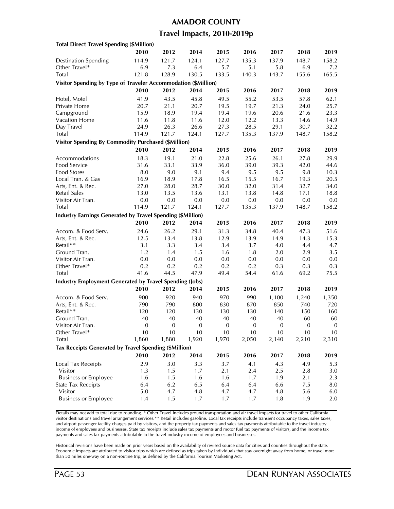#### **AMADOR COUNTY**

### **Travel Impacts, 2010-2019p**

| <b>Total Direct Travel Spending (\$Million)</b>                   |                  |                  |                  |                  |              |          |                  |                  |
|-------------------------------------------------------------------|------------------|------------------|------------------|------------------|--------------|----------|------------------|------------------|
|                                                                   | 2010             | 2012             | 2014             | 2015             | 2016         | 2017     | 2018             | 2019             |
| <b>Destination Spending</b>                                       | 114.9            | 121.7            | 124.1            | 127.7            | 135.3        | 137.9    | 148.7            | 158.2            |
| Other Travel*                                                     | 6.9              | 7.3              | 6.4              | 5.7              | 5.1          | 5.8      | 6.9              | 7.2              |
| Total                                                             | 121.8            | 128.9            | 130.5            | 133.5            | 140.3        | 143.7    | 155.6            | 165.5            |
| Visitor Spending by Type of Traveler Accommodation (\$Million)    |                  |                  |                  |                  |              |          |                  |                  |
|                                                                   | 2010             | 2012             | 2014             | 2015             | 2016         | 2017     | 2018             | 2019             |
|                                                                   | 41.9             | 43.5             | 45.8             | 49.5             | 55.2         | 53.5     | 57.8             | 62.1             |
| Hotel, Motel<br>Private Home                                      | 20.7             | 21.1             | 20.7             | 19.5             | 19.7         | 21.3     | 24.0             | 25.7             |
| Campground                                                        | 15.9             | 18.9             | 19.4             | 19.4             | 19.6         | 20.6     | 21.6             | 23.3             |
| Vacation Home                                                     | 11.6             | 11.8             |                  | 12.0             | 12.2         |          |                  |                  |
|                                                                   |                  |                  | 11.6             |                  | 28.5         | 13.3     | 14.6             | 14.9<br>32.2     |
| Day Travel<br>Total                                               | 24.9             | 26.3             | 26.6<br>124.1    | 27.3             |              | 29.1     | 30.7             |                  |
|                                                                   | 114.9            | 121.7            |                  | 127.7            | 135.3        | 137.9    | 148.7            | 158.2            |
| <b>Visitor Spending By Commodity Purchased (\$Million)</b>        |                  |                  |                  |                  |              |          |                  |                  |
|                                                                   | 2010             | 2012             | 2014             | 2015             | 2016         | 2017     | 2018             | 2019             |
| Accommodations                                                    | 18.3             | 19.1             | 21.0             | 22.8             | 25.6         | 26.1     | 27.8             | 29.9             |
| Food Service                                                      | 31.6             | 33.1             | 33.9             | 36.0             | 39.0         | 39.3     | 42.0             | 44.6             |
| <b>Food Stores</b>                                                | 8.0              | 9.0              | 9.1              | 9.4              | 9.5          | 9.5      | 9.8              | 10.3             |
| Local Tran. & Gas                                                 | 16.9             | 18.9             | 17.8             | 16.5             | 15.5         | 16.7     | 19.3             | 20.5             |
| Arts, Ent. & Rec.                                                 | 27.0             | 28.0             | 28.7             | 30.0             | 32.0         | 31.4     | 32.7             | 34.0             |
| <b>Retail Sales</b>                                               | 13.0             | 13.5             | 13.6             | 13.1             | 13.8         | 14.8     | 17.1             | 18.8             |
| Visitor Air Tran.                                                 | $0.0\,$          | 0.0              | 0.0              | 0.0              | 0.0          | 0.0      | 0.0              | 0.0              |
| Total                                                             | 114.9            | 121.7            | 124.1            | 127.7            | 135.3        | 137.9    | 148.7            | 158.2            |
| <b>Industry Earnings Generated by Travel Spending (\$Million)</b> |                  |                  |                  |                  |              |          |                  |                  |
|                                                                   | 2010             | 2012             | 2014             | 2015             | 2016         | 2017     | 2018             | 2019             |
| Accom. & Food Serv.                                               | 24.6             | 26.2             | 29.1             | 31.3             | 34.8         | 40.4     | 47.3             | 51.6             |
| Arts, Ent. & Rec.                                                 | 12.5             | 13.4             | 13.8             | 12.9             | 13.9         | 14.9     | 14.3             | 15.3             |
| Retail**                                                          | 3.1              | 3.3              | 3.4              | 3.4              | 3.7          | 4.0      | 4.4              | 4.7              |
| Ground Tran.                                                      | 1.2              | 1.4              | 1.5              | 1.6              | 1.8          | $2.0\,$  | 2.9              | 3.5              |
| Visitor Air Tran.                                                 | 0.0              | 0.0              | 0.0              | 0.0              | 0.0          | $0.0\,$  | 0.0              | $0.0\,$          |
| Other Travel*                                                     | 0.2              | 0.2              | 0.2              | 0.2              | 0.2          | 0.3      | 0.3              | 0.3              |
| Total                                                             | 41.6             | 44.5             | 47.9             | 49.4             | 54.4         | 61.6     | 69.2             | 75.5             |
| <b>Industry Employment Generated by Travel Spending (Jobs)</b>    |                  |                  |                  |                  |              |          |                  |                  |
|                                                                   | 2010             | 2012             | 2014             | 2015             | 2016         | 2017     | 2018             | 2019             |
| Accom. & Food Serv.                                               | 900              | 920              | 940              | 970              | 990          | 1,100    | 1,240            | 1,350            |
| Arts, Ent. & Rec.                                                 | 790              | 790              | 800              | 830              | 870          | 850      | 740              | 720              |
| Retail**                                                          | 120              | 120              | 130              | 130              | 130          | 140      | 150              | 160              |
| Ground Tran.                                                      | 40               | 40               | 40               | 40               | 40           | 40       | 60               | 60               |
| Visitor Air Tran.                                                 | $\boldsymbol{0}$ | $\boldsymbol{0}$ | $\boldsymbol{0}$ | $\boldsymbol{0}$ | $\mathbf{0}$ | $\bf{0}$ | $\boldsymbol{0}$ | $\boldsymbol{0}$ |
| Other Travel*                                                     | 10               | 10               | 10               | 10               | 10           | 10       | 10               | 10               |
| Total                                                             | 1,860            | 1,880            | 1,920            | 1,970            | 2,050        | 2,140    | 2,210            | 2,310            |
| Tax Receipts Generated by Travel Spending (\$Million)             |                  |                  |                  |                  |              |          |                  |                  |
|                                                                   | 2010             | 2012             | 2014             | 2015             | 2016         | 2017     | 2018             | 2019             |
|                                                                   |                  |                  |                  |                  |              |          |                  |                  |
| Local Tax Receipts                                                | 2.9              | 3.0              | 3.3              | 3.7              | 4.1          | 4.3      | 4.9              | 5.3              |
| Visitor                                                           | 1.3              | 1.5              | 1.7              | 2.1              | 2.4          | 2.5      | 2.8              | 3.0              |
| <b>Business or Employee</b>                                       | 1.6              | 1.5              | 1.6              | 1.6              | 1.7          | 1.9      | 2.1              | 2.3              |
| <b>State Tax Receipts</b>                                         | 6.4              | 6.2              | 6.5              | 6.4              | 6.4          | 6.6      | 7.5              | 8.0              |
| Visitor                                                           | 5.0              | 4.7              | 4.8              | 4.7              | 4.7          | 4.8      | 5.6              | 6.0              |
| <b>Business or Employee</b>                                       | 1.4              | 1.5              | 1.7              | 1.7              | 1.7          | 1.8      | 1.9              | 2.0              |

Details may not add to total due to rounding. \* Other Travel includes ground transportation and air travel impacts for travel to other California visitor destinations and travel arrangement services.\*\* Retail includes gasoline. Local tax receipts include transient occupancy taxes, sales taxes, and airport passenger facility charges paid by visitors, and the property tax payments and sales tax payments attributable to the travel industry income of employees and businesses. State tax receipts include sales tax payments and motor fuel tax payments of visitors, and the income tax payments and sales tax payments attributable to the travel industry income of employees and businesses.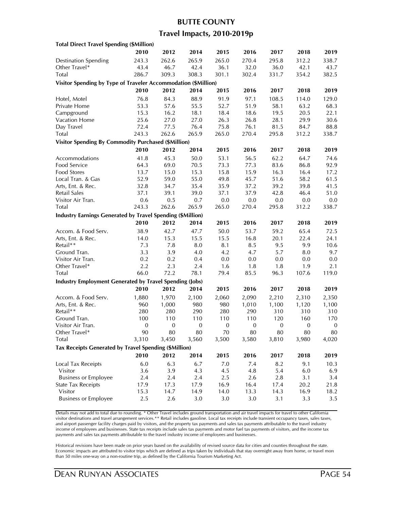#### **BUTTE COUNTY**

### **Travel Impacts, 2010-2019p**

| <b>Total Direct Travel Spending (\$Million)</b>                   |                  |                  |                  |                  |                  |              |                  |                  |
|-------------------------------------------------------------------|------------------|------------------|------------------|------------------|------------------|--------------|------------------|------------------|
|                                                                   | 2010             | 2012             | 2014             | 2015             | 2016             | 2017         | 2018             | 2019             |
| <b>Destination Spending</b>                                       | 243.3            | 262.6            | 265.9            | 265.0            | 270.4            | 295.8        | 312.2            | 338.7            |
| Other Travel*                                                     | 43.4             | 46.7             | 42.4             | 36.1             | 32.0             | 36.0         | 42.1             | 43.7             |
| Total                                                             | 286.7            | 309.3            | 308.3            | 301.1            | 302.4            | 331.7        | 354.2            | 382.5            |
| Visitor Spending by Type of Traveler Accommodation (\$Million)    |                  |                  |                  |                  |                  |              |                  |                  |
|                                                                   | 2010             | 2012             | 2014             | 2015             | 2016             | 2017         | 2018             | 2019             |
|                                                                   | 76.8             | 84.3             | 88.9             | 91.9             | 97.1             | 108.5        | 114.0            | 129.0            |
| Hotel, Motel<br>Private Home                                      | 53.3             | 57.6             |                  | 52.7             | 51.9             | 58.1         | 63.2             | 68.3             |
|                                                                   |                  | 16.2             | 55.5             |                  |                  |              |                  |                  |
| Campground<br>Vacation Home                                       | 15.3             |                  | 18.1<br>27.0     | 18.4<br>26.3     | 18.6<br>26.8     | 19.5<br>28.1 | 20.5<br>29.9     | 22.1<br>30.6     |
|                                                                   | 25.6<br>72.4     | 27.0             |                  |                  |                  |              |                  |                  |
| Day Travel                                                        |                  | 77.5             | 76.4             | 75.8             | 76.1<br>270.4    | 81.5         | 84.7             | 88.8<br>338.7    |
| Total                                                             | 243.3            | 262.6            | 265.9            | 265.0            |                  | 295.8        | 312.2            |                  |
| <b>Visitor Spending By Commodity Purchased (\$Million)</b>        |                  |                  |                  |                  |                  |              |                  |                  |
|                                                                   | 2010             | 2012             | 2014             | 2015             | 2016             | 2017         | 2018             | 2019             |
| Accommodations                                                    | 41.8             | 45.3             | 50.0             | 53.1             | 56.5             | 62.2         | 64.7             | 74.6             |
| Food Service                                                      | 64.3             | 69.0             | 70.5             | 73.3             | 77.3             | 83.6         | 86.8             | 92.9             |
| <b>Food Stores</b>                                                | 13.7             | 15.0             | 15.3             | 15.8             | 15.9             | 16.3         | 16.4             | 17.2             |
| Local Tran. & Gas                                                 | 52.9             | 59.0             | 55.0             | 49.8             | 45.7             | 51.6         | 58.2             | 61.5             |
| Arts, Ent. & Rec.                                                 | 32.8             | 34.7             | 35.4             | 35.9             | 37.2             | 39.2         | 39.8             | 41.5             |
| Retail Sales                                                      | 37.1             | 39.1             | 39.0             | 37.1             | 37.9             | 42.8         | 46.4             | 51.0             |
| Visitor Air Tran.                                                 | 0.6              | 0.5              | 0.7              | 0.0              | 0.0              | $0.0\,$      | 0.0              | 0.0              |
| Total                                                             | 243.3            | 262.6            | 265.9            | 265.0            | 270.4            | 295.8        | 312.2            | 338.7            |
| <b>Industry Earnings Generated by Travel Spending (\$Million)</b> |                  |                  |                  |                  |                  |              |                  |                  |
|                                                                   | 2010             | 2012             | 2014             | 2015             | 2016             | 2017         | 2018             | 2019             |
| Accom. & Food Serv.                                               | 38.9             | 42.7             | 47.7             | 50.0             | 53.7             | 59.2         | 65.4             | 72.5             |
| Arts, Ent. & Rec.                                                 | 14.0             | 15.3             | 15.5             | 15.5             | 16.8             | 20.1         | 22.4             | 24.1             |
| Retail**                                                          | 7.3              | 7.8              | 8.0              | 8.1              | 8.5              | 9.5          | 9.9              | 10.6             |
| Ground Tran.                                                      | 3.3              | 3.9              | 4.0              | 4.2              | 4.7              | 5.7          | 8.0              | 9.7              |
| Visitor Air Tran.                                                 | 0.2              | 0.2              | 0.4              | 0.0              | 0.0              | 0.0          | 0.0              | 0.0              |
| Other Travel*                                                     | 2.2              | 2.3              | 2.4              | 1.6              | 1.8              | 1.8          | 1.9              | 2.1              |
| Total                                                             | 66.0             | 72.2             | 78.1             | 79.4             | 85.5             | 96.3         | 107.6            | 119.0            |
| <b>Industry Employment Generated by Travel Spending (Jobs)</b>    |                  |                  |                  |                  |                  |              |                  |                  |
|                                                                   | 2010             | 2012             | 2014             | 2015             | 2016             | 2017         | 2018             | 2019             |
|                                                                   |                  |                  |                  |                  |                  |              |                  |                  |
| Accom. & Food Serv.                                               | 1,880            | 1,970            | 2,100            | 2,060            | 2,090            | 2,210        | 2,310            | 2,350            |
| Arts, Ent. & Rec.                                                 | 960              | 1,000            | 980              | 980              | 1,010            | 1,100        | 1,120            | 1,100            |
| Retail**                                                          | 280              | 280              | 290              | 280              | 290              | 310          | 310              | 310              |
| Ground Tran.                                                      | 100              | 110              | 110              | 110              | 110              | 120          | 160              | 170              |
| Visitor Air Tran.                                                 | $\boldsymbol{0}$ | $\boldsymbol{0}$ | $\boldsymbol{0}$ | $\boldsymbol{0}$ | $\boldsymbol{0}$ | $\mathbf{0}$ | $\boldsymbol{0}$ | $\boldsymbol{0}$ |
| Other Iravel*                                                     | 90               | 80               | 80               | 70               | 80               | 80           | 80               | 80               |
| Total                                                             | 3,310            | 3,450            | 3,560            | 3,500            | 3,580            | 3,810        | 3,980            | 4,020            |
| Tax Receipts Generated by Travel Spending (\$Million)             |                  |                  |                  |                  |                  |              |                  |                  |
|                                                                   | 2010             | 2012             | 2014             | 2015             | 2016             | 2017         | 2018             | 2019             |
| <b>Local Tax Receipts</b>                                         | 6.0              | 6.3              | 6.7              | 7.0              | 7.4              | 8.2          | 9.1              | 10.3             |
| Visitor                                                           | 3.6              | 3.9              | 4.3              | 4.5              | 4.8              | 5.4          | 6.0              | 6.9              |
| <b>Business or Employee</b>                                       | 2.4              | 2.4              | 2.4              | 2.5              | 2.6              | 2.8          | 3.1              | 3.4              |
| <b>State Tax Receipts</b>                                         | 17.9             | 17.3             | 17.9             | 16.9             | 16.4             | 17.4         | 20.2             | 21.8             |
| Visitor                                                           | 15.3             | 14.7             | 14.9             | 14.0             | 13.3             | 14.3         | 16.9             | 18.2             |
| <b>Business or Employee</b>                                       | 2.5              | 2.6              | 3.0              | 3.0              | 3.0              | 3.1          | 3.3              | 3.5              |
|                                                                   |                  |                  |                  |                  |                  |              |                  |                  |

Details may not add to total due to rounding. \* Other Travel includes ground transportation and air travel impacts for travel to other California visitor destinations and travel arrangement services.\*\* Retail includes gasoline. Local tax receipts include transient occupancy taxes, sales taxes, and airport passenger facility charges paid by visitors, and the property tax payments and sales tax payments attributable to the travel industry income of employees and businesses. State tax receipts include sales tax payments and motor fuel tax payments of visitors, and the income tax payments and sales tax payments attributable to the travel industry income of employees and businesses.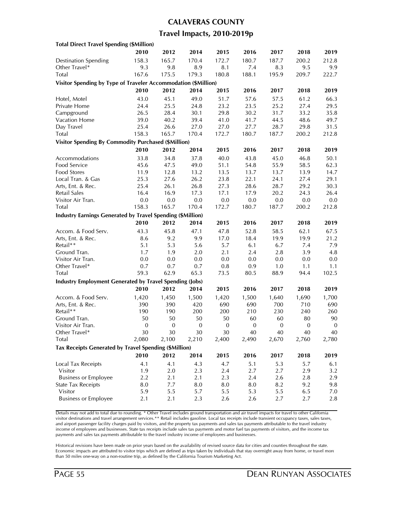#### **CALAVERAS COUNTY**

### **Travel Impacts, 2010-2019p**

| <b>Total Direct Travel Spending (\$Million)</b>                |                  |                  |                  |              |                  |              |                  |                  |
|----------------------------------------------------------------|------------------|------------------|------------------|--------------|------------------|--------------|------------------|------------------|
|                                                                | 2010             | 2012             | 2014             | 2015         | 2016             | 2017         | 2018             | 2019             |
| <b>Destination Spending</b>                                    | 158.3            | 165.7            | 170.4            | 172.7        | 180.7            | 187.7        | 200.2            | 212.8            |
| Other Travel*                                                  | 9.3              | 9.8              | 8.9              | 8.1          | 7.4              | 8.3          | 9.5              | 9.9              |
| Total                                                          | 167.6            | 175.5            | 179.3            | 180.8        | 188.1            | 195.9        | 209.7            | 222.7            |
| Visitor Spending by Type of Traveler Accommodation (\$Million) |                  |                  |                  |              |                  |              |                  |                  |
|                                                                | 2010             | 2012             | 2014             | 2015         | 2016             | 2017         | 2018             | 2019             |
| Hotel, Motel                                                   | 43.0             | 45.1             | 49.0             | 51.7         | 57.6             | 57.5         | 61.2             | 66.3             |
| Private Home                                                   | 24.4             | 25.5             | 24.8             | 23.2         | 23.5             | 25.2         | 27.4             | 29.5             |
| Campground                                                     | 26.5             | 28.4             | 30.1             |              |                  | 31.7         | 33.2             |                  |
| Vacation Home                                                  |                  | 40.2             | 39.4             | 29.8<br>41.0 | 30.2<br>41.7     |              | 48.6             | 35.8<br>49.7     |
| Day Travel                                                     | 39.0<br>25.4     | 26.6             | 27.0             | 27.0         | 27.7             | 44.5<br>28.7 | 29.8             | 31.5             |
|                                                                | 158.3            |                  | 170.4            | 172.7        | 180.7            | 187.7        |                  |                  |
| Total                                                          |                  | 165.7            |                  |              |                  |              | 200.2            | 212.8            |
| <b>Visitor Spending By Commodity Purchased (\$Million)</b>     |                  |                  |                  |              |                  |              |                  |                  |
|                                                                | 2010             | 2012             | 2014             | 2015         | 2016             | 2017         | 2018             | 2019             |
| Accommodations                                                 | 33.8             | 34.8             | 37.8             | 40.0         | 43.8             | 45.0         | 46.8             | 50.1             |
| Food Service                                                   | 45.6             | 47.5             | 49.0             | 51.1         | 54.8             | 55.9         | 58.5             | 62.3             |
| Food Stores                                                    | 11.9             | 12.8             | 13.2             | 13.5         | 13.7             | 13.7         | 13.9             | 14.7             |
| Local Tran. & Gas                                              | 25.3             | 27.6             | 26.2             | 23.8         | 22.1             | 24.1         | 27.4             | 29.1             |
| Arts, Ent. & Rec.                                              | 25.4             | 26.1             | 26.8             | 27.3         | 28.6             | 28.7         | 29.2             | 30.3             |
| Retail Sales                                                   | 16.4             | 16.9             | 17.3             | 17.1         | 17.9             | 20.2         | 24.3             | 26.4             |
| Visitor Air Tran.                                              | 0.0              | 0.0              | 0.0              | 0.0          | 0.0              | $0.0\,$      | $0.0\,$          | 0.0              |
| Total                                                          | 158.3            | 165.7            | 170.4            | 172.7        | 180.7            | 187.7        | 200.2            | 212.8            |
| Industry Earnings Generated by Travel Spending (\$Million)     |                  |                  |                  |              |                  |              |                  |                  |
|                                                                | 2010             | 2012             | 2014             | 2015         | 2016             | 2017         | 2018             | 2019             |
| Accom. & Food Serv.                                            | 43.3             | 45.8             | 47.1             | 47.8         | 52.8             | 58.5         | 62.1             | 67.5             |
| Arts, Ent. & Rec.                                              | 8.6              | 9.2              | 9.9              | 17.0         | 18.4             | 19.9         | 19.9             | 21.2             |
| Retail**                                                       | 5.1              | 5.3              | 5.6              | 5.7          | 6.1              | 6.7          | 7.4              | 7.9              |
| Ground Tran.                                                   | 1.7              | 1.9              | 2.0              | 2.1          | 2.4              | 2.8          | 3.9              | 4.8              |
| Visitor Air Tran.                                              | 0.0              | 0.0              | 0.0              | 0.0          | 0.0              | 0.0          | 0.0              | 0.0              |
| Other Travel*                                                  | 0.7              | 0.7              | 0.7              | 0.8          | 0.9              | 1.0          | 1.1              | 1.1              |
| Total                                                          | 59.3             | 62.9             | 65.3             | 73.5         | 80.5             | 88.9         | 94.4             | 102.5            |
| <b>Industry Employment Generated by Travel Spending (Jobs)</b> |                  |                  |                  |              |                  |              |                  |                  |
|                                                                | 2010             | 2012             | 2014             | 2015         | 2016             | 2017         | 2018             | 2019             |
|                                                                |                  |                  |                  |              |                  |              |                  |                  |
| Accom. & Food Serv.                                            | 1,420            | 1,450            | 1,500            | 1,420        | 1,500            | 1,640        | 1,690            | 1,700            |
| Arts, Ent. & Rec.                                              | 390              | 390              | 420              | 690          | 690              | 700          | 710              | 690              |
| Retail**                                                       | 190              | 190              | 200              | 200          | 210              | 230          | 240              | 260              |
| Ground Tran.                                                   | 50               | 50               | 50               | 50           | 60               | 60           | 80               | 90               |
| Visitor Air Tran.                                              | $\boldsymbol{0}$ | $\boldsymbol{0}$ | $\boldsymbol{0}$ | $\mathbf{0}$ | $\boldsymbol{0}$ | $\bf{0}$     | $\boldsymbol{0}$ | $\boldsymbol{0}$ |
| Other Iravel*                                                  | 30               | 30               | 30               | 30           | 40               | 40           | 40               | 40               |
| Total                                                          | 2,080            | 2,100            | 2,210            | 2,400        | 2,490            | 2,670        | 2,760            | 2,780            |
| Tax Receipts Generated by Travel Spending (\$Million)          |                  |                  |                  |              |                  |              |                  |                  |
|                                                                | 2010             | 2012             | 2014             | 2015         | 2016             | 2017         | 2018             | 2019             |
| Local Tax Receipts                                             | 4.1              | 4.1              | 4.3              | 4.7          | 5.1              | 5.3          | 5.7              | 6.1              |
| Visitor                                                        | 1.9              | $2.0\,$          | 2.3              | 2.4          | 2.7              | 2.7          | 2.9              | 3.2              |
| <b>Business or Employee</b>                                    | 2.2              | 2.1              | 2.1              | 2.3          | 2.4              | 2.6          | $2.8\,$          | 2.9              |
| <b>State Tax Receipts</b>                                      | 8.0              | 7.7              | 8.0              | 8.0          | 8.0              | 8.2          | 9.2              | 9.8              |
| Visitor                                                        | 5.9              | 5.5              | 5.7              | 5.5          | 5.3              | 5.5          | 6.5              | 7.0              |
| <b>Business or Employee</b>                                    | 2.1              | 2.1              | 2.3              | 2.6          | 2.6              | 2.7          | 2.7              | 2.8              |
|                                                                |                  |                  |                  |              |                  |              |                  |                  |

Details may not add to total due to rounding. \* Other Travel includes ground transportation and air travel impacts for travel to other California visitor destinations and travel arrangement services.\*\* Retail includes gasoline. Local tax receipts include transient occupancy taxes, sales taxes, and airport passenger facility charges paid by visitors, and the property tax payments and sales tax payments attributable to the travel industry income of employees and businesses. State tax receipts include sales tax payments and motor fuel tax payments of visitors, and the income tax payments and sales tax payments attributable to the travel industry income of employees and businesses.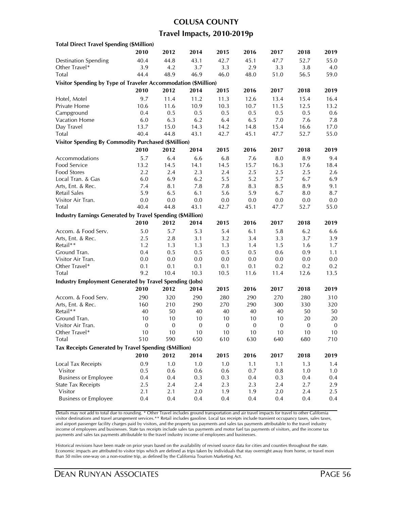### **COLUSA COUNTY Travel Impacts, 2010-2019p**

| <b>Total Direct Travel Spending (\$Million)</b>                   |                  |              |              |                  |              |              |              |                  |
|-------------------------------------------------------------------|------------------|--------------|--------------|------------------|--------------|--------------|--------------|------------------|
|                                                                   | 2010             | 2012         | 2014         | 2015             | 2016         | 2017         | 2018         | 2019             |
| <b>Destination Spending</b>                                       | 40.4             | 44.8         | 43.1         | 42.7             | 45.1         | 47.7         | 52.7         | 55.0             |
| Other Travel*                                                     | 3.9              | 4.2          | 3.7          | 3.3              | 2.9          | 3.3          | 3.8          | 4.0              |
| Total                                                             | 44.4             | 48.9         | 46.9         | 46.0             | 48.0         | 51.0         | 56.5         | 59.0             |
| Visitor Spending by Type of Traveler Accommodation (\$Million)    |                  |              |              |                  |              |              |              |                  |
|                                                                   | 2010             | 2012         | 2014         | 2015             | 2016         | 2017         | 2018         | 2019             |
| Hotel, Motel                                                      | 9.7              | 11.4         | 11.2         | 11.3             | 12.6         | 13.4         | 15.4         | 16.4             |
| Private Home                                                      | 10.6             | 11.6         | 10.9         | 10.3             | 10.7         | 11.5         | 12.5         | 13.2             |
| Campground                                                        | 0.4              | 0.5          | 0.5          | 0.5              | 0.5          | 0.5          | 0.5          | 0.6              |
| Vacation Home                                                     | 6.0              | 6.3          | 6.2          | 6.4              | 6.5          | 7.0          | 7.6          | 7.8              |
| Day Travel                                                        | 13.7             | 15.0         | 14.3         | 14.2             | 14.8         | 15.4         | 16.6         | 17.0             |
| Total                                                             | 40.4             | 44.8         | 43.1         | 42.7             | 45.1         | 47.7         | 52.7         | 55.0             |
| <b>Visitor Spending By Commodity Purchased (\$Million)</b>        |                  |              |              |                  |              |              |              |                  |
|                                                                   | 2010             | 2012         | 2014         | 2015             | 2016         | 2017         | 2018         | 2019             |
| Accommodations                                                    | 5.7              | 6.4          | 6.6          | 6.8              | 7.6          |              | 8.9          | 9.4              |
| Food Service                                                      | 13.2             |              |              |                  | 15.7         | 8.0<br>16.3  | 17.6         | 18.4             |
| <b>Food Stores</b>                                                | 2.2              | 14.5<br>2.4  | 14.1<br>2.3  | 14.5<br>2.4      | 2.5          | 2.5          | 2.5          | 2.6              |
| Local Tran. & Gas                                                 | 6.0              | 6.9          | 6.2          | 5.5              | 5.2          | 5.7          | 6.7          | 6.9              |
| Arts, Ent. & Rec.                                                 | 7.4              | 8.1          | 7.8          | 7.8              | 8.3          | 8.5          | 8.9          | 9.1              |
| <b>Retail Sales</b>                                               | 5.9              | 6.5          | 6.1          | 5.6              | 5.9          | 6.7          | 8.0          | 8.7              |
| Visitor Air Tran.                                                 | 0.0              | 0.0          | 0.0          | 0.0              | 0.0          | 0.0          | 0.0          | 0.0              |
| Total                                                             | 40.4             | 44.8         | 43.1         | 42.7             | 45.1         | 47.7         | 52.7         | 55.0             |
| <b>Industry Earnings Generated by Travel Spending (\$Million)</b> |                  |              |              |                  |              |              |              |                  |
|                                                                   | 2010             | 2012         | 2014         | 2015             | 2016         | 2017         | 2018         | 2019             |
|                                                                   |                  |              |              |                  |              |              |              |                  |
| Accom. & Food Serv.                                               | 5.0              | 5.7          | 5.3          | 5.4              | 6.1          | 5.8          | 6.2          | 6.6              |
| Arts, Ent. & Rec.<br>Retail**                                     | 2.5              | 2.8          | 3.1          | 3.2              | 3.4          | 3.3          | 3.7          | 3.9              |
| Ground Tran.                                                      | 1.2<br>0.4       | 1.3          | 1.3<br>0.5   | 1.3<br>0.5       | 1.4          | 1.5          | 1.6          | 1.7<br>1.1       |
| Visitor Air Tran.                                                 | 0.0              | 0.5          | 0.0          | 0.0              | 0.5<br>0.0   | 0.6<br>0.0   | 0.9          | $0.0\,$          |
| Other Travel*                                                     | 0.1              | 0.0<br>0.1   | 0.1          | 0.1              | 0.1          | 0.2          | 0.0<br>0.2   | 0.2              |
| Total                                                             | 9.2              | 10.4         | 10.3         | 10.5             | 11.6         | 11.4         | 12.6         | 13.5             |
|                                                                   |                  |              |              |                  |              |              |              |                  |
| <b>Industry Employment Generated by Travel Spending (Jobs)</b>    |                  |              |              |                  |              |              |              |                  |
|                                                                   | 2010             | 2012         | 2014         | 2015             | 2016         | 2017         | 2018         | 2019             |
| Accom. & Food Serv.                                               | 290              | 320          | 290          | 280              | 290          | 270          | 280          | 310              |
| Arts, Ent. & Rec.                                                 | 160              | 210          | 290          | 270              | 290          | 300          | 330          | 320              |
| Retail**                                                          | 40               | 50           | 40           | 40               | 40           | 40           | 50           | 50               |
| Ground Tran.                                                      | $10\,$           | 10           | 10           | $10\,$           | 10           | $10\,$       | 20           | $20\,$           |
| Visitor Air Tran.<br>Other Travel*                                | $\boldsymbol{0}$ | $\mathbf{0}$ | $\mathbf{0}$ | $\boldsymbol{0}$ | $\mathbf{0}$ | $\mathbf{0}$ | $\mathbf{0}$ | $\boldsymbol{0}$ |
|                                                                   | $10$             | 10           | $10$         | $10$             | $10$         | $10\,$       | 10           | 10               |
| Total                                                             | 510              | 590          | 650          | 610              | 630          | 640          | 680          | 710              |
| Tax Receipts Generated by Travel Spending (\$Million)             |                  |              |              |                  |              |              |              |                  |
|                                                                   | 2010             | 2012         | 2014         | 2015             | 2016         | 2017         | 2018         | 2019             |
| <b>Local Tax Receipts</b>                                         | 0.9              | 1.0          | 1.0          | 1.0              | 1.1          | 1.1          | 1.3          | 1.4              |
| Visitor                                                           | 0.5              | 0.6          | 0.6          | 0.6              | 0.7          | 0.8          | 1.0          | 1.0              |
| <b>Business or Employee</b>                                       | 0.4              | 0.4          | 0.3          | 0.3              | 0.4          | 0.3          | 0.4          | 0.4              |
| <b>State Tax Receipts</b>                                         | 2.5              | 2.4          | 2.4          | 2.3              | 2.3          | 2.4          | 2.7          | 2.9              |
| Visitor                                                           | 2.1              | 2.1          | 2.0          | 1.9              | 1.9          | 2.0          | 2.4          | 2.5              |
| <b>Business or Employee</b>                                       | 0.4              | 0.4          | 0.4          | 0.4              | 0.4          | 0.4          | 0.4          | 0.4              |

Details may not add to total due to rounding. \* Other Travel includes ground transportation and air travel impacts for travel to other California visitor destinations and travel arrangement services.\*\* Retail includes gasoline. Local tax receipts include transient occupancy taxes, sales taxes, and airport passenger facility charges paid by visitors, and the property tax payments and sales tax payments attributable to the travel industry income of employees and businesses. State tax receipts include sales tax payments and motor fuel tax payments of visitors, and the income tax payments and sales tax payments attributable to the travel industry income of employees and businesses.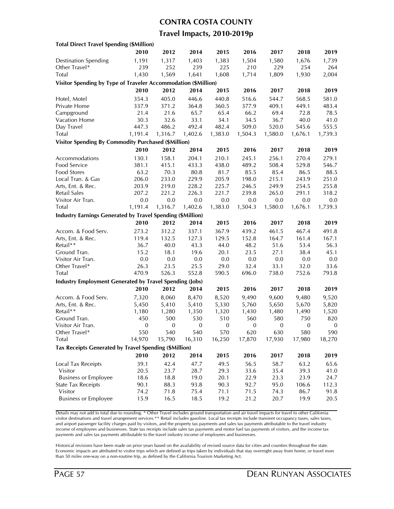#### **CONTRA COSTA COUNTY**

#### **Travel Impacts, 2010-2019p**

| <b>Total Direct Travel Spending (\$Million)</b>                   |                  |              |                  |                  |                  |                  |                  |                  |
|-------------------------------------------------------------------|------------------|--------------|------------------|------------------|------------------|------------------|------------------|------------------|
|                                                                   | 2010             | 2012         | 2014             | 2015             | 2016             | 2017             | 2018             | 2019             |
| <b>Destination Spending</b>                                       | 1,191            | 1,317        | 1,403            | 1,383            | 1,504            | 1,580            | 1,676            | 1,739            |
| Other Travel*                                                     | 239              | 252          | 239              | 225              | 210              | 229              | 254              | 264              |
| Total                                                             | 1,430            | 1,569        | 1,641            | 1,608            | 1,714            | 1,809            | 1,930            | 2,004            |
| Visitor Spending by Type of Traveler Accommodation (\$Million)    |                  |              |                  |                  |                  |                  |                  |                  |
|                                                                   | 2010             | 2012         | 2014             | 2015             | 2016             | 2017             | 2018             | 2019             |
| Hotel, Motel                                                      | 354.3            | 405.0        | 446.6            | 440.8            | 516.6            | 544.7            | 568.5            | 581.0            |
| Private Home                                                      | 337.9            | 371.2        | 364.8            | 360.5            | 377.9            | 409.1            | 449.1            | 483.4            |
| Campground                                                        | 21.4             | 21.6         | 65.7             | 65.4             | 66.2             | 69.4             | 72.8             | 78.5             |
| Vacation Home                                                     | 30.3             | 32.6         | 33.1             | 34.1             | 34.5             | 36.7             | 40.0             | 41.0             |
| Day Travel                                                        | 447.3            | 486.2        | 492.4            | 482.4            | 509.0            | 520.0            | 545.6            | 555.5            |
| Total                                                             | 1,191.4          | 1,316.7      | 1,402.6          | 1,383.0          | 1,504.3          | 1,580.0          | 1,676.1          | 1,739.3          |
| <b>Visitor Spending By Commodity Purchased (\$Million)</b>        |                  |              |                  |                  |                  |                  |                  |                  |
|                                                                   | 2010             | 2012         | 2014             | 2015             | 2016             | 2017             | 2018             | 2019             |
| Accommodations                                                    | 130.1            | 158.1        | 204.1            | 210.1            | 245.1            | 256.1            | 270.4            | 279.1            |
| Food Service                                                      | 381.1            | 415.1        | 433.3            | 438.0            | 489.2            | 508.4            | 529.8            | 546.7            |
| <b>Food Stores</b>                                                | 63.2             | 70.3         | 80.8             | 81.7             | 85.5             | 85.4             | 86.5             | 88.5             |
| Local Tran. & Gas                                                 | 206.0            | 233.0        | 229.9            | 205.9            | 198.0            | 215.1            | 243.9            | 251.0            |
| Arts, Ent. & Rec.                                                 | 203.9            | 219.0        | 228.2            | 225.7            | 246.5            | 249.9            | 254.5            | 255.8            |
| Retail Sales                                                      | 207.2            | 221.2        | 226.3            | 221.7            | 239.8            | 265.0            | 291.1            | 318.2            |
|                                                                   | 0.0              | 0.0          | 0.0              | 0.0              | 0.0              | 0.0              | 0.0              | 0.0              |
| Visitor Air Tran.<br>Total                                        | 1,191.4          |              |                  |                  |                  |                  |                  |                  |
|                                                                   |                  | 1,316.7      | 1,402.6          | 1,383.0          | 1,504.3          | 1,580.0          | 1,676.1          | 1,739.3          |
| <b>Industry Earnings Generated by Travel Spending (\$Million)</b> |                  |              |                  |                  |                  |                  |                  |                  |
|                                                                   | 2010             | 2012         | 2014             | 2015             | 2016             | 2017             | 2018             | 2019             |
| Accom. & Food Serv.                                               | 273.2            | 312.2        | 337.1            | 367.9            | 439.2            | 461.5            | 467.4            | 491.8            |
| Arts, Ent. & Rec.                                                 | 119.4            | 132.5        | 127.3            | 129.5            | 152.8            | 164.7            | 161.4            | 167.1            |
| Retail**                                                          | 36.7             | 40.0         | 43.3             | 44.0             | 48.2             | 51.6             | 53.4             | 56.3             |
| Ground Tran.                                                      | 15.2             | 18.1         | 19.6             | 20.1             | 23.5             | 27.1             | 38.4             | 45.1             |
| Visitor Air Tran.                                                 | 0.0              | 0.0          | 0.0              | 0.0              | 0.0              | 0.0              | 0.0              | 0.0              |
| Other Travel*                                                     | 26.3             | 23.5         | 25.5             | 29.0             | 32.4             | 33.1             | 32.0             | 33.6             |
| Total                                                             | 470.9            | 526.3        | 552.8            | 590.5            | 696.0            | 738.0            | 752.6            | 793.8            |
| <b>Industry Employment Generated by Travel Spending (Jobs)</b>    |                  |              |                  |                  |                  |                  |                  |                  |
|                                                                   | 2010             | 2012         | 2014             | 2015             | 2016             | 2017             | 2018             | 2019             |
| Accom. & Food Serv.                                               | 7,320            | 8,060        | 8,470            | 8,520            | 9,490            | 9,600            | 9,480            | 9,520            |
| Arts, Ent. & Rec.                                                 | 5,450            | 5,410        | 5,410            | 5,330            | 5,760            | 5,650            | 5,670            | 5,820            |
| Retail**                                                          | 1,180            | 1,280        | 1,350            | 1,320            | 1,430            | 1,480            | 1,490            | 1,520            |
| Ground Tran.                                                      | 450              | 500          | 530              | 510              | 560              | 580              | 750              | 820              |
| Visitor Air Tran.                                                 | $\boldsymbol{0}$ | $\mathbf{0}$ | $\boldsymbol{0}$ | $\boldsymbol{0}$ | $\boldsymbol{0}$ | $\boldsymbol{0}$ | $\boldsymbol{0}$ | $\boldsymbol{0}$ |
| Other Iravel*                                                     | 550              | 540          | 540              | 570              | 620              | 630              | 580              | 590              |
| Total                                                             | 14,970           | 15,790       | 16,310           | 16,250           | 17,870           | 17,930           | 17,980           | 18,270           |
| Tax Receipts Generated by Travel Spending (\$Million)             |                  |              |                  |                  |                  |                  |                  |                  |
|                                                                   | 2010             | 2012         | 2014             | 2015             | 2016             | 2017             | 2018             | 2019             |
| Local Tax Receipts                                                | 39.1             | 42.4         | 47.7             | 49.5             | 56.5             | 58.7             | 63.2             | 65.6             |
| Visitor                                                           | 20.5             | 23.7         | 28.7             | 29.3             | 33.6             | 35.4             | 39.3             | 41.0             |
| <b>Business or Employee</b>                                       | 18.6             | 18.8         | 19.0             | 20.1             | 22.9             | 23.3             | 23.9             | 24.7             |
| <b>State Tax Receipts</b>                                         | 90.1             | 88.3         | 93.8             | 90.3             | 92.7             | 95.0             | 106.6            | 112.3            |
| Visitor                                                           | 74.2             | 71.8         | 75.4             | 71.1             | 71.5             | 74.3             | 86.7             | 91.8             |
| <b>Business or Employee</b>                                       | 15.9             | 16.5         | 18.5             | 19.2             | 21.2             | 20.7             | 19.9             | 20.5             |
|                                                                   |                  |              |                  |                  |                  |                  |                  |                  |

Details may not add to total due to rounding. \* Other Travel includes ground transportation and air travel impacts for travel to other California visitor destinations and travel arrangement services.\*\* Retail includes gasoline. Local tax receipts include transient occupancy taxes, sales taxes, and airport passenger facility charges paid by visitors, and the property tax payments and sales tax payments attributable to the travel industry income of employees and businesses. State tax receipts include sales tax payments and motor fuel tax payments of visitors, and the income tax payments and sales tax payments attributable to the travel industry income of employees and businesses.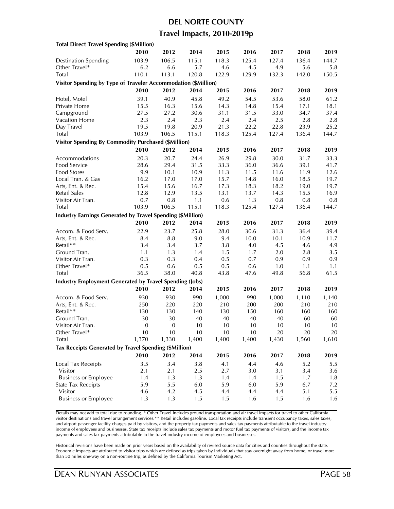#### **DEL NORTE COUNTY**

#### **Travel Impacts, 2010-2019p**

| <b>Total Direct Travel Spending (\$Million)</b>                   |                  |                  |           |           |           |           |              |           |
|-------------------------------------------------------------------|------------------|------------------|-----------|-----------|-----------|-----------|--------------|-----------|
|                                                                   | 2010             | 2012             | 2014      | 2015      | 2016      | 2017      | 2018         | 2019      |
| <b>Destination Spending</b>                                       | 103.9            | 106.5            | 115.1     | 118.3     | 125.4     | 127.4     | 136.4        | 144.7     |
| Other Travel*                                                     | 6.2              | 6.6              | 5.7       | 4.6       | 4.5       | 4.9       | 5.6          | 5.8       |
| Total                                                             | 110.1            | 113.1            | 120.8     | 122.9     | 129.9     | 132.3     | 142.0        | 150.5     |
| Visitor Spending by Type of Traveler Accommodation (\$Million)    |                  |                  |           |           |           |           |              |           |
|                                                                   | 2010             | 2012             | 2014      | 2015      | 2016      | 2017      | 2018         | 2019      |
|                                                                   |                  |                  |           |           |           |           |              |           |
| Hotel, Motel                                                      | 39.1             | 40.9             | 45.8      | 49.2      | 54.5      | 53.6      | 58.0         | 61.2      |
| Private Home                                                      | 15.5             | 16.3             | 15.6      | 14.3      | 14.8      | 15.4      | 17.1         | 18.1      |
| Campground                                                        | 27.5             | 27.2             | 30.6      | 31.1      | 31.5      | 33.0      | 34.7         | 37.4      |
| Vacation Home                                                     | 2.3              | 2.4              | 2.3       | 2.4       | 2.4       | 2.5       | 2.8          | 2.8       |
| Day Travel                                                        | 19.5             | 19.8             | 20.9      | 21.3      | 22.2      | 22.8      | 23.9         | 25.2      |
| Total                                                             | 103.9            | 106.5            | 115.1     | 118.3     | 125.4     | 127.4     | 136.4        | 144.7     |
| <b>Visitor Spending By Commodity Purchased (\$Million)</b>        |                  |                  |           |           |           |           |              |           |
|                                                                   | 2010             | 2012             | 2014      | 2015      | 2016      | 2017      | 2018         | 2019      |
| Accommodations                                                    | 20.3             | 20.7             | 24.4      | 26.9      | 29.8      | 30.0      | 31.7         | 33.3      |
| Food Service                                                      | 28.6             | 29.4             | 31.5      | 33.3      | 36.0      | 36.6      | 39.1         | 41.7      |
| Food Stores                                                       | 9.9              | 10.1             | 10.9      | 11.3      | 11.5      | 11.6      | 11.9         | 12.6      |
| Local Tran. & Gas                                                 | 16.2             | 17.0             | 17.0      | 15.7      | 14.8      | 16.0      | 18.5         | 19.7      |
| Arts, Ent. & Rec.                                                 | 15.4             | 15.6             | 16.7      | 17.3      | 18.3      | 18.2      | 19.0         | 19.7      |
| Retail Sales                                                      | 12.8             | 12.9             | 13.5      | 13.1      | 13.7      | 14.3      | 15.5         | 16.9      |
| Visitor Air Tran.                                                 | 0.7              | 0.8              | 1.1       | 0.6       | 1.3       | 0.8       | $0.8\,$      | 0.8       |
| Total                                                             | 103.9            | 106.5            | 115.1     | 118.3     | 125.4     | 127.4     | 136.4        | 144.7     |
| <b>Industry Earnings Generated by Travel Spending (\$Million)</b> |                  |                  |           |           |           |           |              |           |
|                                                                   | 2010             | 2012             | 2014      | 2015      | 2016      | 2017      | 2018         | 2019      |
| Accom. & Food Serv.                                               | 22.9             | 23.7             | 25.8      | 28.0      | 30.6      | 31.3      | 36.4         | 39.4      |
| Arts, Ent. & Rec.                                                 | 8.4              | 8.8              | 9.0       | 9.4       | 10.0      | 10.1      | 10.9         | 11.7      |
| Retail**                                                          | 3.4              | 3.4              | 3.7       | 3.8       | 4.0       | 4.5       | 4.6          | 4.9       |
| Ground Tran.                                                      | 1.1              | 1.3              | 1.4       | 1.5       | 1.7       | $2.0\,$   | 2.8          | 3.5       |
| Visitor Air Tran.                                                 | 0.3              | 0.3              | 0.4       | 0.5       | 0.7       | 0.9       | 0.9          | 0.9       |
| Other Travel*                                                     | 0.5              | 0.6              | 0.5       | 0.5       | 0.6       | 1.0       | 1.1          | 1.1       |
| Total                                                             | 36.5             | 38.0             | 40.8      | 43.8      | 47.6      | 49.8      | 56.8         | 61.5      |
| <b>Industry Employment Generated by Travel Spending (Jobs)</b>    |                  |                  |           |           |           |           |              |           |
|                                                                   | 2010             | 2012             | 2014      | 2015      | 2016      | 2017      | 2018         | 2019      |
| Accom. & Food Serv.                                               | 930              | 930              | 990       | 1,000     | 990       |           |              | 1,140     |
|                                                                   | 250              | 220              | 220       | 210       | 200       | 1,000     | 1,110<br>210 |           |
| Arts, Ent. & Rec.<br>Retail**                                     |                  |                  |           |           |           | 200       |              | 210       |
| Ground Tran.                                                      | 130<br>30        | 130<br>30        | 140<br>40 | 130<br>40 | 150<br>40 | 160<br>40 | 160<br>60    | 160<br>60 |
| Visitor Air Tran.                                                 | $\boldsymbol{0}$ | $\boldsymbol{0}$ | 10        | 10        | 10        | 10        | 10           | 10        |
|                                                                   |                  |                  |           |           |           |           |              |           |
| Other Travel*                                                     | 10               | 10               | 10        | 10        | 10        | 20        | 20           | 20        |
| Total                                                             | 1,370            | 1,330            | 1,400     | 1,400     | 1,400     | 1,430     | 1,560        | 1,610     |
| Tax Receipts Generated by Travel Spending (\$Million)             |                  |                  |           |           |           |           |              |           |
|                                                                   | 2010             | 2012             | 2014      | 2015      | 2016      | 2017      | 2018         | 2019      |
| Local Tax Receipts                                                | 3.5              | 3.4              | 3.8       | 4.1       | 4.4       | 4.6       | 5.2          | 5.5       |
| Visitor                                                           | 2.1              | 2.1              | 2.5       | 2.7       | 3.0       | 3.1       | 3.4          | 3.6       |
| <b>Business or Employee</b>                                       | 1.4              | 1.3              | 1.3       | 1.4       | 1.4       | 1.5       | 1.7          | 1.8       |
| <b>State Tax Receipts</b>                                         | 5.9              | 5.5              | 6.0       | 5.9       | 6.0       | 5.9       | 6.7          | 7.2       |
| Visitor                                                           | 4.6              | 4.2              | 4.5       | 4.4       | 4.4       | 4.4       | 5.1          | 5.5       |
| <b>Business or Employee</b>                                       | 1.3              | 1.3              | 1.5       | 1.5       | 1.6       | 1.5       | 1.6          | 1.6       |
|                                                                   |                  |                  |           |           |           |           |              |           |

Details may not add to total due to rounding. \* Other Travel includes ground transportation and air travel impacts for travel to other California visitor destinations and travel arrangement services.\*\* Retail includes gasoline. Local tax receipts include transient occupancy taxes, sales taxes, and airport passenger facility charges paid by visitors, and the property tax payments and sales tax payments attributable to the travel industry income of employees and businesses. State tax receipts include sales tax payments and motor fuel tax payments of visitors, and the income tax payments and sales tax payments attributable to the travel industry income of employees and businesses.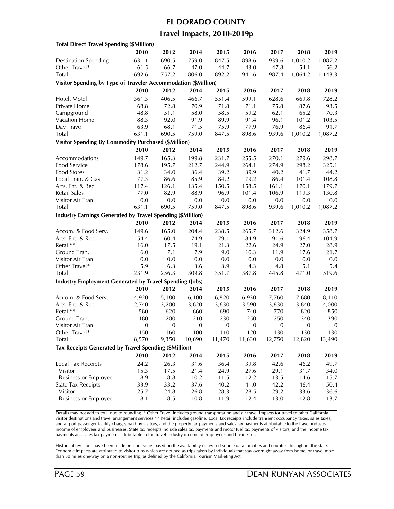#### **EL DORADO COUNTY**

### **Travel Impacts, 2010-2019p**

| <b>Total Direct Travel Spending (\$Million)</b>                |                  |                  |                  |              |                  |               |                  |                  |
|----------------------------------------------------------------|------------------|------------------|------------------|--------------|------------------|---------------|------------------|------------------|
|                                                                | 2010             | 2012             | 2014             | 2015         | 2016             | 2017          | 2018             | 2019             |
| <b>Destination Spending</b>                                    | 631.1            | 690.5            | 759.0            | 847.5        | 898.6            | 939.6         | 1,010.2          | 1,087.2          |
| Other Travel*                                                  | 61.5             | 66.7             | 47.0             | 44.7         | 43.0             | 47.8          | 54.1             | 56.2             |
| Total                                                          | 692.6            | 757.2            | 806.0            | 892.2        | 941.6            | 987.4         | 1,064.2          | 1,143.3          |
| Visitor Spending by Type of Traveler Accommodation (\$Million) |                  |                  |                  |              |                  |               |                  |                  |
|                                                                | 2010             | 2012             | 2014             | 2015         | 2016             | 2017          | 2018             | 2019             |
| Hotel, Motel                                                   | 361.3            | 406.5            | 466.7            | 551.4        | 599.1            | 628.6         | 669.8            | 728.2            |
| Private Home                                                   | 68.8             | 72.8             | 70.9             | 71.8         | 71.1             | 75.8          | 87.6             | 93.5             |
|                                                                | 48.8             | 51.1             |                  | 58.5         | 59.2             | 62.1          | 65.2             |                  |
| Campground<br>Vacation Home                                    |                  | 92.0             | 58.0             | 89.9         | 91.4             | 96.1          |                  | 70.3             |
| Day Travel                                                     | 88.3<br>63.9     | 68.1             | 91.9<br>71.5     | 75.9         | 77.9             | 76.9          | 101.2<br>86.4    | 103.5<br>91.7    |
|                                                                |                  |                  | 759.0            |              |                  |               | 1,010.2          | 1,087.2          |
| <b>Total</b>                                                   | 631.1            | 690.5            |                  | 847.5        | 898.6            | 939.6         |                  |                  |
| <b>Visitor Spending By Commodity Purchased (\$Million)</b>     |                  |                  |                  |              |                  |               |                  |                  |
|                                                                | 2010             | 2012             | 2014             | 2015         | 2016             | 2017          | 2018             | 2019             |
| Accommodations                                                 | 149.7            | 165.3            | 199.8            | 231.7        | 255.5            | 270.1         | 279.6            | 298.7            |
| Food Service                                                   | 178.6            | 195.7            | 212.7            | 244.9        | 264.1            | 274.9         | 298.2            | 325.1            |
| Food Stores                                                    | 31.2             | 34.0             | 36.4             | 39.2         | 39.9             | 40.2          | 41.7             | 44.2             |
| Local Tran. & Gas                                              | 77.3             | 86.6             | 85.9             | 84.2         | 79.2             | 86.4          | 101.4            | 108.8            |
| Arts, Ent. & Rec.                                              | 117.4            | 126.1            | 135.4            | 150.5        | 158.5            | 161.1         | 170.1            | 179.7            |
| <b>Retail Sales</b>                                            | 77.0             | 82.9             | 88.9             | 96.9         | 101.4            | 106.9         | 119.3            | 130.8            |
| Visitor Air Tran.                                              | 0.0              | 0.0              | 0.0              | 0.0          | 0.0              | 0.0           | 0.0              | 0.0              |
| Total                                                          | 631.1            | 690.5            | 759.0            | 847.5        | 898.6            | 939.6         | 1,010.2          | 1,087.2          |
| Industry Earnings Generated by Travel Spending (\$Million)     |                  |                  |                  |              |                  |               |                  |                  |
|                                                                | 2010             | 2012             | 2014             | 2015         | 2016             | 2017          | 2018             | 2019             |
| Accom. & Food Serv.                                            | 149.6            | 165.0            | 204.4            | 238.5        | 265.7            | 312.6         | 324.9            | 358.7            |
| Arts, Ent. & Rec.                                              | 54.4             | 60.4             | 74.9             | 79.1         | 84.9             | 91.6          | 96.4             | 104.9            |
| Retail**                                                       | 16.0             | 17.5             | 19.1             | 21.3         | 22.6             | 24.9          | 27.0             | 28.9             |
| Ground Tran.                                                   | 6.0              | 7.1              | 7.9              | 9.0          | 10.3             | 11.9          | 17.6             | 21.7             |
| Visitor Air Tran.                                              | 0.0              | 0.0              | 0.0              | 0.0          | 0.0              | 0.0           | 0.0              | 0.0              |
| Other Travel*                                                  | 5.9              | 6.3              | 3.6              | 3.9          | 4.3              | 4.8           | 5.1              | 5.4              |
| <b>Total</b>                                                   | 231.9            | 256.3            | 309.8            | 351.7        | 387.8            | 445.8         | 471.0            | 519.6            |
| <b>Industry Employment Generated by Travel Spending (Jobs)</b> |                  |                  |                  |              |                  |               |                  |                  |
|                                                                | 2010             | 2012             | 2014             | 2015         | 2016             | 2017          | 2018             | 2019             |
| Accom. & Food Serv.                                            | 4,920            | 5,180            | 6,100            | 6,820        | 6,930            | 7,760         | 7,680            | 8,110            |
| Arts, Ent. & Rec.                                              |                  | 3,200            | 3,620            | 3,630        | 3,590            | 3,830         | 3,840            | 4,000            |
| Retail**                                                       | 2,740<br>580     | 620              | 660              | 690          | 740              | 770           | 820              | 850              |
| Ground Tran.                                                   | 180              | 200              | 210              | 230          | 250              | 250           | 340              | 390              |
| Visitor Air Tran.                                              | $\boldsymbol{0}$ | $\boldsymbol{0}$ | $\boldsymbol{0}$ | $\mathbf{0}$ | $\boldsymbol{0}$ | $\mathbf{0}$  | $\boldsymbol{0}$ | $\boldsymbol{0}$ |
|                                                                | 150              | 160              |                  | 110          | 120              |               | 130              |                  |
| Other Iravel*<br>Total                                         | 8,570            | 9,350            | 100<br>10,690    | 11,470       | 11,630           | 130<br>12,750 | 12,820           | 130<br>13,490    |
|                                                                |                  |                  |                  |              |                  |               |                  |                  |
| Tax Receipts Generated by Travel Spending (\$Million)          |                  |                  |                  |              |                  |               |                  |                  |
|                                                                | 2010             | 2012             | 2014             | 2015         | 2016             | 2017          | 2018             | 2019             |
| Local Tax Receipts                                             | 24.2             | 26.3             | 31.6             | 36.4         | 39.8             | 42.6          | 46.2             | 49.7             |
| Visitor                                                        | 15.3             | 17.5             | 21.4             | 24.9         | 27.6             | 29.1          | 31.7             | 34.0             |
| <b>Business or Employee</b>                                    | 8.9              | $\bf 8.8$        | 10.2             | 11.5         | 12.2             | 13.5          | 14.6             | 15.7             |
| <b>State Tax Receipts</b>                                      | 33.9             | 33.2             | 37.6             | 40.2         | 41.0             | 42.2          | 46.4             | 50.4             |
| Visitor                                                        | 25.7             | 24.8             | 26.8             | 28.3         | 28.5             | 29.2          | 33.6             | 36.6             |
| <b>Business or Employee</b>                                    | 8.1              | 8.5              | 10.8             | 11.9         | 12.4             | 13.0          | 12.8             | 13.7             |
|                                                                |                  |                  |                  |              |                  |               |                  |                  |

Details may not add to total due to rounding. \* Other Travel includes ground transportation and air travel impacts for travel to other California visitor destinations and travel arrangement services.\*\* Retail includes gasoline. Local tax receipts include transient occupancy taxes, sales taxes, and airport passenger facility charges paid by visitors, and the property tax payments and sales tax payments attributable to the travel industry income of employees and businesses. State tax receipts include sales tax payments and motor fuel tax payments of visitors, and the income tax payments and sales tax payments attributable to the travel industry income of employees and businesses.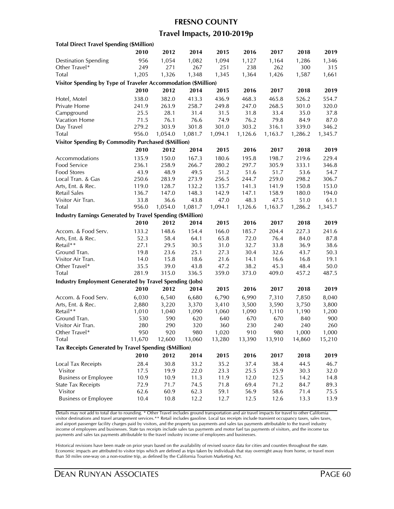#### **FRESNO COUNTY**

### **Travel Impacts, 2010-2019p**

| <b>Total Direct Travel Spending (\$Million)</b>                   |        |         |         |         |         |         |         |         |
|-------------------------------------------------------------------|--------|---------|---------|---------|---------|---------|---------|---------|
|                                                                   | 2010   | 2012    | 2014    | 2015    | 2016    | 2017    | 2018    | 2019    |
| <b>Destination Spending</b>                                       | 956    | 1,054   | 1,082   | 1,094   | 1,127   | 1,164   | 1,286   | 1,346   |
| Other Travel*                                                     | 249    | 271     | 267     | 251     | 238     | 262     | 300     | 315     |
| Total                                                             | 1,205  | 1,326   | 1,348   | 1,345   | 1,364   | 1,426   | 1,587   | 1,661   |
| Visitor Spending by Type of Traveler Accommodation (\$Million)    |        |         |         |         |         |         |         |         |
|                                                                   | 2010   | 2012    | 2014    | 2015    | 2016    | 2017    | 2018    | 2019    |
| Hotel, Motel                                                      | 338.0  | 382.0   | 413.3   | 436.9   | 468.3   | 465.8   | 526.2   | 554.7   |
| Private Home                                                      | 241.9  | 263.9   | 258.7   | 249.8   | 247.0   | 268.5   | 301.0   | 320.0   |
| Campground                                                        | 25.5   | 28.1    | 31.4    | 31.5    | 31.8    | 33.4    | 35.0    | 37.8    |
| Vacation Home                                                     | 71.5   | 76.1    | 76.6    | 74.9    | 76.2    | 79.8    | 84.9    | 87.0    |
| Day Travel                                                        | 279.2  | 303.9   | 301.8   | 301.0   | 303.2   | 316.1   | 339.0   | 346.2   |
|                                                                   |        |         |         |         |         |         |         |         |
| Total                                                             | 956.0  | 1,054.0 | 1,081.7 | 1,094.1 | 1,126.6 | 1,163.7 | 1,286.2 | 1,345.7 |
| <b>Visitor Spending By Commodity Purchased (\$Million)</b>        |        |         |         |         |         |         |         |         |
|                                                                   | 2010   | 2012    | 2014    | 2015    | 2016    | 2017    | 2018    | 2019    |
| Accommodations                                                    | 135.9  | 150.0   | 167.3   | 180.6   | 195.8   | 198.7   | 219.6   | 229.4   |
| Food Service                                                      | 236.1  | 258.9   | 266.7   | 280.2   | 297.7   | 305.9   | 333.1   | 346.8   |
| Food Stores                                                       | 43.9   | 48.9    | 49.5    | 51.2    | 51.6    | 51.7    | 53.6    | 54.7    |
| Local Tran. & Gas                                                 | 250.6  | 283.9   | 273.9   | 256.5   | 244.7   | 259.0   | 298.2   | 306.7   |
| Arts, Ent. & Rec.                                                 | 119.0  | 128.7   | 132.2   | 135.7   | 141.3   | 141.9   | 150.8   | 153.0   |
| <b>Retail Sales</b>                                               | 136.7  | 147.0   | 148.3   | 142.9   | 147.1   | 158.9   | 180.0   | 194.0   |
| Visitor Air Tran.                                                 | 33.8   | 36.6    | 43.8    | 47.0    | 48.3    | 47.5    | 51.0    | 61.1    |
| Total                                                             | 956.0  | 1,054.0 | 1,081.7 | 1,094.1 | 1,126.6 | 1,163.7 | 1,286.2 | 1,345.7 |
| <b>Industry Earnings Generated by Travel Spending (\$Million)</b> |        |         |         |         |         |         |         |         |
|                                                                   | 2010   | 2012    | 2014    | 2015    | 2016    | 2017    | 2018    | 2019    |
| Accom. & Food Serv.                                               | 133.2  | 148.6   | 154.4   | 166.0   | 185.7   | 204.4   | 227.3   | 241.6   |
| Arts, Ent. & Rec.                                                 | 52.3   | 58.4    | 64.1    | 65.8    | 72.0    | 76.4    | 84.0    | 87.8    |
| Retail**                                                          | 27.1   | 29.5    | 30.5    | 31.0    | 32.7    | 33.8    | 36.9    | 38.6    |
| Ground Tran.                                                      | 19.8   | 23.6    | 25.1    | 27.3    | 30.4    | 32.6    | 43.7    | 50.3    |
| Visitor Air Tran.                                                 | 14.0   | 15.8    | 18.6    | 21.6    | 14.1    | 16.6    | 16.8    | 19.1    |
| Other Travel*                                                     | 35.5   | 39.0    | 43.8    | 47.2    | 38.2    | 45.3    | 48.4    | 50.0    |
| Total                                                             | 281.9  | 315.0   | 336.5   | 359.0   | 373.0   | 409.0   | 457.2   | 487.5   |
| <b>Industry Employment Generated by Travel Spending (Jobs)</b>    |        |         |         |         |         |         |         |         |
|                                                                   | 2010   | 2012    | 2014    | 2015    | 2016    | 2017    | 2018    | 2019    |
| Accom. & Food Serv.                                               | 6,030  | 6,540   | 6,680   | 6,790   | 6,990   | 7,310   | 7,850   | 8,040   |
| Arts, Ent. & Rec.                                                 | 2,880  | 3,220   | 3,370   | 3,410   | 3,500   | 3,590   | 3,750   | 3,800   |
| Retail**                                                          | 1,010  | 1,040   | 1,090   | 1,060   | 1,090   | 1,110   | 1,190   | 1,200   |
| Ground Tran.                                                      | 530    | 590     | 620     | 640     | 670     | 670     | 840     | 900     |
| Visitor Air Tran.                                                 | 280    | 290     | 320     | 360     | 230     | 240     | 240     | 260     |
| Other Travel*                                                     | 950    | 920     | 980     | 1,020   | 910     | 980     | 1,000   | 1,000   |
| <b>Total</b>                                                      | 11,670 | 12,600  | 13,060  | 13,280  | 13,390  | 13,910  | 14,860  | 15,210  |
| Tax Receipts Generated by Travel Spending (\$Million)             |        |         |         |         |         |         |         |         |
|                                                                   |        |         |         |         |         |         |         |         |
|                                                                   | 2010   | 2012    | 2014    | 2015    | 2016    | 2017    | 2018    | 2019    |
| Local Tax Receipts                                                | 28.4   | 30.8    | 33.2    | 35.2    | 37.4    | 38.4    | 44.5    | 46.7    |
| Visitor                                                           | 17.5   | 19.9    | 22.0    | 23.3    | 25.5    | 25.9    | 30.3    | 32.0    |
| <b>Business or Employee</b>                                       | 10.9   | 10.9    | 11.3    | 11.9    | 12.0    | 12.5    | 14.2    | 14.8    |
| <b>State Tax Receipts</b>                                         | 72.9   | 71.7    | 74.5    | 71.8    | 69.4    | 71.2    | 84.7    | 89.3    |
| Visitor                                                           | 62.6   | 60.9    | 62.3    | 59.1    | 56.9    | 58.6    | 71.4    | 75.5    |
| <b>Business or Employee</b>                                       | 10.4   | 10.8    | 12.2    | 12.7    | 12.5    | 12.6    | 13.3    | 13.9    |
|                                                                   |        |         |         |         |         |         |         |         |

Details may not add to total due to rounding. \* Other Travel includes ground transportation and air travel impacts for travel to other California visitor destinations and travel arrangement services.\*\* Retail includes gasoline. Local tax receipts include transient occupancy taxes, sales taxes, and airport passenger facility charges paid by visitors, and the property tax payments and sales tax payments attributable to the travel industry income of employees and businesses. State tax receipts include sales tax payments and motor fuel tax payments of visitors, and the income tax payments and sales tax payments attributable to the travel industry income of employees and businesses.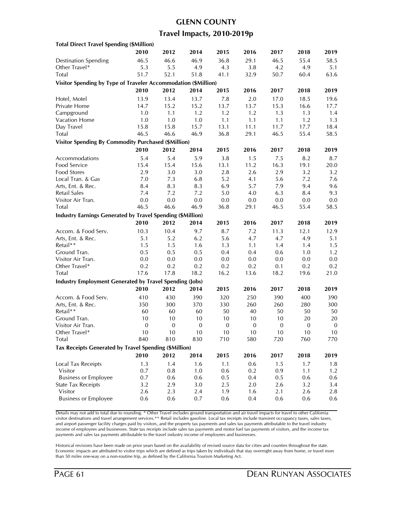## **GLENN COUNTY Travel Impacts, 2010-2019p**

| <b>Total Direct Travel Spending (\$Million)</b>                   |                  |              |              |              |             |              |              |                  |
|-------------------------------------------------------------------|------------------|--------------|--------------|--------------|-------------|--------------|--------------|------------------|
|                                                                   | 2010             | 2012         | 2014         | 2015         | 2016        | 2017         | 2018         | 2019             |
| <b>Destination Spending</b>                                       | 46.5             | 46.6         | 46.9         | 36.8         | 29.1        | 46.5         | 55.4         | 58.5             |
| Other Travel*                                                     | 5.3              | 5.5          | 4.9          | 4.3          | 3.8         | 4.2          | 4.9          | 5.1              |
| Total                                                             | 51.7             | 52.1         | 51.8         | 41.1         | 32.9        | 50.7         | 60.4         | 63.6             |
| Visitor Spending by Type of Traveler Accommodation (\$Million)    |                  |              |              |              |             |              |              |                  |
|                                                                   | 2010             | 2012         | 2014         | 2015         | 2016        | 2017         | 2018         | 2019             |
| Hotel, Motel                                                      | 13.9             | 13.4         | 13.7         | 7.8          | 2.0         | 17.0         | 18.5         | 19.6             |
| Private Home                                                      | 14.7             | 15.2         | 15.2         | 13.7         | 13.7        | 15.3         | 16.6         | 17.7             |
| Campground                                                        | 1.0              | 1.1          | 1.2          | 1.2          | 1.2         | 1.3          | 1.3          | 1.4              |
| Vacation Home                                                     | 1.0              | 1.0          | 1.0          | 1.1          | 1.1         | 1.1          | 1.2          | 1.3              |
| Day Travel                                                        | 15.8             | 15.8         | 15.7         | 13.1         | 11.1        | 11.7         | 17.7         | 18.4             |
| Total                                                             | 46.5             | 46.6         | 46.9         | 36.8         | 29.1        | 46.5         | 55.4         | 58.5             |
| Visitor Spending By Commodity Purchased (\$Million)               |                  |              |              |              |             |              |              |                  |
|                                                                   | 2010             | 2012         | 2014         | 2015         | 2016        | 2017         | 2018         | 2019             |
| Accommodations                                                    | 5.4              | 5.4          | 5.9          | 3.8          | 1.5         | 7.5          | 8.2          | 8.7              |
| Food Service                                                      | 15.4             | 15.4         | 15.6         | 13.1         | 11.2        | 16.3         | 19.1         | 20.0             |
| Food Stores                                                       | 2.9              | 3.0          | 3.0          | 2.8          | 2.6         | 2.9          | 3.2          | 3.2              |
| Local Tran. & Gas                                                 | 7.0              | 7.3          | 6.8          | 5.2          | 4.1         | 5.6          | 7.2          | 7.6              |
| Arts, Ent. & Rec.                                                 | 8.4              | 8.3          | 8.3          | 6.9          | 5.7         | 7.9          | 9.4          | 9.6              |
| <b>Retail Sales</b>                                               | 7.4              | 7.2          | 7.2          | 5.0          | 4.0         | 6.3          | 8.4          | 9.3              |
| Visitor Air Tran.                                                 | 0.0              | 0.0          | 0.0          | 0.0          | 0.0         | 0.0          | 0.0          | 0.0              |
| Total                                                             | 46.5             | 46.6         | 46.9         | 36.8         | 29.1        | 46.5         | 55.4         | 58.5             |
| <b>Industry Earnings Generated by Travel Spending (\$Million)</b> |                  |              |              |              |             |              |              |                  |
|                                                                   | 2010             | 2012         | 2014         | 2015         | 2016        | 2017         | 2018         | 2019             |
| Accom. & Food Serv.                                               | 10.3             | 10.4         | 9.7          | 8.7          | 7.2         | 11.3         | 12.1         | 12.9             |
| Arts, Ent. & Rec.                                                 | 5.1              | 5.2          | 6.2          | 5.6          | 4.7         | 4.7          | 4.9          | 5.1              |
| Retail**                                                          | 1.5              | 1.5          | 1.6          | 1.3          | 1.1         | 1.4          | 1.4          | 1.5              |
| Ground Tran.                                                      | 0.5              | 0.5          | 0.5          | 0.4          | 0.4         | 0.6          | 1.0          | 1.2              |
| Visitor Air Tran.                                                 | 0.0              | 0.0          | 0.0          | 0.0          | 0.0         | 0.0          | 0.0          | 0.0              |
| Other Travel*                                                     | 0.2              | 0.2          | 0.2          | 0.2          | 0.2         | 0.1          | 0.2          | 0.2              |
| Total                                                             | 17.6             | 17.8         | 18.2         | 16.2         | 13.6        | 18.2         | 19.6         | 21.0             |
| <b>Industry Employment Generated by Travel Spending (Jobs)</b>    |                  |              |              |              |             |              |              |                  |
|                                                                   | 2010             | 2012         | 2014         | 2015         | 2016        | 2017         | 2018         | 2019             |
| Accom. & Food Serv.                                               | 410              | 430          | 390          | 320          | 250         | 390          | 400          | 390              |
| Arts, Ent. & Rec.                                                 | 350              | 300          | 370          | 330          | 260         | 260          | 280          | 300              |
| Retail**                                                          | 60               | 60           | 60           | 50           | 40          | 50           | 50           | 50               |
| Ground Tran.                                                      | 10               | 10           | 10           | 10           | 10          | 10           | 20           | 20               |
| Visitor Air Tran.                                                 | $\boldsymbol{0}$ | $\mathbf{0}$ | $\mathbf{0}$ | $\mathbf{0}$ | $\mathbf 0$ | $\mathbf{0}$ | $\mathbf{0}$ | $\boldsymbol{0}$ |
| Other Travel*                                                     | $10$             | 10           | $10$         | 10           | 10          | $10$         | $10$         | 10               |
| Total                                                             | 840              | 810          | 830          | 710          | 580         | 720          | 760          | 770              |
| Tax Receipts Generated by Travel Spending (\$Million)             |                  |              |              |              |             |              |              |                  |
|                                                                   | 2010             | 2012         | 2014         | 2015         | 2016        | 2017         | 2018         | 2019             |
| <b>Local Tax Receipts</b>                                         | 1.3              | 1.4          | 1.6          | 1.1          | 0.6         | 1.5          | 1.7          | 1.8              |
| Visitor                                                           | 0.7              | 0.8          | 1.0          | 0.6          | 0.2         | 0.9          | 1.1          | 1.2              |
| <b>Business or Employee</b>                                       | 0.7              | 0.6          | 0.6          | 0.5          | 0.4         | 0.5          | 0.6          | 0.6              |
| <b>State Tax Receipts</b>                                         | 3.2              | 2.9          | 3.0          | 2.5          | $2.0\,$     | 2.6          | 3.2          | 3.4              |
| Visitor                                                           | 2.6              | 2.3          | 2.4          | 1.9          | 1.6         | 2.1          | 2.6          | 2.8              |
| <b>Business or Employee</b>                                       | 0.6              | 0.6          | 0.7          | 0.6          | 0.4         | 0.6          | 0.6          | 0.6              |

Details may not add to total due to rounding. \* Other Travel includes ground transportation and air travel impacts for travel to other California visitor destinations and travel arrangement services.\*\* Retail includes gasoline. Local tax receipts include transient occupancy taxes, sales taxes, and airport passenger facility charges paid by visitors, and the property tax payments and sales tax payments attributable to the travel industry income of employees and businesses. State tax receipts include sales tax payments and motor fuel tax payments of visitors, and the income tax payments and sales tax payments attributable to the travel industry income of employees and businesses.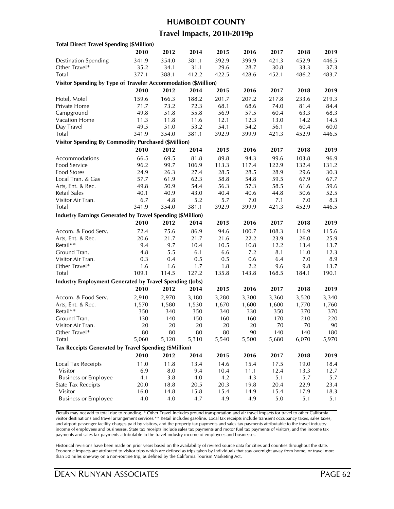#### **HUMBOLDT COUNTY**

#### **Travel Impacts, 2010-2019p**

| <b>Total Direct Travel Spending (\$Million)</b>                   |           |       |       |              |       |           |           |           |
|-------------------------------------------------------------------|-----------|-------|-------|--------------|-------|-----------|-----------|-----------|
|                                                                   | 2010      | 2012  | 2014  | 2015         | 2016  | 2017      | 2018      | 2019      |
| <b>Destination Spending</b>                                       | 341.9     | 354.0 | 381.1 | 392.9        | 399.9 | 421.3     | 452.9     | 446.5     |
| Other Travel*                                                     | 35.2      | 34.1  | 31.1  | 29.6         | 28.7  | 30.8      | 33.3      | 37.3      |
| Total                                                             | 377.1     | 388.1 | 412.2 | 422.5        | 428.6 | 452.1     | 486.2     | 483.7     |
| Visitor Spending by Type of Traveler Accommodation (\$Million)    |           |       |       |              |       |           |           |           |
|                                                                   | 2010      | 2012  | 2014  | 2015         | 2016  | 2017      | 2018      | 2019      |
| Hotel, Motel                                                      | 159.6     | 166.3 | 188.2 | 201.7        | 207.2 | 217.8     | 233.6     | 219.3     |
| Private Home                                                      | 71.7      | 73.2  | 72.3  | 68.1         | 68.6  | 74.0      | 81.4      | 84.4      |
| Campground                                                        | 49.8      | 51.8  | 55.8  | 56.9         | 57.5  | 60.4      | 63.3      | 68.3      |
| Vacation Home                                                     | 11.3      | 11.8  | 11.6  | 12.1         | 12.3  | 13.0      | 14.2      | 14.5      |
| Day Travel                                                        | 49.5      | 51.0  | 53.2  | 54.1         | 54.2  | 56.1      | 60.4      | 60.0      |
| <b>Total</b>                                                      | 341.9     | 354.0 | 381.1 | 392.9        | 399.9 | 421.3     | 452.9     | 446.5     |
|                                                                   |           |       |       |              |       |           |           |           |
| <b>Visitor Spending By Commodity Purchased (\$Million)</b>        |           |       |       |              |       |           |           |           |
|                                                                   | 2010      | 2012  | 2014  | 2015         | 2016  | 2017      | 2018      | 2019      |
| Accommodations                                                    | 66.5      | 69.5  | 81.8  | 89.8         | 94.3  | 99.6      | 103.8     | 96.9      |
| Food Service                                                      | 96.2      | 99.7  | 106.9 | 113.3        | 117.4 | 122.9     | 132.4     | 131.2     |
| Food Stores                                                       | 24.9      | 26.3  | 27.4  | 28.5         | 28.5  | 28.9      | 29.6      | 30.3      |
| Local Tran. & Gas                                                 | 57.7      | 61.9  | 62.3  | 58.8         | 54.8  | 59.5      | 67.9      | 67.7      |
| Arts, Ent. & Rec.                                                 | 49.8      | 50.9  | 54.4  | 56.3         | 57.3  | 58.5      | 61.6      | 59.6      |
| Retail Sales                                                      | 40.1      | 40.9  | 43.0  | 40.4         | 40.6  | 44.8      | 50.6      | 52.5      |
| Visitor Air Tran.                                                 | 6.7       | 4.8   | 5.2   | 5.7          | 7.0   | 7.1       | 7.0       | 8.3       |
| Total                                                             | 341.9     | 354.0 | 381.1 | 392.9        | 399.9 | 421.3     | 452.9     | 446.5     |
| <b>Industry Earnings Generated by Travel Spending (\$Million)</b> |           |       |       |              |       |           |           |           |
|                                                                   | 2010      | 2012  | 2014  | 2015         | 2016  | 2017      | 2018      | 2019      |
| Accom. & Food Serv.                                               | 72.4      | 75.6  | 86.9  | 94.6         | 100.7 | 108.3     | 116.9     | 115.6     |
| Arts, Ent. & Rec.                                                 | 20.6      | 21.7  | 21.7  | 21.6         | 22.2  | 23.9      | 26.0      | 25.9      |
| Retail**                                                          | 9.4       | 9.7   | 10.4  | 10.5         | 10.8  | 12.2      | 13.4      | 13.7      |
| Ground Tran.                                                      | 4.8       | 5.5   | 6.1   | 6.6          | 7.2   | 8.1       | 11.0      | 12.3      |
| Visitor Air Tran.                                                 | 0.3       | 0.4   | 0.5   | 0.5          | 0.6   | 6.4       | 7.0       | 8.9       |
| Other Travel*                                                     | 1.6       | 1.6   | 1.7   | 1.8          | 2.2   | 9.6       | 9.8       | 13.7      |
| Total                                                             | 109.1     | 114.5 | 127.2 | 135.8        | 143.8 | 168.5     | 184.1     | 190.1     |
| <b>Industry Employment Generated by Travel Spending (Jobs)</b>    |           |       |       |              |       |           |           |           |
|                                                                   | 2010      | 2012  | 2014  | 2015         | 2016  | 2017      | 2018      | 2019      |
| Accom. & Food Serv.                                               |           |       |       | 3,280        | 3,300 |           |           |           |
| Arts, Ent. & Rec.                                                 | 2,910     | 2,970 | 3,180 |              |       | 3,360     | 3,520     | 3,340     |
| Retail**                                                          | 1,570     | 1,580 | 1,530 | 1,670<br>340 | 1,600 | 1,600     | 1,770     | 1,760     |
|                                                                   | 350       | 340   | 350   |              | 330   | 350       | 370       | 370       |
| Ground Tran.<br>Visitor Air Tran.                                 | 130<br>20 | 140   | 150   | 160          | 160   | 170<br>70 | 210<br>70 | 220<br>90 |
|                                                                   |           | 20    | 20    | 20           | 20    |           |           |           |
| Other Iravel*                                                     | 80        | 80    | 80    | 80           | 90    | 140       | 140       | 180       |
| Total                                                             | 5,060     | 5,120 | 5,310 | 5,540        | 5,500 | 5,680     | 6,070     | 5,970     |
| Tax Receipts Generated by Travel Spending (\$Million)             |           |       |       |              |       |           |           |           |
|                                                                   | 2010      | 2012  | 2014  | 2015         | 2016  | 2017      | 2018      | 2019      |
| Local Tax Receipts                                                | 11.0      | 11.8  | 13.4  | 14.6         | 15.4  | 17.5      | 19.0      | 18.4      |
| Visitor                                                           | 6.9       | 8.0   | 9.4   | 10.4         | 11.1  | 12.4      | 13.3      | 12.7      |
| <b>Business or Employee</b>                                       | 4.1       | 3.8   | 4.0   | 4.2          | 4.3   | 5.1       | 5.7       | 5.7       |
| <b>State Tax Receipts</b>                                         | 20.0      | 18.8  | 20.5  | 20.3         | 19.8  | 20.4      | 22.9      | 23.4      |
| Visitor                                                           | 16.0      | 14.8  | 15.8  | 15.4         | 14.9  | 15.4      | 17.9      | 18.3      |
| <b>Business or Employee</b>                                       | 4.0       | 4.0   | 4.7   | 4.9          | 4.9   | 5.0       | 5.1       | 5.1       |
|                                                                   |           |       |       |              |       |           |           |           |

Details may not add to total due to rounding. \* Other Travel includes ground transportation and air travel impacts for travel to other California visitor destinations and travel arrangement services.\*\* Retail includes gasoline. Local tax receipts include transient occupancy taxes, sales taxes, and airport passenger facility charges paid by visitors, and the property tax payments and sales tax payments attributable to the travel industry income of employees and businesses. State tax receipts include sales tax payments and motor fuel tax payments of visitors, and the income tax payments and sales tax payments attributable to the travel industry income of employees and businesses.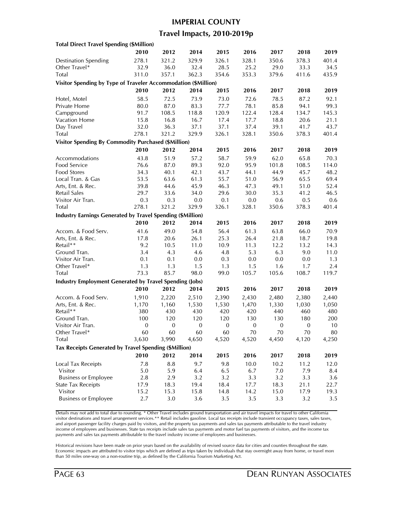#### **IMPERIAL COUNTY**

### **Travel Impacts, 2010-2019p**

| 2010<br>2012<br>2014<br>2015<br>2016<br>2017<br>2018<br>2019<br>278.1<br>329.9<br>328.1<br>401.4<br><b>Destination Spending</b><br>321.2<br>326.1<br>350.6<br>378.3<br>Other Travel*<br>32.9<br>36.0<br>32.4<br>34.5<br>28.5<br>25.2<br>29.0<br>33.3<br>Total<br>311.0<br>357.1<br>362.3<br>354.6<br>353.3<br>379.6<br>411.6<br>435.9<br>Visitor Spending by Type of Traveler Accommodation (\$Million)<br>2010<br>2012<br>2014<br>2015<br>2019<br>2016<br>2017<br>2018<br>58.5<br>72.5<br>73.9<br>73.0<br>72.6<br>78.5<br>92.1<br>Hotel, Motel<br>87.2<br>80.0<br>87.0<br>83.3<br>77.7<br>78.1<br>85.8<br>94.1<br>99.3<br>Private Home<br>120.9<br>Campground<br>91.7<br>108.5<br>118.8<br>122.4<br>128.4<br>134.7<br>145.3<br>Vacation Home<br>16.8<br>16.7<br>18.8<br>15.8<br>17.4<br>17.7<br>20.6<br>21.1<br>32.0<br>43.7<br>Day Travel<br>36.3<br>37.1<br>37.1<br>37.4<br>39.1<br>41.7<br>278.1<br>329.9<br>401.4<br><b>Total</b><br>321.2<br>326.1<br>328.1<br>350.6<br>378.3<br><b>Visitor Spending By Commodity Purchased (\$Million)</b><br>2010<br>2012<br>2014<br>2015<br>2016<br>2017<br>2018<br>2019<br>58.7<br>43.8<br>51.9<br>57.2<br>59.9<br>62.0<br>65.8<br>70.3<br>89.3<br>92.0<br>95.9<br>108.5<br>76.6<br>87.0<br>101.8<br>114.0<br>43.7<br>44.9<br>45.7<br>48.2<br>34.3<br>40.1<br>42.1<br>44.1<br>Local Tran. & Gas<br>53.5<br>63.6<br>61.3<br>55.7<br>51.0<br>56.9<br>65.5<br>69.4<br>Arts, Ent. & Rec.<br>39.8<br>44.6<br>45.9<br>46.3<br>47.3<br>49.1<br>51.0<br>52.4<br><b>Retail Sales</b><br>29.6<br>35.3<br>46.5<br>29.7<br>33.6<br>34.0<br>30.0<br>41.2<br>0.3<br>0.3<br>0.1<br>0.5<br>0.0<br>0.0<br>0.6<br>0.6<br>278.1<br>321.2<br>329.9<br>326.1<br>328.1<br>350.6<br>378.3<br>401.4<br>Industry Earnings Generated by Travel Spending (\$Million)<br>2012<br>2010<br>2014<br>2015<br>2016<br>2017<br>2018<br>2019<br>49.0<br>54.8<br>56.4<br>61.3<br>66.0<br>Accom. & Food Serv.<br>41.6<br>63.8<br>70.9<br>26.4<br>Arts, Ent. & Rec.<br>17.8<br>20.6<br>26.1<br>25.3<br>21.8<br>18.7<br>19.8<br>Retail**<br>9.2<br>10.5<br>11.0<br>10.9<br>11.3<br>12.2<br>13.2<br>14.3<br>Ground Tran.<br>3.4<br>6.3<br>4.3<br>4.6<br>4.8<br>5.3<br>9.0<br>11.0<br>Visitor Air Tran.<br>0.1<br>0.1<br>0.0<br>0.3<br>0.0<br>0.0<br>0.0<br>1.3<br>Other Travel*<br>1.3<br>1.3<br>1.5<br>1.3<br>1.5<br>1.6<br>1.7<br>2.4<br>73.3<br>85.7<br><b>Total</b><br>98.0<br>99.0<br>105.7<br>105.6<br>108.7<br>119.7<br><b>Industry Employment Generated by Travel Spending (Jobs)</b><br>2010<br>2012<br>2014<br>2015<br>2017<br>2016<br>2018<br>2019<br>Accom. & Food Serv.<br>1,910<br>2,220<br>2,510<br>2,390<br>2,430<br>2,480<br>2,380<br>2,440<br>Arts, Ent. & Rec.<br>1,160<br>1,530<br>1,530<br>1,470<br>1,330<br>1,050<br>1,170<br>1,030<br>Retail**<br>380<br>430<br>430<br>420<br>420<br>440<br>460<br>480<br>120<br>200<br>Ground Tran.<br>100<br>120<br>120<br>130<br>130<br>180<br>Visitor Air Tran.<br>$\boldsymbol{0}$<br>$\boldsymbol{0}$<br>$\boldsymbol{0}$<br>$\mathbf{0}$<br>$\boldsymbol{0}$<br>$\boldsymbol{0}$<br>$\boldsymbol{0}$<br>10<br>Other Iravel*<br>60<br>60<br>60<br>60<br>70<br>70<br>70<br>80<br>Total<br>3,630<br>3,990<br>4,650<br>4,520<br>4,520<br>4,450<br>4,120<br>4,250<br>Tax Receipts Generated by Travel Spending (\$Million)<br>2010<br>2012<br>2014<br>2015<br>2016<br>2017<br>2018<br>2019<br>Local Tax Receipts<br>7.8<br>8.8<br>9.7<br>9.8<br>10.0<br>10.2<br>11.2<br>12.0<br>Visitor<br>5.0<br>5.9<br>6.4<br>6.7<br>7.9<br>6.5<br>7.0<br>8.4<br><b>Business or Employee</b><br>2.8<br>2.9<br>3.2<br>3.2<br>3.3<br>3.2<br>3.3<br>3.6<br><b>State Tax Receipts</b><br>17.9<br>19.4<br>18.4<br>17.7<br>18.3<br>21.1<br>22.7<br>18.3<br>Visitor<br>15.2<br>15.3<br>15.8<br>14.8<br>14.2<br>15.0<br>17.9<br>19.3<br><b>Business or Employee</b><br>2.7<br>3.0<br>3.6<br>3.5<br>3.5<br>3.3<br>3.2<br>3.5 | <b>Total Direct Travel Spending (\$Million)</b> |  |  |  |  |
|------------------------------------------------------------------------------------------------------------------------------------------------------------------------------------------------------------------------------------------------------------------------------------------------------------------------------------------------------------------------------------------------------------------------------------------------------------------------------------------------------------------------------------------------------------------------------------------------------------------------------------------------------------------------------------------------------------------------------------------------------------------------------------------------------------------------------------------------------------------------------------------------------------------------------------------------------------------------------------------------------------------------------------------------------------------------------------------------------------------------------------------------------------------------------------------------------------------------------------------------------------------------------------------------------------------------------------------------------------------------------------------------------------------------------------------------------------------------------------------------------------------------------------------------------------------------------------------------------------------------------------------------------------------------------------------------------------------------------------------------------------------------------------------------------------------------------------------------------------------------------------------------------------------------------------------------------------------------------------------------------------------------------------------------------------------------------------------------------------------------------------------------------------------------------------------------------------------------------------------------------------------------------------------------------------------------------------------------------------------------------------------------------------------------------------------------------------------------------------------------------------------------------------------------------------------------------------------------------------------------------------------------------------------------------------------------------------------------------------------------------------------------------------------------------------------------------------------------------------------------------------------------------------------------------------------------------------------------------------------------------------------------------------------------------------------------------------------------------------------------------------------------------------------------------------------------------------------------------------------------------------------------------------------------------------------------------------------------------------------------------------------------------------------------------------------------------------------------------------------------------------------------------------------------------------------------------------------------------------------------------------------------------------------------------------------------------------------------------------------------------------------------------------------------------------------------------------------------------------------|-------------------------------------------------|--|--|--|--|
|                                                                                                                                                                                                                                                                                                                                                                                                                                                                                                                                                                                                                                                                                                                                                                                                                                                                                                                                                                                                                                                                                                                                                                                                                                                                                                                                                                                                                                                                                                                                                                                                                                                                                                                                                                                                                                                                                                                                                                                                                                                                                                                                                                                                                                                                                                                                                                                                                                                                                                                                                                                                                                                                                                                                                                                                                                                                                                                                                                                                                                                                                                                                                                                                                                                                                                                                                                                                                                                                                                                                                                                                                                                                                                                                                                                                                                                                  |                                                 |  |  |  |  |
|                                                                                                                                                                                                                                                                                                                                                                                                                                                                                                                                                                                                                                                                                                                                                                                                                                                                                                                                                                                                                                                                                                                                                                                                                                                                                                                                                                                                                                                                                                                                                                                                                                                                                                                                                                                                                                                                                                                                                                                                                                                                                                                                                                                                                                                                                                                                                                                                                                                                                                                                                                                                                                                                                                                                                                                                                                                                                                                                                                                                                                                                                                                                                                                                                                                                                                                                                                                                                                                                                                                                                                                                                                                                                                                                                                                                                                                                  |                                                 |  |  |  |  |
|                                                                                                                                                                                                                                                                                                                                                                                                                                                                                                                                                                                                                                                                                                                                                                                                                                                                                                                                                                                                                                                                                                                                                                                                                                                                                                                                                                                                                                                                                                                                                                                                                                                                                                                                                                                                                                                                                                                                                                                                                                                                                                                                                                                                                                                                                                                                                                                                                                                                                                                                                                                                                                                                                                                                                                                                                                                                                                                                                                                                                                                                                                                                                                                                                                                                                                                                                                                                                                                                                                                                                                                                                                                                                                                                                                                                                                                                  |                                                 |  |  |  |  |
|                                                                                                                                                                                                                                                                                                                                                                                                                                                                                                                                                                                                                                                                                                                                                                                                                                                                                                                                                                                                                                                                                                                                                                                                                                                                                                                                                                                                                                                                                                                                                                                                                                                                                                                                                                                                                                                                                                                                                                                                                                                                                                                                                                                                                                                                                                                                                                                                                                                                                                                                                                                                                                                                                                                                                                                                                                                                                                                                                                                                                                                                                                                                                                                                                                                                                                                                                                                                                                                                                                                                                                                                                                                                                                                                                                                                                                                                  |                                                 |  |  |  |  |
|                                                                                                                                                                                                                                                                                                                                                                                                                                                                                                                                                                                                                                                                                                                                                                                                                                                                                                                                                                                                                                                                                                                                                                                                                                                                                                                                                                                                                                                                                                                                                                                                                                                                                                                                                                                                                                                                                                                                                                                                                                                                                                                                                                                                                                                                                                                                                                                                                                                                                                                                                                                                                                                                                                                                                                                                                                                                                                                                                                                                                                                                                                                                                                                                                                                                                                                                                                                                                                                                                                                                                                                                                                                                                                                                                                                                                                                                  |                                                 |  |  |  |  |
|                                                                                                                                                                                                                                                                                                                                                                                                                                                                                                                                                                                                                                                                                                                                                                                                                                                                                                                                                                                                                                                                                                                                                                                                                                                                                                                                                                                                                                                                                                                                                                                                                                                                                                                                                                                                                                                                                                                                                                                                                                                                                                                                                                                                                                                                                                                                                                                                                                                                                                                                                                                                                                                                                                                                                                                                                                                                                                                                                                                                                                                                                                                                                                                                                                                                                                                                                                                                                                                                                                                                                                                                                                                                                                                                                                                                                                                                  |                                                 |  |  |  |  |
|                                                                                                                                                                                                                                                                                                                                                                                                                                                                                                                                                                                                                                                                                                                                                                                                                                                                                                                                                                                                                                                                                                                                                                                                                                                                                                                                                                                                                                                                                                                                                                                                                                                                                                                                                                                                                                                                                                                                                                                                                                                                                                                                                                                                                                                                                                                                                                                                                                                                                                                                                                                                                                                                                                                                                                                                                                                                                                                                                                                                                                                                                                                                                                                                                                                                                                                                                                                                                                                                                                                                                                                                                                                                                                                                                                                                                                                                  |                                                 |  |  |  |  |
|                                                                                                                                                                                                                                                                                                                                                                                                                                                                                                                                                                                                                                                                                                                                                                                                                                                                                                                                                                                                                                                                                                                                                                                                                                                                                                                                                                                                                                                                                                                                                                                                                                                                                                                                                                                                                                                                                                                                                                                                                                                                                                                                                                                                                                                                                                                                                                                                                                                                                                                                                                                                                                                                                                                                                                                                                                                                                                                                                                                                                                                                                                                                                                                                                                                                                                                                                                                                                                                                                                                                                                                                                                                                                                                                                                                                                                                                  |                                                 |  |  |  |  |
|                                                                                                                                                                                                                                                                                                                                                                                                                                                                                                                                                                                                                                                                                                                                                                                                                                                                                                                                                                                                                                                                                                                                                                                                                                                                                                                                                                                                                                                                                                                                                                                                                                                                                                                                                                                                                                                                                                                                                                                                                                                                                                                                                                                                                                                                                                                                                                                                                                                                                                                                                                                                                                                                                                                                                                                                                                                                                                                                                                                                                                                                                                                                                                                                                                                                                                                                                                                                                                                                                                                                                                                                                                                                                                                                                                                                                                                                  |                                                 |  |  |  |  |
|                                                                                                                                                                                                                                                                                                                                                                                                                                                                                                                                                                                                                                                                                                                                                                                                                                                                                                                                                                                                                                                                                                                                                                                                                                                                                                                                                                                                                                                                                                                                                                                                                                                                                                                                                                                                                                                                                                                                                                                                                                                                                                                                                                                                                                                                                                                                                                                                                                                                                                                                                                                                                                                                                                                                                                                                                                                                                                                                                                                                                                                                                                                                                                                                                                                                                                                                                                                                                                                                                                                                                                                                                                                                                                                                                                                                                                                                  |                                                 |  |  |  |  |
|                                                                                                                                                                                                                                                                                                                                                                                                                                                                                                                                                                                                                                                                                                                                                                                                                                                                                                                                                                                                                                                                                                                                                                                                                                                                                                                                                                                                                                                                                                                                                                                                                                                                                                                                                                                                                                                                                                                                                                                                                                                                                                                                                                                                                                                                                                                                                                                                                                                                                                                                                                                                                                                                                                                                                                                                                                                                                                                                                                                                                                                                                                                                                                                                                                                                                                                                                                                                                                                                                                                                                                                                                                                                                                                                                                                                                                                                  |                                                 |  |  |  |  |
|                                                                                                                                                                                                                                                                                                                                                                                                                                                                                                                                                                                                                                                                                                                                                                                                                                                                                                                                                                                                                                                                                                                                                                                                                                                                                                                                                                                                                                                                                                                                                                                                                                                                                                                                                                                                                                                                                                                                                                                                                                                                                                                                                                                                                                                                                                                                                                                                                                                                                                                                                                                                                                                                                                                                                                                                                                                                                                                                                                                                                                                                                                                                                                                                                                                                                                                                                                                                                                                                                                                                                                                                                                                                                                                                                                                                                                                                  |                                                 |  |  |  |  |
|                                                                                                                                                                                                                                                                                                                                                                                                                                                                                                                                                                                                                                                                                                                                                                                                                                                                                                                                                                                                                                                                                                                                                                                                                                                                                                                                                                                                                                                                                                                                                                                                                                                                                                                                                                                                                                                                                                                                                                                                                                                                                                                                                                                                                                                                                                                                                                                                                                                                                                                                                                                                                                                                                                                                                                                                                                                                                                                                                                                                                                                                                                                                                                                                                                                                                                                                                                                                                                                                                                                                                                                                                                                                                                                                                                                                                                                                  |                                                 |  |  |  |  |
|                                                                                                                                                                                                                                                                                                                                                                                                                                                                                                                                                                                                                                                                                                                                                                                                                                                                                                                                                                                                                                                                                                                                                                                                                                                                                                                                                                                                                                                                                                                                                                                                                                                                                                                                                                                                                                                                                                                                                                                                                                                                                                                                                                                                                                                                                                                                                                                                                                                                                                                                                                                                                                                                                                                                                                                                                                                                                                                                                                                                                                                                                                                                                                                                                                                                                                                                                                                                                                                                                                                                                                                                                                                                                                                                                                                                                                                                  |                                                 |  |  |  |  |
|                                                                                                                                                                                                                                                                                                                                                                                                                                                                                                                                                                                                                                                                                                                                                                                                                                                                                                                                                                                                                                                                                                                                                                                                                                                                                                                                                                                                                                                                                                                                                                                                                                                                                                                                                                                                                                                                                                                                                                                                                                                                                                                                                                                                                                                                                                                                                                                                                                                                                                                                                                                                                                                                                                                                                                                                                                                                                                                                                                                                                                                                                                                                                                                                                                                                                                                                                                                                                                                                                                                                                                                                                                                                                                                                                                                                                                                                  |                                                 |  |  |  |  |
|                                                                                                                                                                                                                                                                                                                                                                                                                                                                                                                                                                                                                                                                                                                                                                                                                                                                                                                                                                                                                                                                                                                                                                                                                                                                                                                                                                                                                                                                                                                                                                                                                                                                                                                                                                                                                                                                                                                                                                                                                                                                                                                                                                                                                                                                                                                                                                                                                                                                                                                                                                                                                                                                                                                                                                                                                                                                                                                                                                                                                                                                                                                                                                                                                                                                                                                                                                                                                                                                                                                                                                                                                                                                                                                                                                                                                                                                  | Accommodations                                  |  |  |  |  |
|                                                                                                                                                                                                                                                                                                                                                                                                                                                                                                                                                                                                                                                                                                                                                                                                                                                                                                                                                                                                                                                                                                                                                                                                                                                                                                                                                                                                                                                                                                                                                                                                                                                                                                                                                                                                                                                                                                                                                                                                                                                                                                                                                                                                                                                                                                                                                                                                                                                                                                                                                                                                                                                                                                                                                                                                                                                                                                                                                                                                                                                                                                                                                                                                                                                                                                                                                                                                                                                                                                                                                                                                                                                                                                                                                                                                                                                                  | Food Service                                    |  |  |  |  |
|                                                                                                                                                                                                                                                                                                                                                                                                                                                                                                                                                                                                                                                                                                                                                                                                                                                                                                                                                                                                                                                                                                                                                                                                                                                                                                                                                                                                                                                                                                                                                                                                                                                                                                                                                                                                                                                                                                                                                                                                                                                                                                                                                                                                                                                                                                                                                                                                                                                                                                                                                                                                                                                                                                                                                                                                                                                                                                                                                                                                                                                                                                                                                                                                                                                                                                                                                                                                                                                                                                                                                                                                                                                                                                                                                                                                                                                                  | Food Stores                                     |  |  |  |  |
|                                                                                                                                                                                                                                                                                                                                                                                                                                                                                                                                                                                                                                                                                                                                                                                                                                                                                                                                                                                                                                                                                                                                                                                                                                                                                                                                                                                                                                                                                                                                                                                                                                                                                                                                                                                                                                                                                                                                                                                                                                                                                                                                                                                                                                                                                                                                                                                                                                                                                                                                                                                                                                                                                                                                                                                                                                                                                                                                                                                                                                                                                                                                                                                                                                                                                                                                                                                                                                                                                                                                                                                                                                                                                                                                                                                                                                                                  |                                                 |  |  |  |  |
|                                                                                                                                                                                                                                                                                                                                                                                                                                                                                                                                                                                                                                                                                                                                                                                                                                                                                                                                                                                                                                                                                                                                                                                                                                                                                                                                                                                                                                                                                                                                                                                                                                                                                                                                                                                                                                                                                                                                                                                                                                                                                                                                                                                                                                                                                                                                                                                                                                                                                                                                                                                                                                                                                                                                                                                                                                                                                                                                                                                                                                                                                                                                                                                                                                                                                                                                                                                                                                                                                                                                                                                                                                                                                                                                                                                                                                                                  |                                                 |  |  |  |  |
|                                                                                                                                                                                                                                                                                                                                                                                                                                                                                                                                                                                                                                                                                                                                                                                                                                                                                                                                                                                                                                                                                                                                                                                                                                                                                                                                                                                                                                                                                                                                                                                                                                                                                                                                                                                                                                                                                                                                                                                                                                                                                                                                                                                                                                                                                                                                                                                                                                                                                                                                                                                                                                                                                                                                                                                                                                                                                                                                                                                                                                                                                                                                                                                                                                                                                                                                                                                                                                                                                                                                                                                                                                                                                                                                                                                                                                                                  |                                                 |  |  |  |  |
|                                                                                                                                                                                                                                                                                                                                                                                                                                                                                                                                                                                                                                                                                                                                                                                                                                                                                                                                                                                                                                                                                                                                                                                                                                                                                                                                                                                                                                                                                                                                                                                                                                                                                                                                                                                                                                                                                                                                                                                                                                                                                                                                                                                                                                                                                                                                                                                                                                                                                                                                                                                                                                                                                                                                                                                                                                                                                                                                                                                                                                                                                                                                                                                                                                                                                                                                                                                                                                                                                                                                                                                                                                                                                                                                                                                                                                                                  | Visitor Air Tran.                               |  |  |  |  |
|                                                                                                                                                                                                                                                                                                                                                                                                                                                                                                                                                                                                                                                                                                                                                                                                                                                                                                                                                                                                                                                                                                                                                                                                                                                                                                                                                                                                                                                                                                                                                                                                                                                                                                                                                                                                                                                                                                                                                                                                                                                                                                                                                                                                                                                                                                                                                                                                                                                                                                                                                                                                                                                                                                                                                                                                                                                                                                                                                                                                                                                                                                                                                                                                                                                                                                                                                                                                                                                                                                                                                                                                                                                                                                                                                                                                                                                                  | Total                                           |  |  |  |  |
|                                                                                                                                                                                                                                                                                                                                                                                                                                                                                                                                                                                                                                                                                                                                                                                                                                                                                                                                                                                                                                                                                                                                                                                                                                                                                                                                                                                                                                                                                                                                                                                                                                                                                                                                                                                                                                                                                                                                                                                                                                                                                                                                                                                                                                                                                                                                                                                                                                                                                                                                                                                                                                                                                                                                                                                                                                                                                                                                                                                                                                                                                                                                                                                                                                                                                                                                                                                                                                                                                                                                                                                                                                                                                                                                                                                                                                                                  |                                                 |  |  |  |  |
|                                                                                                                                                                                                                                                                                                                                                                                                                                                                                                                                                                                                                                                                                                                                                                                                                                                                                                                                                                                                                                                                                                                                                                                                                                                                                                                                                                                                                                                                                                                                                                                                                                                                                                                                                                                                                                                                                                                                                                                                                                                                                                                                                                                                                                                                                                                                                                                                                                                                                                                                                                                                                                                                                                                                                                                                                                                                                                                                                                                                                                                                                                                                                                                                                                                                                                                                                                                                                                                                                                                                                                                                                                                                                                                                                                                                                                                                  |                                                 |  |  |  |  |
|                                                                                                                                                                                                                                                                                                                                                                                                                                                                                                                                                                                                                                                                                                                                                                                                                                                                                                                                                                                                                                                                                                                                                                                                                                                                                                                                                                                                                                                                                                                                                                                                                                                                                                                                                                                                                                                                                                                                                                                                                                                                                                                                                                                                                                                                                                                                                                                                                                                                                                                                                                                                                                                                                                                                                                                                                                                                                                                                                                                                                                                                                                                                                                                                                                                                                                                                                                                                                                                                                                                                                                                                                                                                                                                                                                                                                                                                  |                                                 |  |  |  |  |
|                                                                                                                                                                                                                                                                                                                                                                                                                                                                                                                                                                                                                                                                                                                                                                                                                                                                                                                                                                                                                                                                                                                                                                                                                                                                                                                                                                                                                                                                                                                                                                                                                                                                                                                                                                                                                                                                                                                                                                                                                                                                                                                                                                                                                                                                                                                                                                                                                                                                                                                                                                                                                                                                                                                                                                                                                                                                                                                                                                                                                                                                                                                                                                                                                                                                                                                                                                                                                                                                                                                                                                                                                                                                                                                                                                                                                                                                  |                                                 |  |  |  |  |
|                                                                                                                                                                                                                                                                                                                                                                                                                                                                                                                                                                                                                                                                                                                                                                                                                                                                                                                                                                                                                                                                                                                                                                                                                                                                                                                                                                                                                                                                                                                                                                                                                                                                                                                                                                                                                                                                                                                                                                                                                                                                                                                                                                                                                                                                                                                                                                                                                                                                                                                                                                                                                                                                                                                                                                                                                                                                                                                                                                                                                                                                                                                                                                                                                                                                                                                                                                                                                                                                                                                                                                                                                                                                                                                                                                                                                                                                  |                                                 |  |  |  |  |
|                                                                                                                                                                                                                                                                                                                                                                                                                                                                                                                                                                                                                                                                                                                                                                                                                                                                                                                                                                                                                                                                                                                                                                                                                                                                                                                                                                                                                                                                                                                                                                                                                                                                                                                                                                                                                                                                                                                                                                                                                                                                                                                                                                                                                                                                                                                                                                                                                                                                                                                                                                                                                                                                                                                                                                                                                                                                                                                                                                                                                                                                                                                                                                                                                                                                                                                                                                                                                                                                                                                                                                                                                                                                                                                                                                                                                                                                  |                                                 |  |  |  |  |
|                                                                                                                                                                                                                                                                                                                                                                                                                                                                                                                                                                                                                                                                                                                                                                                                                                                                                                                                                                                                                                                                                                                                                                                                                                                                                                                                                                                                                                                                                                                                                                                                                                                                                                                                                                                                                                                                                                                                                                                                                                                                                                                                                                                                                                                                                                                                                                                                                                                                                                                                                                                                                                                                                                                                                                                                                                                                                                                                                                                                                                                                                                                                                                                                                                                                                                                                                                                                                                                                                                                                                                                                                                                                                                                                                                                                                                                                  |                                                 |  |  |  |  |
|                                                                                                                                                                                                                                                                                                                                                                                                                                                                                                                                                                                                                                                                                                                                                                                                                                                                                                                                                                                                                                                                                                                                                                                                                                                                                                                                                                                                                                                                                                                                                                                                                                                                                                                                                                                                                                                                                                                                                                                                                                                                                                                                                                                                                                                                                                                                                                                                                                                                                                                                                                                                                                                                                                                                                                                                                                                                                                                                                                                                                                                                                                                                                                                                                                                                                                                                                                                                                                                                                                                                                                                                                                                                                                                                                                                                                                                                  |                                                 |  |  |  |  |
|                                                                                                                                                                                                                                                                                                                                                                                                                                                                                                                                                                                                                                                                                                                                                                                                                                                                                                                                                                                                                                                                                                                                                                                                                                                                                                                                                                                                                                                                                                                                                                                                                                                                                                                                                                                                                                                                                                                                                                                                                                                                                                                                                                                                                                                                                                                                                                                                                                                                                                                                                                                                                                                                                                                                                                                                                                                                                                                                                                                                                                                                                                                                                                                                                                                                                                                                                                                                                                                                                                                                                                                                                                                                                                                                                                                                                                                                  |                                                 |  |  |  |  |
|                                                                                                                                                                                                                                                                                                                                                                                                                                                                                                                                                                                                                                                                                                                                                                                                                                                                                                                                                                                                                                                                                                                                                                                                                                                                                                                                                                                                                                                                                                                                                                                                                                                                                                                                                                                                                                                                                                                                                                                                                                                                                                                                                                                                                                                                                                                                                                                                                                                                                                                                                                                                                                                                                                                                                                                                                                                                                                                                                                                                                                                                                                                                                                                                                                                                                                                                                                                                                                                                                                                                                                                                                                                                                                                                                                                                                                                                  |                                                 |  |  |  |  |
|                                                                                                                                                                                                                                                                                                                                                                                                                                                                                                                                                                                                                                                                                                                                                                                                                                                                                                                                                                                                                                                                                                                                                                                                                                                                                                                                                                                                                                                                                                                                                                                                                                                                                                                                                                                                                                                                                                                                                                                                                                                                                                                                                                                                                                                                                                                                                                                                                                                                                                                                                                                                                                                                                                                                                                                                                                                                                                                                                                                                                                                                                                                                                                                                                                                                                                                                                                                                                                                                                                                                                                                                                                                                                                                                                                                                                                                                  |                                                 |  |  |  |  |
|                                                                                                                                                                                                                                                                                                                                                                                                                                                                                                                                                                                                                                                                                                                                                                                                                                                                                                                                                                                                                                                                                                                                                                                                                                                                                                                                                                                                                                                                                                                                                                                                                                                                                                                                                                                                                                                                                                                                                                                                                                                                                                                                                                                                                                                                                                                                                                                                                                                                                                                                                                                                                                                                                                                                                                                                                                                                                                                                                                                                                                                                                                                                                                                                                                                                                                                                                                                                                                                                                                                                                                                                                                                                                                                                                                                                                                                                  |                                                 |  |  |  |  |
|                                                                                                                                                                                                                                                                                                                                                                                                                                                                                                                                                                                                                                                                                                                                                                                                                                                                                                                                                                                                                                                                                                                                                                                                                                                                                                                                                                                                                                                                                                                                                                                                                                                                                                                                                                                                                                                                                                                                                                                                                                                                                                                                                                                                                                                                                                                                                                                                                                                                                                                                                                                                                                                                                                                                                                                                                                                                                                                                                                                                                                                                                                                                                                                                                                                                                                                                                                                                                                                                                                                                                                                                                                                                                                                                                                                                                                                                  |                                                 |  |  |  |  |
|                                                                                                                                                                                                                                                                                                                                                                                                                                                                                                                                                                                                                                                                                                                                                                                                                                                                                                                                                                                                                                                                                                                                                                                                                                                                                                                                                                                                                                                                                                                                                                                                                                                                                                                                                                                                                                                                                                                                                                                                                                                                                                                                                                                                                                                                                                                                                                                                                                                                                                                                                                                                                                                                                                                                                                                                                                                                                                                                                                                                                                                                                                                                                                                                                                                                                                                                                                                                                                                                                                                                                                                                                                                                                                                                                                                                                                                                  |                                                 |  |  |  |  |
|                                                                                                                                                                                                                                                                                                                                                                                                                                                                                                                                                                                                                                                                                                                                                                                                                                                                                                                                                                                                                                                                                                                                                                                                                                                                                                                                                                                                                                                                                                                                                                                                                                                                                                                                                                                                                                                                                                                                                                                                                                                                                                                                                                                                                                                                                                                                                                                                                                                                                                                                                                                                                                                                                                                                                                                                                                                                                                                                                                                                                                                                                                                                                                                                                                                                                                                                                                                                                                                                                                                                                                                                                                                                                                                                                                                                                                                                  |                                                 |  |  |  |  |
|                                                                                                                                                                                                                                                                                                                                                                                                                                                                                                                                                                                                                                                                                                                                                                                                                                                                                                                                                                                                                                                                                                                                                                                                                                                                                                                                                                                                                                                                                                                                                                                                                                                                                                                                                                                                                                                                                                                                                                                                                                                                                                                                                                                                                                                                                                                                                                                                                                                                                                                                                                                                                                                                                                                                                                                                                                                                                                                                                                                                                                                                                                                                                                                                                                                                                                                                                                                                                                                                                                                                                                                                                                                                                                                                                                                                                                                                  |                                                 |  |  |  |  |
|                                                                                                                                                                                                                                                                                                                                                                                                                                                                                                                                                                                                                                                                                                                                                                                                                                                                                                                                                                                                                                                                                                                                                                                                                                                                                                                                                                                                                                                                                                                                                                                                                                                                                                                                                                                                                                                                                                                                                                                                                                                                                                                                                                                                                                                                                                                                                                                                                                                                                                                                                                                                                                                                                                                                                                                                                                                                                                                                                                                                                                                                                                                                                                                                                                                                                                                                                                                                                                                                                                                                                                                                                                                                                                                                                                                                                                                                  |                                                 |  |  |  |  |
|                                                                                                                                                                                                                                                                                                                                                                                                                                                                                                                                                                                                                                                                                                                                                                                                                                                                                                                                                                                                                                                                                                                                                                                                                                                                                                                                                                                                                                                                                                                                                                                                                                                                                                                                                                                                                                                                                                                                                                                                                                                                                                                                                                                                                                                                                                                                                                                                                                                                                                                                                                                                                                                                                                                                                                                                                                                                                                                                                                                                                                                                                                                                                                                                                                                                                                                                                                                                                                                                                                                                                                                                                                                                                                                                                                                                                                                                  |                                                 |  |  |  |  |
|                                                                                                                                                                                                                                                                                                                                                                                                                                                                                                                                                                                                                                                                                                                                                                                                                                                                                                                                                                                                                                                                                                                                                                                                                                                                                                                                                                                                                                                                                                                                                                                                                                                                                                                                                                                                                                                                                                                                                                                                                                                                                                                                                                                                                                                                                                                                                                                                                                                                                                                                                                                                                                                                                                                                                                                                                                                                                                                                                                                                                                                                                                                                                                                                                                                                                                                                                                                                                                                                                                                                                                                                                                                                                                                                                                                                                                                                  |                                                 |  |  |  |  |
|                                                                                                                                                                                                                                                                                                                                                                                                                                                                                                                                                                                                                                                                                                                                                                                                                                                                                                                                                                                                                                                                                                                                                                                                                                                                                                                                                                                                                                                                                                                                                                                                                                                                                                                                                                                                                                                                                                                                                                                                                                                                                                                                                                                                                                                                                                                                                                                                                                                                                                                                                                                                                                                                                                                                                                                                                                                                                                                                                                                                                                                                                                                                                                                                                                                                                                                                                                                                                                                                                                                                                                                                                                                                                                                                                                                                                                                                  |                                                 |  |  |  |  |
|                                                                                                                                                                                                                                                                                                                                                                                                                                                                                                                                                                                                                                                                                                                                                                                                                                                                                                                                                                                                                                                                                                                                                                                                                                                                                                                                                                                                                                                                                                                                                                                                                                                                                                                                                                                                                                                                                                                                                                                                                                                                                                                                                                                                                                                                                                                                                                                                                                                                                                                                                                                                                                                                                                                                                                                                                                                                                                                                                                                                                                                                                                                                                                                                                                                                                                                                                                                                                                                                                                                                                                                                                                                                                                                                                                                                                                                                  |                                                 |  |  |  |  |
|                                                                                                                                                                                                                                                                                                                                                                                                                                                                                                                                                                                                                                                                                                                                                                                                                                                                                                                                                                                                                                                                                                                                                                                                                                                                                                                                                                                                                                                                                                                                                                                                                                                                                                                                                                                                                                                                                                                                                                                                                                                                                                                                                                                                                                                                                                                                                                                                                                                                                                                                                                                                                                                                                                                                                                                                                                                                                                                                                                                                                                                                                                                                                                                                                                                                                                                                                                                                                                                                                                                                                                                                                                                                                                                                                                                                                                                                  |                                                 |  |  |  |  |
|                                                                                                                                                                                                                                                                                                                                                                                                                                                                                                                                                                                                                                                                                                                                                                                                                                                                                                                                                                                                                                                                                                                                                                                                                                                                                                                                                                                                                                                                                                                                                                                                                                                                                                                                                                                                                                                                                                                                                                                                                                                                                                                                                                                                                                                                                                                                                                                                                                                                                                                                                                                                                                                                                                                                                                                                                                                                                                                                                                                                                                                                                                                                                                                                                                                                                                                                                                                                                                                                                                                                                                                                                                                                                                                                                                                                                                                                  |                                                 |  |  |  |  |
|                                                                                                                                                                                                                                                                                                                                                                                                                                                                                                                                                                                                                                                                                                                                                                                                                                                                                                                                                                                                                                                                                                                                                                                                                                                                                                                                                                                                                                                                                                                                                                                                                                                                                                                                                                                                                                                                                                                                                                                                                                                                                                                                                                                                                                                                                                                                                                                                                                                                                                                                                                                                                                                                                                                                                                                                                                                                                                                                                                                                                                                                                                                                                                                                                                                                                                                                                                                                                                                                                                                                                                                                                                                                                                                                                                                                                                                                  |                                                 |  |  |  |  |
|                                                                                                                                                                                                                                                                                                                                                                                                                                                                                                                                                                                                                                                                                                                                                                                                                                                                                                                                                                                                                                                                                                                                                                                                                                                                                                                                                                                                                                                                                                                                                                                                                                                                                                                                                                                                                                                                                                                                                                                                                                                                                                                                                                                                                                                                                                                                                                                                                                                                                                                                                                                                                                                                                                                                                                                                                                                                                                                                                                                                                                                                                                                                                                                                                                                                                                                                                                                                                                                                                                                                                                                                                                                                                                                                                                                                                                                                  |                                                 |  |  |  |  |
|                                                                                                                                                                                                                                                                                                                                                                                                                                                                                                                                                                                                                                                                                                                                                                                                                                                                                                                                                                                                                                                                                                                                                                                                                                                                                                                                                                                                                                                                                                                                                                                                                                                                                                                                                                                                                                                                                                                                                                                                                                                                                                                                                                                                                                                                                                                                                                                                                                                                                                                                                                                                                                                                                                                                                                                                                                                                                                                                                                                                                                                                                                                                                                                                                                                                                                                                                                                                                                                                                                                                                                                                                                                                                                                                                                                                                                                                  |                                                 |  |  |  |  |
|                                                                                                                                                                                                                                                                                                                                                                                                                                                                                                                                                                                                                                                                                                                                                                                                                                                                                                                                                                                                                                                                                                                                                                                                                                                                                                                                                                                                                                                                                                                                                                                                                                                                                                                                                                                                                                                                                                                                                                                                                                                                                                                                                                                                                                                                                                                                                                                                                                                                                                                                                                                                                                                                                                                                                                                                                                                                                                                                                                                                                                                                                                                                                                                                                                                                                                                                                                                                                                                                                                                                                                                                                                                                                                                                                                                                                                                                  |                                                 |  |  |  |  |

Details may not add to total due to rounding. \* Other Travel includes ground transportation and air travel impacts for travel to other California visitor destinations and travel arrangement services.\*\* Retail includes gasoline. Local tax receipts include transient occupancy taxes, sales taxes, and airport passenger facility charges paid by visitors, and the property tax payments and sales tax payments attributable to the travel industry income of employees and businesses. State tax receipts include sales tax payments and motor fuel tax payments of visitors, and the income tax payments and sales tax payments attributable to the travel industry income of employees and businesses.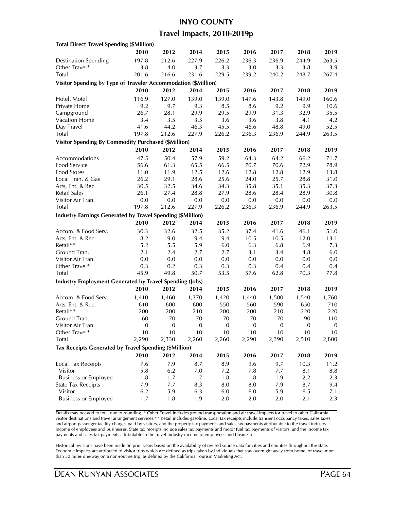#### **INYO COUNTY**

### **Travel Impacts, 2010-2019p**

| <b>Total Direct Travel Spending (\$Million)</b>                   |                  |                  |                  |             |              |              |                  |                  |
|-------------------------------------------------------------------|------------------|------------------|------------------|-------------|--------------|--------------|------------------|------------------|
|                                                                   | 2010             | 2012             | 2014             | 2015        | 2016         | 2017         | 2018             | 2019             |
| <b>Destination Spending</b>                                       | 197.8            | 212.6            | 227.9            | 226.2       | 236.3        | 236.9        | 244.9            | 263.5            |
| Other Travel*                                                     | 3.8              | 4.0              | 3.7              | 3.3         | 3.0          | 3.3          | 3.8              | 3.9              |
| Total                                                             | 201.6            | 216.6            | 231.6            | 229.5       | 239.2        | 240.2        | 248.7            | 267.4            |
| Visitor Spending by Type of Traveler Accommodation (\$Million)    |                  |                  |                  |             |              |              |                  |                  |
|                                                                   | 2010             | 2012             | 2014             | 2015        | 2016         | 2017         | 2018             | 2019             |
| Hotel, Motel                                                      | 116.9            | 127.0            | 139.0            | 139.0       | 147.6        | 143.8        | 149.0            | 160.6            |
| Private Home                                                      | 9.2              | 9.7              | 9.3              | 8.5         | 8.6          | 9.2          | 9.9              | 10.6             |
| Campground                                                        | 26.7             | 28.1             | 29.9             | 29.5        | 29.9         | 31.3         | 32.9             | 35.5             |
| Vacation Home                                                     | 3.4              | 3.5              | 3.5              | 3.6         | 3.6          |              |                  |                  |
| Day Travel                                                        | 41.6             | 44.2             | 46.3             | 45.5        | 46.6         | 3.8<br>48.8  | 4.1<br>49.0      | 4.2<br>52.5      |
|                                                                   | 197.8            | 212.6            | 227.9            |             |              | 236.9        |                  | 263.5            |
| <b>Total</b>                                                      |                  |                  |                  | 226.2       | 236.3        |              | 244.9            |                  |
| <b>Visitor Spending By Commodity Purchased (\$Million)</b>        |                  |                  |                  |             |              |              |                  |                  |
|                                                                   | 2010             | 2012             | 2014             | 2015        | 2016         | 2017         | 2018             | 2019             |
| Accommodations                                                    | 47.5             | 50.4             | 57.9             | 59.2        | 64.3         | 64.2         | 66.2             | 71.7             |
| Food Service                                                      | 56.6             | 61.3             | 65.5             | 66.5        | 70.7         | 70.6         | 72.9             | 78.9             |
| Food Stores                                                       | 11.0             | 11.9             | 12.5             | 12.6        | 12.8         | 12.8         | 12.9             | 13.8             |
| Local Tran. & Gas                                                 | 26.2             | 29.1             | 28.6             | 25.6        | 24.0         | 25.7         | 28.8             | 31.0             |
| Arts, Ent. & Rec.                                                 | 30.5             | 32.5             | 34.6             | 34.3        | 35.8         | 35.1         | 35.3             | 37.3             |
| Retail Sales                                                      | 26.1             | 27.4             | 28.8             | 27.9        | 28.6         | 28.4         | 28.9             | 30.8             |
| Visitor Air Tran.                                                 | $0.0\,$          | $0.0\,$          | 0.0              | 0.0         | 0.0          | 0.0          | 0.0              | 0.0              |
| Total                                                             | 197.8            | 212.6            | 227.9            | 226.2       | 236.3        | 236.9        | 244.9            | 263.5            |
| <b>Industry Earnings Generated by Travel Spending (\$Million)</b> |                  |                  |                  |             |              |              |                  |                  |
|                                                                   | 2010             | 2012             | 2014             | 2015        | 2016         | 2017         | 2018             | 2019             |
| Accom. & Food Serv.                                               | 30.3             | 32.6             | 32.5             | 35.2        | 37.4         | 41.6         | 46.1             | 51.0             |
| Arts, Ent. & Rec.                                                 | 8.2              | 9.0              | 9.4              | 9.4         | 10.5         | 10.5         | 12.0             | 13.1             |
| Retail**                                                          | 5.2              | 5.5              | 5.9              | 6.0         | 6.3          | 6.8          | 6.9              | 7.3              |
| Ground Tran.                                                      | 2.1              | 2.4              | 2.7              | 2.7         | 3.1          | 3.4          | 4.8              | 6.0              |
| Visitor Air Tran.                                                 | 0.0              | 0.0              | 0.0              | 0.0         | 0.0          | 0.0          | 0.0              | 0.0              |
| Other Travel*                                                     | 0.3              | 0.2              | 0.3              | 0.3         | 0.3          | 0.4          | 0.4              | 0.4              |
| Total                                                             | 45.9             | 49.8             | 50.7             | 53.5        | 57.6         | 62.8         | 70.3             | 77.8             |
| <b>Industry Employment Generated by Travel Spending (Jobs)</b>    |                  |                  |                  |             |              |              |                  |                  |
|                                                                   | 2010             | 2012             | 2014             | 2015        | 2016         | 2017         | 2018             | 2019             |
| Accom. & Food Serv.                                               |                  |                  |                  | 1,420       |              |              |                  |                  |
|                                                                   | 1,410            | 1,460<br>600     | 1,370            |             | 1,440        | 1,500        | 1,540            | 1,760            |
| Arts, Ent. & Rec.<br>Retail**                                     | 610<br>200       | 200              | 600<br>210       | 550<br>200  | 560<br>200   | 590<br>210   | 650<br>220       | 710<br>220       |
| Ground Tran.                                                      | 60               | 70               | 70               | 70          | 70           | 70           | 90               | 110              |
| Visitor Air Tran.                                                 | $\boldsymbol{0}$ | $\boldsymbol{0}$ | $\boldsymbol{0}$ | $\mathbf 0$ | $\mathbf{0}$ | $\mathbf{0}$ | $\boldsymbol{0}$ | $\boldsymbol{0}$ |
|                                                                   | 10               | 10               | 10               | 10          | 10           | 10           | 10               | 10               |
| Other Iravel*<br>Total                                            | 2,290            | 2,330            | 2,260            | 2,260       | 2,290        | 2,390        | 2,510            | 2,800            |
|                                                                   |                  |                  |                  |             |              |              |                  |                  |
| Tax Receipts Generated by Travel Spending (\$Million)             |                  |                  |                  |             |              |              |                  |                  |
|                                                                   | 2010             | 2012             | 2014             | 2015        | 2016         | 2017         | 2018             | 2019             |
| Local Tax Receipts                                                | 7.6              | 7.9              | 8.7              | 8.9         | 9.6          | 9.7          | 10.3             | 11.2             |
| Visitor                                                           | 5.8              | 6.2              | 7.0              | 7.2         | 7.8          | 7.7          | 8.1              | 8.8              |
| <b>Business or Employee</b>                                       | 1.8              | 1.7              | 1.7              | 1.8         | 1.8          | 1.9          | 2.2              | 2.3              |
| <b>State Tax Receipts</b>                                         | 7.9              | 7.7              | 8.3              | 8.0         | 8.0          | 7.9          | 8.7              | 9.4              |
| Visitor                                                           | 6.2              | 5.9              | 6.3              | 6.0         | $6.0\,$      | 5.9          | 6.5              | 7.1              |
| <b>Business or Employee</b>                                       | 1.7              | 1.8              | 1.9              | 2.0         | 2.0          | 2.0          | 2.1              | 2.3              |
|                                                                   |                  |                  |                  |             |              |              |                  |                  |

Details may not add to total due to rounding. \* Other Travel includes ground transportation and air travel impacts for travel to other California visitor destinations and travel arrangement services.\*\* Retail includes gasoline. Local tax receipts include transient occupancy taxes, sales taxes, and airport passenger facility charges paid by visitors, and the property tax payments and sales tax payments attributable to the travel industry income of employees and businesses. State tax receipts include sales tax payments and motor fuel tax payments of visitors, and the income tax payments and sales tax payments attributable to the travel industry income of employees and businesses.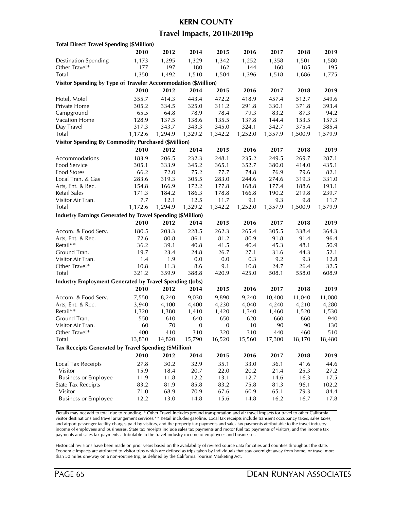### **KERN COUNTY**

### **Travel Impacts, 2010-2019p**

| <b>Total Direct Travel Spending (\$Million)</b>                   |         |         |                  |                  |         |         |         |         |
|-------------------------------------------------------------------|---------|---------|------------------|------------------|---------|---------|---------|---------|
|                                                                   | 2010    | 2012    | 2014             | 2015             | 2016    | 2017    | 2018    | 2019    |
| <b>Destination Spending</b>                                       | 1,173   | 1,295   | 1,329            | 1,342            | 1,252   | 1,358   | 1,501   | 1,580   |
| Other Travel*                                                     | 177     | 197     | 180              | 162              | 144     | 160     | 185     | 195     |
| Total                                                             | 1,350   | 1,492   | 1,510            | 1,504            | 1,396   | 1,518   | 1,686   | 1,775   |
| Visitor Spending by Type of Traveler Accommodation (\$Million)    |         |         |                  |                  |         |         |         |         |
|                                                                   | 2010    | 2012    | 2014             | 2015             | 2016    | 2017    | 2018    | 2019    |
| Hotel, Motel                                                      | 355.7   | 414.3   | 443.4            | 472.2            | 418.9   | 457.4   | 512.7   | 549.6   |
| Private Home                                                      | 305.2   | 334.5   | 325.0            | 311.2            | 291.8   | 330.1   | 371.8   | 393.4   |
| Campground                                                        | 65.5    | 64.8    | 78.9             | 78.4             | 79.3    | 83.2    | 87.3    | 94.2    |
| Vacation Home                                                     | 128.9   | 137.5   | 138.6            | 135.5            | 137.8   | 144.4   | 153.5   | 157.3   |
| Day Travel                                                        | 317.3   | 343.7   | 343.3            | 345.0            | 324.1   | 342.7   | 375.4   | 385.4   |
| <b>Total</b>                                                      | 1,172.6 | 1,294.9 | 1,329.2          | 1,342.2          | 1,252.0 | 1,357.9 | 1,500.9 | 1,579.9 |
| <b>Visitor Spending By Commodity Purchased (\$Million)</b>        |         |         |                  |                  |         |         |         |         |
|                                                                   | 2010    | 2012    | 2014             | 2015             | 2016    | 2017    | 2018    | 2019    |
| Accommodations                                                    | 183.9   | 206.5   | 232.3            | 248.1            | 235.2   | 249.5   | 269.7   | 287.1   |
| Food Service                                                      | 305.1   | 333.9   | 345.2            | 365.1            | 352.7   | 380.0   | 414.0   | 435.1   |
| Food Stores                                                       | 66.2    | 72.0    | 75.2             | 77.7             | 74.8    | 76.9    | 79.6    | 82.1    |
| Local Tran. & Gas                                                 | 283.6   | 319.3   | 305.5            | 283.0            | 244.6   | 274.6   | 319.3   | 331.0   |
| Arts, Ent. & Rec.                                                 | 154.8   | 166.9   | 172.2            | 177.8            | 168.8   | 177.4   | 188.6   | 193.1   |
| Retail Sales                                                      | 171.3   | 184.2   | 186.3            | 178.8            | 166.8   | 190.2   | 219.8   | 239.7   |
| Visitor Air Tran.                                                 | 7.7     | 12.1    | 12.5             | 11.7             | 9.1     | 9.3     | 9.8     | 11.7    |
| Total                                                             | 1,172.6 | 1,294.9 | 1,329.2          | 1,342.2          | 1,252.0 | 1,357.9 | 1,500.9 | 1,579.9 |
| <b>Industry Earnings Generated by Travel Spending (\$Million)</b> |         |         |                  |                  |         |         |         |         |
|                                                                   | 2010    | 2012    | 2014             | 2015             | 2016    | 2017    | 2018    | 2019    |
| Accom. & Food Serv.                                               | 180.5   | 203.3   | 228.5            | 262.3            | 265.4   | 305.5   | 338.4   | 364.3   |
| Arts, Ent. & Rec.                                                 | 72.6    | 80.8    | 86.1             | 81.2             | 80.9    | 91.8    | 91.4    | 96.4    |
| Retail**                                                          | 36.2    | 39.1    | 40.8             | 41.5             | 40.4    | 45.3    | 48.1    | 50.9    |
| Ground Tran.                                                      | 19.7    | 23.4    | 24.8             | 26.7             | 27.1    | 31.6    | 44.3    | 52.1    |
| Visitor Air Tran.                                                 | 1.4     | 1.9     | 0.0              | 0.0              | 0.3     | 9.2     | 9.3     | 12.8    |
| Other Travel*                                                     | 10.8    | 11.3    | 8.6              | 9.1              | 10.8    | 24.7    | 26.4    | 32.5    |
| Total                                                             | 321.2   | 359.9   | 388.8            | 420.9            | 425.0   | 508.1   | 558.0   | 608.9   |
| <b>Industry Employment Generated by Travel Spending (Jobs)</b>    |         |         |                  |                  |         |         |         |         |
|                                                                   | 2010    | 2012    | 2014             | 2015             | 2016    | 2017    | 2018    | 2019    |
| Accom. & Food Serv.                                               | 7,550   | 8,240   | 9,030            | 9,890            | 9,240   | 10,400  | 11,040  | 11,080  |
| Arts, Ent. & Rec.                                                 | 3,940   | 4,100   | 4,400            | 4,230            | 4,040   | 4,240   | 4,210   | 4,280   |
| Retail**                                                          | 1,320   | 1,380   | 1,410            | 1,420            | 1,340   | 1,460   | 1,520   | 1,530   |
| Ground Tran.                                                      | 550     | 610     | 640              | 650              | 620     | 660     | 860     | 940     |
| Visitor Air Tran.                                                 | 60      | 70      | $\boldsymbol{0}$ | $\boldsymbol{0}$ | 10      | 90      | 90      | 130     |
| Other I ravel*                                                    | 400     | 410     | 310              | 320              | 310     | 440     | 460     | 510     |
| Total                                                             | 13,830  | 14,820  | 15,790           | 16,520           | 15,560  | 17,300  | 18,170  | 18,480  |
| Tax Receipts Generated by Travel Spending (\$Million)             |         |         |                  |                  |         |         |         |         |
|                                                                   | 2010    | 2012    | 2014             | 2015             | 2016    | 2017    | 2018    | 2019    |
| Local Tax Receipts                                                | 27.8    | 30.2    | 32.9             | 35.1             | 33.0    | 36.1    | 41.6    | 44.6    |
| Visitor                                                           | 15.9    | 18.4    | 20.7             | 22.0             | 20.2    | 21.4    | 25.3    | 27.2    |
| <b>Business or Employee</b>                                       | 11.9    | 11.8    | 12.2             | 13.1             | 12.7    | 14.6    | 16.3    | 17.5    |
| <b>State Tax Receipts</b>                                         | 83.2    | 81.9    | 85.8             | 83.2             | 75.8    | 81.3    | 96.1    | 102.2   |
| Visitor                                                           | 71.0    | 68.9    | 70.9             | 67.6             | 60.9    | 65.1    | 79.3    | 84.4    |
| <b>Business or Employee</b>                                       | 12.2    | 13.0    | 14.8             | 15.6             | 14.8    | 16.2    | 16.7    | 17.8    |
|                                                                   |         |         |                  |                  |         |         |         |         |

Details may not add to total due to rounding. \* Other Travel includes ground transportation and air travel impacts for travel to other California visitor destinations and travel arrangement services.\*\* Retail includes gasoline. Local tax receipts include transient occupancy taxes, sales taxes, and airport passenger facility charges paid by visitors, and the property tax payments and sales tax payments attributable to the travel industry income of employees and businesses. State tax receipts include sales tax payments and motor fuel tax payments of visitors, and the income tax payments and sales tax payments attributable to the travel industry income of employees and businesses.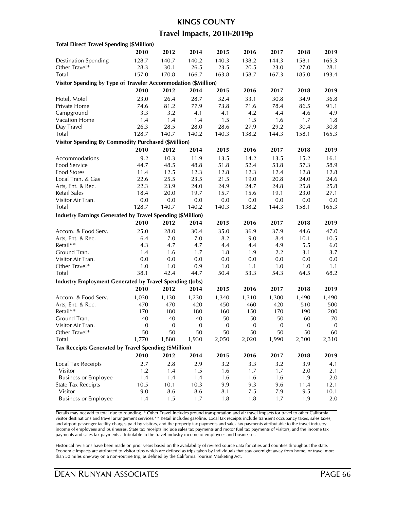#### **KINGS COUNTY**

### **Travel Impacts, 2010-2019p**

| <b>Total Direct Travel Spending (\$Million)</b>                   |                  |                  |                  |                  |              |             |                  |                  |
|-------------------------------------------------------------------|------------------|------------------|------------------|------------------|--------------|-------------|------------------|------------------|
|                                                                   | 2010             | 2012             | 2014             | 2015             | 2016         | 2017        | 2018             | 2019             |
| <b>Destination Spending</b>                                       | 128.7            | 140.7            | 140.2            | 140.3            | 138.2        | 144.3       | 158.1            | 165.3            |
| Other Travel*                                                     | 28.3             | 30.1             | 26.5             | 23.5             | 20.5         | 23.0        | 27.0             | 28.1             |
| Total                                                             | 157.0            | 170.8            | 166.7            | 163.8            | 158.7        | 167.3       | 185.0            | 193.4            |
| Visitor Spending by Type of Traveler Accommodation (\$Million)    |                  |                  |                  |                  |              |             |                  |                  |
|                                                                   | 2010             | 2012             | 2014             | 2015             | 2016         | 2017        | 2018             | 2019             |
|                                                                   | 23.0             | 26.4             | 28.7             | 32.4             | 33.1         | 30.8        | 34.9             | 36.8             |
| Hotel, Motel<br>Private Home                                      | 74.6             | 81.2             | 77.9             | 73.8             | 71.6         | 78.4        | 86.5             | 91.1             |
| Campground                                                        | 3.3              | 3.2              | 4.1              | 4.1              | 4.2          | 4.4         |                  | 4.9              |
| Vacation Home                                                     | 1.4              | 1.4              | 1.4              |                  |              |             | 4.6<br>1.7       |                  |
| Day Travel                                                        | 26.3             | 28.5             | 28.0             | 1.5<br>28.6      | 1.5<br>27.9  | 1.6<br>29.2 | 30.4             | 1.8<br>30.8      |
| Total                                                             | 128.7            | 140.7            | 140.2            | 140.3            | 138.2        | 144.3       | 158.1            | 165.3            |
|                                                                   |                  |                  |                  |                  |              |             |                  |                  |
| <b>Visitor Spending By Commodity Purchased (\$Million)</b>        |                  |                  |                  |                  |              |             |                  |                  |
|                                                                   | 2010             | 2012             | 2014             | 2015             | 2016         | 2017        | 2018             | 2019             |
| Accommodations                                                    | 9.2              | 10.3             | 11.9             | 13.5             | 14.2         | 13.5        | 15.2             | 16.1             |
| Food Service                                                      | 44.7             | 48.5             | 48.8             | 51.8             | 52.4         | 53.8        | 57.3             | 58.9             |
| <b>Food Stores</b>                                                | 11.4             | 12.5             | 12.3             | 12.8             | 12.3         | 12.4        | 12.8             | 12.8             |
| Local Tran. & Gas                                                 | 22.6             | 25.5             | 23.5             | 21.5             | 19.0         | 20.8        | 24.0             | 24.6             |
| Arts, Ent. & Rec.                                                 | 22.3             | 23.9             | 24.0             | 24.9             | 24.7         | 24.8        | 25.8             | 25.8             |
| <b>Retail Sales</b>                                               | 18.4             | 20.0             | 19.7             | 15.7             | 15.6         | 19.1        | 23.0             | 27.1             |
| Visitor Air Tran.                                                 | $0.0\,$          | 0.0              | 0.0              | 0.0              | 0.0          | $0.0\,$     | 0.0              | 0.0              |
| Total                                                             | 128.7            | 140.7            | 140.2            | 140.3            | 138.2        | 144.3       | 158.1            | 165.3            |
| <b>Industry Earnings Generated by Travel Spending (\$Million)</b> |                  |                  |                  |                  |              |             |                  |                  |
|                                                                   | 2010             | 2012             | 2014             | 2015             | 2016         | 2017        | 2018             | 2019             |
| Accom. & Food Serv.                                               | 25.0             | 28.0             | 30.4             | 35.0             | 36.9         | 37.9        | 44.6             | 47.0             |
| Arts, Ent. & Rec.                                                 | 6.4              | 7.0              | 7.0              | 8.2              | 9.0          | 8.4         | 10.1             | 10.5             |
| Retail**                                                          | 4.3              | 4.7              | 4.7              | 4.4              | 4.4          | 4.9         | 5.5              | 6.0              |
| Ground Tran.                                                      | 1.4              | 1.6              | 1.7              | 1.8              | 1.9          | 2.2         | 3.1              | 3.7              |
| Visitor Air Tran.                                                 | 0.0              | 0.0              | 0.0              | 0.0              | 0.0          | $0.0\,$     | 0.0              | 0.0              |
| Other Travel*                                                     | 1.0              | 1.0              | 0.9              | 1.0              | 1.1          | 1.0         | 1.0              | 1.1              |
| Total                                                             | 38.1             | 42.4             | 44.7             | 50.4             | 53.3         | 54.3        | 64.5             | 68.2             |
| <b>Industry Employment Generated by Travel Spending (Jobs)</b>    |                  |                  |                  |                  |              |             |                  |                  |
|                                                                   | 2010             | 2012             | 2014             | 2015             | 2016         | 2017        | 2018             | 2019             |
| Accom. & Food Serv.                                               | 1,030            | 1,130            | 1,230            | 1,340            | 1,310        | 1,300       | 1,490            | 1,490            |
| Arts, Ent. & Rec.                                                 | 470              | 470              | 420              | 450              | 460          | 420         | 510              | 500              |
| Retail**                                                          | 170              | 180              | 180              | 160              | 150          | 170         | 190              | 200              |
| Ground Tran.                                                      | 40               | 40               | 40               | 50               | 50           | 50          | 60               | 70               |
| Visitor Air Tran.                                                 | $\boldsymbol{0}$ | $\boldsymbol{0}$ | $\boldsymbol{0}$ | $\boldsymbol{0}$ | $\mathbf{0}$ | $\bf{0}$    | $\boldsymbol{0}$ | $\boldsymbol{0}$ |
| Other Travel*                                                     | 50               | 50               | 50               | 50               | 50           | 50          | 50               | 60               |
| <b>Total</b>                                                      | 1,770            | 1,880            | 1,930            | 2,050            | 2,020        | 1,990       | 2,300            | 2,310            |
| <b>Tax Receipts Generated by Travel Spending (\$Million)</b>      |                  |                  |                  |                  |              |             |                  |                  |
|                                                                   |                  |                  |                  |                  |              |             |                  |                  |
|                                                                   | 2010             | 2012             | 2014             | 2015             | 2016         | 2017        | 2018             | 2019             |
| Local Tax Receipts                                                | 2.7              | 2.8              | 2.9              | 3.2              | 3.3          | 3.2         | 3.9              | 4.1              |
| Visitor                                                           | 1.2              | 1.4              | 1.5              | 1.6              | 1.7          | 1.7         | 2.0              | 2.1              |
| <b>Business or Employee</b>                                       | 1.4              | 1.4              | 1.4              | 1.6              | 1.6          | 1.6         | 1.9              | $2.0\,$          |
| <b>State Tax Receipts</b>                                         | 10.5             | 10.1             | 10.3             | 9.9              | 9.3          | 9.6         | 11.4             | 12.1             |
| Visitor                                                           | 9.0              | 8.6              | 8.6              | 8.1              | 7.5          | 7.9         | 9.5              | 10.1             |
| <b>Business or Employee</b>                                       | 1.4              | 1.5              | 1.7              | 1.8              | 1.8          | 1.7         | 1.9              | 2.0              |

Details may not add to total due to rounding. \* Other Travel includes ground transportation and air travel impacts for travel to other California visitor destinations and travel arrangement services.\*\* Retail includes gasoline. Local tax receipts include transient occupancy taxes, sales taxes, and airport passenger facility charges paid by visitors, and the property tax payments and sales tax payments attributable to the travel industry income of employees and businesses. State tax receipts include sales tax payments and motor fuel tax payments of visitors, and the income tax payments and sales tax payments attributable to the travel industry income of employees and businesses.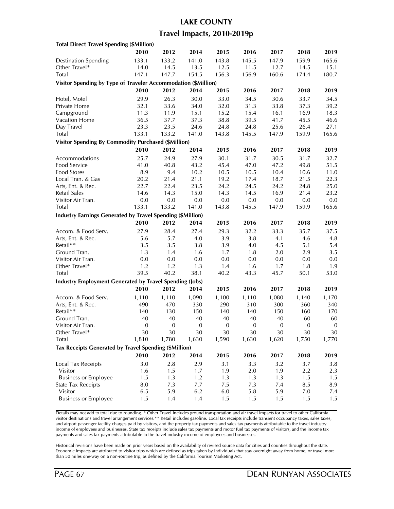## **LAKE COUNTY**

### **Travel Impacts, 2010-2019p**

| <b>Total Direct Travel Spending (\$Million)</b>                |                  |                  |                  |              |                  |                  |                  |                  |
|----------------------------------------------------------------|------------------|------------------|------------------|--------------|------------------|------------------|------------------|------------------|
|                                                                | 2010             | 2012             | 2014             | 2015         | 2016             | 2017             | 2018             | 2019             |
| <b>Destination Spending</b>                                    | 133.1            | 133.2            | 141.0            | 143.8        | 145.5            | 147.9            | 159.9            | 165.6            |
| Other Travel*                                                  | 14.0             | 14.5             | 13.5             | 12.5         | 11.5             | 12.7             | 14.5             | 15.1             |
| Total                                                          | 147.1            | 147.7            | 154.5            | 156.3        | 156.9            | 160.6            | 174.4            | 180.7            |
| Visitor Spending by Type of Traveler Accommodation (\$Million) |                  |                  |                  |              |                  |                  |                  |                  |
|                                                                | 2010             | 2012             | 2014             | 2015         | 2016             | 2017             | 2018             | 2019             |
| Hotel, Motel                                                   | 29.9             | 26.3             | 30.0             | 33.0         | 34.5             | 30.6             | 33.7             | 34.5             |
| Private Home                                                   | 32.1             | 33.6             | 34.0             | 32.0         | 31.3             | 33.8             | 37.3             | 39.2             |
| Campground                                                     |                  | 11.9             |                  |              |                  |                  | 16.9             |                  |
| Vacation Home                                                  | 11.3             |                  | 15.1<br>37.3     | 15.2<br>38.8 | 15.4<br>39.5     | 16.1<br>41.7     |                  | 18.3             |
| Day Travel                                                     | 36.5<br>23.3     | 37.7<br>23.5     | 24.6             | 24.8         | 24.8             | 25.6             | 45.5<br>26.4     | 46.6<br>27.1     |
|                                                                | 133.1            |                  | 141.0            |              |                  | 147.9            |                  | 165.6            |
| <b>Total</b>                                                   |                  | 133.2            |                  | 143.8        | 145.5            |                  | 159.9            |                  |
| <b>Visitor Spending By Commodity Purchased (\$Million)</b>     |                  |                  |                  |              |                  |                  |                  |                  |
|                                                                | 2010             | 2012             | 2014             | 2015         | 2016             | 2017             | 2018             | 2019             |
| Accommodations                                                 | 25.7             | 24.9             | 27.9             | 30.1         | 31.7             | 30.5             | 31.7             | 32.7             |
| Food Service                                                   | 41.0             | 40.8             | 43.2             | 45.4         | 47.0             | 47.2             | 49.8             | 51.5             |
| Food Stores                                                    | 8.9              | 9.4              | 10.2             | 10.5         | 10.5             | 10.4             | 10.6             | 11.0             |
| Local Tran. & Gas                                              | 20.2             | 21.4             | 21.1             | 19.2         | 17.4             | 18.7             | 21.5             | 22.3             |
| Arts, Ent. & Rec.                                              | 22.7             | 22.4             | 23.5             | 24.2         | 24.5             | 24.2             | 24.8             | 25.0             |
| Retail Sales                                                   | 14.6             | 14.3             | 15.0             | 14.3         | 14.5             | 16.9             | 21.4             | 23.2             |
| Visitor Air Tran.                                              | 0.0              | $0.0\,$          | 0.0              | $0.0\,$      | 0.0              | 0.0              | 0.0              | 0.0              |
| Total                                                          | 133.1            | 133.2            | 141.0            | 143.8        | 145.5            | 147.9            | 159.9            | 165.6            |
| Industry Earnings Generated by Travel Spending (\$Million)     |                  |                  |                  |              |                  |                  |                  |                  |
|                                                                | 2010             | 2012             | 2014             | 2015         | 2016             | 2017             | 2018             | 2019             |
| Accom. & Food Serv.                                            | 27.9             | 28.4             | 27.4             | 29.3         | 32.2             | 33.3             | 35.7             | 37.5             |
| Arts, Ent. & Rec.                                              | 5.6              | 5.7              | 4.0              | 3.9          | 3.8              | 4.1              | 4.6              | 4.8              |
| Retail**                                                       | 3.5              | 3.5              | 3.8              | 3.9          | 4.0              | 4.5              | 5.1              | 5.4              |
| Ground Tran.                                                   | 1.3              | 1.4              | 1.6              | 1.7          | 1.8              | 2.0              | 2.9              | 3.5              |
| Visitor Air Tran.                                              | 0.0              | 0.0              | 0.0              | 0.0          | 0.0              | 0.0              | 0.0              | 0.0              |
| Other Travel*                                                  | 1.2              | 1.2              | 1.3              | 1.4          | 1.6              | 1.7              | 1.8              | 1.9              |
| Total                                                          | 39.5             | 40.2             | 38.1             | 40.2         | 43.3             | 45.7             | 50.1             | 53.0             |
| <b>Industry Employment Generated by Travel Spending (Jobs)</b> |                  |                  |                  |              |                  |                  |                  |                  |
|                                                                | 2010             | 2012             | 2014             | 2015         | 2016             | 2017             | 2018             | 2019             |
|                                                                |                  |                  |                  |              |                  |                  |                  |                  |
| Accom. & Food Serv.                                            | 1,110            | 1,110            | 1,090            | 1,100        | 1,110            | 1,080            | 1,140            | 1,170            |
| Arts, Ent. & Rec.                                              | 490              | 470              | 330              | 290          | 310              | 300              | 360              | 340              |
| Retail**                                                       | 140              | 130              | 150              | 140          | 140              | 150              | 160              | 170              |
| Ground Tran.                                                   | 40               | 40               | 40               | 40           | 40               | 40               | 60               | 60               |
| Visitor Air Tran.                                              | $\boldsymbol{0}$ | $\boldsymbol{0}$ | $\boldsymbol{0}$ | $\mathbf{0}$ | $\boldsymbol{0}$ | $\boldsymbol{0}$ | $\boldsymbol{0}$ | $\boldsymbol{0}$ |
| Other Iravel*                                                  | 30               | 30               | 30               | 30           | 30               | 30               | 30               | 30               |
| Total                                                          | 1,810            | 1,780            | 1,630            | 1,590        | 1,630            | 1,620            | 1,750            | 1,770            |
| Tax Receipts Generated by Travel Spending (\$Million)          |                  |                  |                  |              |                  |                  |                  |                  |
|                                                                | 2010             | 2012             | 2014             | 2015         | 2016             | 2017             | 2018             | 2019             |
| Local Tax Receipts                                             | 3.0              | 2.8              | 2.9              | 3.1          | 3.3              | 3.2              | 3.7              | 3.8              |
| Visitor                                                        | 1.6              | 1.5              | 1.7              | 1.9          | 2.0              | 1.9              | 2.2              | 2.3              |
| <b>Business or Employee</b>                                    | 1.5              | 1.3              | 1.2              | 1.3          | 1.3              | 1.3              | 1.5              | 1.5              |
| <b>State Tax Receipts</b>                                      | $8.0\,$          | 7.3              | 7.7              | 7.5          | 7.3              | 7.4              | 8.5              | 8.9              |
| Visitor                                                        | 6.5              | 5.9              | 6.2              | 6.0          | 5.8              | 5.9              | 7.0              | 7.4              |
| <b>Business or Employee</b>                                    | 1.5              | 1.4              | 1.4              | 1.5          | 1.5              | 1.5              | 1.5              | 1.5              |
|                                                                |                  |                  |                  |              |                  |                  |                  |                  |

Details may not add to total due to rounding. \* Other Travel includes ground transportation and air travel impacts for travel to other California visitor destinations and travel arrangement services.\*\* Retail includes gasoline. Local tax receipts include transient occupancy taxes, sales taxes, and airport passenger facility charges paid by visitors, and the property tax payments and sales tax payments attributable to the travel industry income of employees and businesses. State tax receipts include sales tax payments and motor fuel tax payments of visitors, and the income tax payments and sales tax payments attributable to the travel industry income of employees and businesses.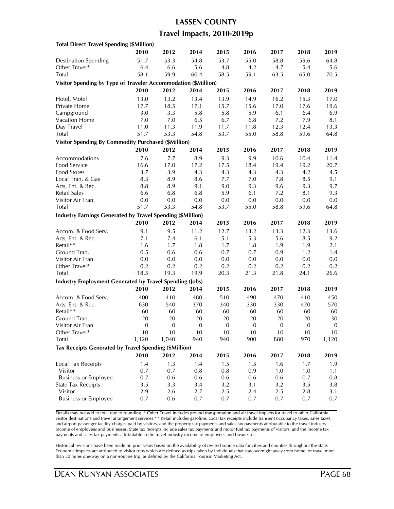# **LASSEN COUNTY Travel Impacts, 2010-2019p**

| <b>Total Direct Travel Spending (\$Million)</b>                   |                  |                  |              |             |              |              |              |                  |
|-------------------------------------------------------------------|------------------|------------------|--------------|-------------|--------------|--------------|--------------|------------------|
|                                                                   | 2010             | 2012             | 2014         | 2015        | 2016         | 2017         | 2018         | 2019             |
| <b>Destination Spending</b>                                       | 51.7             | 53.3             | 54.8         | 53.7        | 55.0         | 58.8         | 59.6         | 64.8             |
| Other Travel*                                                     | 6.4              | 6.6              | 5.6          | 4.8         | 4.2          | 4.7          | 5.4          | 5.6              |
| Total                                                             | 58.1             | 59.9             | 60.4         | 58.5        | 59.1         | 63.5         | 65.0         | 70.5             |
| Visitor Spending by Type of Traveler Accommodation (\$Million)    |                  |                  |              |             |              |              |              |                  |
|                                                                   | 2010             | 2012             | 2014         | 2015        | 2016         | 2017         | 2018         | 2019             |
| Hotel, Motel                                                      | 13.0             | 13.2             | 13.4         | 13.9        | 14.9         | 16.2         | 15.3         | 17.0             |
| Private Home                                                      | 17.7             | 18.5             | 17.1         | 15.7        | 15.6         | 17.0         | 17.6         | 19.6             |
| Campground                                                        | 3.0              | 3.3              | 5.8          | 5.8         | 5.9          | 6.1          | 6.4          | 6.9              |
| Vacation Home                                                     | 7.0              | $7.0$            | 6.5          | 6.7         | 6.8          | 7.2          | 7.9          | 8.1              |
| Day Travel                                                        | 11.0             | 11.3             | 11.9         | 11.7        | 11.8         | 12.3         | 12.4         | 13.3             |
| <b>Total</b>                                                      | 51.7             | 53.3             | 54.8         | 53.7        | 55.0         | 58.8         | 59.6         | 64.8             |
| <b>Visitor Spending By Commodity Purchased (\$Million)</b>        |                  |                  |              |             |              |              |              |                  |
|                                                                   | 2010             | 2012             | 2014         | 2015        | 2016         | 2017         | 2018         | 2019             |
| Accommodations                                                    | 7.6              | 7.7              | 8.9          | 9.3         | 9.9          | 10.6         | 10.4         | 11.4             |
| Food Service                                                      | 16.6             | 17.0             | 17.2         | 17.5        | 18.4         | 19.4         | 19.2         | 20.7             |
| Food Stores                                                       | 3.7              | 3.9              | 4.3          | 4.3         | 4.3          | 4.3          | 4.2          | 4.5              |
| Local Tran. & Gas                                                 | 8.3              | 8.9              | 8.6          | 7.7         | 7.0          | $7.8\,$      | 8.5          | 9.1              |
| Arts, Ent. & Rec.                                                 | 8.8              | 8.9              | 9.1          | 9.0         | 9.3          | 9.6          | 9.3          | 9.7              |
| <b>Retail Sales</b>                                               | 6.6              | 6.8              | 6.8          | 5.9         | 6.1          | 7.2          | 8.1          | 9.3              |
| Visitor Air Tran.                                                 | 0.0              | 0.0              | 0.0          | 0.0         | 0.0          | 0.0          | 0.0          | 0.0              |
| Total                                                             | 51.7             | 53.3             | 54.8         | 53.7        | 55.0         | 58.8         | 59.6         | 64.8             |
| <b>Industry Earnings Generated by Travel Spending (\$Million)</b> |                  |                  |              |             |              |              |              |                  |
|                                                                   | 2010             | 2012             | 2014         | 2015        | 2016         | 2017         | 2018         | 2019             |
| Accom. & Food Serv.                                               | 9.1              | 9.5              | 11.2         | 12.7        | 13.2         | 13.3         | 12.3         | 13.6             |
| Arts, Ent. & Rec.                                                 | 7.1              | 7.4              | 6.1          | 5.1         | 5.3          | 5.6          | 8.5          | 9.2              |
| Retail**                                                          | 1.6              | 1.7              | 1.8          | 1.7         | 1.8          | 1.9          | 1.9          | 2.1              |
| Ground Tran.                                                      | 0.5              | 0.6              | 0.6          | 0.7         | 0.7          | 0.9          | 1.2          | 1.4              |
| Visitor Air Tran.                                                 | 0.0              | 0.0              | 0.0          | 0.0         | 0.0          | $0.0\,$      | 0.0          | $0.0\,$          |
| Other Travel*                                                     | 0.2              | 0.2              | 0.2          | 0.2         | 0.2          | 0.2          | 0.2          | 0.2              |
| Total                                                             | 18.5             | 19.3             | 19.9         | 20.3        | 21.3         | 21.8         | 24.1         | 26.6             |
| <b>Industry Employment Generated by Travel Spending (Jobs)</b>    |                  |                  |              |             |              |              |              |                  |
|                                                                   | 2010             | 2012             | 2014         | 2015        | 2016         | 2017         | 2018         | 2019             |
| Accom. & Food Serv.                                               | 400              | 410              | 480          | 510         | 490          | 470          | 410          | 450              |
| Arts, Ent. & Rec.                                                 | 630              | 540              | 370          | 340         | 330          | 330          | 470          | 570              |
| Retail**                                                          | 60               | 60               | 60           | 60          | 60           | 60           | 60           | 60               |
| Ground Tran.                                                      | 20               | 20               | 20           | 20          | 20           | $20\,$       | 20           | 30               |
| Visitor Air Tran.                                                 | $\boldsymbol{0}$ | $\boldsymbol{0}$ | $\mathbf{0}$ | $\mathbf 0$ | $\mathbf{0}$ | $\mathbf{0}$ | $\mathbf{0}$ | $\boldsymbol{0}$ |
| Other Travel*                                                     | $10\,$           | 10               | 10           | $10$        | 10           | $10$         | $10$         | 10               |
| Total                                                             | 1,120            | 1,040            | 940          | 940         | 900          | 880          | 970          | 1,120            |
| <b>Tax Receipts Generated by Travel Spending (\$Million)</b>      |                  |                  |              |             |              |              |              |                  |
|                                                                   | 2010             | 2012             | 2014         | 2015        | 2016         | 2017         | 2018         | 2019             |
| Local Tax Receipts                                                | 1.4              | 1.3              | 1.4          | 1.5         | 1.5          | 1.6          | 1.7          | 1.9              |
| Visitor                                                           | 0.7              | 0.7              | 0.8          | 0.8         | 0.9          | 1.0          | 1.0          | 1.1              |
| <b>Business or Employee</b>                                       | 0.7              | 0.6              | 0.6          | 0.6         | 0.6          | 0.6          | 0.7          | $0.8\,$          |
| <b>State Tax Receipts</b>                                         | 3.5              | 3.3              | 3.4          | 3.2         | 3.1          | 3.2          | 3.5          | $3.8\,$          |
| Visitor                                                           | 2.9              | 2.6              | 2.7          | 2.5         | 2.4          | 2.5          | $2.8\,$      | 3.1              |
| <b>Business or Employee</b>                                       | 0.7              | 0.6              | 0.7          | 0.7         | 0.7          | 0.7          | 0.7          | 0.7              |
|                                                                   |                  |                  |              |             |              |              |              |                  |

Details may not add to total due to rounding. \* Other Travel includes ground transportation and air travel impacts for travel to other California visitor destinations and travel arrangement services.\*\* Retail includes gasoline. Local tax receipts include transient occupancy taxes, sales taxes, and airport passenger facility charges paid by visitors, and the property tax payments and sales tax payments attributable to the travel industry income of employees and businesses. State tax receipts include sales tax payments and motor fuel tax payments of visitors, and the income tax payments and sales tax payments attributable to the travel industry income of employees and businesses.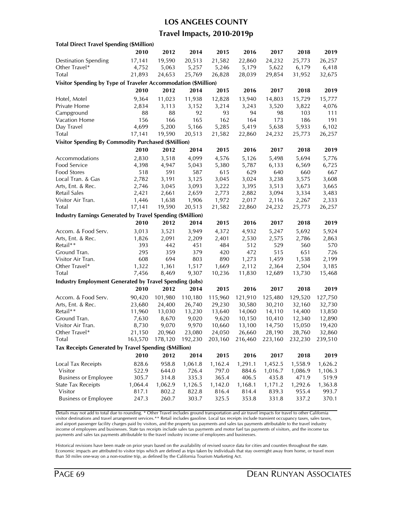#### **LOS ANGELES COUNTY**

### **Travel Impacts, 2010-2019p**

| <b>Total Direct Travel Spending (\$Million)</b>                |         |         |         |         |         |         |         |         |  |  |
|----------------------------------------------------------------|---------|---------|---------|---------|---------|---------|---------|---------|--|--|
|                                                                | 2010    | 2012    | 2014    | 2015    | 2016    | 2017    | 2018    | 2019    |  |  |
| <b>Destination Spending</b>                                    | 17,141  | 19,590  | 20,513  | 21,582  | 22,860  | 24,232  | 25,773  | 26,257  |  |  |
| Other Travel*                                                  | 4,752   | 5,063   | 5,257   | 5,246   | 5,179   | 5,622   | 6,179   | 6,418   |  |  |
| <b>Total</b>                                                   | 21,893  | 24,653  | 25,769  | 26,828  | 28,039  | 29,854  | 31,952  | 32,675  |  |  |
| Visitor Spending by Type of Traveler Accommodation (\$Million) |         |         |         |         |         |         |         |         |  |  |
|                                                                | 2010    | 2012    | 2014    | 2015    | 2016    | 2017    | 2018    | 2019    |  |  |
| Hotel, Motel                                                   | 9,364   | 11,023  | 11,938  | 12,828  | 13,940  | 14,803  | 15,729  | 15,777  |  |  |
| Private Home                                                   | 2,834   | 3,113   | 3,152   | 3,214   | 3,243   | 3,520   | 3,822   | 4,076   |  |  |
| Campground                                                     | 88      | 88      | 92      | 93      | 94      | 98      | 103     | 111     |  |  |
| Vacation Home                                                  | 156     | 166     | 165     | 162     | 164     | 173     | 186     | 191     |  |  |
| Day Travel                                                     | 4,699   | 5,200   | 5,166   | 5,285   | 5,419   | 5,638   | 5,933   | 6,102   |  |  |
| <b>Total</b>                                                   | 17,141  | 19,590  | 20,513  | 21,582  | 22,860  | 24,232  | 25,773  | 26,257  |  |  |
| <b>Visitor Spending By Commodity Purchased (\$Million)</b>     |         |         |         |         |         |         |         |         |  |  |
|                                                                | 2010    | 2012    | 2014    | 2015    | 2016    | 2017    | 2018    | 2019    |  |  |
| Accommodations                                                 | 2,830   | 3,518   | 4,099   | 4,576   | 5,126   | 5,498   | 5,694   | 5,776   |  |  |
| Food Service                                                   | 4,398   | 4,947   | 5,043   | 5,380   | 5,787   | 6,133   | 6,569   | 6,725   |  |  |
| <b>Food Stores</b>                                             | 518     | 591     | 587     | 615     | 629     | 640     | 660     | 667     |  |  |
| Local Tran. & Gas                                              | 2,782   | 3,191   | 3,125   | 3,045   | 3,024   | 3,238   | 3,575   | 3,608   |  |  |
| Arts, Ent. & Rec.                                              | 2,746   | 3,045   | 3,093   | 3,222   | 3,395   | 3,513   | 3,673   | 3,665   |  |  |
| Retail Sales                                                   | 2,421   | 2,661   | 2,659   | 2,773   | 2,882   | 3,094   | 3,334   | 3,483   |  |  |
| Visitor Air Tran.                                              | 1,446   | 1,638   | 1,906   | 1,972   | 2,017   | 2,116   | 2,267   | 2,333   |  |  |
| Total                                                          | 17,141  | 19,590  | 20,513  | 21,582  | 22,860  | 24,232  | 25,773  | 26,257  |  |  |
| Industry Earnings Generated by Travel Spending (\$Million)     |         |         |         |         |         |         |         |         |  |  |
|                                                                | 2010    | 2012    | 2014    | 2015    | 2016    | 2017    | 2018    | 2019    |  |  |
| Accom. & Food Serv.                                            | 3,013   | 3,521   | 3,949   | 4,372   | 4,932   | 5,247   | 5,692   | 5,924   |  |  |
| Arts, Ent. & Rec.                                              | 1,826   | 2,091   | 2,209   | 2,401   | 2,530   | 2,575   | 2,786   | 2,863   |  |  |
| Retail**                                                       | 393     | 442     | 451     | 484     | 512     | 529     | 560     | 570     |  |  |
| Ground Tran.                                                   | 295     | 359     | 379     | 420     | 472     | 515     | 651     | 726     |  |  |
| Visitor Air Tran.                                              | 608     | 694     | 803     | 890     | 1,273   | 1,459   | 1,538   | 2,199   |  |  |
| Other Travel*                                                  | 1,322   | 1,361   | 1,517   | 1,669   | 2,112   | 2,364   | 2,504   | 3,185   |  |  |
| Total                                                          | 7,456   | 8,469   | 9,307   | 10,236  | 11,830  | 12,689  | 13,730  | 15,468  |  |  |
| <b>Industry Employment Generated by Travel Spending (Jobs)</b> |         |         |         |         |         |         |         |         |  |  |
|                                                                | 2010    | 2012    | 2014    | 2015    | 2016    | 2017    | 2018    | 2019    |  |  |
| Accom. & Food Serv.                                            | 90,420  | 101,980 | 110,180 | 115,960 | 121,910 | 125,480 | 129,520 | 127,750 |  |  |
| Arts, Ent. & Rec.                                              | 23,680  | 24,400  | 26,740  | 29,230  | 30,580  | 30,210  | 32,160  | 32,730  |  |  |
| Retail**                                                       | 11,960  | 13,030  | 13,230  | 13,640  | 14,060  | 14,110  | 14,400  | 13,850  |  |  |
| Ground Tran.                                                   | 7,630   | 8,670   | 9,020   | 9,620   | 10,150  | 10,410  | 12,340  | 12,890  |  |  |
| Visitor Air Tran.                                              | 8,730   | 9,070   | 9,970   | 10,660  | 13,100  | 14,750  | 15,050  | 19,420  |  |  |
| Other Iravel*                                                  | 21,150  | 20,960  | 23,080  | 24,050  | 26,660  | 28,190  | 28,760  | 32,860  |  |  |
| Total                                                          | 163,570 | 178,120 | 192,230 | 203,160 | 216,460 | 223,160 | 232,230 | 239,510 |  |  |
| Tax Receipts Generated by Travel Spending (\$Million)          |         |         |         |         |         |         |         |         |  |  |
|                                                                | 2010    | 2012    | 2014    | 2015    | 2016    | 2017    | 2018    | 2019    |  |  |
| <b>Local Tax Receipts</b>                                      | 828.6   | 958.8   | 1,061.8 | 1,162.4 | 1,291.1 | 1,452.5 | 1,558.9 | 1,626.2 |  |  |
| Visitor                                                        | 522.9   | 644.0   | 726.4   | 797.0   | 884.6   | 1,016.7 | 1,086.9 | 1,106.3 |  |  |
| <b>Business or Employee</b>                                    | 305.7   | 314.8   | 335.3   | 365.4   | 406.5   | 435.8   | 471.9   | 519.9   |  |  |
| <b>State Tax Receipts</b>                                      | 1,064.4 | 1,062.9 | 1,126.5 | 1,142.0 | 1,168.1 | 1,171.2 | 1,292.6 | 1,363.8 |  |  |
| Visitor                                                        | 817.1   | 802.2   | 822.8   | 816.4   | 814.4   | 839.3   | 955.4   | 993.7   |  |  |
| <b>Business or Employee</b>                                    | 247.3   | 260.7   | 303.7   | 325.5   | 353.8   | 331.8   | 337.2   | 370.1   |  |  |
|                                                                |         |         |         |         |         |         |         |         |  |  |

Details may not add to total due to rounding. \* Other Travel includes ground transportation and air travel impacts for travel to other California visitor destinations and travel arrangement services.\*\* Retail includes gasoline. Local tax receipts include transient occupancy taxes, sales taxes, and airport passenger facility charges paid by visitors, and the property tax payments and sales tax payments attributable to the travel industry income of employees and businesses. State tax receipts include sales tax payments and motor fuel tax payments of visitors, and the income tax payments and sales tax payments attributable to the travel industry income of employees and businesses.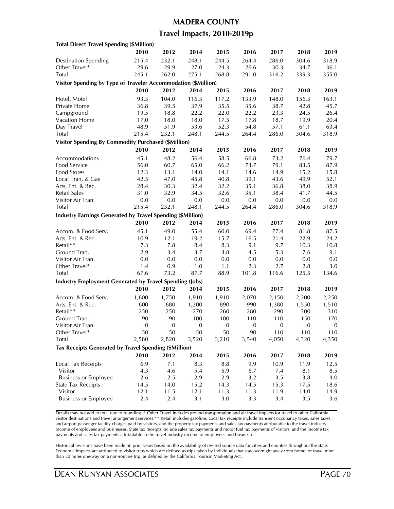#### **MADERA COUNTY**

### **Travel Impacts, 2010-2019p**

| <b>Total Direct Travel Spending (\$Million)</b>                   |                  |                  |                  |              |                         |              |                         |                         |
|-------------------------------------------------------------------|------------------|------------------|------------------|--------------|-------------------------|--------------|-------------------------|-------------------------|
|                                                                   | 2010             | 2012             | 2014             | 2015         | 2016                    | 2017         | 2018                    | 2019                    |
| <b>Destination Spending</b>                                       | 215.4            | 232.1            | 248.1            | 244.5        | 264.4                   | 286.0        | 304.6                   | 318.9                   |
| Other Travel*                                                     | 29.6             | 29.9             | 27.0             | 24.3         | 26.6                    | 30.3         | 34.7                    | 36.1                    |
| Total                                                             | 245.1            | 262.0            | 275.1            | 268.8        | 291.0                   | 316.2        | 339.3                   | 355.0                   |
| Visitor Spending by Type of Traveler Accommodation (\$Million)    |                  |                  |                  |              |                         |              |                         |                         |
|                                                                   | 2010             | 2012             | 2014             | 2015         | 2016                    | 2017         | 2018                    | 2019                    |
|                                                                   | 93.3             | 104.0            | 116.3            | 117.2        | 133.9                   | 148.0        | 156.3                   | 163.1                   |
| Hotel, Motel<br>Private Home                                      | 36.8             | 39.5             | 37.9             | 35.5         |                         | 38.7         | 42.8                    | 45.7                    |
| Campground                                                        |                  |                  | 22.2             |              | 35.6                    |              |                         | 26.4                    |
| Vacation Home                                                     | 19.5<br>17.0     | 18.8             | 18.0             | 22.0<br>17.5 | 22.2<br>17.8            | 23.3<br>18.7 | 24.5<br>19.9            | 20.4                    |
|                                                                   | 48.9             | 18.0             |                  | 52.3         |                         |              |                         |                         |
| Day Travel                                                        |                  | 51.9             | 53.6             |              | 54.8                    | 57.1         | 61.1                    | 63.4                    |
| Total                                                             | 215.4            | 232.1            | 248.1            | 244.5        | 264.4                   | 286.0        | 304.6                   | 318.9                   |
| <b>Visitor Spending By Commodity Purchased (\$Million)</b>        |                  |                  |                  |              |                         |              |                         |                         |
|                                                                   | 2010             | 2012             | 2014             | 2015         | 2016                    | 2017         | 2018                    | 2019                    |
| Accommodations                                                    | 45.1             | 48.2             | 56.4             | 58.5         | 66.8                    | 73.2         | 76.4                    | 79.7                    |
| Food Service                                                      | 56.0             | 60.7             | 65.0             | 66.2         | 73.7                    | 79.1         | 83.5                    | 87.9                    |
| <b>Food Stores</b>                                                | 12.3             | 13.1             | 14.0             | 14.1         | 14.6                    | 14.9         | 15.2                    | 15.8                    |
| Local Tran. & Gas                                                 | 42.5             | 47.0             | 45.8             | 40.8         | 39.1                    | 43.6         | 49.9                    | 52.1                    |
| Arts, Ent. & Rec.                                                 | 28.4             | 30.3             | 32.4             | 32.2         | 35.1                    | 36.8         | 38.0                    | 38.9                    |
| Retail Sales                                                      | 31.0             | 32.9             | 34.5             | 32.6         | 35.1                    | 38.4         | 41.7                    | 44.5                    |
| Visitor Air Tran.                                                 | 0.0              | 0.0              | 0.0              | 0.0          | 0.0                     | 0.0          | 0.0                     | 0.0                     |
| Total                                                             | 215.4            | 232.1            | 248.1            | 244.5        | 264.4                   | 286.0        | 304.6                   | 318.9                   |
| <b>Industry Earnings Generated by Travel Spending (\$Million)</b> |                  |                  |                  |              |                         |              |                         |                         |
|                                                                   | 2010             | 2012             | 2014             | 2015         | 2016                    | 2017         | 2018                    | 2019                    |
| Accom. & Food Serv.                                               | 45.1             | 49.0             | 55.4             | 60.0         | 69.4                    | 77.4         | 81.8                    | 87.5                    |
| Arts, Ent. & Rec.                                                 | 10.9             | 12.1             | 19.2             | 15.7         | 16.5                    | 21.4         | 22.9                    | 24.2                    |
| Retail**                                                          | 7.3              | 7.8              | 8.4              | 8.3          | 9.1                     | 9.7          | 10.3                    | 10.8                    |
| Ground Tran.                                                      | 2.9              | 3.4              | 3.7              | 3.8          | 4.5                     | 5.3          | 7.6                     | 9.1                     |
| Visitor Air Tran.                                                 | 0.0              | 0.0              | 0.0              | 0.0          | 0.0                     | 0.0          | 0.0                     | 0.0                     |
| Other Travel*                                                     | 1.4              | 0.9              | 1.0              | 1.1          | 2.3                     | 2.7          | 2.8                     | 3.0                     |
| Total                                                             | 67.6             | 73.2             | 87.7             | 88.9         | 101.8                   | 116.6        | 125.5                   | 134.6                   |
| <b>Industry Employment Generated by Travel Spending (Jobs)</b>    |                  |                  |                  |              |                         |              |                         |                         |
|                                                                   | 2010             | 2012             | 2014             | 2015         | 2016                    | 2017         | 2018                    | 2019                    |
| Accom. & Food Serv.                                               |                  |                  | 1,910            | 1,910        |                         |              |                         |                         |
|                                                                   | 1,600            | 1,750            |                  |              | 2,070                   | 2,150        | 2,200                   | 2,250                   |
| Arts, Ent. & Rec.<br>Retail**                                     | 600              | 680              | 1,200            | 890          | 990                     | 1,380<br>290 | 1,550                   | 1,510                   |
| Ground Tran.                                                      | 250<br>90        | 250<br>90        | 270<br>100       | 260<br>100   | 280                     | 110          | 300                     | 310                     |
| Visitor Air Tran.                                                 | $\boldsymbol{0}$ | $\boldsymbol{0}$ | $\boldsymbol{0}$ | $\mathbf{0}$ | 110<br>$\boldsymbol{0}$ | $\mathbf{0}$ | 150<br>$\boldsymbol{0}$ | 170<br>$\boldsymbol{0}$ |
|                                                                   |                  |                  |                  |              |                         |              |                         | 110                     |
| Other Iravel*<br>Total                                            | 50<br>2,580      | 50<br>2,820      | 50<br>3,520      | 50<br>3,210  | 90<br>3,540             | 110<br>4,050 | 110<br>4,320            |                         |
|                                                                   |                  |                  |                  |              |                         |              |                         | 4,350                   |
| Tax Receipts Generated by Travel Spending (\$Million)             |                  |                  |                  |              |                         |              |                         |                         |
|                                                                   | 2010             | 2012             | 2014             | 2015         | 2016                    | 2017         | 2018                    | 2019                    |
| Local Tax Receipts                                                | 6.9              | 7.1              | 8.3              | 8.8          | 9.9                     | 10.9         | 11.9                    | 12.5                    |
| Visitor                                                           | 4.3              | 4.6              | 5.4              | 5.9          | 6.7                     | 7.4          | 8.1                     | 8.5                     |
| <b>Business or Employee</b>                                       | 2.6              | 2.5              | 2.9              | 2.9          | 3.2                     | 3.5          | 3.8                     | 4.0                     |
| <b>State Tax Receipts</b>                                         | 14.5             | 14.0             | 15.2             | 14.3         | 14.5                    | 15.3         | 17.5                    | 18.6                    |
| Visitor                                                           | 12.1             | 11.5             | 12.1             | 11.3         | 11.3                    | 11.9         | 14.0                    | 14.9                    |
| <b>Business or Employee</b>                                       | 2.4              | 2.4              | 3.1              | 3.0          | 3.3                     | 3.4          | 3.5                     | 3.6                     |
|                                                                   |                  |                  |                  |              |                         |              |                         |                         |

Details may not add to total due to rounding. \* Other Travel includes ground transportation and air travel impacts for travel to other California visitor destinations and travel arrangement services.\*\* Retail includes gasoline. Local tax receipts include transient occupancy taxes, sales taxes, and airport passenger facility charges paid by visitors, and the property tax payments and sales tax payments attributable to the travel industry income of employees and businesses. State tax receipts include sales tax payments and motor fuel tax payments of visitors, and the income tax payments and sales tax payments attributable to the travel industry income of employees and businesses.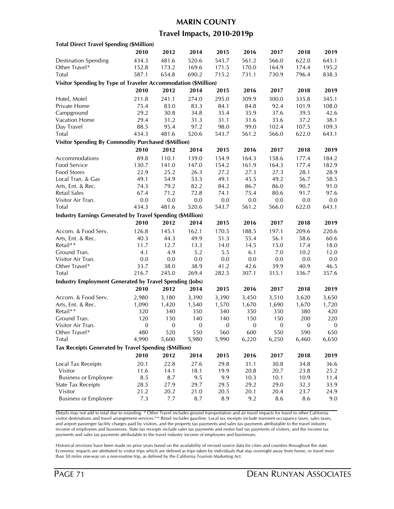### **MARIN COUNTY**

### **Travel Impacts, 2010-2019p**

| <b>Total Direct Travel Spending (\$Million)</b>                   |                  |                         |                  |              |                  |                  |                         |                         |
|-------------------------------------------------------------------|------------------|-------------------------|------------------|--------------|------------------|------------------|-------------------------|-------------------------|
|                                                                   | 2010             | 2012                    | 2014             | 2015         | 2016             | 2017             | 2018                    | 2019                    |
| <b>Destination Spending</b>                                       | 434.3            | 481.6                   | 520.6            | 543.7        | 561.2            | 566.0            | 622.0                   | 643.1                   |
| Other Travel*                                                     | 152.8            | 173.2                   | 169.6            | 171.5        | 170.0            | 164.9            | 174.4                   | 195.2                   |
| Total                                                             | 587.1            | 654.8                   | 690.2            | 715.2        | 731.1            | 730.9            | 796.4                   | 838.3                   |
| Visitor Spending by Type of Traveler Accommodation (\$Million)    |                  |                         |                  |              |                  |                  |                         |                         |
|                                                                   | 2010             | 2012                    | 2014             | 2015         | 2016             | 2017             | 2018                    | 2019                    |
|                                                                   | 211.8            | 241.1                   | 274.0            | 295.0        | 309.9            | 300.0            | 335.8                   | 345.1                   |
| Hotel, Motel<br>Private Home                                      | 75.4             | 83.0                    | 83.3             | 84.1         |                  | 92.4             | 101.9                   | 108.0                   |
|                                                                   |                  | 30.8                    |                  |              | 84.8             |                  |                         |                         |
| Campground                                                        | 29.2             |                         | 34.8             | 35.4         | 35.9             | 37.6             | 39.5                    | 42.6                    |
| Vacation Home                                                     | 29.4<br>88.5     | 31.2<br>95.4            | 31.3             | 31.1         | 31.6             | 33.6             | 37.2                    | 38.1                    |
| Day Travel<br>Total                                               | 434.3            |                         | 97.2<br>520.6    | 98.0         | 99.0             | 102.4<br>566.0   | 107.5                   | 109.3                   |
|                                                                   |                  | 481.6                   |                  | 543.7        | 561.2            |                  | 622.0                   | 643.1                   |
| <b>Visitor Spending By Commodity Purchased (\$Million)</b>        |                  |                         |                  |              |                  |                  |                         |                         |
|                                                                   | 2010             | 2012                    | 2014             | 2015         | 2016             | 2017             | 2018                    | 2019                    |
| Accommodations                                                    | 89.8             | 110.1                   | 139.0            | 154.9        | 164.3            | 158.6            | 177.4                   | 184.2                   |
| Food Service                                                      | 130.7            | 141.0                   | 147.0            | 154.2        | 161.9            | 164.3            | 177.4                   | 182.9                   |
| Food Stores                                                       | 22.9             | 25.2                    | 26.3             | 27.2         | 27.3             | 27.3             | 28.1                    | 28.9                    |
| Local Tran. & Gas                                                 | 49.1             | 54.9                    | 53.3             | 49.1         | 45.5             | 49.2             | 56.7                    | 58.5                    |
| Arts, Ent. & Rec.                                                 | 74.3             | 79.2                    | 82.2             | 84.2         | 86.7             | 86.0             | 90.7                    | 91.0                    |
| Retail Sales                                                      | 67.4             | 71.2                    | 72.8             | 74.1         | 75.4             | 80.6             | 91.7                    | 97.6                    |
| Visitor Air Tran.                                                 | 0.0              | $0.0\,$                 | 0.0              | 0.0          | 0.0              | 0.0              | $0.0\,$                 | 0.0                     |
| Total                                                             | 434.3            | 481.6                   | 520.6            | 543.7        | 561.2            | 566.0            | 622.0                   | 643.1                   |
| <b>Industry Earnings Generated by Travel Spending (\$Million)</b> |                  |                         |                  |              |                  |                  |                         |                         |
|                                                                   | 2010             | 2012                    | 2014             | 2015         | 2016             | 2017             | 2018                    | 2019                    |
| Accom. & Food Serv.                                               | 126.8            | 145.1                   | 162.1            | 170.5        | 188.5            | 197.1            | 209.6                   | 220.6                   |
| Arts, Ent. & Rec.                                                 | 40.3             | 44.3                    | 49.9             | 51.3         | 55.4             | 56.1             | 58.6                    | 60.6                    |
| Retail**                                                          | 11.7             | 12.7                    | 13.3             | 14.0         | 14.5             | 15.0             | 17.4                    | 18.0                    |
| Ground Tran.                                                      | 4.1              | 4.9                     | 5.2              | 5.5          | 6.1              | $7.0$            | 10.2                    | 12.0                    |
| Visitor Air Tran.                                                 | 0.0              | 0.0                     | 0.0              | 0.0          | 0.0              | 0.0              | 0.0                     | 0.0                     |
| Other Travel*                                                     | 33.7             | 38.0                    | 38.9             | 41.2         | 42.6             | 39.9             | 40.9                    | 46.5                    |
| Total                                                             | 216.7            | 245.0                   | 269.4            | 282.5        | 307.1            | 315.1            | 336.7                   | 357.6                   |
| <b>Industry Employment Generated by Travel Spending (Jobs)</b>    |                  |                         |                  |              |                  |                  |                         |                         |
|                                                                   | 2010             | 2012                    | 2014             | 2015         | 2016             | 2017             | 2018                    | 2019                    |
| Accom. & Food Serv.                                               |                  |                         |                  |              |                  |                  |                         |                         |
|                                                                   | 2,980            | 3,180                   | 3,390            | 3,390        | 3,450            | 3,510            | 3,620                   | 3,650                   |
| Arts, Ent. & Rec.<br>Retail**                                     | 1,090            | 1,420                   | 1,540            | 1,570        | 1,670            | 1,690            | 1,670                   | 1,720                   |
| Ground Tran.                                                      | 320<br>120       | 340                     | 350<br>140       | 340<br>140   | 350<br>150       | 350<br>150       | 380                     | 420                     |
| Visitor Air Tran.                                                 | $\boldsymbol{0}$ | 130<br>$\boldsymbol{0}$ | $\boldsymbol{0}$ | $\mathbf{0}$ | $\boldsymbol{0}$ | $\boldsymbol{0}$ | 200<br>$\boldsymbol{0}$ | 220<br>$\boldsymbol{0}$ |
|                                                                   |                  |                         |                  |              |                  |                  |                         |                         |
| Other Travel*                                                     | 480              | 520                     | 550              | 560          | 600              | 550              | 590                     | 650                     |
| Total                                                             | 4,990            | 5,600                   | 5,980            | 5,990        | 6,220            | 6,250            | 6,460                   | 6,650                   |
| Tax Receipts Generated by Travel Spending (\$Million)             |                  |                         |                  |              |                  |                  |                         |                         |
|                                                                   | 2010             | 2012                    | 2014             | 2015         | 2016             | 2017             | 2018                    | 2019                    |
| Local Tax Receipts                                                | 20.1             | 22.8                    | 27.6             | 29.8         | 31.1             | 30.8             | 34.8                    | 36.6                    |
| Visitor                                                           | 11.6             | 14.1                    | 18.1             | 19.9         | 20.8             | 20.7             | 23.8                    | 25.2                    |
| <b>Business or Employee</b>                                       | 8.5              | 8.7                     | 9.5              | 9.9          | 10.3             | 10.1             | 10.9                    | 11.4                    |
| <b>State Tax Receipts</b>                                         | 28.5             | 27.9                    | 29.7             | 29.5         | 29.2             | 29.0             | 32.3                    | 33.9                    |
| Visitor                                                           | 21.2             | 20.2                    | 21.0             | 20.5         | 20.1             | 20.4             | 23.7                    | 24.9                    |
| <b>Business or Employee</b>                                       | 7.3              | 7.7                     | 8.7              | 8.9          | 9.2              | 8.6              | 8.6                     | 9.0                     |
|                                                                   |                  |                         |                  |              |                  |                  |                         |                         |

Details may not add to total due to rounding. \* Other Travel includes ground transportation and air travel impacts for travel to other California visitor destinations and travel arrangement services.\*\* Retail includes gasoline. Local tax receipts include transient occupancy taxes, sales taxes, and airport passenger facility charges paid by visitors, and the property tax payments and sales tax payments attributable to the travel industry income of employees and businesses. State tax receipts include sales tax payments and motor fuel tax payments of visitors, and the income tax payments and sales tax payments attributable to the travel industry income of employees and businesses.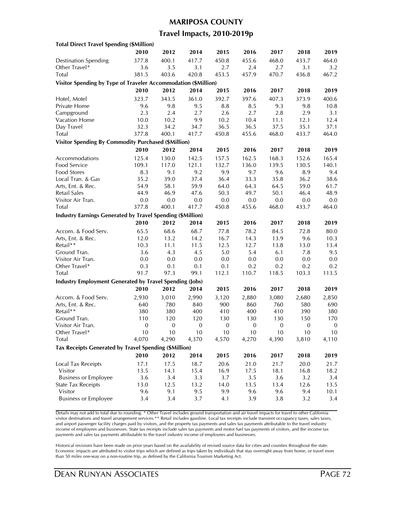#### **MARIPOSA COUNTY**

### **Travel Impacts, 2010-2019p**

| <b>Total Direct Travel Spending (\$Million)</b>                   |                  |       |                  |              |                  |              |                  |                  |
|-------------------------------------------------------------------|------------------|-------|------------------|--------------|------------------|--------------|------------------|------------------|
|                                                                   | 2010             | 2012  | 2014             | 2015         | 2016             | 2017         | 2018             | 2019             |
| <b>Destination Spending</b>                                       | 377.8            | 400.1 | 417.7            | 450.8        | 455.6            | 468.0        | 433.7            | 464.0            |
| Other Travel*                                                     | 3.6              | 3.5   | 3.1              | 2.7          | 2.4              | 2.7          | 3.1              | 3.2              |
| Total                                                             | 381.5            | 403.6 | 420.8            | 453.5        | 457.9            | 470.7        | 436.8            | 467.2            |
| Visitor Spending by Type of Traveler Accommodation (\$Million)    |                  |       |                  |              |                  |              |                  |                  |
|                                                                   | 2010             | 2012  | 2014             | 2015         | 2016             | 2017         | 2018             | 2019             |
|                                                                   | 323.7            | 343.5 | 361.0            | 392.7        | 397.6            | 407.3        | 373.9            | 400.6            |
| Hotel, Motel<br>Private Home                                      | 9.6              | 9.8   | 9.5              | 8.8          | 8.5              | 9.3          | 9.8              | 10.8             |
|                                                                   | 2.3              | 2.4   | 2.7              | 2.6          | 2.7              |              |                  |                  |
| Campground<br>Vacation Home                                       |                  | 10.2  |                  | 10.2         |                  | 2.8          | 2.9              | 3.1<br>12.4      |
|                                                                   | 10.0<br>32.3     | 34.2  | 9.9              | 36.5         | 10.4             | 11.1         | 12.1             | 37.1             |
| Day Travel                                                        |                  |       | 34.7             |              | 36.5             | 37.5         | 35.1             |                  |
| Total                                                             | 377.8            | 400.1 | 417.7            | 450.8        | 455.6            | 468.0        | 433.7            | 464.0            |
| <b>Visitor Spending By Commodity Purchased (\$Million)</b>        |                  |       |                  |              |                  |              |                  |                  |
|                                                                   | 2010             | 2012  | 2014             | 2015         | 2016             | 2017         | 2018             | 2019             |
| Accommodations                                                    | 125.4            | 130.0 | 142.5            | 157.5        | 162.5            | 168.3        | 152.6            | 165.4            |
| Food Service                                                      | 109.1            | 117.0 | 121.1            | 132.7        | 136.0            | 139.5        | 130.5            | 140.1            |
| Food Stores                                                       | 8.3              | 9.1   | 9.2              | 9.9          | 9.7              | 9.6          | 8.9              | 9.4              |
| Local Tran. & Gas                                                 | 35.2             | 39.0  | 37.4             | 36.4         | 33.3             | 35.8         | 36.2             | 38.6             |
| Arts, Ent. & Rec.                                                 | 54.9             | 58.1  | 59.9             | 64.0         | 64.3             | 64.5         | 59.0             | 61.7             |
| Retail Sales                                                      | 44.9             | 46.9  | 47.6             | 50.3         | 49.7             | 50.1         | 46.4             | 48.9             |
| Visitor Air Tran.                                                 | 0.0              | 0.0   | 0.0              | 0.0          | 0.0              | $0.0\,$      | 0.0              | 0.0              |
| Total                                                             | 377.8            | 400.1 | 417.7            | 450.8        | 455.6            | 468.0        | 433.7            | 464.0            |
| <b>Industry Earnings Generated by Travel Spending (\$Million)</b> |                  |       |                  |              |                  |              |                  |                  |
|                                                                   | 2010             | 2012  | 2014             | 2015         | 2016             | 2017         | 2018             | 2019             |
| Accom. & Food Serv.                                               | 65.5             | 68.6  | 68.7             | 77.8         | 78.2             | 84.5         | 72.8             | 80.0             |
| Arts, Ent. & Rec.                                                 | 12.0             | 13.2  | 14.2             | 16.7         | 14.3             | 13.9         | 9.6              | 10.3             |
| Retail**                                                          | 10.3             | 11.1  | 11.5             | 12.5         | 12.7             | 13.8         | 13.0             | 13.4             |
| Ground Tran.                                                      | 3.6              | 4.3   | 4.5              | 5.0          | 5.4              | 6.1          | 7.8              | 9.5              |
| Visitor Air Tran.                                                 | 0.0              | 0.0   | 0.0              | 0.0          | 0.0              | 0.0          | 0.0              | 0.0              |
| Other Travel*                                                     | 0.3              | 0.1   | 0.1              | 0.1          | 0.2              | 0.2          | 0.2              | 0.2              |
| Total                                                             | 91.7             | 97.3  | 99.1             | 112.1        | 110.7            | 118.5        | 103.3            | 113.5            |
| <b>Industry Employment Generated by Travel Spending (Jobs)</b>    |                  |       |                  |              |                  |              |                  |                  |
|                                                                   | 2010             | 2012  | 2014             | 2015         | 2016             | 2017         | 2018             | 2019             |
| Accom. & Food Serv.                                               | 2,930            | 3,010 | 2,990            | 3,120        | 2,880            | 3,080        | 2,680            | 2,850            |
| Arts, Ent. & Rec.                                                 | 640              | 780   | 840              | 900          | 860              | 760          | 580              | 690              |
| Retail**                                                          | 380              | 380   | 400              | 410          | 400              | 410          | 390              | 380              |
| Ground Tran.                                                      | 110              | 120   | 120              | 130          | 130              | 130          | 150              | 170              |
| Visitor Air Tran.                                                 | $\boldsymbol{0}$ | 0     | $\boldsymbol{0}$ | $\mathbf{0}$ | $\boldsymbol{0}$ | $\mathbf{0}$ | $\boldsymbol{0}$ | $\boldsymbol{0}$ |
| Other Iravel*                                                     | 10               | 10    | 10               | 10           | 10               | 10           | 10               | 10               |
| Total                                                             | 4,070            | 4,290 | 4,370            | 4,570        | 4,270            | 4,390        | 3,810            | 4,110            |
|                                                                   |                  |       |                  |              |                  |              |                  |                  |
| Tax Receipts Generated by Travel Spending (\$Million)             |                  |       |                  |              |                  |              |                  |                  |
|                                                                   | 2010             | 2012  | 2014             | 2015         | 2016             | 2017         | 2018             | 2019             |
| Local Tax Receipts                                                | 17.1             | 17.5  | 18.7             | 20.6         | 21.0             | 21.7         | 20.0             | 21.7             |
| Visitor                                                           | 13.5             | 14.1  | 15.4             | 16.9         | 17.5             | 18.1         | 16.8             | 18.2             |
| <b>Business or Employee</b>                                       | 3.6              | 3.4   | 3.3              | 3.7          | 3.5              | 3.6          | 3.2              | 3.4              |
| <b>State Tax Receipts</b>                                         | 13.0             | 12.5  | 13.2             | 14.0         | 13.5             | 13.4         | 12.6             | 13.5             |
| Visitor                                                           | 9.6              | 9.1   | 9.5              | 9.9          | 9.6              | 9.6          | 9.4              | 10.1             |
| <b>Business or Employee</b>                                       | 3.4              | 3.4   | 3.7              | 4.1          | 3.9              | 3.8          | 3.2              | 3.4              |
|                                                                   |                  |       |                  |              |                  |              |                  |                  |

Details may not add to total due to rounding. \* Other Travel includes ground transportation and air travel impacts for travel to other California visitor destinations and travel arrangement services.\*\* Retail includes gasoline. Local tax receipts include transient occupancy taxes, sales taxes, and airport passenger facility charges paid by visitors, and the property tax payments and sales tax payments attributable to the travel industry income of employees and businesses. State tax receipts include sales tax payments and motor fuel tax payments of visitors, and the income tax payments and sales tax payments attributable to the travel industry income of employees and businesses.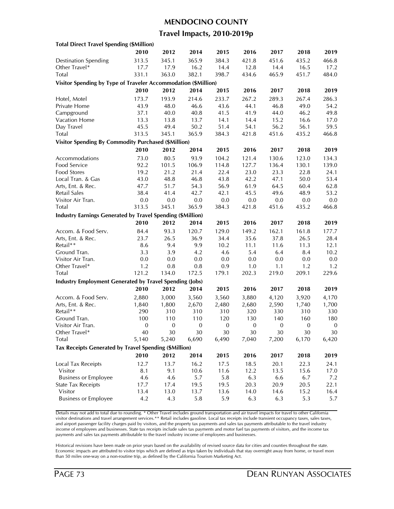#### **MENDOCINO COUNTY**

### **Travel Impacts, 2010-2019p**

| <b>Total Direct Travel Spending (\$Million)</b>                   |                  |       |                  |              |                  |              |                  |                  |
|-------------------------------------------------------------------|------------------|-------|------------------|--------------|------------------|--------------|------------------|------------------|
|                                                                   | 2010             | 2012  | 2014             | 2015         | 2016             | 2017         | 2018             | 2019             |
| <b>Destination Spending</b>                                       | 313.5            | 345.1 | 365.9            | 384.3        | 421.8            | 451.6        | 435.2            | 466.8            |
| Other Travel*                                                     | 17.7             | 17.9  | 16.2             | 14.4         | 12.8             | 14.4         | 16.5             | 17.2             |
| Total                                                             | 331.1            | 363.0 | 382.1            | 398.7        | 434.6            | 465.9        | 451.7            | 484.0            |
| Visitor Spending by Type of Traveler Accommodation (\$Million)    |                  |       |                  |              |                  |              |                  |                  |
|                                                                   | 2010             | 2012  | 2014             | 2015         | 2016             | 2017         | 2018             | 2019             |
|                                                                   | 173.7            | 193.9 | 214.6            | 233.7        | 267.2            | 289.3        | 267.4            | 286.3            |
| Hotel, Motel<br>Private Home                                      | 43.9             | 48.0  | 46.6             | 43.6         | 44.1             | 46.8         | 49.0             | 54.2             |
| Campground                                                        |                  | 40.0  |                  |              |                  |              |                  | 49.8             |
| Vacation Home                                                     | 37.1             |       | 40.8             | 41.5<br>14.1 | 41.9             | 44.0         | 46.2<br>16.6     |                  |
|                                                                   | 13.3             | 13.8  | 13.7             |              | 14.4             | 15.2         |                  | 17.0             |
| Day Travel                                                        | 45.5             | 49.4  | 50.2             | 51.4         | 54.1             | 56.2         | 56.1             | 59.5<br>466.8    |
| <b>Total</b>                                                      | 313.5            | 345.1 | 365.9            | 384.3        | 421.8            | 451.6        | 435.2            |                  |
| <b>Visitor Spending By Commodity Purchased (\$Million)</b>        |                  |       |                  |              |                  |              |                  |                  |
|                                                                   | 2010             | 2012  | 2014             | 2015         | 2016             | 2017         | 2018             | 2019             |
| Accommodations                                                    | 73.0             | 80.5  | 93.9             | 104.2        | 121.4            | 130.6        | 123.0            | 134.3            |
| Food Service                                                      | 92.2             | 101.5 | 106.9            | 114.8        | 127.7            | 136.4        | 130.1            | 139.0            |
| Food Stores                                                       | 19.2             | 21.2  | 21.4             | 22.4         | 23.0             | 23.3         | 22.8             | 24.1             |
| Local Tran. & Gas                                                 | 43.0             | 48.8  | 46.8             | 43.8         | 42.2             | 47.1         | 50.0             | 53.4             |
| Arts, Ent. & Rec.                                                 | 47.7             | 51.7  | 54.3             | 56.9         | 61.9             | 64.5         | 60.4             | 62.8             |
| Retail Sales                                                      | 38.4             | 41.4  | 42.7             | 42.1         | 45.5             | 49.6         | 48.9             | 53.2             |
| Visitor Air Tran.                                                 | 0.0              | 0.0   | 0.0              | $0.0\,$      | 0.0              | 0.0          | 0.0              | 0.0              |
| Total                                                             | 313.5            | 345.1 | 365.9            | 384.3        | 421.8            | 451.6        | 435.2            | 466.8            |
| <b>Industry Earnings Generated by Travel Spending (\$Million)</b> |                  |       |                  |              |                  |              |                  |                  |
|                                                                   | 2010             | 2012  | 2014             | 2015         | 2016             | 2017         | 2018             | 2019             |
| Accom. & Food Serv.                                               | 84.4             | 93.3  | 120.7            | 129.0        | 149.2            | 162.1        | 161.8            | 177.7            |
| Arts, Ent. & Rec.                                                 | 23.7             | 26.5  | 36.9             | 34.4         | 35.6             | 37.8         | 26.5             | 28.4             |
| Retail**                                                          | 8.6              | 9.4   | 9.9              | 10.2         | 11.1             | 11.6         | 11.3             | 12.1             |
| Ground Tran.                                                      | 3.3              | 3.9   | 4.2              | 4.6          | 5.4              | 6.4          | 8.4              | 10.2             |
| Visitor Air Tran.                                                 | 0.0              | 0.0   | 0.0              | 0.0          | 0.0              | 0.0          | 0.0              | 0.0              |
| Other Travel*                                                     | 1.2              | 0.8   | 0.8              | 0.9          | 1.0              | 1.1          | 1.2              | 1.2              |
| Total                                                             | 121.2            | 134.0 | 172.5            | 179.1        | 202.3            | 219.0        | 209.1            | 229.6            |
| <b>Industry Employment Generated by Travel Spending (Jobs)</b>    |                  |       |                  |              |                  |              |                  |                  |
|                                                                   | 2010             | 2012  | 2014             | 2015         | 2016             | 2017         | 2018             | 2019             |
|                                                                   |                  |       |                  |              |                  |              |                  |                  |
| Accom. & Food Serv.                                               | 2,880            | 3,000 | 3,560            | 3,560        | 3,880            | 4,120        | 3,920            | 4,170            |
| Arts, Ent. & Rec.                                                 | 1,840            | 1,800 | 2,670            | 2,480        | 2,680            | 2,590        | 1,740            | 1,700            |
| Retail**                                                          | 290              | 310   | 310              | 310          | 320              | 330          | 310              | 330              |
| Ground Tran.                                                      | 100              | 110   | 110              | 120          | 130              | 140          | 160              | 180              |
| Visitor Air Tran.                                                 | $\boldsymbol{0}$ | 0     | $\boldsymbol{0}$ | $\mathbf{0}$ | $\boldsymbol{0}$ | $\mathbf{0}$ | $\boldsymbol{0}$ | $\boldsymbol{0}$ |
| Other Iravel*                                                     | 40               | 30    | 30               | 30           | 30               | 30           | 30               | 30               |
| Total                                                             | 5,140            | 5,240 | 6,690            | 6,490        | 7,040            | 7,200        | 6,170            | 6,420            |
| Tax Receipts Generated by Travel Spending (\$Million)             |                  |       |                  |              |                  |              |                  |                  |
|                                                                   | 2010             | 2012  | 2014             | 2015         | 2016             | 2017         | 2018             | 2019             |
| Local Tax Receipts                                                | 12.7             | 13.7  | 16.2             | 17.5         | 18.5             | 20.1         | 22.3             | 24.1             |
| Visitor                                                           | 8.1              | 9.1   | 10.6             | 11.6         | 12.2             | 13.5         | 15.6             | 17.0             |
| <b>Business or Employee</b>                                       | 4.6              | 4.6   | 5.7              | 5.8          | 6.3              | 6.6          | 6.7              | 7.2              |
| <b>State Tax Receipts</b>                                         | 17.7             | 17.4  | 19.5             | 19.5         | 20.3             | 20.9         | 20.5             | 22.1             |
| Visitor                                                           | 13.4             | 13.0  | 13.7             | 13.6         | 14.0             | 14.6         | 15.2             | 16.4             |
| <b>Business or Employee</b>                                       | 4.2              | 4.3   | 5.8              | 5.9          | 6.3              | 6.3          | 5.3              | 5.7              |
|                                                                   |                  |       |                  |              |                  |              |                  |                  |

Details may not add to total due to rounding. \* Other Travel includes ground transportation and air travel impacts for travel to other California visitor destinations and travel arrangement services.\*\* Retail includes gasoline. Local tax receipts include transient occupancy taxes, sales taxes, and airport passenger facility charges paid by visitors, and the property tax payments and sales tax payments attributable to the travel industry income of employees and businesses. State tax receipts include sales tax payments and motor fuel tax payments of visitors, and the income tax payments and sales tax payments attributable to the travel industry income of employees and businesses.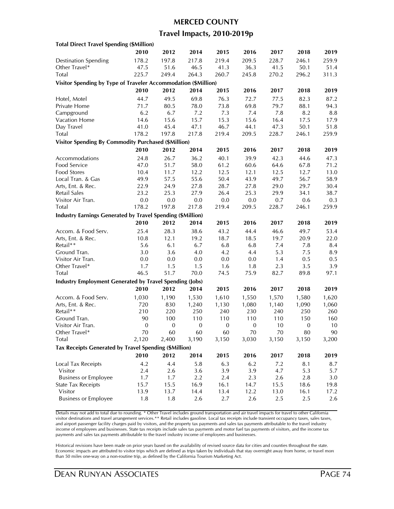#### **MERCED COUNTY**

### **Travel Impacts, 2010-2019p**

| <b>Total Direct Travel Spending (\$Million)</b>                   |                  |                  |                  |                     |                  |           |                  |       |
|-------------------------------------------------------------------|------------------|------------------|------------------|---------------------|------------------|-----------|------------------|-------|
|                                                                   | 2010             | 2012             | 2014             | 2015                | 2016             | 2017      | 2018             | 2019  |
| <b>Destination Spending</b>                                       | 178.2            | 197.8            | 217.8            | 219.4               | 209.5            | 228.7     | 246.1            | 259.9 |
| Other Travel*                                                     | 47.5             | 51.6             | 46.5             | 41.3                | 36.3             | 41.5      | 50.1             | 51.4  |
| Total                                                             | 225.7            | 249.4            | 264.3            | 260.7               | 245.8            | 270.2     | 296.2            | 311.3 |
| Visitor Spending by Type of Traveler Accommodation (\$Million)    |                  |                  |                  |                     |                  |           |                  |       |
|                                                                   | 2010             | 2012             | 2014             | 2015                | 2016             | 2017      | 2018             | 2019  |
| Hotel, Motel                                                      | 44.7             | 49.5             | 69.8             | 76.3                | 72.7             | 77.5      | 82.3             | 87.2  |
| Private Home                                                      | 71.7             | 80.5             | 78.0             | 73.8                | 69.8             | 79.7      | 88.1             | 94.3  |
| Campground                                                        | 6.2              | 6.7              | 7.2              | 7.3                 | 7.4              | 7.8       | 8.2              | 8.8   |
| Vacation Home                                                     | 14.6             | 15.6             | 15.7             | 15.3                | 15.6             | 16.4      | 17.5             | 17.9  |
| Day Travel                                                        | 41.0             | 45.4             | 47.1             | 46.7                | 44.1             | 47.3      | 50.1             | 51.8  |
| Total                                                             | 178.2            | 197.8            | 217.8            | 219.4               | 209.5            | 228.7     | 246.1            | 259.9 |
|                                                                   |                  |                  |                  |                     |                  |           |                  |       |
| <b>Visitor Spending By Commodity Purchased (\$Million)</b>        |                  |                  |                  |                     |                  |           |                  |       |
|                                                                   | 2010             | 2012             | 2014             | 2015                | 2016             | 2017      | 2018             | 2019  |
| Accommodations                                                    | 24.8             | 26.7             | 36.2             | 40.1                | 39.9             | 42.3      | 44.6             | 47.3  |
| Food Service                                                      | 47.0             | 51.7             | 58.0             | 61.2                | 60.6             | 64.6      | 67.8             | 71.2  |
| Food Stores                                                       | 10.4             | 11.7             | 12.2             | 12.5                | 12.1             | 12.5      | 12.7             | 13.0  |
| Local Tran. & Gas                                                 | 49.9             | 57.5             | 55.6             | 50.4                | 43.9             | 49.7      | 56.7             | 58.9  |
| Arts, Ent. & Rec.                                                 | 22.9             | 24.9             | 27.8             | 28.7                | 27.8             | 29.0      | 29.7             | 30.4  |
| Retail Sales                                                      | 23.2             | 25.3             | 27.9             | 26.4                | 25.3             | 29.9      | 34.1             | 38.7  |
| Visitor Air Tran.                                                 | 0.0              | 0.0              | 0.0              | 0.0                 | 0.0              | 0.7       | 0.6              | 0.3   |
| Total                                                             | 178.2            | 197.8            | 217.8            | 219.4               | 209.5            | 228.7     | 246.1            | 259.9 |
| <b>Industry Earnings Generated by Travel Spending (\$Million)</b> |                  |                  |                  |                     |                  |           |                  |       |
|                                                                   | 2010             | 2012             | 2014             | 2015                | 2016             | 2017      | 2018             | 2019  |
| Accom. & Food Serv.                                               | 25.4             | 28.3             | 38.6             | 43.2                | 44.4             | 46.6      | 49.7             | 53.4  |
| Arts, Ent. & Rec.                                                 | 10.8             | 12.1             | 19.2             | 18.7                | 18.5             | 19.7      | 20.9             | 22.0  |
| Retail**                                                          | 5.6              | 6.1              | 6.7              | 6.8                 | 6.8              | 7.4       | 7.8              | 8.4   |
| Ground Tran.                                                      | 3.0              | 3.6              | 4.0              | 4.2                 | 4.4              | 5.3       | 7.5              | 8.9   |
| Visitor Air Tran.                                                 | 0.0              | 0.0              | 0.0              | 0.0                 | 0.0              | 1.4       | 0.5              | 0.5   |
| Other Travel*                                                     | 1.7              | 1.5              | 1.5              | 1.6                 | 1.8              | 2.3       | 3.5              | 3.9   |
| Total                                                             | 46.5             | 51.7             | 70.0             | 74.5                | 75.9             | 82.7      | 89.8             | 97.1  |
| <b>Industry Employment Generated by Travel Spending (Jobs)</b>    |                  |                  |                  |                     |                  |           |                  |       |
|                                                                   | 2010             | 2012             | 2014             | 2015                | 2016             | 2017      | 2018             | 2019  |
|                                                                   |                  |                  |                  |                     |                  |           |                  |       |
| Accom. & Food Serv.                                               | 1,030            | 1,190            | 1,530            | 1,610               | 1,550            | 1,570     | 1,580            | 1,620 |
| Arts, Ent. & Rec.                                                 | 720              | 830              | 1,240            | 1,130               | 1,080            | 1,140     | 1,090            | 1,060 |
| Retail**                                                          | 210              | 220              | 250              | 240                 | 230              | 240       | 250              | 260   |
| Ground Tran.<br>Visitor Air Tran.                                 | 90               | 100              | 110              | 110<br>$\mathbf{0}$ | 110              | 110<br>10 | 150              | 160   |
|                                                                   | $\boldsymbol{0}$ | $\boldsymbol{0}$ | $\boldsymbol{0}$ |                     | $\boldsymbol{0}$ |           | $\boldsymbol{0}$ | 10    |
| Other Travel*                                                     | 70               | 60               | 60               | 60                  | 70               | 70        | 80               | 90    |
| Total                                                             | 2,120            | 2,400            | 3,190            | 3,150               | 3,030            | 3,150     | 3,150            | 3,200 |
| Tax Receipts Generated by Travel Spending (\$Million)             |                  |                  |                  |                     |                  |           |                  |       |
|                                                                   | 2010             | 2012             | 2014             | 2015                | 2016             | 2017      | 2018             | 2019  |
| Local Tax Receipts                                                | 4.2              | 4.4              | 5.8              | 6.3                 | 6.2              | 7.2       | 8.1              | 8.7   |
| Visitor                                                           | 2.4              | 2.6              | 3.6              | 3.9                 | 3.9              | 4.7       | 5.3              | 5.7   |
| <b>Business or Employee</b>                                       | 1.7              | 1.7              | 2.2              | 2.4                 | 2.3              | 2.6       | 2.8              | 3.0   |
| <b>State Tax Receipts</b>                                         | 15.7             | 15.5             | 16.9             | 16.1                | 14.7             | 15.5      | 18.6             | 19.8  |
| Visitor                                                           | 13.9             | 13.7             | 14.4             | 13.4                | 12.2             | 13.0      | 16.1             | 17.2  |
| <b>Business or Employee</b>                                       | $1.8\,$          | 1.8              | 2.6              | 2.7                 | 2.6              | 2.5       | 2.5              | 2.6   |
|                                                                   |                  |                  |                  |                     |                  |           |                  |       |

Details may not add to total due to rounding. \* Other Travel includes ground transportation and air travel impacts for travel to other California visitor destinations and travel arrangement services.\*\* Retail includes gasoline. Local tax receipts include transient occupancy taxes, sales taxes, and airport passenger facility charges paid by visitors, and the property tax payments and sales tax payments attributable to the travel industry income of employees and businesses. State tax receipts include sales tax payments and motor fuel tax payments of visitors, and the income tax payments and sales tax payments attributable to the travel industry income of employees and businesses.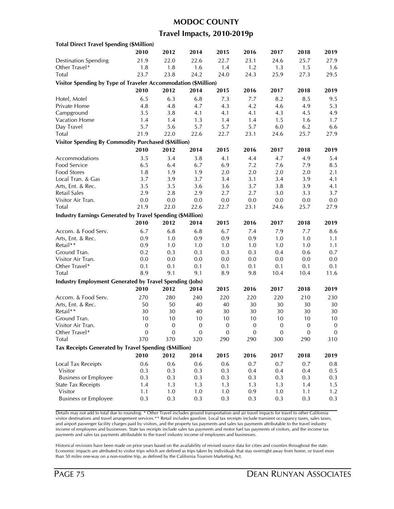# **MODOC COUNTY**

### **Travel Impacts, 2010-2019p**

| <b>Total Direct Travel Spending (\$Million)</b>                   |                  |                  |                  |              |              |              |              |                  |
|-------------------------------------------------------------------|------------------|------------------|------------------|--------------|--------------|--------------|--------------|------------------|
|                                                                   | 2010             | 2012             | 2014             | 2015         | 2016         | 2017         | 2018         | 2019             |
| <b>Destination Spending</b>                                       | 21.9             | 22.0             | 22.6             | 22.7         | 23.1         | 24.6         | 25.7         | 27.9             |
| Other Travel*                                                     | 1.8              | 1.8              | 1.6              | 1.4          | 1.2          | 1.3          | 1.5          | 1.6              |
| Total                                                             | 23.7             | 23.8             | 24.2             | 24.0         | 24.3         | 25.9         | 27.3         | 29.5             |
| Visitor Spending by Type of Traveler Accommodation (\$Million)    |                  |                  |                  |              |              |              |              |                  |
|                                                                   | 2010             | 2012             | 2014             | 2015         | 2016         | 2017         | 2018         | 2019             |
| Hotel, Motel                                                      | 6.5              | 6.3              | 6.8              | 7.3          | 7.7          | 8.2          | 8.5          | 9.5              |
| Private Home                                                      | 4.8              | 4.8              | 4.7              | 4.3          | 4.2          | 4.6          | 4.9          | 5.3              |
| Campground                                                        | 3.5              | 3.8              | 4.1              | 4.1          | 4.1          | 4.3          | 4.5          | 4.9              |
| Vacation Home                                                     | 1.4              | 1.4              | 1.3              | 1.4          | 1.4          | 1.5          | 1.6          | 1.7              |
| Day Travel                                                        | 5.7              | 5.6              | 5.7              | 5.7          | 5.7          | $6.0\,$      | 6.2          | 6.6              |
| Total                                                             | 21.9             | 22.0             | 22.6             | 22.7         | 23.1         | 24.6         | 25.7         | 27.9             |
| <b>Visitor Spending By Commodity Purchased (\$Million)</b>        |                  |                  |                  |              |              |              |              |                  |
|                                                                   |                  |                  |                  |              |              |              |              |                  |
|                                                                   | 2010             | 2012             | 2014             | 2015         | 2016         | 2017         | 2018         | 2019             |
| Accommodations                                                    | 3.5              | 3.4              | 3.8              | 4.1          | 4.4          | 4.7          | 4.9          | 5.4              |
| Food Service                                                      | 6.5              | 6.4              | 6.7              | 6.9          | 7.2          | 7.6          | 7.9          | 8.5              |
| Food Stores                                                       | 1.8              | 1.9              | 1.9              | 2.0          | 2.0          | 2.0          | 2.0          | 2.1              |
| Local Tran. & Gas                                                 | 3.7              | 3.9              | 3.7              | 3.4          | 3.1          | 3.4          | 3.9          | 4.1              |
| Arts, Ent. & Rec.                                                 | 3.5              | 3.5              | 3.6              | 3.6          | 3.7          | 3.8          | 3.9          | 4.1              |
| Retail Sales                                                      | 2.9              | 2.8              | 2.9              | 2.7          | 2.7          | 3.0          | 3.3          | 3.7              |
| Visitor Air Tran.                                                 | 0.0              | 0.0              | 0.0              | $0.0\,$      | 0.0          | 0.0          | 0.0          | 0.0              |
| Total                                                             | 21.9             | 22.0             | 22.6             | 22.7         | 23.1         | 24.6         | 25.7         | 27.9             |
| <b>Industry Earnings Generated by Travel Spending (\$Million)</b> |                  |                  |                  |              |              |              |              |                  |
|                                                                   | 2010             | 2012             | 2014             | 2015         | 2016         | 2017         | 2018         | 2019             |
| Accom. & Food Serv.                                               | 6.7              | 6.8              | 6.8              | 6.7          | 7.4          | 7.9          | 7.7          | 8.6              |
| Arts, Ent. & Rec.                                                 | 0.9              | 1.0              | 0.9              | 0.9          | 0.9          | 1.0          | 1.0          | 1.1              |
| Retail**                                                          | 0.9              | 1.0              | 1.0              | 1.0          | 1.0          | 1.0          | 1.0          | 1.1              |
| Ground Tran.                                                      | 0.2              | 0.3              | 0.3              | 0.3          | 0.3          | 0.4          | 0.6          | 0.7              |
| Visitor Air Tran.                                                 | 0.0              | 0.0              | 0.0              | 0.0          | 0.0          | 0.0          | 0.0          | 0.0              |
| Other Travel*                                                     | 0.1              | 0.1              | 0.1              | 0.1          | 0.1          | 0.1          | 0.1          | 0.1              |
| Total                                                             | 8.9              | 9.1              | 9.1              | 8.9          | 9.8          | 10.4         | 10.4         | 11.6             |
| <b>Industry Employment Generated by Travel Spending (Jobs)</b>    |                  |                  |                  |              |              |              |              |                  |
|                                                                   | 2010             | 2012             | 2014             | 2015         | 2016         | 2017         | 2018         | 2019             |
| Accom. & Food Serv.                                               | 270              | 280              | 240              | 220          | 220          | 220          | 210          | 230              |
| Arts, Ent. & Rec.                                                 | 50               | 50               | 40               | 40           | 30           | 30           | 30           | 30               |
| Retail**                                                          | 30               | 30               | 40               | $30\,$       | 30           | 30           | 30           | 30               |
| Ground Tran.                                                      | 10               | 10               | 10               | 10           | 10           | 10           | 10           | 10               |
| Visitor Air Tran.                                                 | $\boldsymbol{0}$ | $\boldsymbol{0}$ | $\boldsymbol{0}$ | $\mathbf{0}$ | $\mathbf{0}$ | $\mathbf{0}$ | $\mathbf{0}$ | $\boldsymbol{0}$ |
| Other Travel*                                                     | 0                | 0                | 0                | 0            | $\theta$     | $\theta$     | $\theta$     | $\mathbf{0}$     |
| <b>Total</b>                                                      | 370              | 370              | 320              | 290          | 290          | 300          | 290          | 310              |
| Tax Receipts Generated by Travel Spending (\$Million)             |                  |                  |                  |              |              |              |              |                  |
|                                                                   | 2010             | 2012             | 2014             | 2015         | 2016         | 2017         | 2018         | 2019             |
|                                                                   |                  |                  |                  |              |              |              |              |                  |
| <b>Local Tax Receipts</b>                                         | 0.6              | 0.6              | 0.6              | 0.6          | 0.7          | 0.7          | 0.7          | $0.8\,$          |
| Visitor                                                           | 0.3              | 0.3              | 0.3              | 0.3          | 0.4          | 0.4          | 0.4          | 0.5              |
| <b>Business or Employee</b>                                       | 0.3              | 0.3              | 0.3              | 0.3          | 0.3          | 0.3          | 0.3          | 0.3              |
| <b>State Tax Receipts</b>                                         | 1.4              | 1.3              | 1.3              | 1.3          | 1.3          | 1.3          | 1.4          | 1.5              |
| Visitor                                                           | 1.1              | 1.0              | 1.0              | 1.0          | 0.9          | 1.0          | 1.1          | 1.2              |
| <b>Business or Employee</b>                                       | 0.3              | 0.3              | 0.3              | 0.3          | 0.3          | 0.3          | 0.3          | 0.3              |

Details may not add to total due to rounding. \* Other Travel includes ground transportation and air travel impacts for travel to other California visitor destinations and travel arrangement services.\*\* Retail includes gasoline. Local tax receipts include transient occupancy taxes, sales taxes, and airport passenger facility charges paid by visitors, and the property tax payments and sales tax payments attributable to the travel industry income of employees and businesses. State tax receipts include sales tax payments and motor fuel tax payments of visitors, and the income tax payments and sales tax payments attributable to the travel industry income of employees and businesses.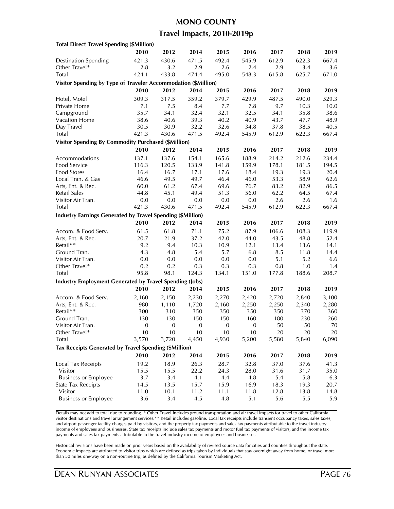#### **MONO COUNTY**

### **Travel Impacts, 2010-2019p**

| <b>Total Direct Travel Spending (\$Million)</b>                |                  |                  |                  |                  |              |       |       |       |
|----------------------------------------------------------------|------------------|------------------|------------------|------------------|--------------|-------|-------|-------|
|                                                                | 2010             | 2012             | 2014             | 2015             | 2016         | 2017  | 2018  | 2019  |
| <b>Destination Spending</b>                                    | 421.3            | 430.6            | 471.5            | 492.4            | 545.9        | 612.9 | 622.3 | 667.4 |
| Other Travel*                                                  | 2.8              | 3.2              | 2.9              | 2.6              | 2.4          | 2.9   | 3.4   | 3.6   |
| Total                                                          | 424.1            | 433.8            | 474.4            | 495.0            | 548.3        | 615.8 | 625.7 | 671.0 |
| Visitor Spending by Type of Traveler Accommodation (\$Million) |                  |                  |                  |                  |              |       |       |       |
|                                                                | 2010             | 2012             | 2014             | 2015             | 2016         | 2017  | 2018  | 2019  |
| Hotel, Motel                                                   | 309.3            | 317.5            | 359.2            | 379.7            | 429.9        | 487.5 | 490.0 | 529.3 |
| Private Home                                                   | 7.1              | 7.5              | 8.4              | 7.7              | 7.8          | 9.7   | 10.3  | 10.0  |
| Campground                                                     | 35.7             | 34.1             | 32.4             | 32.1             | 32.5         | 34.1  | 35.8  | 38.6  |
| Vacation Home                                                  | 38.6             | 40.6             | 39.3             | 40.2             | 40.9         | 43.7  | 47.7  | 48.9  |
| Day Travel                                                     | 30.5             | 30.9             | 32.2             | 32.6             | 34.8         | 37.8  | 38.5  | 40.5  |
| Total                                                          | 421.3            | 430.6            | 471.5            | 492.4            | 545.9        | 612.9 | 622.3 | 667.4 |
| <b>Visitor Spending By Commodity Purchased (\$Million)</b>     |                  |                  |                  |                  |              |       |       |       |
|                                                                | 2010             | 2012             | 2014             | 2015             | 2016         | 2017  | 2018  | 2019  |
|                                                                |                  |                  |                  |                  |              |       |       |       |
| Accommodations                                                 | 137.1            | 137.6            | 154.1            | 165.6            | 188.9        | 214.2 | 212.6 | 234.4 |
| Food Service                                                   | 116.3            | 120.5            | 133.9            | 141.8            | 159.9        | 178.1 | 181.5 | 194.5 |
| Food Stores                                                    | 16.4             | 16.7             | 17.1             | 17.6             | 18.4         | 19.3  | 19.3  | 20.4  |
| Local Tran. & Gas                                              | 46.6             | 49.5             | 49.7             | 46.4             | 46.0         | 53.3  | 58.9  | 62.6  |
| Arts, Ent. & Rec.                                              | 60.0             | 61.2             | 67.4             | 69.6             | 76.7         | 83.2  | 82.9  | 86.5  |
| Retail Sales                                                   | 44.8             | 45.1             | 49.4             | 51.3             | 56.0         | 62.2  | 64.5  | 67.4  |
| Visitor Air Tran.                                              | 0.0              | $0.0\,$          | 0.0              | $0.0\,$          | 0.0          | 2.6   | 2.6   | 1.6   |
| Total                                                          | 421.3            | 430.6            | 471.5            | 492.4            | 545.9        | 612.9 | 622.3 | 667.4 |
| Industry Earnings Generated by Travel Spending (\$Million)     |                  |                  |                  |                  |              |       |       |       |
|                                                                | 2010             | 2012             | 2014             | 2015             | 2016         | 2017  | 2018  | 2019  |
| Accom. & Food Serv.                                            | 61.5             | 61.8             | 71.1             | 75.2             | 87.9         | 106.6 | 108.3 | 119.9 |
| Arts, Ent. & Rec.                                              | 20.7             | 21.9             | 37.2             | 42.0             | 44.0         | 43.5  | 48.8  | 52.4  |
| Retail**                                                       | 9.2              | 9.4              | 10.3             | 10.9             | 12.1         | 13.4  | 13.6  | 14.1  |
| Ground Tran.                                                   | 4.3              | 4.8              | 5.4              | 5.7              | 6.8          | 8.5   | 11.8  | 14.4  |
| Visitor Air Tran.                                              | 0.0              | 0.0              | 0.0              | 0.0              | 0.0          | 5.1   | 5.2   | 6.6   |
| Other Travel*                                                  | 0.2              | 0.2              | 0.3              | 0.3              | 0.3          | 0.8   | 1.0   | 1.4   |
| Total                                                          | 95.8             | 98.1             | 124.3            | 134.1            | 151.0        | 177.8 | 188.6 | 208.7 |
| <b>Industry Employment Generated by Travel Spending (Jobs)</b> |                  |                  |                  |                  |              |       |       |       |
|                                                                | 2010             | 2012             | 2014             | 2015             | 2016         | 2017  | 2018  | 2019  |
| Accom. & Food Serv.                                            | 2,160            | 2,150            | 2,230            | 2,270            | 2,420        | 2,720 | 2,840 | 3,100 |
| Arts, Ent. & Rec.                                              | 980              | 1,110            | 1,720            | 2,160            | 2,250        | 2,250 | 2,340 | 2,280 |
| Retail**                                                       | 300              | 310              | 350              | 350              | 350          | 350   | 370   | 360   |
| Ground Tran.                                                   | 130              | 130              | 150              | 150              | 160          | 180   | 230   | 260   |
| Visitor Air Tran.                                              | $\boldsymbol{0}$ | $\boldsymbol{0}$ | $\boldsymbol{0}$ | $\boldsymbol{0}$ | $\mathbf{0}$ | 50    | 50    | 70    |
| Other Travel*                                                  | 10               | 10               | 10               | 10               | 10           | 20    | 20    | 20    |
| Total                                                          | 3,570            | 3,720            | 4,450            | 4,930            | 5,200        | 5,580 | 5,840 | 6,090 |
| Tax Receipts Generated by Travel Spending (\$Million)          |                  |                  |                  |                  |              |       |       |       |
|                                                                | 2010             | 2012             | 2014             | 2015             | 2016         | 2017  | 2018  | 2019  |
| Local Tax Receipts                                             | 19.2             | 18.9             | 26.3             | 28.7             | 32.8         | 37.0  | 37.6  | 41.3  |
| Visitor                                                        | 15.5             | 15.5             | 22.2             | 24.3             | 28.0         | 31.6  | 31.7  | 35.0  |
| <b>Business or Employee</b>                                    | 3.7              | 3.4              | 4.1              | 4.4              | 4.8          | 5.4   | 5.8   | 6.3   |
| <b>State Tax Receipts</b>                                      | 14.5             | 13.5             | 15.7             | 15.9             | 16.9         | 18.3  | 19.3  | 20.7  |
| Visitor                                                        | 11.0             | 10.1             | 11.2             | 11.1             | 11.8         | 12.8  | 13.8  | 14.8  |
| <b>Business or Employee</b>                                    | 3.6              | 3.4              | 4.5              | 4.8              | 5.1          | 5.6   | 5.5   | 5.9   |
|                                                                |                  |                  |                  |                  |              |       |       |       |

Details may not add to total due to rounding. \* Other Travel includes ground transportation and air travel impacts for travel to other California visitor destinations and travel arrangement services.\*\* Retail includes gasoline. Local tax receipts include transient occupancy taxes, sales taxes, and airport passenger facility charges paid by visitors, and the property tax payments and sales tax payments attributable to the travel industry income of employees and businesses. State tax receipts include sales tax payments and motor fuel tax payments of visitors, and the income tax payments and sales tax payments attributable to the travel industry income of employees and businesses.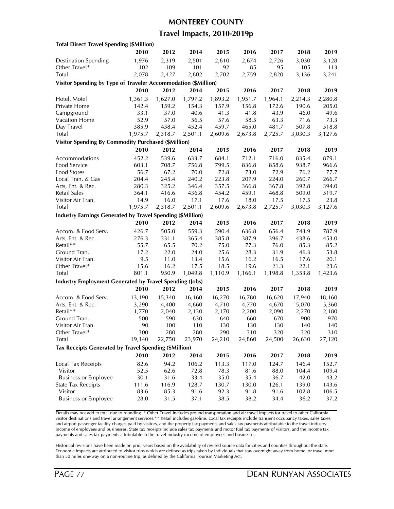#### **MONTEREY COUNTY**

### **Travel Impacts, 2010-2019p**

| <b>Total Direct Travel Spending (\$Million)</b>                   |         |         |         |         |         |         |         |         |
|-------------------------------------------------------------------|---------|---------|---------|---------|---------|---------|---------|---------|
|                                                                   | 2010    | 2012    | 2014    | 2015    | 2016    | 2017    | 2018    | 2019    |
| <b>Destination Spending</b>                                       | 1,976   | 2,319   | 2,501   | 2,610   | 2,674   | 2,726   | 3,030   | 3,128   |
| Other Travel*                                                     | 102     | 109     | 101     | 92      | 85      | 95      | 105     | 113     |
| Total                                                             | 2,078   | 2,427   | 2,602   | 2,702   | 2,759   | 2,820   | 3,136   | 3,241   |
| Visitor Spending by Type of Traveler Accommodation (\$Million)    |         |         |         |         |         |         |         |         |
|                                                                   | 2010    | 2012    | 2014    | 2015    | 2016    | 2017    | 2018    | 2019    |
| Hotel, Motel                                                      | 1,361.3 | 1,627.0 | 1,797.2 | 1,893.2 | 1,951.7 | 1,964.1 | 2,214.3 | 2,280.8 |
| Private Home                                                      | 142.4   | 159.2   | 154.3   | 157.9   | 156.8   | 172.6   | 190.6   | 205.0   |
| Campground                                                        | 33.1    | 37.0    | 40.6    | 41.3    | 41.8    | 43.9    | 46.0    | 49.6    |
| <b>Vacation Home</b>                                              | 52.9    | 57.0    | 56.5    | 57.6    | 58.5    | 63.3    | 71.6    | 73.3    |
| Day Travel                                                        | 385.9   | 438.4   | 452.4   | 459.7   | 465.0   | 481.7   | 507.8   | 518.8   |
| Total                                                             | 1,975.7 | 2,318.7 | 2,501.1 | 2,609.6 | 2,673.8 | 2,725.7 | 3,030.3 | 3,127.6 |
| <b>Visitor Spending By Commodity Purchased (\$Million)</b>        |         |         |         |         |         |         |         |         |
|                                                                   | 2010    | 2012    | 2014    | 2015    | 2016    | 2017    | 2018    | 2019    |
| Accommodations                                                    | 452.2   | 539.6   | 633.7   | 684.1   | 712.1   | 716.0   | 835.4   | 879.1   |
| Food Service                                                      | 603.1   | 708.7   | 756.8   | 799.5   | 836.8   | 858.6   | 938.7   | 966.6   |
| <b>Food Stores</b>                                                | 56.7    | 67.2    | 70.0    | 72.8    | 73.0    | 72.9    | 76.2    | 77.7    |
| Local Tran. & Gas                                                 | 204.4   | 245.4   | 240.2   | 223.8   | 207.9   | 224.0   | 260.7   | 266.7   |
| Arts, Ent. & Rec.                                                 | 280.3   | 325.2   | 346.4   | 357.5   | 366.8   | 367.8   | 392.8   | 394.0   |
| Retail Sales                                                      | 364.1   | 416.6   | 436.8   | 454.2   | 459.1   | 468.8   | 509.0   | 519.7   |
| Visitor Air Tran.                                                 | 14.9    | 16.0    | 17.1    | 17.6    | 18.0    | 17.5    | 17.5    | 23.8    |
| Total                                                             | 1,975.7 | 2,318.7 | 2,501.1 | 2,609.6 | 2,673.8 | 2,725.7 | 3,030.3 | 3,127.6 |
|                                                                   |         |         |         |         |         |         |         |         |
| <b>Industry Earnings Generated by Travel Spending (\$Million)</b> |         |         |         |         |         |         |         |         |
|                                                                   | 2010    | 2012    | 2014    | 2015    | 2016    | 2017    | 2018    | 2019    |
| Accom. & Food Serv.                                               | 426.7   | 505.0   | 559.3   | 590.4   | 636.8   | 656.4   | 743.9   | 787.9   |
| Arts, Ent. & Rec.                                                 | 276.3   | 331.1   | 365.4   | 385.8   | 387.9   | 396.7   | 438.6   | 453.0   |
| Retail**                                                          | 55.7    | 65.5    | 70.2    | 75.0    | 77.3    | 76.0    | 85.3    | 85.2    |
| Ground Tran.                                                      | 17.2    | 22.0    | 24.0    | 25.6    | 28.3    | 31.9    | 46.3    | 53.8    |
| Visitor Air Tran.                                                 | 9.5     | 11.0    | 13.4    | 15.6    | 16.2    | 16.5    | 17.6    | 20.1    |
| Other Travel*                                                     | 15.6    | 16.2    | 17.5    | 18.5    | 19.6    | 21.3    | 22.1    | 23.6    |
| Total                                                             | 801.1   | 950.9   | 1,049.8 | 1,110.9 | 1,166.1 | 1,198.8 | 1,353.8 | 1,423.6 |
| <b>Industry Employment Generated by Travel Spending (Jobs)</b>    |         |         |         |         |         |         |         |         |
|                                                                   | 2010    | 2012    | 2014    | 2015    | 2016    | 2017    | 2018    | 2019    |
| Accom. & Food Serv.                                               | 13,190  | 15,340  | 16,160  | 16,270  | 16,780  | 16,620  | 17,940  | 18,160  |
| Arts, Ent. & Rec.                                                 | 3,290   | 4,400   | 4,660   | 4,710   | 4,770   | 4,670   | 5,070   | 5,360   |
| Retail**                                                          | 1,770   | 2,040   | 2,130   | 2,170   | 2,200   | 2,090   | 2,270   | 2,180   |
| Ground Tran.                                                      | 500     | 590     | 630     | 640     | 660     | 670     | 900     | 970     |
| Visitor Air Tran.                                                 | 90      | 100     | 110     | 130     | 130     | 130     | 140     | 140     |
| Other I ravel*                                                    | 300     | 280     | 280     | 290     | 310     | 320     | 320     | 310     |
| Total                                                             | 19,140  | 22,750  | 23,970  | 24,210  | 24,860  | 24,500  | 26,630  | 27,120  |
| Tax Receipts Generated by Travel Spending (\$Million)             |         |         |         |         |         |         |         |         |
|                                                                   | 2010    | 2012    | 2014    | 2015    | 2016    | 2017    | 2018    | 2019    |
| Local Tax Receipts                                                | 82.6    | 94.2    | 106.2   | 113.3   | 117.0   | 124.7   | 146.4   | 152.7   |
| Visitor                                                           | 52.5    | 62.6    | 72.8    | 78.3    | 81.6    | 88.0    | 104.4   | 109.4   |
| <b>Business or Employee</b>                                       | 30.1    | 31.6    | 33.4    | 35.0    | 35.4    | 36.7    | 42.0    | 43.2    |
| <b>State Tax Receipts</b>                                         | 111.6   | 116.9   | 128.7   | 130.7   | 130.0   | 126.1   | 139.0   | 143.6   |
| Visitor                                                           | 83.6    | 85.3    | 91.6    | 92.3    | 91.8    | 91.6    | 102.8   | 106.5   |
| <b>Business or Employee</b>                                       | 28.0    | 31.5    | 37.1    | 38.5    | 38.2    | 34.4    | 36.2    | 37.2    |
|                                                                   |         |         |         |         |         |         |         |         |

Details may not add to total due to rounding. \* Other Travel includes ground transportation and air travel impacts for travel to other California visitor destinations and travel arrangement services.\*\* Retail includes gasoline. Local tax receipts include transient occupancy taxes, sales taxes, and airport passenger facility charges paid by visitors, and the property tax payments and sales tax payments attributable to the travel industry income of employees and businesses. State tax receipts include sales tax payments and motor fuel tax payments of visitors, and the income tax payments and sales tax payments attributable to the travel industry income of employees and businesses.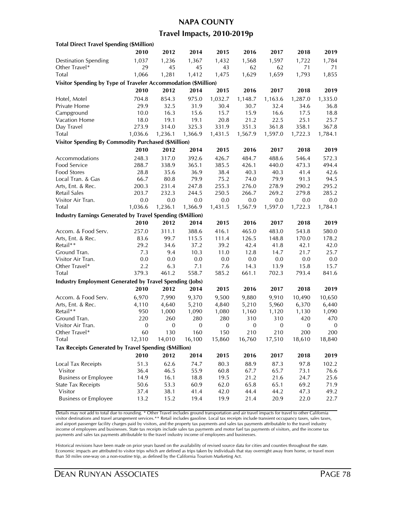### **NAPA COUNTY**

### **Travel Impacts, 2010-2019p**

| <b>Total Direct Travel Spending (\$Million)</b>                |              |                  |                  |              |              |              |                  |                  |
|----------------------------------------------------------------|--------------|------------------|------------------|--------------|--------------|--------------|------------------|------------------|
|                                                                | 2010         | 2012             | 2014             | 2015         | 2016         | 2017         | 2018             | 2019             |
| <b>Destination Spending</b>                                    | 1,037        | 1,236            | 1,367            | 1,432        | 1,568        | 1,597        | 1,722            | 1,784            |
| Other Travel*                                                  | 29           | 45               | 45               | 43           | 62           | 62           | 71               | 71               |
| Total                                                          | 1,066        | 1,281            | 1,412            | 1,475        | 1,629        | 1,659        | 1,793            | 1,855            |
| Visitor Spending by Type of Traveler Accommodation (\$Million) |              |                  |                  |              |              |              |                  |                  |
|                                                                | 2010         | 2012             | 2014             | 2015         | 2016         | 2017         | 2018             | 2019             |
| Hotel, Motel                                                   | 704.8        | 854.3            | 975.0            | 1,032.7      | 1,148.7      | 1,163.6      | 1,287.0          | 1,335.0          |
| Private Home                                                   | 29.9         | 32.5             | 31.9             | 30.4         | 30.7         | 32.4         | 34.6             | 36.8             |
| Campground                                                     | 10.0         | 16.3             | 15.6             | 15.7         | 15.9         | 16.6         | 17.5             | 18.8             |
| <b>Vacation Home</b>                                           | 18.0         | 19.1             | 19.1             | 20.8         | 21.2         | 22.5         | 25.1             | 25.7             |
| Day Travel                                                     | 273.9        | 314.0            | 325.3            | 331.9        | 351.3        | 361.8        | 358.1            | 367.8            |
| Total                                                          | 1,036.6      | 1,236.1          | 1,366.9          | 1,431.5      | 1,567.9      | 1,597.0      | 1,722.3          | 1,784.1          |
|                                                                |              |                  |                  |              |              |              |                  |                  |
| <b>Visitor Spending By Commodity Purchased (\$Million)</b>     |              |                  |                  |              |              |              |                  |                  |
|                                                                | 2010         | 2012             | 2014             | 2015         | 2016         | 2017         | 2018             | 2019             |
| Accommodations                                                 | 248.3        | 317.0            | 392.6            | 426.7        | 484.7        | 488.6        | 546.4            | 572.3            |
| Food Service                                                   | 288.7        | 338.9            | 365.1            | 385.5        | 426.1        | 440.0        | 473.3            | 494.4            |
| Food Stores                                                    | 28.8         | 35.6             | 36.9             | 38.4         | 40.3         | 40.3         | 41.4             | 42.6             |
| Local Tran. & Gas                                              | 66.7         | 80.8             | 79.9             | 75.2         | 74.0         | 79.9         | 91.3             | 94.5             |
| Arts, Ent. & Rec.                                              | 200.3        | 231.4            | 247.8            | 255.3        | 276.0        | 278.9        | 290.2            | 295.2            |
| <b>Retail Sales</b>                                            | 203.7        | 232.3            | 244.5            | 250.5        | 266.7        | 269.2        | 279.8            | 285.2            |
| Visitor Air Tran.                                              | 0.0          | 0.0              | 0.0              | 0.0          | 0.0          | 0.0          | 0.0              | 0.0              |
| Total                                                          | 1,036.6      | 1,236.1          | 1,366.9          | 1,431.5      | 1,567.9      | 1,597.0      | 1,722.3          | 1,784.1          |
| Industry Earnings Generated by Travel Spending (\$Million)     |              |                  |                  |              |              |              |                  |                  |
|                                                                | 2010         | 2012             | 2014             | 2015         | 2016         | 2017         | 2018             | 2019             |
| Accom. & Food Serv.                                            | 257.0        | 311.1            | 388.6            | 416.1        | 465.0        | 483.0        | 543.8            | 580.0            |
| Arts, Ent. & Rec.                                              | 83.6         | 99.7             | 115.5            | 111.4        | 126.5        | 148.8        | 170.0            | 178.2            |
| Retail**                                                       | 29.2         | 34.6             | 37.2             | 39.2         | 42.4         | 41.8         | 42.1             | 42.0             |
| Ground Tran.                                                   | 7.3          | 9.4              | 10.3             | 11.0         | 12.8         | 14.7         | 21.7             | 25.7             |
| Visitor Air Tran.                                              | 0.0          | 0.0              | 0.0              | 0.0          | 0.0          | 0.0          | 0.0              | 0.0              |
| Other Travel*                                                  | 2.2          | 6.3              | 7.1              | 7.6          | 14.3         | 13.9         | 15.8             | 15.7             |
| Total                                                          | 379.3        | 461.2            | 558.7            | 585.2        | 661.1        | 702.3        | 793.4            | 841.6            |
| <b>Industry Employment Generated by Travel Spending (Jobs)</b> |              |                  |                  |              |              |              |                  |                  |
|                                                                | 2010         | 2012             | 2014             | 2015         | 2016         | 2017         | 2018             | 2019             |
| Accom. & Food Serv.                                            | 6,970        | 7,990            | 9,370            | 9,500        | 9,880        | 9,910        | 10,490           | 10,650           |
| Arts, Ent. & Rec.                                              | 4,110        | 4,640            | 5,210            | 4,840        | 5,210        | 5,960        | 6,370            | 6,440            |
| Retail**                                                       | 950          | 1,000            | 1,090            | 1,080        | 1,160        | 1,120        | 1,130            | 1,090            |
| Ground Tran.                                                   | 220          | 260              | 280              | 280          | 310          | 310          | 420              | 470              |
| Visitor Air Tran.                                              | $\mathbf{0}$ | $\boldsymbol{0}$ | $\boldsymbol{0}$ | $\mathbf{0}$ | $\mathbf{0}$ | $\mathbf{0}$ | $\boldsymbol{0}$ | $\boldsymbol{0}$ |
| Other Iravel*                                                  | 60           | 130              | 160              | 150          | 210          | 210          | 200              | 200              |
| Total                                                          | 12,310       | 14,010           | 16,100           | 15,860       | 16,760       | 17,510       | 18,610           | 18,840           |
| Tax Receipts Generated by Travel Spending (\$Million)          |              |                  |                  |              |              |              |                  |                  |
|                                                                | 2010         | 2012             | 2014             | 2015         | 2016         | 2017         | 2018             | 2019             |
|                                                                |              |                  |                  |              |              |              |                  |                  |
| <b>Local Tax Receipts</b>                                      | 51.3         | 62.6             | 74.7             | 80.3         | 88.9         | 87.3         | 97.8             | 102.2            |
| Visitor                                                        | 36.4         | 46.5             | 55.9             | 60.8         | 67.7         | 65.7         | 73.1             | 76.6             |
| <b>Business or Employee</b>                                    | 14.9         | 16.1             | 18.8             | 19.5         | 21.2         | 21.6         | 24.7             | 25.6             |
| <b>State Tax Receipts</b>                                      | 50.6         | 53.3             | 60.9             | 62.0         | 65.8         | 65.1         | 69.2             | 71.9             |
| Visitor<br><b>Business or Employee</b>                         | 37.4         | 38.1             | 41.4             | 42.0         | 44.4         | 44.2         | 47.3             | 49.2             |
|                                                                | 13.2         | 15.2             | 19.4             | 19.9         | 21.4         | 20.9         | 22.0             | 22.7             |

Details may not add to total due to rounding. \* Other Travel includes ground transportation and air travel impacts for travel to other California visitor destinations and travel arrangement services.\*\* Retail includes gasoline. Local tax receipts include transient occupancy taxes, sales taxes, and airport passenger facility charges paid by visitors, and the property tax payments and sales tax payments attributable to the travel industry income of employees and businesses. State tax receipts include sales tax payments and motor fuel tax payments of visitors, and the income tax payments and sales tax payments attributable to the travel industry income of employees and businesses.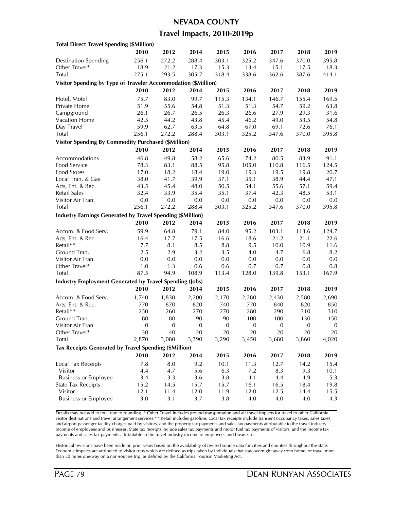#### **NEVADA COUNTY**

### **Travel Impacts, 2010-2019p**

| 2010<br>2012<br>2014<br>2015<br>2016<br>2017<br>2018<br>288.4<br>303.1<br>325.2<br><b>Destination Spending</b><br>256.1<br>272.2<br>347.6<br>370.0<br>Other Travel*<br>21.2<br>17.3<br>15.3<br>13.4<br>15.1<br>18.9<br>17.5<br>Total<br>305.7<br>318.4<br>275.1<br>293.5<br>338.6<br>362.6<br>387.6<br>Visitor Spending by Type of Traveler Accommodation (\$Million)<br>2010<br>2012<br>2014<br>2015<br>2016<br>2017<br>2018<br>83.0<br>99.7<br>115.3<br>Hotel, Motel<br>75.7<br>134.1<br>146.7<br>155.4<br>51.9<br>55.6<br>54.8<br>51.3<br>51.3<br>54.7<br>59.2<br>Private Home | 2019<br>395.8<br>18.3<br>414.1<br>2019<br>169.5<br>63.8<br>31.6<br>54.8<br>76.1 |
|-----------------------------------------------------------------------------------------------------------------------------------------------------------------------------------------------------------------------------------------------------------------------------------------------------------------------------------------------------------------------------------------------------------------------------------------------------------------------------------------------------------------------------------------------------------------------------------|---------------------------------------------------------------------------------|
|                                                                                                                                                                                                                                                                                                                                                                                                                                                                                                                                                                                   |                                                                                 |
|                                                                                                                                                                                                                                                                                                                                                                                                                                                                                                                                                                                   |                                                                                 |
|                                                                                                                                                                                                                                                                                                                                                                                                                                                                                                                                                                                   |                                                                                 |
|                                                                                                                                                                                                                                                                                                                                                                                                                                                                                                                                                                                   |                                                                                 |
|                                                                                                                                                                                                                                                                                                                                                                                                                                                                                                                                                                                   |                                                                                 |
|                                                                                                                                                                                                                                                                                                                                                                                                                                                                                                                                                                                   |                                                                                 |
|                                                                                                                                                                                                                                                                                                                                                                                                                                                                                                                                                                                   |                                                                                 |
|                                                                                                                                                                                                                                                                                                                                                                                                                                                                                                                                                                                   |                                                                                 |
| 26.3<br>26.6<br>27.9<br>29.3<br>Campground<br>26.1<br>26.7<br>26.5                                                                                                                                                                                                                                                                                                                                                                                                                                                                                                                |                                                                                 |
| Vacation Home<br>53.5<br>42.5<br>44.2<br>43.8<br>45.4<br>46.2<br>49.0                                                                                                                                                                                                                                                                                                                                                                                                                                                                                                             |                                                                                 |
| 59.9<br>62.7<br>63.5<br>64.8<br>72.6<br>Day Travel<br>67.0<br>69.1                                                                                                                                                                                                                                                                                                                                                                                                                                                                                                                |                                                                                 |
| Total<br>256.1<br>272.2<br>288.4<br>303.1<br>325.2<br>347.6<br>370.0                                                                                                                                                                                                                                                                                                                                                                                                                                                                                                              | 395.8                                                                           |
|                                                                                                                                                                                                                                                                                                                                                                                                                                                                                                                                                                                   |                                                                                 |
| <b>Visitor Spending By Commodity Purchased (\$Million)</b>                                                                                                                                                                                                                                                                                                                                                                                                                                                                                                                        |                                                                                 |
| 2010<br>2012<br>2014<br>2015<br>2016<br>2017<br>2018                                                                                                                                                                                                                                                                                                                                                                                                                                                                                                                              | 2019                                                                            |
| 49.8<br>58.2<br>65.6<br>Accommodations<br>46.8<br>74.2<br>80.5<br>83.9                                                                                                                                                                                                                                                                                                                                                                                                                                                                                                            | 91.1                                                                            |
| 88.5<br>95.8<br>105.0<br>110.8<br>Food Service<br>78.3<br>83.1<br>116.5                                                                                                                                                                                                                                                                                                                                                                                                                                                                                                           | 124.5                                                                           |
| <b>Food Stores</b><br>18.2<br>17.0<br>18.4<br>19.0<br>19.3<br>19.5<br>19.8                                                                                                                                                                                                                                                                                                                                                                                                                                                                                                        | 20.7                                                                            |
| 38.0<br>39.9<br>38.9<br>Local Tran. & Gas<br>41.7<br>37.1<br>35.1<br>44.4                                                                                                                                                                                                                                                                                                                                                                                                                                                                                                         | 47.1                                                                            |
| Arts, Ent. & Rec.<br>43.5<br>45.4<br>48.0<br>50.5<br>54.1<br>55.6<br>57.1                                                                                                                                                                                                                                                                                                                                                                                                                                                                                                         | 59.4                                                                            |
| <b>Retail Sales</b><br>32.4<br>33.9<br>35.4<br>35.1<br>37.4<br>42.3<br>48.5                                                                                                                                                                                                                                                                                                                                                                                                                                                                                                       | 53.1                                                                            |
| Visitor Air Tran.<br>0.0<br>$0.0\,$<br>0.0<br>0.0<br>0.0<br>$0.0\,$<br>0.0                                                                                                                                                                                                                                                                                                                                                                                                                                                                                                        | 0.0                                                                             |
| 256.1<br>272.2<br>Total<br>288.4<br>303.1<br>325.2<br>347.6<br>370.0                                                                                                                                                                                                                                                                                                                                                                                                                                                                                                              | 395.8                                                                           |
| <b>Industry Earnings Generated by Travel Spending (\$Million)</b>                                                                                                                                                                                                                                                                                                                                                                                                                                                                                                                 |                                                                                 |
| 2010<br>2012<br>2014<br>2015<br>2016<br>2017<br>2018                                                                                                                                                                                                                                                                                                                                                                                                                                                                                                                              | 2019                                                                            |
| 59.9<br>79.1<br>84.0<br>95.2<br>103.1<br>Accom. & Food Serv.<br>64.8<br>113.6                                                                                                                                                                                                                                                                                                                                                                                                                                                                                                     | 124.7                                                                           |
| 17.5<br>16.6<br>18.6<br>21.2<br>21.1<br>Arts, Ent. & Rec.<br>16.4<br>17.7                                                                                                                                                                                                                                                                                                                                                                                                                                                                                                         | 22.6                                                                            |
| Retail**<br>7.7<br>8.5<br>9.5<br>8.1<br>8.8<br>10.0<br>10.9                                                                                                                                                                                                                                                                                                                                                                                                                                                                                                                       | 11.6                                                                            |
| 2.5<br>3.2<br>6.8<br>Ground Tran.<br>2.9<br>3.5<br>4.0<br>4.7                                                                                                                                                                                                                                                                                                                                                                                                                                                                                                                     | 8.2                                                                             |
| 0.0<br>0.0<br>Visitor Air Tran.<br>0.0<br>0.0<br>0.0<br>0.0<br>0.0                                                                                                                                                                                                                                                                                                                                                                                                                                                                                                                | $0.0\,$                                                                         |
| Other Travel*<br>1.0<br>1.3<br>0.6<br>0.6<br>0.7<br>0.7<br>0.8                                                                                                                                                                                                                                                                                                                                                                                                                                                                                                                    | 0.8                                                                             |
| 87.5<br>113.4<br>Total<br>94.9<br>108.9<br>128.0<br>139.8<br>153.1                                                                                                                                                                                                                                                                                                                                                                                                                                                                                                                | 167.9                                                                           |
| <b>Industry Employment Generated by Travel Spending (Jobs)</b>                                                                                                                                                                                                                                                                                                                                                                                                                                                                                                                    |                                                                                 |
| 2010<br>2012<br>2014<br>2015<br>2016<br>2017<br>2018                                                                                                                                                                                                                                                                                                                                                                                                                                                                                                                              | 2019                                                                            |
| Accom. & Food Serv.<br>1,740<br>1,830<br>2,200<br>2,170<br>2,280<br>2,430<br>2,580                                                                                                                                                                                                                                                                                                                                                                                                                                                                                                | 2,690                                                                           |
| 740<br>Arts, Ent. & Rec.<br>770<br>870<br>820<br>770<br>840<br>820                                                                                                                                                                                                                                                                                                                                                                                                                                                                                                                | 850                                                                             |
| Retail**<br>250<br>260<br>270<br>270<br>290<br>280<br>310                                                                                                                                                                                                                                                                                                                                                                                                                                                                                                                         | 310                                                                             |
| Ground Tran.<br>80<br>80<br>90<br>90<br>100<br>100<br>130                                                                                                                                                                                                                                                                                                                                                                                                                                                                                                                         | 150                                                                             |
| $\boldsymbol{0}$<br>$\boldsymbol{0}$<br>$\boldsymbol{0}$<br>Visitor Air Tran.<br>$\boldsymbol{0}$<br>$\boldsymbol{0}$<br>$\mathbf{0}$<br>$\boldsymbol{0}$                                                                                                                                                                                                                                                                                                                                                                                                                         | $\boldsymbol{0}$                                                                |
| Other Travel*<br>30<br>40<br>20<br>20<br>20<br>20<br>20                                                                                                                                                                                                                                                                                                                                                                                                                                                                                                                           | 20                                                                              |
| Total<br>2,870<br>3,080<br>3,390<br>3,290<br>3,450<br>3,680<br>3,860                                                                                                                                                                                                                                                                                                                                                                                                                                                                                                              | 4,020                                                                           |
| Tax Receipts Generated by Travel Spending (\$Million)                                                                                                                                                                                                                                                                                                                                                                                                                                                                                                                             |                                                                                 |
|                                                                                                                                                                                                                                                                                                                                                                                                                                                                                                                                                                                   |                                                                                 |
| 2010<br>2012<br>2014<br>2015<br>2016<br>2017<br>2018                                                                                                                                                                                                                                                                                                                                                                                                                                                                                                                              | 2019                                                                            |
| 7.8<br>8.0<br>10.1<br>11.3<br>Local Tax Receipts<br>9.2<br>12.7<br>14.2                                                                                                                                                                                                                                                                                                                                                                                                                                                                                                           | 15.4                                                                            |
| Visitor<br>4.4<br>4.7<br>5.6<br>6.3<br>7.2<br>8.3<br>9.3                                                                                                                                                                                                                                                                                                                                                                                                                                                                                                                          | 10.1                                                                            |
| <b>Business or Employee</b><br>3.4<br>3.3<br>3.6<br>4.1<br>4.9<br>3.8<br>4.4                                                                                                                                                                                                                                                                                                                                                                                                                                                                                                      | 5.3                                                                             |
| <b>State Tax Receipts</b><br>15.2<br>14.5<br>15.7<br>15.7<br>16.1<br>16.5<br>18.4                                                                                                                                                                                                                                                                                                                                                                                                                                                                                                 | 19.8                                                                            |
| Visitor<br>12.1<br>11.4<br>12.0<br>11.9<br>12.0<br>12.5<br>14.4                                                                                                                                                                                                                                                                                                                                                                                                                                                                                                                   | 15.5                                                                            |
| <b>Business or Employee</b><br>$3.0\,$<br>3.1<br>3.7<br>3.8<br>4.0<br>4.0<br>4.0                                                                                                                                                                                                                                                                                                                                                                                                                                                                                                  | 4.3                                                                             |

Details may not add to total due to rounding. \* Other Travel includes ground transportation and air travel impacts for travel to other California visitor destinations and travel arrangement services.\*\* Retail includes gasoline. Local tax receipts include transient occupancy taxes, sales taxes, and airport passenger facility charges paid by visitors, and the property tax payments and sales tax payments attributable to the travel industry income of employees and businesses. State tax receipts include sales tax payments and motor fuel tax payments of visitors, and the income tax payments and sales tax payments attributable to the travel industry income of employees and businesses.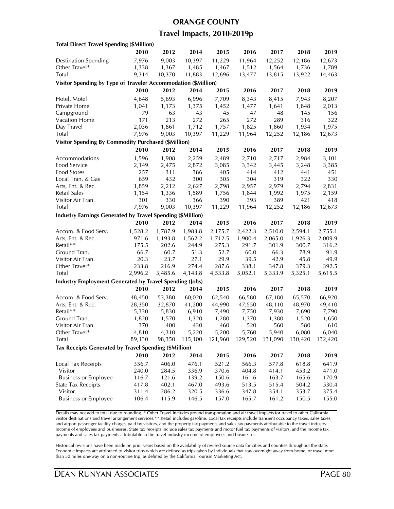#### **ORANGE COUNTY**

### **Travel Impacts, 2010-2019p**

| <b>Total Direct Travel Spending (\$Million)</b>                |         |         |         |         |         |         |         |         |
|----------------------------------------------------------------|---------|---------|---------|---------|---------|---------|---------|---------|
|                                                                | 2010    | 2012    | 2014    | 2015    | 2016    | 2017    | 2018    | 2019    |
| <b>Destination Spending</b>                                    | 7,976   | 9,003   | 10,397  | 11,229  | 11,964  | 12,252  | 12,186  | 12,673  |
| Other Travel*                                                  | 1,338   | 1,367   | 1,485   | 1,467   | 1,512   | 1,564   | 1,736   | 1,789   |
| Total                                                          | 9,314   | 10,370  | 11,883  | 12,696  | 13,477  | 13,815  | 13,922  | 14,463  |
| Visitor Spending by Type of Traveler Accommodation (\$Million) |         |         |         |         |         |         |         |         |
|                                                                | 2010    | 2012    | 2014    | 2015    | 2016    | 2017    | 2018    | 2019    |
| Hotel, Motel                                                   | 4,648   | 5,693   | 6,996   | 7,709   | 8,343   | 8,415   | 7,943   | 8,207   |
| Private Home                                                   | 1,041   | 1,173   | 1,375   | 1,452   | 1,477   | 1,641   | 1,848   | 2,013   |
| Campground                                                     | 79      | 63      | 43      | 45      | 47      | 48      | 145     | 156     |
| Vacation Home                                                  | 171     | 213     | 272     | 265     | 272     | 289     | 316     | 322     |
| Day Travel                                                     | 2,036   | 1,861   | 1,712   | 1,757   | 1,825   | 1,860   | 1,934   | 1,975   |
| Total                                                          | 7,976   | 9,003   | 10,397  | 11,229  | 11,964  | 12,252  | 12,186  | 12,673  |
| <b>Visitor Spending By Commodity Purchased (\$Million)</b>     |         |         |         |         |         |         |         |         |
|                                                                | 2010    | 2012    | 2014    | 2015    | 2016    | 2017    | 2018    | 2019    |
| Accommodations                                                 | 1,596   | 1,908   | 2,259   | 2,489   | 2,710   | 2,717   | 2,984   | 3,101   |
| Food Service                                                   | 2,149   | 2,475   | 2,872   | 3,085   | 3,342   | 3,445   | 3,248   | 3,385   |
| <b>Food Stores</b>                                             | 257     | 311     | 386     | 405     | 414     | 412     | 441     | 451     |
| Local Tran. & Gas                                              | 659     | 432     | 300     | 305     | 304     | 319     | 322     | 330     |
| Arts, Ent. & Rec.                                              | 1,859   | 2,212   | 2,627   | 2,798   | 2,957   | 2,979   | 2,794   | 2,831   |
| Retail Sales                                                   | 1,154   | 1,336   | 1,589   | 1,756   | 1,844   | 1,992   | 1,975   | 2,159   |
| Visitor Air Tran.                                              | 301     | 330     | 366     | 390     | 393     | 389     | 421     | 418     |
| Total                                                          | 7,976   | 9,003   | 10,397  | 11,229  | 11,964  | 12,252  | 12,186  | 12,673  |
|                                                                |         |         |         |         |         |         |         |         |
| Industry Earnings Generated by Travel Spending (\$Million)     |         |         | 2014    |         |         |         | 2018    |         |
|                                                                | 2010    | 2012    |         | 2015    | 2016    | 2017    |         | 2019    |
| Accom. & Food Serv.                                            | 1,528.2 | 1,787.9 | 1,983.8 | 2,175.7 | 2,422.3 | 2,510.0 | 2,594.1 | 2,755.1 |
| Arts, Ent. & Rec.                                              | 971.6   | 1,193.8 | 1,562.2 | 1,712.5 | 1,900.4 | 2,065.0 | 1,926.3 | 2,009.9 |
| Retail**                                                       | 175.5   | 202.6   | 244.9   | 275.3   | 291.7   | 301.9   | 300.7   | 316.2   |
| Ground Tran.                                                   | 66.7    | 60.7    | 51.3    | 52.7    | 60.0    | 66.3    | 78.9    | 91.9    |
| Visitor Air Tran.                                              | 20.3    | 23.7    | 27.1    | 29.9    | 39.5    | 42.9    | 45.8    | 49.9    |
| Other Travel*                                                  | 233.8   | 216.9   | 274.4   | 287.6   | 338.1   | 347.8   | 379.3   | 392.5   |
| Total                                                          | 2,996.2 | 3,485.6 | 4,143.8 | 4,533.8 | 5,052.1 | 5,333.9 | 5,325.1 | 5,615.5 |
| <b>Industry Employment Generated by Travel Spending (Jobs)</b> |         |         |         |         |         |         |         |         |
|                                                                | 2010    | 2012    | 2014    | 2015    | 2016    | 2017    | 2018    | 2019    |
| Accom. & Food Serv.                                            | 48,450  | 53,380  | 60,020  | 62,540  | 66,580  | 67,180  | 65,570  | 66,920  |
| Arts, Ent. & Rec.                                              | 28,350  | 32,870  | 41,200  | 44,990  | 47,550  | 48,110  | 48,970  | 49,410  |
| Retail**                                                       | 5,330   | 5,830   | 6,910   | 7,490   | 7,750   | 7,930   | 7,690   | 7,790   |
| Ground Tran.                                                   | 1,820   | 1,570   | 1,320   | 1,280   | 1,370   | 1,380   | 1,520   | 1,650   |
| Visitor Air Tran.                                              | 370     | 400     | 430     | 460     | 520     | 560     | 580     | 610     |
| Other Iravel*                                                  | 4,810   | 4,310   | 5,220   | 5,200   | 5,760   | 5,940   | 6,080   | 6,040   |
| Total                                                          | 89,130  | 98,350  | 115,100 | 121,960 | 129,520 | 131,090 | 130,420 | 132,420 |
| Tax Receipts Generated by Travel Spending (\$Million)          |         |         |         |         |         |         |         |         |
|                                                                | 2010    | 2012    | 2014    | 2015    | 2016    | 2017    | 2018    | 2019    |
| <b>Local Tax Receipts</b>                                      | 356.7   | 406.0   | 476.1   | 521.2   | 566.3   | 577.8   | 618.8   | 641.9   |
| Visitor                                                        | 240.0   | 284.5   | 336.9   | 370.6   | 404.8   | 414.1   | 453.2   | 471.0   |
| <b>Business or Employee</b>                                    | 116.7   | 121.6   | 139.2   | 150.6   | 161.6   | 163.7   | 165.6   | 170.9   |
| <b>State Tax Receipts</b>                                      | 417.8   | 402.1   | 467.0   | 493.6   | 513.5   | 515.4   | 504.2   | 530.4   |
| Visitor                                                        | 311.4   | 286.2   | 320.5   | 336.6   | 347.8   | 354.1   | 353.7   | 375.4   |
| <b>Business or Employee</b>                                    | 106.4   | 115.9   | 146.5   | 157.0   | 165.7   | 161.2   | 150.5   | 155.0   |
|                                                                |         |         |         |         |         |         |         |         |

Details may not add to total due to rounding. \* Other Travel includes ground transportation and air travel impacts for travel to other California visitor destinations and travel arrangement services.\*\* Retail includes gasoline. Local tax receipts include transient occupancy taxes, sales taxes, and airport passenger facility charges paid by visitors, and the property tax payments and sales tax payments attributable to the travel industry income of employees and businesses. State tax receipts include sales tax payments and motor fuel tax payments of visitors, and the income tax payments and sales tax payments attributable to the travel industry income of employees and businesses.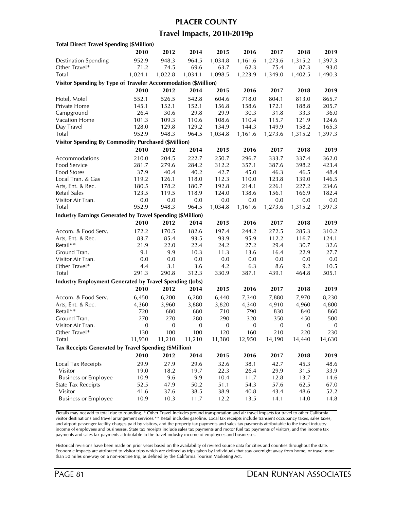### **PLACER COUNTY**

### **Travel Impacts, 2010-2019p**

| <b>Total Direct Travel Spending (\$Million)</b>                |                  |                  |                         |               |                  |                |                         |                  |
|----------------------------------------------------------------|------------------|------------------|-------------------------|---------------|------------------|----------------|-------------------------|------------------|
|                                                                | 2010             | 2012             | 2014                    | 2015          | 2016             | 2017           | 2018                    | 2019             |
| <b>Destination Spending</b>                                    | 952.9            | 948.3            | 964.5                   | 1,034.8       | 1,161.6          | 1,273.6        | 1,315.2                 | 1,397.3          |
| Other Travel*                                                  | 71.2             | 74.5             | 69.6                    | 63.7          | 62.3             | 75.4           | 87.3                    | 93.0             |
| Total                                                          | 1,024.1          | 1,022.8          | 1,034.1                 | 1,098.5       | 1,223.9          | 1,349.0        | 1,402.5                 | 1,490.3          |
| Visitor Spending by Type of Traveler Accommodation (\$Million) |                  |                  |                         |               |                  |                |                         |                  |
|                                                                | 2010             | 2012             | 2014                    | 2015          | 2016             | 2017           | 2018                    | 2019             |
| Hotel, Motel                                                   | 552.1            | 526.5            | 542.8                   | 604.6         | 718.0            | 804.1          | 813.0                   | 865.7            |
| Private Home                                                   | 145.1            | 152.1            | 152.1                   | 156.8         | 158.6            | 172.1          | 188.8                   | 205.7            |
| Campground                                                     | 26.4             | 30.6             | 29.8                    | 29.9          | 30.3             | 31.8           | 33.3                    | 36.0             |
| <b>Vacation Home</b>                                           | 101.3            | 109.3            | 110.6                   | 108.6         | 110.4            | 115.7          | 121.9                   | 124.6            |
| Day Travel                                                     | 128.0            | 129.8            | 129.2                   | 134.9         | 144.3            | 149.9          | 158.2                   | 165.3            |
| Total                                                          | 952.9            | 948.3            | 964.5                   | 1,034.8       | 1,161.6          | 1,273.6        | 1,315.2                 | 1,397.3          |
| <b>Visitor Spending By Commodity Purchased (\$Million)</b>     |                  |                  |                         |               |                  |                |                         |                  |
|                                                                | 2010             | 2012             | 2014                    | 2015          | 2016             | 2017           | 2018                    | 2019             |
| Accommodations                                                 | 210.0            | 204.5            | 222.7                   | 250.7         | 296.7            | 333.7          | 337.4                   | 362.0            |
| Food Service                                                   | 281.7            | 279.6            | 284.2                   | 312.2         | 357.1            | 387.6          | 398.2                   | 423.4            |
| Food Stores                                                    | 37.9             | 40.4             | 40.2                    | 42.7          | 45.0             | 46.3           | 46.5                    | 48.4             |
| Local Tran. & Gas                                              | 119.2            | 126.1            | 118.0                   | 112.3         | 110.0            | 123.8          | 139.0                   | 146.5            |
| Arts, Ent. & Rec.                                              | 180.5            | 178.2            | 180.7                   | 192.8         | 214.1            | 226.1          | 227.2                   | 234.6            |
| <b>Retail Sales</b>                                            | 123.5            | 119.5            | 118.9                   | 124.0         | 138.6            | 156.1          | 166.9                   | 182.4            |
| Visitor Air Tran.                                              | 0.0              | $0.0\,$          | 0.0                     | 0.0           | 0.0              | 0.0            | 0.0                     | 0.0              |
| Total                                                          | 952.9            | 948.3            | 964.5                   | 1,034.8       | 1,161.6          | 1,273.6        | 1,315.2                 | 1,397.3          |
| Industry Earnings Generated by Travel Spending (\$Million)     |                  |                  |                         |               |                  |                |                         |                  |
|                                                                | 2010             | 2012             | 2014                    | 2015          | 2016             | 2017           | 2018                    | 2019             |
|                                                                | 172.2            | 170.5            |                         | 197.4         | 244.2            |                |                         |                  |
| Accom. & Food Serv.<br>Arts, Ent. & Rec.                       | 83.7             | 85.4             | 182.6<br>93.5           | 93.9          | 95.9             | 272.5<br>112.2 | 285.3<br>116.7          | 310.2<br>124.1   |
| Retail**                                                       | 21.9             | 22.0             | 22.4                    | 24.2          | 27.2             | 29.4           | 30.7                    | 32.6             |
| Ground Tran.                                                   | 9.1              | 9.9              | 10.3                    | 11.3          | 13.6             | 16.4           | 22.9                    | 27.7             |
| Visitor Air Tran.                                              | 0.0              | 0.0              | 0.0                     | 0.0           | 0.0              | 0.0            | 0.0                     | 0.0              |
| Other Travel*                                                  | 4.4              | 3.1              | 3.6                     | 4.2           | 6.3              | 8.6            | 9.2                     | 10.5             |
| Total                                                          | 291.3            | 290.8            | 312.3                   | 330.9         | 387.1            | 439.1          | 464.8                   | 505.1            |
| <b>Industry Employment Generated by Travel Spending (Jobs)</b> |                  |                  |                         |               |                  |                |                         |                  |
|                                                                | 2010             | 2012             | 2014                    | 2015          | 2016             | 2017           | 2018                    | 2019             |
|                                                                |                  |                  |                         |               |                  |                |                         |                  |
| Accom. & Food Serv.                                            | 6,450            | 6,200            | 6,280                   | 6,440         | 7,340            | 7,880          | 7,970                   | 8,230            |
| Arts, Ent. & Rec.<br>Retail**                                  | 4,360            | 3,960            | 3,880                   | 3,820         | 4,340            | 4,910          | 4,960                   | 4,800            |
| Ground Tran.                                                   | 720<br>270       | 680<br>270       | 680                     | 710<br>290    | 790<br>320       | 830<br>350     | 840                     | 860<br>500       |
| Visitor Air Tran.                                              | $\boldsymbol{0}$ | $\boldsymbol{0}$ | 280<br>$\boldsymbol{0}$ | $\mathbf{0}$  | $\boldsymbol{0}$ | $\mathbf{0}$   | 450<br>$\boldsymbol{0}$ | $\boldsymbol{0}$ |
|                                                                |                  |                  |                         |               |                  |                |                         | 230              |
| Other Iravel*<br>Total                                         | 130<br>11,930    | 100<br>11,210    | 100<br>11,210           | 120<br>11,380 | 160<br>12,950    | 210<br>14,190  | 220<br>14,440           | 14,630           |
|                                                                |                  |                  |                         |               |                  |                |                         |                  |
| Tax Receipts Generated by Travel Spending (\$Million)          |                  |                  |                         |               |                  |                |                         |                  |
|                                                                | 2010             | 2012             | 2014                    | 2015          | 2016             | 2017           | 2018                    | 2019             |
| Local Tax Receipts                                             | 29.9             | 27.9             | 29.6                    | 32.6          | 38.1             | 42.7           | 45.3                    | 48.6             |
| Visitor                                                        | 19.0             | 18.2             | 19.7                    | 22.3          | 26.4             | 29.9           | 31.5                    | 33.9             |
| <b>Business or Employee</b>                                    | 10.9             | 9.6              | 9.9                     | 10.4          | 11.7             | 12.8           | 13.7                    | 14.6             |
| <b>State Tax Receipts</b>                                      | 52.5             | 47.9             | 50.2                    | 51.1          | 54.3             | 57.6           | 62.5                    | 67.0             |
| Visitor                                                        | 41.6             | 37.6             | 38.5                    | 38.9          | 40.8             | 43.4           | 48.6                    | 52.2             |
| <b>Business or Employee</b>                                    | 10.9             | 10.3             | 11.7                    | 12.2          | 13.5             | 14.1           | 14.0                    | 14.8             |

Details may not add to total due to rounding. \* Other Travel includes ground transportation and air travel impacts for travel to other California visitor destinations and travel arrangement services.\*\* Retail includes gasoline. Local tax receipts include transient occupancy taxes, sales taxes, and airport passenger facility charges paid by visitors, and the property tax payments and sales tax payments attributable to the travel industry income of employees and businesses. State tax receipts include sales tax payments and motor fuel tax payments of visitors, and the income tax payments and sales tax payments attributable to the travel industry income of employees and businesses.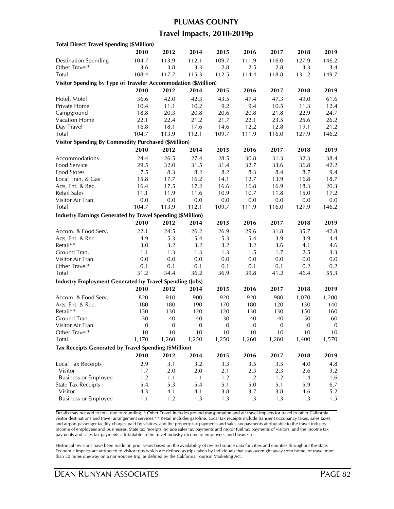# **PLUMAS COUNTY Travel Impacts, 2010-2019p**

| <b>Total Direct Travel Spending (\$Million)</b>                   |                  |                  |                  |                  |              |          |              |                  |
|-------------------------------------------------------------------|------------------|------------------|------------------|------------------|--------------|----------|--------------|------------------|
|                                                                   | 2010             | 2012             | 2014             | 2015             | 2016         | 2017     | 2018         | 2019             |
| <b>Destination Spending</b>                                       | 104.7            | 113.9            | 112.1            | 109.7            | 111.9        | 116.0    | 127.9        | 146.2            |
| Other Travel*                                                     | 3.6              | 3.8              | 3.3              | 2.8              | 2.5          | 2.8      | 3.3          | 3.4              |
| Total                                                             | 108.4            | 117.7            | 115.3            | 112.5            | 114.4        | 118.8    | 131.2        | 149.7            |
| Visitor Spending by Type of Traveler Accommodation (\$Million)    |                  |                  |                  |                  |              |          |              |                  |
|                                                                   | 2010             | 2012             | 2014             | 2015             | 2016         | 2017     | 2018         | 2019             |
| Hotel, Motel                                                      | 36.6             | 42.0             | 42.3             | 43.5             | 47.4         | 47.3     | 49.0         | 61.6             |
| Private Home                                                      | 10.4             | 11.1             | 10.2             | 9.2              | 9.4          | 10.5     | 11.3         | 12.4             |
| Campground                                                        | 18.8             | 20.3             | 20.8             | 20.6             | 20.8         | 21.8     | 22.9         | 24.7             |
| Vacation Home                                                     | 22.1             | 22.4             | 21.2             | 21.7             | 22.1         | 23.5     | 25.6         | 26.2             |
| Day Travel                                                        | 16.8             | 18.1             | 17.6             | 14.6             | 12.2         | 12.8     | 19.1         | 21.2             |
| Total                                                             | 104.7            | 113.9            | 112.1            | 109.7            | 111.9        | 116.0    | 127.9        | 146.2            |
| <b>Visitor Spending By Commodity Purchased (\$Million)</b>        |                  |                  |                  |                  |              |          |              |                  |
|                                                                   | 2010             | 2012             | 2014             | 2015             | 2016         | 2017     | 2018         | 2019             |
| Accommodations                                                    | 24.4             | 26.5             | 27.4             | 28.5             | 30.8         | 31.3     | 32.3         | 38.4             |
| Food Service                                                      | 29.5             | 32.0             | 31.5             | 31.4             | 32.7         | 33.6     | 36.8         | 42.2             |
| Food Stores                                                       | 7.5              | 8.3              | 8.2              | 8.2              | 8.3          | 8.4      | 8.7          | 9.4              |
| Local Tran. & Gas                                                 | 15.8             | 17.7             | 16.2             | 14.1             | 12.7         | 13.9     | 16.8         | 18.7             |
| Arts, Ent. & Rec.                                                 | 16.4             | 17.5             | 17.2             | 16.6             | 16.8         | 16.9     | 18.3         | 20.3             |
| <b>Retail Sales</b>                                               | 11.1             | 11.9             | 11.6             | 10.9             | 10.7         | 11.8     | 15.0         | 17.2             |
| Visitor Air Tran.                                                 | 0.0              | 0.0              | 0.0              | $0.0\,$          | 0.0          | 0.0      | $0.0\,$      | 0.0              |
| Total                                                             | 104.7            | 113.9            | 112.1            | 109.7            | 111.9        | 116.0    | 127.9        | 146.2            |
| <b>Industry Earnings Generated by Travel Spending (\$Million)</b> |                  |                  |                  |                  |              |          |              |                  |
|                                                                   | 2010             | 2012             | 2014             | 2015             | 2016         | 2017     | 2018         | 2019             |
| Accom. & Food Serv.                                               | 22.1             | 24.5             | 26.2             | 26.9             | 29.6         | 31.8     | 35.7         | 42.8             |
| Arts, Ent. & Rec.                                                 | 4.9              | 5.3              | 5.4              | 5.3              | 5.4          | 3.9      | 3.9          | 4.4              |
| Retail**                                                          | 3.0              | 3.2              | 3.2              | 3.2              | 3.2          | 3.6      | 4.1          | 4.6              |
| Ground Tran.                                                      | 1.1              | 1.3              | 1.3              | 1.3              | 1.5          | 1.7      | 2.5          | 3.3              |
| Visitor Air Tran.                                                 | 0.0              | 0.0              | 0.0              | 0.0              | 0.0          | 0.0      | 0.0          | 0.0              |
| Other Travel*                                                     | 0.1              | 0.1              | 0.1              | 0.1              | 0.1          | 0.1      | 0.2          | 0.2              |
| Total                                                             | 31.2             | 34.4             | 36.2             | 36.9             | 39.8         | 41.2     | 46.4         | 55.3             |
| <b>Industry Employment Generated by Travel Spending (Jobs)</b>    |                  |                  |                  |                  |              |          |              |                  |
|                                                                   | 2010             | 2012             | 2014             | 2015             | 2016         | 2017     | 2018         | 2019             |
| Accom. & Food Serv.                                               | 820              | 910              | 900              | 920              | 920          | 980      | 1,070        | 1,200            |
| Arts, Ent. & Rec.                                                 | 180              | 180              | 190              | 170              | 180          | 120      | 130          | 140              |
| Retail**                                                          | 130              | 130              | 120              | 120              | 130          | 130      | 150          | 160              |
| Ground Tran.                                                      | 30               | 40               | 40               | 30               | 40           | 40       | 50           | 60               |
| Visitor Air Tran.                                                 | $\boldsymbol{0}$ | $\boldsymbol{0}$ | $\boldsymbol{0}$ | $\boldsymbol{0}$ | $\mathbf{0}$ | $\bf{0}$ | $\mathbf{0}$ | $\boldsymbol{0}$ |
| Other Travel*                                                     | 10               | 10               | 10               | 10               | 10           | 10       | 10           | 10               |
| Total                                                             | 1,170            | 1,260            | 1,250            | 1,250            | 1,260        | 1,280    | 1,400        | 1,570            |
| Tax Receipts Generated by Travel Spending (\$Million)             |                  |                  |                  |                  |              |          |              |                  |
|                                                                   | 2010             | 2012             | 2014             | 2015             | 2016         | 2017     | 2018         | 2019             |
| Local Tax Receipts                                                | 2.9              | 3.1              | 3.2              | 3.3              | 3.5          | 3.5      | 4.0          | 4.8              |
| Visitor                                                           | 1.7              | 2.0              | 2.0              | 2.1              | 2.3          | 2.3      | 2.6          | 3.2              |
| <b>Business or Employee</b>                                       | 1.2              | 1.1              | 1.1              | 1.2              | 1.2          | 1.2      | 1.4          | 1.6              |
| <b>State Tax Receipts</b>                                         | 5.4              | 5.3              | 5.4              | 5.1              | $5.0\,$      | 5.1      | 5.9          | 6.7              |
| Visitor                                                           | 4.3              | 4.1              | 4.1              | 3.8              | 3.7          | 3.8      | 4.6          | 5.2              |
| <b>Business or Employee</b>                                       | 1.1              | 1.2              | 1.3              | 1.3              | 1.3          | 1.3      | 1.3          | 1.5              |

Details may not add to total due to rounding. \* Other Travel includes ground transportation and air travel impacts for travel to other California visitor destinations and travel arrangement services.\*\* Retail includes gasoline. Local tax receipts include transient occupancy taxes, sales taxes, and airport passenger facility charges paid by visitors, and the property tax payments and sales tax payments attributable to the travel industry income of employees and businesses. State tax receipts include sales tax payments and motor fuel tax payments of visitors, and the income tax payments and sales tax payments attributable to the travel industry income of employees and businesses.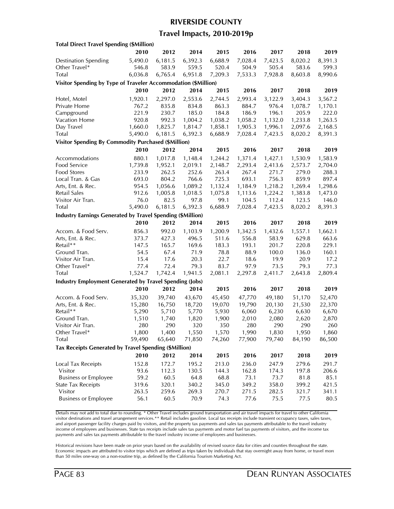#### **RIVERSIDE COUNTY**

### **Travel Impacts, 2010-2019p**

| <b>Total Direct Travel Spending (\$Million)</b>                |         |         |         |         |         |         |         |         |
|----------------------------------------------------------------|---------|---------|---------|---------|---------|---------|---------|---------|
|                                                                | 2010    | 2012    | 2014    | 2015    | 2016    | 2017    | 2018    | 2019    |
| <b>Destination Spending</b>                                    | 5,490.0 | 6,181.5 | 6,392.3 | 6,688.9 | 7,028.4 | 7,423.5 | 8,020.2 | 8,391.3 |
| Other Travel*                                                  | 546.8   | 583.9   | 559.5   | 520.4   | 504.9   | 505.4   | 583.6   | 599.3   |
| Total                                                          | 6,036.8 | 6,765.4 | 6,951.8 | 7,209.3 | 7,533.3 | 7,928.8 | 8,603.8 | 8,990.6 |
| Visitor Spending by Type of Traveler Accommodation (\$Million) |         |         |         |         |         |         |         |         |
|                                                                | 2010    | 2012    | 2014    | 2015    | 2016    | 2017    | 2018    | 2019    |
| Hotel, Motel                                                   | 1,920.1 | 2,297.0 | 2,553.6 | 2,744.5 | 2,993.4 | 3,122.9 | 3,404.3 | 3,567.2 |
| Private Home                                                   | 767.2   | 835.8   | 834.8   | 863.3   | 884.7   | 976.4   | 1,078.7 | 1,170.1 |
| Campground                                                     | 221.9   | 230.7   | 185.0   | 184.8   | 186.9   | 196.1   | 205.9   | 222.0   |
| Vacation Home                                                  | 920.8   | 992.3   | 1,004.2 | 1,038.2 | 1,058.2 | 1,132.0 | 1,233.8 | 1,263.5 |
| Day Travel                                                     | 1,660.0 | 1,825.7 | 1,814.7 | 1,858.1 | 1,905.3 | 1,996.1 | 2,097.6 | 2,168.5 |
| <b>Total</b>                                                   | 5,490.0 | 6,181.5 | 6,392.3 | 6,688.9 | 7,028.4 | 7,423.5 | 8,020.2 | 8,391.3 |
| <b>Visitor Spending By Commodity Purchased (\$Million)</b>     |         |         |         |         |         |         |         |         |
|                                                                | 2010    | 2012    | 2014    | 2015    | 2016    | 2017    | 2018    | 2019    |
| Accommodations                                                 | 880.1   | 1,017.8 | 1,148.4 | 1,244.2 | 1,371.4 | 1,427.1 | 1,530.9 | 1,583.9 |
| Food Service                                                   | 1,739.8 | 1,952.1 | 2,019.1 | 2,148.7 | 2,293.4 | 2,413.6 | 2,573.7 | 2,704.0 |
| <b>Food Stores</b>                                             | 233.9   | 262.5   | 252.6   | 263.4   | 267.4   | 271.7   | 279.0   | 288.3   |
| Local Tran. & Gas                                              | 693.0   | 804.2   | 766.6   | 725.3   | 693.1   | 756.3   | 859.9   | 897.4   |
| Arts, Ent. & Rec.                                              | 954.5   | 1,056.6 | 1,089.2 | 1,132.4 | 1,184.9 | 1,218.2 | 1,269.4 | 1,298.6 |
| Retail Sales                                                   | 912.6   | 1,005.8 | 1,018.5 | 1,075.8 | 1,113.6 | 1,224.2 | 1,383.8 | 1,473.0 |
| Visitor Air Tran.                                              | 76.0    | 82.5    | 97.8    | 99.1    | 104.5   | 112.4   | 123.5   | 146.0   |
| Total                                                          | 5,490.0 | 6,181.5 | 6,392.3 | 6,688.9 | 7,028.4 | 7,423.5 | 8,020.2 | 8,391.3 |
|                                                                |         |         |         |         |         |         |         |         |
| Industry Earnings Generated by Travel Spending (\$Million)     |         | 2012    |         |         | 2016    | 2017    |         |         |
|                                                                | 2010    |         | 2014    | 2015    |         |         | 2018    | 2019    |
| Accom. & Food Serv.                                            | 856.3   | 992.0   | 1,103.9 | 1,200.9 | 1,342.5 | 1,432.6 | 1,557.1 | 1,662.1 |
| Arts, Ent. & Rec.                                              | 373.7   | 427.3   | 496.5   | 511.6   | 556.8   | 583.9   | 629.8   | 663.6   |
| Retail**                                                       | 147.5   | 165.7   | 169.6   | 183.3   | 193.1   | 201.7   | 220.8   | 229.1   |
| Ground Tran.                                                   | 54.5    | 67.4    | 71.9    | 78.8    | 88.9    | 100.0   | 136.0   | 160.1   |
| Visitor Air Tran.                                              | 15.4    | 17.6    | 20.3    | 22.7    | 18.6    | 19.9    | 20.9    | 17.2    |
| Other Travel*                                                  | 77.4    | 72.4    | 79.3    | 83.7    | 97.9    | 73.5    | 79.3    | 77.3    |
| <b>Total</b>                                                   | 1,524.7 | 1,742.4 | 1,941.5 | 2,081.1 | 2,297.8 | 2,411.7 | 2,643.8 | 2,809.4 |
| <b>Industry Employment Generated by Travel Spending (Jobs)</b> |         |         |         |         |         |         |         |         |
|                                                                | 2010    | 2012    | 2014    | 2015    | 2016    | 2017    | 2018    | 2019    |
| Accom. & Food Serv.                                            | 35,320  | 39,740  | 43,670  | 45,450  | 47,770  | 49,180  | 51,170  | 52,470  |
| Arts, Ent. & Rec.                                              | 15,280  | 16,750  | 18,720  | 19,070  | 19,790  | 20,130  | 21,530  | 22,370  |
| Retail**                                                       | 5,290   | 5,710   | 5,770   | 5,930   | 6,060   | 6,230   | 6,630   | 6,670   |
| Ground Tran.                                                   | 1,510   | 1,740   | 1,820   | 1,900   | 2,010   | 2,080   | 2,620   | 2,870   |
| Visitor Air Tran.                                              | 280     | 290     | 320     | 350     | 280     | 290     | 290     | 260     |
| Other Iravel*                                                  | 1,800   | 1,400   | 1,550   | 1,570   | 1,990   | 1,830   | 1,950   | 1,860   |
| Total                                                          | 59,490  | 65,640  | 71,850  | 74,260  | 77,900  | 79,740  | 84,190  | 86,500  |
| Tax Receipts Generated by Travel Spending (\$Million)          |         |         |         |         |         |         |         |         |
|                                                                | 2010    | 2012    | 2014    | 2015    | 2016    | 2017    | 2018    | 2019    |
| Local Tax Receipts                                             | 152.8   | 172.7   | 195.2   | 213.0   | 236.0   | 247.9   | 279.6   | 291.7   |
| Visitor                                                        | 93.6    | 112.3   | 130.5   | 144.3   | 162.8   | 174.3   | 197.8   | 206.6   |
| <b>Business or Employee</b>                                    | 59.2    | 60.5    | 64.8    | 68.8    | 73.1    | 73.7    | 81.8    | 85.1    |
| <b>State Tax Receipts</b>                                      | 319.6   | 320.1   | 340.2   | 345.0   | 349.2   | 358.0   | 399.2   | 421.5   |
| Visitor                                                        | 263.5   | 259.6   | 269.3   | 270.7   | 271.5   | 282.5   | 321.7   | 341.1   |
| <b>Business or Employee</b>                                    | 56.1    | 60.5    | 70.9    | 74.3    | 77.6    | 75.5    | 77.5    | 80.5    |
|                                                                |         |         |         |         |         |         |         |         |

Details may not add to total due to rounding. \* Other Travel includes ground transportation and air travel impacts for travel to other California visitor destinations and travel arrangement services.\*\* Retail includes gasoline. Local tax receipts include transient occupancy taxes, sales taxes, and airport passenger facility charges paid by visitors, and the property tax payments and sales tax payments attributable to the travel industry income of employees and businesses. State tax receipts include sales tax payments and motor fuel tax payments of visitors, and the income tax payments and sales tax payments attributable to the travel industry income of employees and businesses.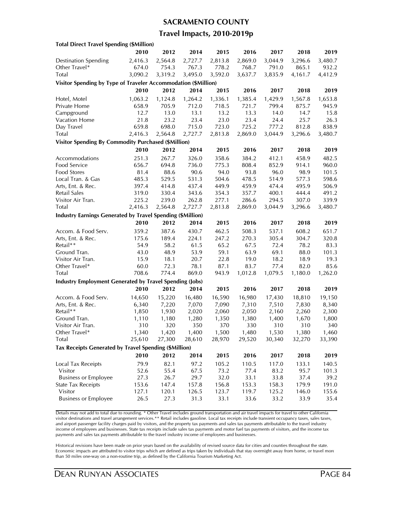#### **SACRAMENTO COUNTY**

### **Travel Impacts, 2010-2019p**

| <b>Total Direct Travel Spending (\$Million)</b>                   |         |         |         |         |         |         |         |         |
|-------------------------------------------------------------------|---------|---------|---------|---------|---------|---------|---------|---------|
|                                                                   | 2010    | 2012    | 2014    | 2015    | 2016    | 2017    | 2018    | 2019    |
| <b>Destination Spending</b>                                       | 2,416.3 | 2,564.8 | 2,727.7 | 2,813.8 | 2,869.0 | 3,044.9 | 3,296.6 | 3,480.7 |
| Other Travel*                                                     | 674.0   | 754.3   | 767.3   | 778.2   | 768.7   | 791.0   | 865.1   | 932.2   |
| Total                                                             | 3,090.2 | 3,319.2 | 3,495.0 | 3,592.0 | 3,637.7 | 3,835.9 | 4,161.7 | 4,412.9 |
| Visitor Spending by Type of Traveler Accommodation (\$Million)    |         |         |         |         |         |         |         |         |
|                                                                   | 2010    | 2012    | 2014    | 2015    | 2016    | 2017    | 2018    | 2019    |
| Hotel, Motel                                                      | 1,063.2 | 1,124.8 | 1,264.2 | 1,336.1 | 1,385.4 | 1,429.9 | 1,567.8 | 1,653.8 |
| Private Home                                                      | 658.9   | 705.9   | 712.0   | 718.5   | 721.7   | 799.4   | 875.7   | 945.9   |
| Campground                                                        | 12.7    | 13.0    | 13.1    | 13.2    | 13.3    | 14.0    | 14.7    | 15.8    |
| Vacation Home                                                     | 21.8    | 23.2    | 23.4    | 23.0    | 23.4    | 24.4    | 25.7    | 26.3    |
| Day Travel                                                        | 659.8   | 698.0   | 715.0   | 723.0   | 725.2   | 777.2   | 812.8   | 838.9   |
| <b>Total</b>                                                      | 2,416.3 | 2,564.8 | 2,727.7 | 2,813.8 | 2,869.0 | 3,044.9 | 3,296.6 | 3,480.7 |
| <b>Visitor Spending By Commodity Purchased (\$Million)</b>        |         |         |         |         |         |         |         |         |
|                                                                   | 2010    | 2012    | 2014    | 2015    | 2016    | 2017    | 2018    | 2019    |
| Accommodations                                                    | 251.3   | 267.7   | 326.0   | 358.6   | 384.2   | 412.1   | 458.9   | 482.5   |
| Food Service                                                      | 656.7   | 694.8   | 736.0   | 775.3   | 808.4   | 852.9   | 914.1   | 960.0   |
| <b>Food Stores</b>                                                | 81.4    | 88.6    | 90.6    | 94.0    | 93.8    | 96.0    | 98.9    | 101.5   |
| Local Tran. & Gas                                                 | 485.3   | 529.5   | 531.3   | 504.6   | 478.5   | 514.9   | 577.3   | 598.6   |
| Arts, Ent. & Rec.                                                 | 397.4   | 414.8   | 437.4   | 449.9   | 459.9   | 474.4   | 495.9   | 506.9   |
| Retail Sales                                                      | 319.0   | 330.4   | 343.6   | 354.3   | 357.7   | 400.1   | 444.4   | 491.2   |
| Visitor Air Tran.                                                 | 225.2   | 239.0   | 262.8   | 277.1   | 286.6   | 294.5   | 307.0   | 339.9   |
| Total                                                             | 2,416.3 | 2,564.8 | 2,727.7 | 2,813.8 | 2,869.0 | 3,044.9 | 3,296.6 | 3,480.7 |
| <b>Industry Earnings Generated by Travel Spending (\$Million)</b> |         |         |         |         |         |         |         |         |
|                                                                   | 2010    | 2012    | 2014    | 2015    | 2016    | 2017    | 2018    | 2019    |
| Accom. & Food Serv.                                               | 359.2   | 387.6   | 430.7   | 462.5   | 508.3   | 537.1   | 608.2   | 651.7   |
| Arts, Ent. & Rec.                                                 | 175.6   | 189.4   | 224.1   | 247.2   | 270.3   | 305.4   | 304.7   | 320.8   |
| Retail**                                                          | 54.9    | 58.2    | 61.5    | 65.2    | 67.5    | 72.4    | 78.2    | 83.3    |
| Ground Tran.                                                      | 43.0    | 48.9    | 53.9    | 59.1    | 63.9    | 69.1    | 88.0    | 101.3   |
| Visitor Air Tran.                                                 | 15.9    | 18.1    | 20.7    | 22.8    | 19.0    | 18.2    | 18.9    | 19.3    |
| Other Travel*                                                     | 60.0    | 72.3    | 78.1    | 87.1    | 83.7    | 77.4    | 82.0    | 85.6    |
| <b>Total</b>                                                      | 708.6   | 774.4   | 869.0   | 943.9   | 1,012.8 | 1,079.5 | 1,180.0 | 1,262.0 |
| <b>Industry Employment Generated by Travel Spending (Jobs)</b>    |         |         |         |         |         |         |         |         |
|                                                                   | 2010    | 2012    | 2014    | 2015    | 2016    | 2017    | 2018    | 2019    |
| Accom. & Food Serv.                                               | 14,650  | 15,220  | 16,480  | 16,590  | 16,980  | 17,430  | 18,810  | 19,150  |
| Arts, Ent. & Rec.                                                 | 6,340   | 7,220   | 7,070   | 7,090   | 7,310   | 7,510   | 7,830   | 8,340   |
| Retail**                                                          | 1,850   | 1,930   | 2,020   | 2,060   | 2,050   | 2,160   | 2,260   | 2,300   |
| Ground Tran.                                                      | 1,110   | 1,180   | 1,280   | 1,350   | 1,380   | 1,400   | 1,670   | 1,800   |
| Visitor Air Tran.                                                 | 310     | 320     | 350     | 370     | 330     | 310     | 310     | 340     |
| Other Travel*                                                     | 1,340   | 1,420   | 1,400   | 1,500   | 1,480   | 1,530   | 1,380   | 1,460   |
| <b>Total</b>                                                      | 25,610  | 27,300  | 28,610  | 28,970  | 29,520  | 30,340  | 32,270  | 33,390  |
| Tax Receipts Generated by Travel Spending (\$Million)             |         |         |         |         |         |         |         |         |
|                                                                   | 2010    | 2012    | 2014    | 2015    | 2016    | 2017    | 2018    | 2019    |
| Local Tax Receipts                                                | 79.9    | 82.1    | 97.2    | 105.2   | 110.5   | 117.0   | 133.1   | 140.5   |
| Visitor                                                           | 52.6    | 55.4    | 67.5    | 73.2    | 77.4    | 83.2    | 95.7    | 101.3   |
| <b>Business or Employee</b>                                       | 27.3    | 26.7    | 29.7    | 32.0    | 33.1    | 33.8    | 37.4    | 39.2    |
| <b>State Tax Receipts</b>                                         | 153.6   | 147.4   | 157.8   | 156.8   | 153.3   | 158.3   | 179.9   | 191.0   |
| Visitor                                                           | 127.1   | 120.1   | 126.5   | 123.7   | 119.7   | 125.2   | 146.0   | 155.6   |
| <b>Business or Employee</b>                                       | 26.5    | 27.3    | 31.3    | 33.1    | 33.6    | 33.2    | 33.9    | 35.4    |

Details may not add to total due to rounding. \* Other Travel includes ground transportation and air travel impacts for travel to other California visitor destinations and travel arrangement services.\*\* Retail includes gasoline. Local tax receipts include transient occupancy taxes, sales taxes, and airport passenger facility charges paid by visitors, and the property tax payments and sales tax payments attributable to the travel industry income of employees and businesses. State tax receipts include sales tax payments and motor fuel tax payments of visitors, and the income tax payments and sales tax payments attributable to the travel industry income of employees and businesses.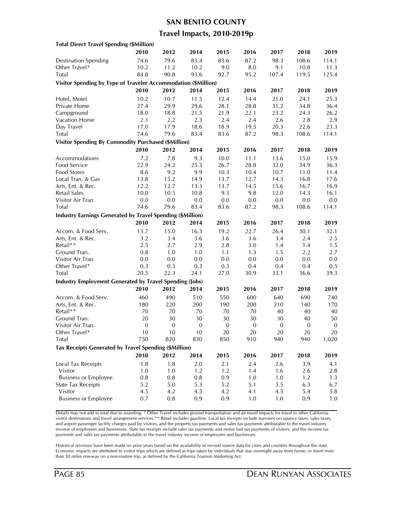### **SAN BENITO COUNTY**

### **Travel Impacts, 2010-2019p**

| <b>Total Direct Travel Spending (\$Million)</b>                   |                  |                  |                  |              |                  |                  |                  |                  |
|-------------------------------------------------------------------|------------------|------------------|------------------|--------------|------------------|------------------|------------------|------------------|
|                                                                   | 2010             | 2012             | 2014             | 2015         | 2016             | 2017             | 2018             | 2019             |
| <b>Destination Spending</b>                                       | 74.6             | 79.6             | 83.4             | 83.6         | 87.2             | 98.3             | 108.6            | 114.1            |
| Other Travel*                                                     | 10.2             | 11.2             | 10.2             | 9.0          | 8.0              | 9.1              | 10.8             | 11.3             |
| Total                                                             | 84.8             | 90.8             | 93.6             | 92.7         | 95.2             | 107.4            | 119.5            | 125.4            |
| Visitor Spending by Type of Traveler Accommodation (\$Million)    |                  |                  |                  |              |                  |                  |                  |                  |
|                                                                   | 2010             | 2012             | 2014             | 2015         | 2016             | 2017             | 2018             | 2019             |
| Hotel, Motel                                                      | 10.2             | 10.7             | 11.5             | 12.4         | 14.4             | 21.0             | 24.1             | 25.3             |
| Private Home                                                      | 27.4             | 29.9             | 29.6             | 28.1         | 28.8             | 31.2             | 34.8             | 36.4             |
| Campground                                                        | 18.0             | 18.8             | 21.5             | 21.9         | 22.1             | 23.2             | 24.3             | 26.2             |
| Vacation Home                                                     | 2.1              | 2.2              | 2.3              | 2.4          | 2.4              | 2.6              | 2.8              | 2.9              |
| Day Travel                                                        | 17.0             | 17.9             | 18.6             | 18.9         | 19.5             | 20.3             | 22.6             | 23.3             |
| <b>Total</b>                                                      | 74.6             | 79.6             | 83.4             | 83.6         | 87.2             | 98.3             | 108.6            | 114.1            |
| <b>Visitor Spending By Commodity Purchased (\$Million)</b>        |                  |                  |                  |              |                  |                  |                  |                  |
|                                                                   | 2010             | 2012             | 2014             | 2015         | 2016             | 2017             | 2018             | 2019             |
| Accommodations                                                    | 7.2              | 7.8              | 9.3              | 10.0         | 11.1             | 13.6             | 15.0             | 15.9             |
| Food Service                                                      | 22.9             | 24.2             | 25.3             | 26.7         | 28.8             | 32.0             | 34.9             | 36.3             |
| Food Stores                                                       | 8.6              | 9.2              | 9.9              | 10.3         | 10.4             | 10.7             | 11.0             | 11.4             |
| Local Tran. & Gas                                                 | 13.8             | 15.2             | 14.9             | 13.7         | 12.7             | 14.3             | 16.8             | 17.6             |
| Arts, Ent. & Rec.                                                 | 12.2             | 12.7             | 13.3             | 13.7         | 14.5             | 15.6             | 16.7             | 16.9             |
| Retail Sales                                                      | 10.0             | 10.5             | 10.8             | 9.3          | 9.8              | 12.0             | 14.3             | 16.1             |
| Visitor Air Tran.                                                 | 0.0              | $0.0\,$          | 0.0              | $0.0\,$      | 0.0              | $0.0\,$          | $0.0\,$          | 0.0              |
| Total                                                             | 74.6             | 79.6             | 83.4             | 83.6         | 87.2             | 98.3             | 108.6            | 114.1            |
| <b>Industry Earnings Generated by Travel Spending (\$Million)</b> |                  |                  |                  |              |                  |                  |                  |                  |
|                                                                   | 2010             | 2012             | 2014             | 2015         | 2016             | 2017             | 2018             | 2019             |
|                                                                   |                  |                  |                  |              |                  |                  |                  |                  |
| Accom. & Food Serv.                                               | 13.7             | 15.0             | 16.3             | 19.2         | 22.7             | 26.4             | 30.1             | 32.1             |
| Arts, Ent. & Rec.                                                 | 3.2              | 3.4              | 3.6              | 3.6          | 3.6              | 3.4              | 2.4              | 2.5              |
| Retail**                                                          | 2.5              | 2.7              | 2.9              | 2.8          | 3.0              | 1.4              | 1.4              | 1.5              |
| Ground Tran.                                                      | 0.8              | 1.0              | 1.0              | 1.1          | 1.3              | 1.5              | 2.2              | 2.7              |
| Visitor Air Tran.                                                 | 0.0              | 0.0              | 0.0              | 0.0          | 0.0              | 0.0              | 0.0              | 0.0              |
| Other Travel*                                                     | 0.3              | 0.3              | 0.3              | 0.3          | 0.4              | 0.4              | 0.4              | 0.5              |
| Total                                                             | 20.5             | 22.3             | 24.1             | 27.0         | 30.9             | 33.1             | 36.6             | 39.3             |
| <b>Industry Employment Generated by Travel Spending (Jobs)</b>    |                  |                  |                  |              |                  |                  |                  |                  |
|                                                                   | 2010             | 2012             | 2014             | 2015         | 2016             | 2017             | 2018             | 2019             |
| Accom. & Food Serv.                                               | 460              | 490              | 510              | 550          | 600              | 640              | 690              | 740              |
| Arts, Ent. & Rec.                                                 | 180              | 220              | 200              | 190          | 200              | 210              | 140              | 170              |
| Retail**                                                          | 70               | 70               | 70               | 70           | 70               | 40               | 40               | 40               |
| Ground Tran.                                                      | 20               | 30               | 30               | 30           | 30               | 30               | 40               | 50               |
| Visitor Air Tran.                                                 | $\boldsymbol{0}$ | $\boldsymbol{0}$ | $\boldsymbol{0}$ | $\mathbf{0}$ | $\boldsymbol{0}$ | $\boldsymbol{0}$ | $\boldsymbol{0}$ | $\boldsymbol{0}$ |
| Other I ravel*                                                    | 10               | 10               | 10               | 20           | 20               | 20               | 20               | 20               |
| Total                                                             | 750              | 820              | 830              | 850          | 910              | 940              | 940              | 1,020            |
| Tax Receipts Generated by Travel Spending (\$Million)             |                  |                  |                  |              |                  |                  |                  |                  |
|                                                                   | 2010             | 2012             | 2014             | 2015         | 2016             | 2017             | 2018             | 2019             |
| Local Tax Receipts                                                | 1.8              | 1.8              | 2.0              | 2.1          | 2.4              | 2.6              | 3.9              | 4.1              |
| Visitor                                                           | 1.0              | 1.0              | 1.2              | 1.2          | 1.4              | 1.6              | 2.6              | 2.8              |
| <b>Business or Employee</b>                                       | 0.8              | 0.8              | 0.8              | 0.9          | $1.0$            | 1.0              | 1.2              | 1.3              |
| <b>State Tax Receipts</b>                                         | 5.2              | 5.0              | 5.3              | 5.2          | 5.1              | 5.5              | 6.3              | 6.7              |
| Visitor                                                           | 4.5              | 4.2              | 4.5              | 4.2          | 4.1              | 4.5              | 5.4              | 5.8              |
| <b>Business or Employee</b>                                       | 0.7              | $0.8\,$          | 0.9              | 0.9          | 1.0              | 1.0              | 0.9              | 1.0              |

Details may not add to total due to rounding. \* Other Travel includes ground transportation and air travel impacts for travel to other California visitor destinations and travel arrangement services.\*\* Retail includes gasoline. Local tax receipts include transient occupancy taxes, sales taxes, and airport passenger facility charges paid by visitors, and the property tax payments and sales tax payments attributable to the travel industry income of employees and businesses. State tax receipts include sales tax payments and motor fuel tax payments of visitors, and the income tax payments and sales tax payments attributable to the travel industry income of employees and businesses.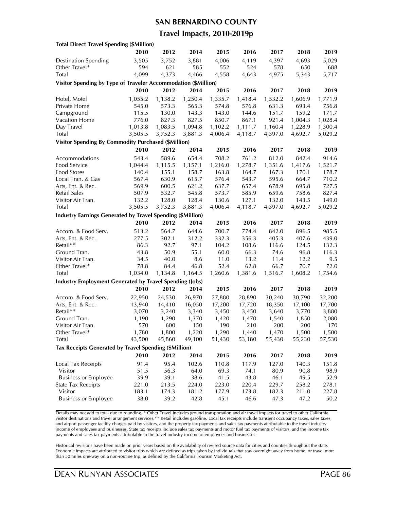#### **SAN BERNARDINO COUNTY**

### **Travel Impacts, 2010-2019p**

| <b>Total Direct Travel Spending (\$Million)</b>                |         |         |         |         |         |         |         |         |
|----------------------------------------------------------------|---------|---------|---------|---------|---------|---------|---------|---------|
|                                                                | 2010    | 2012    | 2014    | 2015    | 2016    | 2017    | 2018    | 2019    |
| <b>Destination Spending</b>                                    | 3,505   | 3,752   | 3,881   | 4,006   | 4,119   | 4,397   | 4,693   | 5,029   |
| Other Travel*                                                  | 594     | 621     | 585     | 552     | 524     | 578     | 650     | 688     |
| Total                                                          | 4,099   | 4,373   | 4,466   | 4,558   | 4,643   | 4,975   | 5,343   | 5,717   |
| Visitor Spending by Type of Traveler Accommodation (\$Million) |         |         |         |         |         |         |         |         |
|                                                                | 2010    | 2012    | 2014    | 2015    | 2016    | 2017    | 2018    | 2019    |
| Hotel, Motel                                                   | 1,055.2 | 1,138.2 | 1,250.4 | 1,335.7 | 1,418.4 | 1,532.2 | 1,606.9 | 1,771.9 |
| Private Home                                                   | 545.0   | 573.3   | 565.3   | 574.8   | 576.8   | 631.3   | 693.4   | 756.8   |
| Campground                                                     | 115.5   | 130.0   | 143.3   | 143.0   | 144.6   | 151.7   | 159.2   | 171.7   |
| Vacation Home                                                  | 776.0   | 827.3   | 827.5   | 850.7   | 867.1   | 921.4   | 1,004.3 | 1,028.4 |
| Day Travel                                                     | 1,013.8 | 1,083.5 | 1,094.8 | 1,102.2 | 1,111.7 | 1,160.4 | 1,228.9 | 1,300.4 |
| <b>Total</b>                                                   | 3,505.5 | 3,752.3 | 3,881.3 | 4,006.4 | 4,118.7 | 4,397.0 | 4,692.7 | 5,029.2 |
| <b>Visitor Spending By Commodity Purchased (\$Million)</b>     |         |         |         |         |         |         |         |         |
|                                                                | 2010    | 2012    | 2014    | 2015    | 2016    | 2017    | 2018    | 2019    |
| Accommodations                                                 | 543.4   | 589.6   | 654.4   | 708.2   | 761.2   | 812.0   | 842.4   | 914.6   |
| Food Service                                                   | 1,044.4 | 1,115.5 | 1,157.1 | 1,216.0 | 1,278.7 | 1,351.6 | 1,417.6 | 1,521.7 |
| <b>Food Stores</b>                                             | 140.4   | 155.1   | 158.7   | 163.8   | 164.7   | 167.3   | 170.1   | 178.7   |
| Local Tran. & Gas                                              | 567.4   | 630.9   | 615.7   | 576.4   | 543.7   | 595.6   | 664.7   | 710.2   |
| Arts, Ent. & Rec.                                              | 569.9   | 600.5   | 621.2   | 637.7   | 657.4   | 678.9   | 695.8   | 727.5   |
| Retail Sales                                                   | 507.9   | 532.7   | 545.8   | 573.7   | 585.9   | 659.6   | 758.6   | 827.4   |
| Visitor Air Tran.                                              | 132.2   | 128.0   | 128.4   | 130.6   | 127.1   | 132.0   | 143.5   | 149.0   |
| Total                                                          | 3,505.5 | 3,752.3 | 3,881.3 | 4,006.4 | 4,118.7 | 4,397.0 | 4,692.7 | 5,029.2 |
| Industry Earnings Generated by Travel Spending (\$Million)     |         |         |         |         |         |         |         |         |
|                                                                | 2010    | 2012    | 2014    |         |         |         | 2018    |         |
|                                                                |         |         |         | 2015    | 2016    | 2017    |         | 2019    |
| Accom. & Food Serv.                                            | 513.2   | 564.7   | 644.6   | 700.7   | 774.4   | 842.0   | 896.5   | 985.5   |
| Arts, Ent. & Rec.                                              | 277.5   | 302.1   | 312.2   | 332.3   | 356.3   | 405.3   | 407.6   | 439.0   |
| Retail**                                                       | 86.3    | 92.7    | 97.1    | 104.2   | 108.6   | 116.6   | 124.5   | 132.3   |
| Ground Tran.                                                   | 43.8    | 50.9    | 55.1    | 60.0    | 66.3    | 74.6    | 96.8    | 116.3   |
| Visitor Air Tran.                                              | 34.5    | 40.0    | 8.6     | 11.0    | 13.2    | 11.4    | 12.2    | 9.5     |
| Other Travel*                                                  | 78.8    | 84.4    | 46.8    | 52.4    | 62.8    | 66.7    | 70.7    | 72.0    |
| <b>Total</b>                                                   | 1,034.0 | 1,134.8 | 1,164.5 | 1,260.6 | 1,381.6 | 1,516.7 | 1,608.2 | 1,754.6 |
| <b>Industry Employment Generated by Travel Spending (Jobs)</b> |         |         |         |         |         |         |         |         |
|                                                                | 2010    | 2012    | 2014    | 2015    | 2016    | 2017    | 2018    | 2019    |
| Accom. & Food Serv.                                            | 22,950  | 24,530  | 26,970  | 27,880  | 28,890  | 30,240  | 30,790  | 32,200  |
| Arts, Ent. & Rec.                                              | 13,940  | 14,410  | 16,050  | 17,200  | 17,720  | 18,350  | 17,100  | 17,700  |
| Retail**                                                       | 3,070   | 3,240   | 3,340   | 3,450   | 3,450   | 3,640   | 3,770   | 3,880   |
| Ground Tran.                                                   | 1,190   | 1,290   | 1,370   | 1,420   | 1,470   | 1,540   | 1,850   | 2,080   |
| Visitor Air Tran.                                              | 570     | 600     | 150     | 190     | 210     | 200     | 200     | 170     |
| Other Iravel*                                                  | 1,780   | 1,800   | 1,220   | 1,290   | 1,440   | 1,470   | 1,500   | 1,500   |
| Total                                                          | 43,500  | 45,860  | 49,100  | 51,430  | 53,180  | 55,430  | 55,230  | 57,530  |
| Tax Receipts Generated by Travel Spending (\$Million)          |         |         |         |         |         |         |         |         |
|                                                                | 2010    | 2012    | 2014    | 2015    | 2016    | 2017    | 2018    | 2019    |
| Local Tax Receipts                                             | 91.4    | 95.4    | 102.6   | 110.8   | 117.9   | 127.0   | 140.3   | 151.8   |
| Visitor                                                        | 51.5    | 56.3    | 64.0    | 69.3    | 74.1    | 80.9    | 90.8    | 98.9    |
| <b>Business or Employee</b>                                    | 39.9    | 39.1    | 38.6    | 41.5    | 43.8    | 46.1    | 49.5    | 52.9    |
| <b>State Tax Receipts</b>                                      | 221.0   | 213.5   | 224.0   | 223.0   | 220.4   | 229.7   | 258.2   | 278.1   |
| Visitor                                                        | 183.1   | 174.3   | 181.2   | 177.9   | 173.8   | 182.3   | 211.0   | 227.8   |
| <b>Business or Employee</b>                                    | 38.0    | 39.2    | 42.8    | 45.1    | 46.6    | 47.3    | 47.2    | 50.2    |
|                                                                |         |         |         |         |         |         |         |         |

Details may not add to total due to rounding. \* Other Travel includes ground transportation and air travel impacts for travel to other California visitor destinations and travel arrangement services.\*\* Retail includes gasoline. Local tax receipts include transient occupancy taxes, sales taxes, and airport passenger facility charges paid by visitors, and the property tax payments and sales tax payments attributable to the travel industry income of employees and businesses. State tax receipts include sales tax payments and motor fuel tax payments of visitors, and the income tax payments and sales tax payments attributable to the travel industry income of employees and businesses.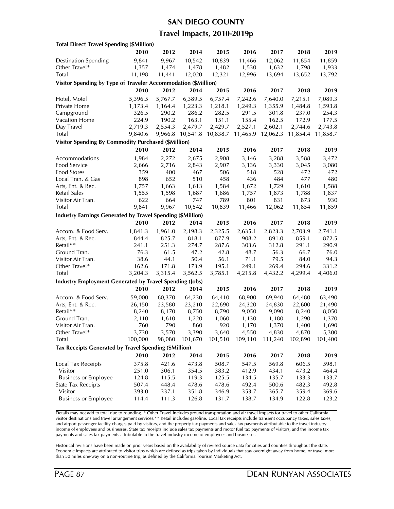#### **SAN DIEGO COUNTY**

### **Travel Impacts, 2010-2019p**

| <b>Total Direct Travel Spending (\$Million)</b>                   |         |         |          |          |          |          |          |          |
|-------------------------------------------------------------------|---------|---------|----------|----------|----------|----------|----------|----------|
|                                                                   | 2010    | 2012    | 2014     | 2015     | 2016     | 2017     | 2018     | 2019     |
| <b>Destination Spending</b>                                       | 9,841   | 9,967   | 10,542   | 10,839   | 11,466   | 12,062   | 11,854   | 11,859   |
| Other Travel*                                                     | 1,357   | 1,474   | 1,478    | 1,482    | 1,530    | 1,632    | 1,798    | 1,933    |
| Total                                                             | 11,198  | 11,441  | 12,020   | 12,321   | 12,996   | 13,694   | 13,652   | 13,792   |
| Visitor Spending by Type of Traveler Accommodation (\$Million)    |         |         |          |          |          |          |          |          |
|                                                                   | 2010    | 2012    | 2014     | 2015     | 2016     | 2017     | 2018     | 2019     |
| Hotel, Motel                                                      | 5,396.5 | 5,767.7 | 6,389.5  | 6,757.4  | 7,242.6  | 7,640.0  | 7,215.1  | 7,089.3  |
| Private Home                                                      | 1,173.4 | 1,164.4 | 1,223.3  | 1,218.1  | 1,249.3  | 1,355.9  | 1,484.8  | 1,593.8  |
| Campground                                                        | 326.5   | 290.2   | 286.2    | 282.5    | 291.5    | 301.8    | 237.0    | 254.3    |
| Vacation Home                                                     | 224.9   | 190.2   | 163.1    | 151.1    | 155.4    | 162.5    | 172.9    | 177.5    |
| Day Travel                                                        | 2,719.3 | 2,554.3 | 2,479.7  | 2,429.7  | 2,527.1  | 2,602.1  | 2,744.6  | 2,743.8  |
| Total                                                             | 9,840.6 | 9,966.8 | 10,541.8 | 10,838.7 | 11,465.9 | 12,062.3 | 11,854.4 | 11,858.7 |
| <b>Visitor Spending By Commodity Purchased (\$Million)</b>        |         |         |          |          |          |          |          |          |
|                                                                   | 2010    | 2012    | 2014     | 2015     | 2016     | 2017     | 2018     | 2019     |
| Accommodations                                                    | 1,984   | 2,272   | 2,675    | 2,908    | 3,146    | 3,288    | 3,588    | 3,472    |
| <b>Food Service</b>                                               | 2,666   | 2,716   | 2,843    | 2,907    | 3,136    | 3,330    | 3,045    | 3,080    |
| <b>Food Stores</b>                                                | 359     | 400     | 467      | 506      | 518      | 528      | 472      | 472      |
| Local Tran. & Gas                                                 | 898     | 652     | 510      | 458      | 436      | 484      | 477      | 480      |
| Arts, Ent. & Rec.                                                 | 1,757   | 1,663   | 1,613    | 1,584    | 1,672    | 1,729    | 1,610    | 1,588    |
| <b>Retail Sales</b>                                               | 1,555   | 1,598   | 1,687    | 1,686    | 1,757    | 1,873    | 1,788    | 1,837    |
| Visitor Air Tran.                                                 | 622     | 664     | 747      | 789      | 801      | 831      | 873      | 930      |
| Total                                                             | 9,841   | 9,967   | 10,542   | 10,839   | 11,466   | 12,062   | 11,854   | 11,859   |
|                                                                   |         |         |          |          |          |          |          |          |
| <b>Industry Earnings Generated by Travel Spending (\$Million)</b> |         |         |          |          |          |          |          |          |
|                                                                   | 2010    | 2012    | 2014     | 2015     | 2016     | 2017     | 2018     | 2019     |
| Accom. & Food Serv.                                               | 1,841.3 | 1,961.0 | 2,198.3  | 2,325.5  | 2,635.1  | 2,823.3  | 2,703.9  | 2,741.1  |
| Arts, Ent. & Rec.                                                 | 844.4   | 825.7   | 818.1    | 877.9    | 908.2    | 891.0    | 859.1    | 872.5    |
| Retail**                                                          | 241.1   | 251.3   | 274.7    | 287.6    | 303.6    | 312.8    | 291.1    | 290.9    |
| Ground Tran.                                                      | 76.3    | 61.5    | 47.2     | 42.8     | 48.7     | 56.3     | 66.7     | 76.0     |
| Visitor Air Tran.                                                 | 38.6    | 44.1    | 50.4     | 56.1     | 71.1     | 79.5     | 84.0     | 94.3     |
| Other Travel*                                                     | 162.6   | 171.8   | 173.9    | 195.1    | 249.1    | 269.4    | 294.6    | 331.2    |
| Total                                                             | 3,204.3 | 3,315.4 | 3,562.5  | 3,785.1  | 4,215.8  | 4,432.2  | 4,299.4  | 4,406.0  |
| <b>Industry Employment Generated by Travel Spending (Jobs)</b>    |         |         |          |          |          |          |          |          |
|                                                                   | 2010    | 2012    | 2014     | 2015     | 2016     | 2017     | 2018     | 2019     |
| Accom. & Food Serv.                                               | 59,000  | 60,370  | 64,230   | 64,410   | 68,900   | 69,940   | 64,480   | 63,490   |
| Arts, Ent. & Rec.                                                 | 26,150  | 23,580  | 23,210   | 22,690   | 24,320   | 24,830   | 22,600   | 21,490   |
| Retail**                                                          | 8,240   | 8,170   | 8,750    | 8,790    | 9,050    | 9,090    | 8,240    | 8,050    |
| Ground Tran.                                                      | 2,110   | 1,610   | 1,220    | 1,060    | 1,130    | 1,180    | 1,290    | 1,370    |
| Visitor Air Tran.                                                 | 760     | 790     | 860      | 920      | 1,170    | 1,370    | 1,400    | 1,690    |
| Other Iravel*                                                     | 3,730   | 3,570   | 3,390    | 3,640    | 4,550    | 4,830    | 4,870    | 5,300    |
| Total                                                             | 100,000 | 98,080  | 101,670  | 101,510  | 109,110  | 111,240  | 102,890  | 101,400  |
| Tax Receipts Generated by Travel Spending (\$Million)             |         |         |          |          |          |          |          |          |
|                                                                   | 2010    | 2012    | 2014     | 2015     | 2016     | 2017     | 2018     | 2019     |
| Local Tax Receipts                                                | 375.8   | 421.6   | 473.8    | 508.7    | 547.5    | 569.8    | 606.5    | 598.1    |
| Visitor                                                           | 251.0   | 306.1   | 354.5    | 383.2    | 412.9    | 434.1    | 473.2    | 464.4    |
| <b>Business or Employee</b>                                       | 124.8   | 115.5   | 119.3    | 125.5    | 134.5    | 135.7    | 133.3    | 133.7    |
| <b>State Tax Receipts</b>                                         | 507.4   | 448.4   | 478.6    | 478.6    | 492.4    | 500.6    | 482.3    | 492.8    |
| Visitor                                                           | 393.0   | 337.1   | 351.8    | 346.9    | 353.7    | 365.7    | 359.4    | 369.6    |
| <b>Business or Employee</b>                                       | 114.4   | 111.3   | 126.8    | 131.7    | 138.7    | 134.9    | 122.8    | 123.2    |
|                                                                   |         |         |          |          |          |          |          |          |

Details may not add to total due to rounding. \* Other Travel includes ground transportation and air travel impacts for travel to other California visitor destinations and travel arrangement services.\*\* Retail includes gasoline. Local tax receipts include transient occupancy taxes, sales taxes, and airport passenger facility charges paid by visitors, and the property tax payments and sales tax payments attributable to the travel industry income of employees and businesses. State tax receipts include sales tax payments and motor fuel tax payments of visitors, and the income tax payments and sales tax payments attributable to the travel industry income of employees and businesses.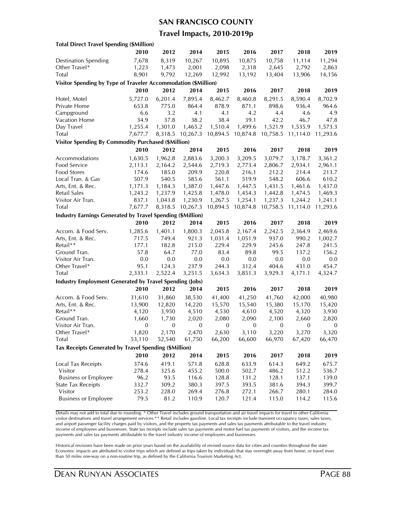#### **SAN FRANCISCO COUNTY**

### **Travel Impacts, 2010-2019p**

| <b>Total Direct Travel Spending (\$Million)</b>                   |                |         |             |          |                |          |                 |                 |
|-------------------------------------------------------------------|----------------|---------|-------------|----------|----------------|----------|-----------------|-----------------|
|                                                                   | 2010           | 2012    | 2014        | 2015     | 2016           | 2017     | 2018            | 2019            |
| <b>Destination Spending</b>                                       | 7,678          | 8,319   | 10,267      | 10,895   | 10,875         | 10,758   | 11,114          | 11,294          |
| Other Travel*                                                     | 1,223          | 1,473   | 2,001       | 2,098    | 2,318          | 2,645    | 2,792           | 2,863           |
| Total                                                             | 8,901          | 9,792   | 12,269      | 12,992   | 13,192         | 13,404   | 13,906          | 14,156          |
| Visitor Spending by Type of Traveler Accommodation (\$Million)    |                |         |             |          |                |          |                 |                 |
|                                                                   | 2010           | 2012    | 2014        | 2015     | 2016           | 2017     | 2018            | 2019            |
| Hotel, Motel                                                      | 5,727.0        | 6,201.4 | 7,895.4     | 8,462.7  | 8,460.8        | 8,291.5  | 8,590.4         | 8,702.9         |
| Private Home                                                      | 653.8          | 775.0   | 864.4       | 878.9    | 871.1          | 898.6    | 936.4           | 964.6           |
| Campground                                                        | 6.6            | 3.2     | 4.1         | 4.1      | 4.2            | 4.4      | 4.6             | 4.9             |
| Vacation Home                                                     | 34.9           | 37.8    | 38.2        | 38.4     | 39.1           | 42.2     | 46.7            | 47.8            |
| Day Travel                                                        | 1,255.4        | 1,301.0 | 1,465.2     | 1,510.4  | 1,499.6        | 1,521.9  | 1,535.9         | 1,573.3         |
| Total                                                             | 7,677.7        | 8,318.5 | 10,267.3    | 10,894.5 | 10,874.8       | 10,758.5 | 11,114.0        | 11,293.6        |
| <b>Visitor Spending By Commodity Purchased (\$Million)</b>        |                |         |             |          |                |          |                 |                 |
|                                                                   | 2010           | 2012    | 2014        | 2015     | 2016           | 2017     | 2018            | 2019            |
| Accommodations                                                    | 1,630.5        | 1,962.8 | 2,883.6     | 3,200.3  | 3,209.5        | 3,079.7  | 3,178.7         | 3,361.2         |
| <b>Food Service</b>                                               | 2,113.1        | 2,164.2 | 2,544.6     | 2,719.3  | 2,773.4        | 2,806.7  | 2,934.1         | 2,961.1         |
| <b>Food Stores</b>                                                | 174.6          | 185.0   | 209.9       | 220.8    | 216.1          | 212.2    | 214.4           | 213.7           |
| Local Tran. & Gas                                                 | 507.9          | 540.5   | 585.6       | 561.1    | 519.9          | 548.2    | 606.6           | 610.2           |
| Arts, Ent. & Rec.                                                 | 1,171.3        | 1,184.3 | 1,387.0     | 1,447.6  | 1,447.5        | 1,431.5  | 1,461.6         | 1,437.0         |
| <b>Retail Sales</b>                                               | 1,243.2        | 1,237.9 | 1,425.8     | 1,478.0  | 1,454.3        | 1,442.8  | 1,474.5         | 1,469.3         |
| Visitor Air Tran.                                                 | 837.1          | 1,043.8 | 1,230.9     | 1,267.5  | 1,254.1        | 1,237.3  | 1,244.2         | 1,241.1         |
| Total                                                             | 7,677.7        | 8,318.5 | 10,267.3    | 10,894.5 | 10,874.8       | 10,758.5 | 11,114.0        | 11,293.6        |
| <b>Industry Earnings Generated by Travel Spending (\$Million)</b> |                |         |             |          |                |          |                 |                 |
|                                                                   | 2010           | 2012    | 2014        | 2015     | 2016           | 2017     | 2018            | 2019            |
| Accom. & Food Serv.                                               | 1,285.6        | 1,401.1 | 1,800.3     | 2,045.8  | 2,167.4        | 2,242.5  | 2,364.9         | 2,469.6         |
| Arts, Ent. & Rec.                                                 | 717.5          | 749.4   | 921.3       | 1,031.4  | 1,051.9        | 937.0    | 990.2           | 1,002.7         |
| Retail**                                                          | 177.1          | 182.8   | 215.0       | 229.4    | 229.9          | 245.6    | 247.8           | 241.5           |
| Ground Tran.                                                      | 57.8           | 64.7    | 77.0        | 83.4     | 89.8           | 99.5     | 137.2           | 156.2           |
| Visitor Air Tran.                                                 | 0.0            | 0.0     | 0.0         | 0.0      | 0.0            | 0.0      | 0.0             | 0.0             |
| Other Travel*                                                     | 95.1           | 124.3   | 237.9       | 244.3    | 312.4          | 404.6    | 431.0           | 454.7           |
| <b>Total</b>                                                      | 2,333.1        | 2,522.4 | 3,251.5     | 3,634.3  | 3,851.3        | 3,929.3  | 4,171.1         | 4,324.7         |
| <b>Industry Employment Generated by Travel Spending (Jobs)</b>    |                |         |             |          |                |          |                 |                 |
|                                                                   | 2010           | 2012    | 2014        | 2015     | 2016           | 2017     | 2018            | 2019            |
| Accom. & Food Serv.                                               | 31,610         | 31,860  | 38,530      | 41,400   | 41,250         | 41,760   | 42,000          | 40,980          |
| Arts, Ent. & Rec.                                                 |                | 12,820  | 14,220      | 15,570   |                | 15,380   |                 |                 |
| Retail**                                                          | 13,900         | 3,950   | 4,510       | 4,530    | 15,540         | 4,520    | 15,170<br>4,320 | 15,420<br>3,930 |
| Ground Tran.                                                      | 4,120<br>1,660 | 1,730   | 2,020       | 2,080    | 4,610<br>2,090 | 2,100    | 2,660           | 2,820           |
| Visitor Air Tran.                                                 | 0              | 0       | $\mathbf 0$ | 0        | 0              | 0        | 0               | $\mathbf 0$     |
| Other I ravel*                                                    | 1,820          | 2,170   | 2,470       | 2,630    | 3,110          | 3,220    | 3,270           | 3,320           |
| Total                                                             | 53,110         | 52,540  | 61,750      | 66,200   | 66,600         | 66,970   | 67,420          | 66,470          |
|                                                                   |                |         |             |          |                |          |                 |                 |
| Tax Receipts Generated by Travel Spending (\$Million)             |                |         |             |          |                |          |                 |                 |
|                                                                   | 2010           | 2012    | 2014        | 2015     | 2016           | 2017     | 2018            | 2019            |
| Local Tax Receipts                                                | 374.6          | 419.1   | 571.8       | 628.8    | 633.9          | 614.3    | 649.2           | 675.7           |
| Visitor                                                           | 278.4          | 325.6   | 455.2       | 500.0    | 502.7          | 486.2    | 512.2           | 536.7           |
| <b>Business or Employee</b>                                       | 96.2           | 93.5    | 116.6       | 128.8    | 131.2          | 128.1    | 137.1           | 139.0           |
| <b>State Tax Receipts</b>                                         | 332.7          | 309.2   | 380.3       | 397.5    | 393.5          | 381.6    | 394.3           | 399.7           |
| Visitor                                                           | 253.2          | 228.0   | 269.4       | 276.8    | 272.1          | 266.7    | 280.1           | 284.0           |
| <b>Business or Employee</b>                                       | 79.5           | 81.2    | 110.9       | 120.7    | 121.4          | 115.0    | 114.2           | 115.6           |

Details may not add to total due to rounding. \* Other Travel includes ground transportation and air travel impacts for travel to other California visitor destinations and travel arrangement services.\*\* Retail includes gasoline. Local tax receipts include transient occupancy taxes, sales taxes, and airport passenger facility charges paid by visitors, and the property tax payments and sales tax payments attributable to the travel industry income of employees and businesses. State tax receipts include sales tax payments and motor fuel tax payments of visitors, and the income tax payments and sales tax payments attributable to the travel industry income of employees and businesses.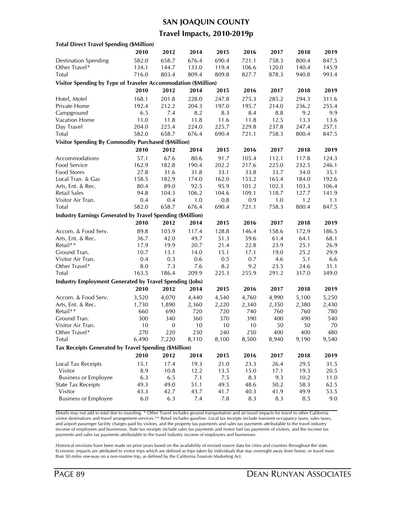### **SAN JOAQUIN COUNTY**

### **Travel Impacts, 2010-2019p**

| 2019<br>2010<br>2012<br>2014<br>2015<br>2016<br>2017<br>2018<br>582.0<br>676.4<br>690.4<br>721.1<br><b>Destination Spending</b><br>658.7<br>758.3<br>800.4<br>847.5<br>Other Travel*<br>119.4<br>145.9<br>134.1<br>144.7<br>133.0<br>106.6<br>120.0<br>140.4<br>Total<br>716.0<br>803.4<br>809.4<br>809.8<br>827.7<br>878.3<br>940.8<br>993.4<br>Visitor Spending by Type of Traveler Accommodation (\$Million)<br>2010<br>2012<br>2014<br>2015<br>2019<br>2016<br>2017<br>2018<br>168.1<br>201.8<br>228.0<br>Hotel, Motel<br>247.8<br>275.3<br>285.2<br>294.3<br>311.6<br>212.2<br>197.0<br>Private Home<br>192.4<br>204.3<br>195.7<br>214.0<br>236.2<br>255.4<br>Campground<br>6.5<br>7.4<br>8.2<br>8.3<br>8.4<br>8.8<br>9.2<br>9.9<br>Vacation Home<br>11.0<br>11.8<br>11.8<br>11.6<br>11.8<br>12.5<br>13.3<br>13.6<br>Day Travel<br>204.0<br>225.4<br>224.0<br>225.7<br>229.8<br>237.8<br>247.4<br>257.1<br><b>Total</b><br>582.0<br>658.7<br>676.4<br>690.4<br>721.1<br>758.3<br>847.5<br>800.4<br><b>Visitor Spending By Commodity Purchased (\$Million)</b><br>2010<br>2012<br>2014<br>2015<br>2016<br>2017<br>2018<br>2019<br>67.6<br>Accommodations<br>57.1<br>80.6<br>91.7<br>105.4<br>112.1<br>124.3<br>117.8<br>Food Service<br>182.8<br>190.4<br>202.2<br>232.5<br>162.9<br>217.6<br>225.0<br>246.1<br>Food Stores<br>33.1<br>35.1<br>27.8<br>31.6<br>31.8<br>33.8<br>33.7<br>34.0<br>192.6<br>Local Tran. & Gas<br>158.5<br>182.9<br>174.0<br>162.0<br>153.2<br>165.4<br>184.0<br>95.9<br>Arts, Ent. & Rec.<br>80.4<br>89.0<br>92.5<br>101.2<br>102.3<br>103.3<br>106.4<br>104.3<br>106.2<br>104.6<br>118.7<br>Retail Sales<br>94.8<br>109.1<br>127.7<br>141.9<br>1.0<br>0.8<br>0.9<br>1.0<br>1.2<br>1.1<br>Visitor Air Tran.<br>0.4<br>0.4<br>582.0<br>658.7<br>676.4<br>690.4<br>721.1<br>758.3<br>800.4<br>Total<br>847.5<br>Industry Earnings Generated by Travel Spending (\$Million)<br>2012<br>2010<br>2014<br>2015<br>2016<br>2017<br>2018<br>2019<br>103.9<br>128.8<br>146.4<br>186.5<br>Accom. & Food Serv.<br>89.8<br>117.4<br>158.6<br>172.9<br>42.0<br>51.3<br>Arts, Ent. & Rec.<br>36.7<br>49.7<br>59.6<br>61.4<br>64.1<br>68.1<br>Retail**<br>22.8<br>17.9<br>19.9<br>20.7<br>21.4<br>23.9<br>25.1<br>26.9<br>Ground Tran.<br>25.2<br>10.7<br>13.1<br>14.0<br>15.1<br>17.1<br>19.0<br>29.9<br>0.4<br>0.6<br>0.5<br>0.7<br>5.1<br>Visitor Air Tran.<br>0.3<br>4.6<br>6.6<br>Other Travel*<br>7.3<br>8.0<br>7.6<br>8.2<br>9.2<br>23.5<br>24.6<br>31.1<br>163.5<br><b>Total</b><br>186.4<br>209.9<br>225.3<br>255.9<br>291.2<br>349.0<br>317.0<br><b>Industry Employment Generated by Travel Spending (Jobs)</b><br>2010<br>2012<br>2014<br>2015<br>2016<br>2017<br>2018<br>2019<br>Accom. & Food Serv.<br>3,520<br>4,070<br>4,440<br>4,540<br>4,760<br>4,990<br>5,100<br>5,250<br>Arts, Ent. & Rec.<br>1,890<br>2,220<br>2,350<br>1,730<br>2,360<br>2,340<br>2,380<br>2,430<br>Retail**<br>720<br>660<br>690<br>720<br>740<br>760<br>760<br>780<br>370<br>Ground Tran.<br>300<br>340<br>360<br>390<br>400<br>490<br>540<br>Visitor Air Tran.<br>10<br>$\boldsymbol{0}$<br>10<br>10<br>10<br>50<br>50<br>70<br>Other Iravel*<br>270<br>220<br>230<br>240<br>250<br>400<br>400<br>480<br>Total<br>6,490<br>7,220<br>8,100<br>8,500<br>8,940<br>9,190<br>9,540<br>8,110<br>Tax Receipts Generated by Travel Spending (\$Million)<br>2010<br>2012<br>2014<br>2015<br>2016<br>2017<br>2018<br>2019<br>17.4<br>Local Tax Receipts<br>15.1<br>19.3<br>21.0<br>23.3<br>26.4<br>29.5<br>31.5<br>12.2<br>13.5<br>Visitor<br>8.9<br>10.8<br>15.0<br>17.1<br>19.3<br>20.5<br><b>Business or Employee</b><br>6.3<br>6.5<br>7.1<br>7.5<br>8.3<br>9.3<br>10.2<br>11.0<br><b>State Tax Receipts</b><br>49.3<br>51.1<br>49.5<br>48.6<br>50.2<br>58.3<br>62.5<br>49.0<br>Visitor<br>43.3<br>42.7<br>43.7<br>41.7<br>40.3<br>41.9<br>49.9<br>53.5<br><b>Business or Employee</b><br>$6.0\,$<br>6.3<br>$7.4\,$<br>8.3<br>8.3<br>8.5<br>9.0<br>7.8 | <b>Total Direct Travel Spending (\$Million)</b> |  |  |  |  |
|----------------------------------------------------------------------------------------------------------------------------------------------------------------------------------------------------------------------------------------------------------------------------------------------------------------------------------------------------------------------------------------------------------------------------------------------------------------------------------------------------------------------------------------------------------------------------------------------------------------------------------------------------------------------------------------------------------------------------------------------------------------------------------------------------------------------------------------------------------------------------------------------------------------------------------------------------------------------------------------------------------------------------------------------------------------------------------------------------------------------------------------------------------------------------------------------------------------------------------------------------------------------------------------------------------------------------------------------------------------------------------------------------------------------------------------------------------------------------------------------------------------------------------------------------------------------------------------------------------------------------------------------------------------------------------------------------------------------------------------------------------------------------------------------------------------------------------------------------------------------------------------------------------------------------------------------------------------------------------------------------------------------------------------------------------------------------------------------------------------------------------------------------------------------------------------------------------------------------------------------------------------------------------------------------------------------------------------------------------------------------------------------------------------------------------------------------------------------------------------------------------------------------------------------------------------------------------------------------------------------------------------------------------------------------------------------------------------------------------------------------------------------------------------------------------------------------------------------------------------------------------------------------------------------------------------------------------------------------------------------------------------------------------------------------------------------------------------------------------------------------------------------------------------------------------------------------------------------------------------------------------------------------------------------------------------------------------------------------------------------------------------------------------------------------------------------------------------------------------------------------------------------------------------------------------------------------------------------------------------------------------------------------------------------------------------------------------------------------------------------------------------------------------------------------------------------------------------------------------------------------------------------------------------------------------------------------------|-------------------------------------------------|--|--|--|--|
|                                                                                                                                                                                                                                                                                                                                                                                                                                                                                                                                                                                                                                                                                                                                                                                                                                                                                                                                                                                                                                                                                                                                                                                                                                                                                                                                                                                                                                                                                                                                                                                                                                                                                                                                                                                                                                                                                                                                                                                                                                                                                                                                                                                                                                                                                                                                                                                                                                                                                                                                                                                                                                                                                                                                                                                                                                                                                                                                                                                                                                                                                                                                                                                                                                                                                                                                                                                                                                                                                                                                                                                                                                                                                                                                                                                                                                                                                                                                                          |                                                 |  |  |  |  |
|                                                                                                                                                                                                                                                                                                                                                                                                                                                                                                                                                                                                                                                                                                                                                                                                                                                                                                                                                                                                                                                                                                                                                                                                                                                                                                                                                                                                                                                                                                                                                                                                                                                                                                                                                                                                                                                                                                                                                                                                                                                                                                                                                                                                                                                                                                                                                                                                                                                                                                                                                                                                                                                                                                                                                                                                                                                                                                                                                                                                                                                                                                                                                                                                                                                                                                                                                                                                                                                                                                                                                                                                                                                                                                                                                                                                                                                                                                                                                          |                                                 |  |  |  |  |
|                                                                                                                                                                                                                                                                                                                                                                                                                                                                                                                                                                                                                                                                                                                                                                                                                                                                                                                                                                                                                                                                                                                                                                                                                                                                                                                                                                                                                                                                                                                                                                                                                                                                                                                                                                                                                                                                                                                                                                                                                                                                                                                                                                                                                                                                                                                                                                                                                                                                                                                                                                                                                                                                                                                                                                                                                                                                                                                                                                                                                                                                                                                                                                                                                                                                                                                                                                                                                                                                                                                                                                                                                                                                                                                                                                                                                                                                                                                                                          |                                                 |  |  |  |  |
|                                                                                                                                                                                                                                                                                                                                                                                                                                                                                                                                                                                                                                                                                                                                                                                                                                                                                                                                                                                                                                                                                                                                                                                                                                                                                                                                                                                                                                                                                                                                                                                                                                                                                                                                                                                                                                                                                                                                                                                                                                                                                                                                                                                                                                                                                                                                                                                                                                                                                                                                                                                                                                                                                                                                                                                                                                                                                                                                                                                                                                                                                                                                                                                                                                                                                                                                                                                                                                                                                                                                                                                                                                                                                                                                                                                                                                                                                                                                                          |                                                 |  |  |  |  |
|                                                                                                                                                                                                                                                                                                                                                                                                                                                                                                                                                                                                                                                                                                                                                                                                                                                                                                                                                                                                                                                                                                                                                                                                                                                                                                                                                                                                                                                                                                                                                                                                                                                                                                                                                                                                                                                                                                                                                                                                                                                                                                                                                                                                                                                                                                                                                                                                                                                                                                                                                                                                                                                                                                                                                                                                                                                                                                                                                                                                                                                                                                                                                                                                                                                                                                                                                                                                                                                                                                                                                                                                                                                                                                                                                                                                                                                                                                                                                          |                                                 |  |  |  |  |
|                                                                                                                                                                                                                                                                                                                                                                                                                                                                                                                                                                                                                                                                                                                                                                                                                                                                                                                                                                                                                                                                                                                                                                                                                                                                                                                                                                                                                                                                                                                                                                                                                                                                                                                                                                                                                                                                                                                                                                                                                                                                                                                                                                                                                                                                                                                                                                                                                                                                                                                                                                                                                                                                                                                                                                                                                                                                                                                                                                                                                                                                                                                                                                                                                                                                                                                                                                                                                                                                                                                                                                                                                                                                                                                                                                                                                                                                                                                                                          |                                                 |  |  |  |  |
|                                                                                                                                                                                                                                                                                                                                                                                                                                                                                                                                                                                                                                                                                                                                                                                                                                                                                                                                                                                                                                                                                                                                                                                                                                                                                                                                                                                                                                                                                                                                                                                                                                                                                                                                                                                                                                                                                                                                                                                                                                                                                                                                                                                                                                                                                                                                                                                                                                                                                                                                                                                                                                                                                                                                                                                                                                                                                                                                                                                                                                                                                                                                                                                                                                                                                                                                                                                                                                                                                                                                                                                                                                                                                                                                                                                                                                                                                                                                                          |                                                 |  |  |  |  |
|                                                                                                                                                                                                                                                                                                                                                                                                                                                                                                                                                                                                                                                                                                                                                                                                                                                                                                                                                                                                                                                                                                                                                                                                                                                                                                                                                                                                                                                                                                                                                                                                                                                                                                                                                                                                                                                                                                                                                                                                                                                                                                                                                                                                                                                                                                                                                                                                                                                                                                                                                                                                                                                                                                                                                                                                                                                                                                                                                                                                                                                                                                                                                                                                                                                                                                                                                                                                                                                                                                                                                                                                                                                                                                                                                                                                                                                                                                                                                          |                                                 |  |  |  |  |
|                                                                                                                                                                                                                                                                                                                                                                                                                                                                                                                                                                                                                                                                                                                                                                                                                                                                                                                                                                                                                                                                                                                                                                                                                                                                                                                                                                                                                                                                                                                                                                                                                                                                                                                                                                                                                                                                                                                                                                                                                                                                                                                                                                                                                                                                                                                                                                                                                                                                                                                                                                                                                                                                                                                                                                                                                                                                                                                                                                                                                                                                                                                                                                                                                                                                                                                                                                                                                                                                                                                                                                                                                                                                                                                                                                                                                                                                                                                                                          |                                                 |  |  |  |  |
|                                                                                                                                                                                                                                                                                                                                                                                                                                                                                                                                                                                                                                                                                                                                                                                                                                                                                                                                                                                                                                                                                                                                                                                                                                                                                                                                                                                                                                                                                                                                                                                                                                                                                                                                                                                                                                                                                                                                                                                                                                                                                                                                                                                                                                                                                                                                                                                                                                                                                                                                                                                                                                                                                                                                                                                                                                                                                                                                                                                                                                                                                                                                                                                                                                                                                                                                                                                                                                                                                                                                                                                                                                                                                                                                                                                                                                                                                                                                                          |                                                 |  |  |  |  |
|                                                                                                                                                                                                                                                                                                                                                                                                                                                                                                                                                                                                                                                                                                                                                                                                                                                                                                                                                                                                                                                                                                                                                                                                                                                                                                                                                                                                                                                                                                                                                                                                                                                                                                                                                                                                                                                                                                                                                                                                                                                                                                                                                                                                                                                                                                                                                                                                                                                                                                                                                                                                                                                                                                                                                                                                                                                                                                                                                                                                                                                                                                                                                                                                                                                                                                                                                                                                                                                                                                                                                                                                                                                                                                                                                                                                                                                                                                                                                          |                                                 |  |  |  |  |
|                                                                                                                                                                                                                                                                                                                                                                                                                                                                                                                                                                                                                                                                                                                                                                                                                                                                                                                                                                                                                                                                                                                                                                                                                                                                                                                                                                                                                                                                                                                                                                                                                                                                                                                                                                                                                                                                                                                                                                                                                                                                                                                                                                                                                                                                                                                                                                                                                                                                                                                                                                                                                                                                                                                                                                                                                                                                                                                                                                                                                                                                                                                                                                                                                                                                                                                                                                                                                                                                                                                                                                                                                                                                                                                                                                                                                                                                                                                                                          |                                                 |  |  |  |  |
|                                                                                                                                                                                                                                                                                                                                                                                                                                                                                                                                                                                                                                                                                                                                                                                                                                                                                                                                                                                                                                                                                                                                                                                                                                                                                                                                                                                                                                                                                                                                                                                                                                                                                                                                                                                                                                                                                                                                                                                                                                                                                                                                                                                                                                                                                                                                                                                                                                                                                                                                                                                                                                                                                                                                                                                                                                                                                                                                                                                                                                                                                                                                                                                                                                                                                                                                                                                                                                                                                                                                                                                                                                                                                                                                                                                                                                                                                                                                                          |                                                 |  |  |  |  |
|                                                                                                                                                                                                                                                                                                                                                                                                                                                                                                                                                                                                                                                                                                                                                                                                                                                                                                                                                                                                                                                                                                                                                                                                                                                                                                                                                                                                                                                                                                                                                                                                                                                                                                                                                                                                                                                                                                                                                                                                                                                                                                                                                                                                                                                                                                                                                                                                                                                                                                                                                                                                                                                                                                                                                                                                                                                                                                                                                                                                                                                                                                                                                                                                                                                                                                                                                                                                                                                                                                                                                                                                                                                                                                                                                                                                                                                                                                                                                          |                                                 |  |  |  |  |
|                                                                                                                                                                                                                                                                                                                                                                                                                                                                                                                                                                                                                                                                                                                                                                                                                                                                                                                                                                                                                                                                                                                                                                                                                                                                                                                                                                                                                                                                                                                                                                                                                                                                                                                                                                                                                                                                                                                                                                                                                                                                                                                                                                                                                                                                                                                                                                                                                                                                                                                                                                                                                                                                                                                                                                                                                                                                                                                                                                                                                                                                                                                                                                                                                                                                                                                                                                                                                                                                                                                                                                                                                                                                                                                                                                                                                                                                                                                                                          |                                                 |  |  |  |  |
|                                                                                                                                                                                                                                                                                                                                                                                                                                                                                                                                                                                                                                                                                                                                                                                                                                                                                                                                                                                                                                                                                                                                                                                                                                                                                                                                                                                                                                                                                                                                                                                                                                                                                                                                                                                                                                                                                                                                                                                                                                                                                                                                                                                                                                                                                                                                                                                                                                                                                                                                                                                                                                                                                                                                                                                                                                                                                                                                                                                                                                                                                                                                                                                                                                                                                                                                                                                                                                                                                                                                                                                                                                                                                                                                                                                                                                                                                                                                                          |                                                 |  |  |  |  |
|                                                                                                                                                                                                                                                                                                                                                                                                                                                                                                                                                                                                                                                                                                                                                                                                                                                                                                                                                                                                                                                                                                                                                                                                                                                                                                                                                                                                                                                                                                                                                                                                                                                                                                                                                                                                                                                                                                                                                                                                                                                                                                                                                                                                                                                                                                                                                                                                                                                                                                                                                                                                                                                                                                                                                                                                                                                                                                                                                                                                                                                                                                                                                                                                                                                                                                                                                                                                                                                                                                                                                                                                                                                                                                                                                                                                                                                                                                                                                          |                                                 |  |  |  |  |
|                                                                                                                                                                                                                                                                                                                                                                                                                                                                                                                                                                                                                                                                                                                                                                                                                                                                                                                                                                                                                                                                                                                                                                                                                                                                                                                                                                                                                                                                                                                                                                                                                                                                                                                                                                                                                                                                                                                                                                                                                                                                                                                                                                                                                                                                                                                                                                                                                                                                                                                                                                                                                                                                                                                                                                                                                                                                                                                                                                                                                                                                                                                                                                                                                                                                                                                                                                                                                                                                                                                                                                                                                                                                                                                                                                                                                                                                                                                                                          |                                                 |  |  |  |  |
|                                                                                                                                                                                                                                                                                                                                                                                                                                                                                                                                                                                                                                                                                                                                                                                                                                                                                                                                                                                                                                                                                                                                                                                                                                                                                                                                                                                                                                                                                                                                                                                                                                                                                                                                                                                                                                                                                                                                                                                                                                                                                                                                                                                                                                                                                                                                                                                                                                                                                                                                                                                                                                                                                                                                                                                                                                                                                                                                                                                                                                                                                                                                                                                                                                                                                                                                                                                                                                                                                                                                                                                                                                                                                                                                                                                                                                                                                                                                                          |                                                 |  |  |  |  |
|                                                                                                                                                                                                                                                                                                                                                                                                                                                                                                                                                                                                                                                                                                                                                                                                                                                                                                                                                                                                                                                                                                                                                                                                                                                                                                                                                                                                                                                                                                                                                                                                                                                                                                                                                                                                                                                                                                                                                                                                                                                                                                                                                                                                                                                                                                                                                                                                                                                                                                                                                                                                                                                                                                                                                                                                                                                                                                                                                                                                                                                                                                                                                                                                                                                                                                                                                                                                                                                                                                                                                                                                                                                                                                                                                                                                                                                                                                                                                          |                                                 |  |  |  |  |
|                                                                                                                                                                                                                                                                                                                                                                                                                                                                                                                                                                                                                                                                                                                                                                                                                                                                                                                                                                                                                                                                                                                                                                                                                                                                                                                                                                                                                                                                                                                                                                                                                                                                                                                                                                                                                                                                                                                                                                                                                                                                                                                                                                                                                                                                                                                                                                                                                                                                                                                                                                                                                                                                                                                                                                                                                                                                                                                                                                                                                                                                                                                                                                                                                                                                                                                                                                                                                                                                                                                                                                                                                                                                                                                                                                                                                                                                                                                                                          |                                                 |  |  |  |  |
|                                                                                                                                                                                                                                                                                                                                                                                                                                                                                                                                                                                                                                                                                                                                                                                                                                                                                                                                                                                                                                                                                                                                                                                                                                                                                                                                                                                                                                                                                                                                                                                                                                                                                                                                                                                                                                                                                                                                                                                                                                                                                                                                                                                                                                                                                                                                                                                                                                                                                                                                                                                                                                                                                                                                                                                                                                                                                                                                                                                                                                                                                                                                                                                                                                                                                                                                                                                                                                                                                                                                                                                                                                                                                                                                                                                                                                                                                                                                                          |                                                 |  |  |  |  |
|                                                                                                                                                                                                                                                                                                                                                                                                                                                                                                                                                                                                                                                                                                                                                                                                                                                                                                                                                                                                                                                                                                                                                                                                                                                                                                                                                                                                                                                                                                                                                                                                                                                                                                                                                                                                                                                                                                                                                                                                                                                                                                                                                                                                                                                                                                                                                                                                                                                                                                                                                                                                                                                                                                                                                                                                                                                                                                                                                                                                                                                                                                                                                                                                                                                                                                                                                                                                                                                                                                                                                                                                                                                                                                                                                                                                                                                                                                                                                          |                                                 |  |  |  |  |
|                                                                                                                                                                                                                                                                                                                                                                                                                                                                                                                                                                                                                                                                                                                                                                                                                                                                                                                                                                                                                                                                                                                                                                                                                                                                                                                                                                                                                                                                                                                                                                                                                                                                                                                                                                                                                                                                                                                                                                                                                                                                                                                                                                                                                                                                                                                                                                                                                                                                                                                                                                                                                                                                                                                                                                                                                                                                                                                                                                                                                                                                                                                                                                                                                                                                                                                                                                                                                                                                                                                                                                                                                                                                                                                                                                                                                                                                                                                                                          |                                                 |  |  |  |  |
|                                                                                                                                                                                                                                                                                                                                                                                                                                                                                                                                                                                                                                                                                                                                                                                                                                                                                                                                                                                                                                                                                                                                                                                                                                                                                                                                                                                                                                                                                                                                                                                                                                                                                                                                                                                                                                                                                                                                                                                                                                                                                                                                                                                                                                                                                                                                                                                                                                                                                                                                                                                                                                                                                                                                                                                                                                                                                                                                                                                                                                                                                                                                                                                                                                                                                                                                                                                                                                                                                                                                                                                                                                                                                                                                                                                                                                                                                                                                                          |                                                 |  |  |  |  |
|                                                                                                                                                                                                                                                                                                                                                                                                                                                                                                                                                                                                                                                                                                                                                                                                                                                                                                                                                                                                                                                                                                                                                                                                                                                                                                                                                                                                                                                                                                                                                                                                                                                                                                                                                                                                                                                                                                                                                                                                                                                                                                                                                                                                                                                                                                                                                                                                                                                                                                                                                                                                                                                                                                                                                                                                                                                                                                                                                                                                                                                                                                                                                                                                                                                                                                                                                                                                                                                                                                                                                                                                                                                                                                                                                                                                                                                                                                                                                          |                                                 |  |  |  |  |
|                                                                                                                                                                                                                                                                                                                                                                                                                                                                                                                                                                                                                                                                                                                                                                                                                                                                                                                                                                                                                                                                                                                                                                                                                                                                                                                                                                                                                                                                                                                                                                                                                                                                                                                                                                                                                                                                                                                                                                                                                                                                                                                                                                                                                                                                                                                                                                                                                                                                                                                                                                                                                                                                                                                                                                                                                                                                                                                                                                                                                                                                                                                                                                                                                                                                                                                                                                                                                                                                                                                                                                                                                                                                                                                                                                                                                                                                                                                                                          |                                                 |  |  |  |  |
|                                                                                                                                                                                                                                                                                                                                                                                                                                                                                                                                                                                                                                                                                                                                                                                                                                                                                                                                                                                                                                                                                                                                                                                                                                                                                                                                                                                                                                                                                                                                                                                                                                                                                                                                                                                                                                                                                                                                                                                                                                                                                                                                                                                                                                                                                                                                                                                                                                                                                                                                                                                                                                                                                                                                                                                                                                                                                                                                                                                                                                                                                                                                                                                                                                                                                                                                                                                                                                                                                                                                                                                                                                                                                                                                                                                                                                                                                                                                                          |                                                 |  |  |  |  |
|                                                                                                                                                                                                                                                                                                                                                                                                                                                                                                                                                                                                                                                                                                                                                                                                                                                                                                                                                                                                                                                                                                                                                                                                                                                                                                                                                                                                                                                                                                                                                                                                                                                                                                                                                                                                                                                                                                                                                                                                                                                                                                                                                                                                                                                                                                                                                                                                                                                                                                                                                                                                                                                                                                                                                                                                                                                                                                                                                                                                                                                                                                                                                                                                                                                                                                                                                                                                                                                                                                                                                                                                                                                                                                                                                                                                                                                                                                                                                          |                                                 |  |  |  |  |
|                                                                                                                                                                                                                                                                                                                                                                                                                                                                                                                                                                                                                                                                                                                                                                                                                                                                                                                                                                                                                                                                                                                                                                                                                                                                                                                                                                                                                                                                                                                                                                                                                                                                                                                                                                                                                                                                                                                                                                                                                                                                                                                                                                                                                                                                                                                                                                                                                                                                                                                                                                                                                                                                                                                                                                                                                                                                                                                                                                                                                                                                                                                                                                                                                                                                                                                                                                                                                                                                                                                                                                                                                                                                                                                                                                                                                                                                                                                                                          |                                                 |  |  |  |  |
|                                                                                                                                                                                                                                                                                                                                                                                                                                                                                                                                                                                                                                                                                                                                                                                                                                                                                                                                                                                                                                                                                                                                                                                                                                                                                                                                                                                                                                                                                                                                                                                                                                                                                                                                                                                                                                                                                                                                                                                                                                                                                                                                                                                                                                                                                                                                                                                                                                                                                                                                                                                                                                                                                                                                                                                                                                                                                                                                                                                                                                                                                                                                                                                                                                                                                                                                                                                                                                                                                                                                                                                                                                                                                                                                                                                                                                                                                                                                                          |                                                 |  |  |  |  |
|                                                                                                                                                                                                                                                                                                                                                                                                                                                                                                                                                                                                                                                                                                                                                                                                                                                                                                                                                                                                                                                                                                                                                                                                                                                                                                                                                                                                                                                                                                                                                                                                                                                                                                                                                                                                                                                                                                                                                                                                                                                                                                                                                                                                                                                                                                                                                                                                                                                                                                                                                                                                                                                                                                                                                                                                                                                                                                                                                                                                                                                                                                                                                                                                                                                                                                                                                                                                                                                                                                                                                                                                                                                                                                                                                                                                                                                                                                                                                          |                                                 |  |  |  |  |
|                                                                                                                                                                                                                                                                                                                                                                                                                                                                                                                                                                                                                                                                                                                                                                                                                                                                                                                                                                                                                                                                                                                                                                                                                                                                                                                                                                                                                                                                                                                                                                                                                                                                                                                                                                                                                                                                                                                                                                                                                                                                                                                                                                                                                                                                                                                                                                                                                                                                                                                                                                                                                                                                                                                                                                                                                                                                                                                                                                                                                                                                                                                                                                                                                                                                                                                                                                                                                                                                                                                                                                                                                                                                                                                                                                                                                                                                                                                                                          |                                                 |  |  |  |  |
|                                                                                                                                                                                                                                                                                                                                                                                                                                                                                                                                                                                                                                                                                                                                                                                                                                                                                                                                                                                                                                                                                                                                                                                                                                                                                                                                                                                                                                                                                                                                                                                                                                                                                                                                                                                                                                                                                                                                                                                                                                                                                                                                                                                                                                                                                                                                                                                                                                                                                                                                                                                                                                                                                                                                                                                                                                                                                                                                                                                                                                                                                                                                                                                                                                                                                                                                                                                                                                                                                                                                                                                                                                                                                                                                                                                                                                                                                                                                                          |                                                 |  |  |  |  |
|                                                                                                                                                                                                                                                                                                                                                                                                                                                                                                                                                                                                                                                                                                                                                                                                                                                                                                                                                                                                                                                                                                                                                                                                                                                                                                                                                                                                                                                                                                                                                                                                                                                                                                                                                                                                                                                                                                                                                                                                                                                                                                                                                                                                                                                                                                                                                                                                                                                                                                                                                                                                                                                                                                                                                                                                                                                                                                                                                                                                                                                                                                                                                                                                                                                                                                                                                                                                                                                                                                                                                                                                                                                                                                                                                                                                                                                                                                                                                          |                                                 |  |  |  |  |
|                                                                                                                                                                                                                                                                                                                                                                                                                                                                                                                                                                                                                                                                                                                                                                                                                                                                                                                                                                                                                                                                                                                                                                                                                                                                                                                                                                                                                                                                                                                                                                                                                                                                                                                                                                                                                                                                                                                                                                                                                                                                                                                                                                                                                                                                                                                                                                                                                                                                                                                                                                                                                                                                                                                                                                                                                                                                                                                                                                                                                                                                                                                                                                                                                                                                                                                                                                                                                                                                                                                                                                                                                                                                                                                                                                                                                                                                                                                                                          |                                                 |  |  |  |  |
|                                                                                                                                                                                                                                                                                                                                                                                                                                                                                                                                                                                                                                                                                                                                                                                                                                                                                                                                                                                                                                                                                                                                                                                                                                                                                                                                                                                                                                                                                                                                                                                                                                                                                                                                                                                                                                                                                                                                                                                                                                                                                                                                                                                                                                                                                                                                                                                                                                                                                                                                                                                                                                                                                                                                                                                                                                                                                                                                                                                                                                                                                                                                                                                                                                                                                                                                                                                                                                                                                                                                                                                                                                                                                                                                                                                                                                                                                                                                                          |                                                 |  |  |  |  |
|                                                                                                                                                                                                                                                                                                                                                                                                                                                                                                                                                                                                                                                                                                                                                                                                                                                                                                                                                                                                                                                                                                                                                                                                                                                                                                                                                                                                                                                                                                                                                                                                                                                                                                                                                                                                                                                                                                                                                                                                                                                                                                                                                                                                                                                                                                                                                                                                                                                                                                                                                                                                                                                                                                                                                                                                                                                                                                                                                                                                                                                                                                                                                                                                                                                                                                                                                                                                                                                                                                                                                                                                                                                                                                                                                                                                                                                                                                                                                          |                                                 |  |  |  |  |
|                                                                                                                                                                                                                                                                                                                                                                                                                                                                                                                                                                                                                                                                                                                                                                                                                                                                                                                                                                                                                                                                                                                                                                                                                                                                                                                                                                                                                                                                                                                                                                                                                                                                                                                                                                                                                                                                                                                                                                                                                                                                                                                                                                                                                                                                                                                                                                                                                                                                                                                                                                                                                                                                                                                                                                                                                                                                                                                                                                                                                                                                                                                                                                                                                                                                                                                                                                                                                                                                                                                                                                                                                                                                                                                                                                                                                                                                                                                                                          |                                                 |  |  |  |  |
|                                                                                                                                                                                                                                                                                                                                                                                                                                                                                                                                                                                                                                                                                                                                                                                                                                                                                                                                                                                                                                                                                                                                                                                                                                                                                                                                                                                                                                                                                                                                                                                                                                                                                                                                                                                                                                                                                                                                                                                                                                                                                                                                                                                                                                                                                                                                                                                                                                                                                                                                                                                                                                                                                                                                                                                                                                                                                                                                                                                                                                                                                                                                                                                                                                                                                                                                                                                                                                                                                                                                                                                                                                                                                                                                                                                                                                                                                                                                                          |                                                 |  |  |  |  |
|                                                                                                                                                                                                                                                                                                                                                                                                                                                                                                                                                                                                                                                                                                                                                                                                                                                                                                                                                                                                                                                                                                                                                                                                                                                                                                                                                                                                                                                                                                                                                                                                                                                                                                                                                                                                                                                                                                                                                                                                                                                                                                                                                                                                                                                                                                                                                                                                                                                                                                                                                                                                                                                                                                                                                                                                                                                                                                                                                                                                                                                                                                                                                                                                                                                                                                                                                                                                                                                                                                                                                                                                                                                                                                                                                                                                                                                                                                                                                          |                                                 |  |  |  |  |
|                                                                                                                                                                                                                                                                                                                                                                                                                                                                                                                                                                                                                                                                                                                                                                                                                                                                                                                                                                                                                                                                                                                                                                                                                                                                                                                                                                                                                                                                                                                                                                                                                                                                                                                                                                                                                                                                                                                                                                                                                                                                                                                                                                                                                                                                                                                                                                                                                                                                                                                                                                                                                                                                                                                                                                                                                                                                                                                                                                                                                                                                                                                                                                                                                                                                                                                                                                                                                                                                                                                                                                                                                                                                                                                                                                                                                                                                                                                                                          |                                                 |  |  |  |  |
|                                                                                                                                                                                                                                                                                                                                                                                                                                                                                                                                                                                                                                                                                                                                                                                                                                                                                                                                                                                                                                                                                                                                                                                                                                                                                                                                                                                                                                                                                                                                                                                                                                                                                                                                                                                                                                                                                                                                                                                                                                                                                                                                                                                                                                                                                                                                                                                                                                                                                                                                                                                                                                                                                                                                                                                                                                                                                                                                                                                                                                                                                                                                                                                                                                                                                                                                                                                                                                                                                                                                                                                                                                                                                                                                                                                                                                                                                                                                                          |                                                 |  |  |  |  |
|                                                                                                                                                                                                                                                                                                                                                                                                                                                                                                                                                                                                                                                                                                                                                                                                                                                                                                                                                                                                                                                                                                                                                                                                                                                                                                                                                                                                                                                                                                                                                                                                                                                                                                                                                                                                                                                                                                                                                                                                                                                                                                                                                                                                                                                                                                                                                                                                                                                                                                                                                                                                                                                                                                                                                                                                                                                                                                                                                                                                                                                                                                                                                                                                                                                                                                                                                                                                                                                                                                                                                                                                                                                                                                                                                                                                                                                                                                                                                          |                                                 |  |  |  |  |
|                                                                                                                                                                                                                                                                                                                                                                                                                                                                                                                                                                                                                                                                                                                                                                                                                                                                                                                                                                                                                                                                                                                                                                                                                                                                                                                                                                                                                                                                                                                                                                                                                                                                                                                                                                                                                                                                                                                                                                                                                                                                                                                                                                                                                                                                                                                                                                                                                                                                                                                                                                                                                                                                                                                                                                                                                                                                                                                                                                                                                                                                                                                                                                                                                                                                                                                                                                                                                                                                                                                                                                                                                                                                                                                                                                                                                                                                                                                                                          |                                                 |  |  |  |  |
|                                                                                                                                                                                                                                                                                                                                                                                                                                                                                                                                                                                                                                                                                                                                                                                                                                                                                                                                                                                                                                                                                                                                                                                                                                                                                                                                                                                                                                                                                                                                                                                                                                                                                                                                                                                                                                                                                                                                                                                                                                                                                                                                                                                                                                                                                                                                                                                                                                                                                                                                                                                                                                                                                                                                                                                                                                                                                                                                                                                                                                                                                                                                                                                                                                                                                                                                                                                                                                                                                                                                                                                                                                                                                                                                                                                                                                                                                                                                                          |                                                 |  |  |  |  |
|                                                                                                                                                                                                                                                                                                                                                                                                                                                                                                                                                                                                                                                                                                                                                                                                                                                                                                                                                                                                                                                                                                                                                                                                                                                                                                                                                                                                                                                                                                                                                                                                                                                                                                                                                                                                                                                                                                                                                                                                                                                                                                                                                                                                                                                                                                                                                                                                                                                                                                                                                                                                                                                                                                                                                                                                                                                                                                                                                                                                                                                                                                                                                                                                                                                                                                                                                                                                                                                                                                                                                                                                                                                                                                                                                                                                                                                                                                                                                          |                                                 |  |  |  |  |
|                                                                                                                                                                                                                                                                                                                                                                                                                                                                                                                                                                                                                                                                                                                                                                                                                                                                                                                                                                                                                                                                                                                                                                                                                                                                                                                                                                                                                                                                                                                                                                                                                                                                                                                                                                                                                                                                                                                                                                                                                                                                                                                                                                                                                                                                                                                                                                                                                                                                                                                                                                                                                                                                                                                                                                                                                                                                                                                                                                                                                                                                                                                                                                                                                                                                                                                                                                                                                                                                                                                                                                                                                                                                                                                                                                                                                                                                                                                                                          |                                                 |  |  |  |  |
|                                                                                                                                                                                                                                                                                                                                                                                                                                                                                                                                                                                                                                                                                                                                                                                                                                                                                                                                                                                                                                                                                                                                                                                                                                                                                                                                                                                                                                                                                                                                                                                                                                                                                                                                                                                                                                                                                                                                                                                                                                                                                                                                                                                                                                                                                                                                                                                                                                                                                                                                                                                                                                                                                                                                                                                                                                                                                                                                                                                                                                                                                                                                                                                                                                                                                                                                                                                                                                                                                                                                                                                                                                                                                                                                                                                                                                                                                                                                                          |                                                 |  |  |  |  |
|                                                                                                                                                                                                                                                                                                                                                                                                                                                                                                                                                                                                                                                                                                                                                                                                                                                                                                                                                                                                                                                                                                                                                                                                                                                                                                                                                                                                                                                                                                                                                                                                                                                                                                                                                                                                                                                                                                                                                                                                                                                                                                                                                                                                                                                                                                                                                                                                                                                                                                                                                                                                                                                                                                                                                                                                                                                                                                                                                                                                                                                                                                                                                                                                                                                                                                                                                                                                                                                                                                                                                                                                                                                                                                                                                                                                                                                                                                                                                          |                                                 |  |  |  |  |

Details may not add to total due to rounding. \* Other Travel includes ground transportation and air travel impacts for travel to other California visitor destinations and travel arrangement services.\*\* Retail includes gasoline. Local tax receipts include transient occupancy taxes, sales taxes, and airport passenger facility charges paid by visitors, and the property tax payments and sales tax payments attributable to the travel industry income of employees and businesses. State tax receipts include sales tax payments and motor fuel tax payments of visitors, and the income tax payments and sales tax payments attributable to the travel industry income of employees and businesses.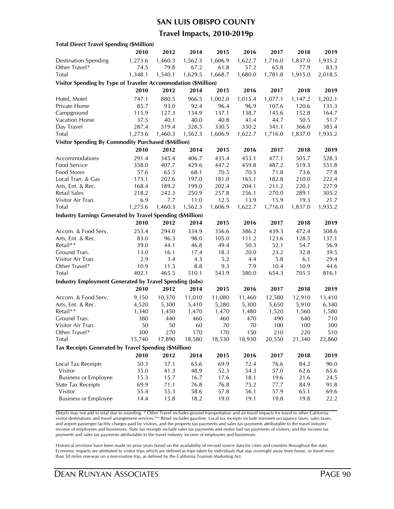#### **SAN LUIS OBISPO COUNTY**

### **Travel Impacts, 2010-2019p**

| <b>Total Direct Travel Spending (\$Million)</b>                   |               |         |         |                 |                  |                  |         |                |
|-------------------------------------------------------------------|---------------|---------|---------|-----------------|------------------|------------------|---------|----------------|
|                                                                   | 2010          | 2012    | 2014    | 2015            | 2016             | 2017             | 2018    | 2019           |
| <b>Destination Spending</b>                                       | 1,273.6       | 1,460.3 | 1,562.3 | 1,606.9         | 1,622.7          | 1,716.0          | 1,837.0 | 1,935.2        |
| Other Travel*                                                     | 74.5          | 79.8    | 67.2    | 61.8            | 57.2             | 65.8             | 77.9    | 83.3           |
| Total                                                             | 1,348.1       | 1,540.1 | 1,629.5 | 1,668.7         | 1,680.0          | 1,781.8          | 1,915.0 | 2,018.5        |
| Visitor Spending by Type of Traveler Accommodation (\$Million)    |               |         |         |                 |                  |                  |         |                |
|                                                                   | 2010          | 2012    | 2014    | 2015            | 2016             | 2017             | 2018    | 2019           |
|                                                                   | 747.1         | 880.5   | 966.5   |                 | 1,015.4          |                  |         |                |
| Hotel, Motel<br>Private Home                                      | 85.7          | 93.0    | 92.4    | 1,002.0<br>96.4 | 96.9             | 1,077.1<br>107.6 | 1,147.2 | 1,202.1        |
|                                                                   |               | 127.3   | 134.9   | 137.1           | 138.7            | 145.6            | 120.6   | 131.3<br>164.7 |
| Campground                                                        | 115.9<br>37.5 | 40.1    | 40.0    | 40.8            | 41.4             | 44.7             | 152.8   | 51.7           |
| Vacation Home                                                     | 287.4         | 319.4   |         |                 |                  |                  | 50.5    | 385.4          |
| Day Travel                                                        |               |         | 328.5   | 330.5           | 330.2<br>1,622.7 | 341.1            | 366.0   |                |
| <b>Total</b>                                                      | 1,273.6       | 1,460.3 | 1,562.3 | 1,606.9         |                  | 1,716.0          | 1,837.0 | 1,935.2        |
| <b>Visitor Spending By Commodity Purchased (\$Million)</b>        |               |         |         |                 |                  |                  |         |                |
|                                                                   | 2010          | 2012    | 2014    | 2015            | 2016             | 2017             | 2018    | 2019           |
| Accommodations                                                    | 291.4         | 345.4   | 406.7   | 435.4           | 453.1            | 477.1            | 505.7   | 528.3          |
| Food Service                                                      | 358.0         | 407.7   | 429.6   | 447.2           | 459.8            | 487.2            | 519.3   | 551.8          |
| Food Stores                                                       | 57.6          | 65.5    | 68.1    | 70.5            | 70.5             | 71.8             | 73.6    | 77.8           |
| Local Tran. & Gas                                                 | 173.1         | 202.6   | 197.0   | 181.0           | 165.1            | 182.8            | 210.0   | 222.4          |
| Arts, Ent. & Rec.                                                 | 168.4         | 189.2   | 199.0   | 202.4           | 204.1            | 211.2            | 220.1   | 227.9          |
| <b>Retail Sales</b>                                               | 218.2         | 242.3   | 250.9   | 257.8           | 256.1            | 270.0            | 289.1   | 305.2          |
| Visitor Air Tran.                                                 | 6.9           | 7.7     | 11.0    | 12.5            | 13.9             | 15.9             | 19.3    | 21.7           |
| Total                                                             | 1,273.6       | 1,460.3 | 1,562.3 | 1,606.9         | 1,622.7          | 1,716.0          | 1,837.0 | 1,935.2        |
| <b>Industry Earnings Generated by Travel Spending (\$Million)</b> |               |         |         |                 |                  |                  |         |                |
|                                                                   | 2010          | 2012    | 2014    | 2015            | 2016             | 2017             | 2018    | 2019           |
| Accom. & Food Serv.                                               | 253.4         | 294.0   | 334.9   | 356.6           | 386.2            | 439.3            | 472.4   | 508.6          |
| Arts, Ent. & Rec.                                                 | 83.0          | 96.3    | 98.0    | 105.0           | 111.2            | 123.6            | 128.5   | 137.1          |
| Retail**                                                          | 39.0          | 44.1    | 46.8    | 49.4            | 50.3             | 52.1             | 54.7    | 56.9           |
| Ground Tran.                                                      | 13.0          | 16.1    | 17.4    | 18.3            | 20.0             | 23.2             | 32.8    | 39.5           |
| Visitor Air Tran.                                                 | 2.9           | 3.4     | 4.3     | 5.2             | 4.4              | 5.8              | 6.1     | 29.4           |
| Other Travel*                                                     | 10.9          | 11.5    | 8.8     | 9.3             | 7.9              | 10.4             | 10.9    | 44.6           |
| Total                                                             | 402.1         | 465.5   | 510.1   | 543.9           | 580.0            | 654.3            | 705.5   | 816.1          |
| <b>Industry Employment Generated by Travel Spending (Jobs)</b>    |               |         |         |                 |                  |                  |         |                |
|                                                                   | 2010          | 2012    | 2014    | 2015            | 2016             | 2017             | 2018    | 2019           |
| Accom. & Food Serv.                                               | 9,150         | 10,370  | 11,010  | 11,080          | 11,460           | 12,580           | 12,910  | 13,410         |
| Arts, Ent. & Rec.                                                 | 4,520         | 5,300   | 5,410   | 5,280           | 5,300            | 5,650            | 5,910   | 6,340          |
| Retail**                                                          | 1,340         | 1,450   | 1,470   | 1,470           | 1,480            | 1,520            | 1,560   | 1,580          |
| Ground Tran.                                                      | 380           | 440     | 460     | 460             | 470              | 490              | 640     | 710            |
| Visitor Air Tran.                                                 | 50            | 50      | 60      | 70              | 70               | 100              | 100     | 300            |
| Other Travel*                                                     | 300           | 270     | 170     | 170             | 150              | 210              | 220     | 510            |
| Total                                                             | 15,740        | 17,890  | 18,580  | 18,530          | 18,930           | 20,550           | 21,340  | 22,860         |
| Tax Receipts Generated by Travel Spending (\$Million)             |               |         |         |                 |                  |                  |         |                |
|                                                                   |               |         |         |                 |                  |                  |         |                |
|                                                                   | 2010          | 2012    | 2014    | 2015            | 2016             | 2017             | 2018    | 2019           |
| Local Tax Receipts                                                | 50.3          | 57.1    | 65.6    | 69.9            | 72.4             | 76.6             | 84.2    | 90.0           |
| Visitor                                                           | 35.0          | 41.3    | 48.9    | 52.3            | 54.3             | 57.0             | 62.6    | 65.6           |
| <b>Business or Employee</b>                                       | 15.3          | 15.7    | 16.7    | 17.6            | 18.1             | 19.6             | 21.6    | 24.5           |
| <b>State Tax Receipts</b>                                         | 69.9          | 71.1    | 76.8    | 76.8            | 75.2             | 77.7             | 84.9    | 91.8           |
| Visitor                                                           | 55.4          | 55.3    | 58.6    | 57.8            | 56.1             | 57.9             | 65.1    | 69.6           |
| <b>Business or Employee</b>                                       | 14.4          | 15.8    | 18.2    | 19.0            | 19.1             | 19.8             | 19.8    | 22.2           |

Details may not add to total due to rounding. \* Other Travel includes ground transportation and air travel impacts for travel to other California visitor destinations and travel arrangement services.\*\* Retail includes gasoline. Local tax receipts include transient occupancy taxes, sales taxes, and airport passenger facility charges paid by visitors, and the property tax payments and sales tax payments attributable to the travel industry income of employees and businesses. State tax receipts include sales tax payments and motor fuel tax payments of visitors, and the income tax payments and sales tax payments attributable to the travel industry income of employees and businesses.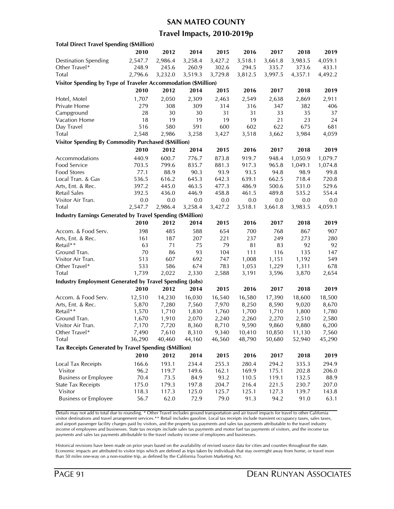### **SAN MATEO COUNTY**

### **Travel Impacts, 2010-2019p**

| <b>Total Direct Travel Spending (\$Million)</b>                   |         |         |         |         |         |         |         |         |
|-------------------------------------------------------------------|---------|---------|---------|---------|---------|---------|---------|---------|
|                                                                   | 2010    | 2012    | 2014    | 2015    | 2016    | 2017    | 2018    | 2019    |
| <b>Destination Spending</b>                                       | 2,547.7 | 2,986.4 | 3,258.4 | 3,427.2 | 3,518.1 | 3,661.8 | 3,983.5 | 4,059.1 |
| Other Travel*                                                     | 248.9   | 245.6   | 260.9   | 302.6   | 294.5   | 335.7   | 373.6   | 433.1   |
| <b>Total</b>                                                      | 2,796.6 | 3,232.0 | 3,519.3 | 3,729.8 | 3,812.5 | 3,997.5 | 4,357.1 | 4,492.2 |
| Visitor Spending by Type of Traveler Accommodation (\$Million)    |         |         |         |         |         |         |         |         |
|                                                                   | 2010    | 2012    | 2014    | 2015    | 2016    | 2017    | 2018    | 2019    |
| Hotel, Motel                                                      | 1,707   | 2,050   | 2,309   | 2,463   | 2,549   | 2,638   | 2,869   | 2,911   |
| Private Home                                                      | 279     | 308     | 309     | 314     | 316     | 347     | 382     | 406     |
| Campground                                                        | 28      | 30      | 30      | 31      | 31      | 33      | 35      | 37      |
| Vacation Home                                                     | 18      | 19      | 19      | 19      | 19      | 21      | 23      | 24      |
| Day Travel                                                        | 516     | 580     | 591     | 600     | 602     | 622     | 675     | 681     |
| <b>Total</b>                                                      | 2,548   | 2,986   | 3,258   | 3,427   | 3,518   | 3,662   | 3,984   | 4,059   |
| <b>Visitor Spending By Commodity Purchased (\$Million)</b>        |         |         |         |         |         |         |         |         |
|                                                                   | 2010    | 2012    | 2014    | 2015    | 2016    | 2017    | 2018    | 2019    |
|                                                                   |         |         |         |         |         |         |         |         |
| Accommodations                                                    | 440.9   | 600.7   | 776.7   | 873.8   | 919.7   | 948.4   | 1,050.9 | 1,079.7 |
| Food Service                                                      | 703.5   | 799.6   | 835.7   | 881.3   | 917.3   | 965.8   | 1,049.1 | 1,074.8 |
| <b>Food Stores</b>                                                | 77.1    | 88.9    | 90.3    | 93.9    | 93.5    | 94.8    | 98.9    | 99.8    |
| Local Tran. & Gas                                                 | 536.5   | 616.2   | 645.3   | 642.3   | 639.1   | 662.5   | 718.4   | 720.8   |
| Arts, Ent. & Rec.                                                 | 397.2   | 445.0   | 463.5   | 477.3   | 486.9   | 500.6   | 531.0   | 529.6   |
| Retail Sales                                                      | 392.5   | 436.0   | 446.9   | 458.8   | 461.5   | 489.8   | 535.2   | 554.4   |
| Visitor Air Tran.                                                 | 0.0     | 0.0     | 0.0     | 0.0     | 0.0     | 0.0     | 0.0     | 0.0     |
| Total                                                             | 2,547.7 | 2,986.4 | 3,258.4 | 3,427.2 | 3,518.1 | 3,661.8 | 3,983.5 | 4,059.1 |
| <b>Industry Earnings Generated by Travel Spending (\$Million)</b> |         |         |         |         |         |         |         |         |
|                                                                   | 2010    | 2012    | 2014    | 2015    | 2016    | 2017    | 2018    | 2019    |
| Accom. & Food Serv.                                               | 398     | 485     | 588     | 654     | 700     | 768     | 867     | 907     |
| Arts, Ent. & Rec.                                                 | 161     | 187     | 207     | 221     | 237     | 249     | 273     | 280     |
| Retail**                                                          | 63      | 71      | 75      | 79      | 81      | 83      | 92      | 92      |
| Ground Tran.                                                      | 70      | 86      | 93      | 104     | 111     | 116     | 135     | 147     |
| Visitor Air Tran.                                                 | 513     | 607     | 692     | 747     | 1,008   | 1,151   | 1,192   | 549     |
| Other Travel*                                                     | 533     | 586     | 674     | 783     | 1,053   | 1,229   | 1,311   | 678     |
| <b>Total</b>                                                      | 1,739   | 2,022   | 2,330   | 2,588   | 3,191   | 3,596   | 3,870   | 2,654   |
| <b>Industry Employment Generated by Travel Spending (Jobs)</b>    |         |         |         |         |         |         |         |         |
|                                                                   | 2010    | 2012    | 2014    | 2015    | 2016    | 2017    | 2018    | 2019    |
| Accom. & Food Serv.                                               | 12,510  | 14,230  | 16,030  | 16,540  | 16,580  | 17,390  | 18,600  | 18,500  |
| Arts, Ent. & Rec.                                                 | 5,870   | 7,280   | 7,560   | 7,970   | 8,250   | 8,590   | 9,020   | 8,670   |
| Retail**                                                          | 1,570   | 1,710   | 1,830   | 1,760   | 1,700   | 1,710   | 1,800   | 1,780   |
| Ground Tran.                                                      | 1,670   | 1,910   | 2,070   | 2,240   | 2,260   | 2,270   | 2,510   | 2,580   |
| Visitor Air Tran.                                                 | 7,170   | 7,720   | 8,360   | 8,710   | 9,590   | 9,860   | 9,880   | 6,200   |
| Other Travel*                                                     | 7,490   | 7,610   | 8,310   | 9,340   | 10,410  | 10,850  | 11,130  | 7,560   |
| <b>Total</b>                                                      | 36,290  | 40,460  | 44,160  | 46,560  | 48,790  | 50,680  | 52,940  | 45,290  |
| Tax Receipts Generated by Travel Spending (\$Million)             |         |         |         |         |         |         |         |         |
|                                                                   | 2010    | 2012    | 2014    | 2015    | 2016    | 2017    | 2018    | 2019    |
| Local Tax Receipts                                                | 166.6   | 193.1   | 234.4   | 255.3   | 280.4   | 294.2   | 335.3   | 294.9   |
| Visitor                                                           | 96.2    | 119.7   | 149.6   | 162.1   | 169.9   | 175.1   | 202.8   | 206.0   |
| <b>Business or Employee</b>                                       | 70.4    | 73.5    | 84.9    | 93.2    | 110.5   | 119.1   | 132.5   | 88.9    |
| <b>State Tax Receipts</b>                                         | 175.0   | 179.3   | 197.8   | 204.7   | 216.4   | 221.5   | 230.7   | 207.0   |
| Visitor                                                           | 118.3   | 117.3   | 125.0   | 125.7   | 125.1   | 127.3   | 139.7   | 143.8   |
| <b>Business or Employee</b>                                       | 56.7    | 62.0    | 72.9    | 79.0    | 91.3    | 94.2    | 91.0    | 63.1    |
|                                                                   |         |         |         |         |         |         |         |         |

Details may not add to total due to rounding. \* Other Travel includes ground transportation and air travel impacts for travel to other California visitor destinations and travel arrangement services.\*\* Retail includes gasoline. Local tax receipts include transient occupancy taxes, sales taxes, and airport passenger facility charges paid by visitors, and the property tax payments and sales tax payments attributable to the travel industry income of employees and businesses. State tax receipts include sales tax payments and motor fuel tax payments of visitors, and the income tax payments and sales tax payments attributable to the travel industry income of employees and businesses.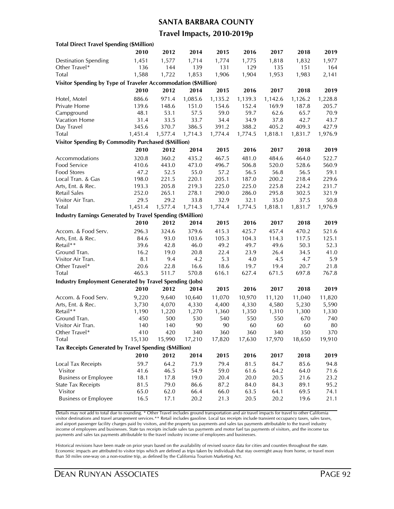#### **SANTA BARBARA COUNTY**

### **Travel Impacts, 2010-2019p**

| <b>Total Direct Travel Spending (\$Million)</b>                |         |         |         |         |         |         |         |         |
|----------------------------------------------------------------|---------|---------|---------|---------|---------|---------|---------|---------|
|                                                                | 2010    | 2012    | 2014    | 2015    | 2016    | 2017    | 2018    | 2019    |
| <b>Destination Spending</b>                                    | 1,451   | 1,577   | 1,714   | 1,774   | 1,775   | 1,818   | 1,832   | 1,977   |
| Other Travel*                                                  | 136     | 144     | 139     | 131     | 129     | 135     | 151     | 164     |
| Total                                                          | 1,588   | 1,722   | 1,853   | 1,906   | 1,904   | 1,953   | 1,983   | 2,141   |
| Visitor Spending by Type of Traveler Accommodation (\$Million) |         |         |         |         |         |         |         |         |
|                                                                | 2010    | 2012    | 2014    | 2015    | 2016    | 2017    | 2018    | 2019    |
| Hotel, Motel                                                   | 886.6   | 971.4   | 1,085.6 | 1,135.2 | 1,139.3 | 1,142.6 | 1,126.2 | 1,228.8 |
| Private Home                                                   | 139.6   | 148.6   | 151.0   | 154.6   | 152.4   | 169.9   | 187.8   | 205.7   |
| Campground                                                     | 48.1    | 53.1    | 57.5    | 59.0    | 59.7    | 62.6    | 65.7    | 70.9    |
| Vacation Home                                                  | 31.4    | 33.5    | 33.7    | 34.4    | 34.9    | 37.8    | 42.7    | 43.7    |
| Day Travel                                                     | 345.6   | 370.7   | 386.5   | 391.2   | 388.2   | 405.2   | 409.3   | 427.9   |
| <b>Total</b>                                                   | 1,451.4 | 1,577.4 | 1,714.3 | 1,774.4 | 1,774.5 | 1,818.1 | 1,831.7 | 1,976.9 |
| <b>Visitor Spending By Commodity Purchased (\$Million)</b>     |         |         |         |         |         |         |         |         |
|                                                                | 2010    | 2012    | 2014    | 2015    | 2016    | 2017    | 2018    | 2019    |
| Accommodations                                                 | 320.8   | 360.2   | 435.2   | 467.5   | 481.0   | 484.6   | 464.0   | 522.7   |
| Food Service                                                   | 410.6   | 443.0   | 473.0   | 496.7   | 506.8   | 520.0   | 528.6   | 560.9   |
| <b>Food Stores</b>                                             | 47.2    | 52.5    | 55.0    | 57.2    | 56.5    | 56.8    | 56.5    | 59.1    |
| Local Tran. & Gas                                              | 198.0   | 221.5   | 220.1   | 205.1   | 187.0   | 200.2   | 218.4   | 229.6   |
| Arts, Ent. & Rec.                                              | 193.3   | 205.8   | 219.3   | 225.0   | 225.0   | 225.8   | 224.2   | 231.7   |
| <b>Retail Sales</b>                                            | 252.0   | 265.1   | 278.1   | 290.0   | 286.0   | 295.8   | 302.5   | 321.9   |
| Visitor Air Tran.                                              | 29.5    | 29.2    | 33.8    | 32.9    | 32.1    | 35.0    | 37.5    | 50.8    |
| Total                                                          | 1,451.4 | 1,577.4 | 1,714.3 | 1,774.4 | 1,774.5 | 1,818.1 | 1,831.7 | 1,976.9 |
| Industry Earnings Generated by Travel Spending (\$Million)     |         |         |         |         |         |         |         |         |
|                                                                | 2010    | 2012    | 2014    | 2015    | 2016    | 2017    | 2018    | 2019    |
| Accom. & Food Serv.                                            | 296.3   | 324.6   | 379.6   | 415.3   | 425.7   | 457.4   | 470.2   | 521.6   |
| Arts, Ent. & Rec.                                              | 84.6    | 93.0    | 103.6   | 105.3   | 104.3   | 114.3   | 117.5   | 125.1   |
| Retail**                                                       | 39.6    | 42.8    | 46.0    | 49.2    | 49.7    | 49.6    | 50.3    | 52.3    |
| Ground Tran.                                                   | 16.2    | 19.0    | 20.8    | 22.4    | 23.9    | 26.4    | 34.5    | 41.0    |
| Visitor Air Tran.                                              | 8.1     | 9.4     | 4.2     | 5.3     | 4.0     | 4.5     | 4.7     | 5.9     |
| Other Travel*                                                  | 20.6    | 22.8    | 16.6    | 18.6    | 19.7    | 19.4    | 20.7    | 21.8    |
| Total                                                          | 465.3   | 511.7   | 570.8   | 616.1   | 627.4   | 671.5   | 697.8   | 767.8   |
| <b>Industry Employment Generated by Travel Spending (Jobs)</b> |         |         |         |         |         |         |         |         |
|                                                                | 2010    | 2012    | 2014    | 2015    | 2016    | 2017    | 2018    | 2019    |
| Accom. & Food Serv.                                            | 9,220   | 9,640   | 10,640  | 11,070  | 10,970  | 11,120  | 11,040  | 11,820  |
| Arts, Ent. & Rec.                                              | 3,730   | 4,070   | 4,330   | 4,400   | 4,330   | 4,580   | 5,230   | 5,590   |
| Retail**                                                       | 1,190   | 1,220   | 1,270   | 1,360   | 1,350   | 1,310   | 1,300   | 1,330   |
| Ground Tran.                                                   | 450     | 500     | 530     | 540     | 550     | 550     | 670     | 740     |
| Visitor Air Tran.                                              | 140     | 140     | 90      | 90      | 60      | 60      | 60      | 80      |
| Other Travel*                                                  | 410     | 420     | 340     | 360     | 360     | 340     | 350     | 370     |
| <b>Total</b>                                                   | 15,130  | 15,990  | 17,210  | 17,820  | 17,630  | 17,970  | 18,650  | 19,910  |
| Tax Receipts Generated by Travel Spending (\$Million)          |         |         |         |         |         |         |         |         |
|                                                                | 2010    | 2012    | 2014    | 2015    | 2016    | 2017    | 2018    | 2019    |
| Local Tax Receipts                                             | 59.7    | 64.2    | 73.9    | 79.4    | 81.5    | 84.7    | 85.6    | 94.8    |
| Visitor                                                        | 41.6    | 46.5    | 54.9    | 59.0    | 61.6    | 64.2    | 64.0    | 71.6    |
| <b>Business or Employee</b>                                    | 18.1    | 17.8    | 19.0    | 20.4    | 20.0    | 20.5    | 21.6    | 23.2    |
| <b>State Tax Receipts</b>                                      | 81.5    | 79.0    | 86.6    | 87.2    | 84.0    | 84.3    | 89.1    | 95.2    |
| Visitor                                                        | 65.0    | 62.0    | 66.4    | 66.0    | 63.5    | 64.1    | 69.5    | 74.1    |
| <b>Business or Employee</b>                                    | 16.5    | 17.1    | 20.2    | 21.3    | 20.5    | 20.2    | 19.6    | 21.1    |
|                                                                |         |         |         |         |         |         |         |         |

Details may not add to total due to rounding. \* Other Travel includes ground transportation and air travel impacts for travel to other California visitor destinations and travel arrangement services.\*\* Retail includes gasoline. Local tax receipts include transient occupancy taxes, sales taxes, and airport passenger facility charges paid by visitors, and the property tax payments and sales tax payments attributable to the travel industry income of employees and businesses. State tax receipts include sales tax payments and motor fuel tax payments of visitors, and the income tax payments and sales tax payments attributable to the travel industry income of employees and businesses.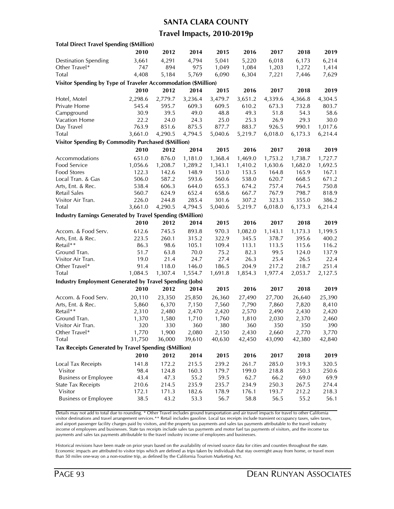### **SANTA CLARA COUNTY**

### **Travel Impacts, 2010-2019p**

| <b>Total Direct Travel Spending (\$Million)</b>                   |         |         |         |         |         |         |         |         |
|-------------------------------------------------------------------|---------|---------|---------|---------|---------|---------|---------|---------|
|                                                                   | 2010    | 2012    | 2014    | 2015    | 2016    | 2017    | 2018    | 2019    |
| <b>Destination Spending</b>                                       | 3,661   | 4,291   | 4,794   | 5,041   | 5,220   | 6,018   | 6,173   | 6,214   |
| Other Travel*                                                     | 747     | 894     | 975     | 1,049   | 1,084   | 1,203   | 1,272   | 1,414   |
| Total                                                             | 4,408   | 5,184   | 5,769   | 6,090   | 6,304   | 7,221   | 7,446   | 7,629   |
| Visitor Spending by Type of Traveler Accommodation (\$Million)    |         |         |         |         |         |         |         |         |
|                                                                   | 2010    | 2012    | 2014    | 2015    | 2016    | 2017    | 2018    | 2019    |
| Hotel, Motel                                                      | 2,298.6 | 2,779.7 | 3,236.4 | 3,479.7 | 3,651.2 | 4,339.6 | 4,366.8 | 4,304.5 |
| Private Home                                                      | 545.4   | 595.7   | 609.3   | 609.5   | 610.2   | 673.3   | 732.8   | 803.7   |
| Campground                                                        | 30.9    | 39.5    | 49.0    | 48.8    | 49.3    | 51.8    | 54.3    | 58.6    |
| Vacation Home                                                     | 22.2    | 24.0    | 24.3    | 25.0    | 25.3    | 26.9    | 29.3    | 30.0    |
| Day Travel                                                        | 763.9   | 851.6   | 875.5   | 877.7   | 883.7   | 926.5   | 990.1   | 1,017.6 |
| <b>Total</b>                                                      | 3,661.0 | 4,290.5 | 4,794.5 | 5,040.6 | 5,219.7 | 6,018.0 | 6,173.3 | 6,214.4 |
| <b>Visitor Spending By Commodity Purchased (\$Million)</b>        |         |         |         |         |         |         |         |         |
|                                                                   | 2010    | 2012    | 2014    | 2015    | 2016    | 2017    | 2018    | 2019    |
| Accommodations                                                    | 651.0   | 876.0   | 1,181.0 | 1,368.4 | 1,469.0 | 1,753.2 | 1,738.7 | 1,727.7 |
| Food Service                                                      | 1,056.6 | 1,208.7 | 1,289.2 | 1,343.1 | 1,410.2 | 1,630.6 | 1,682.0 | 1,692.5 |
| <b>Food Stores</b>                                                | 122.3   | 142.6   | 148.9   | 153.0   | 153.5   | 164.8   | 165.9   | 167.1   |
| Local Tran. & Gas                                                 | 506.0   | 587.2   | 593.6   | 560.6   | 538.0   | 620.7   | 668.5   | 671.2   |
| Arts, Ent. & Rec.                                                 | 538.4   | 606.3   | 644.0   | 655.3   | 674.2   | 757.4   | 764.5   | 750.8   |
| Retail Sales                                                      | 560.7   | 624.9   | 652.4   | 658.6   | 667.7   | 767.9   | 798.7   | 818.9   |
| Visitor Air Tran.                                                 | 226.0   | 244.8   | 285.4   | 301.6   | 307.2   | 323.3   | 355.0   | 386.2   |
| Total                                                             | 3,661.0 | 4,290.5 | 4,794.5 | 5,040.6 | 5,219.7 | 6,018.0 | 6,173.3 | 6,214.4 |
| <b>Industry Earnings Generated by Travel Spending (\$Million)</b> |         |         |         |         |         |         |         |         |
|                                                                   | 2010    | 2012    | 2014    | 2015    | 2016    | 2017    | 2018    | 2019    |
| Accom. & Food Serv.                                               | 612.6   | 745.5   | 893.8   | 970.3   | 1,082.0 | 1,143.1 | 1,173.3 | 1,199.5 |
| Arts, Ent. & Rec.                                                 | 223.5   | 260.1   | 315.2   | 322.9   | 345.5   | 378.7   | 395.6   | 400.2   |
| Retail**                                                          | 86.3    | 98.6    | 105.1   | 109.4   | 113.1   | 113.5   | 115.6   | 116.2   |
| Ground Tran.                                                      | 51.7    | 63.8    | 70.0    | 75.2    | 82.3    | 99.5    | 124.0   | 137.9   |
| Visitor Air Tran.                                                 | 19.0    | 21.4    | 24.7    | 27.4    | 26.3    | 25.4    | 26.5    | 22.4    |
| Other Travel*                                                     | 91.4    | 118.0   | 146.0   | 186.5   | 204.9   | 217.2   | 218.7   | 251.4   |
| <b>Total</b>                                                      | 1,084.5 | 1,307.4 | 1,554.7 | 1,691.8 | 1,854.3 | 1,977.4 | 2,053.7 | 2,127.5 |
| <b>Industry Employment Generated by Travel Spending (Jobs)</b>    |         |         |         |         |         |         |         |         |
|                                                                   | 2010    | 2012    | 2014    | 2015    | 2016    | 2017    | 2018    | 2019    |
| Accom. & Food Serv.                                               | 20,110  | 23,350  | 25,850  | 26,360  | 27,490  | 27,700  | 26,640  | 25,390  |
| Arts, Ent. & Rec.                                                 | 5,860   | 6,370   | 7,150   | 7,560   | 7,790   | 7,860   | 7,820   | 8,410   |
| Retail**                                                          | 2,310   | 2,480   | 2,470   | 2,420   | 2,570   | 2,490   | 2,430   | 2,420   |
| Ground Tran.                                                      | 1,370   | 1,580   | 1,710   | 1,760   | 1,810   | 2,030   | 2,370   | 2,460   |
| Visitor Air Tran.                                                 | 320     | 330     | 360     | 380     | 360     | 350     | 350     | 390     |
| Other Iravel*                                                     | 1,770   | 1,900   | 2,080   | 2,150   | 2,430   | 2,660   | 2,770   | 3,770   |
| Total                                                             | 31,750  | 36,000  | 39,610  | 40,630  | 42,450  | 43,090  | 42,380  | 42,840  |
| Tax Receipts Generated by Travel Spending (\$Million)             |         |         |         |         |         |         |         |         |
|                                                                   | 2010    | 2012    | 2014    | 2015    | 2016    | 2017    | 2018    | 2019    |
| Local Tax Receipts                                                | 141.8   | 172.2   | 215.5   | 239.2   | 261.7   | 285.0   | 319.3   | 320.5   |
| Visitor                                                           | 98.4    | 124.8   | 160.3   | 179.7   | 199.0   | 218.8   | 250.3   | 250.6   |
| <b>Business or Employee</b>                                       | 43.4    | 47.3    | 55.2    | 59.5    | 62.7    | 66.2    | 69.0    | 69.9    |
| <b>State Tax Receipts</b>                                         | 210.6   | 214.5   | 235.9   | 235.7   | 234.9   | 250.3   | 267.5   | 274.4   |
| Visitor                                                           | 172.1   | 171.3   | 182.6   | 178.9   | 176.1   | 193.7   | 212.2   | 218.3   |
| <b>Business or Employee</b>                                       | 38.5    | 43.2    | 53.3    | 56.7    | 58.8    | 56.5    | 55.2    | 56.1    |
|                                                                   |         |         |         |         |         |         |         |         |

Details may not add to total due to rounding. \* Other Travel includes ground transportation and air travel impacts for travel to other California visitor destinations and travel arrangement services.\*\* Retail includes gasoline. Local tax receipts include transient occupancy taxes, sales taxes, and airport passenger facility charges paid by visitors, and the property tax payments and sales tax payments attributable to the travel industry income of employees and businesses. State tax receipts include sales tax payments and motor fuel tax payments of visitors, and the income tax payments and sales tax payments attributable to the travel industry income of employees and businesses.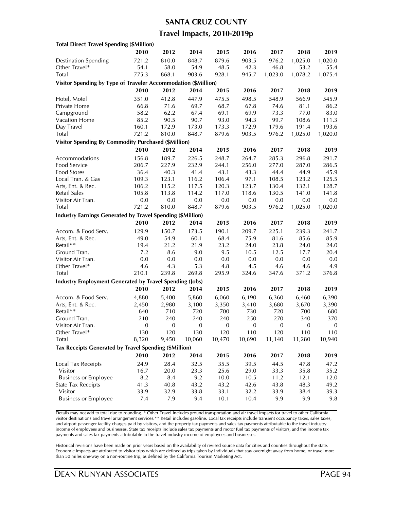#### **SANTA CRUZ COUNTY**

### **Travel Impacts, 2010-2019p**

| <b>Total Direct Travel Spending (\$Million)</b>                |                  |                  |                  |                |              |                |                  |                  |
|----------------------------------------------------------------|------------------|------------------|------------------|----------------|--------------|----------------|------------------|------------------|
|                                                                | 2010             | 2012             | 2014             | 2015           | 2016         | 2017           | 2018             | 2019             |
| <b>Destination Spending</b>                                    | 721.2            | 810.0            | 848.7            | 879.6          | 903.5        | 976.2          | 1,025.0          | 1,020.0          |
| Other Travel*                                                  | 54.1             | 58.0             | 54.9             | 48.5           | 42.3         | 46.8           | 53.2             | 55.4             |
| Total                                                          | 775.3            | 868.1            | 903.6            | 928.1          | 945.7        | 1,023.0        | 1,078.2          | 1,075.4          |
| Visitor Spending by Type of Traveler Accommodation (\$Million) |                  |                  |                  |                |              |                |                  |                  |
|                                                                | 2010             | 2012             | 2014             | 2015           | 2016         | 2017           | 2018             | 2019             |
| Hotel, Motel                                                   | 351.0            | 412.8            | 447.9            | 475.5          | 498.5        | 548.9          | 566.9            | 545.9            |
| Private Home                                                   | 66.8             | 71.6             | 69.7             | 68.7           | 67.8         | 74.6           | 81.1             | 86.2             |
| Campground                                                     | 58.2             | 62.2             | 67.4             | 69.1           | 69.9         | 73.3           | 77.0             | 83.0             |
| <b>Vacation Home</b>                                           | 85.2             | 90.5             | 90.7             | 93.0           | 94.3         | 99.7           | 108.6            | 111.3            |
| Day Travel                                                     | 160.1            | 172.9            | 173.0            | 173.3          | 172.9        | 179.6          | 191.4            | 193.6            |
| <b>Total</b>                                                   | 721.2            | 810.0            | 848.7            | 879.6          | 903.5        | 976.2          | 1,025.0          | 1,020.0          |
| <b>Visitor Spending By Commodity Purchased (\$Million)</b>     |                  |                  |                  |                |              |                |                  |                  |
|                                                                | 2010             | 2012             | 2014             | 2015           | 2016         | 2017           | 2018             | 2019             |
|                                                                |                  |                  |                  | 248.7          | 264.7        |                |                  |                  |
| Accommodations<br>Food Service                                 | 156.8            | 189.7<br>227.9   | 226.5<br>232.9   |                |              | 285.3<br>277.0 | 296.8<br>287.0   | 291.7<br>286.5   |
|                                                                | 206.7            |                  |                  | 244.1          | 256.0        |                |                  | 45.9             |
| Food Stores<br>Local Tran. & Gas                               | 36.4<br>109.3    | 40.3             | 41.4             | 43.1           | 43.3<br>97.1 | 44.4           | 44.9             |                  |
|                                                                | 106.2            | 123.1            | 116.2<br>117.5   | 106.4          | 123.7        | 108.5<br>130.4 | 123.2            | 125.5<br>128.7   |
| Arts, Ent. & Rec.<br><b>Retail Sales</b>                       | 105.8            | 115.2<br>113.8   | 114.2            | 120.3<br>117.0 | 118.6        | 130.5          | 132.1<br>141.0   | 141.8            |
| Visitor Air Tran.                                              | 0.0              | 0.0              | 0.0              | 0.0            | 0.0          | 0.0            | 0.0              | 0.0              |
| Total                                                          | 721.2            | 810.0            | 848.7            | 879.6          | 903.5        | 976.2          | 1,025.0          | 1,020.0          |
|                                                                |                  |                  |                  |                |              |                |                  |                  |
| Industry Earnings Generated by Travel Spending (\$Million)     |                  |                  |                  |                |              |                |                  |                  |
|                                                                | 2010             | 2012             | 2014             | 2015           | 2016         | 2017           | 2018             | 2019             |
| Accom. & Food Serv.                                            | 129.9            | 150.7            | 173.5            | 190.1          | 209.7        | 225.1          | 239.3            | 241.7            |
| Arts, Ent. & Rec.                                              | 49.0             | 54.9             | 60.1             | 68.4           | 75.9         | 81.6           | 85.6             | 85.9             |
| Retail**                                                       | 19.4             | 21.2             | 21.9             | 23.2           | 24.0         | 23.8           | 24.0             | 24.0             |
| Ground Tran.                                                   | 7.2              | 8.6              | 9.0              | 9.5            | 10.5         | 12.5           | 17.7             | 20.4             |
| Visitor Air Tran.                                              | 0.0              | 0.0              | 0.0              | 0.0            | 0.0          | 0.0            | 0.0              | 0.0              |
| Other Travel*                                                  | 4.6              | 4.3              | 5.3              | 4.8            | 4.5          | 4.6            | 4.6              | 4.9              |
| Total                                                          | 210.1            | 239.8            | 269.8            | 295.9          | 324.6        | 347.6          | 371.2            | 376.8            |
| <b>Industry Employment Generated by Travel Spending (Jobs)</b> |                  |                  |                  |                |              |                |                  |                  |
|                                                                | 2010             | 2012             | 2014             | 2015           | 2016         | 2017           | 2018             | 2019             |
| Accom. & Food Serv.                                            | 4,880            | 5,400            | 5,860            | 6,060          | 6,190        | 6,360          | 6,460            | 6,390            |
| Arts, Ent. & Rec.                                              | 2,450            | 2,980            | 3,100            | 3,350          | 3,410        | 3,680          | 3,670            | 3,390            |
| Retail**                                                       | 640              | 710              | 720              | 700            | 730          | 720            | 700              | 680              |
| Ground Tran.                                                   | 210              | 240              | 240              | 240            | 250          | 270            | 340              | 370              |
| Visitor Air Tran.                                              | $\boldsymbol{0}$ | $\boldsymbol{0}$ | $\boldsymbol{0}$ | $\mathbf{0}$   | $\mathbf{0}$ | $\mathbf{0}$   | $\boldsymbol{0}$ | $\boldsymbol{0}$ |
| Other Iravel*                                                  | 130              | 120              | 130              | 120            | 110          | 120            | 110              | 110              |
| Total                                                          | 8,320            | 9,450            | 10,060           | 10,470         | 10,690       | 11,140         | 11,280           | 10,940           |
| Tax Receipts Generated by Travel Spending (\$Million)          |                  |                  |                  |                |              |                |                  |                  |
|                                                                | 2010             | 2012             | 2014             | 2015           | 2016         | 2017           | 2018             | 2019             |
| <b>Local Tax Receipts</b>                                      | 24.9             | 28.4             | 32.5             | 35.5           | 39.5         | 44.5           | 47.8             | 47.2             |
| Visitor                                                        | 16.7             | 20.0             | 23.3             | 25.6           | 29.0         | 33.3           | 35.8             | 35.2             |
| <b>Business or Employee</b>                                    | 8.2              | 8.4              | 9.2              | 10.0           | 10.5         | 11.2           | 12.1             | 12.0             |
| <b>State Tax Receipts</b>                                      | 41.3             | 40.8             | 43.2             | 43.2           | 42.6         | 43.8           | 48.3             | 49.2             |
| Visitor                                                        | 33.9             | 32.9             | 33.8             | 33.1           | 32.2         | 33.9           | 38.4             | 39.3             |
| <b>Business or Employee</b>                                    | 7.4              | 7.9              | 9.4              | 10.1           | 10.4         | 9.9            | 9.9              | 9.8              |
|                                                                |                  |                  |                  |                |              |                |                  |                  |

Details may not add to total due to rounding. \* Other Travel includes ground transportation and air travel impacts for travel to other California visitor destinations and travel arrangement services.\*\* Retail includes gasoline. Local tax receipts include transient occupancy taxes, sales taxes, and airport passenger facility charges paid by visitors, and the property tax payments and sales tax payments attributable to the travel industry income of employees and businesses. State tax receipts include sales tax payments and motor fuel tax payments of visitors, and the income tax payments and sales tax payments attributable to the travel industry income of employees and businesses.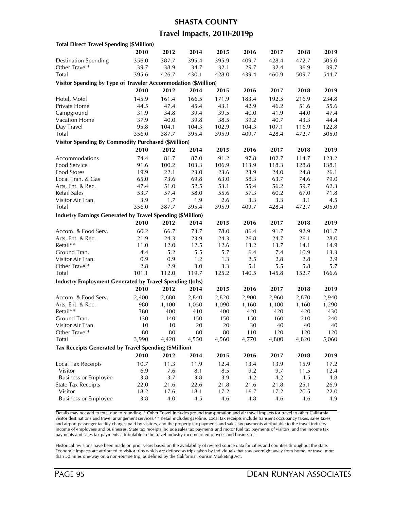#### **SHASTA COUNTY**

### **Travel Impacts, 2010-2019p**

| <b>Total Direct Travel Spending (\$Million)</b>                |             |             |       |       |             |       |             |       |
|----------------------------------------------------------------|-------------|-------------|-------|-------|-------------|-------|-------------|-------|
|                                                                | 2010        | 2012        | 2014  | 2015  | 2016        | 2017  | 2018        | 2019  |
| <b>Destination Spending</b>                                    | 356.0       | 387.7       | 395.4 | 395.9 | 409.7       | 428.4 | 472.7       | 505.0 |
| Other Travel*                                                  | 39.7        | 38.9        | 34.7  | 32.1  | 29.7        | 32.4  | 36.9        | 39.7  |
| Total                                                          | 395.6       | 426.7       | 430.1 | 428.0 | 439.4       | 460.9 | 509.7       | 544.7 |
| Visitor Spending by Type of Traveler Accommodation (\$Million) |             |             |       |       |             |       |             |       |
|                                                                | 2010        | 2012        | 2014  | 2015  | 2016        | 2017  | 2018        | 2019  |
| Hotel, Motel                                                   | 145.9       | 161.4       | 166.5 | 171.9 | 183.4       | 192.5 | 216.9       | 234.8 |
| Private Home                                                   | 44.5        | 47.4        | 45.4  | 43.1  | 42.9        | 46.2  | 51.6        | 55.6  |
| Campground                                                     | 31.9        | 34.8        | 39.4  | 39.5  | 40.0        | 41.9  | 44.0        | 47.4  |
| Vacation Home                                                  | 37.9        | 40.0        | 39.8  | 38.5  | 39.2        | 40.7  | 43.3        | 44.4  |
| Day Travel                                                     | 95.8        | 104.1       | 104.3 | 102.9 | 104.3       | 107.1 | 116.9       | 122.8 |
| Total                                                          | 356.0       | 387.7       | 395.4 | 395.9 | 409.7       | 428.4 | 472.7       | 505.0 |
| <b>Visitor Spending By Commodity Purchased (\$Million)</b>     |             |             |       |       |             |       |             |       |
|                                                                | 2010        | 2012        | 2014  | 2015  | 2016        | 2017  | 2018        | 2019  |
| Accommodations                                                 | 74.4        | 81.7        | 87.0  | 91.2  | 97.8        | 102.7 | 114.7       | 123.2 |
| Food Service                                                   | 91.6        | 100.2       | 103.3 | 106.9 | 113.9       | 118.3 | 128.8       | 138.1 |
| Food Stores                                                    | 19.9        | 22.1        | 23.0  | 23.6  | 23.9        | 24.0  | 24.8        | 26.1  |
| Local Tran. & Gas                                              | 65.0        | 73.6        | 69.8  | 63.0  | 58.3        | 63.7  | 74.6        | 79.0  |
| Arts, Ent. & Rec.                                              | 47.4        | 51.0        | 52.5  | 53.1  | 55.4        | 56.2  | 59.7        | 62.3  |
| Retail Sales                                                   |             |             | 58.0  | 55.6  |             | 60.2  |             | 71.8  |
| Visitor Air Tran.                                              | 53.7<br>3.9 | 57.4<br>1.7 | 1.9   | 2.6   | 57.3<br>3.3 | 3.3   | 67.0<br>3.1 | 4.5   |
| Total                                                          | 356.0       | 387.7       | 395.4 | 395.9 | 409.7       | 428.4 | 472.7       | 505.0 |
|                                                                |             |             |       |       |             |       |             |       |
| Industry Earnings Generated by Travel Spending (\$Million)     |             |             |       |       |             |       |             |       |
|                                                                | 2010        | 2012        | 2014  | 2015  | 2016        | 2017  | 2018        | 2019  |
| Accom. & Food Serv.                                            | 60.2        | 66.7        | 73.7  | 78.0  | 86.4        | 91.7  | 92.9        | 101.7 |
| Arts, Ent. & Rec.                                              | 21.9        | 24.3        | 23.9  | 24.3  | 26.8        | 24.7  | 26.1        | 28.0  |
| Retail**                                                       | 11.0        | 12.0        | 12.5  | 12.6  | 13.2        | 13.7  | 14.1        | 14.9  |
| Ground Tran.                                                   | 4.4         | 5.2         | 5.5   | 5.7   | 6.4         | 7.4   | 10.9        | 13.3  |
| Visitor Air Tran.                                              | 0.9         | 0.9         | 1.2   | 1.3   | 2.5         | 2.8   | 2.8         | 2.9   |
| Other Travel*                                                  | 2.8         | 2.9         | 3.0   | 3.3   | 5.1         | 5.5   | 5.8         | 5.7   |
| Total                                                          | 101.1       | 112.0       | 119.7 | 125.2 | 140.5       | 145.8 | 152.7       | 166.6 |
| <b>Industry Employment Generated by Travel Spending (Jobs)</b> |             |             |       |       |             |       |             |       |
|                                                                | 2010        | 2012        | 2014  | 2015  | 2016        | 2017  | 2018        | 2019  |
| Accom. & Food Serv.                                            | 2,400       | 2,680       | 2,840 | 2,820 | 2,900       | 2,960 | 2,870       | 2,940 |
| Arts, Ent. & Rec.                                              | 980         | 1,100       | 1,050 | 1,090 | 1,160       | 1,100 | 1,160       | 1,290 |
| Retail**                                                       | 380         | 400         | 410   | 400   | 420         | 420   | 420         | 430   |
| Ground Tran.                                                   | 130         | 140         | 150   | 150   | 150         | 160   | 210         | 240   |
| Visitor Air Tran.                                              | 10          | 10          | 20    | 20    | 30          | 40    | 40          | 40    |
| Other Travel*                                                  | 80          | 80          | 80    | 80    | 110         | 120   | 120         | 120   |
| Total                                                          | 3,990       | 4,420       | 4,550 | 4,560 | 4,770       | 4,800 | 4,820       | 5,060 |
| Tax Receipts Generated by Travel Spending (\$Million)          |             |             |       |       |             |       |             |       |
|                                                                | 2010        | 2012        | 2014  | 2015  | 2016        | 2017  | 2018        | 2019  |
| <b>Local Tax Receipts</b>                                      | 10.7        | 11.3        | 11.9  | 12.4  | 13.4        | 13.9  | 15.9        | 17.2  |
| Visitor                                                        | 6.9         | 7.6         | 8.1   | 8.5   | 9.2         | 9.7   | 11.5        | 12.4  |
| <b>Business or Employee</b>                                    | 3.8         | 3.7         | 3.8   | 3.9   | 4.2         | 4.2   | 4.5         | 4.8   |
| <b>State Tax Receipts</b>                                      | 22.0        | 21.6        | 22.6  | 21.8  | 21.6        | 21.8  | 25.1        | 26.9  |
| Visitor                                                        | 18.2        | 17.6        | 18.1  | 17.2  | 16.7        | 17.2  | 20.5        | 22.0  |
| <b>Business or Employee</b>                                    | $3.8\,$     | 4.0         | 4.5   | 4.6   | 4.8         | 4.6   | 4.6         | 4.9   |
|                                                                |             |             |       |       |             |       |             |       |

Details may not add to total due to rounding. \* Other Travel includes ground transportation and air travel impacts for travel to other California visitor destinations and travel arrangement services.\*\* Retail includes gasoline. Local tax receipts include transient occupancy taxes, sales taxes, and airport passenger facility charges paid by visitors, and the property tax payments and sales tax payments attributable to the travel industry income of employees and businesses. State tax receipts include sales tax payments and motor fuel tax payments of visitors, and the income tax payments and sales tax payments attributable to the travel industry income of employees and businesses.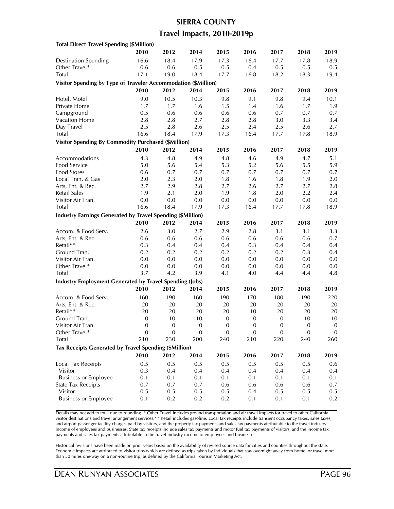### **SIERRA COUNTY**

### **Travel Impacts, 2010-2019p**

| <b>Total Direct Travel Spending (\$Million)</b>                   |                  |                  |                  |                  |                  |                  |              |                  |
|-------------------------------------------------------------------|------------------|------------------|------------------|------------------|------------------|------------------|--------------|------------------|
|                                                                   | 2010             | 2012             | 2014             | 2015             | 2016             | 2017             | 2018         | 2019             |
| <b>Destination Spending</b>                                       | 16.6             | 18.4             | 17.9             | 17.3             | 16.4             | 17.7             | 17.8         | 18.9             |
| Other Travel*                                                     | 0.6              | 0.6              | 0.5              | 0.5              | 0.4              | 0.5              | 0.5          | 0.5              |
| Total                                                             | 17.1             | 19.0             | 18.4             | 17.7             | 16.8             | 18.2             | 18.3         | 19.4             |
| Visitor Spending by Type of Traveler Accommodation (\$Million)    |                  |                  |                  |                  |                  |                  |              |                  |
|                                                                   | 2010             | 2012             | 2014             | 2015             | 2016             | 2017             | 2018         | 2019             |
|                                                                   | 9.0              | 10.5             | 10.3             | 9.8              | 9.1              | 9.8              | 9.4          | 10.1             |
| Hotel, Motel<br>Private Home                                      | 1.7              | 1.7              | 1.6              | 1.5              | 1.4              | 1.6              | 1.7          | 1.9              |
| Campground                                                        | 0.5              | 0.6              | 0.6              | 0.6              | 0.6              | 0.7              | 0.7          | 0.7              |
| Vacation Home                                                     | 2.8              | 2.8              | 2.7              | 2.8              |                  | 3.0              | 3.3          | 3.4              |
| Day Travel                                                        | 2.5              | 2.8              | 2.6              | 2.5              | 2.8<br>2.4       | 2.5              | 2.6          | 2.7              |
| Total                                                             | 16.6             | 18.4             | 17.9             | 17.3             | 16.4             | 17.7             | 17.8         | 18.9             |
|                                                                   |                  |                  |                  |                  |                  |                  |              |                  |
| <b>Visitor Spending By Commodity Purchased (\$Million)</b>        |                  |                  |                  |                  |                  |                  |              |                  |
|                                                                   | 2010             | 2012             | 2014             | 2015             | 2016             | 2017             | 2018         | 2019             |
| Accommodations                                                    | 4.3              | 4.8              | 4.9              | 4.8              | 4.6              | 4.9              | 4.7          | 5.1              |
| Food Service                                                      | 5.0              | 5.6              | 5.4              | 5.3              | 5.2              | 5.6              | 5.5          | 5.9              |
| Food Stores                                                       | 0.6              | 0.7              | 0.7              | 0.7              | 0.7              | 0.7              | 0.7          | 0.7              |
| Local Tran. & Gas                                                 | 2.0              | 2.3              | 2.0              | 1.8              | 1.6              | 1.8              | 1.9          | 2.0              |
| Arts, Ent. & Rec.                                                 | 2.7              | 2.9              | 2.8              | 2.7              | 2.6              | 2.7              | 2.7          | 2.8              |
| Retail Sales                                                      | 1.9              | 2.1              | 2.0              | 1.9              | 1.8              | 2.0              | 2.2          | 2.4              |
| Visitor Air Tran.                                                 | 0.0              | 0.0              | $0.0\,$          | 0.0              | $0.0\,$          | 0.0              | 0.0          | 0.0              |
| Total                                                             | 16.6             | 18.4             | 17.9             | 17.3             | 16.4             | 17.7             | 17.8         | 18.9             |
| <b>Industry Earnings Generated by Travel Spending (\$Million)</b> |                  |                  |                  |                  |                  |                  |              |                  |
|                                                                   | 2010             | 2012             | 2014             | 2015             | 2016             | 2017             | 2018         | 2019             |
| Accom. & Food Serv.                                               | 2.6              | 3.0              | 2.7              | 2.9              | 2.8              | 3.1              | 3.1          | 3.3              |
| Arts, Ent. & Rec.                                                 | 0.6              | 0.6              | 0.6              | 0.6              | 0.6              | 0.6              | 0.6          | 0.7              |
| Retail**                                                          | 0.3              | 0.4              | 0.4              | 0.4              | 0.3              | 0.4              | 0.4          | 0.4              |
| Ground Tran.                                                      | 0.2              | 0.2              | 0.2              | 0.2              | 0.2              | 0.2              | 0.3          | 0.4              |
| Visitor Air Tran.                                                 | 0.0              | 0.0              | 0.0              | 0.0              | 0.0              | 0.0              | 0.0          | 0.0              |
| Other Travel*                                                     | 0.0              | 0.0              | 0.0              | 0.0              | 0.0              | 0.0              | 0.0          | 0.0              |
| Total                                                             | 3.7              | 4.2              | 3.9              | 4.1              | 4.0              | 4.4              | 4.4          | 4.8              |
| <b>Industry Employment Generated by Travel Spending (Jobs)</b>    |                  |                  |                  |                  |                  |                  |              |                  |
|                                                                   | 2010             | 2012             | 2014             | 2015             | 2016             | 2017             | 2018         | 2019             |
| Accom. & Food Serv.                                               | 160              | 190              | 160              | 190              | 170              | 180              | 190          | 220              |
| Arts, Ent. & Rec.                                                 | 20               | $20\,$           | 20               | 20               | $20\,$           | 20               | 20           | 20               |
| Retail**                                                          | $20\,$           | 20               | 20               | $20\,$           | $10\,$           | 20               | 20           | 20               |
| Ground Tran.                                                      | $\mathbf{0}$     | 10               | 10               | $\mathbf 0$      | $\boldsymbol{0}$ | $\mathbf 0$      | 10           | 10               |
| Visitor Air Tran.                                                 | $\boldsymbol{0}$ | $\boldsymbol{0}$ | $\boldsymbol{0}$ | $\boldsymbol{0}$ | $\boldsymbol{0}$ | $\boldsymbol{0}$ | $\mathbf{0}$ | $\boldsymbol{0}$ |
| Other Travel*                                                     | 0                | 0                | 0                | 0                | 0                | 0                | 0            | $\mathbf{0}$     |
| Total                                                             | 210              | 230              | 200              | 240              | 210              | 220              | 240          | 260              |
|                                                                   |                  |                  |                  |                  |                  |                  |              |                  |
| Tax Receipts Generated by Travel Spending (\$Million)             |                  |                  |                  |                  |                  |                  |              |                  |
|                                                                   | 2010             | 2012             | 2014             | 2015             | 2016             | 2017             | 2018         | 2019             |
| Local Tax Receipts                                                | 0.5              | 0.5              | 0.5              | 0.5              | 0.5              | 0.5              | 0.5          | 0.6              |
| Visitor                                                           | 0.3              | 0.4              | 0.4              | 0.4              | 0.4              | 0.4              | 0.4          | 0.4              |
| <b>Business or Employee</b>                                       | 0.1              | 0.1              | 0.1              | 0.1              | 0.1              | 0.1              | 0.1          | 0.1              |
| <b>State Tax Receipts</b>                                         | 0.7              | 0.7              | 0.7              | 0.6              | 0.6              | 0.6              | 0.6          | 0.7              |
| Visitor                                                           | 0.5              | 0.5              | 0.5              | 0.5              | 0.4              | 0.5              | 0.5          | $0.5\,$          |
| <b>Business or Employee</b>                                       | 0.1              | 0.2              | 0.2              | 0.2              | 0.1              | 0.1              | 0.1          | 0.2              |

Details may not add to total due to rounding. \* Other Travel includes ground transportation and air travel impacts for travel to other California visitor destinations and travel arrangement services.\*\* Retail includes gasoline. Local tax receipts include transient occupancy taxes, sales taxes, and airport passenger facility charges paid by visitors, and the property tax payments and sales tax payments attributable to the travel industry income of employees and businesses. State tax receipts include sales tax payments and motor fuel tax payments of visitors, and the income tax payments and sales tax payments attributable to the travel industry income of employees and businesses.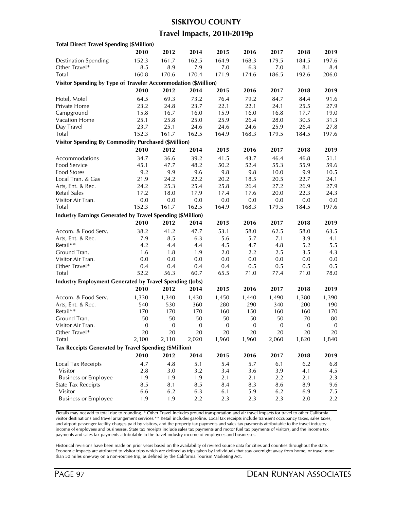#### **SISKIYOU COUNTY**

### **Travel Impacts, 2010-2019p**

| <b>Total Direct Travel Spending (\$Million)</b>                |                  |                  |                  |              |                  |              |              |                  |
|----------------------------------------------------------------|------------------|------------------|------------------|--------------|------------------|--------------|--------------|------------------|
|                                                                | 2010             | 2012             | 2014             | 2015         | 2016             | 2017         | 2018         | 2019             |
| <b>Destination Spending</b>                                    | 152.3            | 161.7            | 162.5            | 164.9        | 168.3            | 179.5        | 184.5        | 197.6            |
| Other Travel*                                                  | 8.5              | 8.9              | 7.9              | 7.0          | 6.3              | 7.0          | 8.1          | 8.4              |
| Total                                                          | 160.8            | 170.6            | 170.4            | 171.9        | 174.6            | 186.5        | 192.6        | 206.0            |
| Visitor Spending by Type of Traveler Accommodation (\$Million) |                  |                  |                  |              |                  |              |              |                  |
|                                                                | 2010             | 2012             | 2014             | 2015         | 2016             | 2017         | 2018         | 2019             |
| Hotel, Motel                                                   | 64.5             | 69.3             | 73.2             | 76.4         | 79.2             | 84.7         | 84.4         | 91.6             |
| Private Home                                                   | 23.2             | 24.8             | 23.7             | 22.1         | 22.1             | 24.1         | 25.5         | 27.9             |
|                                                                |                  | 16.7             |                  | 15.9         | 16.0             |              | 17.7         | 19.0             |
| Campground<br>Vacation Home                                    | 15.8             |                  | 16.0             | 25.9         | 26.4             | 16.8<br>28.0 | 30.5         |                  |
| Day Travel                                                     | 25.1<br>23.7     | 25.8<br>25.1     | 25.0<br>24.6     | 24.6         | 24.6             | 25.9         | 26.4         | 31.3<br>27.8     |
| Total                                                          | 152.3            | 161.7            | 162.5            | 164.9        | 168.3            | 179.5        | 184.5        | 197.6            |
|                                                                |                  |                  |                  |              |                  |              |              |                  |
| <b>Visitor Spending By Commodity Purchased (\$Million)</b>     |                  |                  |                  |              |                  |              |              |                  |
|                                                                | 2010             | 2012             | 2014             | 2015         | 2016             | 2017         | 2018         | 2019             |
| Accommodations                                                 | 34.7             | 36.6             | 39.2             | 41.5         | 43.7             | 46.4         | 46.8         | 51.1             |
| Food Service                                                   | 45.1             | 47.7             | 48.2             | 50.2         | 52.4             | 55.3         | 55.9         | 59.6             |
| Food Stores                                                    | 9.2              | 9.9              | 9.6              | 9.8          | 9.8              | 10.0         | 9.9          | 10.5             |
| Local Tran. & Gas                                              | 21.9             | 24.2             | 22.2             | 20.2         | 18.5             | 20.5         | 22.7         | 24.1             |
| Arts, Ent. & Rec.                                              | 24.2             | 25.3             | 25.4             | 25.8         | 26.4             | 27.2         | 26.9         | 27.9             |
| Retail Sales                                                   | 17.2             | 18.0             | 17.9             | 17.4         | 17.6             | 20.0         | 22.3         | 24.3             |
| Visitor Air Tran.                                              | 0.0              | $0.0\,$          | 0.0              | 0.0          | 0.0              | 0.0          | 0.0          | 0.0              |
| Total                                                          | 152.3            | 161.7            | 162.5            | 164.9        | 168.3            | 179.5        | 184.5        | 197.6            |
| Industry Earnings Generated by Travel Spending (\$Million)     |                  |                  |                  |              |                  |              |              |                  |
|                                                                | 2010             | 2012             | 2014             | 2015         | 2016             | 2017         | 2018         | 2019             |
| Accom. & Food Serv.                                            | 38.2             | 41.2             | 47.7             | 53.1         | 58.0             | 62.5         | 58.0         | 63.5             |
| Arts, Ent. & Rec.                                              | 7.9              | 8.5              | 6.3              | 5.6          | 5.7              | 7.1          | 3.9          | 4.1              |
| Retail**                                                       | 4.2              | 4.4              | 4.4              | 4.5          | 4.7              | 4.8          | 5.2          | 5.5              |
| Ground Tran.                                                   | 1.6              | 1.8              | 1.9              | 2.0          | 2.2              | 2.5          | 3.5          | 4.3              |
| Visitor Air Tran.                                              | 0.0              | 0.0              | 0.0              | 0.0          | 0.0              | 0.0          | 0.0          | 0.0              |
| Other Travel*                                                  | 0.4              | 0.4              | 0.4              | 0.4          | 0.5              | 0.5          | 0.5          | 0.5              |
| Total                                                          | 52.2             | 56.3             | 60.7             | 65.5         | 71.0             | 77.4         | 71.0         | 78.0             |
| <b>Industry Employment Generated by Travel Spending (Jobs)</b> |                  |                  |                  |              |                  |              |              |                  |
|                                                                | 2010             | 2012             | 2014             | 2015         | 2016             | 2017         | 2018         | 2019             |
| Accom. & Food Serv.                                            | 1,330            | 1,340            | 1,430            | 1,450        | 1,440            | 1,490        | 1,380        | 1,390            |
| Arts, Ent. & Rec.                                              | 540              | 530              | 360              | 280          | 290              | 340          | 200          | 190              |
| Retail**                                                       | 170              | 170              | 170              | 160          | 150              | 160          | 160          | 170              |
| Ground Tran.                                                   | 50               | 50               | 50               | 50           | 50               | 50           | 70           | 80               |
| Visitor Air Tran.                                              | $\boldsymbol{0}$ | $\boldsymbol{0}$ | $\boldsymbol{0}$ | $\mathbf{0}$ | $\boldsymbol{0}$ | $\mathbf{0}$ | $\mathbf{0}$ | $\boldsymbol{0}$ |
| Other Travel*                                                  | 20               | 20               | 20               | 20           | 20               | 20           | 20           | 20               |
| Total                                                          | 2,100            | 2,110            | 2,020            | 1,960        | 1,960            | 2,060        | 1,820        | 1,840            |
| Tax Receipts Generated by Travel Spending (\$Million)          |                  |                  |                  |              |                  |              |              |                  |
|                                                                |                  |                  |                  |              |                  |              |              |                  |
|                                                                | 2010             | 2012             | 2014             | 2015         | 2016             | 2017         | 2018         | 2019             |
| Local Tax Receipts                                             | 4.7              | 4.8              | 5.1              | 5.4          | 5.7              | 6.1          | 6.2          | $6.8\,$          |
| Visitor                                                        | $2.8\,$          | 3.0              | 3.2              | 3.4          | 3.6              | 3.9          | 4.1          | 4.5              |
| <b>Business or Employee</b>                                    | 1.9              | 1.9              | 1.9              | 2.1          | 2.1              | 2.2          | 2.1          | 2.3              |
| <b>State Tax Receipts</b>                                      | 8.5              | 8.1              | 8.5              | 8.4          | 8.3              | 8.6          | 8.9          | 9.6              |
| Visitor                                                        | 6.6              | 6.2              | 6.3              | 6.1          | 5.9              | 6.2          | 6.9          | 7.5              |
| <b>Business or Employee</b>                                    | 1.9              | 1.9              | 2.2              | 2.3          | 2.3              | 2.3          | 2.0          | 2.2              |

Details may not add to total due to rounding. \* Other Travel includes ground transportation and air travel impacts for travel to other California visitor destinations and travel arrangement services.\*\* Retail includes gasoline. Local tax receipts include transient occupancy taxes, sales taxes, and airport passenger facility charges paid by visitors, and the property tax payments and sales tax payments attributable to the travel industry income of employees and businesses. State tax receipts include sales tax payments and motor fuel tax payments of visitors, and the income tax payments and sales tax payments attributable to the travel industry income of employees and businesses.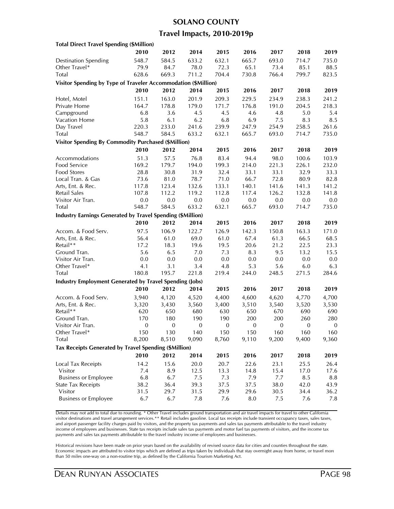#### **SOLANO COUNTY**

### **Travel Impacts, 2010-2019p**

| <b>Total Direct Travel Spending (\$Million)</b>                   |                  |                  |                  |              |                  |              |                  |                  |
|-------------------------------------------------------------------|------------------|------------------|------------------|--------------|------------------|--------------|------------------|------------------|
|                                                                   | 2010             | 2012             | 2014             | 2015         | 2016             | 2017         | 2018             | 2019             |
| <b>Destination Spending</b>                                       | 548.7            | 584.5            | 633.2            | 632.1        | 665.7            | 693.0        | 714.7            | 735.0            |
| Other Travel*                                                     | 79.9             | 84.7             | 78.0             | 72.3         | 65.1             | 73.4         | 85.1             | 88.5             |
| Total                                                             | 628.6            | 669.3            | 711.2            | 704.4        | 730.8            | 766.4        | 799.7            | 823.5            |
| Visitor Spending by Type of Traveler Accommodation (\$Million)    |                  |                  |                  |              |                  |              |                  |                  |
|                                                                   | 2010             | 2012             | 2014             | 2015         | 2016             | 2017         | 2018             | 2019             |
|                                                                   | 151.1            | 163.0            | 201.9            | 209.3        | 229.5            | 234.9        | 238.3            | 241.2            |
| Hotel, Motel<br>Private Home                                      |                  |                  | 179.0            |              |                  |              |                  |                  |
|                                                                   | 164.7            | 178.8            |                  | 171.7        | 176.8            | 191.0        | 204.5            | 218.3            |
| Campground                                                        | 6.8              | 3.6              | 4.5              | 4.5          | 4.6              | 4.8          | 5.0              | 5.4              |
| Vacation Home                                                     | 5.8              | 6.1              | 6.2              | 6.8          | 6.9              | 7.5          | 8.3              | 8.5              |
| Day Travel                                                        | 220.3            | 233.0            | 241.6            | 239.9        | 247.9            | 254.9        | 258.5            | 261.6            |
| Total                                                             | 548.7            | 584.5            | 633.2            | 632.1        | 665.7            | 693.0        | 714.7            | 735.0            |
| <b>Visitor Spending By Commodity Purchased (\$Million)</b>        |                  |                  |                  |              |                  |              |                  |                  |
|                                                                   | 2010             | 2012             | 2014             | 2015         | 2016             | 2017         | 2018             | 2019             |
| Accommodations                                                    | 51.3             | 57.5             | 76.8             | 83.4         | 94.4             | 98.0         | 100.6            | 103.9            |
| Food Service                                                      | 169.2            | 179.7            | 194.0            | 199.3        | 214.0            | 221.3        | 226.1            | 232.0            |
| Food Stores                                                       | 28.8             | 30.8             | 31.9             | 32.4         | 33.1             | 33.1         | 32.9             | 33.3             |
| Local Tran. & Gas                                                 | 73.6             | 81.0             | 78.7             | 71.0         | 66.7             | 72.8         | 80.9             | 82.8             |
| Arts, Ent. & Rec.                                                 | 117.8            | 123.4            | 132.6            | 133.1        | 140.1            | 141.6        | 141.3            | 141.2            |
| Retail Sales                                                      | 107.8            | 112.2            | 119.2            | 112.8        | 117.4            | 126.2        | 132.8            | 141.8            |
| Visitor Air Tran.                                                 | 0.0              | 0.0              | 0.0              | $0.0\,$      | 0.0              | $0.0\,$      | 0.0              | 0.0              |
| Total                                                             | 548.7            | 584.5            | 633.2            | 632.1        | 665.7            | 693.0        | 714.7            | 735.0            |
| <b>Industry Earnings Generated by Travel Spending (\$Million)</b> |                  |                  |                  |              |                  |              |                  |                  |
|                                                                   | 2010             | 2012             | 2014             | 2015         | 2016             | 2017         | 2018             | 2019             |
| Accom. & Food Serv.                                               | 97.5             | 106.9            | 122.7            | 126.9        | 142.3            | 150.8        | 163.3            | 171.0            |
| Arts, Ent. & Rec.                                                 | 56.4             | 61.0             | 69.0             | 61.0         | 67.4             | 61.3         | 66.5             | 68.5             |
| Retail**                                                          | 17.2             | 18.3             | 19.6             | 19.5         | 20.6             | 21.2         | 22.5             | 23.3             |
| Ground Tran.                                                      | 5.6              | 6.5              | 7.0              | 7.3          | 8.3              | 9.5          | 13.2             | 15.5             |
| Visitor Air Tran.                                                 | 0.0              | 0.0              | 0.0              | 0.0          | 0.0              | 0.0          | 0.0              | 0.0              |
| Other Travel*                                                     | 4.1              | 3.1              | 3.4              | 4.8          | 5.3              | 5.6          | 6.0              | 6.3              |
| Total                                                             | 180.8            | 195.7            | 221.8            | 219.4        | 244.0            | 248.5        | 271.5            | 284.6            |
| <b>Industry Employment Generated by Travel Spending (Jobs)</b>    |                  |                  |                  |              |                  |              |                  |                  |
|                                                                   | 2010             | 2012             | 2014             | 2015         | 2016             | 2017         | 2018             | 2019             |
| Accom. & Food Serv.                                               | 3,940            | 4,120            | 4,520            | 4,400        | 4,600            | 4,620        | 4,770            | 4,700            |
| Arts, Ent. & Rec.                                                 | 3,320            | 3,430            | 3,560            | 3,400        | 3,510            | 3,540        | 3,520            | 3,530            |
| Retail**                                                          | 620              | 650              | 680              | 630          | 650              | 670          | 690              | 690              |
| Ground Tran.                                                      | 170              | 180              | 190              | 190          | 200              | 200          | 260              | 280              |
| Visitor Air Tran.                                                 | $\boldsymbol{0}$ | $\boldsymbol{0}$ | $\boldsymbol{0}$ | $\mathbf{0}$ | $\boldsymbol{0}$ | $\mathbf{0}$ | $\boldsymbol{0}$ | $\boldsymbol{0}$ |
| Other Travel*                                                     | 150              | 130              | 140              | 150          | 150              | 160          | 160              | 160              |
| Total                                                             | 8,200            | 8,510            | 9,090            | 8,760        | 9,110            | 9,200        | 9,400            | 9,360            |
|                                                                   |                  |                  |                  |              |                  |              |                  |                  |
| Tax Receipts Generated by Travel Spending (\$Million)             |                  |                  |                  |              |                  |              |                  |                  |
|                                                                   | 2010             | 2012             | 2014             | 2015         | 2016             | 2017         | 2018             | 2019             |
| Local Tax Receipts                                                | 14.2             | 15.6             | 20.0             | 20.7         | 22.6             | 23.1         | 25.5             | 26.4             |
| Visitor                                                           | 7.4              | 8.9              | 12.5             | 13.3         | 14.8             | 15.4         | 17.0             | 17.6             |
| <b>Business or Employee</b>                                       | 6.8              | 6.7              | 7.5              | 7.3          | 7.9              | 7.7          | 8.5              | 8.8              |
| <b>State Tax Receipts</b>                                         | 38.2             | 36.4             | 39.3             | 37.5         | 37.5             | 38.0         | 42.0             | 43.9             |
| Visitor                                                           | 31.5             | 29.7             | 31.5             | 29.9         | 29.6             | 30.5         | 34.4             | 36.2             |
| <b>Business or Employee</b>                                       | 6.7              | 6.7              | 7.8              | 7.6          | 8.0              | 7.5          | 7.6              | 7.8              |
|                                                                   |                  |                  |                  |              |                  |              |                  |                  |

Details may not add to total due to rounding. \* Other Travel includes ground transportation and air travel impacts for travel to other California visitor destinations and travel arrangement services.\*\* Retail includes gasoline. Local tax receipts include transient occupancy taxes, sales taxes, and airport passenger facility charges paid by visitors, and the property tax payments and sales tax payments attributable to the travel industry income of employees and businesses. State tax receipts include sales tax payments and motor fuel tax payments of visitors, and the income tax payments and sales tax payments attributable to the travel industry income of employees and businesses.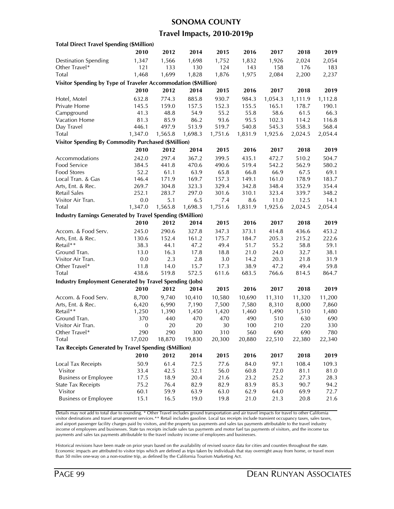#### **SONOMA COUNTY**

### **Travel Impacts, 2010-2019p**

| <b>Total Direct Travel Spending (\$Million)</b>                |                  |         |         |         |         |         |         |         |
|----------------------------------------------------------------|------------------|---------|---------|---------|---------|---------|---------|---------|
|                                                                | 2010             | 2012    | 2014    | 2015    | 2016    | 2017    | 2018    | 2019    |
| <b>Destination Spending</b>                                    | 1,347            | 1,566   | 1,698   | 1,752   | 1,832   | 1,926   | 2,024   | 2,054   |
| Other Travel*                                                  | 121              | 133     | 130     | 124     | 143     | 158     | 176     | 183     |
| Total                                                          | 1,468            | 1,699   | 1,828   | 1,876   | 1,975   | 2,084   | 2,200   | 2,237   |
| Visitor Spending by Type of Traveler Accommodation (\$Million) |                  |         |         |         |         |         |         |         |
|                                                                | 2010             | 2012    | 2014    | 2015    | 2016    | 2017    | 2018    | 2019    |
| Hotel, Motel                                                   | 632.8            | 774.3   | 885.8   | 930.7   | 984.3   | 1,054.3 | 1,111.9 | 1,112.8 |
| Private Home                                                   | 145.5            | 159.0   | 157.5   | 152.3   | 155.5   | 165.1   | 178.7   | 190.1   |
| Campground                                                     | 41.3             | 48.8    | 54.9    | 55.2    | 55.8    | 58.6    | 61.5    | 66.3    |
| <b>Vacation Home</b>                                           | 81.3             | 85.9    | 86.2    | 93.6    | 95.5    | 102.3   | 114.2   | 116.8   |
| Day Travel                                                     | 446.1            | 497.9   | 513.9   | 519.7   | 540.8   | 545.3   | 558.3   | 568.4   |
| <b>Total</b>                                                   | 1,347.0          | 1,565.8 | 1,698.3 | 1,751.6 | 1,831.9 | 1,925.6 | 2,024.5 | 2,054.4 |
| <b>Visitor Spending By Commodity Purchased (\$Million)</b>     |                  |         |         |         |         |         |         |         |
|                                                                | 2010             | 2012    | 2014    | 2015    | 2016    | 2017    | 2018    | 2019    |
| Accommodations                                                 | 242.0            | 297.4   | 367.2   | 399.5   | 435.1   | 472.7   | 510.2   | 504.7   |
| Food Service                                                   | 384.5            | 441.8   | 470.6   | 490.6   | 519.4   | 542.2   | 562.9   | 580.2   |
| Food Stores                                                    | 52.2             | 61.1    | 63.9    | 65.8    | 66.8    | 66.9    | 67.5    | 69.1    |
| Local Tran. & Gas                                              | 146.4            | 171.9   | 169.7   | 157.3   | 149.1   | 161.0   | 178.9   | 183.7   |
| Arts, Ent. & Rec.                                              | 269.7            | 304.8   | 323.3   | 329.4   | 342.8   | 348.4   | 352.9   | 354.4   |
| <b>Retail Sales</b>                                            | 252.1            | 283.7   | 297.0   | 301.6   | 310.1   | 323.4   | 339.7   | 348.2   |
| Visitor Air Tran.                                              | 0.0              | 5.1     | 6.5     | 7.4     | 8.6     | 11.0    | 12.5    | 14.1    |
| Total                                                          | 1,347.0          | 1,565.8 | 1,698.3 | 1,751.6 | 1,831.9 | 1,925.6 | 2,024.5 | 2,054.4 |
| Industry Earnings Generated by Travel Spending (\$Million)     |                  |         |         |         |         |         |         |         |
|                                                                |                  |         | 2014    |         |         |         |         |         |
|                                                                | 2010             | 2012    |         | 2015    | 2016    | 2017    | 2018    | 2019    |
| Accom. & Food Serv.                                            | 245.0            | 290.6   | 327.8   | 347.3   | 373.1   | 414.8   | 436.6   | 453.2   |
| Arts, Ent. & Rec.                                              | 130.6            | 152.4   | 161.2   | 175.7   | 184.7   | 205.3   | 215.2   | 222.6   |
| Retail**                                                       | 38.3             | 44.1    | 47.2    | 49.4    | 51.7    | 55.2    | 58.8    | 59.1    |
| Ground Tran.                                                   | 13.0             | 16.3    | 17.8    | 18.8    | 21.0    | 24.0    | 32.7    | 38.1    |
| Visitor Air Tran.                                              | 0.0              | 2.3     | 2.8     | 3.0     | 14.2    | 20.3    | 21.8    | 31.9    |
| Other Travel*                                                  | 11.8             | 14.0    | 15.7    | 17.3    | 38.9    | 47.2    | 49.4    | 59.8    |
| Total                                                          | 438.6            | 519.8   | 572.5   | 611.6   | 683.5   | 766.6   | 814.5   | 864.7   |
| <b>Industry Employment Generated by Travel Spending (Jobs)</b> |                  |         |         |         |         |         |         |         |
|                                                                | 2010             | 2012    | 2014    | 2015    | 2016    | 2017    | 2018    | 2019    |
| Accom. & Food Serv.                                            | 8,700            | 9,740   | 10,410  | 10,580  | 10,690  | 11,310  | 11,320  | 11,200  |
| Arts, Ent. & Rec.                                              | 6,420            | 6,990   | 7,190   | 7,500   | 7,580   | 8,310   | 8,000   | 7,860   |
| Retail**                                                       | 1,250            | 1,390   | 1,450   | 1,420   | 1,460   | 1,490   | 1,510   | 1,480   |
| Ground Tran.                                                   | 370              | 440     | 470     | 470     | 490     | 510     | 630     | 690     |
| Visitor Air Tran.                                              | $\boldsymbol{0}$ | 20      | 20      | 30      | 100     | 210     | 220     | 330     |
| Other Iravel*                                                  | 290              | 290     | 300     | 310     | 560     | 690     | 690     | 780     |
| Total                                                          | 17,020           | 18,870  | 19,830  | 20,300  | 20,880  | 22,510  | 22,380  | 22,340  |
| Tax Receipts Generated by Travel Spending (\$Million)          |                  |         |         |         |         |         |         |         |
|                                                                | 2010             | 2012    | 2014    | 2015    | 2016    | 2017    | 2018    | 2019    |
| Local Tax Receipts                                             | 50.9             | 61.4    | 72.5    | 77.6    | 84.0    | 97.1    | 108.4   | 109.3   |
| Visitor                                                        | 33.4             | 42.5    | 52.1    | 56.0    | 60.8    | 72.0    | 81.1    | 81.0    |
| <b>Business or Employee</b>                                    | 17.5             | 18.9    | 20.4    | 21.6    | 23.2    | 25.2    | 27.3    | 28.3    |
| <b>State Tax Receipts</b>                                      | 75.2             | 76.4    | 82.9    | 82.9    | 83.9    | 85.3    | 90.7    | 94.2    |
| Visitor                                                        | 60.1             | 59.9    | 63.9    | 63.0    | 62.9    | 64.0    | 69.9    | 72.7    |
| <b>Business or Employee</b>                                    | 15.1             | 16.5    | 19.0    | 19.8    | 21.0    | 21.3    | 20.8    | 21.6    |
|                                                                |                  |         |         |         |         |         |         |         |

Details may not add to total due to rounding. \* Other Travel includes ground transportation and air travel impacts for travel to other California visitor destinations and travel arrangement services.\*\* Retail includes gasoline. Local tax receipts include transient occupancy taxes, sales taxes, and airport passenger facility charges paid by visitors, and the property tax payments and sales tax payments attributable to the travel industry income of employees and businesses. State tax receipts include sales tax payments and motor fuel tax payments of visitors, and the income tax payments and sales tax payments attributable to the travel industry income of employees and businesses.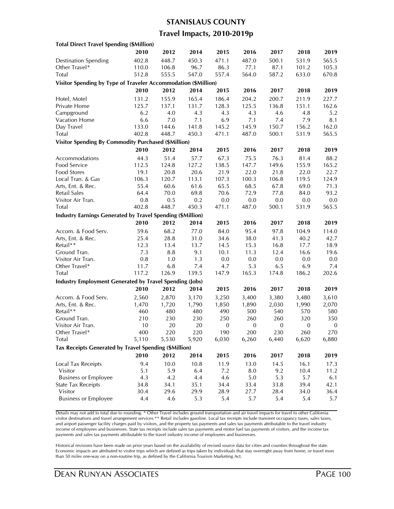#### **STANISLAUS COUNTY**

### **Travel Impacts, 2010-2019p**

| <b>Total Direct Travel Spending (\$Million)</b>                   |                 |              |             |                  |              |                  |                  |                  |
|-------------------------------------------------------------------|-----------------|--------------|-------------|------------------|--------------|------------------|------------------|------------------|
|                                                                   | 2010            | 2012         | 2014        | 2015             | 2016         | 2017             | 2018             | 2019             |
| <b>Destination Spending</b>                                       | 402.8           | 448.7        | 450.3       | 471.1            | 487.0        | 500.1            | 531.9            | 565.5            |
| Other Travel*                                                     | 110.0           | 106.8        | 96.7        | 86.3             | 77.1         | 87.1             | 101.2            | 105.3            |
| Total                                                             | 512.8           | 555.5        | 547.0       | 557.4            | 564.0        | 587.2            | 633.0            | 670.8            |
| Visitor Spending by Type of Traveler Accommodation (\$Million)    |                 |              |             |                  |              |                  |                  |                  |
|                                                                   | 2010            | 2012         | 2014        | 2015             | 2016         | 2017             | 2018             | 2019             |
| Hotel, Motel                                                      | 131.2           | 155.9        | 165.4       | 186.4            | 204.2        | 200.7            | 211.9            | 227.7            |
| Private Home                                                      | 125.7           | 137.1        | 131.7       | 128.3            | 125.5        | 136.8            | 151.1            | 162.6            |
| Campground                                                        | 6.2             | 4.0          | 4.3         | 4.3              | 4.3          | 4.6              | 4.8              | 5.2              |
| Vacation Home                                                     | 6.6             | 7.0          | 7.1         | 6.9              | 7.1          | 7.4              | 7.9              | 8.1              |
| Day Travel                                                        | 133.0           | 144.6        | 141.8       | 145.2            | 145.9        | 150.7            | 156.2            | 162.0            |
| <b>Total</b>                                                      | 402.8           | 448.7        | 450.3       | 471.1            | 487.0        | 500.1            | 531.9            | 565.5            |
| <b>Visitor Spending By Commodity Purchased (\$Million)</b>        |                 |              |             |                  |              |                  |                  |                  |
|                                                                   | 2010            | 2012         | 2014        | 2015             | 2016         | 2017             | 2018             | 2019             |
| Accommodations                                                    | 44.3            | 51.4         | 57.7        | 67.3             | 75.5         | 76.3             | 81.4             | 88.2             |
| Food Service                                                      | 112.5           | 124.8        | 127.2       | 138.5            | 147.7        | 149.6            | 155.9            | 165.2            |
| Food Stores                                                       | 19.1            | 20.8         | 20.6        | 21.9             | 22.0         | 21.8             | 22.0             | 22.7             |
| Local Tran. & Gas                                                 | 106.3           | 120.7        | 113.1       | 107.3            | 100.3        | 106.8            | 119.5            | 124.9            |
| Arts, Ent. & Rec.                                                 | 55.4            | 60.6         | 61.6        | 65.5             | 68.5         | 67.8             | 69.0             | 71.3             |
| <b>Retail Sales</b>                                               |                 |              |             | 70.6             | 72.9         |                  |                  |                  |
|                                                                   | 64.4<br>$0.8\,$ | 70.0         | 69.8<br>0.2 |                  |              | 77.8<br>0.0      | 84.0             | 93.2<br>0.0      |
| Visitor Air Tran.<br>Total                                        | 402.8           | 0.5<br>448.7 | 450.3       | 0.0<br>471.1     | 0.0<br>487.0 | 500.1            | 0.0<br>531.9     | 565.5            |
|                                                                   |                 |              |             |                  |              |                  |                  |                  |
| <b>Industry Earnings Generated by Travel Spending (\$Million)</b> |                 |              |             |                  |              |                  |                  |                  |
|                                                                   | 2010            | 2012         | 2014        | 2015             | 2016         | 2017             | 2018             | 2019             |
| Accom. & Food Serv.                                               | 59.6            | 68.2         | 77.0        | 84.0             | 95.4         | 97.8             | 104.9            | 114.0            |
| Arts, Ent. & Rec.                                                 | 25.4            | 28.8         | 31.0        | 34.6             | 38.0         | 41.3             | 40.2             | 42.7             |
| Retail**                                                          | 12.3            | 13.4         | 13.7        | 14.5             | 15.3         | 16.8             | 17.7             | 18.9             |
| Ground Tran.                                                      | 7.3             | 8.8          | 9.1         | 10.1             | 11.3         | 12.4             | 16.6             | 19.6             |
| Visitor Air Tran.                                                 | 0.8             | 1.0          | 1.3         | 0.0              | 0.0          | 0.0              | 0.0              | 0.0              |
| Other Travel*                                                     | 11.7            | 6.8          | 7.4         | 4.7              | 5.3          | 6.5              | 6.9              | 7.4              |
| Total                                                             | 117.2           | 126.9        | 139.5       | 147.9            | 165.3        | 174.8            | 186.2            | 202.6            |
| <b>Industry Employment Generated by Travel Spending (Jobs)</b>    |                 |              |             |                  |              |                  |                  |                  |
|                                                                   | 2010            | 2012         | 2014        | 2015             | 2016         | 2017             | 2018             | 2019             |
| Accom. & Food Serv.                                               | 2,560           | 2,870        | 3,170       | 3,250            | 3,400        | 3,380            | 3,480            | 3,610            |
| Arts, Ent. & Rec.                                                 | 1,470           | 1,720        | 1,790       | 1,850            | 1,890        | 2,030            | 1,990            | 2,070            |
| Retail**                                                          | 460             | 480          | 480         | 490              | 500          | 540              | 570              | 580              |
| Ground Tran.                                                      | 210             | 230          | 230         | 250              | 260          | 260              | 320              | 350              |
| Visitor Air Tran.                                                 | 10              | 20           | 20          | $\boldsymbol{0}$ | $\mathbf{0}$ | $\boldsymbol{0}$ | $\boldsymbol{0}$ | $\boldsymbol{0}$ |
| Other I ravel*                                                    | 400             | 220          | 220         | 190              | 200          | 230              | 260              | 270.             |
| Total                                                             | 5,110           | 5,530        | 5,920       | 6,030            | 6,260        | 6,440            | 6,620            | 6,880            |
| Tax Receipts Generated by Travel Spending (\$Million)             |                 |              |             |                  |              |                  |                  |                  |
|                                                                   | 2010            | 2012         | 2014        | 2015             | 2016         | 2017             | 2018             | 2019             |
| <b>Local Tax Receipts</b>                                         | 9.4             | 10.0         | 10.8        | 11.9             | 13.0         | 14.5             | 16.1             | 17.3             |
| Visitor                                                           | 5.1             | 5.9          | 6.4         | 7.2              | 8.0          | 9.2              | 10.4             | 11.2             |
| <b>Business or Employee</b>                                       | 4.3             | 4.2          | 4.4         | 4.6              | $5.0\,$      | 5.3              | 5.7              | 6.1              |
| <b>State Tax Receipts</b>                                         | 34.8            | 34.1         | 35.1        | 34.4             | 33.4         | 33.8             | 39.4             | 42.1             |
| Visitor                                                           | 30.4            | 29.6         | 29.9        | 28.9             | 27.7         | 28.4             | 34.0             | 36.4             |
| <b>Business or Employee</b>                                       | 4.4             | 4.6          | 5.3         | 5.4              | 5.7          | 5.4              | 5.4              | 5.7              |
|                                                                   |                 |              |             |                  |              |                  |                  |                  |

Details may not add to total due to rounding. \* Other Travel includes ground transportation and air travel impacts for travel to other California visitor destinations and travel arrangement services.\*\* Retail includes gasoline. Local tax receipts include transient occupancy taxes, sales taxes, and airport passenger facility charges paid by visitors, and the property tax payments and sales tax payments attributable to the travel industry income of employees and businesses. State tax receipts include sales tax payments and motor fuel tax payments of visitors, and the income tax payments and sales tax payments attributable to the travel industry income of employees and businesses.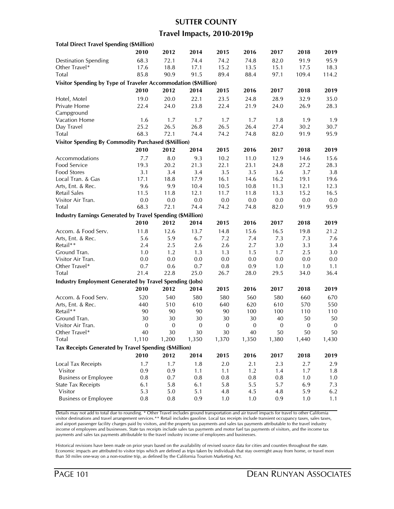#### **SUTTER COUNTY**

### **Travel Impacts, 2010-2019p**

| <b>Total Direct Travel Spending (\$Million)</b>                   |                  |                  |                  |                  |                  |                  |                  |                  |
|-------------------------------------------------------------------|------------------|------------------|------------------|------------------|------------------|------------------|------------------|------------------|
|                                                                   | 2010             | 2012             | 2014             | 2015             | 2016             | 2017             | 2018             | 2019             |
| <b>Destination Spending</b>                                       | 68.3             | 72.1             | 74.4             | 74.2             | 74.8             | 82.0             | 91.9             | 95.9             |
| Other Travel*                                                     | 17.6             | 18.8             | 17.1             | 15.2             | 13.5             | 15.1             | 17.5             | 18.3             |
| Total                                                             | 85.8             | 90.9             | 91.5             | 89.4             | 88.4             | 97.1             | 109.4            | 114.2            |
| Visitor Spending by Type of Traveler Accommodation (\$Million)    |                  |                  |                  |                  |                  |                  |                  |                  |
|                                                                   | 2010             | 2012             | 2014             | 2015             | 2016             | 2017             | 2018             | 2019             |
|                                                                   | 19.0             | 20.0             | 22.1             | 23.5             | 24.8             | 28.9             | 32.9             | 35.0             |
| Hotel, Motel<br>Private Home                                      | 22.4             | 24.0             | 23.8             | 22.4             | 21.9             | 24.0             | 26.9             | 28.3             |
|                                                                   |                  |                  |                  |                  |                  |                  |                  |                  |
| Campground<br>Vacation Home                                       | 1.6              |                  | 1.7              | 1.7              | 1.7              |                  | 1.9              | 1.9              |
| Day Travel                                                        | 25.2             | 1.7<br>26.5      | 26.8             | 26.5             | 26.4             | 1.8<br>27.4      | 30.2             | 30.7             |
| Total                                                             | 68.3             | 72.1             | 74.4             | 74.2             |                  |                  |                  | 95.9             |
|                                                                   |                  |                  |                  |                  | 74.8             | 82.0             | 91.9             |                  |
| <b>Visitor Spending By Commodity Purchased (\$Million)</b>        |                  |                  |                  |                  |                  |                  |                  |                  |
|                                                                   | 2010             | 2012             | 2014             | 2015             | 2016             | 2017             | 2018             | 2019             |
| Accommodations                                                    | 7.7              | 8.0              | 9.3              | 10.2             | 11.0             | 12.9             | 14.6             | 15.6             |
| Food Service                                                      | 19.3             | 20.2             | 21.3             | 22.1             | 23.1             | 24.8             | 27.2             | 28.3             |
| Food Stores                                                       | 3.1              | 3.4              | 3.4              | 3.5              | 3.5              | 3.6              | 3.7              | 3.8              |
| Local Tran. & Gas                                                 | 17.1             | 18.8             | 17.9             | 16.1             | 14.6             | 16.2             | 19.1             | 19.6             |
| Arts, Ent. & Rec.                                                 | 9.6              | 9.9              | 10.4             | 10.5             | 10.8             | 11.3             | 12.1             | 12.3             |
| Retail Sales                                                      | 11.5             | 11.8             | 12.1             | 11.7             | 11.8             | 13.3             | 15.2             | 16.5             |
| Visitor Air Tran.                                                 | 0.0              | $0.0\,$          | 0.0              | $0.0\,$          | 0.0              | $0.0\,$          | $0.0\,$          | 0.0              |
| Total                                                             | 68.3             | 72.1             | 74.4             | 74.2             | 74.8             | 82.0             | 91.9             | 95.9             |
| <b>Industry Earnings Generated by Travel Spending (\$Million)</b> |                  |                  |                  |                  |                  |                  |                  |                  |
|                                                                   | 2010             | 2012             | 2014             | 2015             | 2016             | 2017             | 2018             | 2019             |
| Accom. & Food Serv.                                               | 11.8             | 12.6             | 13.7             | 14.8             | 15.6             | 16.5             | 19.8             | 21.2             |
| Arts, Ent. & Rec.                                                 | 5.6              | 5.9              | 6.7              | 7.2              | 7.4              | 7.3              | 7.3              | 7.6              |
| Retail**                                                          | 2.4              | 2.5              | 2.6              | 2.6              | 2.7              | 3.0              | 3.3              | 3.4              |
| Ground Tran.                                                      | 1.0              | 1.2              | 1.3              | 1.3              | 1.5              | 1.7              | 2.5              | 3.0              |
| Visitor Air Tran.                                                 | 0.0              | 0.0              | 0.0              | 0.0              | 0.0              | 0.0              | 0.0              | 0.0              |
| Other Travel*                                                     | 0.7              | 0.6              | 0.7              | 0.8              | 0.9              | 1.0              | 1.0              | 1.1              |
| Total                                                             | 21.4             | 22.8             | 25.0             | 26.7             | 28.0             | 29.5             | 34.0             | 36.4             |
| <b>Industry Employment Generated by Travel Spending (Jobs)</b>    |                  |                  |                  |                  |                  |                  |                  |                  |
|                                                                   | 2010             | 2012             | 2014             | 2015             | 2016             | 2017             | 2018             | 2019             |
|                                                                   |                  |                  |                  |                  |                  |                  |                  |                  |
| Accom. & Food Serv.                                               | 520              | 540              | 580              | 580              | 560              | 580              | 660              | 670              |
| Arts, Ent. & Rec.                                                 | 440              | 510              | 610              | 640              | 620              | 610              | 570              | 550              |
| Retail**                                                          | 90               | 90               | 90               | 90               | 100              | 100              | 110              | 110              |
| Ground Tran.                                                      | 30               | 30               | 30               | 30               | 30               | 40               | 50               | 50               |
| Visitor Air Tran.                                                 | $\boldsymbol{0}$ | $\boldsymbol{0}$ | $\boldsymbol{0}$ | $\boldsymbol{0}$ | $\boldsymbol{0}$ | $\boldsymbol{0}$ | $\boldsymbol{0}$ | $\boldsymbol{0}$ |
| Other Travel*                                                     | 40               | 30               | 30               | 30               | 40               | 50               | 50               | 50               |
| Total                                                             | 1,110            | 1,200            | 1,350            | 1,370            | 1,350            | 1,380            | 1,440            | 1,430            |
| Tax Receipts Generated by Travel Spending (\$Million)             |                  |                  |                  |                  |                  |                  |                  |                  |
|                                                                   | 2010             | 2012             | 2014             | 2015             | 2016             | 2017             | 2018             | 2019             |
| Local Tax Receipts                                                | 1.7              | 1.7              | 1.8              | 2.0              | 2.1              | 2.3              | 2.7              | 2.9              |
| Visitor                                                           | 0.9              | 0.9              | 1.1              | 1.1              | 1.2              | 1.4              | 1.7              | 1.8              |
| <b>Business or Employee</b>                                       | 0.8              | 0.7              | 0.8              | $0.8\,$          | $0.8\,$          | 0.8              | 1.0              | 1.0              |
| <b>State Tax Receipts</b>                                         | 6.1              | 5.8              | 6.1              | 5.8              | 5.5              | 5.7              | 6.9              | 7.3              |
| Visitor                                                           | 5.3              | 5.0              | 5.1              | 4.8              | 4.5              | 4.8              | 5.9              | 6.2              |
| <b>Business or Employee</b>                                       | $0.8\,$          | 0.8              | 0.9              | 1.0              | 1.0              | 0.9              | 1.0              | 1.1              |
|                                                                   |                  |                  |                  |                  |                  |                  |                  |                  |

Details may not add to total due to rounding. \* Other Travel includes ground transportation and air travel impacts for travel to other California visitor destinations and travel arrangement services.\*\* Retail includes gasoline. Local tax receipts include transient occupancy taxes, sales taxes, and airport passenger facility charges paid by visitors, and the property tax payments and sales tax payments attributable to the travel industry income of employees and businesses. State tax receipts include sales tax payments and motor fuel tax payments of visitors, and the income tax payments and sales tax payments attributable to the travel industry income of employees and businesses.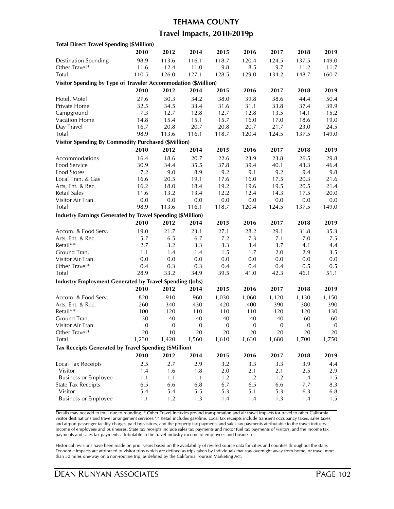### **TEHAMA COUNTY**

## **Travel Impacts, 2010-2019p**

| <b>Total Direct Travel Spending (\$Million)</b>                   |                  |                  |                  |                  |              |                  |                  |                        |
|-------------------------------------------------------------------|------------------|------------------|------------------|------------------|--------------|------------------|------------------|------------------------|
|                                                                   | 2010             | 2012             | 2014             | 2015             | 2016         | 2017             | 2018             | 2019                   |
| <b>Destination Spending</b>                                       | 98.9             | 113.6            | 116.1            | 118.7            | 120.4        | 124.5            | 137.5            | 149.0                  |
| Other Travel*                                                     | 11.6             | 12.4             | 11.0             | 9.8              | 8.5          | 9.7              | 11.2             | 11.7                   |
| Total                                                             | 110.5            | 126.0            | 127.1            | 128.5            | 129.0        | 134.2            | 148.7            | 160.7                  |
| Visitor Spending by Type of Traveler Accommodation (\$Million)    |                  |                  |                  |                  |              |                  |                  |                        |
|                                                                   | 2010             | 2012             | 2014             | 2015             | 2016         | 2017             | 2018             | 2019                   |
| Hotel, Motel                                                      | 27.6             | 30.3             | 34.2             | 38.0             | 39.8         | 38.6             | 44.4             | 50.4                   |
| Private Home                                                      | 32.5             | 34.5             | 33.4             | 31.6             | 31.1         | 33.8             | 37.4             | 39.9                   |
| Campground                                                        | 7.3              | 12.7             | 12.8             | 12.7             | 12.8         | 13.5             | 14.1             | 15.2                   |
| Vacation Home                                                     | 14.8             | 15.4             | 15.1             | 15.7             | 16.0         | 17.0             | 18.6             | 19.0                   |
| Day Travel                                                        | 16.7             | 20.8             | 20.7             | 20.8             | 20.7         | 21.7             | 23.0             | 24.5                   |
| Total                                                             | 98.9             | 113.6            | 116.1            | 118.7            | 120.4        | 124.5            | 137.5            | 149.0                  |
|                                                                   |                  |                  |                  |                  |              |                  |                  |                        |
| <b>Visitor Spending By Commodity Purchased (\$Million)</b>        |                  |                  |                  |                  |              |                  |                  |                        |
|                                                                   | 2010             | 2012             | 2014             | 2015             | 2016         | 2017             | 2018             | 2019                   |
| Accommodations                                                    | 16.4             | 18.6             | 20.7             | 22.6             | 23.9         | 23.8             | 26.5             | 29.8                   |
| Food Service                                                      | 30.9             | 34.4             | 35.5             | 37.8             | 39.4         | 40.1             | 43.3             | 46.4                   |
| Food Stores                                                       | 7.2              | 9.0              | 8.9              | 9.2              | 9.1          | 9.2              | 9.4              | 9.8                    |
| Local Tran. & Gas                                                 | 16.6             | 20.5             | 19.1             | 17.6             | 16.0         | 17.5             | 20.3             | 21.6                   |
| Arts, Ent. & Rec.                                                 | 16.2             | 18.0             | 18.4             | 19.2             | 19.6         | 19.5             | 20.5             | 21.4                   |
| Retail Sales                                                      | 11.6             | 13.2             | 13.4             | 12.2             | 12.4         | 14.3             | 17.5             | 20.0                   |
| Visitor Air Tran.                                                 | 0.0              | 0.0              | 0.0              | $0.0\,$          | 0.0          | 0.0              | 0.0              | 0.0                    |
| Total                                                             | 98.9             | 113.6            | 116.1            | 118.7            | 120.4        | 124.5            | 137.5            | 149.0                  |
| <b>Industry Earnings Generated by Travel Spending (\$Million)</b> |                  |                  |                  |                  |              |                  |                  |                        |
|                                                                   | 2010             | 2012             | 2014             | 2015             | 2016         | 2017             | 2018             | 2019                   |
| Accom. & Food Serv.                                               | 19.0             | 21.7             | 23.1             | 27.1             | 28.2         | 29.1             | 31.8             | 35.3                   |
| Arts, Ent. & Rec.                                                 | 5.7              | 6.5              | 6.7              | 7.2              | 7.3          | 7.1              | 7.0              | 7.5                    |
| Retail**                                                          | 2.7              | 3.2              | 3.3              | 3.3              | 3.4          | 3.7              | 4.1              | 4.4                    |
| Ground Tran.                                                      | 1.1              | 1.4              | 1.4              | 1.5              | 1.7          | 2.0              | 2.9              | 3.5                    |
| Visitor Air Tran.                                                 | 0.0              | 0.0              | 0.0              | 0.0              | 0.0          | 0.0              | 0.0              | 0.0                    |
| Other Travel*                                                     | 0.4              | 0.3              | 0.3              | 0.4              | 0.4          | 0.4              | 0.5              | 0.5                    |
| Total                                                             | 28.9             | 33.2             | 34.9             | 39.5             | 41.0         | 42.3             | 46.1             | 51.1                   |
| <b>Industry Employment Generated by Travel Spending (Jobs)</b>    |                  |                  |                  |                  |              |                  |                  |                        |
|                                                                   | 2010             | 2012             | 2014             | 2015             | 2016         | 2017             | 2018             | 2019                   |
| Accom. & Food Serv.                                               | 820              | 910              | 960              | 1,030            |              |                  |                  |                        |
|                                                                   | 260              |                  | 430              |                  | 1,060<br>400 | 1,120<br>390     | 1,130            | 1,150                  |
| Arts, Ent. & Rec.<br>Retail**                                     |                  | 340              |                  | 420              |              |                  | 380              | 390                    |
| Ground Tran.                                                      | 100<br>30        | 120<br>40        | 110<br>40        | 110<br>40        | 110<br>40    | 120<br>40        | 120<br>60        | 130                    |
| Visitor Air Tran.                                                 | $\boldsymbol{0}$ | $\boldsymbol{0}$ | $\boldsymbol{0}$ | $\boldsymbol{0}$ | $\mathbf{0}$ | $\boldsymbol{0}$ | $\boldsymbol{0}$ | 60<br>$\boldsymbol{0}$ |
|                                                                   |                  |                  |                  |                  |              |                  |                  |                        |
| Other Travel*<br>Total                                            | 20               | 10<br>1,420      | 20<br>1,560      | 20<br>1,610      | 20<br>1,630  | 20<br>1,680      | 20<br>1,700      | 20<br>1,750            |
|                                                                   | 1,230            |                  |                  |                  |              |                  |                  |                        |
| Tax Receipts Generated by Travel Spending (\$Million)             |                  |                  |                  |                  |              |                  |                  |                        |
|                                                                   | 2010             | 2012             | 2014             | 2015             | 2016         | 2017             | 2018             | 2019                   |
| Local Tax Receipts                                                | 2.5              | 2.7              | 2.9              | 3.2              | 3.3          | 3.3              | 3.9              | 4.4                    |
| Visitor                                                           | 1.4              | 1.6              | 1.8              | 2.0              | 2.1          | 2.1              | 2.5              | 2.9                    |
| <b>Business or Employee</b>                                       | 1.1              | 1.1              | 1.1              | 1.2              | 1.2          | 1.2              | 1.4              | 1.5                    |
| <b>State Tax Receipts</b>                                         | 6.5              | 6.6              | 6.8              | 6.7              | 6.5          | 6.6              | 7.7              | 8.3                    |
| Visitor                                                           | 5.4              | 5.4              | 5.5              | 5.3              | 5.1          | 5.3              | 6.3              | 6.8                    |
| <b>Business or Employee</b>                                       | 1.1              | 1.2              | 1.3              | 1.4              | 1.4          | 1.3              | 1.4              | 1.5                    |
|                                                                   |                  |                  |                  |                  |              |                  |                  |                        |

Details may not add to total due to rounding. \* Other Travel includes ground transportation and air travel impacts for travel to other California visitor destinations and travel arrangement services.\*\* Retail includes gasoline. Local tax receipts include transient occupancy taxes, sales taxes, and airport passenger facility charges paid by visitors, and the property tax payments and sales tax payments attributable to the travel industry income of employees and businesses. State tax receipts include sales tax payments and motor fuel tax payments of visitors, and the income tax payments and sales tax payments attributable to the travel industry income of employees and businesses.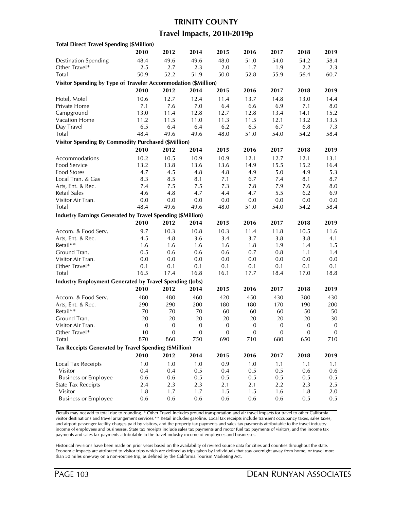# **TRINITY COUNTY**

## **Travel Impacts, 2010-2019p**

| <b>Total Direct Travel Spending (\$Million)</b>                   |                  |                  |                  |                  |                  |              |              |                  |
|-------------------------------------------------------------------|------------------|------------------|------------------|------------------|------------------|--------------|--------------|------------------|
|                                                                   | 2010             | 2012             | 2014             | 2015             | 2016             | 2017         | 2018         | 2019             |
| <b>Destination Spending</b>                                       | 48.4             | 49.6             | 49.6             | 48.0             | 51.0             | 54.0         | 54.2         | 58.4             |
| Other Travel*                                                     | 2.5              | 2.7              | 2.3              | 2.0              | 1.7              | 1.9          | 2.2          | 2.3              |
| Total                                                             | 50.9             | 52.2             | 51.9             | 50.0             | 52.8             | 55.9         | 56.4         | 60.7             |
| Visitor Spending by Type of Traveler Accommodation (\$Million)    |                  |                  |                  |                  |                  |              |              |                  |
|                                                                   | 2010             | 2012             | 2014             | 2015             | 2016             | 2017         | 2018         | 2019             |
| Hotel, Motel                                                      | 10.6             | 12.7             | 12.4             | 11.4             | 13.7             | 14.8         | 13.0         | 14.4             |
| Private Home                                                      | 7.1              | 7.6              | 7.0              | 6.4              | 6.6              | 6.9          | 7.1          | 8.0              |
| Campground                                                        | 13.0             | 11.4             | 12.8             | 12.7             | 12.8             | 13.4         | 14.1         | 15.2             |
| Vacation Home                                                     | 11.2             | 11.5             | 11.0             | 11.3             | 11.5             | 12.1         | 13.2         | 13.5             |
| Day Travel                                                        | 6.5              | 6.4              | 6.4              | 6.2              | 6.5              | 6.7          | 6.8          | 7.3              |
| Total                                                             | 48.4             | 49.6             | 49.6             | 48.0             | 51.0             | 54.0         | 54.2         | 58.4             |
| <b>Visitor Spending By Commodity Purchased (\$Million)</b>        |                  |                  |                  |                  |                  |              |              |                  |
|                                                                   | 2010             | 2012             | 2014             | 2015             | 2016             | 2017         | 2018         | 2019             |
| Accommodations                                                    | 10.2             | 10.5             |                  | 10.9             | 12.1             | 12.7         |              | 13.1             |
| Food Service                                                      | 13.2             | 13.8             | 10.9<br>13.6     | 13.6             | 14.9             | 15.5         | 12.1<br>15.2 | 16.4             |
|                                                                   |                  |                  |                  |                  |                  |              |              |                  |
| Food Stores<br>Local Tran. & Gas                                  | 4.7<br>8.3       | 4.5<br>8.5       | 4.8<br>8.1       | 4.8<br>7.1       | 4.9<br>6.7       | 5.0<br>7.4   | 4.9<br>8.1   | 5.3<br>8.7       |
| Arts, Ent. & Rec.                                                 | 7.4              |                  |                  | 7.3              | 7.8              | 7.9          |              |                  |
| Retail Sales                                                      | 4.6              | 7.5              | 7.5<br>4.7       | 4.4              | 4.7              | 5.5          | 7.6<br>6.2   | 8.0              |
| Visitor Air Tran.                                                 |                  | 4.8              | 0.0              | 0.0              | $0.0\,$          | 0.0          | $0.0\,$      | 6.9              |
|                                                                   | 0.0              | 0.0              |                  |                  |                  |              |              | 0.0              |
| Total                                                             | 48.4             | 49.6             | 49.6             | 48.0             | 51.0             | 54.0         | 54.2         | 58.4             |
| <b>Industry Earnings Generated by Travel Spending (\$Million)</b> |                  |                  |                  |                  |                  |              |              |                  |
|                                                                   | 2010             | 2012             | 2014             | 2015             | 2016             | 2017         | 2018         | 2019             |
| Accom. & Food Serv.                                               | 9.7              | 10.3             | 10.8             | 10.3             | 11.4             | 11.8         | 10.5         | 11.6             |
| Arts, Ent. & Rec.                                                 | 4.5              | 4.8              | 3.6              | 3.4              | 3.7              | 3.8          | 3.8          | 4.1              |
| Retail**                                                          | 1.6              | 1.6              | 1.6              | 1.6              | 1.8              | 1.9          | 1.4          | 1.5              |
| Ground Tran.                                                      | 0.5              | 0.6              | 0.6              | 0.6              | 0.7              | 0.8          | 1.1          | 1.4              |
| Visitor Air Tran.                                                 | 0.0              | 0.0              | 0.0              | 0.0              | 0.0              | 0.0          | 0.0          | 0.0              |
| Other Travel*                                                     | 0.1              | 0.1              | 0.1              | 0.1              | 0.1              | 0.1          | 0.1          | 0.1              |
| Total                                                             | 16.5             | 17.4             | 16.8             | 16.1             | 17.7             | 18.4         | 17.0         | 18.8             |
| <b>Industry Employment Generated by Travel Spending (Jobs)</b>    |                  |                  |                  |                  |                  |              |              |                  |
|                                                                   | 2010             | 2012             | 2014             | 2015             | 2016             | 2017         | 2018         | 2019             |
| Accom. & Food Serv.                                               | 480              | 480              | 460              | 420              | 450              | 430          | 380          | 430              |
| Arts, Ent. & Rec.                                                 | 290              | 290              | 200              | 180              | 180              | 170          | 190          | 200              |
| Retail**                                                          | 70               | 70               | 70               | 60               | 60               | 60           | 50           | 50               |
| Ground Tran.                                                      | 20               | 20               | 20               | 20               | 20               | 20           | 20           | 30               |
| Visitor Air Tran.                                                 | $\boldsymbol{0}$ | $\boldsymbol{0}$ | $\boldsymbol{0}$ | $\boldsymbol{0}$ | $\boldsymbol{0}$ | $\mathbf{0}$ | $\mathbf{0}$ | $\boldsymbol{0}$ |
| Other Travel*                                                     | 10               | $\theta$         | 0                | 0                | $\theta$         | $\theta$     | $\theta$     | $\mathbf{0}$     |
| Total                                                             | 870              | 860              | 750              | 690              | 710              | 680          | 650          | 710              |
| Tax Receipts Generated by Travel Spending (\$Million)             |                  |                  |                  |                  |                  |              |              |                  |
|                                                                   | 2010             | 2012             | 2014             | 2015             | 2016             | 2017         | 2018         | 2019             |
| Local Tax Receipts                                                | 1.0              | 1.0              | 1.0              | 0.9              | 1.0              | 1.1          | 1.1          | 1.1              |
| Visitor                                                           | 0.4              | 0.4              | 0.5              | 0.4              | 0.5              | 0.5          | 0.6          | 0.6              |
| <b>Business or Employee</b>                                       | 0.6              | 0.6              | 0.5              | 0.5              | 0.5              | 0.5          | 0.5          | $0.5\,$          |
| <b>State Tax Receipts</b>                                         | 2.4              | 2.3              | 2.3              | 2.1              | 2.1              | 2.2          | 2.3          | 2.5              |
| Visitor                                                           | 1.8              | 1.7              | 1.7              | 1.5              | 1.5              | 1.6          | 1.8          | 2.0              |
| <b>Business or Employee</b>                                       | 0.6              | 0.6              | 0.6              | 0.6              | 0.6              | 0.6          | 0.5          | 0.5              |
|                                                                   |                  |                  |                  |                  |                  |              |              |                  |

Details may not add to total due to rounding. \* Other Travel includes ground transportation and air travel impacts for travel to other California visitor destinations and travel arrangement services.\*\* Retail includes gasoline. Local tax receipts include transient occupancy taxes, sales taxes, and airport passenger facility charges paid by visitors, and the property tax payments and sales tax payments attributable to the travel industry income of employees and businesses. State tax receipts include sales tax payments and motor fuel tax payments of visitors, and the income tax payments and sales tax payments attributable to the travel industry income of employees and businesses.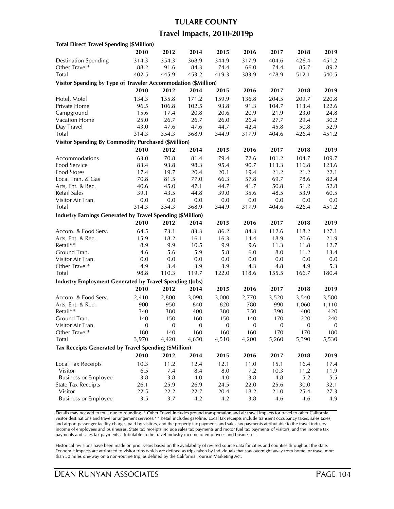## **TULARE COUNTY**

## **Travel Impacts, 2010-2019p**

| <b>Total Direct Travel Spending (\$Million)</b>                |                  |                  |                  |              |                  |                  |                  |                  |
|----------------------------------------------------------------|------------------|------------------|------------------|--------------|------------------|------------------|------------------|------------------|
|                                                                | 2010             | 2012             | 2014             | 2015         | 2016             | 2017             | 2018             | 2019             |
| <b>Destination Spending</b>                                    | 314.3            | 354.3            | 368.9            | 344.9        | 317.9            | 404.6            | 426.4            | 451.2            |
| Other Travel*                                                  | 88.2             | 91.6             | 84.3             | 74.4         | 66.0             | 74.4             | 85.7             | 89.2             |
| Total                                                          | 402.5            | 445.9            | 453.2            | 419.3        | 383.9            | 478.9            | 512.1            | 540.5            |
| Visitor Spending by Type of Traveler Accommodation (\$Million) |                  |                  |                  |              |                  |                  |                  |                  |
|                                                                | 2010             | 2012             | 2014             | 2015         | 2016             | 2017             | 2018             | 2019             |
| Hotel, Motel                                                   | 134.3            | 155.8            | 171.2            | 159.9        | 136.8            | 204.5            | 209.7            | 220.8            |
| Private Home                                                   | 96.5             | 106.8            | 102.5            | 93.8         | 91.3             | 104.7            | 113.4            | 122.6            |
| Campground                                                     | 15.6             | 17.4             | 20.8             | 20.6         | 20.9             | 21.9             | 23.0             | 24.8             |
| Vacation Home                                                  | 25.0             | 26.7             | 26.7             | 26.0         | 26.4             | 27.7             | 29.4             | 30.2             |
| Day Travel                                                     | 43.0             | 47.6             | 47.6             | 44.7         | 42.4             | 45.8             | 50.8             | 52.9             |
| Total                                                          | 314.3            | 354.3            | 368.9            | 344.9        | 317.9            | 404.6            | 426.4            | 451.2            |
| <b>Visitor Spending By Commodity Purchased (\$Million)</b>     |                  |                  |                  |              |                  |                  |                  |                  |
|                                                                | 2010             | 2012             | 2014             | 2015         | 2016             | 2017             | 2018             | 2019             |
|                                                                |                  |                  |                  |              |                  |                  |                  |                  |
| Accommodations                                                 | 63.0             | 70.8             | 81.4             | 79.4         | 72.6             | 101.2            | 104.7            | 109.7            |
| Food Service                                                   | 83.4             | 93.8             | 98.3             | 95.4         | 90.7             | 113.3            | 116.8            | 123.6            |
| Food Stores<br>Local Tran. & Gas                               | 17.4<br>70.8     | 19.7             | 20.4             | 20.1         | 19.4             | 21.2<br>69.7     | 21.2<br>78.6     | 22.1<br>82.4     |
|                                                                | 40.6             | 81.5             | 77.0<br>47.1     | 66.3         | 57.8             |                  |                  |                  |
| Arts, Ent. & Rec.<br><b>Retail Sales</b>                       |                  | 45.0<br>43.5     | 44.8             | 44.7<br>39.0 | 41.7<br>35.6     | 50.8<br>48.5     | 51.2<br>53.9     | 52.8<br>60.5     |
|                                                                | 39.1             |                  |                  |              |                  |                  |                  |                  |
| Visitor Air Tran.<br>Total                                     | 0.0<br>314.3     | $0.0\,$<br>354.3 | 0.0<br>368.9     | 0.0          | 0.0<br>317.9     | $0.0\,$          | $0.0\,$<br>426.4 | 0.0<br>451.2     |
|                                                                |                  |                  |                  | 344.9        |                  | 404.6            |                  |                  |
| Industry Earnings Generated by Travel Spending (\$Million)     |                  |                  |                  |              |                  |                  |                  |                  |
|                                                                | 2010             | 2012             | 2014             | 2015         | 2016             | 2017             | 2018             | 2019             |
| Accom. & Food Serv.                                            | 64.5             | 73.1             | 83.3             | 86.2         | 84.3             | 112.6            | 118.2            | 127.1            |
| Arts, Ent. & Rec.                                              | 15.9             | 18.2             | 16.1             | 16.3         | 14.4             | 18.9             | 20.6             | 21.9             |
| Retail**                                                       | 8.9              | 9.9              | 10.5             | 9.9          | 9.6              | 11.3             | 11.8             | 12.7             |
| Ground Tran.                                                   | 4.6              | 5.6              | 5.9              | 5.8          | 6.0              | $\rm 8.0$        | 11.2             | 13.4             |
| Visitor Air Tran.                                              | 0.0              | 0.0              | 0.0              | 0.0          | 0.0              | 0.0              | 0.0              | 0.0              |
| Other Travel*                                                  | 4.9              | 3.4              | 3.9              | 3.9          | 4.3              | 4.8              | 4.9              | 5.3              |
| Total                                                          | 98.8             | 110.3            | 119.7            | 122.0        | 118.6            | 155.5            | 166.7            | 180.4            |
| <b>Industry Employment Generated by Travel Spending (Jobs)</b> |                  |                  |                  |              |                  |                  |                  |                  |
|                                                                | 2010             | 2012             | 2014             | 2015         | 2016             | 2017             | 2018             | 2019             |
| Accom. & Food Serv.                                            | 2,410            | 2,800            | 3,090            | 3,000        | 2,770            | 3,520            | 3,540            | 3,580            |
| Arts, Ent. & Rec.                                              | 900              | 950              | 840              | 820          | 780              | 990              | 1,060            | 1,110            |
| Retail**                                                       | 340              | 380              | 400              | 380          | 350              | 390              | 400              | 420              |
| Ground Tran.                                                   | 140              | 150              | 160              | 150          | 140              | 170              | 220              | 240              |
| Visitor Air Tran.                                              | $\boldsymbol{0}$ | $\boldsymbol{0}$ | $\boldsymbol{0}$ | $\mathbf{0}$ | $\boldsymbol{0}$ | $\boldsymbol{0}$ | $\boldsymbol{0}$ | $\boldsymbol{0}$ |
| Other Iravel*                                                  | 180              | 140              | 160              | 160          | 160              | 170              | 170              | 180              |
| Total                                                          | 3,970            | 4,420            | 4,650            | 4,510        | 4,200            | 5,260            | 5,390            | 5,530            |
| Tax Receipts Generated by Travel Spending (\$Million)          |                  |                  |                  |              |                  |                  |                  |                  |
|                                                                | 2010             | 2012             | 2014             | 2015         | 2016             | 2017             | 2018             | 2019             |
| Local Tax Receipts                                             | 10.3             | 11.2             | 12.4             | 12.1         | 11.0             | 15.1             | 16.4             | 17.4             |
| Visitor                                                        | 6.5              | 7.4              | 8.4              | 8.0          | 7.2              | 10.3             | 11.2             | 11.9             |
| <b>Business or Employee</b>                                    | $3.8\,$          | 3.8              | 4.0              | 4.0          | $3.8\,$          | 4.8              | 5.2              | 5.5              |
| <b>State Tax Receipts</b>                                      | 26.1             | 25.9             | 26.9             | 24.5         | 22.0             | 25.6             | 30.0             | 32.1             |
| Visitor                                                        | 22.5             | 22.2             | 22.7             | 20.4         | 18.2             | 21.0             | 25.4             | 27.3             |
| <b>Business or Employee</b>                                    | $3.5\,$          | 3.7              | 4.2              | 4.2          | $3.8\,$          | 4.6              | 4.6              | 4.9              |
|                                                                |                  |                  |                  |              |                  |                  |                  |                  |

Details may not add to total due to rounding. \* Other Travel includes ground transportation and air travel impacts for travel to other California visitor destinations and travel arrangement services.\*\* Retail includes gasoline. Local tax receipts include transient occupancy taxes, sales taxes, and airport passenger facility charges paid by visitors, and the property tax payments and sales tax payments attributable to the travel industry income of employees and businesses. State tax receipts include sales tax payments and motor fuel tax payments of visitors, and the income tax payments and sales tax payments attributable to the travel industry income of employees and businesses.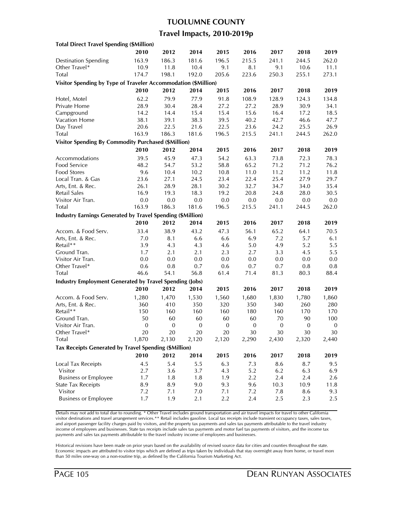## **TUOLUMNE COUNTY**

## **Travel Impacts, 2010-2019p**

| <b>Total Direct Travel Spending (\$Million)</b>                   |                  |                  |                  |              |                  |          |                  |                  |
|-------------------------------------------------------------------|------------------|------------------|------------------|--------------|------------------|----------|------------------|------------------|
|                                                                   | 2010             | 2012             | 2014             | 2015         | 2016             | 2017     | 2018             | 2019             |
| <b>Destination Spending</b>                                       | 163.9            | 186.3            | 181.6            | 196.5        | 215.5            | 241.1    | 244.5            | 262.0            |
| Other Travel*                                                     | 10.9             | 11.8             | 10.4             | 9.1          | 8.1              | 9.1      | 10.6             | 11.1             |
| Total                                                             | 174.7            | 198.1            | 192.0            | 205.6        | 223.6            | 250.3    | 255.1            | 273.1            |
| Visitor Spending by Type of Traveler Accommodation (\$Million)    |                  |                  |                  |              |                  |          |                  |                  |
|                                                                   | 2010             | 2012             | 2014             | 2015         | 2016             | 2017     | 2018             | 2019             |
|                                                                   | 62.2             | 79.9             | 77.9             | 91.8         | 108.9            | 128.9    | 124.3            | 134.8            |
| Hotel, Motel<br>Private Home                                      | 28.9             | 30.4             | 28.4             | 27.2         | 27.2             | 28.9     | 30.9             | 34.1             |
| Campground                                                        |                  | 14.4             | 15.4             | 15.4         | 15.6             |          | 17.2             |                  |
| Vacation Home                                                     | 14.2             |                  | 38.3             | 39.5         | 40.2             | 16.4     |                  | 18.5<br>47.7     |
|                                                                   | 38.1<br>20.6     | 39.1<br>22.5     |                  | 22.5         |                  | 42.7     | 46.6             |                  |
| Day Travel                                                        | 163.9            |                  | 21.6             |              | 23.6             | 24.2     | 25.5             | 26.9             |
| <b>Total</b>                                                      |                  | 186.3            | 181.6            | 196.5        | 215.5            | 241.1    | 244.5            | 262.0            |
| <b>Visitor Spending By Commodity Purchased (\$Million)</b>        |                  |                  |                  |              |                  |          |                  |                  |
|                                                                   | 2010             | 2012             | 2014             | 2015         | 2016             | 2017     | 2018             | 2019             |
| Accommodations                                                    | 39.5             | 45.9             | 47.3             | 54.2         | 63.3             | 73.8     | 72.3             | 78.3             |
| Food Service                                                      | 48.2             | 54.7             | 53.2             | 58.8         | 65.2             | 71.2     | 71.2             | 76.2             |
| Food Stores                                                       | 9.6              | 10.4             | 10.2             | 10.8         | 11.0             | 11.2     | 11.2             | 11.8             |
| Local Tran. & Gas                                                 | 23.6             | 27.1             | 24.5             | 23.4         | 22.4             | 25.4     | 27.9             | 29.7             |
| Arts, Ent. & Rec.                                                 | 26.1             | 28.9             | 28.1             | 30.2         | 32.7             | 34.7     | 34.0             | 35.4             |
| Retail Sales                                                      | 16.9             | 19.3             | 18.3             | 19.2         | 20.8             | 24.8     | 28.0             | 30.5             |
| Visitor Air Tran.                                                 | 0.0              | 0.0              | 0.0              | 0.0          | 0.0              | 0.0      | 0.0              | 0.0              |
| Total                                                             | 163.9            | 186.3            | 181.6            | 196.5        | 215.5            | 241.1    | 244.5            | 262.0            |
| <b>Industry Earnings Generated by Travel Spending (\$Million)</b> |                  |                  |                  |              |                  |          |                  |                  |
|                                                                   | 2010             | 2012             | 2014             | 2015         | 2016             | 2017     | 2018             | 2019             |
| Accom. & Food Serv.                                               | 33.4             | 38.9             | 43.2             | 47.3         | 56.1             | 65.2     | 64.1             | 70.5             |
| Arts, Ent. & Rec.                                                 | 7.0              | 8.1              | 6.6              | 6.6          | 6.9              | 7.2      | 5.7              | 6.1              |
| Retail**                                                          | 3.9              | 4.3              | 4.3              | 4.6          | 5.0              | 4.9      | 5.2              | 5.5              |
| Ground Tran.                                                      | 1.7              | 2.1              | 2.1              | 2.3          | 2.7              | 3.3      | 4.5              | 5.5              |
| Visitor Air Tran.                                                 | 0.0              | 0.0              | 0.0              | 0.0          | 0.0              | 0.0      | 0.0              | 0.0              |
| Other Travel*                                                     | 0.6              | 0.8              | 0.7              | 0.6          | 0.7              | 0.7      | 0.8              | 0.8              |
| Total                                                             | 46.6             | 54.1             | 56.8             | 61.4         | 71.4             | 81.3     | 80.3             | 88.4             |
| <b>Industry Employment Generated by Travel Spending (Jobs)</b>    |                  |                  |                  |              |                  |          |                  |                  |
|                                                                   | 2010             | 2012             | 2014             | 2015         | 2016             | 2017     | 2018             | 2019             |
|                                                                   |                  |                  |                  |              |                  |          |                  |                  |
| Accom. & Food Serv.                                               | 1,280            | 1,470            | 1,530            | 1,560        | 1,680            | 1,830    | 1,780            | 1,860            |
| Arts, Ent. & Rec.                                                 | 360              | 410              | 350              | 320          | 350              | 340      | 260              | 280              |
| Retail**                                                          | 150              | 160              | 160              | 160          | 180              | 160      | 170              | 170              |
| Ground Tran.                                                      | 50               | 60               | 60               | 60           | 60               | 70       | 90               | 100              |
| Visitor Air Tran.                                                 | $\boldsymbol{0}$ | $\boldsymbol{0}$ | $\boldsymbol{0}$ | $\mathbf{0}$ | $\boldsymbol{0}$ | $\bf{0}$ | $\boldsymbol{0}$ | $\boldsymbol{0}$ |
| Other Iravel*                                                     | 20               | 20               | 20               | 20           | 30               | 30       | 30               | 30               |
| Total                                                             | 1,870            | 2,130            | 2,120            | 2,120        | 2,290            | 2,430    | 2,320            | 2,440            |
| Tax Receipts Generated by Travel Spending (\$Million)             |                  |                  |                  |              |                  |          |                  |                  |
|                                                                   | 2010             | 2012             | 2014             | 2015         | 2016             | 2017     | 2018             | 2019             |
| <b>Local Tax Receipts</b>                                         | 4.5              | 5.4              | 5.5              | 6.3          | 7.3              | 8.6      | 8.7              | 9.5              |
| Visitor                                                           | 2.7              | 3.6              | 3.7              | 4.3          | 5.2              | 6.2      | 6.3              | 6.9              |
| <b>Business or Employee</b>                                       | 1.7              | 1.8              | 1.8              | 1.9          | 2.2              | 2.4      | 2.4              | 2.6              |
| <b>State Tax Receipts</b>                                         | 8.9              | 8.9              | 9.0              | 9.3          | 9.6              | 10.3     | 10.9             | 11.8             |
| Visitor                                                           | 7.2              | 7.1              | 7.0              | 7.1          | 7.2              | 7.8      | 8.6              | 9.3              |
| <b>Business or Employee</b>                                       | 1.7              | 1.9              | 2.1              | 2.2          | 2.4              | 2.5      | 2.3              | 2.5              |
|                                                                   |                  |                  |                  |              |                  |          |                  |                  |

Details may not add to total due to rounding. \* Other Travel includes ground transportation and air travel impacts for travel to other California visitor destinations and travel arrangement services.\*\* Retail includes gasoline. Local tax receipts include transient occupancy taxes, sales taxes, and airport passenger facility charges paid by visitors, and the property tax payments and sales tax payments attributable to the travel industry income of employees and businesses. State tax receipts include sales tax payments and motor fuel tax payments of visitors, and the income tax payments and sales tax payments attributable to the travel industry income of employees and businesses.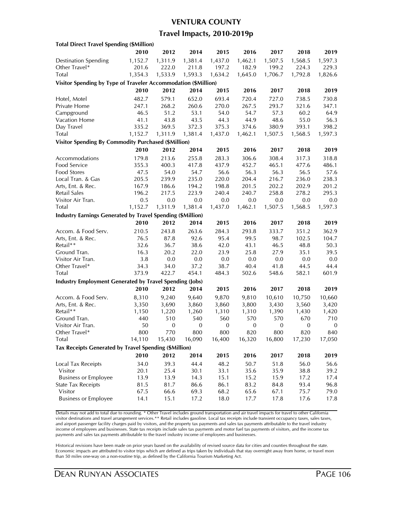#### **VENTURA COUNTY**

## **Travel Impacts, 2010-2019p**

| <b>Total Direct Travel Spending (\$Million)</b>                   |               |                  |                  |                  |                  |                |                  |                  |
|-------------------------------------------------------------------|---------------|------------------|------------------|------------------|------------------|----------------|------------------|------------------|
|                                                                   | 2010          | 2012             | 2014             | 2015             | 2016             | 2017           | 2018             | 2019             |
| <b>Destination Spending</b>                                       | 1,152.7       | 1,311.9          | 1,381.4          | 1,437.0          | 1,462.1          | 1,507.5        | 1,568.5          | 1,597.3          |
| Other Travel*                                                     | 201.6         | 222.0            | 211.8            | 197.2            | 182.9            | 199.2          | 224.3            | 229.3            |
| Total                                                             | 1,354.3       | 1,533.9          | 1,593.3          | 1,634.2          | 1,645.0          | 1,706.7        | 1,792.8          | 1,826.6          |
| Visitor Spending by Type of Traveler Accommodation (\$Million)    |               |                  |                  |                  |                  |                |                  |                  |
|                                                                   | 2010          | 2012             | 2014             | 2015             | 2016             | 2017           | 2018             | 2019             |
| Hotel, Motel                                                      | 482.7         | 579.1            | 652.0            | 693.4            | 720.4            | 727.0          | 738.5            | 730.8            |
| Private Home                                                      | 247.1         | 268.2            | 260.6            | 270.0            | 267.5            | 293.7          | 321.6            | 347.1            |
| Campground                                                        | 46.5          | 51.2             | 53.1             | 54.0             | 54.7             | 57.3           | 60.2             | 64.9             |
| <b>Vacation Home</b>                                              | 41.1          | 43.8             | 43.5             | 44.3             | 44.9             | 48.6           | 55.0             | 56.3             |
| Day Travel                                                        | 335.2         | 369.5            | 372.3            | 375.3            | 374.6            | 380.9          | 393.1            | 398.2            |
| <b>Total</b>                                                      | 1,152.7       | 1,311.9          | 1,381.4          | 1,437.0          | 1,462.1          | 1,507.5        | 1,568.5          | 1,597.3          |
| <b>Visitor Spending By Commodity Purchased (\$Million)</b>        |               |                  |                  |                  |                  |                |                  |                  |
|                                                                   | 2010          | 2012             | 2014             | 2015             | 2016             | 2017           | 2018             | 2019             |
|                                                                   |               |                  |                  |                  |                  |                |                  |                  |
| Accommodations                                                    | 179.8         | 213.6            | 255.8            | 283.3            | 306.6            | 308.4          | 317.3            | 318.8            |
| Food Service                                                      | 355.3         | 400.3            | 417.8            | 437.9            | 452.7            | 465.1          | 477.6            | 486.1            |
| <b>Food Stores</b>                                                | 47.5<br>205.5 | 54.0<br>239.9    | 54.7<br>235.0    | 56.6<br>220.0    | 56.3<br>204.4    | 56.3           | 56.5             | 57.6             |
| Local Tran. & Gas                                                 | 167.9         |                  | 194.2            |                  |                  | 216.7          | 236.0            | 238.3            |
| Arts, Ent. & Rec.<br><b>Retail Sales</b>                          |               | 186.6            |                  | 198.8            | 201.5            | 202.2<br>258.8 | 202.9            | 201.2<br>295.3   |
|                                                                   | 196.2<br>0.5  | 217.5<br>0.0     | 223.9<br>0.0     | 240.4<br>0.0     | 240.7<br>0.0     | 0.0            | 278.2<br>0.0     | 0.0              |
| Visitor Air Tran.<br>Total                                        | 1,152.7       | 1,311.9          |                  |                  |                  |                |                  |                  |
|                                                                   |               |                  | 1,381.4          | 1,437.0          | 1,462.1          | 1,507.5        | 1,568.5          | 1,597.3          |
| <b>Industry Earnings Generated by Travel Spending (\$Million)</b> |               |                  |                  |                  |                  |                |                  |                  |
|                                                                   | 2010          | 2012             | 2014             | 2015             | 2016             | 2017           | 2018             | 2019             |
| Accom. & Food Serv.                                               | 210.5         | 243.8            | 263.6            | 284.3            | 293.8            | 333.7          | 351.2            | 362.9            |
| Arts, Ent. & Rec.                                                 | 76.5          | 87.8             | 92.6             | 95.4             | 99.5             | 98.7           | 102.5            | 104.7            |
| Retail**                                                          | 32.6          | 36.7             | 38.6             | 42.0             | 43.1             | 46.5           | 48.8             | 50.3             |
| Ground Tran.                                                      | 16.3          | 20.2             | 22.0             | 23.9             | 25.8             | 27.9           | 35.1             | 39.5             |
| Visitor Air Tran.                                                 | 3.8           | 0.0              | 0.0              | 0.0              | 0.0              | 0.0            | 0.0              | 0.0              |
| Other Travel*                                                     | 34.3          | 34.0             | 37.2             | 38.7             | 40.4             | 41.8           | 44.5             | 44.4             |
| Total                                                             | 373.9         | 422.7            | 454.1            | 484.3            | 502.6            | 548.6          | 582.1            | 601.9            |
| <b>Industry Employment Generated by Travel Spending (Jobs)</b>    |               |                  |                  |                  |                  |                |                  |                  |
|                                                                   | 2010          | 2012             | 2014             | 2015             | 2016             | 2017           | 2018             | 2019             |
| Accom. & Food Serv.                                               | 8,310         | 9,240            | 9,640            | 9,870            | 9,810            | 10,610         | 10,750           | 10,660           |
| Arts, Ent. & Rec.                                                 | 3,350         | 3,690            | 3,860            | 3,860            | 3,800            | 3,430          | 3,560            | 3,420            |
| Retail**                                                          | 1,150         | 1,220            | 1,260            | 1,310            | 1,310            | 1,390          | 1,430            | 1,420            |
| Ground Tran.                                                      | 440           | 510              | 540              | 560              | 570              | 570            | 670              | 710              |
| Visitor Air Tran.                                                 | 50            | $\boldsymbol{0}$ | $\boldsymbol{0}$ | $\boldsymbol{0}$ | $\boldsymbol{0}$ | $\mathbf{0}$   | $\boldsymbol{0}$ | $\boldsymbol{0}$ |
| Other Iravel*                                                     | 800           | 770              | 800              | 800              | 820              | 800            | 820              | 840              |
| Total                                                             | 14,110        | 15,430           | 16,090           | 16,400           | 16,320           | 16,800         | 17,230           | 17,050           |
| Tax Receipts Generated by Travel Spending (\$Million)             |               |                  |                  |                  |                  |                |                  |                  |
|                                                                   | 2010          | 2012             | 2014             | 2015             | 2016             | 2017           | 2018             | 2019             |
| <b>Local Tax Receipts</b>                                         | 34.0          | 39.3             | 44.4             | 48.2             | 50.7             | 51.8           | 56.0             | 56.6             |
| Visitor                                                           | 20.1          | 25.4             | 30.1             | 33.1             | 35.6             | 35.9           | 38.8             | 39.2             |
| <b>Business or Employee</b>                                       | 13.9          | 13.9             | 14.3             | 15.1             | 15.2             | 15.9           | 17.2             | 17.4             |
| <b>State Tax Receipts</b>                                         | 81.5          | 81.7             | 86.6             | 86.1             | 83.2             | 84.8           | 93.4             | 96.8             |
| Visitor                                                           | 67.5          | 66.6             | 69.3             | 68.2             | 65.6             | 67.1           | 75.7             | 79.0             |
| <b>Business or Employee</b>                                       | 14.1          | 15.1             | 17.2             | 18.0             | 17.7             | 17.8           | 17.6             | 17.8             |
|                                                                   |               |                  |                  |                  |                  |                |                  |                  |

Details may not add to total due to rounding. \* Other Travel includes ground transportation and air travel impacts for travel to other California visitor destinations and travel arrangement services.\*\* Retail includes gasoline. Local tax receipts include transient occupancy taxes, sales taxes, and airport passenger facility charges paid by visitors, and the property tax payments and sales tax payments attributable to the travel industry income of employees and businesses. State tax receipts include sales tax payments and motor fuel tax payments of visitors, and the income tax payments and sales tax payments attributable to the travel industry income of employees and businesses.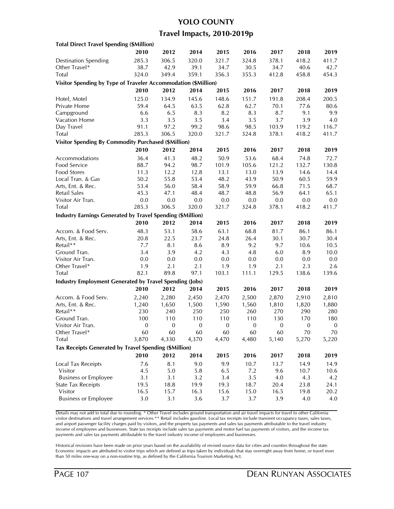## **YOLO COUNTY**

## **Travel Impacts, 2010-2019p**

| <b>Total Direct Travel Spending (\$Million)</b>                |                  |               |                  |              |                  |                |                  |                  |
|----------------------------------------------------------------|------------------|---------------|------------------|--------------|------------------|----------------|------------------|------------------|
|                                                                | 2010             | 2012          | 2014             | 2015         | 2016             | 2017           | 2018             | 2019             |
| <b>Destination Spending</b>                                    | 285.3            | 306.5         | 320.0            | 321.7        | 324.8            | 378.1          | 418.2            | 411.7            |
| Other Travel*                                                  | 38.7             | 42.9          | 39.1             | 34.7         | 30.5             | 34.7           | 40.6             | 42.7             |
| Total                                                          | 324.0            | 349.4         | 359.1            | 356.3        | 355.3            | 412.8          | 458.8            | 454.3            |
| Visitor Spending by Type of Traveler Accommodation (\$Million) |                  |               |                  |              |                  |                |                  |                  |
|                                                                | 2010             | 2012          | 2014             | 2015         | 2016             | 2017           | 2018             | 2019             |
|                                                                | 125.0            | 134.9         | 145.6            | 148.6        | 151.7            | 191.8          | 208.4            | 200.5            |
| Hotel, Motel<br>Private Home                                   | 59.4             | 64.5          | 63.5             | 62.8         | 62.7             | 70.1           | 77.6             | 80.6             |
| Campground                                                     | 6.6              | 6.5           | 8.3              | 8.2          | 8.3              | 8.7            | 9.1              |                  |
| Vacation Home                                                  | 3.3              | 3.5           | 3.5              | 3.4          | 3.5              | 3.7            |                  | 9.9              |
|                                                                | 91.1             |               | 99.2             | 98.6         | 98.5             |                | 3.9              | 4.0              |
| Day Travel                                                     | 285.3            | 97.2<br>306.5 | 320.0            | 321.7        |                  | 103.9<br>378.1 | 119.2            | 116.7<br>411.7   |
| <b>Total</b>                                                   |                  |               |                  |              | 324.8            |                | 418.2            |                  |
| <b>Visitor Spending By Commodity Purchased (\$Million)</b>     |                  |               |                  |              |                  |                |                  |                  |
|                                                                | 2010             | 2012          | 2014             | 2015         | 2016             | 2017           | 2018             | 2019             |
| Accommodations                                                 | 36.4             | 41.3          | 48.2             | 50.9         | 53.6             | 68.4           | 74.8             | 72.7             |
| Food Service                                                   | 88.7             | 94.2          | 98.7             | 101.9        | 105.6            | 121.2          | 132.7            | 130.8            |
| Food Stores                                                    | 11.3             | 12.2          | 12.8             | 13.1         | 13.0             | 13.9           | 14.6             | 14.4             |
| Local Tran. & Gas                                              | 50.2             | 55.8          | 53.4             | 48.2         | 43.9             | 50.9           | 60.5             | 59.9             |
| Arts, Ent. & Rec.                                              | 53.4             | 56.0          | 58.4             | 58.9         | 59.9             | 66.8           | 71.5             | 68.7             |
| <b>Retail Sales</b>                                            | 45.3             | 47.1          | 48.4             | 48.7         | 48.8             | 56.9           | 64.1             | 65.1             |
| Visitor Air Tran.                                              | $0.0\,$          | 0.0           | 0.0              | 0.0          | 0.0              | 0.0            | 0.0              | 0.0              |
| Total                                                          | 285.3            | 306.5         | 320.0            | 321.7        | 324.8            | 378.1          | 418.2            | 411.7            |
| Industry Earnings Generated by Travel Spending (\$Million)     |                  |               |                  |              |                  |                |                  |                  |
|                                                                | 2010             | 2012          | 2014             | 2015         | 2016             | 2017           | 2018             | 2019             |
| Accom. & Food Serv.                                            | 48.3             | 53.1          | 58.6             | 63.1         | 68.8             | 81.7           | 86.1             | 86.1             |
| Arts, Ent. & Rec.                                              | 20.8             | 22.5          | 23.7             | 24.8         | 26.4             | 30.1           | 30.7             | 30.4             |
| Retail**                                                       | 7.7              | 8.1           | 8.6              | 8.9          | 9.2              | 9.7            | 10.6             | 10.5             |
| Ground Tran.                                                   | 3.4              | 3.9           | 4.2              | 4.3          | 4.8              | 6.0            | 8.9              | 10.0             |
| Visitor Air Tran.                                              | 0.0              | 0.0           | 0.0              | 0.0          | 0.0              | 0.0            | 0.0              | 0.0              |
| Other Travel*                                                  | 1.9              | 2.1           | 2.1              | 1.9          | 1.9              | 2.1            | 2.3              | 2.6              |
| <b>Total</b>                                                   | 82.1             | 89.8          | 97.1             | 103.1        | 111.1            | 129.5          | 138.6            | 139.6            |
| <b>Industry Employment Generated by Travel Spending (Jobs)</b> |                  |               |                  |              |                  |                |                  |                  |
|                                                                | 2010             | 2012          | 2014             | 2015         | 2016             | 2017           | 2018             | 2019             |
| Accom. & Food Serv.                                            | 2,240            | 2,280         | 2,450            | 2,470        | 2,500            | 2,870          | 2,910            | 2,810            |
| Arts, Ent. & Rec.                                              | 1,240            | 1,650         | 1,500            | 1,590        | 1,560            | 1,810          | 1,820            | 1,880            |
| Retail**                                                       | 230              | 240           | 250              | 250          | 260              | 270            | 290              | 280              |
| Ground Tran.                                                   | 100              | 110           | 110              | 110          | 110              | 130            | 170              | 180              |
| Visitor Air Tran.                                              | $\boldsymbol{0}$ | 0             | $\boldsymbol{0}$ | $\mathbf{0}$ | $\boldsymbol{0}$ | $\mathbf{0}$   | $\boldsymbol{0}$ | $\boldsymbol{0}$ |
| Other Iravel*                                                  | 60               | 60            | 60               | 60           | 60               | 60             | 70               | 70               |
| Total                                                          | 3,870            | 4,330         | 4,370            | 4,470        | 4,480            | 5,140          | 5,270            | 5,220            |
| Tax Receipts Generated by Travel Spending (\$Million)          |                  |               |                  |              |                  |                |                  |                  |
|                                                                | 2010             | 2012          | 2014             | 2015         | 2016             | 2017           | 2018             | 2019             |
|                                                                |                  |               |                  |              |                  |                |                  |                  |
| Local Tax Receipts                                             | 7.6              | 8.1           | 9.0              | 9.9          | 10.7             | 13.7           | 14.9             | 14.9             |
| Visitor                                                        | 4.5              | 5.0           | 5.8              | 6.5          | 7.2              | 9.6            | 10.7             | 10.6             |
| <b>Business or Employee</b>                                    | 3.1              | 3.1           | 3.2              | 3.4          | 3.5              | 4.0            | 4.3              | 4.2              |
| <b>State Tax Receipts</b>                                      | 19.5             | 18.8          | 19.9             | 19.3         | 18.7             | 20.4           | 23.8             | 24.1             |
| Visitor                                                        | 16.5             | 15.7          | 16.3             | 15.6         | 15.0             | 16.5           | 19.8             | 20.2             |
| <b>Business or Employee</b>                                    | $3.0\,$          | 3.1           | 3.6              | 3.7          | 3.7              | 3.9            | 4.0              | 4.0              |

Details may not add to total due to rounding. \* Other Travel includes ground transportation and air travel impacts for travel to other California visitor destinations and travel arrangement services.\*\* Retail includes gasoline. Local tax receipts include transient occupancy taxes, sales taxes, and airport passenger facility charges paid by visitors, and the property tax payments and sales tax payments attributable to the travel industry income of employees and businesses. State tax receipts include sales tax payments and motor fuel tax payments of visitors, and the income tax payments and sales tax payments attributable to the travel industry income of employees and businesses.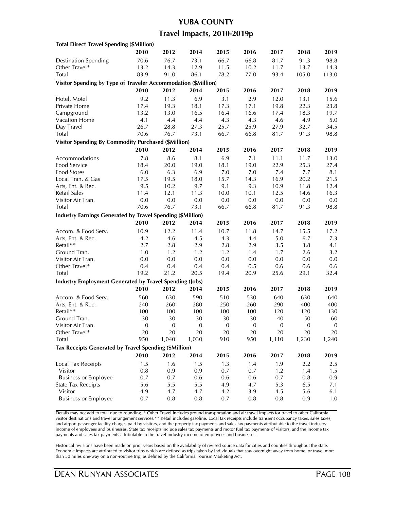# **YUBA COUNTY**

## **Travel Impacts, 2010-2019p**

| <b>Total Direct Travel Spending (\$Million)</b>                   |                  |                  |                  |                  |                  |                  |                  |                  |
|-------------------------------------------------------------------|------------------|------------------|------------------|------------------|------------------|------------------|------------------|------------------|
|                                                                   | 2010             | 2012             | 2014             | 2015             | 2016             | 2017             | 2018             | 2019             |
| <b>Destination Spending</b>                                       | 70.6             | 76.7             | 73.1             | 66.7             | 66.8             | 81.7             | 91.3             | 98.8             |
| Other Travel*                                                     | 13.2             | 14.3             | 12.9             | 11.5             | 10.2             | 11.7             | 13.7             | 14.3             |
| Total                                                             | 83.9             | 91.0             | 86.1             | 78.2             | 77.0             | 93.4             | 105.0            | 113.0            |
| Visitor Spending by Type of Traveler Accommodation (\$Million)    |                  |                  |                  |                  |                  |                  |                  |                  |
|                                                                   | 2010             | 2012             | 2014             | 2015             | 2016             | 2017             | 2018             | 2019             |
| Hotel, Motel                                                      | 9.2              | 11.3             | 6.9              | 3.1              | 2.9              | 12.0             | 13.1             | 15.6             |
| Private Home                                                      | 17.4             | 19.3             | 18.1             | 17.3             | 17.1             | 19.8             | 22.3             | 23.8             |
| Campground                                                        | 13.2             | 13.0             | 16.5             | 16.4             | 16.6             | 17.4             | 18.3             | 19.7             |
| Vacation Home                                                     | 4.1              | 4.4              | 4.4              | 4.3              | 4.3              | 4.6              | 4.9              | 5.0              |
| Day Travel                                                        | 26.7             | 28.8             | 27.3             | 25.7             | 25.9             | 27.9             | 32.7             | 34.5             |
| Total                                                             | 70.6             | 76.7             | 73.1             | 66.7             | 66.8             | 81.7             | 91.3             | 98.8             |
| <b>Visitor Spending By Commodity Purchased (\$Million)</b>        |                  |                  |                  |                  |                  |                  |                  |                  |
|                                                                   | 2010             | 2012             | 2014             | 2015             | 2016             | 2017             | 2018             | 2019             |
|                                                                   |                  |                  |                  |                  |                  |                  |                  |                  |
| Accommodations                                                    | 7.8              | 8.6              | 8.1              | 6.9              | 7.1              | 11.1             | 11.7             | 13.0             |
| Food Service                                                      | 18.4             | 20.0             | 19.0             | 18.1             | 19.0             | 22.9             | 25.3             | 27.4             |
| Food Stores<br>Local Tran. & Gas                                  | 6.0<br>17.5      | 6.3              | 6.9<br>18.0      | 7.0<br>15.7      | 7.0<br>14.3      | 7.4<br>16.9      | 7.7<br>20.2      | 8.1<br>21.5      |
|                                                                   | 9.5              | 19.5<br>10.2     | 9.7              | 9.1              | 9.3              | 10.9             |                  |                  |
| Arts, Ent. & Rec.<br>Retail Sales                                 | 11.4             | 12.1             |                  | 10.0             |                  |                  | 11.8             | 12.4             |
| Visitor Air Tran.                                                 | 0.0              | $0.0\,$          | 11.3<br>0.0      | 0.0              | 10.1<br>0.0      | 12.5             | 14.6<br>$0.0\,$  | 16.3<br>$0.0\,$  |
| Total                                                             | 70.6             | 76.7             | 73.1             | 66.7             | 66.8             | 0.0<br>81.7      |                  | 98.8             |
|                                                                   |                  |                  |                  |                  |                  |                  | 91.3             |                  |
| <b>Industry Earnings Generated by Travel Spending (\$Million)</b> |                  |                  |                  |                  |                  |                  |                  |                  |
|                                                                   | 2010             | 2012             | 2014             | 2015             | 2016             | 2017             | 2018             | 2019             |
| Accom. & Food Serv.                                               | 10.9             | 12.2             | 11.4             | 10.7             | 11.8             | 14.7             | 15.5             | 17.2             |
| Arts, Ent. & Rec.                                                 | 4.2              | 4.6              | 4.5              | 4.3              | 4.4              | 5.0              | 6.7              | 7.3              |
| Retail**                                                          | 2.7              | 2.8              | 2.9              | 2.8              | 2.9              | 3.5              | 3.8              | 4.1              |
| Ground Tran.                                                      | 1.0              | 1.2              | 1.2              | 1.2              | 1.4              | 1.7              | 2.6              | 3.2              |
| Visitor Air Tran.                                                 | 0.0              | 0.0              | 0.0              | 0.0              | 0.0              | 0.0              | 0.0              | $0.0\,$          |
| Other Travel*                                                     | 0.4              | 0.4              | 0.4              | 0.4              | 0.5              | 0.6              | 0.6              | 0.6              |
| Total                                                             | 19.2             | 21.2             | 20.5             | 19.4             | 20.9             | 25.6             | 29.1             | 32.4             |
| <b>Industry Employment Generated by Travel Spending (Jobs)</b>    |                  |                  |                  |                  |                  |                  |                  |                  |
|                                                                   | 2010             | 2012             | 2014             | 2015             | 2016             | 2017             | 2018             | 2019             |
| Accom. & Food Serv.                                               | 560              | 630              | 590              | 510              | 530              | 640              | 630              | 640              |
| Arts, Ent. & Rec.                                                 | 240              | 260              | 280              | 250              | 260              | 290              | 400              | 400              |
| Retail**                                                          | 100              | 100              | 100              | 100              | 100              | 120              | 120              | 130              |
| Ground Tran.                                                      | 30               | 30               | 30               | 30               | 30               | 40               | 50               | 60               |
| Visitor Air Tran.                                                 | $\boldsymbol{0}$ | $\boldsymbol{0}$ | $\boldsymbol{0}$ | $\boldsymbol{0}$ | $\boldsymbol{0}$ | $\boldsymbol{0}$ | $\boldsymbol{0}$ | $\boldsymbol{0}$ |
| Other Travel*                                                     | 20               | 20               | 20               | 20               | 20               | 20               | 20               | 20               |
| Total                                                             | 950              | 1,040            | 1,030            | 910              | 950              | 1,110            | 1,230            | 1,240            |
| Tax Receipts Generated by Travel Spending (\$Million)             |                  |                  |                  |                  |                  |                  |                  |                  |
|                                                                   | 2010             | 2012             | 2014             | 2015             | 2016             | 2017             | 2018             | 2019             |
| Local Tax Receipts                                                | 1.5              | 1.6              | 1.5              | 1.3              | 1.4              | 1.9              | 2.2              | 2.5              |
| Visitor                                                           | 0.8              | 0.9              | 0.9              | 0.7              | 0.7              | 1.2              | 1.4              | 1.5              |
| <b>Business or Employee</b>                                       | 0.7              | 0.7              | 0.6              | 0.6              | 0.6              | 0.7              | 0.8              | 0.9              |
| <b>State Tax Receipts</b>                                         | 5.6              | 5.5              | 5.5              | 4.9              | 4.7              | 5.3              | 6.5              | 7.1              |
| Visitor                                                           | 4.9              | 4.7              | 4.7              | 4.2              | 3.9              | 4.5              | 5.6              | 6.1              |
| <b>Business or Employee</b>                                       | 0.7              | 0.8              | 0.8              | 0.7              | 0.8              | 0.8              | 0.9              | 1.0              |
|                                                                   |                  |                  |                  |                  |                  |                  |                  |                  |

Details may not add to total due to rounding. \* Other Travel includes ground transportation and air travel impacts for travel to other California visitor destinations and travel arrangement services.\*\* Retail includes gasoline. Local tax receipts include transient occupancy taxes, sales taxes, and airport passenger facility charges paid by visitors, and the property tax payments and sales tax payments attributable to the travel industry income of employees and businesses. State tax receipts include sales tax payments and motor fuel tax payments of visitors, and the income tax payments and sales tax payments attributable to the travel industry income of employees and businesses.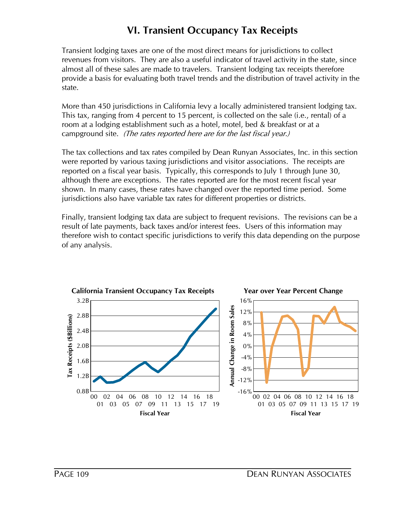# **VI. Transient Occupancy Tax Receipts**

Transient lodging taxes are one of the most direct means for jurisdictions to collect revenues from visitors. They are also a useful indicator of travel activity in the state, since almost all of these sales are made to travelers. Transient lodging tax receipts therefore provide a basis for evaluating both travel trends and the distribution of travel activity in the state.

More than 450 jurisdictions in California levy a locally administered transient lodging tax. This tax, ranging from 4 percent to 15 percent, is collected on the sale (i.e., rental) of a room at a lodging establishment such as a hotel, motel, bed & breakfast or at a campground site. (The rates reported here are for the last fiscal year.)

The tax collections and tax rates compiled by Dean Runyan Associates, Inc. in this section were reported by various taxing jurisdictions and visitor associations. The receipts are reported on a fiscal year basis. Typically, this corresponds to July 1 through June 30, although there are exceptions. The rates reported are for the most recent fiscal year shown. In many cases, these rates have changed over the reported time period. Some jurisdictions also have variable tax rates for different properties or districts.

Finally, transient lodging tax data are subject to frequent revisions. The revisions can be a result of late payments, back taxes and/or interest fees. Users of this information may therefore wish to contact specific jurisdictions to verify this data depending on the purpose of any analysis.

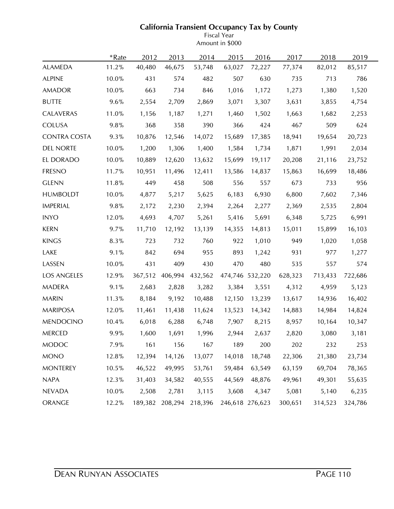# **California Transient Occupancy Tax by County**

Fiscal Year Amount in \$000

|                     | *Rate | 2012    | 2013    | 2014    | 2015   | 2016            | 2017    | 2018    | 2019    |  |
|---------------------|-------|---------|---------|---------|--------|-----------------|---------|---------|---------|--|
| <b>ALAMEDA</b>      | 11.2% | 40,480  | 46,675  | 53,748  | 63,027 | 72,227          | 77,374  | 82,012  | 85,517  |  |
| <b>ALPINE</b>       | 10.0% | 431     | 574     | 482     | 507    | 630             | 735     | 713     | 786     |  |
| AMADOR              | 10.0% | 663     | 734     | 846     | 1,016  | 1,172           | 1,273   | 1,380   | 1,520   |  |
| <b>BUTTE</b>        | 9.6%  | 2,554   | 2,709   | 2,869   | 3,071  | 3,307           | 3,631   | 3,855   | 4,754   |  |
| CALAVERAS           | 11.0% | 1,156   | 1,187   | 1,271   | 1,460  | 1,502           | 1,663   | 1,682   | 2,253   |  |
| <b>COLUSA</b>       | 9.8%  | 368     | 358     | 390     | 366    | 424             | 467     | 509     | 624     |  |
| <b>CONTRA COSTA</b> | 9.3%  | 10,876  | 12,546  | 14,072  | 15,689 | 17,385          | 18,941  | 19,654  | 20,723  |  |
| <b>DEL NORTE</b>    | 10.0% | 1,200   | 1,306   | 1,400   | 1,584  | 1,734           | 1,871   | 1,991   | 2,034   |  |
| EL DORADO           | 10.0% | 10,889  | 12,620  | 13,632  | 15,699 | 19,117          | 20,208  | 21,116  | 23,752  |  |
| <b>FRESNO</b>       | 11.7% | 10,951  | 11,496  | 12,411  | 13,586 | 14,837          | 15,863  | 16,699  | 18,486  |  |
| <b>GLENN</b>        | 11.8% | 449     | 458     | 508     | 556    | 557             | 673     | 733     | 956     |  |
| <b>HUMBOLDT</b>     | 10.0% | 4,877   | 5,217   | 5,625   | 6,183  | 6,930           | 6,800   | 7,602   | 7,346   |  |
| <b>IMPERIAL</b>     | 9.8%  | 2,172   | 2,230   | 2,394   | 2,264  | 2,277           | 2,369   | 2,535   | 2,804   |  |
| <b>INYO</b>         | 12.0% | 4,693   | 4,707   | 5,261   | 5,416  | 5,691           | 6,348   | 5,725   | 6,991   |  |
| <b>KERN</b>         | 9.7%  | 11,710  | 12,192  | 13,139  | 14,355 | 14,813          | 15,011  | 15,899  | 16,103  |  |
| <b>KINGS</b>        | 8.3%  | 723     | 732     | 760     | 922    | 1,010           | 949     | 1,020   | 1,058   |  |
| LAKE                | 9.1%  | 842     | 694     | 955     | 893    | 1,242           | 931     | 977     | 1,277   |  |
| LASSEN              | 10.0% | 431     | 409     | 430     | 470    | 480             | 535     | 557     | 574     |  |
| <b>LOS ANGELES</b>  | 12.9% | 367,512 | 406,994 | 432,562 |        | 474,746 532,220 | 628,323 | 713,433 | 722,686 |  |
| <b>MADERA</b>       | 9.1%  | 2,683   | 2,828   | 3,282   | 3,384  | 3,551           | 4,312   | 4,959   | 5,123   |  |
| <b>MARIN</b>        | 11.3% | 8,184   | 9,192   | 10,488  | 12,150 | 13,239          | 13,617  | 14,936  | 16,402  |  |
| <b>MARIPOSA</b>     | 12.0% | 11,461  | 11,438  | 11,624  | 13,523 | 14,342          | 14,883  | 14,984  | 14,824  |  |
| <b>MENDOCINO</b>    | 10.4% | 6,018   | 6,288   | 6,748   | 7,907  | 8,215           | 8,957   | 10,164  | 10,347  |  |
| <b>MERCED</b>       | 9.9%  | 1,600   | 1,691   | 1,996   | 2,944  | 2,637           | 2,820   | 3,080   | 3,181   |  |
| <b>MODOC</b>        | 7.9%  | 161     | 156     | 167     | 189    | 200             | 202     | 232     | 253     |  |
| <b>MONO</b>         | 12.8% | 12,394  | 14,126  | 13,077  | 14,018 | 18,748          | 22,306  | 21,380  | 23,734  |  |
| <b>MONTEREY</b>     | 10.5% | 46,522  | 49,995  | 53,761  | 59,484 | 63,549          | 63,159  | 69,704  | 78,365  |  |
| <b>NAPA</b>         | 12.3% | 31,403  | 34,582  | 40,555  | 44,569 | 48,876          | 49,961  | 49,301  | 55,635  |  |
| <b>NEVADA</b>       | 10.0% | 2,508   | 2,781   | 3,115   | 3,608  | 4,347           | 5,081   | 5,140   | 6,235   |  |
| ORANGE              | 12.2% | 189,382 | 208,294 | 218,396 |        | 246,618 276,623 | 300,651 | 314,523 | 324,786 |  |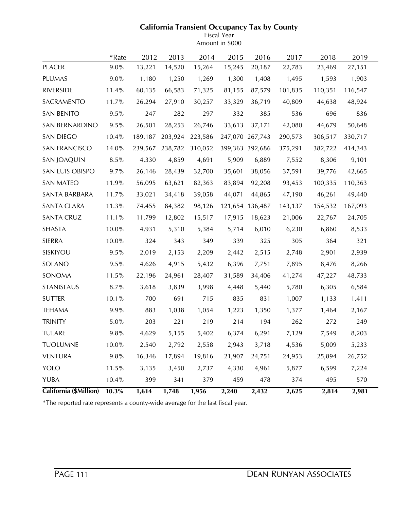# **California Transient Occupancy Tax by County**

Fiscal Year Amount in \$000

|                        | *Rate   | 2012    | 2013    | 2014    | 2015   | 2016            | 2017    | 2018    | 2019    |  |
|------------------------|---------|---------|---------|---------|--------|-----------------|---------|---------|---------|--|
| <b>PLACER</b>          | 9.0%    | 13,221  | 14,520  | 15,264  | 15,245 | 20,187          | 22,783  | 23,469  | 27,151  |  |
| <b>PLUMAS</b>          | 9.0%    | 1,180   | 1,250   | 1,269   | 1,300  | 1,408           | 1,495   | 1,593   | 1,903   |  |
| <b>RIVERSIDE</b>       | 11.4%   | 60,135  | 66,583  | 71,325  | 81,155 | 87,579          | 101,835 | 110,351 | 116,547 |  |
| SACRAMENTO             | 11.7%   | 26,294  | 27,910  | 30,257  | 33,329 | 36,719          | 40,809  | 44,638  | 48,924  |  |
| <b>SAN BENITO</b>      | 9.5%    | 247     | 282     | 297     | 332    | 385             | 536     | 696     | 836     |  |
| SAN BERNARDINO         | 9.5%    | 26,501  | 28,253  | 26,746  | 33,613 | 37,171          | 42,080  | 44,679  | 50,648  |  |
| SAN DIEGO              | 10.4%   | 189,187 | 203,924 | 223,586 |        | 247,070 267,743 | 290,573 | 306,517 | 330,717 |  |
| SAN FRANCISCO          | 14.0%   | 239,567 | 238,782 | 310,052 |        | 399,363 392,686 | 375,291 | 382,722 | 414,343 |  |
| <b>SAN JOAQUIN</b>     | 8.5%    | 4,330   | 4,859   | 4,691   | 5,909  | 6,889           | 7,552   | 8,306   | 9,101   |  |
| SAN LUIS OBISPO        | 9.7%    | 26,146  | 28,439  | 32,700  | 35,601 | 38,056          | 37,591  | 39,776  | 42,665  |  |
| SAN MATEO              | 11.9%   | 56,095  | 63,621  | 82,363  | 83,894 | 92,208          | 93,453  | 100,335 | 110,363 |  |
| SANTA BARBARA          | 11.7%   | 33,021  | 34,418  | 39,058  | 44,071 | 44,865          | 47,190  | 46,261  | 49,440  |  |
| SANTA CLARA            | 11.3%   | 74,455  | 84,382  | 98,126  |        | 121,654 136,487 | 143,137 | 154,532 | 167,093 |  |
| <b>SANTA CRUZ</b>      | 11.1%   | 11,799  | 12,802  | 15,517  | 17,915 | 18,623          | 21,006  | 22,767  | 24,705  |  |
| <b>SHASTA</b>          | 10.0%   | 4,931   | 5,310   | 5,384   | 5,714  | 6,010           | 6,230   | 6,860   | 8,533   |  |
| <b>SIERRA</b>          | 10.0%   | 324     | 343     | 349     | 339    | 325             | 305     | 364     | 321     |  |
| SISKIYOU               | 9.5%    | 2,019   | 2,153   | 2,209   | 2,442  | 2,515           | 2,748   | 2,901   | 2,939   |  |
| SOLANO                 | 9.5%    | 4,626   | 4,915   | 5,432   | 6,396  | 7,751           | 7,895   | 8,476   | 8,266   |  |
| SONOMA                 | 11.5%   | 22,196  | 24,961  | 28,407  | 31,589 | 34,406          | 41,274  | 47,227  | 48,733  |  |
| STANISLAUS             | 8.7%    | 3,618   | 3,839   | 3,998   | 4,448  | 5,440           | 5,780   | 6,305   | 6,584   |  |
| <b>SUTTER</b>          | 10.1%   | 700     | 691     | 715     | 835    | 831             | 1,007   | 1,133   | 1,411   |  |
| <b>TEHAMA</b>          | 9.9%    | 883     | 1,038   | 1,054   | 1,223  | 1,350           | 1,377   | 1,464   | 2,167   |  |
| <b>TRINITY</b>         | 5.0%    | 203     | 221     | 219     | 214    | 194             | 262     | 272     | 249     |  |
| <b>TULARE</b>          | 9.8%    | 4,629   | 5,155   | 5,402   | 6,374  | 6,291           | 7,129   | 7,549   | 8,203   |  |
| <b>TUOLUMNE</b>        | 10.0%   | 2,540   | 2,792   | 2,558   | 2,943  | 3,718           | 4,536   | 5,009   | 5,233   |  |
| <b>VENTURA</b>         | $9.8\%$ | 16,346  | 17,894  | 19,816  | 21,907 | 24,751          | 24,953  | 25,894  | 26,752  |  |
| YOLO                   | 11.5%   | 3,135   | 3,450   | 2,737   | 4,330  | 4,961           | 5,877   | 6,599   | 7,224   |  |
| <b>YUBA</b>            | 10.4%   | 399     | 341     | 379     | 459    | 478             | 374     | 495     | 570     |  |
| California (\$Million) | 10.3%   | 1,614   | 1,748   | 1,956   | 2,240  | 2,432           | 2,625   | 2,814   | 2,981   |  |

\*The reported rate represents a county-wide average for the last fiscal year.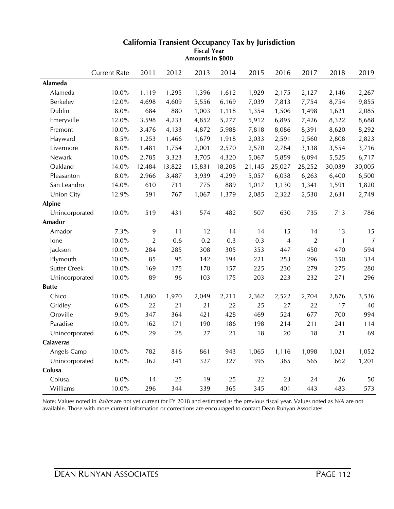|                     | <b>Current Rate</b> | 2011           | 2012   | 2013   | 2014   | 2015   | 2016           | 2017           | 2018         | 2019                       |
|---------------------|---------------------|----------------|--------|--------|--------|--------|----------------|----------------|--------------|----------------------------|
| Alameda             |                     |                |        |        |        |        |                |                |              |                            |
| Alameda             | 10.0%               | 1,119          | 1,295  | 1,396  | 1,612  | 1,929  | 2,175          | 2,127          | 2,146        | 2,267                      |
| Berkeley            | 12.0%               | 4,698          | 4,609  | 5,556  | 6,169  | 7,039  | 7,813          | 7,754          | 8,754        | 9,855                      |
| Dublin              | $8.0\%$             | 684            | 880    | 1,003  | 1,118  | 1,354  | 1,506          | 1,498          | 1,621        | 2,085                      |
| Emeryville          | 12.0%               | 3,598          | 4,233  | 4,852  | 5,277  | 5,912  | 6,895          | 7,426          | 8,322        | 8,688                      |
| Fremont             | 10.0%               | 3,476          | 4,133  | 4,872  | 5,988  | 7,818  | 8,086          | 8,391          | 8,620        | 8,292                      |
| Hayward             | 8.5%                | 1,253          | 1,466  | 1,679  | 1,918  | 2,033  | 2,591          | 2,560          | 2,808        | 2,823                      |
| Livermore           | $8.0\%$             | 1,481          | 1,754  | 2,001  | 2,570  | 2,570  | 2,784          | 3,138          | 3,554        | 3,716                      |
| Newark              | 10.0%               | 2,785          | 3,323  | 3,705  | 4,320  | 5,067  | 5,859          | 6,094          | 5,525        | 6,717                      |
| Oakland             | 14.0%               | 12,484         | 13,822 | 15,831 | 18,208 | 21,145 | 25,027         | 28,252         | 30,039       | 30,005                     |
| Pleasanton          | 8.0%                | 2,966          | 3,487  | 3,939  | 4,299  | 5,057  | 6,038          | 6,263          | 6,400        | 6,500                      |
| San Leandro         | 14.0%               | 610            | 711    | 775    | 889    | 1,017  | 1,130          | 1,341          | 1,591        | 1,820                      |
| Union City          | 12.9%               | 591            | 767    | 1,067  | 1,379  | 2,085  | 2,322          | 2,530          | 2,631        | 2,749                      |
| <b>Alpine</b>       |                     |                |        |        |        |        |                |                |              |                            |
| Unincorporated      | 10.0%               | 519            | 431    | 574    | 482    | 507    | 630            | 735            | 713          | 786                        |
| Amador              |                     |                |        |        |        |        |                |                |              |                            |
| Amador              | 7.3%                | 9              | 11     | 12     | 14     | 14     | 15             | 14             | 13           | 15                         |
| lone                | 10.0%               | $\overline{2}$ | 0.6    | 0.2    | 0.3    | 0.3    | $\overline{4}$ | $\overline{2}$ | $\mathbf{1}$ | $\boldsymbol{\mathcal{I}}$ |
| Jackson             | 10.0%               | 284            | 285    | 308    | 305    | 353    | 447            | 450            | 470          | 594                        |
| Plymouth            | 10.0%               | 85             | 95     | 142    | 194    | 221    | 253            | 296            | 350          | 334                        |
| <b>Sutter Creek</b> | 10.0%               | 169            | 175    | 170    | 157    | 225    | 230            | 279            | 275          | 280                        |
| Unincorporated      | 10.0%               | 89             | 96     | 103    | 175    | 203    | 223            | 232            | 271          | 296                        |
| <b>Butte</b>        |                     |                |        |        |        |        |                |                |              |                            |
| Chico               | 10.0%               | 1,880          | 1,970  | 2,049  | 2,211  | 2,362  | 2,522          | 2,704          | 2,876        | 3,536                      |
| Gridley             | $6.0\%$             | 22             | 21     | 21     | 22     | 25     | 27             | 22             | 17           | 40                         |
| Oroville            | 9.0%                | 347            | 364    | 421    | 428    | 469    | 524            | 677            | 700          | 994                        |
| Paradise            | 10.0%               | 162            | 171    | 190    | 186    | 198    | 214            | 211            | 241          | 114                        |
| Unincorporated      | $6.0\%$             | 29             | 28     | 27     | 21     | 18     | 20             | 18             | 21           | 69                         |
| <b>Calaveras</b>    |                     |                |        |        |        |        |                |                |              |                            |
| Angels Camp         | 10.0%               | 782            | 816    | 861    | 943    | 1,065  | 1,116          | 1,098          | 1,021        | 1,052                      |
| Unincorporated      | $6.0\%$             | 362            | 341    | 327    | 327    | 395    | 385            | 565            | 662          | 1,201                      |
| Colusa              |                     |                |        |        |        |        |                |                |              |                            |
| Colusa              | 8.0%                | 14             | 25     | 19     | 25     | 22     | 23             | 24             | 26           | 50                         |
| Williams            | 10.0%               | 296            | 344    | 339    | 365    | 345    | 401            | 443            | 483          | 573                        |

**Amounts in \$000**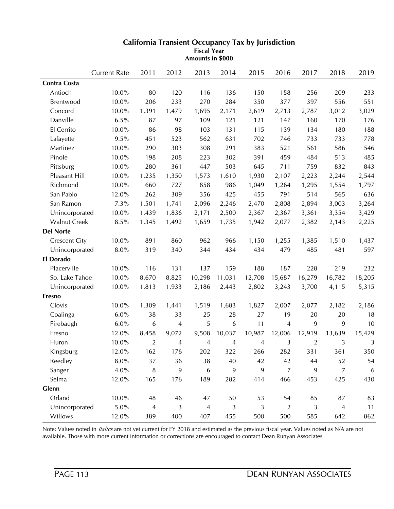|                      | <b>Current Rate</b> | 2011           | 2012  | 2013           | 2014   | 2015   | 2016           | 2017   | 2018           | 2019             |
|----------------------|---------------------|----------------|-------|----------------|--------|--------|----------------|--------|----------------|------------------|
| <b>Contra Costa</b>  |                     |                |       |                |        |        |                |        |                |                  |
| Antioch              | 10.0%               | 80             | 120   | 116            | 136    | 150    | 158            | 256    | 209            | 233              |
| <b>Brentwood</b>     | 10.0%               | 206            | 233   | 270            | 284    | 350    | 377            | 397    | 556            | 551              |
| Concord              | 10.0%               | 1,391          | 1,479 | 1,695          | 2,171  | 2,619  | 2,713          | 2,787  | 3,012          | 3,029            |
| Danville             | 6.5%                | 87             | 97    | 109            | 121    | 121    | 147            | 160    | 170            | 176              |
| El Cerrito           | 10.0%               | 86             | 98    | 103            | 131    | 115    | 139            | 134    | 180            | 188              |
| Lafayette            | 9.5%                | 451            | 523   | 562            | 631    | 702    | 746            | 733    | 733            | 778              |
| Martinez             | 10.0%               | 290            | 303   | 308            | 291    | 383    | 521            | 561    | 586            | 546              |
| Pinole               | 10.0%               | 198            | 208   | 223            | 302    | 391    | 459            | 484    | 513            | 485              |
| Pittsburg            | 10.0%               | 280            | 361   | 447            | 503    | 645    | 711            | 759    | 832            | 843              |
| Pleasant Hill        | 10.0%               | 1,235          | 1,350 | 1,573          | 1,610  | 1,930  | 2,107          | 2,223  | 2,244          | 2,544            |
| Richmond             | 10.0%               | 660            | 727   | 858            | 986    | 1,049  | 1,264          | 1,295  | 1,554          | 1,797            |
| San Pablo            | 12.0%               | 262            | 309   | 356            | 425    | 455    | 791            | 514    | 565            | 636              |
| San Ramon            | 7.3%                | 1,501          | 1,741 | 2,096          | 2,246  | 2,470  | 2,808          | 2,894  | 3,003          | 3,264            |
| Unincorporated       | 10.0%               | 1,439          | 1,836 | 2,171          | 2,500  | 2,367  | 2,367          | 3,361  | 3,354          | 3,429            |
| <b>Walnut Creek</b>  | 8.5%                | 1,345          | 1,492 | 1,659          | 1,735  | 1,942  | 2,077          | 2,382  | 2,143          | 2,225            |
| <b>Del Norte</b>     |                     |                |       |                |        |        |                |        |                |                  |
| <b>Crescent City</b> | 10.0%               | 891            | 860   | 962            | 966    | 1,150  | 1,255          | 1,385  | 1,510          | 1,437            |
| Unincorporated       | $8.0\%$             | 319            | 340   | 344            | 434    | 434    | 479            | 485    | 481            | 597              |
| El Dorado            |                     |                |       |                |        |        |                |        |                |                  |
| Placerville          | 10.0%               | 116            | 131   | 137            | 159    | 188    | 187            | 228    | 219            | 232              |
| So. Lake Tahoe       | 10.0%               | 8,670          | 8,825 | 10,298         | 11,031 | 12,708 | 15,687         | 16,279 | 16,782         | 18,205           |
| Unincorporated       | 10.0%               | 1,813          | 1,933 | 2,186          | 2,443  | 2,802  | 3,243          | 3,700  | 4,115          | 5,315            |
| Fresno               |                     |                |       |                |        |        |                |        |                |                  |
| Clovis               | 10.0%               | 1,309          | 1,441 | 1,519          | 1,683  | 1,827  | 2,007          | 2,077  | 2,182          | 2,186            |
| Coalinga             | 6.0%                | 38             | 33    | 25             | 28     | 27     | 19             | 20     | 20             | 18               |
| Firebaugh            | 6.0%                | 6              | 4     | 5              | 6      | 11     | 4              | 9      | 9              | 10               |
| Fresno               | 12.0%               | 8,458          | 9,072 | 9,508          | 10,037 | 10,987 | 12,006         | 12,919 | 13,639         | 15,429           |
| Huron                | 10.0%               | $\overline{2}$ | 4     | 4              | 4      | 4      | 3              | 2      | 3              | 3                |
| Kingsburg            | 12.0%               | 162            | 176   | 202            | 322    | 266    | 282            | 331    | 361            | 350              |
| Reedley              | $8.0\%$             | 37             | 36    | 38             | 40     | 42     | 42             | 44     | 52             | 54               |
| Sanger               | $4.0\%$             | $\, 8$         | 9     | 6              | 9      | 9      | $\overline{7}$ | 9      | $\overline{7}$ | $\boldsymbol{6}$ |
| Selma                | 12.0%               | 165            | 176   | 189            | 282    | 414    | 466            | 453    | 425            | 430              |
| Glenn                |                     |                |       |                |        |        |                |        |                |                  |
| Orland               | $10.0\%$            | 48             | 46    | 47             | $50\,$ | 53     | 54             | 85     | 87             | 83               |
| Unincorporated       | $5.0\%$             | $\overline{4}$ | 3     | $\overline{4}$ | 3      | 3      | $\overline{2}$ | 3      | $\overline{4}$ | 11               |
| Willows              | 12.0%               | 389            | 400   | 407            | 455    | 500    | 500            | 585    | 642            | 862              |

**Amounts in \$000**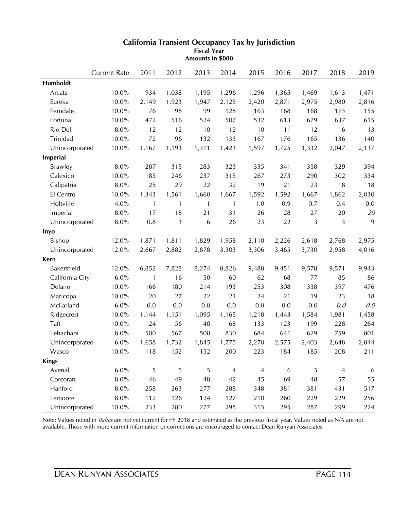|                 | <b>Current Rate</b> | 2011         | 2012         | 2013           | 2014           | 2015           | 2016             | 2017  | 2018           | 2019    |
|-----------------|---------------------|--------------|--------------|----------------|----------------|----------------|------------------|-------|----------------|---------|
| Humboldt        |                     |              |              |                |                |                |                  |       |                |         |
| Arcata          | 10.0%               | 934          | 1,038        | 1,195          | 1,296          | 1,296          | 1,365            | 1,469 | 1,613          | 1,471   |
| Eureka          | 10.0%               | 2,149        | 1,923        | 1,947          | 2,125          | 2,420          | 2,871            | 2,975 | 2,980          | 2,816   |
| Ferndale        | $10.0\%$            | 76           | 98           | 99             | 128            | 163            | 168              | 168   | 173            | 155     |
| Fortuna         | 10.0%               | 472          | 516          | 524            | 507            | 532            | 613              | 679   | 637            | 615     |
| Rio Dell        | $8.0\%$             | 12           | 12           | 10             | 12             | 10             | 11               | 12    | 16             | 13      |
| Trinidad        | 10.0%               | 72           | 96           | 132            | 133            | 167            | 176              | 165   | 136            | 140     |
| Unincorporated  | 10.0%               | 1,167        | 1,193        | 1,311          | 1,423          | 1,597          | 1,725            | 1,332 | 2,047          | 2,137   |
| Imperial        |                     |              |              |                |                |                |                  |       |                |         |
| <b>Brawley</b>  | 8.0%                | 287          | 315          | 283            | 323            | 335            | 341              | 358   | 329            | 394     |
| Calexico        | 10.0%               | 185          | 246          | 237            | 315            | 267            | 273              | 290   | 302            | 334     |
| Calipatria      | 8.0%                | 25           | 29           | 22             | 32             | 19             | 21               | 23    | 18             | 18      |
| El Centro       | 10.0%               | 1,343        | 1,561        | 1,660          | 1,667          | 1,592          | 1,592            | 1,667 | 1,862          | 2,030   |
| Holtville       | 4.0%                | $\mathbf{1}$ | $\mathbf{1}$ | $\mathbf{1}$   | $\mathbf{1}$   | 1.0            | 0.9              | 0.7   | 0.4            | 0.0     |
| Imperial        | $8.0\%$             | 17           | 18           | 21             | 31             | 26             | 28               | 27    | 20             | $20\,$  |
| Unincorporated  | $8.0\%$             | 0.8          | 3            | 6              | 26             | 23             | 22               | 3     | 3              | 9       |
| Inyo            |                     |              |              |                |                |                |                  |       |                |         |
| <b>Bishop</b>   | 12.0%               | 1,871        | 1,811        | 1,829          | 1,958          | 2,110          | 2,226            | 2,618 | 2,768          | 2,975   |
| Unincorporated  | 12.0%               | 2,667        | 2,882        | 2,878          | 3,303          | 3,306          | 3,465            | 3,730 | 2,958          | 4,016   |
| Kern            |                     |              |              |                |                |                |                  |       |                |         |
| Bakersfield     | 12.0%               | 6,852        | 7,828        | 8,274          | 8,826          | 9,488          | 9,451            | 9,578 | 9,571          | 9,943   |
| California City | 6.0%                | $\mathbf{1}$ | 16           | 50             | 60             | 62             | 68               | 77    | 85             | 86      |
| Delano          | 10.0%               | 166          | 180          | 214            | 193            | 253            | 308              | 338   | 397            | 476     |
| Maricopa        | $10.0\%$            | 20           | 27           | 22             | 21             | 24             | 21               | 19    | 23             | 18      |
| McFarland       | 6.0%                | 0.0          | 0.0          | 0.0            | 0.0            | 0.0            | 0.0              | 0.0   | 0.0            | $0.0\,$ |
| Ridgecrest      | 10.0%               | 1,144        | 1,151        | 1,095          | 1,165          | 1,218          | 1,443            | 1,584 | 1,981          | 1,458   |
| Taft            | 10.0%               | 24           | 56           | 40             | 68             | 133            | 123              | 199   | 228            | 264     |
| Tehachapi       | $8.0\%$             | 500          | 567          | 500            | 830            | 684            | 641              | 629   | 759            | 801     |
| Unincorporated  | 6.0%                | 1,658        | 1,732        | 1,845          | 1,775          | 2,270          | 2,575            | 2,403 | 2,648          | 2,844   |
| Wasco           | 10.0%               | 118          | 152          | 152            | 200            | 223            | 184              | 185   | 208            | 211     |
| <b>Kings</b>    |                     |              |              |                |                |                |                  |       |                |         |
| Avenal          | 6.0%                | $\sqrt{5}$   | 5            | $\overline{5}$ | $\overline{4}$ | $\overline{4}$ | $\boldsymbol{6}$ | 5     | $\overline{4}$ | 6       |
| Corcoran        | $8.0\%$             | 46           | 49           | 48             | 42             | 45             | 69               | 48    | 57             | 55      |
| Hanford         | $8.0\%$             | 258          | 263          | 277            | 288            | 348            | 381              | 381   | 431            | 517     |
| Lemoore         | $8.0\%$             | 112          | 126          | 124            | 127            | 210            | 260              | 229   | 229            | 256     |
| Unincorporated  | $10.0\%$            | 233          | 280          | 277            | 298            | 315            | 295              | 287   | 299            | 224     |

**Amounts in \$000**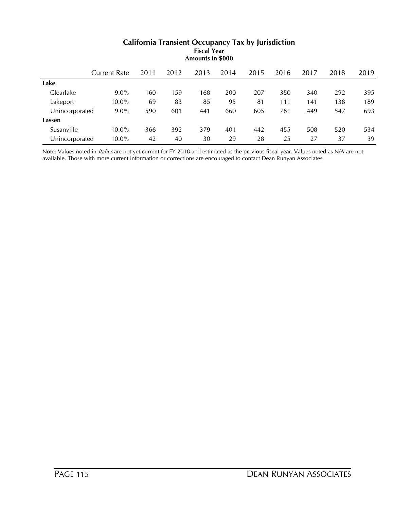|                | Current Rate | 2011 | 2012 | 2013 | 2014 | 2015 | 2016 | 2017 | 2018 | 2019 |
|----------------|--------------|------|------|------|------|------|------|------|------|------|
| Lake           |              |      |      |      |      |      |      |      |      |      |
| Clearlake      | $9.0\%$      | 160  | 159  | 168  | 200  | 207  | 350  | 340  | 292  | 395  |
| Lakeport       | $10.0\%$     | 69   | 83   | 85   | 95   | 81   | 111  | 141  | 138  | 189  |
| Unincorporated | $9.0\%$      | 590  | 601  | 441  | 660  | 605  | 781  | 449  | 547  | 693  |
| Lassen         |              |      |      |      |      |      |      |      |      |      |
| Susanville     | $10.0\%$     | 366  | 392  | 379  | 401  | 442  | 455  | 508  | 520  | 534  |
| Unincorporated | $10.0\%$     | 42   | 40   | 30   | 29   | 28   | 25   | 27   | 37   | 39   |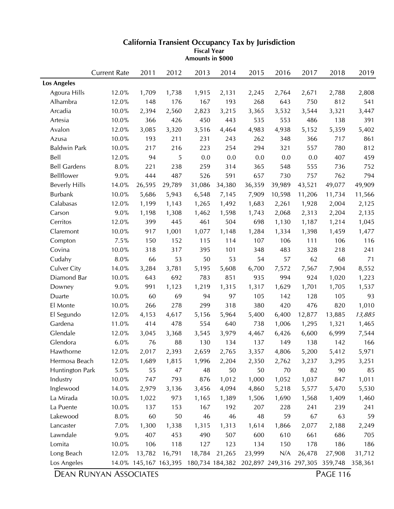|                      | <b>Current Rate</b> | 2011   | 2012                  | 2013   | 2014    | 2015                                    | 2016   | 2017   | 2018    | 2019    |
|----------------------|---------------------|--------|-----------------------|--------|---------|-----------------------------------------|--------|--------|---------|---------|
| <b>Los Angeles</b>   |                     |        |                       |        |         |                                         |        |        |         |         |
| Agoura Hills         | 12.0%               | 1,709  | 1,738                 | 1,915  | 2,131   | 2,245                                   | 2,764  | 2,671  | 2,788   | 2,808   |
| Alhambra             | 12.0%               | 148    | 176                   | 167    | 193     | 268                                     | 643    | 750    | 812     | 541     |
| Arcadia              | 10.0%               | 2,394  | 2,560                 | 2,823  | 3,215   | 3,365                                   | 3,532  | 3,544  | 3,321   | 3,447   |
| Artesia              | 10.0%               | 366    | 426                   | 450    | 443     | 535                                     | 553    | 486    | 138     | 391     |
| Avalon               | 12.0%               | 3,085  | 3,320                 | 3,516  | 4,464   | 4,983                                   | 4,938  | 5,152  | 5,359   | 5,402   |
| Azusa                | 10.0%               | 193    | 211                   | 231    | 243     | 262                                     | 348    | 366    | 717     | 861     |
| <b>Baldwin Park</b>  | 10.0%               | 217    | 216                   | 223    | 254     | 294                                     | 321    | 557    | 780     | 812     |
| Bell                 | 12.0%               | 94     | 5                     | 0.0    | $0.0\,$ | 0.0                                     | 0.0    | 0.0    | 407     | 459     |
| <b>Bell Gardens</b>  | 8.0%                | 221    | 238                   | 259    | 314     | 365                                     | 548    | 555    | 736     | 752     |
| Bellflower           | 9.0%                | 444    | 487                   | 526    | 591     | 657                                     | 730    | 757    | 762     | 794     |
| <b>Beverly Hills</b> | 14.0%               | 26,595 | 29,789                | 31,086 | 34,380  | 36,359                                  | 39,989 | 43,521 | 49,077  | 49,909  |
| <b>Burbank</b>       | 10.0%               | 5,686  | 5,943                 | 6,548  | 7,145   | 7,909                                   | 10,598 | 11,206 | 11,734  | 11,566  |
| Calabasas            | 12.0%               | 1,199  | 1,143                 | 1,265  | 1,492   | 1,683                                   | 2,261  | 1,928  | 2,004   | 2,125   |
| Carson               | 9.0%                | 1,198  | 1,308                 | 1,462  | 1,598   | 1,743                                   | 2,068  | 2,313  | 2,204   | 2,135   |
| Cerritos             | 12.0%               | 399    | 445                   | 461    | 504     | 698                                     | 1,130  | 1,187  | 1,214   | 1,045   |
| Claremont            | 10.0%               | 917    | 1,001                 | 1,077  | 1,148   | 1,284                                   | 1,334  | 1,398  | 1,459   | 1,477   |
| Compton              | 7.5%                | 150    | 152                   | 115    | 114     | 107                                     | 106    | 111    | 106     | 116     |
| Covina               | 10.0%               | 318    | 317                   | 395    | 101     | 348                                     | 483    | 328    | 218     | 241     |
| Cudahy               | 8.0%                | 66     | 53                    | 50     | 53      | 54                                      | 57     | 62     | 68      | 71      |
| <b>Culver City</b>   | 14.0%               | 3,284  | 3,781                 | 5,195  | 5,608   | 6,700                                   | 7,572  | 7,567  | 7,904   | 8,552   |
| Diamond Bar          | 10.0%               | 643    | 692                   | 783    | 851     | 935                                     | 994    | 924    | 1,020   | 1,223   |
| Downey               | 9.0%                | 991    | 1,123                 | 1,219  | 1,315   | 1,317                                   | 1,629  | 1,701  | 1,705   | 1,537   |
| Duarte               | 10.0%               | 60     | 69                    | 94     | 97      | 105                                     | 142    | 128    | 105     | 93      |
| El Monte             | 10.0%               | 266    | 278                   | 299    | 318     | 380                                     | 420    | 476    | 820     | 1,010   |
| El Segundo           | 12.0%               | 4,153  | 4,617                 | 5,156  | 5,964   | 5,400                                   | 6,400  | 12,877 | 13,885  | 13,885  |
| Gardena              | 11.0%               | 414    | 478                   | 554    | 640     | 738                                     | 1,006  | 1,295  | 1,321   | 1,465   |
| Glendale             | 12.0%               | 3,045  | 3,368                 | 3,545  | 3,979   | 4,467                                   | 6,426  | 6,600  | 6,999   | 7,544   |
| Glendora             | 6.0%                | 76     | 88                    | 130    | 134     | 137                                     | 149    | 138    | 142     | 166     |
| Hawthorne            | 12.0%               | 2,017  | 2,393                 | 2,659  | 2,765   | 3,357                                   | 4,806  | 5,200  | 5,412   | 5,971   |
| Hermosa Beach        | 12.0%               | 1,689  | 1,815                 | 1,996  | 2,204   | 2,350                                   | 2,762  | 3,237  | 3,295   | 3,251   |
| Huntington Park      | $5.0\%$             | 55     | 47                    | 48     | 50      | 50                                      | 70     | 82     | 90      | 85      |
| Industry             | 10.0%               | 747    | 793                   | 876    | 1,012   | 1,000                                   | 1,052  | 1,037  | 847     | 1,011   |
| Inglewood            | 14.0%               | 2,979  | 3,136                 | 3,456  | 4,094   | 4,860                                   | 5,218  | 5,577  | 5,470   | 5,530   |
| La Mirada            | 10.0%               | 1,022  | 973                   | 1,165  | 1,389   | 1,506                                   | 1,690  | 1,568  | 1,409   | 1,460   |
| La Puente            | 10.0%               | 137    | 153                   | 167    | 192     | 207                                     | 228    | 241    | 239     | 241     |
| Lakewood             | 8.0%                | 60     | 50                    | 46     | 46      | 48                                      | 59     | 67     | 63      | 59      |
| Lancaster            | 7.0%                | 1,300  | 1,338                 | 1,315  | 1,313   | 1,614                                   | 1,866  | 2,077  | 2,188   | 2,249   |
| Lawndale             | 9.0%                | 407    | 453                   | 490    | 507     | 600                                     | 610    | 661    | 686     | 705     |
| Lomita               | 10.0%               | 106    | 118                   | 127    | 123     | 134                                     | 150    | 178    | 186     | 186     |
| Long Beach           | 12.0%               | 13,782 | 16,791                | 18,784 | 21,265  | 23,999                                  | N/A    | 26,478 | 27,908  | 31,712  |
| Los Angeles          |                     |        | 14.0% 145,167 163,395 |        |         | 180,734 184,382 202,897 249,316 297,305 |        |        | 359,748 | 358,361 |

**Amounts in \$000**

**DEAN RUNYAN ASSOCIATES** PAGE 116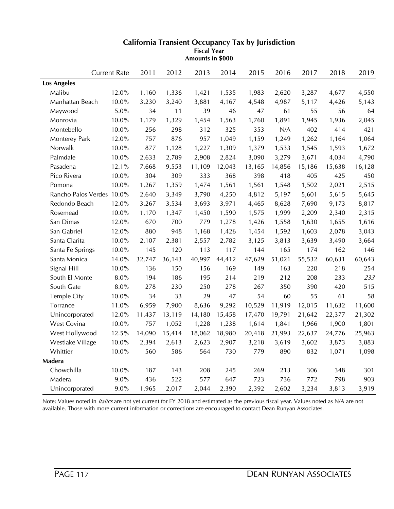|                           | <b>Current Rate</b> | 2011   | 2012   | 2013   | 2014   | 2015   | 2016   | 2017   | 2018   | 2019   |
|---------------------------|---------------------|--------|--------|--------|--------|--------|--------|--------|--------|--------|
| <b>Los Angeles</b>        |                     |        |        |        |        |        |        |        |        |        |
| Malibu                    | 12.0%               | 1,160  | 1,336  | 1,421  | 1,535  | 1,983  | 2,620  | 3,287  | 4,677  | 4,550  |
| Manhattan Beach           | 10.0%               | 3,230  | 3,240  | 3,881  | 4,167  | 4,548  | 4,987  | 5,117  | 4,426  | 5,143  |
| Maywood                   | $5.0\%$             | 34     | 11     | 39     | 46     | 47     | 61     | 55     | 56     | 64     |
| Monrovia                  | 10.0%               | 1,179  | 1,329  | 1,454  | 1,563  | 1,760  | 1,891  | 1,945  | 1,936  | 2,045  |
| Montebello                | 10.0%               | 256    | 298    | 312    | 325    | 353    | N/A    | 402    | 414    | 421    |
| Monterey Park             | 12.0%               | 757    | 876    | 957    | 1,049  | 1,159  | 1,249  | 1,262  | 1,164  | 1,064  |
| Norwalk                   | 10.0%               | 877    | 1,128  | 1,227  | 1,309  | 1,379  | 1,533  | 1,545  | 1,593  | 1,672  |
| Palmdale                  | 10.0%               | 2,633  | 2,789  | 2,908  | 2,824  | 3,090  | 3,279  | 3,671  | 4,034  | 4,790  |
| Pasadena                  | 12.1%               | 7,668  | 9,553  | 11,109 | 12,043 | 13,165 | 14,856 | 15,186 | 15,638 | 16,128 |
| Pico Rivera               | $10.0\%$            | 304    | 309    | 333    | 368    | 398    | 418    | 405    | 425    | 450    |
| Pomona                    | 10.0%               | 1,267  | 1,359  | 1,474  | 1,561  | 1,561  | 1,548  | 1,502  | 2,021  | 2,515  |
| Rancho Palos Verdes 10.0% |                     | 2,640  | 3,349  | 3,790  | 4,250  | 4,812  | 5,197  | 5,601  | 5,615  | 5,645  |
| Redondo Beach             | 12.0%               | 3,267  | 3,534  | 3,693  | 3,971  | 4,465  | 8,628  | 7,690  | 9,173  | 8,817  |
| Rosemead                  | 10.0%               | 1,170  | 1,347  | 1,450  | 1,590  | 1,575  | 1,999  | 2,209  | 2,340  | 2,315  |
| San Dimas                 | 12.0%               | 670    | 700    | 779    | 1,278  | 1,426  | 1,558  | 1,630  | 1,655  | 1,616  |
| San Gabriel               | 12.0%               | 880    | 948    | 1,168  | 1,426  | 1,454  | 1,592  | 1,603  | 2,078  | 3,043  |
| Santa Clarita             | 10.0%               | 2,107  | 2,381  | 2,557  | 2,782  | 3,125  | 3,813  | 3,639  | 3,490  | 3,664  |
| Santa Fe Springs          | 10.0%               | 145    | 120    | 113    | 117    | 144    | 165    | 174    | 162    | 146    |
| Santa Monica              | 14.0%               | 32,747 | 36,143 | 40,997 | 44,412 | 47,629 | 51,021 | 55,532 | 60,631 | 60,643 |
| Signal Hill               | 10.0%               | 136    | 150    | 156    | 169    | 149    | 163    | 220    | 218    | 254    |
| South El Monte            | $8.0\%$             | 194    | 186    | 195    | 214    | 219    | 212    | 208    | 233    | 233    |
| South Gate                | 8.0%                | 278    | 230    | 250    | 278    | 267    | 350    | 390    | 420    | 515    |
| <b>Temple City</b>        | 10.0%               | 34     | 33     | 29     | 47     | 54     | 60     | 55     | 61     | 58     |
| Torrance                  | 11.0%               | 6,959  | 7,900  | 8,636  | 9,292  | 10,529 | 11,919 | 12,015 | 11,632 | 11,600 |
| Unincorporated            | 12.0%               | 11,437 | 13,119 | 14,180 | 15,458 | 17,470 | 19,791 | 21,642 | 22,377 | 21,302 |
| West Covina               | 10.0%               | 757    | 1,052  | 1,228  | 1,238  | 1,614  | 1,841  | 1,966  | 1,900  | 1,801  |
| West Hollywood            | 12.5%               | 14,090 | 15,414 | 18,062 | 18,980 | 20,418 | 21,993 | 22,637 | 24,776 | 25,963 |
| Westlake Village          | 10.0%               | 2,394  | 2,613  | 2,623  | 2,907  | 3,218  | 3,619  | 3,602  | 3,873  | 3,883  |
| Whittier                  | 10.0%               | 560    | 586    | 564    | 730    | 779    | 890    | 832    | 1,071  | 1,098  |
| Madera                    |                     |        |        |        |        |        |        |        |        |        |
| Chowchilla                | 10.0%               | 187    | 143    | 208    | 245    | 269    | 213    | 306    | 348    | 301    |
| Madera                    | 9.0%                | 436    | 522    | 577    | 647    | 723    | 736    | 772    | 798    | 903    |
| Unincorporated            | 9.0%                | 1,965  | 2,017  | 2,044  | 2,390  | 2,392  | 2,602  | 3,234  | 3,813  | 3,919  |

**Amounts in \$000**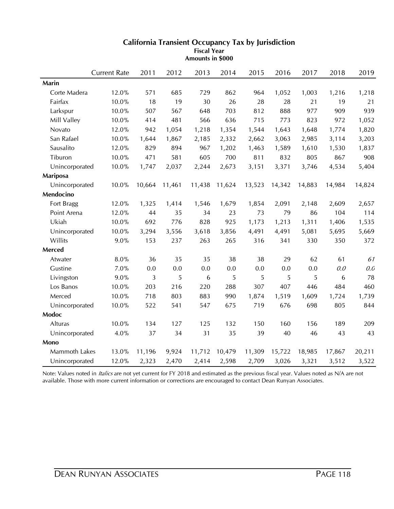|                | <b>Current Rate</b> | 2011   | 2012   | 2013   | 2014   | 2015   | 2016   | 2017   | 2018   | 2019   |
|----------------|---------------------|--------|--------|--------|--------|--------|--------|--------|--------|--------|
| Marin          |                     |        |        |        |        |        |        |        |        |        |
| Corte Madera   | 12.0%               | 571    | 685    | 729    | 862    | 964    | 1,052  | 1,003  | 1,216  | 1,218  |
| Fairfax        | 10.0%               | 18     | 19     | 30     | 26     | 28     | 28     | 21     | 19     | 21     |
| Larkspur       | 10.0%               | 507    | 567    | 648    | 703    | 812    | 888    | 977    | 909    | 939    |
| Mill Valley    | 10.0%               | 414    | 481    | 566    | 636    | 715    | 773    | 823    | 972    | 1,052  |
| Novato         | 12.0%               | 942    | 1,054  | 1,218  | 1,354  | 1,544  | 1,643  | 1,648  | 1,774  | 1,820  |
| San Rafael     | 10.0%               | 1,644  | 1,867  | 2,185  | 2,332  | 2,662  | 3,063  | 2,985  | 3,114  | 3,203  |
| Sausalito      | 12.0%               | 829    | 894    | 967    | 1,202  | 1,463  | 1,589  | 1,610  | 1,530  | 1,837  |
| Tiburon        | $10.0\%$            | 471    | 581    | 605    | 700    | 811    | 832    | 805    | 867    | 908    |
| Unincorporated | 10.0%               | 1,747  | 2,037  | 2,244  | 2,673  | 3,151  | 3,371  | 3,746  | 4,534  | 5,404  |
| Mariposa       |                     |        |        |        |        |        |        |        |        |        |
| Unincorporated | 10.0%               | 10,664 | 11,461 | 11,438 | 11,624 | 13,523 | 14,342 | 14,883 | 14,984 | 14,824 |
| Mendocino      |                     |        |        |        |        |        |        |        |        |        |
| Fort Bragg     | 12.0%               | 1,325  | 1,414  | 1,546  | 1,679  | 1,854  | 2,091  | 2,148  | 2,609  | 2,657  |
| Point Arena    | 12.0%               | 44     | 35     | 34     | 23     | 73     | 79     | 86     | 104    | 114    |
| Ukiah          | 10.0%               | 692    | 776    | 828    | 925    | 1,173  | 1,213  | 1,311  | 1,406  | 1,535  |
| Unincorporated | $10.0\%$            | 3,294  | 3,556  | 3,618  | 3,856  | 4,491  | 4,491  | 5,081  | 5,695  | 5,669  |
| Willits        | 9.0%                | 153    | 237    | 263    | 265    | 316    | 341    | 330    | 350    | 372    |
| Merced         |                     |        |        |        |        |        |        |        |        |        |
| Atwater        | $8.0\%$             | 36     | 35     | 35     | 38     | 38     | 29     | 62     | 61     | 61     |
| Gustine        | 7.0%                | 0.0    | 0.0    | 0.0    | 0.0    | 0.0    | 0.0    | 0.0    | 0.0    | 0.0    |
| Livingston     | 9.0%                | 3      | 5      | 6      | 5      | 5      | 5      | 5      | 6      | 78     |
| Los Banos      | 10.0%               | 203    | 216    | 220    | 288    | 307    | 407    | 446    | 484    | 460    |
| Merced         | 10.0%               | 718    | 803    | 883    | 990    | 1,874  | 1,519  | 1,609  | 1,724  | 1,739  |
| Unincorporated | 10.0%               | 522    | 541    | 547    | 675    | 719    | 676    | 698    | 805    | 844    |
| Modoc          |                     |        |        |        |        |        |        |        |        |        |
| Alturas        | 10.0%               | 134    | 127    | 125    | 132    | 150    | 160    | 156    | 189    | 209    |
| Unincorporated | 4.0%                | 37     | 34     | 31     | 35     | 39     | 40     | 46     | 43     | 43     |
| Mono           |                     |        |        |        |        |        |        |        |        |        |
| Mammoth Lakes  | 13.0%               | 11,196 | 9,924  | 11,712 | 10,479 | 11,309 | 15,722 | 18,985 | 17,867 | 20,211 |
| Unincorporated | 12.0%               | 2,323  | 2,470  | 2,414  | 2,598  | 2,709  | 3,026  | 3,321  | 3,512  | 3,522  |

**Amounts in \$000**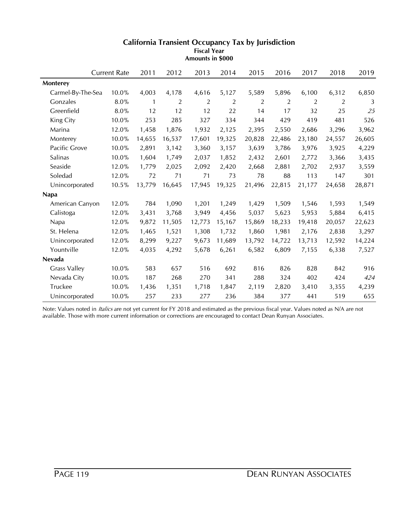|                     | <b>Current Rate</b> |       | 2011         | 2012   | 2013   | 2014   | 2015   | 2016   | 2017   | 2018   | 2019   |
|---------------------|---------------------|-------|--------------|--------|--------|--------|--------|--------|--------|--------|--------|
| Monterey            |                     |       |              |        |        |        |        |        |        |        |        |
| Carmel-By-The-Sea   |                     | 10.0% | 4,003        | 4,178  | 4,616  | 5,127  | 5,589  | 5,896  | 6,100  | 6,312  | 6,850  |
| Gonzales            |                     | 8.0%  | $\mathbf{1}$ | 2      | 2      | 2      | 2      | 2      | 2      | 2      | 3      |
| Greenfield          |                     | 8.0%  | 12           | 12     | 12     | 22     | 14     | 17     | 32     | 25     | 25     |
| King City           |                     | 10.0% | 253          | 285    | 327    | 334    | 344    | 429    | 419    | 481    | 526    |
| Marina              |                     | 12.0% | 1,458        | 1,876  | 1,932  | 2,125  | 2,395  | 2,550  | 2,686  | 3,296  | 3,962  |
| Monterey            |                     | 10.0% | 14,655       | 16,537 | 17,601 | 19,325 | 20,828 | 22,486 | 23,180 | 24,557 | 26,605 |
| Pacific Grove       |                     | 10.0% | 2,891        | 3,142  | 3,360  | 3,157  | 3,639  | 3,786  | 3,976  | 3,925  | 4,229  |
| Salinas             |                     | 10.0% | 1,604        | 1,749  | 2,037  | 1,852  | 2,432  | 2,601  | 2,772  | 3,366  | 3,435  |
| Seaside             |                     | 12.0% | 1,779        | 2,025  | 2,092  | 2,420  | 2,668  | 2,881  | 2,702  | 2,937  | 3,559  |
| Soledad             |                     | 12.0% | 72           | 71     | 71     | 73     | 78     | 88     | 113    | 147    | 301    |
| Unincorporated      |                     | 10.5% | 13,779       | 16,645 | 17,945 | 19,325 | 21,496 | 22,815 | 21,177 | 24,658 | 28,871 |
| <b>Napa</b>         |                     |       |              |        |        |        |        |        |        |        |        |
| American Canyon     |                     | 12.0% | 784          | 1,090  | 1,201  | 1,249  | 1,429  | 1,509  | 1,546  | 1,593  | 1,549  |
| Calistoga           |                     | 12.0% | 3,431        | 3,768  | 3,949  | 4,456  | 5,037  | 5,623  | 5,953  | 5,884  | 6,415  |
| Napa                |                     | 12.0% | 9,872        | 11,505 | 12,773 | 15,167 | 15,869 | 18,233 | 19,418 | 20,057 | 22,623 |
| St. Helena          |                     | 12.0% | 1,465        | 1,521  | 1,308  | 1,732  | 1,860  | 1,981  | 2,176  | 2,838  | 3,297  |
| Unincorporated      |                     | 12.0% | 8,299        | 9,227  | 9,673  | 11,689 | 13,792 | 14,722 | 13,713 | 12,592 | 14,224 |
| Yountville          |                     | 12.0% | 4,035        | 4,292  | 5,678  | 6,261  | 6,582  | 6,809  | 7,155  | 6,338  | 7,527  |
| Nevada              |                     |       |              |        |        |        |        |        |        |        |        |
| <b>Grass Valley</b> |                     | 10.0% | 583          | 657    | 516    | 692    | 816    | 826    | 828    | 842    | 916    |
| Nevada City         |                     | 10.0% | 187          | 268    | 270    | 341    | 288    | 324    | 402    | 424    | 424    |
| Truckee             |                     | 10.0% | 1,436        | 1,351  | 1,718  | 1,847  | 2,119  | 2,820  | 3,410  | 3,355  | 4,239  |
| Unincorporated      |                     | 10.0% | 257          | 233    | 277    | 236    | 384    | 377    | 441    | 519    | 655    |

**Amounts in \$000**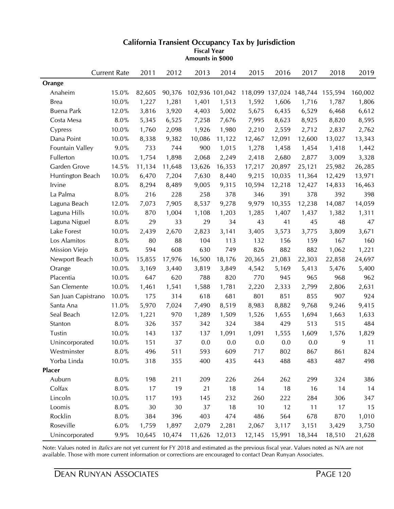|                     | <b>Current Rate</b> | 2011   | 2012   | 2013            | 2014   | 2015   | 2016                    | 2017   | 2018    | 2019    |
|---------------------|---------------------|--------|--------|-----------------|--------|--------|-------------------------|--------|---------|---------|
| Orange              |                     |        |        |                 |        |        |                         |        |         |         |
| Anaheim             | 15.0%               | 82,605 | 90,376 | 102,936 101,042 |        |        | 118,099 137,024 148,744 |        | 155,594 | 160,002 |
| <b>Brea</b>         | 10.0%               | 1,227  | 1,281  | 1,401           | 1,513  | 1,592  | 1,606                   | 1,716  | 1,787   | 1,806   |
| <b>Buena Park</b>   | 12.0%               | 3,816  | 3,920  | 4,403           | 5,002  | 5,675  | 6,435                   | 6,529  | 6,468   | 6,612   |
| Costa Mesa          | 8.0%                | 5,345  | 6,525  | 7,258           | 7,676  | 7,995  | 8,623                   | 8,925  | 8,820   | 8,595   |
| Cypress             | 10.0%               | 1,760  | 2,098  | 1,926           | 1,980  | 2,210  | 2,559                   | 2,712  | 2,837   | 2,762   |
| Dana Point          | 10.0%               | 8,338  | 9,382  | 10,086          | 11,122 | 12,467 | 12,091                  | 12,600 | 13,027  | 13,343  |
| Fountain Valley     | 9.0%                | 733    | 744    | 900             | 1,015  | 1,278  | 1,458                   | 1,454  | 1,418   | 1,442   |
| Fullerton           | 10.0%               | 1,754  | 1,898  | 2,068           | 2,249  | 2,418  | 2,680                   | 2,877  | 3,009   | 3,328   |
| Garden Grove        | 14.5%               | 11,134 | 11,648 | 13,626          | 16,353 | 17,217 | 20,897                  | 25,121 | 25,982  | 26,285  |
| Huntington Beach    | 10.0%               | 6,470  | 7,204  | 7,630           | 8,440  | 9,215  | 10,035                  | 11,364 | 12,429  | 13,971  |
| Irvine              | 8.0%                | 8,294  | 8,489  | 9,005           | 9,315  | 10,594 | 12,218                  | 12,427 | 14,833  | 16,463  |
| La Palma            | $8.0\%$             | 216    | 228    | 258             | 378    | 346    | 391                     | 378    | 392     | 398     |
| Laguna Beach        | 12.0%               | 7,073  | 7,905  | 8,537           | 9,278  | 9,979  | 10,355                  | 12,238 | 14,087  | 14,059  |
| Laguna Hills        | 10.0%               | 870    | 1,004  | 1,108           | 1,203  | 1,285  | 1,407                   | 1,437  | 1,382   | 1,311   |
| Laguna Niguel       | 8.0%                | 29     | 33     | 29              | 34     | 43     | 41                      | 45     | 48      | 47      |
| Lake Forest         | 10.0%               | 2,439  | 2,670  | 2,823           | 3,141  | 3,405  | 3,573                   | 3,775  | 3,809   | 3,671   |
| Los Alamitos        | $8.0\%$             | 80     | 88     | 104             | 113    | 132    | 156                     | 159    | 167     | 160     |
| Mission Viejo       | $8.0\%$             | 594    | 608    | 630             | 749    | 826    | 882                     | 882    | 1,062   | 1,221   |
| Newport Beach       | 10.0%               | 15,855 | 17,976 | 16,500          | 18,176 | 20,365 | 21,083                  | 22,303 | 22,858  | 24,697  |
| Orange              | 10.0%               | 3,169  | 3,440  | 3,819           | 3,849  | 4,542  | 5,169                   | 5,413  | 5,476   | 5,400   |
| Placentia           | 10.0%               | 647    | 620    | 788             | 820    | 770    | 945                     | 965    | 968     | 962     |
| San Clemente        | 10.0%               | 1,461  | 1,541  | 1,588           | 1,781  | 2,220  | 2,333                   | 2,799  | 2,806   | 2,631   |
| San Juan Capistrano | $10.0\%$            | 175    | 314    | 618             | 681    | 801    | 851                     | 855    | 907     | 924     |
| Santa Ana           | 11.0%               | 5,970  | 7,024  | 7,490           | 8,519  | 8,983  | 8,882                   | 9,768  | 9,246   | 9,415   |
| Seal Beach          | 12.0%               | 1,221  | 970    | 1,289           | 1,509  | 1,526  | 1,655                   | 1,694  | 1,663   | 1,633   |
| Stanton             | 8.0%                | 326    | 357    | 342             | 324    | 384    | 429                     | 513    | 515     | 484     |
| Tustin              | 10.0%               | 143    | 137    | 137             | 1,091  | 1,091  | 1,555                   | 1,609  | 1,576   | 1,829   |
| Unincorporated      | 10.0%               | 151    | 37     | 0.0             | 0.0    | 0.0    | 0.0                     | 0.0    | 9       | 11      |
| Westminster         | 8.0%                | 496    | 511    | 593             | 609    | 717    | 802                     | 867    | 861     | 824     |
| Yorba Linda         | 10.0%               | 318    | 355    | 400             | 435    | 443    | 488                     | 483    | 487     | 498     |
| <b>Placer</b>       |                     |        |        |                 |        |        |                         |        |         |         |
| Auburn              | $8.0\%$             | 198    | 211    | 209             | 226    | 264    | 262                     | 299    | 324     | 386     |
| Colfax              | $8.0\%$             | 17     | 19     | 21              | 18     | 14     | 18                      | 16     | 14      | 14      |
| Lincoln             | 10.0%               | 117    | 193    | 145             | 232    | 260    | 222                     | 284    | 306     | 347     |
| Loomis              | $8.0\%$             | 30     | 30     | 37              | 18     | 10     | 12                      | 11     | 17      | 15      |
| Rocklin             | 8.0%                | 384    | 396    | 403             | 474    | 486    | 564                     | 678    | 870     | 1,010   |
| Roseville           | 6.0%                | 1,759  | 1,897  | 2,079           | 2,281  | 2,067  | 3,117                   | 3,151  | 3,429   | 3,750   |
| Unincorporated      | 9.9%                | 10,645 | 10,474 | 11,626          | 12,013 | 12,145 | 15,991                  | 18,344 | 18,510  | 21,628  |

**Amounts in \$000**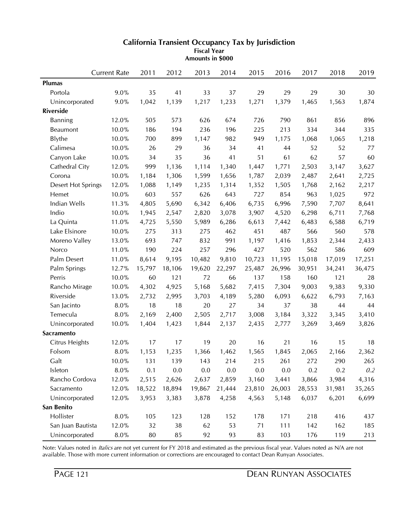|                    | <b>Current Rate</b> | 2011   | 2012   | 2013   | 2014   | 2015   | 2016   | 2017   | 2018   | 2019    |
|--------------------|---------------------|--------|--------|--------|--------|--------|--------|--------|--------|---------|
| <b>Plumas</b>      |                     |        |        |        |        |        |        |        |        |         |
| Portola            | 9.0%                | 35     | 41     | 33     | 37     | 29     | 29     | 29     | 30     | 30      |
| Unincorporated     | 9.0%                | 1,042  | 1,139  | 1,217  | 1,233  | 1,271  | 1,379  | 1,465  | 1,563  | 1,874   |
| <b>Riverside</b>   |                     |        |        |        |        |        |        |        |        |         |
| <b>Banning</b>     | 12.0%               | 505    | 573    | 626    | 674    | 726    | 790    | 861    | 856    | 896     |
| <b>Beaumont</b>    | 10.0%               | 186    | 194    | 236    | 196    | 225    | 213    | 334    | 344    | 335     |
| <b>Blythe</b>      | 10.0%               | 700    | 899    | 1,147  | 982    | 949    | 1,175  | 1,068  | 1,065  | 1,218   |
| Calimesa           | 10.0%               | 26     | 29     | 36     | 34     | 41     | 44     | 52     | 52     | 77      |
| Canyon Lake        | 10.0%               | 34     | 35     | 36     | 41     | 51     | 61     | 62     | 57     | 60      |
| Cathedral City     | 12.0%               | 999    | 1,136  | 1,114  | 1,340  | 1,447  | 1,771  | 2,503  | 3,147  | 3,627   |
| Corona             | 10.0%               | 1,184  | 1,306  | 1,599  | 1,656  | 1,787  | 2,039  | 2,487  | 2,641  | 2,725   |
| Desert Hot Springs | 12.0%               | 1,088  | 1,149  | 1,235  | 1,314  | 1,352  | 1,505  | 1,768  | 2,162  | 2,217   |
| Hemet              | 10.0%               | 603    | 557    | 626    | 643    | 727    | 854    | 963    | 1,025  | 972     |
| Indian Wells       | 11.3%               | 4,805  | 5,690  | 6,342  | 6,406  | 6,735  | 6,996  | 7,590  | 7,707  | 8,641   |
| Indio              | 10.0%               | 1,945  | 2,547  | 2,820  | 3,078  | 3,907  | 4,520  | 6,298  | 6,711  | 7,768   |
| La Quinta          | 11.0%               | 4,725  | 5,550  | 5,989  | 6,286  | 6,613  | 7,442  | 6,483  | 6,588  | 6,719   |
| Lake Elsinore      | 10.0%               | 275    | 313    | 275    | 462    | 451    | 487    | 566    | 560    | 578     |
| Moreno Valley      | 13.0%               | 693    | 747    | 832    | 991    | 1,197  | 1,416  | 1,853  | 2,344  | 2,433   |
| Norco              | 11.0%               | 190    | 224    | 257    | 296    | 427    | 520    | 562    | 586    | 609     |
| Palm Desert        | 11.0%               | 8,614  | 9,195  | 10,482 | 9,810  | 10,723 | 11,195 | 15,018 | 17,019 | 17,251  |
| Palm Springs       | 12.7%               | 15,797 | 18,106 | 19,620 | 22,297 | 25,487 | 26,996 | 30,951 | 34,241 | 36,475  |
| Perris             | 10.0%               | 60     | 121    | 72     | 66     | 137    | 158    | 160    | 121    | 28      |
| Rancho Mirage      | 10.0%               | 4,302  | 4,925  | 5,168  | 5,682  | 7,415  | 7,304  | 9,003  | 9,383  | 9,330   |
| Riverside          | 13.0%               | 2,732  | 2,995  | 3,703  | 4,189  | 5,280  | 6,093  | 6,622  | 6,793  | 7,163   |
| San Jacinto        | 8.0%                | 18     | 18     | 20     | 27     | 34     | 37     | 38     | 44     | 44      |
| Temecula           | 8.0%                | 2,169  | 2,400  | 2,505  | 2,717  | 3,008  | 3,184  | 3,322  | 3,345  | 3,410   |
| Unincorporated     | 10.0%               | 1,404  | 1,423  | 1,844  | 2,137  | 2,435  | 2,777  | 3,269  | 3,469  | 3,826   |
| <b>Sacramento</b>  |                     |        |        |        |        |        |        |        |        |         |
| Citrus Heights     | 12.0%               | 17     | 17     | 19     | 20     | 16     | 21     | 16     | 15     | 18      |
| Folsom             | 8.0%                | 1,153  | 1,235  | 1,366  | 1,462  | 1,565  | 1,845  | 2,065  | 2,166  | 2,362   |
| Galt               | 10.0%               | 131    | 139    | 143    | 214    | 215    | 261    | 272    | 290    | 265     |
| Isleton            | $8.0\%$             | 0.1    | 0.0    | 0.0    | 0.0    | 0.0    | 0.0    | 0.2    | 0.2    | $0.2\,$ |
| Rancho Cordova     | 12.0%               | 2,515  | 2,626  | 2,637  | 2,859  | 3,160  | 3,441  | 3,866  | 3,984  | 4,316   |
| Sacramento         | 12.0%               | 18,522 | 18,894 | 19,867 | 21,444 | 23,810 | 26,003 | 28,553 | 31,981 | 35,265  |
| Unincorporated     | 12.0%               | 3,953  | 3,383  | 3,878  | 4,258  | 4,563  | 5,148  | 6,037  | 6,201  | 6,699   |
| San Benito         |                     |        |        |        |        |        |        |        |        |         |
| Hollister          | 8.0%                | 105    | 123    | 128    | 152    | 178    | 171    | 218    | 416    | 437     |
| San Juan Bautista  | 12.0%               | 32     | 38     | 62     | 53     | 71     | 111    | 142    | 162    | 185     |
| Unincorporated     | $8.0\%$             | 80     | 85     | 92     | 93     | 83     | 103    | 176    | 119    | 213     |

**Amounts in \$000**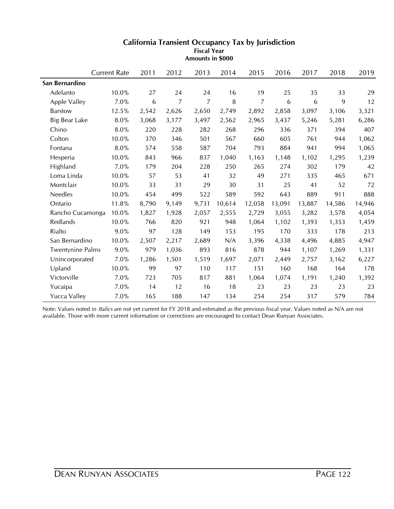|                         | <b>Current Rate</b> | 2011  | 2012  | 2013  | 2014   | 2015           | 2016   | 2017   | 2018   | 2019   |
|-------------------------|---------------------|-------|-------|-------|--------|----------------|--------|--------|--------|--------|
| San Bernardino          |                     |       |       |       |        |                |        |        |        |        |
| Adelanto                | 10.0%               | 27    | 24    | 24    | 16     | 19             | 25     | 35     | 33     | 29     |
| Apple Valley            | 7.0%                | 6     | 7     | 7     | 8      | $\overline{7}$ | 6      | 6      | 9      | 12     |
| <b>Barstow</b>          | 12.5%               | 2,542 | 2,626 | 2,650 | 2,749  | 2,892          | 2,858  | 3,097  | 3,106  | 3,321  |
| <b>Big Bear Lake</b>    | 8.0%                | 3,068 | 3,177 | 3,497 | 2,562  | 2,965          | 3,437  | 5,246  | 5,281  | 6,286  |
| Chino                   | 8.0%                | 220   | 228   | 282   | 268    | 296            | 336    | 371    | 394    | 407    |
| Colton                  | 10.0%               | 370   | 346   | 501   | 567    | 660            | 605    | 761    | 944    | 1,062  |
| Fontana                 | 8.0%                | 574   | 558   | 587   | 704    | 793            | 884    | 941    | 994    | 1,065  |
| Hesperia                | 10.0%               | 843   | 966   | 837   | 1,040  | 1,163          | 1,148  | 1,102  | 1,295  | 1,239  |
| Highland                | 7.0%                | 179   | 204   | 228   | 250    | 265            | 274    | 302    | 179    | 42     |
| Loma Linda              | 10.0%               | 57    | 53    | 41    | 32     | 49             | 271    | 335    | 465    | 671    |
| Montclair               | 10.0%               | 33    | 31    | 29    | 30     | 31             | 25     | 41     | 52     | 72     |
| <b>Needles</b>          | 10.0%               | 454   | 499   | 522   | 589    | 592            | 643    | 889    | 911    | 888    |
| Ontario                 | 11.8%               | 8,790 | 9,149 | 9,731 | 10,614 | 12,058         | 13,091 | 13,887 | 14,586 | 14,946 |
| Rancho Cucamonga        | 10.0%               | 1,827 | 1,928 | 2,057 | 2,555  | 2,729          | 3,055  | 3,282  | 3,578  | 4,054  |
| Redlands                | 10.0%               | 766   | 820   | 921   | 948    | 1,064          | 1,102  | 1,393  | 1,353  | 1,459  |
| Rialto                  | 9.0%                | 97    | 128   | 149   | 153    | 195            | 170    | 333    | 178    | 213    |
| San Bernardino          | 10.0%               | 2,507 | 2,217 | 2,689 | N/A    | 3,396          | 4,338  | 4,496  | 4,885  | 4,947  |
| <b>Twentynine Palms</b> | 9.0%                | 979   | 1,036 | 893   | 816    | 878            | 944    | 1,107  | 1,269  | 1,331  |
| Unincorporated          | 7.0%                | 1,286 | 1,501 | 1,519 | 1,697  | 2,071          | 2,449  | 2,757  | 3,162  | 6,227  |
| Upland                  | 10.0%               | 99    | 97    | 110   | 117    | 151            | 160    | 168    | 164    | 178    |
| Victorville             | 7.0%                | 723   | 705   | 817   | 881    | 1,064          | 1,074  | 1,191  | 1,240  | 1,392  |
| Yucaipa                 | 7.0%                | 14    | 12    | 16    | 18     | 23             | 23     | 23     | 23     | 23     |
| Yucca Valley            | 7.0%                | 165   | 188   | 147   | 134    | 254            | 254    | 317    | 579    | 784    |

**Amounts in \$000**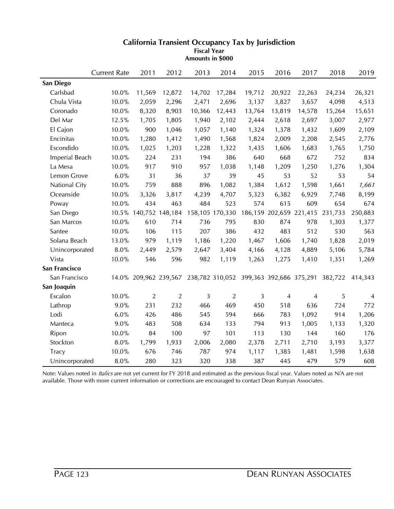|                | <b>Current Rate</b> | 2011                  | 2012            | 2013   | 2014            | 2015                                    | 2016           | 2017    | 2018    | 2019           |
|----------------|---------------------|-----------------------|-----------------|--------|-----------------|-----------------------------------------|----------------|---------|---------|----------------|
| San Diego      |                     |                       |                 |        |                 |                                         |                |         |         |                |
| Carlsbad       | 10.0%               | 11,569                | 12,872          | 14,702 | 17,284          | 19,712                                  | 20,922         | 22,263  | 24,234  | 26,321         |
| Chula Vista    | 10.0%               | 2,059                 | 2,296           | 2,471  | 2,696           | 3,137                                   | 3,827          | 3,657   | 4,098   | 4,513          |
| Coronado       | 10.0%               | 8,320                 | 8,903           | 10,366 | 12,443          | 13,764                                  | 13,819         | 14,578  | 15,264  | 15,651         |
| Del Mar        | 12.5%               | 1,705                 | 1,805           | 1,940  | 2,102           | 2,444                                   | 2,618          | 2,697   | 3,007   | 2,977          |
| El Cajon       | 10.0%               | 900                   | 1,046           | 1,057  | 1,140           | 1,324                                   | 1,378          | 1,432   | 1,609   | 2,109          |
| Encinitas      | 10.0%               | 1,280                 | 1,412           | 1,490  | 1,568           | 1,824                                   | 2,009          | 2,208   | 2,545   | 2,776          |
| Escondido      | $10.0\%$            | 1,025                 | 1,203           | 1,228  | 1,322           | 1,435                                   | 1,606          | 1,683   | 1,765   | 1,750          |
| Imperial Beach | 10.0%               | 224                   | 231             | 194    | 386             | 640                                     | 668            | 672     | 752     | 834            |
| La Mesa        | 10.0%               | 917                   | 910             | 957    | 1,038           | 1,148                                   | 1,209          | 1,250   | 1,276   | 1,304          |
| Lemon Grove    | 6.0%                | 31                    | 36              | 37     | 39              | 45                                      | 53             | 52      | 53      | 54             |
| National City  | 10.0%               | 759                   | 888             | 896    | 1,082           | 1,384                                   | 1,612          | 1,598   | 1,661   | 1,661          |
| Oceanside      | 10.0%               | 3,326                 | 3,817           | 4,239  | 4,707           | 5,323                                   | 6,382          | 6,929   | 7,748   | 8,199          |
| Poway          | 10.0%               | 434                   | 463             | 484    | 523             | 574                                     | 615            | 609     | 654     | 674            |
| San Diego      | $10.5\%$            |                       | 140,752 148,184 |        | 158,105 170,330 | 186,159                                 | 202,659        | 221,415 | 231,733 | 250,883        |
| San Marcos     | 10.0%               | 610                   | 714             | 736    | 795             | 830                                     | 874            | 978     | 1,303   | 1,377          |
| Santee         | 10.0%               | 106                   | 115             | 207    | 386             | 432                                     | 483            | 512     | 530     | 563            |
| Solana Beach   | 13.0%               | 979                   | 1,119           | 1,186  | 1,220           | 1,467                                   | 1,606          | 1,740   | 1,828   | 2,019          |
| Unincorporated | $8.0\%$             | 2,449                 | 2,579           | 2,647  | 3,404           | 4,166                                   | 4,128          | 4,889   | 5,106   | 5,784          |
| Vista          | 10.0%               | 546                   | 596             | 982    | 1,119           | 1,263                                   | 1,275          | 1,410   | 1,351   | 1,269          |
| San Francisco  |                     |                       |                 |        |                 |                                         |                |         |         |                |
| San Francisco  |                     | 14.0% 209,962 239,567 |                 |        |                 | 238,782 310,052 399,363 392,686 375,291 |                |         | 382,722 | 414,343        |
| San Joaquin    |                     |                       |                 |        |                 |                                         |                |         |         |                |
| Escalon        | 10.0%               | $\overline{2}$        | $\overline{2}$  | 3      | $\overline{2}$  | 3                                       | $\overline{4}$ | 4       | 5       | $\overline{4}$ |
| Lathrop        | 9.0%                | 231                   | 232             | 466    | 469             | 450                                     | 518            | 636     | 724     | 772            |
| Lodi           | 6.0%                | 426                   | 486             | 545    | 594             | 666                                     | 783            | 1,092   | 914     | 1,206          |
| Manteca        | 9.0%                | 483                   | 508             | 634    | 133             | 794                                     | 913            | 1,005   | 1,133   | 1,320          |
| Ripon          | 10.0%               | 84                    | 100             | 97     | 101             | 113                                     | 130            | 144     | 160     | 176            |
| Stockton       | $8.0\%$             | 1,799                 | 1,933           | 2,006  | 2,080           | 2,378                                   | 2,711          | 2,710   | 3,193   | 3,377          |
| <b>Tracy</b>   | 10.0%               | 676                   | 746             | 787    | 974             | 1,117                                   | 1,385          | 1,481   | 1,598   | 1,638          |
| Unincorporated | 8.0%                | 280                   | 323             | 320    | 338             | 387                                     | 445            | 479     | 579     | 608            |

**Amounts in \$000**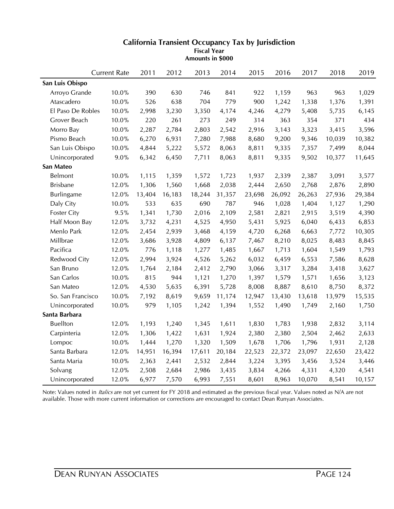|                    | <b>Current Rate</b> | 2011   | 2012   | 2013   | 2014   | 2015   | 2016   | 2017   | 2018   | 2019   |
|--------------------|---------------------|--------|--------|--------|--------|--------|--------|--------|--------|--------|
| San Luis Obispo    |                     |        |        |        |        |        |        |        |        |        |
| Arroyo Grande      | 10.0%               | 390    | 630    | 746    | 841    | 922    | 1,159  | 963    | 963    | 1,029  |
| Atascadero         | 10.0%               | 526    | 638    | 704    | 779    | 900    | 1,242  | 1,338  | 1,376  | 1,391  |
| El Paso De Robles  | 10.0%               | 2,998  | 3,230  | 3,350  | 4,174  | 4,246  | 4,279  | 5,408  | 5,735  | 6,145  |
| Grover Beach       | 10.0%               | 220    | 261    | 273    | 249    | 314    | 363    | 354    | 371    | 434    |
| Morro Bay          | 10.0%               | 2,287  | 2,784  | 2,803  | 2,542  | 2,916  | 3,143  | 3,323  | 3,415  | 3,596  |
| Pismo Beach        | $10.0\%$            | 6,270  | 6,931  | 7,280  | 7,988  | 8,680  | 9,200  | 9,346  | 10,039 | 10,382 |
| San Luis Obispo    | 10.0%               | 4,844  | 5,222  | 5,572  | 8,063  | 8,811  | 9,335  | 7,357  | 7,499  | 8,044  |
| Unincorporated     | $9.0\%$             | 6,342  | 6,450  | 7,711  | 8,063  | 8,811  | 9,335  | 9,502  | 10,377 | 11,645 |
| San Mateo          |                     |        |        |        |        |        |        |        |        |        |
| Belmont            | 10.0%               | 1,115  | 1,359  | 1,572  | 1,723  | 1,937  | 2,339  | 2,387  | 3,091  | 3,577  |
| <b>Brisbane</b>    | 12.0%               | 1,306  | 1,560  | 1,668  | 2,038  | 2,444  | 2,650  | 2,768  | 2,876  | 2,890  |
| Burlingame         | 12.0%               | 13,404 | 16,183 | 18,244 | 31,357 | 23,698 | 26,092 | 26,263 | 27,936 | 29,384 |
| Daly City          | 10.0%               | 533    | 635    | 690    | 787    | 946    | 1,028  | 1,404  | 1,127  | 1,290  |
| <b>Foster City</b> | 9.5%                | 1,341  | 1,730  | 2,016  | 2,109  | 2,581  | 2,821  | 2,915  | 3,519  | 4,390  |
| Half Moon Bay      | 12.0%               | 3,732  | 4,231  | 4,525  | 4,950  | 5,431  | 5,925  | 6,040  | 6,433  | 6,853  |
| Menlo Park         | 12.0%               | 2,454  | 2,939  | 3,468  | 4,159  | 4,720  | 6,268  | 6,663  | 7,772  | 10,305 |
| Millbrae           | 12.0%               | 3,686  | 3,928  | 4,809  | 6,137  | 7,467  | 8,210  | 8,025  | 8,483  | 8,845  |
| Pacifica           | 12.0%               | 776    | 1,118  | 1,277  | 1,485  | 1,667  | 1,713  | 1,604  | 1,549  | 1,793  |
| Redwood City       | 12.0%               | 2,994  | 3,924  | 4,526  | 5,262  | 6,032  | 6,459  | 6,553  | 7,586  | 8,628  |
| San Bruno          | 12.0%               | 1,764  | 2,184  | 2,412  | 2,790  | 3,066  | 3,317  | 3,284  | 3,418  | 3,627  |
| San Carlos         | 10.0%               | 815    | 944    | 1,121  | 1,270  | 1,397  | 1,579  | 1,571  | 1,656  | 3,123  |
| San Mateo          | 12.0%               | 4,530  | 5,635  | 6,391  | 5,728  | 8,008  | 8,887  | 8,610  | 8,750  | 8,372  |
| So. San Francisco  | 10.0%               | 7,192  | 8,619  | 9,659  | 11,174 | 12,947 | 13,430 | 13,618 | 13,979 | 15,535 |
| Unincorporated     | 10.0%               | 979    | 1,105  | 1,242  | 1,394  | 1,552  | 1,490  | 1,749  | 2,160  | 1,750  |
| Santa Barbara      |                     |        |        |        |        |        |        |        |        |        |
| <b>Buellton</b>    | 12.0%               | 1,193  | 1,240  | 1,345  | 1,611  | 1,830  | 1,783  | 1,938  | 2,832  | 3,114  |
| Carpinteria        | 12.0%               | 1,306  | 1,422  | 1,631  | 1,924  | 2,380  | 2,380  | 2,504  | 2,462  | 2,633  |
| Lompoc             | 10.0%               | 1,444  | 1,270  | 1,320  | 1,509  | 1,678  | 1,706  | 1,796  | 1,931  | 2,128  |
| Santa Barbara      | 12.0%               | 14,951 | 16,394 | 17,611 | 20,184 | 22,523 | 22,372 | 23,097 | 22,650 | 23,422 |
| Santa Maria        | 10.0%               | 2,363  | 2,441  | 2,532  | 2,844  | 3,224  | 3,395  | 3,456  | 3,524  | 3,446  |
| Solvang            | 12.0%               | 2,508  | 2,684  | 2,986  | 3,435  | 3,834  | 4,266  | 4,331  | 4,320  | 4,541  |
| Unincorporated     | 12.0%               | 6,977  | 7,570  | 6,993  | 7,551  | 8,601  | 8,963  | 10,070 | 8,541  | 10,157 |

**Amounts in \$000**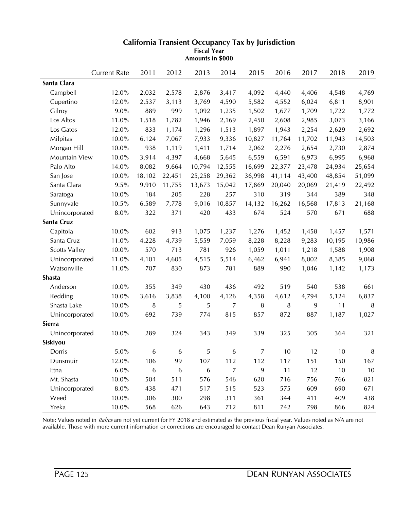|                      | <b>Current Rate</b> | 2011             | 2012             | 2013   | 2014           | 2015           | 2016   | 2017   | 2018   | 2019   |
|----------------------|---------------------|------------------|------------------|--------|----------------|----------------|--------|--------|--------|--------|
| Santa Clara          |                     |                  |                  |        |                |                |        |        |        |        |
| Campbell             | 12.0%               | 2,032            | 2,578            | 2,876  | 3,417          | 4,092          | 4,440  | 4,406  | 4,548  | 4,769  |
| Cupertino            | 12.0%               | 2,537            | 3,113            | 3,769  | 4,590          | 5,582          | 4,552  | 6,024  | 6,811  | 8,901  |
| Gilroy               | 9.0%                | 889              | 999              | 1,092  | 1,235          | 1,502          | 1,677  | 1,709  | 1,722  | 1,772  |
| Los Altos            | 11.0%               | 1,518            | 1,782            | 1,946  | 2,169          | 2,450          | 2,608  | 2,985  | 3,073  | 3,166  |
| Los Gatos            | 12.0%               | 833              | 1,174            | 1,296  | 1,513          | 1,897          | 1,943  | 2,254  | 2,629  | 2,692  |
| Milpitas             | 10.0%               | 6,124            | 7,067            | 7,933  | 9,336          | 10,827         | 11,764 | 11,702 | 11,943 | 14,503 |
| Morgan Hill          | $10.0\%$            | 938              | 1,119            | 1,411  | 1,714          | 2,062          | 2,276  | 2,654  | 2,730  | 2,874  |
| Mountain View        | 10.0%               | 3,914            | 4,397            | 4,668  | 5,645          | 6,559          | 6,591  | 6,973  | 6,995  | 6,968  |
| Palo Alto            | 14.0%               | 8,082            | 9,664            | 10,794 | 12,555         | 16,699         | 22,377 | 23,478 | 24,934 | 25,654 |
| San Jose             | 10.0%               | 18,102           | 22,451           | 25,258 | 29,362         | 36,998         | 41,114 | 43,400 | 48,854 | 51,099 |
| Santa Clara          | 9.5%                | 9,910            | 11,755           | 13,673 | 15,042         | 17,869         | 20,040 | 20,069 | 21,419 | 22,492 |
| Saratoga             | 10.0%               | 184              | 205              | 228    | 257            | 310            | 319    | 344    | 389    | 348    |
| Sunnyvale            | 10.5%               | 6,589            | 7,778            | 9,016  | 10,857         | 14,132         | 16,262 | 16,568 | 17,813 | 21,168 |
| Unincorporated       | 8.0%                | 322              | 371              | 420    | 433            | 674            | 524    | 570    | 671    | 688    |
| Santa Cruz           |                     |                  |                  |        |                |                |        |        |        |        |
| Capitola             | 10.0%               | 602              | 913              | 1,075  | 1,237          | 1,276          | 1,452  | 1,458  | 1,457  | 1,571  |
| Santa Cruz           | 11.0%               | 4,228            | 4,739            | 5,559  | 7,059          | 8,228          | 8,228  | 9,283  | 10,195 | 10,986 |
| <b>Scotts Valley</b> | 10.0%               | 570              | 713              | 781    | 926            | 1,059          | 1,011  | 1,218  | 1,588  | 1,908  |
| Unincorporated       | 11.0%               | 4,101            | 4,605            | 4,515  | 5,514          | 6,462          | 6,941  | 8,002  | 8,385  | 9,068  |
| Watsonville          | 11.0%               | 707              | 830              | 873    | 781            | 889            | 990    | 1,046  | 1,142  | 1,173  |
| <b>Shasta</b>        |                     |                  |                  |        |                |                |        |        |        |        |
| Anderson             | 10.0%               | 355              | 349              | 430    | 436            | 492            | 519    | 540    | 538    | 661    |
| Redding              | 10.0%               | 3,616            | 3,838            | 4,100  | 4,126          | 4,358          | 4,612  | 4,794  | 5,124  | 6,837  |
| Shasta Lake          | 10.0%               | 8                | 5                | 5      | 7              | 8              | 8      | 9      | 11     | $\, 8$ |
| Unincorporated       | 10.0%               | 692              | 739              | 774    | 815            | 857            | 872    | 887    | 1,187  | 1,027  |
| Sierra               |                     |                  |                  |        |                |                |        |        |        |        |
| Unincorporated       | 10.0%               | 289              | 324              | 343    | 349            | 339            | 325    | 305    | 364    | 321    |
| Siskiyou             |                     |                  |                  |        |                |                |        |        |        |        |
| Dorris               | 5.0%                | 6                | 6                | 5      | 6              | $\overline{7}$ | 10     | 12     | 10     | $\, 8$ |
| Dunsmuir             | 12.0%               | 106              | 99               | 107    | 112            | 112            | 117    | 151    | 150    | 167    |
| Etna                 | $6.0\%$             | $\boldsymbol{6}$ | $\boldsymbol{6}$ | 6      | $\overline{7}$ | 9              | $11$   | 12     | 10     | $10$   |
| Mt. Shasta           | 10.0%               | 504              | 511              | 576    | 546            | 620            | 716    | 756    | 766    | 821    |
| Unincorporated       | $8.0\%$             | 438              | 471              | 517    | 515            | 523            | 575    | 609    | 690    | 671    |
| Weed                 | 10.0%               | 306              | 300              | 298    | 311            | 361            | 344    | 411    | 409    | 438    |
| Yreka                | $10.0\%$            | 568              | 626              | 643    | 712            | 811            | 742    | 798    | 866    | 824    |

**Amounts in \$000**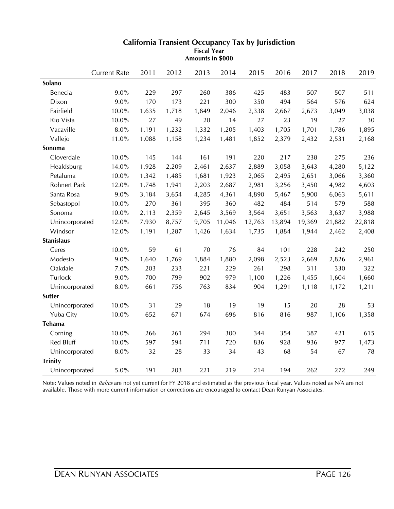|                     | <b>Current Rate</b> | 2011  | 2012  | 2013  | 2014   | 2015   | 2016   | 2017   | 2018   | 2019   |
|---------------------|---------------------|-------|-------|-------|--------|--------|--------|--------|--------|--------|
| Solano              |                     |       |       |       |        |        |        |        |        |        |
| Benecia             | 9.0%                | 229   | 297   | 260   | 386    | 425    | 483    | 507    | 507    | 511    |
| Dixon               | 9.0%                | 170   | 173   | 221   | 300    | 350    | 494    | 564    | 576    | 624    |
| Fairfield           | 10.0%               | 1,635 | 1,718 | 1,849 | 2,046  | 2,338  | 2,667  | 2,673  | 3,049  | 3,038  |
| Rio Vista           | 10.0%               | 27    | 49    | 20    | 14     | 27     | 23     | 19     | 27     | 30     |
| Vacaville           | $8.0\%$             | 1,191 | 1,232 | 1,332 | 1,205  | 1,403  | 1,705  | 1,701  | 1,786  | 1,895  |
| Vallejo             | 11.0%               | 1,088 | 1,158 | 1,234 | 1,481  | 1,852  | 2,379  | 2,432  | 2,531  | 2,168  |
| Sonoma              |                     |       |       |       |        |        |        |        |        |        |
| Cloverdale          | 10.0%               | 145   | 144   | 161   | 191    | 220    | 217    | 238    | 275    | 236    |
| Healdsburg          | 14.0%               | 1,928 | 2,209 | 2,461 | 2,637  | 2,889  | 3,058  | 3,643  | 4,280  | 5,122  |
| Petaluma            | 10.0%               | 1,342 | 1,485 | 1,681 | 1,923  | 2,065  | 2,495  | 2,651  | 3,066  | 3,360  |
| <b>Rohnert Park</b> | 12.0%               | 1,748 | 1,941 | 2,203 | 2,687  | 2,981  | 3,256  | 3,450  | 4,982  | 4,603  |
| Santa Rosa          | 9.0%                | 3,184 | 3,654 | 4,285 | 4,361  | 4,890  | 5,467  | 5,900  | 6,063  | 5,611  |
| Sebastopol          | 10.0%               | 270   | 361   | 395   | 360    | 482    | 484    | 514    | 579    | 588    |
| Sonoma              | 10.0%               | 2,113 | 2,359 | 2,645 | 3,569  | 3,564  | 3,651  | 3,563  | 3,637  | 3,988  |
| Unincorporated      | 12.0%               | 7,930 | 8,757 | 9,705 | 11,046 | 12,763 | 13,894 | 19,369 | 21,882 | 22,818 |
| Windsor             | 12.0%               | 1,191 | 1,287 | 1,426 | 1,634  | 1,735  | 1,884  | 1,944  | 2,462  | 2,408  |
| <b>Stanislaus</b>   |                     |       |       |       |        |        |        |        |        |        |
| Ceres               | 10.0%               | 59    | 61    | 70    | 76     | 84     | 101    | 228    | 242    | 250    |
| Modesto             | 9.0%                | 1,640 | 1,769 | 1,884 | 1,880  | 2,098  | 2,523  | 2,669  | 2,826  | 2,961  |
| Oakdale             | 7.0%                | 203   | 233   | 221   | 229    | 261    | 298    | 311    | 330    | 322    |
| Turlock             | $9.0\%$             | 700   | 799   | 902   | 979    | 1,100  | 1,226  | 1,455  | 1,604  | 1,660  |
| Unincorporated      | $8.0\%$             | 661   | 756   | 763   | 834    | 904    | 1,291  | 1,118  | 1,172  | 1,211  |
| <b>Sutter</b>       |                     |       |       |       |        |        |        |        |        |        |
| Unincorporated      | 10.0%               | 31    | 29    | 18    | 19     | 19     | 15     | 20     | 28     | 53     |
| Yuba City           | 10.0%               | 652   | 671   | 674   | 696    | 816    | 816    | 987    | 1,106  | 1,358  |
| Tehama              |                     |       |       |       |        |        |        |        |        |        |
| Corning             | 10.0%               | 266   | 261   | 294   | 300    | 344    | 354    | 387    | 421    | 615    |
| Red Bluff           | 10.0%               | 597   | 594   | 711   | 720    | 836    | 928    | 936    | 977    | 1,473  |
| Unincorporated      | $8.0\%$             | 32    | 28    | 33    | 34     | 43     | 68     | 54     | 67     | 78     |
| <b>Trinity</b>      |                     |       |       |       |        |        |        |        |        |        |
| Unincorporated      | 5.0%                | 191   | 203   | 221   | 219    | 214    | 194    | 262    | 272    | 249    |

**Amounts in \$000**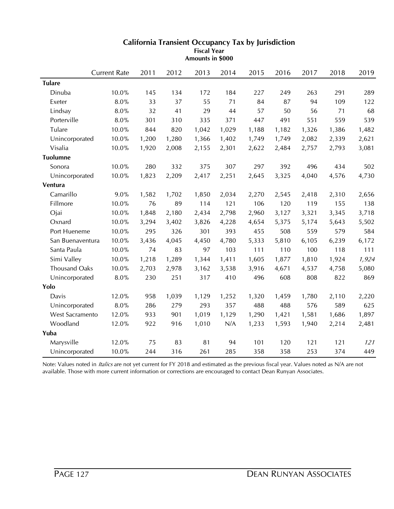|                      | <b>Current Rate</b> | 2011  | 2012  | 2013  | 2014  | 2015  | 2016  | 2017  | 2018  | 2019  |
|----------------------|---------------------|-------|-------|-------|-------|-------|-------|-------|-------|-------|
| <b>Tulare</b>        |                     |       |       |       |       |       |       |       |       |       |
| Dinuba               | 10.0%               | 145   | 134   | 172   | 184   | 227   | 249   | 263   | 291   | 289   |
| Exeter               | 8.0%                | 33    | 37    | 55    | 71    | 84    | 87    | 94    | 109   | 122   |
| Lindsay              | $8.0\%$             | 32    | 41    | 29    | 44    | 57    | 50    | 56    | 71    | 68    |
| Porterville          | 8.0%                | 301   | 310   | 335   | 371   | 447   | 491   | 551   | 559   | 539   |
| Tulare               | 10.0%               | 844   | 820   | 1,042 | 1,029 | 1,188 | 1,182 | 1,326 | 1,386 | 1,482 |
| Unincorporated       | 10.0%               | 1,200 | 1,280 | 1,366 | 1,402 | 1,749 | 1,749 | 2,082 | 2,339 | 2,621 |
| Visalia              | 10.0%               | 1,920 | 2,008 | 2,155 | 2,301 | 2,622 | 2,484 | 2,757 | 2,793 | 3,081 |
| <b>Tuolumne</b>      |                     |       |       |       |       |       |       |       |       |       |
| Sonora               | 10.0%               | 280   | 332   | 375   | 307   | 297   | 392   | 496   | 434   | 502   |
| Unincorporated       | 10.0%               | 1,823 | 2,209 | 2,417 | 2,251 | 2,645 | 3,325 | 4,040 | 4,576 | 4,730 |
| Ventura              |                     |       |       |       |       |       |       |       |       |       |
| Camarillo            | 9.0%                | 1,582 | 1,702 | 1,850 | 2,034 | 2,270 | 2,545 | 2,418 | 2,310 | 2,656 |
| Fillmore             | 10.0%               | 76    | 89    | 114   | 121   | 106   | 120   | 119   | 155   | 138   |
| Ojai                 | 10.0%               | 1,848 | 2,180 | 2,434 | 2,798 | 2,960 | 3,127 | 3,321 | 3,345 | 3,718 |
| Oxnard               | 10.0%               | 3,294 | 3,402 | 3,826 | 4,228 | 4,654 | 5,375 | 5,174 | 5,643 | 5,502 |
| Port Hueneme         | 10.0%               | 295   | 326   | 301   | 393   | 455   | 508   | 559   | 579   | 584   |
| San Buenaventura     | 10.0%               | 3,436 | 4,045 | 4,450 | 4,780 | 5,333 | 5,810 | 6,105 | 6,239 | 6,172 |
| Santa Paula          | 10.0%               | 74    | 83    | 97    | 103   | 111   | 110   | 100   | 118   | 111   |
| Simi Valley          | 10.0%               | 1,218 | 1,289 | 1,344 | 1,411 | 1,605 | 1,877 | 1,810 | 1,924 | 1,924 |
| <b>Thousand Oaks</b> | 10.0%               | 2,703 | 2,978 | 3,162 | 3,538 | 3,916 | 4,671 | 4,537 | 4,758 | 5,080 |
| Unincorporated       | 8.0%                | 230   | 251   | 317   | 410   | 496   | 608   | 808   | 822   | 869   |
| Yolo                 |                     |       |       |       |       |       |       |       |       |       |
| Davis                | 12.0%               | 958   | 1,039 | 1,129 | 1,252 | 1,320 | 1,459 | 1,780 | 2,110 | 2,220 |
| Unincorporated       | 8.0%                | 286   | 279   | 293   | 357   | 488   | 488   | 576   | 589   | 625   |
| West Sacramento      | 12.0%               | 933   | 901   | 1,019 | 1,129 | 1,290 | 1,421 | 1,581 | 1,686 | 1,897 |
| Woodland             | 12.0%               | 922   | 916   | 1,010 | N/A   | 1,233 | 1,593 | 1,940 | 2,214 | 2,481 |
| Yuba                 |                     |       |       |       |       |       |       |       |       |       |
| Marysville           | 12.0%               | 75    | 83    | 81    | 94    | 101   | 120   | 121   | 121   | 121   |
| Unincorporated       | 10.0%               | 244   | 316   | 261   | 285   | 358   | 358   | 253   | 374   | 449   |

**Amounts in \$000**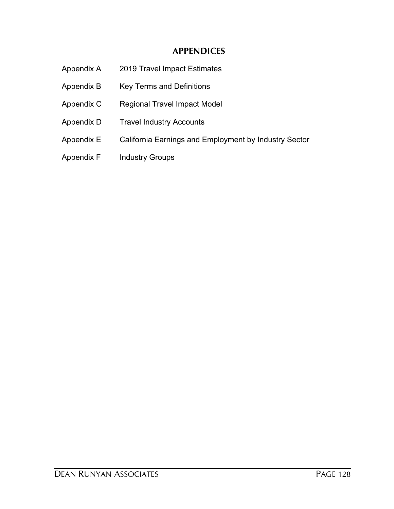# **APPENDICES**

| Appendix A | 2019 Travel Impact Estimates                          |
|------------|-------------------------------------------------------|
| Appendix B | <b>Key Terms and Definitions</b>                      |
| Appendix C | <b>Regional Travel Impact Model</b>                   |
| Appendix D | <b>Travel Industry Accounts</b>                       |
| Appendix E | California Earnings and Employment by Industry Sector |
| Appendix F | <b>Industry Groups</b>                                |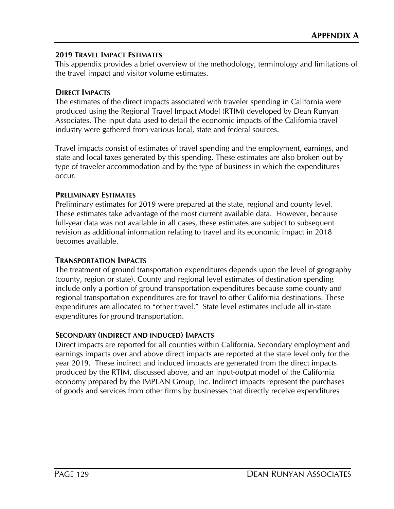# **2019 TRAVEL IMPACT ESTIMATES**

This appendix provides a brief overview of the methodology, terminology and limitations of the travel impact and visitor volume estimates.

# **DIRECT IMPACTS**

The estimates of the direct impacts associated with traveler spending in California were produced using the Regional Travel Impact Model (RTIM) developed by Dean Runyan Associates. The input data used to detail the economic impacts of the California travel industry were gathered from various local, state and federal sources.

Travel impacts consist of estimates of travel spending and the employment, earnings, and state and local taxes generated by this spending. These estimates are also broken out by type of traveler accommodation and by the type of business in which the expenditures occur.

## **PRELIMINARY ESTIMATES**

Preliminary estimates for 2019 were prepared at the state, regional and county level. These estimates take advantage of the most current available data. However, because full-year data was not available in all cases, these estimates are subject to subsequent revision as additional information relating to travel and its economic impact in 2018 becomes available.

## **TRANSPORTATION IMPACTS**

The treatment of ground transportation expenditures depends upon the level of geography (county, region or state). County and regional level estimates of destination spending include only a portion of ground transportation expenditures because some county and regional transportation expenditures are for travel to other California destinations. These expenditures are allocated to "other travel." State level estimates include all in-state expenditures for ground transportation.

# **SECONDARY (INDIRECT AND INDUCED) IMPACTS**

Direct impacts are reported for all counties within California. Secondary employment and earnings impacts over and above direct impacts are reported at the state level only for the year 2019. These indirect and induced impacts are generated from the direct impacts produced by the RTIM, discussed above, and an input-output model of the California economy prepared by the IMPLAN Group, Inc. Indirect impacts represent the purchases of goods and services from other firms by businesses that directly receive expenditures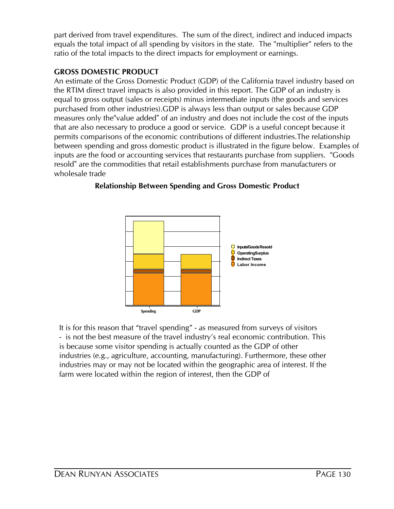ratio of the total impacts to the direct impacts for employment or earnings. equals the total impact of all spending by visitors in the state. The "multiplier" refers to the part derived from travel expenditures. The sum of the direct, indirect and induced impacts

# **GROSS DOMESTIC PRODUCT**

wholesale trade resold" are the commodities that retail establishments purchase from manufacturers or inputs are the food or accounting services that restaurants purchase from suppliers. "Goods between spending and gross domestic product is illustrated in the figure below. Examples of permits comparisons of the economic contributions of different industries.The relationship that are also necessary to produce a good or service. GDP is a useful concept because it measures only the"value added" of an industry and does not include the cost of the inputs purchased from other industries).GDP is always less than output or sales because GDP equal to gross output (sales or receipts) minus intermediate inputs (the goods and services the RTIM direct travel impacts is also provided in this report. The GDP of an industry is An estimate of the Gross Domestic Product (GDP) of the California travel industry based on



# **Relationship Between Spending and Gross Domestic Product**

It is for this reason that "travel spending" - as measured from surveys of visitors - is not the best measure of the travel industry's real economic contribution. This is because some visitor spending is actually counted as the GDP of other industries (e.g., agriculture, accounting, manufacturing). Furthermore, these other industries may or may not be located within the geographic area of interest. If the farm were located within the region of interest, then the GDP of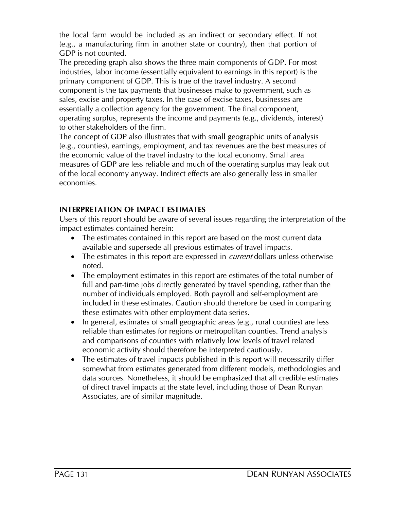the local farm would be included as an indirect or secondary effect. If not (e.g., a manufacturing firm in another state or country), then that portion of GDP is not counted.

The preceding graph also shows the three main components of GDP. For most industries, labor income (essentially equivalent to earnings in this report) is the primary component of GDP. This is true of the travel industry. A second component is the tax payments that businesses make to government, such as sales, excise and property taxes. In the case of excise taxes, businesses are essentially a collection agency for the government. The final component, operating surplus, represents the income and payments (e.g., dividends, interest) to other stakeholders of the firm.

The concept of GDP also illustrates that with small geographic units of analysis (e.g., counties), earnings, employment, and tax revenues are the best measures of the economic value of the travel industry to the local economy. Small area measures of GDP are less reliable and much of the operating surplus may leak out of the local economy anyway. Indirect effects are also generally less in smaller economies.

# **INTERPRETATION OF IMPACT ESTIMATES**

Users of this report should be aware of several issues regarding the interpretation of the impact estimates contained herein:

- The estimates contained in this report are based on the most current data available and supersede all previous estimates of travel impacts.
- The estimates in this report are expressed in *current* dollars unless otherwise noted.
- The employment estimates in this report are estimates of the total number of full and part-time jobs directly generated by travel spending, rather than the number of individuals employed. Both payroll and self-employment are included in these estimates. Caution should therefore be used in comparing these estimates with other employment data series.
- In general, estimates of small geographic areas (e.g., rural counties) are less reliable than estimates for regions or metropolitan counties. Trend analysis and comparisons of counties with relatively low levels of travel related economic activity should therefore be interpreted cautiously.
- The estimates of travel impacts published in this report will necessarily differ somewhat from estimates generated from different models, methodologies and data sources. Nonetheless, it should be emphasized that all credible estimates of direct travel impacts at the state level, including those of Dean Runyan Associates, are of similar magnitude.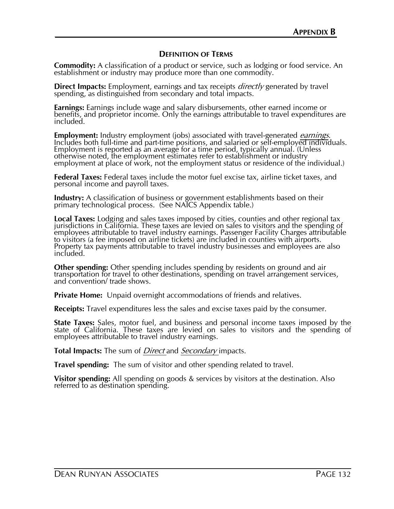## **DEFINITION OF TERMS**

**Commodity:** A classification of a product or service, such as lodging or food service. An establishment or industry may produce more than one commodity.

**Direct Impacts:** Employment, earnings and tax receipts *directly* generated by travel spending, as distinguished from secondary and total impacts.

**Earnings:** Earnings include wage and salary disbursements, other earned income or benefits, and proprietor income. Only the earnings attributable to travel expenditures are included.

**Employment:** Industry employment (jobs) associated with travel-generated *earnings*. Includes both full-time and part-time positions, and salaried or self-employed individuals. Employment is reported as an average for a time period, typically annual. (Unless otherwise noted, the employment estimates refer to establishment or industry employment at place of work, not the employment status or residence of the individual.)

**Federal Taxes:** Federal taxes include the motor fuel excise tax, airline ticket taxes, and personal income and payroll taxes.

**Industry:** A classification of business or government establishments based on their primary technological process. (See NAICS Appendix table.)

**Local Taxes:** Lodging and sales taxes imposed by cities, counties and other regional tax jurisdictions in California. These taxes are levied on sales to visitors and the spending of employees attributable to travel industry earnings. Passenger Facility Charges attributable to visitors (a fee imposed on airline tickets) are included in counties with airports. Property tax payments attributable to travel industry businesses and employees are also included.

**Other spending:** Other spending includes spending by residents on ground and air transportation for travel to other destinations, spending on travel arrangement services, and convention/ trade shows.

**Private Home:** Unpaid overnight accommodations of friends and relatives.

**Receipts:** Travel expenditures less the sales and excise taxes paid by the consumer.

**State Taxes:** Sales, motor fuel, and business and personal income taxes imposed by the state of California. These taxes are levied on sales to visitors and the spending of employees attributable to travel industry earnings.

**Total Impacts:** The sum of *Direct* and *Secondary* impacts.

**Travel spending:** The sum of visitor and other spending related to travel.

**Visitor spending:** All spending on goods & services by visitors at the destination. Also referred to as destination spending.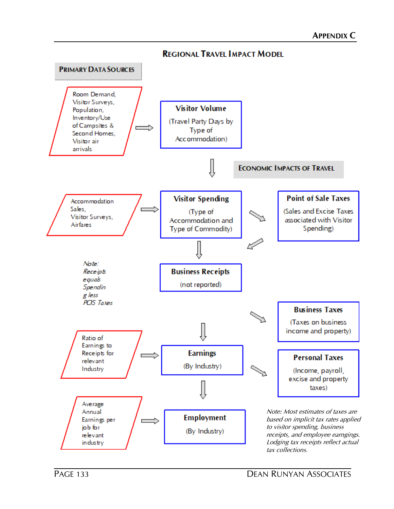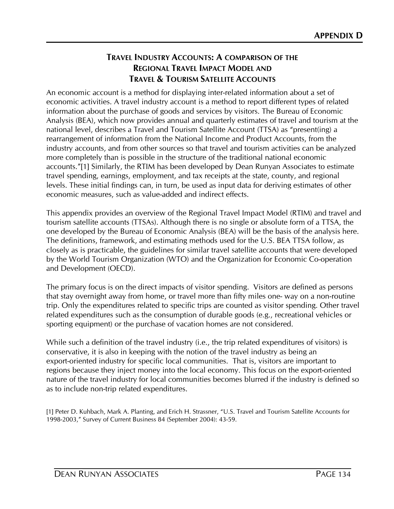# **TRAVEL INDUSTRY ACCOUNTS: A COMPARISON OF THE REGIONAL TRAVEL IMPACT MODEL AND TRAVEL & TOURISM SATELLITE ACCOUNTS**

An economic account is a method for displaying inter-related information about a set of economic activities. A travel industry account is a method to report different types of related information about the purchase of goods and services by visitors. The Bureau of Economic Analysis (BEA), which now provides annual and quarterly estimates of travel and tourism at the national level, describes a Travel and Tourism Satellite Account (TTSA) as "present(ing) a rearrangement of information from the National Income and Product Accounts, from the industry accounts, and from other sources so that travel and tourism activities can be analyzed more completely than is possible in the structure of the traditional national economic accounts."[1] Similarly, the RTIM has been developed by Dean Runyan Associates to estimate travel spending, earnings, employment, and tax receipts at the state, county, and regional levels. These initial findings can, in turn, be used as input data for deriving estimates of other economic measures, such as value-added and indirect effects.

This appendix provides an overview of the Regional Travel Impact Model (RTIM) and travel and tourism satellite accounts (TTSAs). Although there is no single or absolute form of a TTSA, the one developed by the Bureau of Economic Analysis (BEA) will be the basis of the analysis here. The definitions, framework, and estimating methods used for the U.S. BEA TTSA follow, as closely as is practicable, the guidelines for similar travel satellite accounts that were developed by the World Tourism Organization (WTO) and the Organization for Economic Co-operation and Development (OECD).

The primary focus is on the direct impacts of visitor spending. Visitors are defined as persons that stay overnight away from home, or travel more than fifty miles one- way on a non-routine trip. Only the expenditures related to specific trips are counted as visitor spending. Other travel related expenditures such as the consumption of durable goods (e.g., recreational vehicles or sporting equipment) or the purchase of vacation homes are not considered.

While such a definition of the travel industry (i.e., the trip related expenditures of visitors) is conservative, it is also in keeping with the notion of the travel industry as being an export-oriented industry for specific local communities. That is, visitors are important to regions because they inject money into the local economy. This focus on the export-oriented nature of the travel industry for local communities becomes blurred if the industry is defined so as to include non-trip related expenditures.

[1] Peter D. Kuhbach, Mark A. Planting, and Erich H. Strassner, "U.S. Travel and Tourism Satellite Accounts for 1998-2003," Survey of Current Business 84 (September 2004): 43-59.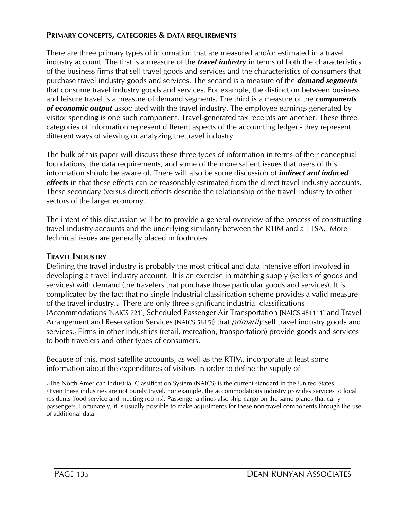# **PRIMARY CONCEPTS, CATEGORIES & DATA REQUIREMENTS**

There are three primary types of information that are measured and/or estimated in a travel industry account. The first is a measure of the *travel industry* in terms of both the characteristics of the business firms that sell travel goods and services and the characteristics of consumers that purchase travel industry goods and services. The second is a measure of the *demand segments*  that consume travel industry goods and services. For example, the distinction between business and leisure travel is a measure of demand segments. The third is a measure of the *components of economic output* associated with the travel industry. The employee earnings generated by visitor spending is one such component. Travel-generated tax receipts are another. These three categories of information represent different aspects of the accounting ledger - they represent different ways of viewing or analyzing the travel industry.

The bulk of this paper will discuss these three types of information in terms of their conceptual foundations, the data requirements, and some of the more salient issues that users of this information should be aware of. There will also be some discussion of *indirect and induced effects* in that these effects can be reasonably estimated from the direct travel industry accounts. These secondary (versus direct) effects describe the relationship of the travel industry to other sectors of the larger economy.

The intent of this discussion will be to provide a general overview of the process of constructing travel industry accounts and the underlying similarity between the RTIM and a TTSA. More technical issues are generally placed in footnotes.

# **TRAVEL INDUSTRY**

Defining the travel industry is probably the most critical and data intensive effort involved in developing a travel industry account. It is an exercise in matching supply (sellers of goods and services) with demand (the travelers that purchase those particular goods and services). It is complicated by the fact that no single industrial classification scheme provides a valid measure of the travel industry.2 There are only three significant industrial classifications (Accommodations [NAICS 721], Scheduled Passenger Air Transportation [NAICS 481111] and Travel Arrangement and Reservation Services [NAICS 5615]) that *primarily* sell travel industry goods and services.3 Firms in other industries (retail, recreation, transportation) provide goods and services to both travelers and other types of consumers.

Because of this, most satellite accounts, as well as the RTIM, incorporate at least some information about the expenditures of visitors in order to define the supply of

<sup>2</sup>The North American Industrial Classification System (NAICS) is the current standard in the United States. <sup>3</sup>Even these industries are not purely travel. For example, the accommodations industry provides services to local residents (food service and meeting rooms). Passenger airlines also ship cargo on the same planes that carry passengers. Fortunately, it is usually possible to make adjustments for these non-travel components through the use of additional data.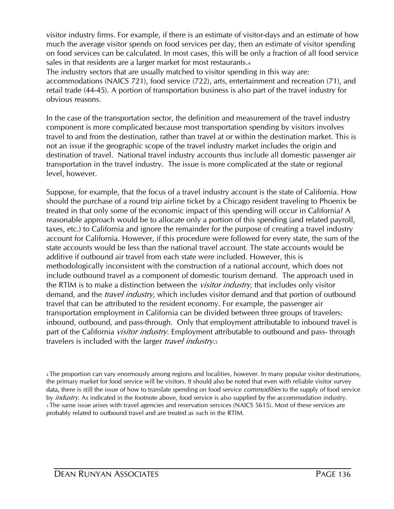visitor industry firms. For example, if there is an estimate of visitor-days and an estimate of how much the average visitor spends on food services per day, then an estimate of visitor spending on food services can be calculated. In most cases, this will be only a fraction of all food service sales in that residents are a larger market for most restaurants.<sup>4</sup>

The industry sectors that are usually matched to visitor spending in this way are: accommodations (NAICS 721), food service (722), arts, entertainment and recreation (71), and retail trade (44-45). A portion of transportation business is also part of the travel industry for obvious reasons.

In the case of the transportation sector, the definition and measurement of the travel industry component is more complicated because most transportation spending by visitors involves travel to and from the destination, rather than travel at or within the destination market. This is not an issue if the geographic scope of the travel industry market includes the origin and destination of travel. National travel industry accounts thus include all domestic passenger air transportation in the travel industry. The issue is more complicated at the state or regional level, however.

Suppose, for example, that the focus of a travel industry account is the state of California. How should the purchase of a round trip airline ticket by a Chicago resident traveling to Phoenix be treated in that only some of the economic impact of this spending will occur in California? A reasonable approach would be to allocate only a portion of this spending (and related payroll, taxes, etc.) to California and ignore the remainder for the purpose of creating a travel industry account for California. However, if this procedure were followed for every state, the sum of the state accounts would be less than the national travel account. The state accounts would be additive if outbound air travel from each state were included. However, this is methodologically inconsistent with the construction of a national account, which does not include outbound travel as a component of domestic tourism demand. The approach used in the RTIM is to make a distinction between the *visitor industry*, that includes only visitor demand, and the *travel industry*, which includes visitor demand and that portion of outbound travel that can be attributed to the resident economy. For example, the passenger air transportation employment in California can be divided between three groups of travelers: inbound, outbound, and pass-through. Only that employment attributable to inbound travel is part of the California *visitor industry*. Employment attributable to outbound and pass- through travelers is included with the larger *travel industry*.<sub>5</sub>

<sup>4</sup>The proportion can vary enormously among regions and localities, however. In many popular visitor destinations, the primary market for food service will be visitors. It should also be noted that even with reliable visitor survey data, there is still the issue of how to translate spending on food service *commodities* to the supply of food service by *industry*. As indicated in the footnote above, food service is also supplied by the accommodation industry. <sup>5</sup>The same issue arises with travel agencies and reservation services (NAICS 5615). Most of these services are probably related to outbound travel and are treated as such in the RTIM.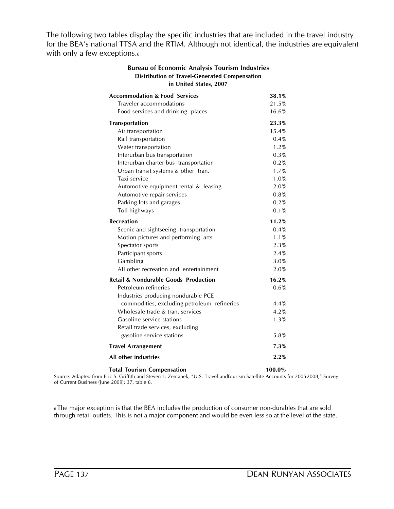The following two tables display the specific industries that are included in the travel industry for the BEA's national TTSA and the RTIM. Although not identical, the industries are equivalent with only a few exceptions.<sup>6</sup>

| <b>Accommodation &amp; Food Services</b>                | 38.1%   |  |
|---------------------------------------------------------|---------|--|
| Traveler accommodations                                 | 21.5%   |  |
| Food services and drinking places                       | 16.6%   |  |
| Transportation                                          | 23.3%   |  |
| Air transportation                                      | 15.4%   |  |
| Rail transportation                                     | $0.4\%$ |  |
| Water transportation                                    | 1.2%    |  |
| Interurban bus transportation                           | 0.3%    |  |
| Interurban charter bus transportation                   | 0.2%    |  |
| Urban transit systems & other tran.                     | 1.7%    |  |
| Taxi service                                            | 1.0%    |  |
| Automotive equipment rental & leasing                   | 2.0%    |  |
| Automotive repair services                              | 0.8%    |  |
| Parking lots and garages                                | 0.2%    |  |
| Toll highways                                           | $0.1\%$ |  |
| <b>Recreation</b>                                       | 11.2%   |  |
| Scenic and sightseeing transportation                   | $0.4\%$ |  |
| Motion pictures and performing arts                     | $1.1\%$ |  |
| Spectator sports                                        | 2.3%    |  |
| Participant sports                                      | 2.4%    |  |
| Gambling                                                | 3.0%    |  |
| All other recreation and entertainment                  | 2.0%    |  |
| <b>Retail &amp; Nondurable Goods Production</b>         | 16.2%   |  |
| Petroleum refineries                                    | 0.6%    |  |
| Industries producing nondurable PCE                     |         |  |
| commodities, excluding petroleum refineries             | 4.4%    |  |
| Wholesale trade & tran. services                        | 4.2%    |  |
| Gasoline service stations                               | 1.3%    |  |
| Retail trade services, excluding                        |         |  |
| gasoline service stations                               | 5.8%    |  |
| <b>Travel Arrangement</b>                               | 7.3%    |  |
| All other industries                                    | 2.2%    |  |
| $T_{\text{old}}$ $T_{\text{equation}}$ $C_{\text{old}}$ | 100.00/ |  |

# **Bureau of Economic Analysis Tourism Industries Distribution of Travel-Generated Compensation**

**Total Tourism Compensation 100.0%** Source: Adapted from Eric S. Griffith and Steven L. Zemanek, "U.S. Travel and Tourism Satellite Accounts for 2005-2008," Survey of Current Business (June 2009): 37, table 6.

<sup>6</sup>The major exception is that the BEA includes the production of consumer non-durables that are sold through retail outlets. This is not a major component and would be even less so at the level of the state.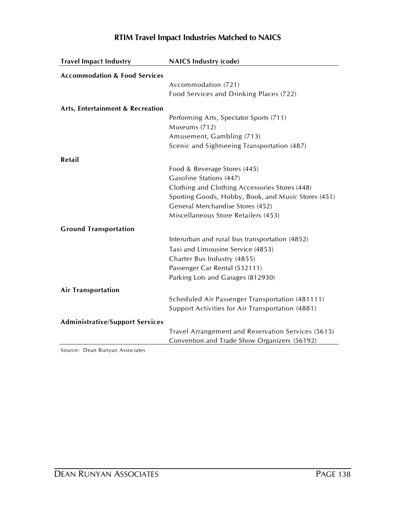| <b>Travel Impact Industry</b>            | <b>NAICS Industry (code)</b>                             |
|------------------------------------------|----------------------------------------------------------|
| <b>Accommodation &amp; Food Services</b> |                                                          |
|                                          | Accommodation (721)                                      |
|                                          | Food Services and Drinking Places (722)                  |
|                                          |                                                          |
| Arts, Entertainment & Recreation         |                                                          |
|                                          | Performing Arts, Spectator Sports (711)<br>Museums (712) |
|                                          | Amusement, Gambling (713)                                |
|                                          | Scenic and Sightseeing Transportation (487)              |
| Retail                                   |                                                          |
|                                          | Food & Beverage Stores (445)                             |
|                                          | Gasoline Stations (447)                                  |
|                                          | Clothing and Clothing Accessories Stores (448)           |
|                                          | Sporting Goods, Hobby, Book, and Music Stores (451)      |
|                                          | General Merchandise Stores (452)                         |
|                                          | Miscellaneous Store Retailers (453)                      |
|                                          |                                                          |
| <b>Ground Transportation</b>             |                                                          |
|                                          | Interurban and rural bus transportation (4852)           |
|                                          | Taxi and Limousine Service (4853)                        |
|                                          | Charter Bus Industry (4855)                              |
|                                          | Passenger Car Rental (532111)                            |
|                                          | Parking Lots and Garages (812930)                        |
| <b>Air Transportation</b>                |                                                          |
|                                          | Scheduled Air Passenger Transportation (481111)          |
|                                          | Support Activities for Air Transportation (4881)         |
| <b>Administrative/Support Services</b>   |                                                          |
|                                          | Travel Arrangement and Reservation Services (5615)       |
|                                          | Convention and Trade Show Organizers (56192)             |
|                                          |                                                          |

# **RTIM Travel Impact Industries Matched to NAICS**

Source: Dean Runyan Associates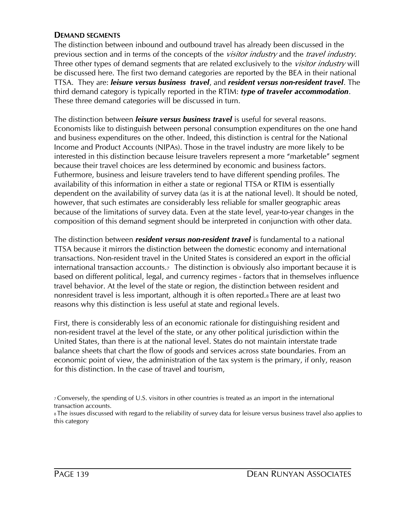# **DEMAND SEGMENTS**

The distinction between inbound and outbound travel has already been discussed in the previous section and in terms of the concepts of the *visitor industry* and the *travel industry*. Three other types of demand segments that are related exclusively to the *visitor industry* will be discussed here. The first two demand categories are reported by the BEA in their national TTSA. They are: *leisure versus business travel*, and *resident versus non-resident travel*. The third demand category is typically reported in the RTIM: *type of traveler accommodation*. These three demand categories will be discussed in turn.

The distinction between *leisure versus business travel* is useful for several reasons. Economists like to distinguish between personal consumption expenditures on the one hand and business expenditures on the other. Indeed, this distinction is central for the National Income and Product Accounts (NIPAs). Those in the travel industry are more likely to be interested in this distinction because leisure travelers represent a more "marketable" segment because their travel choices are less determined by economic and business factors. Futhermore, business and leisure travelers tend to have different spending profiles. The availability of this information in either a state or regional TTSA or RTIM is essentially dependent on the availability of survey data (as it is at the national level). It should be noted, however, that such estimates are considerably less reliable for smaller geographic areas because of the limitations of survey data. Even at the state level, year-to-year changes in the composition of this demand segment should be interpreted in conjunction with other data.

The distinction between *resident versus non-resident travel* is fundamental to a national TTSA because it mirrors the distinction between the domestic economy and international transactions. Non-resident travel in the United States is considered an export in the official international transaction accounts.<sub>7</sub> The distinction is obviously also important because it is based on different political, legal, and currency regimes - factors that in themselves influence travel behavior. At the level of the state or region, the distinction between resident and nonresident travel is less important, although it is often reported.8 There are at least two reasons why this distinction is less useful at state and regional levels.

First, there is considerably less of an economic rationale for distinguishing resident and non-resident travel at the level of the state, or any other political jurisdiction within the United States, than there is at the national level. States do not maintain interstate trade balance sheets that chart the flow of goods and services across state boundaries. From an economic point of view, the administration of the tax system is the primary, if only, reason for this distinction. In the case of travel and tourism,

<sup>7</sup>Conversely, the spending of U.S. visitors in other countries is treated as an import in the international transaction accounts.

<sup>8</sup> The issues discussed with regard to the reliability of survey data for leisure versus business travel also applies to this category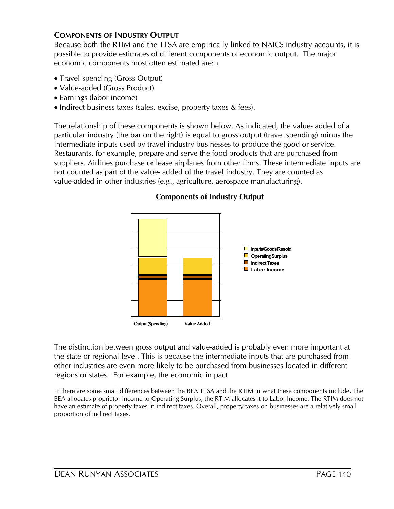# **COMPONENTS OF INDUSTRY OUTPUT**

Because both the RTIM and the TTSA are empirically linked to NAICS industry accounts, it is possible to provide estimates of different components of economic output. The major economic components most often estimated are:<sup>11</sup>

- Travel spending (Gross Output)
- Value-added (Gross Product)
- Earnings (labor income)
- Indirect business taxes (sales, excise, property taxes & fees).

The relationship of these components is shown below. As indicated, the value- added of a particular industry (the bar on the right) is equal to gross output (travel spending) minus the intermediate inputs used by travel industry businesses to produce the good or service. Restaurants, for example, prepare and serve the food products that are purchased from suppliers. Airlines purchase or lease airplanes from other firms. These intermediate inputs are not counted as part of the value- added of the travel industry. They are counted as value-added in other industries (e.g., agriculture, aerospace manufacturing).

# **Components of Industry Output**



The distinction between gross output and value-added is probably even more important at the state or regional level. This is because the intermediate inputs that are purchased from other industries are even more likely to be purchased from businesses located in different regions or states. For example, the economic impact

<sup>11</sup>There are some small differences between the BEA TTSA and the RTIM in what these components include. The BEA allocates proprietor income to Operating Surplus, the RTIM allocates it to Labor Income. The RTIM does not have an estimate of property taxes in indirect taxes. Overall, property taxes on businesses are a relatively small proportion of indirect taxes.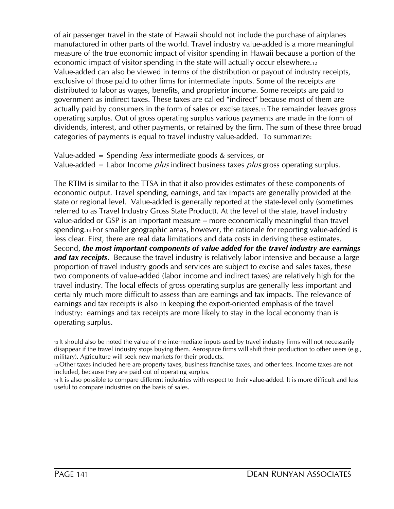of air passenger travel in the state of Hawaii should not include the purchase of airplanes manufactured in other parts of the world. Travel industry value-added is a more meaningful measure of the true economic impact of visitor spending in Hawaii because a portion of the economic impact of visitor spending in the state will actually occur elsewhere.<sup>12</sup> Value-added can also be viewed in terms of the distribution or payout of industry receipts, exclusive of those paid to other firms for intermediate inputs. Some of the receipts are distributed to labor as wages, benefits, and proprietor income. Some receipts are paid to government as indirect taxes. These taxes are called "indirect" because most of them are actually paid by consumers in the form of sales or excise taxes.13 The remainder leaves gross operating surplus. Out of gross operating surplus various payments are made in the form of dividends, interest, and other payments, or retained by the firm. The sum of these three broad categories of payments is equal to travel industry value-added. To summarize:

Value-added = Spending *less* intermediate goods  $\&$  services, or Value-added = Labor Income *plus* indirect business taxes *plus* gross operating surplus.

The RTIM is similar to the TTSA in that it also provides estimates of these components of economic output. Travel spending, earnings, and tax impacts are generally provided at the state or regional level. Value-added is generally reported at the state-level only (sometimes referred to as Travel Industry Gross State Product). At the level of the state, travel industry value-added or GSP is an important measure -- more economically meaningful than travel spending.14 For smaller geographic areas, however, the rationale for reporting value-added is less clear. First, there are real data limitations and data costs in deriving these estimates. Second, *the most important components of value added for the travel industry are earnings and tax receipts*. Because the travel industry is relatively labor intensive and because a large proportion of travel industry goods and services are subject to excise and sales taxes, these two components of value-added (labor income and indirect taxes) are relatively high for the travel industry. The local effects of gross operating surplus are generally less important and certainly much more difficult to assess than are earnings and tax impacts. The relevance of earnings and tax receipts is also in keeping the export-oriented emphasis of the travel industry: earnings and tax receipts are more likely to stay in the local economy than is operating surplus.

<sup>12</sup>It should also be noted the value of the intermediate inputs used by travel industry firms will not necessarily disappear if the travel industry stops buying them. Aerospace firms will shift their production to other users (e.g., military). Agriculture will seek new markets for their products.

<sup>13</sup>Other taxes included here are property taxes, business franchise taxes, and other fees. Income taxes are not included, because they are paid out of operating surplus.

<sup>14</sup>It is also possible to compare different industries with respect to their value-added. It is more difficult and less useful to compare industries on the basis of sales.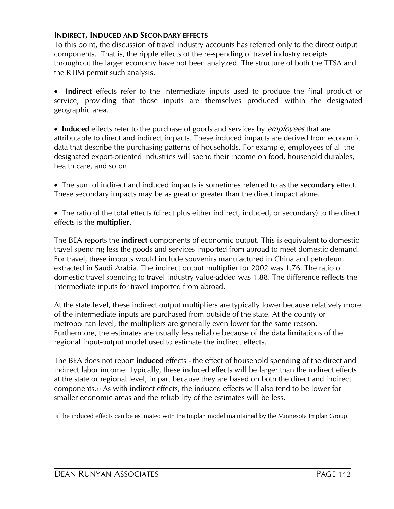# **INDIRECT, INDUCED AND SECONDARY EFFECTS**

To this point, the discussion of travel industry accounts has referred only to the direct output components. That is, the ripple effects of the re-spending of travel industry receipts throughout the larger economy have not been analyzed. The structure of both the TTSA and the RTIM permit such analysis.

· **Indirect** effects refer to the intermediate inputs used to produce the final product or service, providing that those inputs are themselves produced within the designated geographic area.

• **Induced** effects refer to the purchase of goods and services by *employees* that are attributable to direct and indirect impacts. These induced impacts are derived from economic data that describe the purchasing patterns of households. For example, employees of all the designated export-oriented industries will spend their income on food, household durables, health care, and so on.

· The sum of indirect and induced impacts is sometimes referred to as the **secondary** effect. These secondary impacts may be as great or greater than the direct impact alone.

• The ratio of the total effects (direct plus either indirect, induced, or secondary) to the direct effects is the **multiplier**.

The BEA reports the **indirect** components of economic output. This is equivalent to domestic travel spending less the goods and services imported from abroad to meet domestic demand. For travel, these imports would include souvenirs manufactured in China and petroleum extracted in Saudi Arabia. The indirect output multiplier for 2002 was 1.76. The ratio of domestic travel spending to travel industry value-added was 1.88. The difference reflects the intermediate inputs for travel imported from abroad.

At the state level, these indirect output multipliers are typically lower because relatively more of the intermediate inputs are purchased from outside of the state. At the county or metropolitan level, the multipliers are generally even lower for the same reason. Furthermore, the estimates are usually less reliable because of the data limitations of the regional input-output model used to estimate the indirect effects.

The BEA does not report **induced** effects - the effect of household spending of the direct and indirect labor income. Typically, these induced effects will be larger than the indirect effects at the state or regional level, in part because they are based on both the direct and indirect components.15 As with indirect effects, the induced effects will also tend to be lower for smaller economic areas and the reliability of the estimates will be less.

<sup>15</sup>The induced effects can be estimated with the Implan model maintained by the Minnesota Implan Group.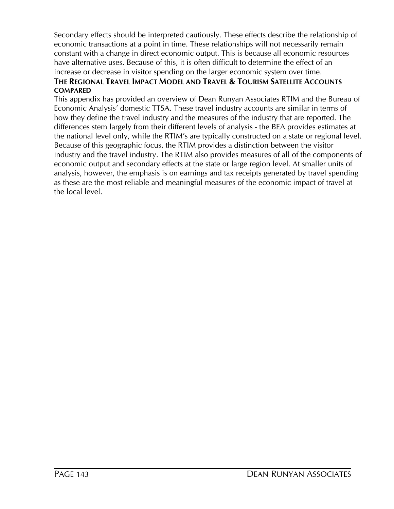Secondary effects should be interpreted cautiously. These effects describe the relationship of economic transactions at a point in time. These relationships will not necessarily remain constant with a change in direct economic output. This is because all economic resources have alternative uses. Because of this, it is often difficult to determine the effect of an increase or decrease in visitor spending on the larger economic system over time.

# **THE REGIONAL TRAVEL IMPACT MODEL AND TRAVEL & TOURISM SATELLITE ACCOUNTS COMPARED**

This appendix has provided an overview of Dean Runyan Associates RTIM and the Bureau of Economic Analysis' domestic TTSA. These travel industry accounts are similar in terms of how they define the travel industry and the measures of the industry that are reported. The differences stem largely from their different levels of analysis - the BEA provides estimates at the national level only, while the RTIM's are typically constructed on a state or regional level. Because of this geographic focus, the RTIM provides a distinction between the visitor industry and the travel industry. The RTIM also provides measures of all of the components of economic output and secondary effects at the state or large region level. At smaller units of analysis, however, the emphasis is on earnings and tax receipts generated by travel spending as these are the most reliable and meaningful measures of the economic impact of travel at the local level.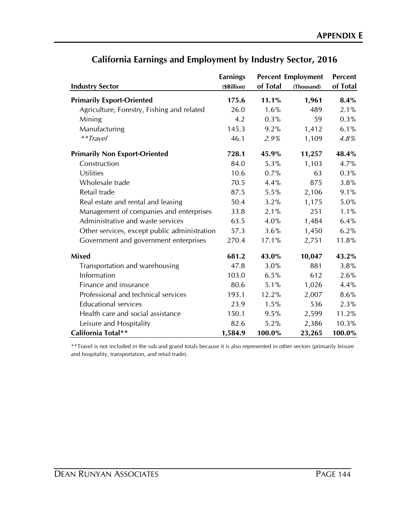|                                              | <b>Earnings</b> | <b>Percent Employment</b> |            | <b>Percent</b> |
|----------------------------------------------|-----------------|---------------------------|------------|----------------|
| <b>Industry Sector</b>                       | (\$Billion)     | of Total                  | (Thousand) | of Total       |
| <b>Primarily Export-Oriented</b>             | 175.6           | 11.1%                     | 1,961      | 8.4%           |
| Agriculture, Forestry, Fishing and related   | 26.0            | 1.6%                      | 489        | 2.1%           |
| Mining                                       | 4.2             | 0.3%                      | 59         | $0.3\%$        |
| Manufacturing                                | 145.3           | 9.2%                      | 1,412      | 6.1%           |
| **Travel                                     | 46.1            | 2.9%                      | 1,109      | 4.8%           |
| <b>Primarily Non Export-Oriented</b>         | 728.1           | 45.9%                     | 11,257     | 48.4%          |
| Construction                                 | 84.0            | 5.3%                      | 1,103      | 4.7%           |
| <b>Utilities</b>                             | 10.6            | 0.7%                      | 63         | 0.3%           |
| Wholesale trade                              | 70.5            | 4.4%                      | 875        | 3.8%           |
| Retail trade                                 | 87.5            | 5.5%                      | 2,106      | 9.1%           |
| Real estate and rental and leasing           | 50.4            | 3.2%                      | 1,175      | 5.0%           |
| Management of companies and enterprises      | 33.8            | 2.1%                      | 251        | $1.1\%$        |
| Administrative and waste services            | 63.5            | 4.0%                      | 1,484      | 6.4%           |
| Other services, except public administration | 57.3            | 3.6%                      | 1,450      | 6.2%           |
| Government and government enterprises        | 270.4           | 17.1%                     | 2,751      | 11.8%          |
| <b>Mixed</b>                                 | 681.2           | 43.0%                     | 10,047     | 43.2%          |
| Transportation and warehousing               | 47.8            | 3.0%                      | 881        | 3.8%           |
| Information                                  | 103.0           | 6.5%                      | 612        | 2.6%           |
| Finance and insurance                        | 80.6            | 5.1%                      | 1,026      | 4.4%           |
| Professional and technical services          | 193.1           | 12.2%                     | 2,007      | 8.6%           |
| <b>Educational services</b>                  | 23.9            | 1.5%                      | 536        | 2.3%           |
| Health care and social assistance            | 150.1           | 9.5%                      | 2,599      | 11.2%          |
| Leisure and Hospitality                      | 82.6            | 5.2%                      | 2,386      | 10.3%          |
| California Total**                           | 1,584.9         | 100.0%                    | 23,265     | 100.0%         |

# **California Earnings and Employment by Industry Sector, 2016**

and hospitality, transportation, and retail trade). \*\*Travel is not included in the sub and grand totals because it is also represented in other sectors (primarily leisure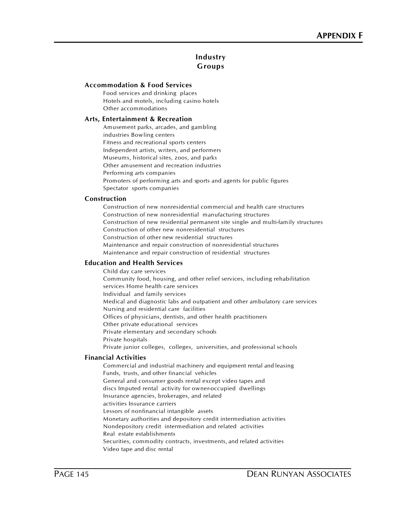# **Industry Groups**

## **Accommodation & Food Services**

Food services and drinking places Hotels and motels, including casino hotels Other accommodations

## **Arts, Entertainment & Recreation**

Amusement parks, arcades, and gambling industries Bowling centers Fitness and recreational sports centers Independent artists, writers, and performers Museums, historical sites, zoos, and parks Other amusement and recreation industries Performing arts companies Promoters of performing arts and sports and agents for public figures

Spectator sports companies

## **Construction**

Construction of new nonresidential commercial and health care structures Construction of new nonresidential manufacturing structures Construction of new residential permanent site single- and multi-family structures Construction of other new nonresidential structures Construction of other new residential structures Maintenance and repair construction of nonresidential structures Maintenance and repair construction of residential structures

# **Education and Health Services**

Child day care services Community food, housing, and other relief services, including rehabilitation services Home health care services Individual and family services Medical and diagnostic labs and outpatient and other ambulatory care services Nursing and residential care facilities Offices of physicians, dentists, and other health practitioners Other private educational services Private elementary and secondary schools Private hospitals Private junior colleges, colleges, universities, and professional schools

#### **Financial Activities**

Commercial and industrial machinery and equipment rental and leasing Funds, trusts, and other financial vehicles General and consumer goods rental except video tapes and discs Imputed rental activity for owner-occupied dwellings Insurance agencies, brokerages, and related activities Insurance carriers Lessors of nonfinancial intangible assets Monetary authorities and depository credit intermediation activities Nondepository credit intermediation and related activities Real estate establishments Securities, commodity contracts, investments, and related activities Video tape and disc rental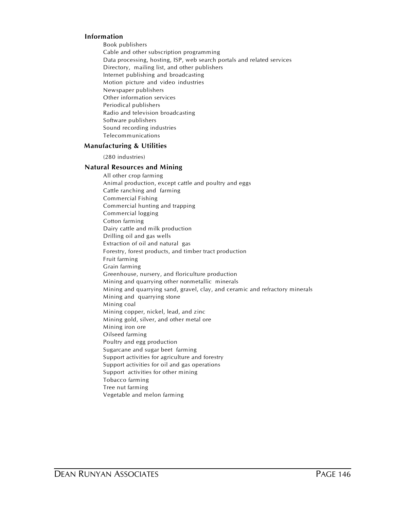## **Information**

Book publishers Cable and other subscription programming Data processing, hosting, ISP, web search portals and related services Directory, mailing list, and other publishers Internet publishing and broadcasting Motion picture and video industries Newspaper publishers Other information services Periodical publishers Radio and television broadcasting Software publishers Sound recording industries Telecommunications

#### **Manufacturing & Utilities**

(280 industries)

#### **Natural Resources and Mining**

All other crop farming Animal production, except cattle and poultry and eggs Cattle ranching and farming Commercial Fishing Commercial hunting and trapping Commercial logging Cotton farming Dairy cattle and milk production Drilling oil and gas wells Extraction of oil and natural gas Forestry, forest products, and timber tract production Fruit farming Grain farming Greenhouse, nursery, and floriculture production Mining and quarrying other nonmetallic minerals Mining and quarrying sand, gravel, clay, and ceramic and refractory minerals Mining and quarrying stone Mining coal Mining copper, nickel, lead, and zinc Mining gold, silver, and other metal ore Mining iron ore Oilseed farming Poultry and egg production Sugarcane and sugar beet farming Support activities for agriculture and forestry Support activities for oil and gas operations Support activities for other mining Tobacco farming Tree nut farming Vegetable and melon farming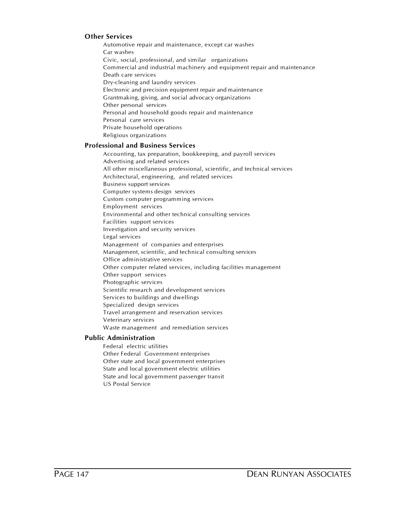# **Other Services**

Automotive repair and maintenance, except car washes Car washes Civic, social, professional, and similar organizations Commercial and industrial machinery and equipment repair and maintenance Death care services Dry-cleaning and laundry services Electronic and precision equipment repair and maintenance Grantmaking, giving, and social advocacy organizations Other personal services Personal and household goods repair and maintenance Personal care services Private household operations Religious organizations

## **Professional and Business Services**

Accounting, tax preparation, bookkeeping, and payroll services Advertising and related services All other miscellaneous professional, scientific, and technical services Architectural, engineering, and related services Business support services Computer systems design services Custom computer programming services Employment services Environmental and other technical consulting services Facilities support services Investigation and security services Legal services Management of companies and enterprises Management, scientific, and technical consulting services Office administrative services Other computer related services, including facilities management Other support services Photographic services Scientific research and development services Services to buildings and dwellings Specialized design services Travel arrangement and reservation services Veterinary services Waste management and remediation services

#### **Public Administration**

Federal electric utilities Other Federal Government enterprises Other state and local government enterprises State and local government electric utilities State and local government passenger transit US Postal Service